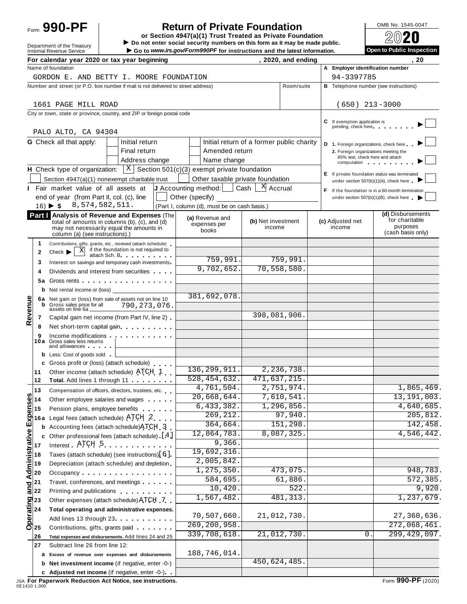# Form **990-PF**  $\begin{bmatrix} 1 & 0 \end{bmatrix}$  **Return of Private Foundation**  $\begin{bmatrix} 0 \end{bmatrix}$   $\begin{bmatrix} 0 \end{bmatrix}$   $\begin{bmatrix} 0 \end{bmatrix}$

 $\begin{array}{r|l}\n\hline\n\text{Definition} & \text{DOS} \\
\hline\n\text{Definition} & \text{D0 not enter social security numbers on this form as it may be made public.}\n\end{array}\n\quad\n\begin{array}{r|l}\n\hline\n\text{Definition} & \text{D0} \\
\hline\n\text{Definition} & \text{D1} \\
\hline\n\end{array}$ Department of the Treasury<br> **Example 2008 CONTROLLATE SUBSET AND DEPARTMENT OF CONTROLLATE SUBSET AND DEPARTMENT OF CONTROLLATE SUBSET AND DEPARTMENT OF CONTROLLATE SUBSET AND DEPARTMENT OF CONTROLLATE SUBSET AND DEPARTMEN** 

|                           |                                                                                                                                                                                                                                                                                                                                                                                                                                                                                                                                                                                                                                  | For calendar year 2020 or tax year beginning                                                                                                                                                                                                                                         |                                              |                           | zuzu, and ending |                                                      | ΖU                                                      |
|---------------------------|----------------------------------------------------------------------------------------------------------------------------------------------------------------------------------------------------------------------------------------------------------------------------------------------------------------------------------------------------------------------------------------------------------------------------------------------------------------------------------------------------------------------------------------------------------------------------------------------------------------------------------|--------------------------------------------------------------------------------------------------------------------------------------------------------------------------------------------------------------------------------------------------------------------------------------|----------------------------------------------|---------------------------|------------------|------------------------------------------------------|---------------------------------------------------------|
|                           |                                                                                                                                                                                                                                                                                                                                                                                                                                                                                                                                                                                                                                  | Name of foundation<br>GORDON E. AND BETTY I. MOORE FOUNDATION                                                                                                                                                                                                                        |                                              |                           |                  | A Employer identification number<br>94-3397785       |                                                         |
|                           |                                                                                                                                                                                                                                                                                                                                                                                                                                                                                                                                                                                                                                  | Number and street (or P.O. box number if mail is not delivered to street address)                                                                                                                                                                                                    |                                              |                           | Room/suite       |                                                      | <b>B</b> Telephone number (see instructions)            |
|                           |                                                                                                                                                                                                                                                                                                                                                                                                                                                                                                                                                                                                                                  |                                                                                                                                                                                                                                                                                      |                                              |                           |                  |                                                      |                                                         |
|                           |                                                                                                                                                                                                                                                                                                                                                                                                                                                                                                                                                                                                                                  | 1661 PAGE MILL ROAD                                                                                                                                                                                                                                                                  |                                              |                           |                  | $(650)$ 213-3000                                     |                                                         |
|                           |                                                                                                                                                                                                                                                                                                                                                                                                                                                                                                                                                                                                                                  | City or town, state or province, country, and ZIP or foreign postal code                                                                                                                                                                                                             |                                              |                           |                  |                                                      |                                                         |
|                           |                                                                                                                                                                                                                                                                                                                                                                                                                                                                                                                                                                                                                                  |                                                                                                                                                                                                                                                                                      |                                              |                           |                  | C If exemption application is<br>pending, check here |                                                         |
|                           |                                                                                                                                                                                                                                                                                                                                                                                                                                                                                                                                                                                                                                  | PALO ALTO, CA 94304                                                                                                                                                                                                                                                                  |                                              |                           |                  |                                                      |                                                         |
|                           |                                                                                                                                                                                                                                                                                                                                                                                                                                                                                                                                                                                                                                  | <b>G</b> Check all that apply:<br>Initial return                                                                                                                                                                                                                                     | Initial return of a former public charity    |                           |                  | D 1. Foreign organizations, check here               |                                                         |
|                           |                                                                                                                                                                                                                                                                                                                                                                                                                                                                                                                                                                                                                                  | Final return                                                                                                                                                                                                                                                                         | Amended return                               |                           |                  | 2. Foreign organizations meeting the                 |                                                         |
|                           |                                                                                                                                                                                                                                                                                                                                                                                                                                                                                                                                                                                                                                  | Address change                                                                                                                                                                                                                                                                       | Name change                                  |                           |                  | 85% test, check here and attach<br>computation       |                                                         |
|                           |                                                                                                                                                                                                                                                                                                                                                                                                                                                                                                                                                                                                                                  | $ X $ Section 501(c)(3) exempt private foundation<br><b>H</b> Check type of organization:                                                                                                                                                                                            |                                              |                           |                  |                                                      | E If private foundation status was terminated           |
|                           |                                                                                                                                                                                                                                                                                                                                                                                                                                                                                                                                                                                                                                  | Section 4947(a)(1) nonexempt charitable trust                                                                                                                                                                                                                                        | Other taxable private foundation             |                           |                  | under section 507(b)(1)(A), check here               |                                                         |
|                           |                                                                                                                                                                                                                                                                                                                                                                                                                                                                                                                                                                                                                                  | I Fair market value of all assets at                                                                                                                                                                                                                                                 | $J$ Accounting method:                       | X Accrual<br>$Cash \vert$ |                  |                                                      | F If the foundation is in a 60-month termination        |
|                           |                                                                                                                                                                                                                                                                                                                                                                                                                                                                                                                                                                                                                                  | end of year (from Part II, col. (c), line<br>8,574,582,511.                                                                                                                                                                                                                          | Other (specify)                              |                           |                  |                                                      | under section $507(b)(1)(B)$ , check here $\rightarrow$ |
|                           |                                                                                                                                                                                                                                                                                                                                                                                                                                                                                                                                                                                                                                  | $16)$ $\blacktriangleright$ \$                                                                                                                                                                                                                                                       | (Part I, column (d), must be on cash basis.) |                           |                  |                                                      | (d) Disbursements                                       |
|                           |                                                                                                                                                                                                                                                                                                                                                                                                                                                                                                                                                                                                                                  | Part   Analysis of Revenue and Expenses (The<br>total of amounts in columns (b), (c), and (d)                                                                                                                                                                                        | (a) Revenue and<br>expenses per              | (b) Net investment        |                  | (c) Adjusted net                                     | for charitable                                          |
|                           |                                                                                                                                                                                                                                                                                                                                                                                                                                                                                                                                                                                                                                  | may not necessarily equal the amounts in<br>column (a) (see instructions).)                                                                                                                                                                                                          | books                                        | income                    |                  | income                                               | purposes<br>(cash basis only)                           |
|                           | 1                                                                                                                                                                                                                                                                                                                                                                                                                                                                                                                                                                                                                                | Contributions, gifts, grants, etc., received (attach schedule)                                                                                                                                                                                                                       |                                              |                           |                  |                                                      |                                                         |
|                           | $\mathbf{2}$                                                                                                                                                                                                                                                                                                                                                                                                                                                                                                                                                                                                                     | if the foundation is not required to<br>X<br>$Check$ $\blacktriangleright$                                                                                                                                                                                                           |                                              |                           |                  |                                                      |                                                         |
|                           | 3                                                                                                                                                                                                                                                                                                                                                                                                                                                                                                                                                                                                                                | attach Sch. B. The contract of the state of the state of the state of the state of the state of the state of the state of the state of the state of the state of the state of the state of the state of the state of the state<br>Interest on savings and temporary cash investments | 759,991.                                     |                           | 759,991.         |                                                      |                                                         |
|                           | 4                                                                                                                                                                                                                                                                                                                                                                                                                                                                                                                                                                                                                                | Dividends and interest from securities                                                                                                                                                                                                                                               | 9,702,652.                                   |                           | 70, 558, 580.    |                                                      |                                                         |
|                           | 5а                                                                                                                                                                                                                                                                                                                                                                                                                                                                                                                                                                                                                               | Gross rents                                                                                                                                                                                                                                                                          |                                              |                           |                  |                                                      |                                                         |
|                           |                                                                                                                                                                                                                                                                                                                                                                                                                                                                                                                                                                                                                                  | <b>b</b> Net rental income or (loss) __                                                                                                                                                                                                                                              |                                              |                           |                  |                                                      |                                                         |
|                           |                                                                                                                                                                                                                                                                                                                                                                                                                                                                                                                                                                                                                                  | 6a Net gain or (loss) from sale of assets not on line 10                                                                                                                                                                                                                             | 381,692,078                                  |                           |                  |                                                      |                                                         |
| Revenue                   |                                                                                                                                                                                                                                                                                                                                                                                                                                                                                                                                                                                                                                  | <b>b</b> Gross sales price for all<br>790,273,076.<br>assets on line 6a.                                                                                                                                                                                                             |                                              |                           |                  |                                                      |                                                         |
|                           | 7                                                                                                                                                                                                                                                                                                                                                                                                                                                                                                                                                                                                                                | Capital gain net income (from Part IV, line 2)                                                                                                                                                                                                                                       |                                              | 398,081,906.              |                  |                                                      |                                                         |
|                           | 8                                                                                                                                                                                                                                                                                                                                                                                                                                                                                                                                                                                                                                | Net short-term capital gain                                                                                                                                                                                                                                                          |                                              |                           |                  |                                                      |                                                         |
|                           | 9                                                                                                                                                                                                                                                                                                                                                                                                                                                                                                                                                                                                                                | Income modifications experiences and the set of the set of the set of the set of the set of the set of the set of the set of the set of the set of the set of the set of the set of the set of the set of the set of the set o<br>10a Gross sales less returns                       |                                              |                           |                  |                                                      |                                                         |
|                           |                                                                                                                                                                                                                                                                                                                                                                                                                                                                                                                                                                                                                                  | and allowances                                                                                                                                                                                                                                                                       |                                              |                           |                  |                                                      |                                                         |
|                           |                                                                                                                                                                                                                                                                                                                                                                                                                                                                                                                                                                                                                                  | <b>b</b> Less: Cost of goods sold                                                                                                                                                                                                                                                    |                                              |                           |                  |                                                      |                                                         |
|                           | 11                                                                                                                                                                                                                                                                                                                                                                                                                                                                                                                                                                                                                               | c Gross profit or (loss) (attach schedule)<br>Other income (attach schedule) ATCH 1                                                                                                                                                                                                  | 136, 299, 911.                               |                           | 2,236,738.       |                                                      |                                                         |
|                           | 12                                                                                                                                                                                                                                                                                                                                                                                                                                                                                                                                                                                                                               | Total. Add lines 1 through 11                                                                                                                                                                                                                                                        | 528, 454, 632.                               | 471,637,215.              |                  |                                                      |                                                         |
|                           | 13                                                                                                                                                                                                                                                                                                                                                                                                                                                                                                                                                                                                                               | Compensation of officers, directors, trustees, etc.                                                                                                                                                                                                                                  | 4,761,504.                                   |                           | 2,751,974.       |                                                      | 1,865,469.                                              |
| n                         | 14 اھ                                                                                                                                                                                                                                                                                                                                                                                                                                                                                                                                                                                                                            | Other employee salaries and wages                                                                                                                                                                                                                                                    | 20,668,644.                                  |                           | 7,610,541.       |                                                      | 13, 191, 003.                                           |
|                           | 15                                                                                                                                                                                                                                                                                                                                                                                                                                                                                                                                                                                                                               | Pension plans, employee benefits                                                                                                                                                                                                                                                     | 6,433,382.                                   |                           | 1,296,856.       |                                                      | 4,640,685.                                              |
|                           | 16 a                                                                                                                                                                                                                                                                                                                                                                                                                                                                                                                                                                                                                             | Legal fees (attach schedule) ATCH 2                                                                                                                                                                                                                                                  | 269, 212.                                    |                           | 97,940           |                                                      | 205,812.                                                |
|                           |                                                                                                                                                                                                                                                                                                                                                                                                                                                                                                                                                                                                                                  | <b>b</b> Accounting fees (attach schedule) ATCH 3                                                                                                                                                                                                                                    | 364,664.                                     |                           | 151,298          |                                                      | 142,458.                                                |
|                           |                                                                                                                                                                                                                                                                                                                                                                                                                                                                                                                                                                                                                                  | Other professional fees (attach schedule) [4]                                                                                                                                                                                                                                        | 12,864,783.                                  |                           | 8,087,325.       |                                                      | 4,546,442.                                              |
|                           | 17                                                                                                                                                                                                                                                                                                                                                                                                                                                                                                                                                                                                                               | Interest ATCH 5                                                                                                                                                                                                                                                                      | 9,366.                                       |                           |                  |                                                      |                                                         |
|                           | 18                                                                                                                                                                                                                                                                                                                                                                                                                                                                                                                                                                                                                               | Taxes (attach schedule) (see instructions)[6].                                                                                                                                                                                                                                       | 19,692,316<br>2,005,842                      |                           |                  |                                                      |                                                         |
|                           | 19                                                                                                                                                                                                                                                                                                                                                                                                                                                                                                                                                                                                                               | Depreciation (attach schedule) and depletion                                                                                                                                                                                                                                         | 1, 275, 350.                                 |                           | 473,075.         |                                                      | 948,783.                                                |
|                           | 20                                                                                                                                                                                                                                                                                                                                                                                                                                                                                                                                                                                                                               | Occupancy                                                                                                                                                                                                                                                                            | 584,695.                                     |                           | 61,886.          |                                                      | 572, 385.                                               |
| and Administrative Expens | 21                                                                                                                                                                                                                                                                                                                                                                                                                                                                                                                                                                                                                               | Travel, conferences, and meetings                                                                                                                                                                                                                                                    | 10,420.                                      |                           | 522              |                                                      | 9,920.                                                  |
|                           | 22                                                                                                                                                                                                                                                                                                                                                                                                                                                                                                                                                                                                                               | Printing and publications <b>Exercise 2.1 Fig. 1.1</b><br>Other expenses (attach schedule) ATCH 7                                                                                                                                                                                    | 1,567,482.                                   |                           | 481,313          |                                                      | 1,237,679.                                              |
|                           |                                                                                                                                                                                                                                                                                                                                                                                                                                                                                                                                                                                                                                  | Total operating and administrative expenses.                                                                                                                                                                                                                                         |                                              |                           |                  |                                                      |                                                         |
|                           |                                                                                                                                                                                                                                                                                                                                                                                                                                                                                                                                                                                                                                  | Add lines 13 through 23                                                                                                                                                                                                                                                              | 70,507,660.                                  |                           | 21,012,730.      |                                                      | 27,360,636.                                             |
|                           | $\begin{array}{c}\n\overline{\text{operating}} \\ 23 \\ \overline{\text{ode}} \\ \overline{\text{ode}} \\ \overline{\text{ode}} \\ \overline{\text{ode}} \\ \overline{\text{ode}} \\ \overline{\text{ode}} \\ \overline{\text{ode}} \\ \overline{\text{ode}} \\ \overline{\text{ode}} \\ \overline{\text{ode}} \\ \overline{\text{ode}} \\ \overline{\text{ode}} \\ \overline{\text{ode}} \\ \overline{\text{ode}} \\ \overline{\text{ode}} \\ \overline{\text{ode}} \\ \overline{\text{ode}} \\ \overline{\text{ode}} \\ \overline{\text{ode}} \\ \overline{\text{ode}} \\ \overline{\text{ode}} \\ \overline{\text{ode}} \\ \$ | Contributions, gifts, grants paid                                                                                                                                                                                                                                                    | 269, 200, 958.                               |                           |                  |                                                      | $\overline{272,068,461}$ .                              |
|                           | 26                                                                                                                                                                                                                                                                                                                                                                                                                                                                                                                                                                                                                               | Total expenses and disbursements. Add lines 24 and 25                                                                                                                                                                                                                                | 339,708,618.                                 |                           | 21,012,730.      | 0.                                                   | 299, 429, 097.                                          |
|                           | 27                                                                                                                                                                                                                                                                                                                                                                                                                                                                                                                                                                                                                               | Subtract line 26 from line 12:                                                                                                                                                                                                                                                       |                                              |                           |                  |                                                      |                                                         |
|                           |                                                                                                                                                                                                                                                                                                                                                                                                                                                                                                                                                                                                                                  | a Excess of revenue over expenses and disbursements                                                                                                                                                                                                                                  | 188,746,014.                                 |                           |                  |                                                      |                                                         |
|                           |                                                                                                                                                                                                                                                                                                                                                                                                                                                                                                                                                                                                                                  | <b>b</b> Net investment income (if negative, enter -0-)                                                                                                                                                                                                                              |                                              | 450,624,485.              |                  |                                                      |                                                         |
|                           |                                                                                                                                                                                                                                                                                                                                                                                                                                                                                                                                                                                                                                  | c Adjusted net income (if negative, enter -0-)                                                                                                                                                                                                                                       |                                              |                           |                  |                                                      |                                                         |

JSA **For Paperwork Reduction Act Notice, see instructions.** Form **990-PF** (2020) 0E1410 1.000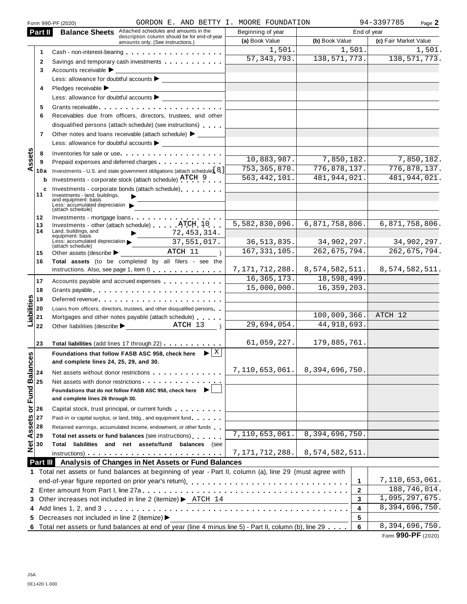|                   |                                                    | Form 990-PF (2020)                                     | GORDON E. AND BETTY I. MOORE FOUNDATION                                                                                                                                                                                       |                                                             |                |              | 94-3397785            | Page 2      |
|-------------------|----------------------------------------------------|--------------------------------------------------------|-------------------------------------------------------------------------------------------------------------------------------------------------------------------------------------------------------------------------------|-------------------------------------------------------------|----------------|--------------|-----------------------|-------------|
|                   | Part II                                            | <b>Balance Sheets</b>                                  | Attached schedules and amounts in the                                                                                                                                                                                         | Beginning of year                                           |                | End of year  |                       |             |
|                   |                                                    |                                                        | description column should be for end-of-year<br>amounts only. (See instructions.)                                                                                                                                             | (a) Book Value                                              | (b) Book Value |              | (c) Fair Market Value |             |
|                   | 1                                                  |                                                        |                                                                                                                                                                                                                               | 1,501.                                                      | 1,501.         |              |                       | 1,501.      |
|                   | 2                                                  |                                                        | Savings and temporary cash investments                                                                                                                                                                                        | 57, 343, 793.                                               | 138, 571, 773. |              | 138,571,773.          |             |
|                   | 3                                                  | Accounts receivable $\blacktriangleright$              |                                                                                                                                                                                                                               |                                                             |                |              |                       |             |
|                   |                                                    |                                                        |                                                                                                                                                                                                                               |                                                             |                |              |                       |             |
|                   |                                                    |                                                        |                                                                                                                                                                                                                               |                                                             |                |              |                       |             |
|                   | 4                                                  | Pledges receivable $\blacktriangleright$               |                                                                                                                                                                                                                               |                                                             |                |              |                       |             |
|                   |                                                    |                                                        | Less: allowance for doubtful accounts                                                                                                                                                                                         |                                                             |                |              |                       |             |
|                   | 5                                                  |                                                        | Grants receivable entering the contract of the contract of the contract of the contract of the contract of the                                                                                                                |                                                             |                |              |                       |             |
|                   | 6                                                  |                                                        | Receivables due from officers, directors, trustees, and other                                                                                                                                                                 |                                                             |                |              |                       |             |
|                   |                                                    |                                                        | disqualified persons (attach schedule) (see instructions)                                                                                                                                                                     |                                                             |                |              |                       |             |
|                   | $\overline{7}$                                     |                                                        | Other notes and loans receivable (attach schedule) > ______                                                                                                                                                                   |                                                             |                |              |                       |             |
|                   |                                                    |                                                        | Less: allowance for doubtful accounts $\blacktriangleright$                                                                                                                                                                   |                                                             |                |              |                       |             |
|                   | 8                                                  |                                                        | Inventories for sale or use                                                                                                                                                                                                   |                                                             |                |              |                       |             |
| ssets             | 9                                                  |                                                        |                                                                                                                                                                                                                               | 10,883,987.                                                 | 7,850,182.     |              |                       | 7,850,182.  |
| ⋖                 | 10a                                                |                                                        | Investments - U.S. and state government obligations (attach schedule) [8]                                                                                                                                                     | 753, 365, 870.                                              | 776,878,137.   |              | 776,878,137.          |             |
|                   | b                                                  |                                                        | Investments - corporate stock (attach schedule) ATCH 9                                                                                                                                                                        | 563, 442, 101.                                              | 481, 944, 021. |              | 481, 944, 021.        |             |
|                   | c                                                  |                                                        | Investments - corporate bonds (attach schedule)                                                                                                                                                                               |                                                             |                |              |                       |             |
|                   | 11                                                 | Investments - land, buildings,                         |                                                                                                                                                                                                                               |                                                             |                |              |                       |             |
|                   |                                                    | and equipment: basis<br>Less: accumulated depreciation |                                                                                                                                                                                                                               |                                                             |                |              |                       |             |
|                   | 12                                                 | (attach schedule)                                      |                                                                                                                                                                                                                               |                                                             |                |              |                       |             |
|                   | 13                                                 |                                                        | Investments - mortgage loans<br>Investments - other (attach schedule) ATCH 10                                                                                                                                                 | 5,582,830,096.                                              | 6,871,758,806. |              | 6,871,758,806.        |             |
|                   | 14                                                 | Land, buildings, and                                   |                                                                                                                                                                                                                               |                                                             |                |              |                       |             |
|                   |                                                    | equipment: basis<br>Less: accumulated depreciation     | $\frac{72,453,314}{27}$<br>37,551,017.                                                                                                                                                                                        | 36, 513, 835.                                               | 34,902,297.    |              |                       | 34,902,297. |
|                   |                                                    | (attach schedule)                                      | Other assets (describe $\blacktriangleright$ _ ATCH $11$                                                                                                                                                                      | 167, 331, 105.                                              | 262, 675, 794. |              | 262,675,794.          |             |
|                   | 15                                                 |                                                        |                                                                                                                                                                                                                               |                                                             |                |              |                       |             |
|                   | 16                                                 |                                                        | Total assets (to be completed by all filers - see the<br>instructions. Also, see page 1, item I)                                                                                                                              | $7, 171, 712, 288.   8, 574, 582, 511.   8, 574, 582, 511.$ |                |              |                       |             |
|                   |                                                    |                                                        |                                                                                                                                                                                                                               | 16, 365, 173.                                               | 18,598,499.    |              |                       |             |
|                   | 17                                                 |                                                        | Accounts payable and accrued expenses                                                                                                                                                                                         | 15,000,000.                                                 | 16, 359, 203.  |              |                       |             |
|                   | 18                                                 |                                                        | Grants payable                                                                                                                                                                                                                |                                                             |                |              |                       |             |
|                   | 19                                                 |                                                        |                                                                                                                                                                                                                               |                                                             |                |              |                       |             |
|                   | 20                                                 |                                                        | Loans from officers, directors, trustees, and other disqualified persons                                                                                                                                                      |                                                             |                |              |                       |             |
| Liabilities       | 21                                                 |                                                        | Mortgages and other notes payable (attach schedule) entitled                                                                                                                                                                  |                                                             | 100,009,366.   |              | ATCH 12               |             |
|                   | 22                                                 |                                                        | Other liabilities (describe Legacy 2014) ATCH 13                                                                                                                                                                              | 29,694,054.                                                 | 44,918,693.    |              |                       |             |
|                   |                                                    |                                                        |                                                                                                                                                                                                                               |                                                             |                |              |                       |             |
|                   | 23                                                 |                                                        | Total liabilities (add lines 17 through 22)                                                                                                                                                                                   | 61,059,227.                                                 | 179,885,761.   |              |                       |             |
|                   |                                                    |                                                        | Foundations that follow FASB ASC 958, check here $\left  \bullet \right  \times$                                                                                                                                              |                                                             |                |              |                       |             |
|                   |                                                    | and complete lines 24, 25, 29, and 30.                 |                                                                                                                                                                                                                               |                                                             |                |              |                       |             |
|                   |                                                    |                                                        | Net assets without donor restrictions                                                                                                                                                                                         | 7,110,653,061.                                              | 8,394,696,750. |              |                       |             |
|                   | or Fund Balances<br>$\frac{6}{x}$<br>$\frac{1}{x}$ |                                                        | Net assets with donor restrictions expression of the set of the set of the set of the set of the set of the set of the set of the set of the set of the set of the set of the set of the set of the set of the set of the set |                                                             |                |              |                       |             |
|                   |                                                    |                                                        | Foundations that do not follow FASB ASC 958, check here                                                                                                                                                                       |                                                             |                |              |                       |             |
|                   |                                                    | and complete lines 26 through 30.                      |                                                                                                                                                                                                                               |                                                             |                |              |                       |             |
|                   |                                                    |                                                        | Capital stock, trust principal, or current funds entitled as a set of the Capital stock, trust                                                                                                                                |                                                             |                |              |                       |             |
|                   | 27                                                 |                                                        | Paid-in or capital surplus, or land, bldg., and equipment fund                                                                                                                                                                |                                                             |                |              |                       |             |
|                   | 28                                                 |                                                        | Retained earnings, accumulated income, endowment, or other funds                                                                                                                                                              |                                                             |                |              |                       |             |
|                   | 29                                                 |                                                        | Total net assets or fund balances (see instructions)                                                                                                                                                                          | 7,110,653,061.                                              | 8,394,696,750. |              |                       |             |
| <b>Net Assets</b> | 30                                                 |                                                        | Total liabilities and net assets/fund balances (see                                                                                                                                                                           |                                                             |                |              |                       |             |
|                   |                                                    |                                                        |                                                                                                                                                                                                                               | 7, 171, 712, 288.                                           | 8,574,582,511. |              |                       |             |
|                   |                                                    |                                                        | Part III Analysis of Changes in Net Assets or Fund Balances                                                                                                                                                                   |                                                             |                |              |                       |             |
|                   |                                                    |                                                        |                                                                                                                                                                                                                               |                                                             |                |              |                       |             |
|                   |                                                    |                                                        | 1 Total net assets or fund balances at beginning of year - Part II, column (a), line 29 (must agree with                                                                                                                      |                                                             |                |              | 7,110,653,061.        |             |
|                   |                                                    |                                                        |                                                                                                                                                                                                                               |                                                             |                | 1            |                       |             |
|                   |                                                    |                                                        |                                                                                                                                                                                                                               |                                                             |                | $\mathbf{2}$ | 188,746,014.          |             |
|                   |                                                    |                                                        | 3 Other increases not included in line 2 (itemize) > ATCH 14                                                                                                                                                                  |                                                             |                | 3            | 1,095,297,675.        |             |
|                   |                                                    |                                                        |                                                                                                                                                                                                                               |                                                             |                | 4            | 8,394,696,750.        |             |
|                   |                                                    | 5 Decreases not included in line 2 (itemize) >         |                                                                                                                                                                                                                               |                                                             |                | 5            |                       |             |
|                   |                                                    |                                                        | 6 Total net assets or fund balances at end of year (line 4 minus line 5) - Part II, column (b), line 29                                                                                                                       |                                                             |                | 6            | 8,394,696,750.        |             |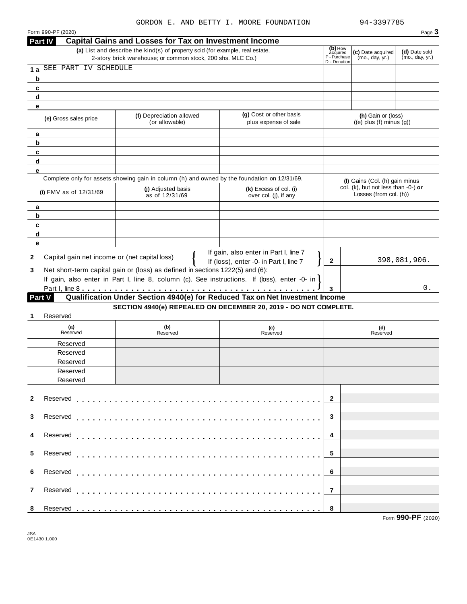|                                                                          |                                                                                                                              |                                                                              |                                                                                                                                                                                                                                                                                                                                                       |                     | Page 3                                                                                                                                                                        |  |
|--------------------------------------------------------------------------|------------------------------------------------------------------------------------------------------------------------------|------------------------------------------------------------------------------|-------------------------------------------------------------------------------------------------------------------------------------------------------------------------------------------------------------------------------------------------------------------------------------------------------------------------------------------------------|---------------------|-------------------------------------------------------------------------------------------------------------------------------------------------------------------------------|--|
| Part IV                                                                  |                                                                                                                              |                                                                              |                                                                                                                                                                                                                                                                                                                                                       |                     |                                                                                                                                                                               |  |
|                                                                          |                                                                                                                              |                                                                              |                                                                                                                                                                                                                                                                                                                                                       |                     | (d) Date sold                                                                                                                                                                 |  |
|                                                                          | P - Purchase<br>D - Donation                                                                                                 | (mo., day, yr.)                                                              | (mo., day, yr.)                                                                                                                                                                                                                                                                                                                                       |                     |                                                                                                                                                                               |  |
|                                                                          |                                                                                                                              |                                                                              |                                                                                                                                                                                                                                                                                                                                                       |                     |                                                                                                                                                                               |  |
|                                                                          |                                                                                                                              |                                                                              |                                                                                                                                                                                                                                                                                                                                                       |                     |                                                                                                                                                                               |  |
|                                                                          |                                                                                                                              |                                                                              |                                                                                                                                                                                                                                                                                                                                                       |                     |                                                                                                                                                                               |  |
|                                                                          |                                                                                                                              |                                                                              |                                                                                                                                                                                                                                                                                                                                                       |                     |                                                                                                                                                                               |  |
|                                                                          |                                                                                                                              |                                                                              |                                                                                                                                                                                                                                                                                                                                                       |                     |                                                                                                                                                                               |  |
|                                                                          | (f) Depreciation allowed                                                                                                     | (g) Cost or other basis                                                      |                                                                                                                                                                                                                                                                                                                                                       |                     |                                                                                                                                                                               |  |
|                                                                          | (or allowable)                                                                                                               | plus expense of sale                                                         |                                                                                                                                                                                                                                                                                                                                                       |                     |                                                                                                                                                                               |  |
|                                                                          |                                                                                                                              |                                                                              |                                                                                                                                                                                                                                                                                                                                                       |                     |                                                                                                                                                                               |  |
|                                                                          |                                                                                                                              |                                                                              |                                                                                                                                                                                                                                                                                                                                                       |                     |                                                                                                                                                                               |  |
|                                                                          |                                                                                                                              |                                                                              |                                                                                                                                                                                                                                                                                                                                                       |                     |                                                                                                                                                                               |  |
|                                                                          |                                                                                                                              |                                                                              |                                                                                                                                                                                                                                                                                                                                                       |                     |                                                                                                                                                                               |  |
|                                                                          |                                                                                                                              |                                                                              |                                                                                                                                                                                                                                                                                                                                                       |                     |                                                                                                                                                                               |  |
|                                                                          |                                                                                                                              |                                                                              |                                                                                                                                                                                                                                                                                                                                                       |                     |                                                                                                                                                                               |  |
|                                                                          | (i) Adjusted basis                                                                                                           | (k) Excess of col. (i)                                                       |                                                                                                                                                                                                                                                                                                                                                       |                     |                                                                                                                                                                               |  |
|                                                                          | as of 12/31/69                                                                                                               | over col. (j), if any                                                        |                                                                                                                                                                                                                                                                                                                                                       |                     |                                                                                                                                                                               |  |
|                                                                          |                                                                                                                              |                                                                              |                                                                                                                                                                                                                                                                                                                                                       |                     |                                                                                                                                                                               |  |
|                                                                          |                                                                                                                              |                                                                              |                                                                                                                                                                                                                                                                                                                                                       |                     |                                                                                                                                                                               |  |
|                                                                          |                                                                                                                              |                                                                              |                                                                                                                                                                                                                                                                                                                                                       |                     |                                                                                                                                                                               |  |
|                                                                          |                                                                                                                              |                                                                              |                                                                                                                                                                                                                                                                                                                                                       |                     |                                                                                                                                                                               |  |
|                                                                          |                                                                                                                              |                                                                              |                                                                                                                                                                                                                                                                                                                                                       |                     |                                                                                                                                                                               |  |
|                                                                          |                                                                                                                              |                                                                              |                                                                                                                                                                                                                                                                                                                                                       |                     |                                                                                                                                                                               |  |
|                                                                          | Capital gain net income or (net capital loss)                                                                                |                                                                              | 2                                                                                                                                                                                                                                                                                                                                                     |                     | 398,081,906.                                                                                                                                                                  |  |
|                                                                          | If (loss), enter -0- in Part I, line 7<br>3<br>Net short-term capital gain or (loss) as defined in sections 1222(5) and (6): |                                                                              |                                                                                                                                                                                                                                                                                                                                                       |                     |                                                                                                                                                                               |  |
|                                                                          |                                                                                                                              |                                                                              |                                                                                                                                                                                                                                                                                                                                                       |                     |                                                                                                                                                                               |  |
|                                                                          |                                                                                                                              |                                                                              |                                                                                                                                                                                                                                                                                                                                                       |                     |                                                                                                                                                                               |  |
|                                                                          | If gain, also enter in Part I, line 8, column (c). See instructions. If (loss), enter -0- in l                               |                                                                              |                                                                                                                                                                                                                                                                                                                                                       |                     | 0.                                                                                                                                                                            |  |
|                                                                          |                                                                                                                              |                                                                              | 3                                                                                                                                                                                                                                                                                                                                                     |                     |                                                                                                                                                                               |  |
| Part V                                                                   |                                                                                                                              | Qualification Under Section 4940(e) for Reduced Tax on Net Investment Income |                                                                                                                                                                                                                                                                                                                                                       |                     |                                                                                                                                                                               |  |
|                                                                          |                                                                                                                              | SECTION 4940(e) REPEALED ON DECEMBER 20, 2019 - DO NOT COMPLETE.             |                                                                                                                                                                                                                                                                                                                                                       |                     |                                                                                                                                                                               |  |
| Reserved                                                                 |                                                                                                                              |                                                                              |                                                                                                                                                                                                                                                                                                                                                       |                     |                                                                                                                                                                               |  |
| (a)<br>Reserved                                                          | (b)<br>Reserved                                                                                                              | (c)<br>Reserved                                                              |                                                                                                                                                                                                                                                                                                                                                       | (d)<br>Reserved     |                                                                                                                                                                               |  |
|                                                                          |                                                                                                                              |                                                                              |                                                                                                                                                                                                                                                                                                                                                       |                     |                                                                                                                                                                               |  |
| Reserved                                                                 |                                                                                                                              |                                                                              |                                                                                                                                                                                                                                                                                                                                                       |                     |                                                                                                                                                                               |  |
| Reserved                                                                 |                                                                                                                              |                                                                              |                                                                                                                                                                                                                                                                                                                                                       |                     |                                                                                                                                                                               |  |
| Reserved                                                                 |                                                                                                                              |                                                                              |                                                                                                                                                                                                                                                                                                                                                       |                     |                                                                                                                                                                               |  |
| Reserved                                                                 |                                                                                                                              |                                                                              |                                                                                                                                                                                                                                                                                                                                                       |                     |                                                                                                                                                                               |  |
| Reserved                                                                 |                                                                                                                              |                                                                              |                                                                                                                                                                                                                                                                                                                                                       |                     |                                                                                                                                                                               |  |
|                                                                          |                                                                                                                              |                                                                              |                                                                                                                                                                                                                                                                                                                                                       |                     |                                                                                                                                                                               |  |
|                                                                          |                                                                                                                              |                                                                              | $\overline{2}$                                                                                                                                                                                                                                                                                                                                        |                     |                                                                                                                                                                               |  |
|                                                                          |                                                                                                                              |                                                                              |                                                                                                                                                                                                                                                                                                                                                       |                     |                                                                                                                                                                               |  |
|                                                                          |                                                                                                                              |                                                                              | 3                                                                                                                                                                                                                                                                                                                                                     |                     |                                                                                                                                                                               |  |
|                                                                          |                                                                                                                              |                                                                              |                                                                                                                                                                                                                                                                                                                                                       |                     |                                                                                                                                                                               |  |
|                                                                          |                                                                                                                              |                                                                              | 4                                                                                                                                                                                                                                                                                                                                                     |                     |                                                                                                                                                                               |  |
|                                                                          |                                                                                                                              |                                                                              |                                                                                                                                                                                                                                                                                                                                                       |                     |                                                                                                                                                                               |  |
|                                                                          |                                                                                                                              |                                                                              | 5                                                                                                                                                                                                                                                                                                                                                     |                     |                                                                                                                                                                               |  |
|                                                                          |                                                                                                                              |                                                                              |                                                                                                                                                                                                                                                                                                                                                       |                     |                                                                                                                                                                               |  |
|                                                                          |                                                                                                                              |                                                                              | 6                                                                                                                                                                                                                                                                                                                                                     |                     |                                                                                                                                                                               |  |
|                                                                          |                                                                                                                              |                                                                              |                                                                                                                                                                                                                                                                                                                                                       |                     |                                                                                                                                                                               |  |
|                                                                          |                                                                                                                              |                                                                              | $\overline{7}$                                                                                                                                                                                                                                                                                                                                        |                     |                                                                                                                                                                               |  |
|                                                                          |                                                                                                                              |                                                                              | 8                                                                                                                                                                                                                                                                                                                                                     |                     |                                                                                                                                                                               |  |
| 1a<br>b<br>c<br>d<br>е<br>a<br>b<br>c<br>d<br>е<br>a<br>b<br>c<br>d<br>е | (e) Gross sales price<br>(i) FMV as of $12/31/69$                                                                            | SEE PART IV SCHEDULE                                                         | <b>Capital Gains and Losses for Tax on Investment Income</b><br>(a) List and describe the kind(s) of property sold (for example, real estate,<br>2-story brick warehouse; or common stock, 200 shs. MLC Co.)<br>Complete only for assets showing gain in column (h) and owned by the foundation on 12/31/69.<br>If gain, also enter in Part I, line 7 | (b) How<br>acquired | (c) Date acquired<br>(h) Gain or (loss)<br>$((e)$ plus $(f)$ minus $(g)$ )<br>(I) Gains (Col. (h) gain minus<br>col. (k), but not less than -0-) or<br>Losses (from col. (h)) |  |

 $\overline{\phantom{a}}$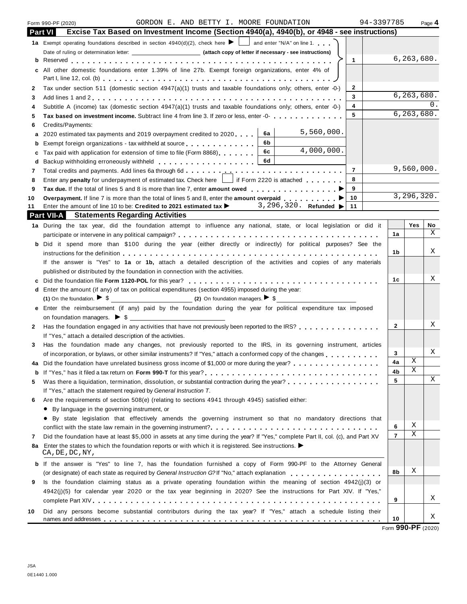|    | 94-3397785<br>GORDON E. AND BETTY I. MOORE FOUNDATION<br>Form 990-PF (2020)                                                                 |                |                       | Page 4 |
|----|---------------------------------------------------------------------------------------------------------------------------------------------|----------------|-----------------------|--------|
|    | Excise Tax Based on Investment Income (Section 4940(a), 4940(b), or 4948 - see instructions)<br><b>Part VI</b>                              |                |                       |        |
|    | 1a Exempt operating foundations described in section $4940(d)(2)$ , check here $\blacktriangleright$ and enter "N/A" on line 1.             |                |                       |        |
|    |                                                                                                                                             |                |                       |        |
|    | $\mathbf{1}$                                                                                                                                |                | 6, 263, 680.          |        |
|    | All other domestic foundations enter 1.39% of line 27b. Exempt foreign organizations, enter 4% of                                           |                |                       |        |
|    |                                                                                                                                             |                |                       |        |
| 2  | Tax under section 511 (domestic section $4947(a)(1)$ trusts and taxable foundations only; others, enter -0-)<br>2                           |                |                       |        |
| 3  | 3                                                                                                                                           |                | 6, 263, 680.          |        |
|    | 4<br>Subtitle A (income) tax (domestic section $4947(a)(1)$ trusts and taxable foundations only; others, enter -0-)                         |                |                       | 0.     |
| 5  | 5<br>Tax based on investment income. Subtract line 4 from line 3. If zero or less, enter -0-                                                |                | 6, 263, 680.          |        |
| 6  | Credits/Payments:                                                                                                                           |                |                       |        |
| a  | 5,560,000.<br>6a<br>2020 estimated tax payments and 2019 overpayment credited to 2020.                                                      |                |                       |        |
| b  | 6b<br>Exempt foreign organizations - tax withheld at source                                                                                 |                |                       |        |
|    | 4,000,000.<br>6c<br>Tax paid with application for extension of time to file (Form 8868)                                                     |                |                       |        |
|    | 6d                                                                                                                                          |                |                       |        |
| 7  | $\overline{7}$                                                                                                                              |                | 9,560,000.            |        |
| 8  | 8<br>Enter any penalty for underpayment of estimated tax. Check here     if Form 2220 is attached                                           |                |                       |        |
| 9  | 9                                                                                                                                           |                |                       |        |
| 10 | 10<br>Overpayment. If line 7 is more than the total of lines 5 and 8, enter the amount overpaid                                             |                | 3, 296, 320.          |        |
| 11 | Enter the amount of line 10 to be: Credited to 2021 estimated tax $\blacktriangleright$ 3, 296, 320. Refunded $\blacktriangleright$<br>11   |                |                       |        |
|    | <b>Part VII-A</b> Statements Regarding Activities                                                                                           |                |                       |        |
|    | 1a During the tax year, did the foundation attempt to influence any national, state, or local legislation or did it                         |                | Yes                   | No     |
|    |                                                                                                                                             | 1a             |                       | Χ      |
|    | b Did it spend more than \$100 during the year (either directly or indirectly) for political purposes? See the                              |                |                       |        |
|    | instructions for the definition enterpretation of the state of the state of the state of the state of the definition                        | 1b             |                       | Χ      |
|    | If the answer is "Yes" to 1a or 1b, attach a detailed description of the activities and copies of any materials                             |                |                       |        |
|    | published or distributed by the foundation in connection with the activities.                                                               |                |                       |        |
|    |                                                                                                                                             | 1c             |                       | Χ      |
|    | d Enter the amount (if any) of tax on political expenditures (section 4955) imposed during the year:                                        |                |                       |        |
|    | (1) On the foundation. $\blacktriangleright$ \$ (2) On foundation managers. $\blacktriangleright$ \$                                        |                |                       |        |
|    | e Enter the reimbursement (if any) paid by the foundation during the year for political expenditure tax imposed                             |                |                       |        |
|    | on foundation managers. $\triangleright$ \$                                                                                                 |                |                       |        |
| 2  | Has the foundation engaged in any activities that have not previously been reported to the IRS?                                             | $\mathbf{2}$   |                       | Χ      |
|    | If "Yes," attach a detailed description of the activities.                                                                                  |                |                       |        |
| 3  | Has the foundation made any changes, not previously reported to the IRS, in its governing instrument, articles                              |                |                       |        |
|    | of incorporation, or bylaws, or other similar instruments? If "Yes," attach a conformed copy of the changes                                 | 3              |                       | Χ      |
|    | Did the foundation have unrelated business gross income of \$1,000 or more during the year?                                                 | 4a             | $\overline{\text{X}}$ |        |
|    |                                                                                                                                             | 4b             | Χ                     |        |
|    | Was there a liquidation, termination, dissolution, or substantial contraction during the year?<br>                                          | 5              |                       | Χ      |
| 5  | If "Yes," attach the statement required by General Instruction T.                                                                           |                |                       |        |
|    | Are the requirements of section 508(e) (relating to sections 4941 through 4945) satisfied either:                                           |                |                       |        |
| 6  |                                                                                                                                             |                |                       |        |
|    | • By language in the governing instrument, or                                                                                               |                |                       |        |
|    | • By state legislation that effectively amends the governing instrument so that no mandatory directions that                                | 6              | Χ                     |        |
|    |                                                                                                                                             | $\overline{7}$ | Χ                     |        |
| 7  | Did the foundation have at least \$5,000 in assets at any time during the year? If "Yes," complete Part II, col. (c), and Part XV           |                |                       |        |
| 8a | Enter the states to which the foundation reports or with which it is registered. See instructions. $\blacktriangleright$<br>CA, DE, DC, NY, |                |                       |        |
|    | <b>b</b> If the answer is "Yes" to line 7, has the foundation furnished a copy of Form 990-PF to the Attorney General                       |                |                       |        |
|    | (or designate) of each state as required by General Instruction G?If "No," attach explanation                                               | 8b             | Χ                     |        |
| 9  | Is the foundation claiming status as a private operating foundation within the meaning of section 4942(j)(3) or                             |                |                       |        |
|    | 4942(j)(5) for calendar year 2020 or the tax year beginning in 2020? See the instructions for Part XIV. If "Yes,"                           |                |                       |        |
|    |                                                                                                                                             | 9              |                       | Χ      |
| 10 | Did any persons become substantial contributors during the tax year? If "Yes," attach a schedule listing their                              |                |                       |        |
|    |                                                                                                                                             | 10             |                       | Χ      |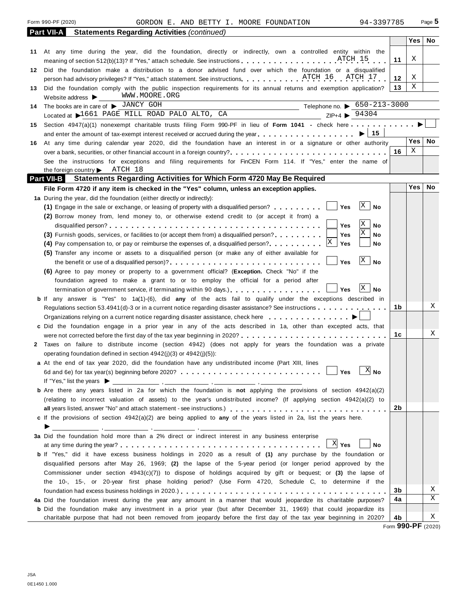**Part VII-A Statements Regarding Activities** *(continued)* **Yes No** 11  $\mid$  X **12** |  $X$ **13 11** At any time during the year, did the foundation, directly or indirectly, own a controlled entity within the  $|$ **12 13 14 15** Section 4947(a)(1) nonexempt charitable trusts filing Form 990-PF in lieu of **Form 1041 -** check here **manufacture** and **a** a section 4947(a)(1) nonexempt charitable trusts filing Form 990-PF in lieu of **Form 1041** At any time during the year, did the foundation, directly or indirectly, own a controlled entity within the  $\frac{11}{1}$  X Did the foundation make a distribution to a donor advised fund over which the foundation or a disqualified Did the foundation make a distribution to a donor advised fund over which the foundation or a disqualified<br>person had advisory privileges? If "Yes," attach statement. See instructions Did the foundation comply with the public inspection requirements for its annual returns and exemption application? Website address  $\blacktriangleright$ The books are in care of  $\triangleright$  JANCY GOH<br>Located at  $\triangleright$  1661 PAGE MILL ROAD PALO ALTO, CA<br> $\frac{7\text{Hephone no.}}{7\text{H}+4}$   $\triangleright$  94304 The books are in care of  $\blacktriangleright$  <u>CHRCH COH</u><br>Located at  $\blacktriangleright$  1661 PAGE MILL ROAD PALO ALTO, CA 94304<br>2. September 2002 PALO ALTO, CA 94304 and enter the amount of tax-exempt interest received or accrued during the year mm m m m m m m m m m m m m m m m m I **<sup>15</sup> 16** At any time during calendar year 2020, did the foundation have an interest in or a signature or other authority **Yes No** over a bank, securities, or other financial account in a foreign country? **16** m mm m m m m m m m m m m m m m m m m m m m m m m m m m m **1b 1c 2b 3b 4a 4b** See the instructions for exceptions and filing requirements for FinCEN Form 114. If "Yes," enter the name of the foreign country **Deart VII-B** Statement **Part VII-B Statements Regarding Activities for Which Form 4720 May Be Required File Form 4720 if any item is checked in the "Yes" column, unless an exception applies. Yes No 1 a** During the year, did the foundation (either directly or indirectly): **2** Taxes on failure to distribute income (section 4942) (does not apply for years the foundation was a private **c** If the provisions of section  $4942(a)(2)$  are being applied to **any** of the years listed in 2a, list the years here.<br> **3a** Did the foundation hold more than a 2% direct or indirect interest in any business enterprise 4a Did the foundation invest during the year any amount in a manner that would jeopardize its charitable purposes?<br>In Did the foundation make any investment in a prior year (but after December 31, 1969) that could jeopardi b If any answer is "Yes" to 1a(1)-(6), did any of the acts fail to qualify under the exceptions described in <br>Regulations section 53.4941(d)-3 or in a current notice regarding disaster assistance? See instructions **c** Did the foundation engage in a prior year in any of the acts described in 1a, other than excepted acts, that **a** At the end of tax year 2020, did the foundation have any undistributed income (Part XIII, lines **b** Are there any years listed in 2a for which the foundation is **not** applying the provisions of section 4942(a)(2) c If the provisions of section 4942(a)(2) are being applied to any of the years listed in 2a, list the years here. **b** If "Yes," did it have excess business holdings in 2020 as a result of **(1)** any purchase by the foundation or **(1)** Engage in the sale or exchange, or leasing of property with a disqualified person? m m m m m  $\Box$  Yes **(2)** Borrow money from, lend money to, or otherwise extend credit to (or accept it from) a disqualified person? m m m m m m m m m m m m m m m m m m m m m m m m m m m m m m m m m m m m m m m **Yes No (3)** Furnish goods, services, or facilities to (or accept them from) a disqualified person? **mature 1. 1. Wes No No 4)** Pay compensation to, or pay or reimburse the expenses of, a disqualified person? **mature 1 (4)** Pay compensation to, or pay or reimburse the expenses of, a disqualified person? . . . . . . . . . **(5)** Transfer any income or assets to a disqualified person (or make any of either available for the benefit or use of <sup>a</sup> disqualified person)? m m m m m m m m m m m m m m m m m m m m m m m m m m m m **Yes No (6)** Agree to pay money or property to a government official? (**Exception.** Check "No" if the foundation agreed to make a grant to or to employ the official for a period after termination of government service, if terminating within 90 days.) m m m m m m m m m m m m m  $\Box$  Yes Regulations section 53.4941(d)-3 or in a current notice regarding disaster assistance? See instructions  $\dots \dots$ <br>Organizations relying on a current notice regarding disaster assistance, check here  $\dots \dots \dots \dots$ were not corrected before the first day of the tax year beginning in 2020? m m m m m m m m m m m m m m m m m m m m m m m m m m m operating foundation defined in section 4942(j)(3) or 4942(j)(5)): 6d and 6e) for tax year(s) beginning before 2020? m m m m m m m m m m m m m m m m m m m m m m m m m m **Yes No** (relating to incorrect valuation of assets) to the year's undistributed income? (If applying section 4942(a)(2) to **all** vears listed, answer "No" and attach statement - see instructions.) must men m m m m m m m m m m m m m m m m Did the foundation hold more than a 2% direct or indirect interest in any business enterprise<br>at any time during the year?<br> **No** disqualified persons after May 26, 1969; **(2)** the lapse of the 5-year period (or longer period approved by the Commissioner under section 4943(c)(7)) to dispose of holdings acquired by gift or bequest; or **(3)** the lapse of the 10-, 15-, or 20-year first phase holding period? (Use Form 4720, Schedule C, to determine if the foundation had excess business holdings in 2020.)  $\ldots$   $\ldots$   $\ldots$   $\ldots$   $\ldots$   $\ldots$   $\ldots$   $\ldots$   $\ldots$   $\ldots$  . **b** Did the foundation make any investment in a prior year (but after December 31, 1969) that could jeopardize its charitable purpose that had not been removed from jeopardy before the first day of the tax year beginning in 2020? X WWW.MOORE.ORG Telephone no.  $\triangleright$  650-213-3000 X [ATCH 18](#page-57-0)  $X$  No X X  $\vert x \vert$  $\mathsf{X} \mathsf{I}$  No  $X \mid No$ X X X No X X X

Form 990-PF (2020) Page **5** GORDON E. AND BETTY I. MOORE FOUNDATION 94-3397785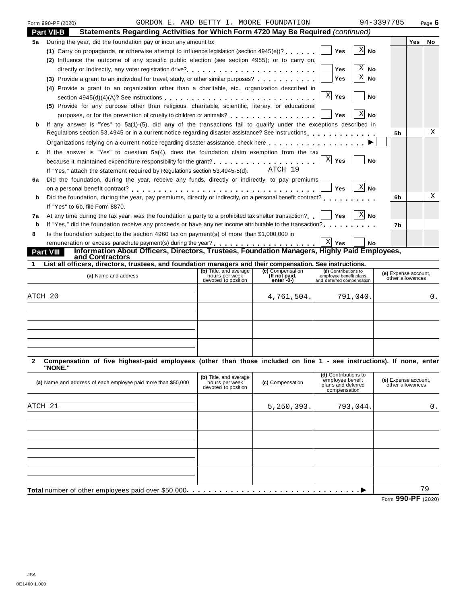| Form 990-PF (2020) |  |
|--------------------|--|

# Form 990-PF (2020) Page **6** GORDON E. AND BETTY I. MOORE FOUNDATION 94-3397785

|    | Statements Regarding Activities for Which Form 4720 May Be Required (continued)<br>Part VII-B                                       |                |     |           |
|----|-------------------------------------------------------------------------------------------------------------------------------------|----------------|-----|-----------|
| 5a | During the year, did the foundation pay or incur any amount to:                                                                     |                | Yes | <b>No</b> |
|    | X<br>(1) Carry on propaganda, or otherwise attempt to influence legislation (section $4945(e)$ )?<br><b>Yes</b><br>No               |                |     |           |
|    | (2) Influence the outcome of any specific public election (see section 4955); or to carry on,                                       |                |     |           |
|    | Χ<br><b>No</b><br>Yes                                                                                                               |                |     |           |
|    | X<br>Yes<br>No<br>Provide a grant to an individual for travel, study, or other similar purposes?<br>(3)                             |                |     |           |
|    | (4) Provide a grant to an organization other than a charitable, etc., organization described in                                     |                |     |           |
|    | $\mathbf{x}$<br>Yes<br><b>No</b>                                                                                                    |                |     |           |
|    | (5) Provide for any purpose other than religious, charitable, scientific, literary, or educational                                  |                |     |           |
|    | Χ<br>purposes, or for the prevention of cruelty to children or animals?<br>Yes<br>No                                                |                |     |           |
| b  | If any answer is "Yes" to 5a(1)-(5), did any of the transactions fail to qualify under the exceptions described in                  |                |     |           |
|    | Regulations section 53.4945 or in a current notice regarding disaster assistance? See instructions                                  | 5 <sub>b</sub> |     | Х         |
|    | Organizations relying on a current notice regarding disaster assistance, check here                                                 |                |     |           |
| c  | If the answer is "Yes" to question 5a(4), does the foundation claim exemption from the tax                                          |                |     |           |
|    | X <br>Yes<br>because it maintained expenditure responsibility for the grant?<br>No                                                  |                |     |           |
|    | ATCH 19<br>If "Yes," attach the statement required by Regulations section 53.4945-5(d).                                             |                |     |           |
| 6a | Did the foundation, during the year, receive any funds, directly or indirectly, to pay premiums                                     |                |     |           |
|    | -X <br>Yes<br><b>No</b>                                                                                                             |                |     |           |
| b  | Did the foundation, during the year, pay premiums, directly or indirectly, on a personal benefit contract?                          | 6b             |     | X         |
|    | If "Yes" to 6b, file Form 8870.                                                                                                     |                |     |           |
| 7a | -XI<br>At any time during the tax year, was the foundation a party to a prohibited tax shelter transaction?<br><b>Yes</b><br>No     |                |     |           |
| b  | If "Yes," did the foundation receive any proceeds or have any net income attributable to the transaction?                           | 7b             |     |           |
| 8  | Is the foundation subject to the section 4960 tax on payment(s) of more than \$1,000,000 in                                         |                |     |           |
|    | $X$ Yes<br><b>No</b>                                                                                                                |                |     |           |
|    | Information About Officers, Directors, Trustees, Foundation Managers, Highly Paid Employees,<br><u>Part VIII</u><br>and Contractors |                |     |           |

**1 List all officers, directors, trustees, and foundation managers and their compensation. See instructions.**

| (a) Name and address | (b) Title, and average<br>hours per week<br>devoted to position | (c) Compensation<br>(If not paid,<br>enter 0-) | (d) Contributions to<br>employee benefit plans<br>and deferred compensation | (e) Expense account,<br>other allowances |
|----------------------|-----------------------------------------------------------------|------------------------------------------------|-----------------------------------------------------------------------------|------------------------------------------|
| ATCH 20              |                                                                 | 4,761,504.                                     | 791,040.                                                                    |                                          |
|                      |                                                                 |                                                |                                                                             |                                          |
|                      |                                                                 |                                                |                                                                             |                                          |
|                      |                                                                 |                                                |                                                                             |                                          |

#### 2 Compensation of five highest-paid employees (other than those included on line 1 - see instructions). If none, enter **"NONE."**

| (a) Name and address of each employee paid more than \$50,000 | (b) Title, and average<br>hours per week<br>devoted to position | (c) Compensation | (d) Contributions to<br>employee benefit<br>plans and deferred<br>compensation | (e) Expense account,<br>other allowances                               |
|---------------------------------------------------------------|-----------------------------------------------------------------|------------------|--------------------------------------------------------------------------------|------------------------------------------------------------------------|
|                                                               |                                                                 |                  |                                                                                |                                                                        |
| ATCH 21                                                       |                                                                 | 5,250,393.       | 793,044.                                                                       | 0.                                                                     |
|                                                               |                                                                 |                  |                                                                                |                                                                        |
|                                                               |                                                                 |                  |                                                                                |                                                                        |
|                                                               |                                                                 |                  |                                                                                |                                                                        |
|                                                               |                                                                 |                  |                                                                                |                                                                        |
|                                                               |                                                                 |                  |                                                                                |                                                                        |
|                                                               |                                                                 |                  |                                                                                |                                                                        |
|                                                               |                                                                 |                  |                                                                                |                                                                        |
|                                                               |                                                                 |                  |                                                                                |                                                                        |
| Total number of other employees paid over \$50,000.           |                                                                 |                  |                                                                                | 79                                                                     |
|                                                               |                                                                 |                  |                                                                                | $0.00 \text{ } \text{D} \text{ } \text{F}$<br>$\overline{\phantom{a}}$ |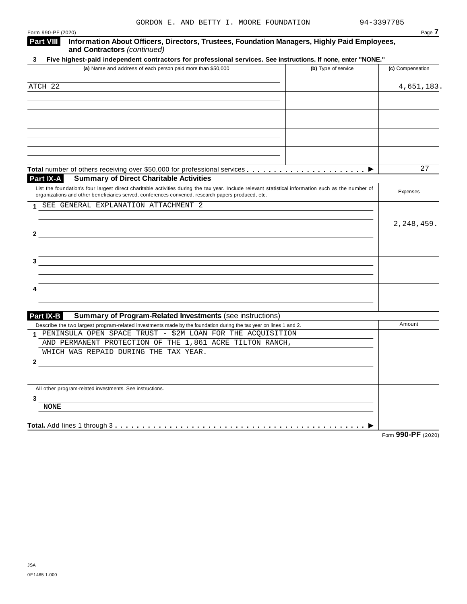| Form 990-PF (2020)                                                                                                                                                                                                                                        | Page 7                      |
|-----------------------------------------------------------------------------------------------------------------------------------------------------------------------------------------------------------------------------------------------------------|-----------------------------|
| <b>Part VIII</b><br>Information About Officers, Directors, Trustees, Foundation Managers, Highly Paid Employees,<br>and Contractors (continued)                                                                                                           |                             |
| Five highest-paid independent contractors for professional services. See instructions. If none, enter "NONE."<br>3                                                                                                                                        |                             |
| (a) Name and address of each person paid more than \$50,000<br>(b) Type of service                                                                                                                                                                        | (c) Compensation            |
|                                                                                                                                                                                                                                                           |                             |
| ATCH 22                                                                                                                                                                                                                                                   | 4,651,183.                  |
|                                                                                                                                                                                                                                                           |                             |
|                                                                                                                                                                                                                                                           |                             |
|                                                                                                                                                                                                                                                           |                             |
|                                                                                                                                                                                                                                                           |                             |
|                                                                                                                                                                                                                                                           |                             |
|                                                                                                                                                                                                                                                           |                             |
|                                                                                                                                                                                                                                                           |                             |
|                                                                                                                                                                                                                                                           | 27                          |
| Part IX-A<br><b>Summary of Direct Charitable Activities</b>                                                                                                                                                                                               |                             |
| List the foundation's four largest direct charitable activities during the tax year. Include relevant statistical information such as the number of<br>organizations and other beneficiaries served, conferences convened, research papers produced, etc. | Expenses                    |
| SEE GENERAL EXPLANATION ATTACHMENT 2<br>1.                                                                                                                                                                                                                |                             |
|                                                                                                                                                                                                                                                           |                             |
|                                                                                                                                                                                                                                                           | 2, 248, 459.                |
| 2                                                                                                                                                                                                                                                         |                             |
|                                                                                                                                                                                                                                                           |                             |
| 3                                                                                                                                                                                                                                                         |                             |
|                                                                                                                                                                                                                                                           |                             |
|                                                                                                                                                                                                                                                           |                             |
|                                                                                                                                                                                                                                                           |                             |
|                                                                                                                                                                                                                                                           |                             |
|                                                                                                                                                                                                                                                           |                             |
| <b>Part IX-B</b><br><b>Summary of Program-Related Investments (see instructions)</b>                                                                                                                                                                      | Amount                      |
| Describe the two largest program-related investments made by the foundation during the tax year on lines 1 and 2.<br>PENINSULA OPEN SPACE TRUST - \$2M LOAN FOR THE ACQUISITION<br>1                                                                      |                             |
| AND PERMANENT PROTECTION OF THE 1,861 ACRE TILTON RANCH,                                                                                                                                                                                                  |                             |
| WHICH WAS REPAID DURING THE TAX YEAR.                                                                                                                                                                                                                     |                             |
| 2                                                                                                                                                                                                                                                         |                             |
|                                                                                                                                                                                                                                                           |                             |
| All other program-related investments. See instructions.                                                                                                                                                                                                  |                             |
| 3                                                                                                                                                                                                                                                         |                             |
| <b>NONE</b>                                                                                                                                                                                                                                               |                             |
|                                                                                                                                                                                                                                                           |                             |
| Total. Add lines 1 through 3                                                                                                                                                                                                                              | $\sim$ $\sim$ $\sim$ $\sim$ |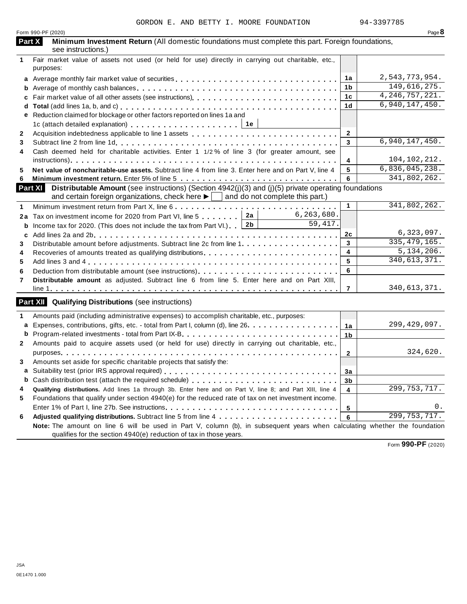|              | Form 990-PF (2020)                                                                                                                                                                                                    |                 | Page $8$                     |
|--------------|-----------------------------------------------------------------------------------------------------------------------------------------------------------------------------------------------------------------------|-----------------|------------------------------|
|              | Part X<br>Minimum Investment Return (All domestic foundations must complete this part. Foreign foundations,<br>see instructions.)                                                                                     |                 |                              |
| $\mathbf 1$  | Fair market value of assets not used (or held for use) directly in carrying out charitable, etc.,<br>purposes:                                                                                                        |                 |                              |
|              |                                                                                                                                                                                                                       | 1a              | 2,543,773,954.               |
| b            |                                                                                                                                                                                                                       | 1b              | 149,616,275.                 |
| c            |                                                                                                                                                                                                                       | 1c              | $\overline{4,246,757,221}$ . |
| d            |                                                                                                                                                                                                                       | 1 <sub>d</sub>  | 6,940,147,450.               |
| е            | Reduction claimed for blockage or other factors reported on lines 1a and                                                                                                                                              |                 |                              |
|              |                                                                                                                                                                                                                       |                 |                              |
| $\mathbf{2}$ |                                                                                                                                                                                                                       | $\mathbf{2}$    |                              |
| 3            |                                                                                                                                                                                                                       | 3               | 6,940,147,450.               |
| 4            | Cash deemed held for charitable activities. Enter 1 1/2% of line 3 (for greater amount, see                                                                                                                           |                 |                              |
|              |                                                                                                                                                                                                                       | 4               | 104,102,212.                 |
| 5            | Net value of noncharitable-use assets. Subtract line 4 from line 3. Enter here and on Part V, line 4                                                                                                                  | 5               | 6,836,045,238.               |
| 6            |                                                                                                                                                                                                                       | 6               | 341,802,262.                 |
|              | Part XI Distributable Amount (see instructions) (Section 4942(j)(3) and (j)(5) private operating foundations<br>and certain foreign organizations, check here $\blacktriangleright$   and do not complete this part.) |                 |                              |
| 1            | Minimum investment return from Part X, line 6                                                                                                                                                                         | $\mathbf{1}$    | 341,802,262.                 |
| 2a           | 6, 263, 680.<br>Tax on investment income for 2020 from Part VI, line 5 2a                                                                                                                                             |                 |                              |
| b            | 59, 417.<br>Income tax for 2020. (This does not include the tax from Part VI.) $\boxed{2b}$                                                                                                                           |                 |                              |
| c            |                                                                                                                                                                                                                       | 2c              | 6,323,097.                   |
| 3            |                                                                                                                                                                                                                       | $\mathbf{3}$    | 335, 479, 165.               |
| 4            |                                                                                                                                                                                                                       | 4               | 5,134,206.                   |
| 5            |                                                                                                                                                                                                                       | 5               | 340, 613, 371.               |
| 6            | Deduction from distributable amount (see instructions).                                                                                                                                                               | 6               |                              |
| 7            | Distributable amount as adjusted. Subtract line 6 from line 5. Enter here and on Part XIII,                                                                                                                           |                 |                              |
|              |                                                                                                                                                                                                                       | $\overline{7}$  | 340,613,371.                 |
|              | Part XII Qualifying Distributions (see instructions)                                                                                                                                                                  |                 |                              |
| 1            | Amounts paid (including administrative expenses) to accomplish charitable, etc., purposes:                                                                                                                            |                 |                              |
| a            | Expenses, contributions, gifts, etc. - total from Part I, column (d), line 26.                                                                                                                                        | 1a              | 299,429,097.                 |
| b            |                                                                                                                                                                                                                       | 1 <sub>b</sub>  |                              |
| $\mathbf{2}$ | Amounts paid to acquire assets used (or held for use) directly in carrying out charitable, etc.,                                                                                                                      |                 |                              |
|              |                                                                                                                                                                                                                       | $\overline{2}$  | 324,620.                     |
| 3            | Amounts set aside for specific charitable projects that satisfy the:                                                                                                                                                  |                 |                              |
|              |                                                                                                                                                                                                                       | 3a              |                              |
| b            |                                                                                                                                                                                                                       | 3b              |                              |
| 4            | Qualifying distributions. Add lines 1a through 3b. Enter here and on Part V, line 8; and Part XIII, line 4                                                                                                            | $\overline{4}$  | 299, 753, 717.               |
| 5            | Foundations that qualify under section 4940(e) for the reduced rate of tax on net investment income.                                                                                                                  |                 |                              |
|              |                                                                                                                                                                                                                       | $5\phantom{.0}$ | 0.                           |
| 6            |                                                                                                                                                                                                                       | 6               | 299, 753, 717.               |
|              | Note: The amount on line 6 will be used in Part V, column (b), in subsequent years when calculating whether the foundation                                                                                            |                 |                              |
|              | qualifies for the section 4940(e) reduction of tax in those years.                                                                                                                                                    |                 |                              |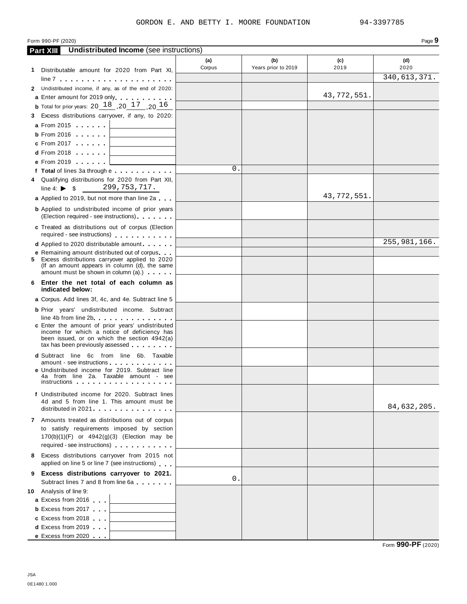#### GORDON E. AND BETTY I. MOORE FOUNDATION 94-3397785

#### Form 990-PF (2020) **Page 9**

|    | <b>Undistributed Income</b> (see instructions)<br><b>Part XIII</b>                                |               |                            |             |                |
|----|---------------------------------------------------------------------------------------------------|---------------|----------------------------|-------------|----------------|
|    |                                                                                                   | (a)<br>Corpus | (b)<br>Years prior to 2019 | (c)<br>2019 | (d)<br>2020    |
|    | 1 Distributable amount for 2020 from Part XI,                                                     |               |                            |             | 340, 613, 371. |
|    | $line 7 +  +  +  +  +  + $                                                                        |               |                            |             |                |
|    | 2 Undistributed income, if any, as of the end of 2020:                                            |               |                            | 43,772,551. |                |
|    | a Enter amount for 2019 only.                                                                     |               |                            |             |                |
|    | <b>b</b> Total for prior years: 20 $18$ , 20 $17$ , 20 $16$                                       |               |                            |             |                |
|    | 3 Excess distributions carryover, if any, to 2020:                                                |               |                            |             |                |
|    | <b>a</b> From 2015 <b>a</b>                                                                       |               |                            |             |                |
|    | <b>b</b> From 2016 $\vert$                                                                        |               |                            |             |                |
|    | <b>c</b> From 2017 $\vert$<br>and the control of the control of the                               |               |                            |             |                |
|    | <b>d</b> From 2018 $\vert$<br><u> 1990 - Jan Alexandria (</u>                                     |               |                            |             |                |
|    | <b>e</b> From 2019                                                                                | $\Omega$ .    |                            |             |                |
|    | f Total of lines 3a through e                                                                     |               |                            |             |                |
|    | 4 Qualifying distributions for 2020 from Part XII,<br>299,753,717.<br>line 4: $\triangleright$ \$ |               |                            |             |                |
|    | a Applied to 2019, but not more than line 2a                                                      |               |                            | 43,772,551. |                |
|    |                                                                                                   |               |                            |             |                |
|    | <b>b</b> Applied to undistributed income of prior years<br>(Election required - see instructions) |               |                            |             |                |
|    | c Treated as distributions out of corpus (Election                                                |               |                            |             |                |
|    | required - see instructions)                                                                      |               |                            |             |                |
|    | <b>d</b> Applied to 2020 distributable amount                                                     |               |                            |             | 255, 981, 166. |
|    | <b>e</b> Remaining amount distributed out of corpus                                               |               |                            |             |                |
|    | 5 Excess distributions carryover applied to 2020<br>(If an amount appears in column (d), the same |               |                            |             |                |
|    | amount must be shown in column (a).)                                                              |               |                            |             |                |
| 6. | Enter the net total of each column as<br>indicated below:                                         |               |                            |             |                |
|    | a Corpus. Add lines 3f, 4c, and 4e. Subtract line 5                                               |               |                            |             |                |
|    | <b>b</b> Prior years' undistributed income. Subtract                                              |               |                            |             |                |
|    | line 4b from line 2b. $\ldots$ . $\ldots$ . $\ldots$                                              |               |                            |             |                |
|    | c Enter the amount of prior years' undistributed                                                  |               |                            |             |                |
|    | income for which a notice of deficiency has<br>been issued, or on which the section 4942(a)       |               |                            |             |                |
|    | tax has been previously assessed                                                                  |               |                            |             |                |
|    | <b>d</b> Subtract line 6c from line 6b. Taxable                                                   |               |                            |             |                |
|    | amount - see instructions                                                                         |               |                            |             |                |
|    | e Undistributed income for 2019. Subtract line<br>4a from line 2a. Taxable amount - see           |               |                            |             |                |
|    | instructions                                                                                      |               |                            |             |                |
|    | f Undistributed income for 2020. Subtract lines                                                   |               |                            |             |                |
|    | 4d and 5 from line 1. This amount must be                                                         |               |                            |             | 84,632,205.    |
|    | distributed in 2021                                                                               |               |                            |             |                |
|    | 7 Amounts treated as distributions out of corpus                                                  |               |                            |             |                |
|    | to satisfy requirements imposed by section                                                        |               |                            |             |                |
|    | 170(b)(1)(F) or 4942(g)(3) (Election may be<br>required - see instructions)                       |               |                            |             |                |
|    |                                                                                                   |               |                            |             |                |
|    | 8 Excess distributions carryover from 2015 not<br>applied on line 5 or line 7 (see instructions)  |               |                            |             |                |
|    | 9 Excess distributions carryover to 2021.                                                         |               |                            |             |                |
|    | Subtract lines 7 and 8 from line 6a                                                               | 0.            |                            |             |                |
|    | 10 Analysis of line 9:                                                                            |               |                            |             |                |
|    | a Excess from 2016                                                                                |               |                            |             |                |
|    | <b>b</b> Excess from 2017                                                                         |               |                            |             |                |
|    | c Excess from 2018                                                                                |               |                            |             |                |
|    | <b>d</b> Excess from 2019                                                                         |               |                            |             |                |
|    | e Excess from 2020                                                                                |               |                            |             |                |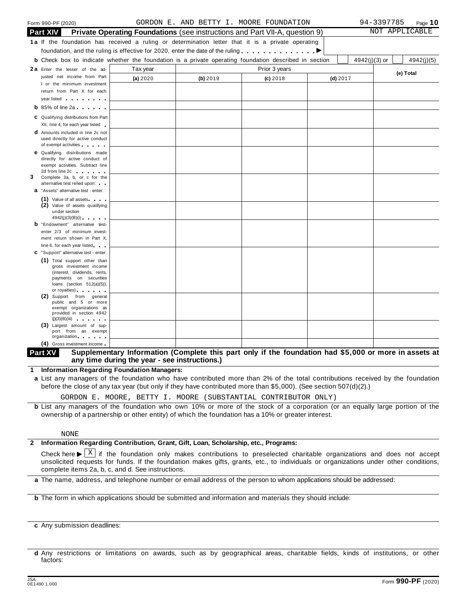|   | Form 990-PF (2020)                                                                                             |          |          | GORDON E. AND BETTY I. MOORE FOUNDATION                                            |            |               | 94-3397785 | Page 10        |
|---|----------------------------------------------------------------------------------------------------------------|----------|----------|------------------------------------------------------------------------------------|------------|---------------|------------|----------------|
|   | <b>Part XIV</b>                                                                                                |          |          | <b>Private Operating Foundations</b> (see instructions and Part VII-A, question 9) |            |               |            | NOT APPLICABLE |
|   | 1a If the foundation has received a ruling or determination letter that it is a private operating              |          |          |                                                                                    |            |               |            |                |
|   | foundation, and the ruling is effective for 2020, enter the date of the ruling $\ldots \ldots \ldots \ldots$   |          |          |                                                                                    |            |               |            |                |
|   | <b>b</b> Check box to indicate whether the foundation is a private operating foundation described in section   |          |          |                                                                                    |            | 4942(j)(3) or |            | 4942(j)(5)     |
|   | 2a Enter the lesser of the ad-                                                                                 | Tax year |          | Prior 3 years                                                                      |            |               |            |                |
|   | justed net income from Part                                                                                    | (a) 2020 | (b) 2019 | $(c)$ 2018                                                                         | $(d)$ 2017 |               |            | (e) Total      |
|   | I or the minimum investment                                                                                    |          |          |                                                                                    |            |               |            |                |
|   | return from Part X for each                                                                                    |          |          |                                                                                    |            |               |            |                |
|   | year listed and the state of the state of the state of the state of the state of the state of the state of the |          |          |                                                                                    |            |               |            |                |
|   | $\mathbf b$ 85% of line 2a $\mathbf b$                                                                         |          |          |                                                                                    |            |               |            |                |
|   | C Qualifying distributions from Part                                                                           |          |          |                                                                                    |            |               |            |                |
|   | XII, line 4, for each year listed                                                                              |          |          |                                                                                    |            |               |            |                |
|   | <b>d</b> Amounts included in line 2c not<br>used directly for active conduct                                   |          |          |                                                                                    |            |               |            |                |
|   | of exempt activities                                                                                           |          |          |                                                                                    |            |               |            |                |
|   | <b>e</b> Qualifying distributions made                                                                         |          |          |                                                                                    |            |               |            |                |
|   | directly for active conduct of                                                                                 |          |          |                                                                                    |            |               |            |                |
|   | exempt activities. Subtract line<br>2d from line 2c and the state of the state of                              |          |          |                                                                                    |            |               |            |                |
| 3 | Complete 3a, b, or c for the                                                                                   |          |          |                                                                                    |            |               |            |                |
|   | alternative test relied upon:                                                                                  |          |          |                                                                                    |            |               |            |                |
|   | <b>a</b> "Assets" alternative test - enter:                                                                    |          |          |                                                                                    |            |               |            |                |
|   | (1) Value of all assets<br>(2) Value of assets qualifying                                                      |          |          |                                                                                    |            |               |            |                |
|   | under section                                                                                                  |          |          |                                                                                    |            |               |            |                |
|   | 4942(j)(3)(B)(i)                                                                                               |          |          |                                                                                    |            |               |            |                |
|   | <b>b</b> "Endowment" alternative test-<br>enter 2/3 of minimum invest-                                         |          |          |                                                                                    |            |               |            |                |
|   | ment return shown in Part X,                                                                                   |          |          |                                                                                    |            |               |            |                |
|   | line 6, for each year listed                                                                                   |          |          |                                                                                    |            |               |            |                |
|   | C "Support" alternative test - enter:                                                                          |          |          |                                                                                    |            |               |            |                |
|   | (1) Total support other than                                                                                   |          |          |                                                                                    |            |               |            |                |
|   | gross investment income<br>(interest, dividends, rents,                                                        |          |          |                                                                                    |            |               |            |                |
|   | payments on securities                                                                                         |          |          |                                                                                    |            |               |            |                |
|   | loans (section $512(a)(5)$ ),<br>or royalties) and the control of the control of                               |          |          |                                                                                    |            |               |            |                |
|   | (2) Support from general                                                                                       |          |          |                                                                                    |            |               |            |                |
|   | public and 5 or more<br>exempt organizations as                                                                |          |          |                                                                                    |            |               |            |                |
|   | provided in section 4942                                                                                       |          |          |                                                                                    |            |               |            |                |
|   | (j)(3)(B)(iii)                                                                                                 |          |          |                                                                                    |            |               |            |                |
|   | (3) Largest amount of sup-<br>port from an exempt                                                              |          |          |                                                                                    |            |               |            |                |
|   | organization.                                                                                                  |          |          |                                                                                    |            |               |            |                |
|   | (4) Gross investment income                                                                                    |          |          |                                                                                    |            |               |            |                |

#### Part XV Supplementary Information (Complete this part only if the foundation had \$5,000 or more in assets at **any time during the year - see instructions.)**

**1 Information Regarding Foundation Managers:**

**a** List any managers of the foundation who have contributed more than 2% of the total contributions received by the foundation before the close of any tax year (but only if they have contributed more than \$5,000). (See section 507(d)(2).)

GORDON E. MOORE, BETTY I. MOORE (SUBSTANTIAL CONTRIBUTOR ONLY)

**b** List any managers of the foundation who own 10% or more of the stock of a corporation (or an equally large portion of the ownership of a partnership or other entity) of which the foundation has a 10% or greater interest.

#### NONE

# **2 Information Regarding Contribution, Grant, Gift, Loan, Scholarship, etc., Programs:**

Check here  $\blacktriangleright \overline{X}$  if the foundation only makes contributions to preselected charitable organizations and does not accept<br>unsolicited requests for funds. If the foundation makes gifts, grants, etc., to individuals o complete items 2a, b, c, and d. See instructions. X

**a** The name, address, and telephone number or email address of the person to whom applications should be addressed:

**b** The form in which applications should be submitted and information and materials they should include:

**c** Any submission deadlines:

**d** Any restrictions or limitations on awards, such as by geographical areas, charitable fields, kinds of institutions, or other factors: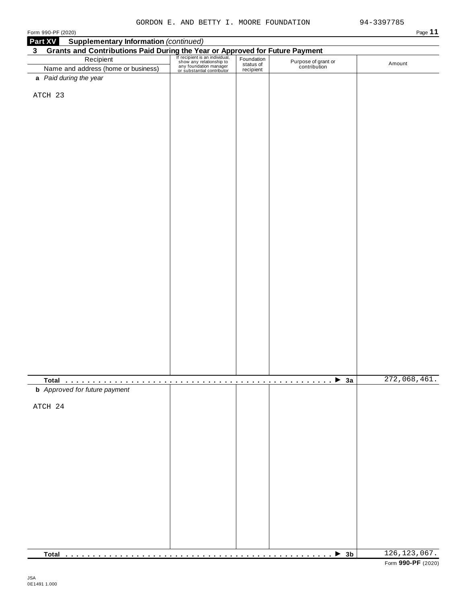| Part XV<br>$3\phantom{a}$ | <b>Supplementary Information (continued)</b>                                                                                                                                                                                                                                |  |                                     |              |
|---------------------------|-----------------------------------------------------------------------------------------------------------------------------------------------------------------------------------------------------------------------------------------------------------------------------|--|-------------------------------------|--------------|
|                           |                                                                                                                                                                                                                                                                             |  |                                     |              |
|                           | Grants and Contributions Paid During the Year or Approved for Future Payment<br>Recipient Recipient Recipient San individual, Foundation<br>Name and address (home or business) and status of the Contribution<br>Magnetic Status of<br>Name and address (home or business) |  | Purpose of grant or<br>contribution | Amount       |
|                           | a Paid during the year                                                                                                                                                                                                                                                      |  |                                     |              |
|                           |                                                                                                                                                                                                                                                                             |  |                                     |              |
|                           | ATCH 23                                                                                                                                                                                                                                                                     |  |                                     |              |
|                           |                                                                                                                                                                                                                                                                             |  |                                     |              |
|                           |                                                                                                                                                                                                                                                                             |  |                                     |              |
|                           |                                                                                                                                                                                                                                                                             |  |                                     |              |
|                           |                                                                                                                                                                                                                                                                             |  |                                     |              |
|                           |                                                                                                                                                                                                                                                                             |  |                                     |              |
|                           |                                                                                                                                                                                                                                                                             |  |                                     |              |
|                           |                                                                                                                                                                                                                                                                             |  |                                     |              |
|                           |                                                                                                                                                                                                                                                                             |  |                                     |              |
|                           |                                                                                                                                                                                                                                                                             |  |                                     |              |
|                           |                                                                                                                                                                                                                                                                             |  |                                     |              |
|                           |                                                                                                                                                                                                                                                                             |  |                                     |              |
|                           |                                                                                                                                                                                                                                                                             |  |                                     |              |
|                           |                                                                                                                                                                                                                                                                             |  |                                     |              |
|                           |                                                                                                                                                                                                                                                                             |  |                                     |              |
|                           |                                                                                                                                                                                                                                                                             |  |                                     |              |
|                           |                                                                                                                                                                                                                                                                             |  |                                     |              |
|                           |                                                                                                                                                                                                                                                                             |  |                                     |              |
|                           |                                                                                                                                                                                                                                                                             |  |                                     |              |
|                           |                                                                                                                                                                                                                                                                             |  |                                     |              |
|                           |                                                                                                                                                                                                                                                                             |  |                                     |              |
|                           |                                                                                                                                                                                                                                                                             |  |                                     |              |
|                           |                                                                                                                                                                                                                                                                             |  |                                     |              |
|                           |                                                                                                                                                                                                                                                                             |  |                                     |              |
|                           |                                                                                                                                                                                                                                                                             |  |                                     |              |
|                           |                                                                                                                                                                                                                                                                             |  |                                     |              |
|                           |                                                                                                                                                                                                                                                                             |  |                                     |              |
|                           |                                                                                                                                                                                                                                                                             |  |                                     |              |
|                           |                                                                                                                                                                                                                                                                             |  |                                     |              |
|                           |                                                                                                                                                                                                                                                                             |  |                                     |              |
|                           |                                                                                                                                                                                                                                                                             |  |                                     |              |
|                           |                                                                                                                                                                                                                                                                             |  |                                     | 272,068,461. |
|                           | <b>b</b> Approved for future payment                                                                                                                                                                                                                                        |  | $1.1.1.1.1.1.1.1.1.1.1.1.1$ 3a      |              |
|                           |                                                                                                                                                                                                                                                                             |  |                                     |              |
|                           | ATCH 24                                                                                                                                                                                                                                                                     |  |                                     |              |
|                           |                                                                                                                                                                                                                                                                             |  |                                     |              |
|                           |                                                                                                                                                                                                                                                                             |  |                                     |              |
|                           |                                                                                                                                                                                                                                                                             |  |                                     |              |
|                           |                                                                                                                                                                                                                                                                             |  |                                     |              |
|                           |                                                                                                                                                                                                                                                                             |  |                                     |              |
|                           |                                                                                                                                                                                                                                                                             |  |                                     |              |
|                           |                                                                                                                                                                                                                                                                             |  |                                     |              |
|                           |                                                                                                                                                                                                                                                                             |  |                                     |              |
|                           |                                                                                                                                                                                                                                                                             |  |                                     |              |
|                           |                                                                                                                                                                                                                                                                             |  |                                     |              |
|                           |                                                                                                                                                                                                                                                                             |  |                                     |              |
|                           |                                                                                                                                                                                                                                                                             |  |                                     |              |
|                           |                                                                                                                                                                                                                                                                             |  |                                     |              |
|                           |                                                                                                                                                                                                                                                                             |  |                                     |              |
|                           |                                                                                                                                                                                                                                                                             |  |                                     |              |
|                           |                                                                                                                                                                                                                                                                             |  |                                     |              |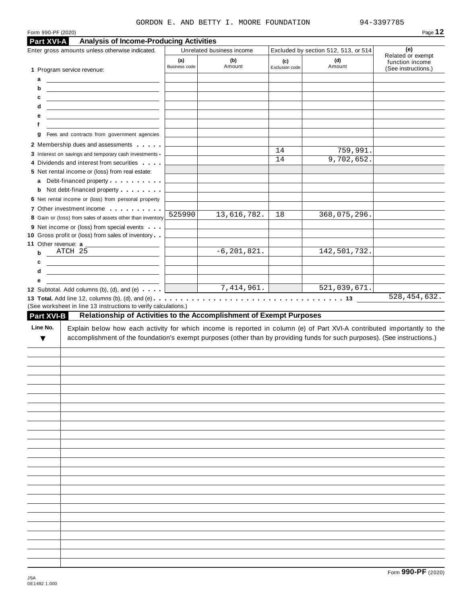#### GORDON E. AND BETTY I. MOORE FOUNDATION

| Form 990-PF (2020) |                                                                                                                                                                                                                                                                                                                                                                                                                                                                              |                             |                           |                       |                                      | Page 12                                |
|--------------------|------------------------------------------------------------------------------------------------------------------------------------------------------------------------------------------------------------------------------------------------------------------------------------------------------------------------------------------------------------------------------------------------------------------------------------------------------------------------------|-----------------------------|---------------------------|-----------------------|--------------------------------------|----------------------------------------|
| Part XVI-A         | <b>Analysis of Income-Producing Activities</b>                                                                                                                                                                                                                                                                                                                                                                                                                               |                             |                           |                       |                                      |                                        |
|                    | Enter gross amounts unless otherwise indicated.                                                                                                                                                                                                                                                                                                                                                                                                                              |                             | Unrelated business income |                       | Excluded by section 512, 513, or 514 | (e)<br>Related or exempt               |
|                    | 1 Program service revenue:                                                                                                                                                                                                                                                                                                                                                                                                                                                   | (a)<br><b>Business code</b> | (b)<br>Amount             | (c)<br>Exclusion code | (d)<br>Amount                        | function income<br>(See instructions.) |
| а                  | <u> Alexandria de la construcción de la construcción de la construcción de la construcción de la construcción de l</u>                                                                                                                                                                                                                                                                                                                                                       |                             |                           |                       |                                      |                                        |
| b<br>с             | <u> 1989 - Andrea State Barbara, amerikan personal dan personal dan personal dan personal dan personal dan personal dan personal dan personal dan personal dan personal dan personal dan personal dan personal dan personal dan </u><br><u> 1989 - John Harry Harry Harry Harry Harry Harry Harry Harry Harry Harry Harry Harry Harry Harry Harry Harry Harry Harry Harry Harry Harry Harry Harry Harry Harry Harry Harry Harry Harry Harry Harry Harry Harry Harry Harr</u> |                             |                           |                       |                                      |                                        |
| d                  | <u> 1989 - Johann Harry Harry Harry Harry Harry Harry Harry Harry Harry Harry Harry Harry Harry Harry Harry Harry</u>                                                                                                                                                                                                                                                                                                                                                        |                             |                           |                       |                                      |                                        |
| е                  | <u> 1989 - Andrea Barbara, amerikan personal (h. 1989).</u>                                                                                                                                                                                                                                                                                                                                                                                                                  |                             |                           |                       |                                      |                                        |
| f                  |                                                                                                                                                                                                                                                                                                                                                                                                                                                                              |                             |                           |                       |                                      |                                        |
| g                  | Fees and contracts from government agencies                                                                                                                                                                                                                                                                                                                                                                                                                                  |                             |                           |                       |                                      |                                        |
|                    | 2 Membership dues and assessments<br>3 Interest on savings and temporary cash investments                                                                                                                                                                                                                                                                                                                                                                                    |                             |                           | 14                    | 759,991.                             |                                        |
|                    | 4 Dividends and interest from securities                                                                                                                                                                                                                                                                                                                                                                                                                                     |                             |                           | 14                    | 9,702,652.                           |                                        |
|                    | 5 Net rental income or (loss) from real estate:                                                                                                                                                                                                                                                                                                                                                                                                                              |                             |                           |                       |                                      |                                        |
| a                  | Debt-financed property enter the state of                                                                                                                                                                                                                                                                                                                                                                                                                                    |                             |                           |                       |                                      |                                        |
| b                  | Not debt-financed property                                                                                                                                                                                                                                                                                                                                                                                                                                                   |                             |                           |                       |                                      |                                        |
|                    | 6 Net rental income or (loss) from personal property                                                                                                                                                                                                                                                                                                                                                                                                                         |                             |                           |                       |                                      |                                        |
|                    | 7 Other investment income<br>8 Gain or (loss) from sales of assets other than inventory                                                                                                                                                                                                                                                                                                                                                                                      | 525990                      | 13,616,782.               | 18                    | 368,075,296.                         |                                        |
|                    | 9 Net income or (loss) from special events                                                                                                                                                                                                                                                                                                                                                                                                                                   |                             |                           |                       |                                      |                                        |
|                    | 10 Gross profit or (loss) from sales of inventory                                                                                                                                                                                                                                                                                                                                                                                                                            |                             |                           |                       |                                      |                                        |
|                    | 11 Other revenue: a                                                                                                                                                                                                                                                                                                                                                                                                                                                          |                             |                           |                       |                                      |                                        |
| $\mathbf b$        | ATCH 25                                                                                                                                                                                                                                                                                                                                                                                                                                                                      |                             | $-6, 201, 821.$           |                       | 142,501,732.                         |                                        |
| c                  |                                                                                                                                                                                                                                                                                                                                                                                                                                                                              |                             |                           |                       |                                      |                                        |
| d<br>е             | <u> 1989 - Johann Barn, fransk politik (</u>                                                                                                                                                                                                                                                                                                                                                                                                                                 |                             |                           |                       |                                      |                                        |
|                    | 12 Subtotal. Add columns (b), (d), and (e) $\qquad$                                                                                                                                                                                                                                                                                                                                                                                                                          |                             | 7,414,961.                |                       | 521,039,671.                         |                                        |
| Line No.<br>v      | Explain below how each activity for which income is reported in column (e) of Part XVI-A contributed importantly to the<br>accomplishment of the foundation's exempt purposes (other than by providing funds for such purposes). (See instructions.)                                                                                                                                                                                                                         |                             |                           |                       |                                      |                                        |
|                    |                                                                                                                                                                                                                                                                                                                                                                                                                                                                              |                             |                           |                       |                                      |                                        |
|                    |                                                                                                                                                                                                                                                                                                                                                                                                                                                                              |                             |                           |                       |                                      |                                        |
|                    |                                                                                                                                                                                                                                                                                                                                                                                                                                                                              |                             |                           |                       |                                      |                                        |
|                    |                                                                                                                                                                                                                                                                                                                                                                                                                                                                              |                             |                           |                       |                                      |                                        |
|                    |                                                                                                                                                                                                                                                                                                                                                                                                                                                                              |                             |                           |                       |                                      |                                        |
|                    |                                                                                                                                                                                                                                                                                                                                                                                                                                                                              |                             |                           |                       |                                      |                                        |
|                    |                                                                                                                                                                                                                                                                                                                                                                                                                                                                              |                             |                           |                       |                                      |                                        |
|                    |                                                                                                                                                                                                                                                                                                                                                                                                                                                                              |                             |                           |                       |                                      |                                        |
|                    |                                                                                                                                                                                                                                                                                                                                                                                                                                                                              |                             |                           |                       |                                      |                                        |
|                    |                                                                                                                                                                                                                                                                                                                                                                                                                                                                              |                             |                           |                       |                                      |                                        |
|                    |                                                                                                                                                                                                                                                                                                                                                                                                                                                                              |                             |                           |                       |                                      |                                        |
|                    |                                                                                                                                                                                                                                                                                                                                                                                                                                                                              |                             |                           |                       |                                      |                                        |
|                    |                                                                                                                                                                                                                                                                                                                                                                                                                                                                              |                             |                           |                       |                                      |                                        |
|                    |                                                                                                                                                                                                                                                                                                                                                                                                                                                                              |                             |                           |                       |                                      |                                        |
|                    |                                                                                                                                                                                                                                                                                                                                                                                                                                                                              |                             |                           |                       |                                      |                                        |
|                    |                                                                                                                                                                                                                                                                                                                                                                                                                                                                              |                             |                           |                       |                                      |                                        |
|                    |                                                                                                                                                                                                                                                                                                                                                                                                                                                                              |                             |                           |                       |                                      |                                        |
|                    |                                                                                                                                                                                                                                                                                                                                                                                                                                                                              |                             |                           |                       |                                      |                                        |
|                    |                                                                                                                                                                                                                                                                                                                                                                                                                                                                              |                             |                           |                       |                                      |                                        |
|                    |                                                                                                                                                                                                                                                                                                                                                                                                                                                                              |                             |                           |                       |                                      |                                        |
|                    |                                                                                                                                                                                                                                                                                                                                                                                                                                                                              |                             |                           |                       |                                      |                                        |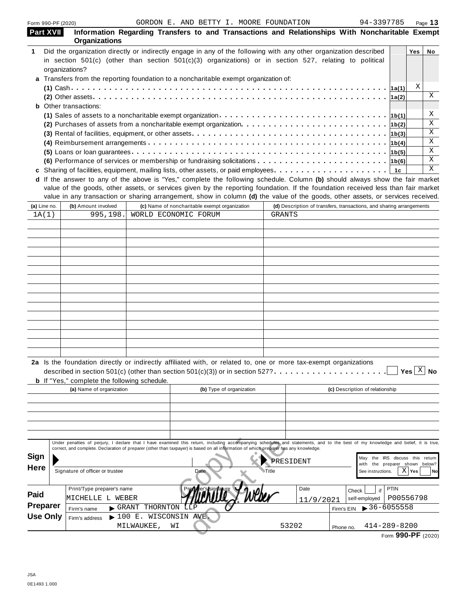|                                                           | Form 990-PF (2020)                                  |                                         | GORDON E. AND BETTY I. MOORE FOUNDATION                                                                                                                                                                                                                                                                                   |               |                                                                      | 94-3397785                                                           | Page 13                    |
|-----------------------------------------------------------|-----------------------------------------------------|-----------------------------------------|---------------------------------------------------------------------------------------------------------------------------------------------------------------------------------------------------------------------------------------------------------------------------------------------------------------------------|---------------|----------------------------------------------------------------------|----------------------------------------------------------------------|----------------------------|
|                                                           | <b>Part XVII</b><br><b>Organizations</b>            |                                         | Information Regarding Transfers to and Transactions and Relationships With Noncharitable Exempt                                                                                                                                                                                                                           |               |                                                                      |                                                                      |                            |
| 1                                                         |                                                     |                                         | Did the organization directly or indirectly engage in any of the following with any other organization described                                                                                                                                                                                                          |               |                                                                      |                                                                      | Yes<br>No                  |
|                                                           |                                                     |                                         | in section $501(c)$ (other than section $501(c)(3)$ organizations) or in section $527$ , relating to political                                                                                                                                                                                                            |               |                                                                      |                                                                      |                            |
|                                                           | organizations?                                      |                                         |                                                                                                                                                                                                                                                                                                                           |               |                                                                      |                                                                      |                            |
|                                                           |                                                     |                                         | Transfers from the reporting foundation to a noncharitable exempt organization of:                                                                                                                                                                                                                                        |               |                                                                      |                                                                      |                            |
|                                                           |                                                     |                                         |                                                                                                                                                                                                                                                                                                                           |               |                                                                      |                                                                      | Χ                          |
|                                                           |                                                     |                                         |                                                                                                                                                                                                                                                                                                                           |               |                                                                      | 1a(2)                                                                | Χ                          |
|                                                           | Other transactions:                                 |                                         |                                                                                                                                                                                                                                                                                                                           |               |                                                                      |                                                                      |                            |
|                                                           |                                                     |                                         | (1) Sales of assets to a noncharitable exempt organization $\cdots \cdots \cdots \cdots \cdots \cdots \cdots \cdots \cdots \cdots \cdot  16(1) $                                                                                                                                                                          |               |                                                                      |                                                                      | Χ                          |
|                                                           |                                                     |                                         | (2) Purchases of assets from a noncharitable exempt organization $\cdots \cdots \cdots \cdots \cdots \cdots \cdots \cdots$                                                                                                                                                                                                |               |                                                                      |                                                                      | Χ<br>Χ                     |
|                                                           |                                                     |                                         |                                                                                                                                                                                                                                                                                                                           |               |                                                                      |                                                                      | Χ                          |
|                                                           |                                                     |                                         |                                                                                                                                                                                                                                                                                                                           |               |                                                                      |                                                                      | Χ                          |
|                                                           |                                                     |                                         | (6) Performance of services or membership or fundraising solicitations $\cdots \cdots \cdots \cdots \cdots \cdots \cdots$                                                                                                                                                                                                 |               |                                                                      |                                                                      | Χ                          |
|                                                           |                                                     |                                         |                                                                                                                                                                                                                                                                                                                           |               |                                                                      | 1с                                                                   | X                          |
|                                                           |                                                     |                                         | d If the answer to any of the above is "Yes," complete the following schedule. Column (b) should always show the fair market                                                                                                                                                                                              |               |                                                                      |                                                                      |                            |
|                                                           |                                                     |                                         | value of the goods, other assets, or services given by the reporting foundation. If the foundation received less than fair market<br>value in any transaction or sharing arrangement, show in column (d) the value of the goods, other assets, or services received.                                                      |               |                                                                      |                                                                      |                            |
| (a) Line no.                                              | (b) Amount involved                                 |                                         | (c) Name of noncharitable exempt organization                                                                                                                                                                                                                                                                             |               | (d) Description of transfers, transactions, and sharing arrangements |                                                                      |                            |
| 1A(1)                                                     | 995,198.                                            |                                         | WORLD ECONOMIC FORUM                                                                                                                                                                                                                                                                                                      | <b>GRANTS</b> |                                                                      |                                                                      |                            |
|                                                           |                                                     |                                         |                                                                                                                                                                                                                                                                                                                           |               |                                                                      |                                                                      |                            |
|                                                           |                                                     |                                         |                                                                                                                                                                                                                                                                                                                           |               |                                                                      |                                                                      |                            |
|                                                           |                                                     |                                         |                                                                                                                                                                                                                                                                                                                           |               |                                                                      |                                                                      |                            |
|                                                           |                                                     |                                         |                                                                                                                                                                                                                                                                                                                           |               |                                                                      |                                                                      |                            |
|                                                           |                                                     |                                         |                                                                                                                                                                                                                                                                                                                           |               |                                                                      |                                                                      |                            |
|                                                           |                                                     |                                         |                                                                                                                                                                                                                                                                                                                           |               |                                                                      |                                                                      |                            |
|                                                           |                                                     |                                         |                                                                                                                                                                                                                                                                                                                           |               |                                                                      |                                                                      |                            |
|                                                           |                                                     |                                         |                                                                                                                                                                                                                                                                                                                           |               |                                                                      |                                                                      |                            |
|                                                           |                                                     |                                         |                                                                                                                                                                                                                                                                                                                           |               |                                                                      |                                                                      |                            |
|                                                           |                                                     |                                         |                                                                                                                                                                                                                                                                                                                           |               |                                                                      |                                                                      |                            |
|                                                           |                                                     |                                         |                                                                                                                                                                                                                                                                                                                           |               |                                                                      |                                                                      |                            |
|                                                           |                                                     |                                         |                                                                                                                                                                                                                                                                                                                           |               |                                                                      |                                                                      |                            |
|                                                           |                                                     |                                         |                                                                                                                                                                                                                                                                                                                           |               |                                                                      |                                                                      |                            |
|                                                           |                                                     |                                         |                                                                                                                                                                                                                                                                                                                           |               |                                                                      |                                                                      |                            |
|                                                           |                                                     |                                         |                                                                                                                                                                                                                                                                                                                           |               |                                                                      |                                                                      |                            |
|                                                           |                                                     |                                         | 2a Is the foundation directly or indirectly affiliated with, or related to, one or more tax-exempt organizations<br>described in section 501(c) (other than section 501(c)(3)) or in section 527? $\ldots \ldots \ldots$                                                                                                  |               |                                                                      |                                                                      | Yes $\lfloor x \rfloor$ No |
|                                                           | <b>b</b> If "Yes," complete the following schedule. |                                         |                                                                                                                                                                                                                                                                                                                           |               |                                                                      |                                                                      |                            |
|                                                           | (a) Name of organization                            |                                         | (b) Type of organization                                                                                                                                                                                                                                                                                                  |               |                                                                      | (c) Description of relationship                                      |                            |
|                                                           |                                                     |                                         |                                                                                                                                                                                                                                                                                                                           |               |                                                                      |                                                                      |                            |
|                                                           |                                                     |                                         |                                                                                                                                                                                                                                                                                                                           |               |                                                                      |                                                                      |                            |
|                                                           |                                                     |                                         |                                                                                                                                                                                                                                                                                                                           |               |                                                                      |                                                                      |                            |
|                                                           |                                                     |                                         |                                                                                                                                                                                                                                                                                                                           |               |                                                                      |                                                                      |                            |
|                                                           |                                                     |                                         | Under penalties of perjury, I declare that I have examined this return, including accompanying schedules and statements, and to the best of my knowledge and belief, it is true,<br>correct, and complete. Declaration of preparer (other than taxpayer) is based on all information of which preparer has any knowledge. |               |                                                                      |                                                                      |                            |
| Sign                                                      |                                                     |                                         |                                                                                                                                                                                                                                                                                                                           | PRESIDENT     |                                                                      | the IRS discuss this return<br>May<br>with the preparer shown below? |                            |
|                                                           | Signature of officer or trustee                     |                                         | Date                                                                                                                                                                                                                                                                                                                      | ⊦Title        |                                                                      | See instructions.                                                    | $X$   Yes                  |
|                                                           | Print/Type preparer's name                          |                                         |                                                                                                                                                                                                                                                                                                                           |               | Date<br>Check                                                        | PTIN<br>if                                                           |                            |
|                                                           | MICHELLE L WEBER                                    |                                         |                                                                                                                                                                                                                                                                                                                           |               |                                                                      | P00556798<br>self-employed                                           | No                         |
|                                                           | Firm's name                                         | THORNTON<br>$\blacktriangleright$ GRANT |                                                                                                                                                                                                                                                                                                                           |               | 11/9/2021<br>Firm's EIN                                              | $\blacktriangleright$ 36-6055558                                     |                            |
| <b>Here</b><br>Paid<br><b>Preparer</b><br><b>Use Only</b> | Firm's address                                      | $\blacktriangleright$ 100               | E. WISCONSIN AVE                                                                                                                                                                                                                                                                                                          |               |                                                                      |                                                                      |                            |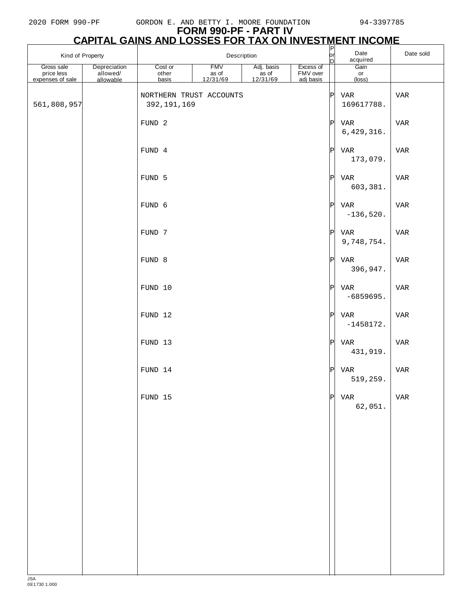# **FORM 990-PF - PART IV**

|                                              |                                       | <b>CAPITAL GAINS AND LOSSES FOR TAX ON INVESTMENT INCOME</b> |                                 |                                            |                                    |                |                               |           |
|----------------------------------------------|---------------------------------------|--------------------------------------------------------------|---------------------------------|--------------------------------------------|------------------------------------|----------------|-------------------------------|-----------|
| Kind of Property                             |                                       |                                                              | Description                     |                                            |                                    | P<br> or<br>ID | Date<br>acquired              | Date sold |
| Gross sale<br>price less<br>expenses of sale | Depreciation<br>allowed/<br>allowable | Cost or<br>other<br>basis                                    | <b>FMV</b><br>as of<br>12/31/69 | Adj. basis<br>as of<br>$\frac{12/31/69}{}$ | Excess of<br>FMV over<br>adj basis |                | Gain<br>or<br>$(\text{loss})$ |           |
| 561,808,957                                  |                                       | NORTHERN TRUST ACCOUNTS<br>392, 191, 169                     |                                 |                                            |                                    | P              | VAR<br>169617788.             | VAR       |
|                                              |                                       | FUND <sub>2</sub>                                            |                                 |                                            |                                    | P              | VAR<br>6,429,316.             | VAR       |
|                                              |                                       | FUND 4                                                       |                                 |                                            |                                    | P              | VAR<br>173,079.               | VAR       |
|                                              |                                       | FUND 5                                                       |                                 |                                            |                                    | P              | VAR<br>603,381.               | VAR       |
|                                              |                                       | FUND 6                                                       |                                 |                                            |                                    | P              | VAR<br>$-136,520.$            | VAR       |
|                                              |                                       | FUND 7                                                       |                                 |                                            |                                    | P              | VAR<br>9,748,754.             | VAR       |
|                                              |                                       | FUND 8                                                       |                                 |                                            |                                    | P              | VAR<br>396,947.               | VAR       |
|                                              |                                       | FUND 10                                                      |                                 |                                            |                                    | P              | VAR<br>$-6859695.$            | VAR       |
|                                              |                                       | FUND 12                                                      |                                 |                                            |                                    | P              | VAR<br>$-1458172.$            | VAR       |
|                                              |                                       | FUND 13                                                      |                                 |                                            |                                    | P              | VAR<br>431,919.               | VAR       |
|                                              |                                       | FUND 14                                                      |                                 |                                            |                                    | P              | VAR<br>519, 259.              | VAR       |
|                                              |                                       | FUND 15                                                      |                                 |                                            |                                    | P              | VAR<br>62,051.                | VAR       |
|                                              |                                       |                                                              |                                 |                                            |                                    |                |                               |           |
|                                              |                                       |                                                              |                                 |                                            |                                    |                |                               |           |
|                                              |                                       |                                                              |                                 |                                            |                                    |                |                               |           |
|                                              |                                       |                                                              |                                 |                                            |                                    |                |                               |           |
|                                              |                                       |                                                              |                                 |                                            |                                    |                |                               |           |
|                                              |                                       |                                                              |                                 |                                            |                                    |                |                               |           |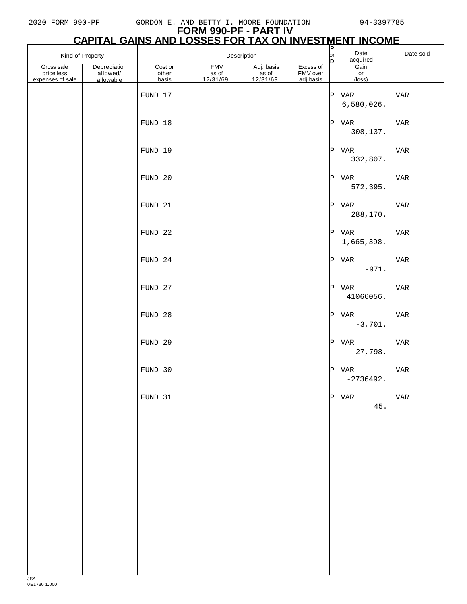| Kind of Property                             |                                       | Description               |                                 |                                |                                    | $\sqrt{\frac{P}{\rho r}}$<br>bl | Date<br>acquired              | Date sold |
|----------------------------------------------|---------------------------------------|---------------------------|---------------------------------|--------------------------------|------------------------------------|---------------------------------|-------------------------------|-----------|
| Gross sale<br>price less<br>expenses of sale | Depreciation<br>allowed/<br>allowable | Cost or<br>other<br>basis | <b>FMV</b><br>as of<br>12/31/69 | Adj. basis<br>$rac{12}{31/69}$ | Excess of<br>FMV over<br>adj basis |                                 | Gain<br>or<br>$(\text{loss})$ |           |
|                                              |                                       | FUND 17                   |                                 |                                |                                    | $ {\tt P} $                     | VAR<br>6,580,026.             | VAR       |
|                                              |                                       | FUND 18                   |                                 |                                |                                    | P                               | VAR<br>308,137.               | VAR       |
|                                              |                                       | FUND 19                   |                                 |                                |                                    | P                               | VAR<br>332,807.               | VAR       |
|                                              |                                       | FUND 20                   |                                 |                                |                                    | P                               | VAR<br>572,395.               | VAR       |
|                                              |                                       | FUND 21                   |                                 |                                |                                    | P                               | VAR<br>288,170.               | VAR       |
|                                              |                                       | FUND 22                   |                                 |                                |                                    | P                               | VAR<br>1,665,398.             | VAR       |
|                                              |                                       | FUND 24                   |                                 |                                |                                    | P                               | VAR<br>$-971.$                | VAR       |
|                                              |                                       | FUND 27                   |                                 |                                |                                    | P                               | VAR<br>41066056.              | VAR       |
|                                              |                                       | FUND 28                   |                                 |                                |                                    | P                               | VAR<br>$-3,701.$              | VAR       |
|                                              |                                       | FUND 29                   |                                 |                                |                                    | P                               | VAR<br>27,798.                | VAR       |
|                                              |                                       | FUND 30                   |                                 |                                |                                    | P                               | VAR<br>$-2736492.$            | VAR       |
|                                              |                                       | FUND 31                   |                                 |                                |                                    | P                               | VAR<br>45.                    | VAR       |
|                                              |                                       |                           |                                 |                                |                                    |                                 |                               |           |
|                                              |                                       |                           |                                 |                                |                                    |                                 |                               |           |
|                                              |                                       |                           |                                 |                                |                                    |                                 |                               |           |
|                                              |                                       |                           |                                 |                                |                                    |                                 |                               |           |
|                                              |                                       |                           |                                 |                                |                                    |                                 |                               |           |
|                                              |                                       |                           |                                 |                                |                                    |                                 |                               |           |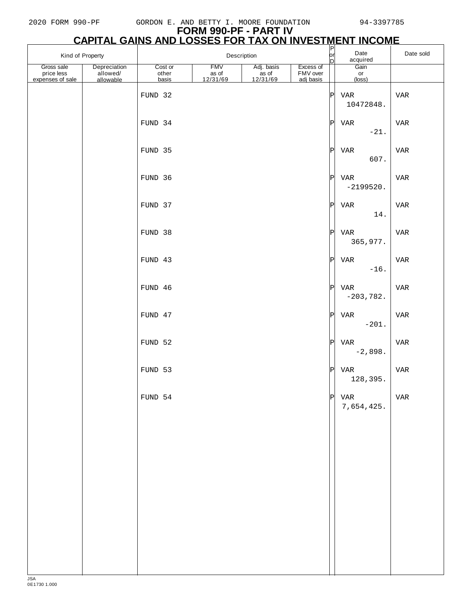# **FORM 990-PF - PART IV**

|                                              |                                       |                           |                                 |                                |                                    |          | <u>CAPITAL GAINS AND LOSSES FOR TAX ON INVESTMENT INCOME</u> |           |
|----------------------------------------------|---------------------------------------|---------------------------|---------------------------------|--------------------------------|------------------------------------|----------|--------------------------------------------------------------|-----------|
| Kind of Property                             |                                       |                           | Description                     |                                |                                    | or <br>D | Date<br>acquired                                             | Date sold |
| Gross sale<br>price less<br>expenses of sale | Depreciation<br>allowed/<br>allowable | Cost or<br>other<br>basis | <b>FMV</b><br>as of<br>12/31/69 | Adj. basis<br>$rac{12}{31/69}$ | Excess of<br>FMV over<br>adj basis |          | Gain<br>or<br>$(\text{loss})$                                |           |
|                                              |                                       | FUND 32                   |                                 |                                |                                    | P        | VAR<br>10472848.                                             | VAR       |
|                                              |                                       | FUND 34                   |                                 |                                |                                    | P        | <b>VAR</b><br>$-21.$                                         | VAR       |
|                                              |                                       | FUND 35                   |                                 |                                |                                    | P        | VAR<br>607.                                                  | VAR       |
|                                              |                                       | FUND 36                   |                                 |                                |                                    | P        | VAR<br>$-2199520.$                                           | VAR       |
|                                              |                                       | FUND 37                   |                                 |                                |                                    | P        | VAR<br>14.                                                   | VAR       |
|                                              |                                       | FUND 38                   |                                 |                                |                                    | P        | VAR<br>365,977.                                              | VAR       |
|                                              |                                       | FUND 43                   |                                 |                                |                                    | P        | VAR<br>$-16$ .                                               | VAR       |
|                                              |                                       | FUND 46                   |                                 |                                |                                    | P        | VAR<br>$-203,782.$                                           | VAR       |
|                                              |                                       | FUND 47                   |                                 |                                |                                    | P        | <b>VAR</b><br>$-201.$                                        | VAR       |
|                                              |                                       | FUND 52                   |                                 |                                |                                    | P        | VAR<br>$-2,898.$                                             | VAR       |
|                                              |                                       | FUND 53                   |                                 |                                |                                    | P        | VAR<br>128,395.                                              | VAR       |
|                                              |                                       | FUND 54                   |                                 |                                |                                    |          | $P$ VAR<br>7,654,425.                                        | VAR       |
|                                              |                                       |                           |                                 |                                |                                    |          |                                                              |           |
|                                              |                                       |                           |                                 |                                |                                    |          |                                                              |           |
|                                              |                                       |                           |                                 |                                |                                    |          |                                                              |           |
|                                              |                                       |                           |                                 |                                |                                    |          |                                                              |           |
|                                              |                                       |                           |                                 |                                |                                    |          |                                                              |           |
|                                              |                                       |                           |                                 |                                |                                    |          |                                                              |           |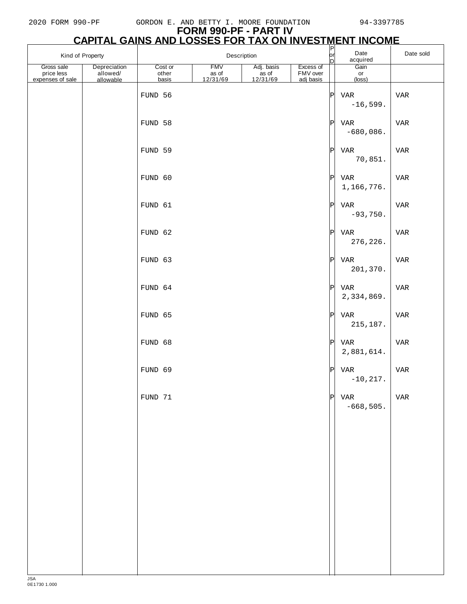|                                              | <b>FORM 990-PF - PART IV</b><br><b>CAPITAL GAINS AND LOSSES FOR TAX ON INVESTMENT INCOME</b> |                           |                                 |                                 |                                    |              |                          |            |  |  |  |  |
|----------------------------------------------|----------------------------------------------------------------------------------------------|---------------------------|---------------------------------|---------------------------------|------------------------------------|--------------|--------------------------|------------|--|--|--|--|
| Kind of Property                             |                                                                                              | Description               |                                 |                                 |                                    |              | Date<br>acquired         | Date sold  |  |  |  |  |
| Gross sale<br>price less<br>expenses of sale | Depreciation<br>allowed/<br>allowable                                                        | Cost or<br>other<br>basis | <b>FMV</b><br>as of<br>12/31/69 | Adj. basis<br>as of<br>12/31/69 | Excess of<br>FMV over<br>adj basis |              | Gain<br>or<br>(loss)     |            |  |  |  |  |
|                                              |                                                                                              | FUND 56                   |                                 |                                 |                                    | $\mathsf{P}$ | <b>VAR</b><br>$-16,599.$ | <b>VAR</b> |  |  |  |  |
|                                              |                                                                                              | FUND 58                   |                                 |                                 |                                    | Pl           | VAR<br>$-680,086.$       | <b>VAR</b> |  |  |  |  |
|                                              |                                                                                              | FUND 59                   |                                 |                                 |                                    | ΙPΙ          | <b>VAR</b><br>70,851.    | <b>VAR</b> |  |  |  |  |
|                                              |                                                                                              | FUND 60                   |                                 |                                 |                                    | $\mathbf P$  | VAR<br>1,166,776.        | <b>VAR</b> |  |  |  |  |
|                                              |                                                                                              | FUND 61                   |                                 |                                 |                                    | $\mathbf P$  | VAR<br>$-93,750.$        | <b>VAR</b> |  |  |  |  |

|  | FUND 68 |   | $P$ VAR<br>2,881,614. | $\ensuremath{\text{VAR}}$ |
|--|---------|---|-----------------------|---------------------------|
|  | FUND 69 | P | VAR<br>$-10, 217.$    | $\ensuremath{\text{VAR}}$ |
|  | FUND 71 | P | VAR<br>$-668,505.$    | VAR                       |
|  |         |   |                       |                           |
|  |         |   |                       |                           |
|  |         |   |                       |                           |
|  |         |   |                       |                           |
|  |         |   |                       |                           |

 $FUND 62$ 

 $FUND 63$ 

FUND  $64$ 

FUND 65

|                | 70,851.                    |            |
|----------------|----------------------------|------------|
| Ρ              | <b>VAR</b><br>1,166,776.   | <b>VAR</b> |
| P              | <b>VAR</b><br>$-93,750.$   | <b>VAR</b> |
| Ρ              | <b>VAR</b><br>276,226.     | <b>VAR</b> |
| P              | <b>VAR</b><br>201,370.     | <b>VAR</b> |
| Ρ              | <b>VAR</b><br>2,334,869.   | <b>VAR</b> |
| Ρ              | <b>VAR</b><br>215,187.     | <b>VAR</b> |
| P              | <b>VAR</b><br>2,881,614.   | <b>VAR</b> |
| Ρ              | <b>VAR</b><br>$-10, 217.$  | VAR        |
| $\overline{P}$ | <b>VAR</b><br>$-668, 505.$ | <b>VAR</b> |
|                |                            |            |
|                |                            |            |
|                |                            |            |
|                |                            |            |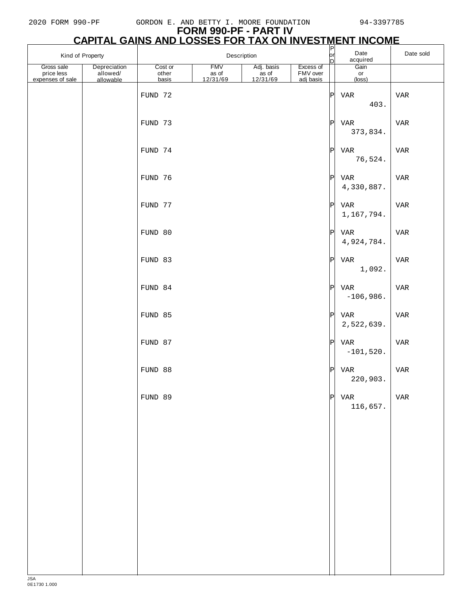| Kind of Property                             |                                       | Description      |                                 |                                  |                       | $\frac{P}{P}$ | Date<br>acquired      | Date sold                 |
|----------------------------------------------|---------------------------------------|------------------|---------------------------------|----------------------------------|-----------------------|---------------|-----------------------|---------------------------|
| Gross sale<br>price less<br>expenses of sale | Depreciation<br>allowed/<br>allowable | Cost or<br>other | <b>FMV</b><br>as of<br>12/31/69 | Adj. basis<br>$\frac{12}{31/69}$ | Excess of<br>FMV over |               | Gain<br>or            |                           |
|                                              |                                       | basis<br>FUND 72 |                                 |                                  | adj basis             | P             | (loss)<br>VAR<br>403. | VAR                       |
|                                              |                                       | FUND 73          |                                 |                                  |                       | P             | VAR<br>373,834.       | VAR                       |
|                                              |                                       | FUND 74          |                                 |                                  |                       | P             | VAR<br>76,524.        | VAR                       |
|                                              |                                       | FUND 76          |                                 |                                  |                       | $ {\tt P} $   | VAR<br>4,330,887.     | VAR                       |
|                                              |                                       | FUND 77          |                                 |                                  |                       | P             | VAR<br>1,167,794.     | VAR                       |
|                                              |                                       | FUND 80          |                                 |                                  |                       | P             | VAR<br>4,924,784.     | VAR                       |
|                                              |                                       | FUND 83          |                                 |                                  |                       | P             | VAR<br>1,092.         | VAR                       |
|                                              |                                       | FUND 84          |                                 |                                  |                       | P             | VAR<br>$-106,986.$    | VAR                       |
|                                              |                                       | FUND 85          |                                 |                                  |                       | P             | VAR<br>2,522,639.     | VAR                       |
|                                              |                                       | FUND 87          |                                 |                                  |                       | P             | VAR<br>$-101,520.$    | VAR                       |
|                                              |                                       | FUND 88          |                                 |                                  |                       | P             | VAR<br>220,903.       | VAR                       |
|                                              |                                       | FUND 89          |                                 |                                  |                       | P             | VAR<br>116,657.       | $\ensuremath{\text{VAR}}$ |
|                                              |                                       |                  |                                 |                                  |                       |               |                       |                           |
|                                              |                                       |                  |                                 |                                  |                       |               |                       |                           |
|                                              |                                       |                  |                                 |                                  |                       |               |                       |                           |
|                                              |                                       |                  |                                 |                                  |                       |               |                       |                           |
|                                              |                                       |                  |                                 |                                  |                       |               |                       |                           |
|                                              |                                       |                  |                                 |                                  |                       |               |                       |                           |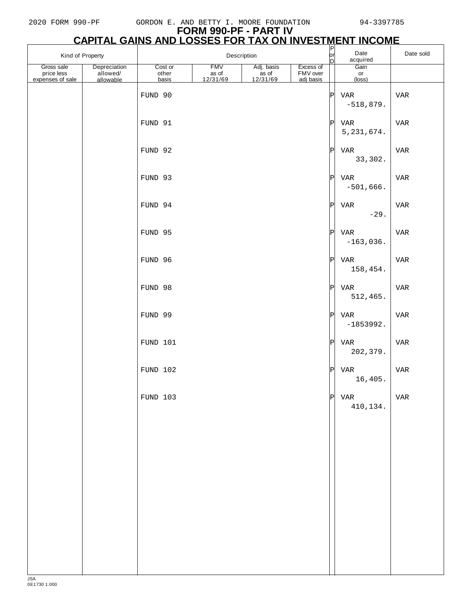# **FORM 990-PF - PART IV**

| <b>CAPITAL GAINS AND LOSSES FOR TAX ON INVESTMENT INCOME</b> |              |                 |          |            |                 |     |                  |           |  |  |
|--------------------------------------------------------------|--------------|-----------------|----------|------------|-----------------|-----|------------------|-----------|--|--|
| Kind of Property                                             |              | Description     |          |            |                 |     | Date<br>acquired | Date sold |  |  |
| Gross sale                                                   | Depreciation | Cost or         | FMV      | Adj. basis | Excess of       |     | Gain             |           |  |  |
| price less                                                   | allowed/     | other           | as of    | as of      | <b>FMV</b> over |     | or               |           |  |  |
| expenses of sale                                             | allowable    | basis           | 12/31/69 | 12/31/69   | adi basis       |     | $(\text{loss})$  |           |  |  |
|                                                              |              | <b>DIMID QO</b> |          |            |                 | וחו | <b>TTAD</b>      | TTAD      |  |  |

|  | <b>FUND AO</b> | ا⊬              | VAR<br>$-518,879.$  | VAR |
|--|----------------|-----------------|---------------------|-----|
|  | FUND 91        | P               | VAR<br>5, 231, 674. | VAR |
|  | FUND 92        | $ {\tt P} $     | VAR<br>33,302.      | VAR |
|  | FUND 93        | P               | VAR<br>$-501,666.$  | VAR |
|  | FUND 94        | $\vert P \vert$ | VAR<br>$-29.$       | VAR |
|  | FUND 95        | P               | VAR<br>$-163,036.$  | VAR |
|  | FUND 96        | P               | VAR<br>158,454.     | VAR |
|  | FUND 98        | $ {\tt P} $     | VAR<br>512,465.     | VAR |
|  | FUND 99        | $ {\tt P} $     | VAR<br>$-1853992.$  | VAR |
|  | FUND 101       | $ {\tt P} $     | VAR<br>202,379.     | VAR |
|  | FUND 102       | $\vert P \vert$ | VAR<br>16,405.      | VAR |
|  | FUND 103       | $\vert P \vert$ | VAR<br>410,134.     | VAR |
|  |                |                 |                     |     |
|  |                |                 |                     |     |
|  |                |                 |                     |     |
|  |                |                 |                     |     |
|  |                |                 |                     |     |
|  |                |                 |                     |     |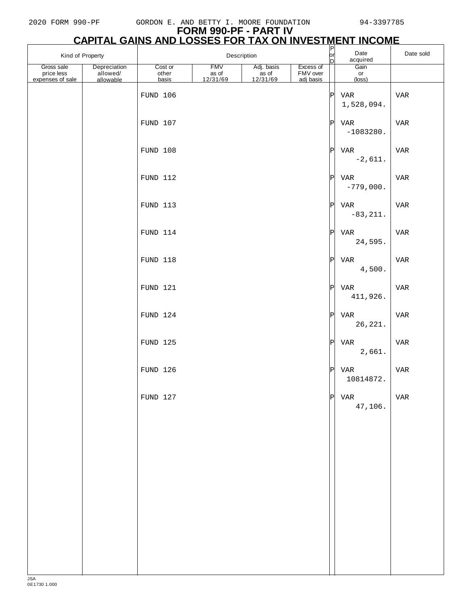# **FORM 990-PF - PART IV**

|                                              |                                       |                           |                                 |                                        |                                    |                            | <b>CAPITAL GAINS AND LOSSES FOR TAX ON INVESTMENT INCOME</b> |            |
|----------------------------------------------|---------------------------------------|---------------------------|---------------------------------|----------------------------------------|------------------------------------|----------------------------|--------------------------------------------------------------|------------|
| Kind of Property                             |                                       |                           |                                 | Description                            |                                    | $\sqrt{\frac{P}{P}}$<br>bl | Date<br>acquired                                             | Date sold  |
| Gross sale<br>price less<br>expenses of sale | Depreciation<br>allowed/<br>allowable | Cost or<br>other<br>basis | <b>FMV</b><br>as of<br>12/31/69 | Adj. basis<br>ás of<br><u>12/31/69</u> | Excess of<br>FMV over<br>adj basis |                            | Gain<br>or<br>$(\text{loss})$                                |            |
|                                              |                                       | FUND 106                  |                                 |                                        |                                    | $\vert$ P $\vert$          | VAR<br>1,528,094.                                            | <b>VAR</b> |
|                                              |                                       | FUND 107                  |                                 |                                        |                                    | $ \mathbf{P} $             | VAR<br>$-1083280.$                                           | VAR        |
|                                              |                                       | FUND 108                  |                                 |                                        |                                    | $ \mathbf{P} $             | VAR<br>$-2,611.$                                             | VAR        |
|                                              |                                       | FUND 112                  |                                 |                                        |                                    | $ \mathbf{P} $             | VAR<br>$-779,000.$                                           | VAR        |
|                                              |                                       | FUND 113                  |                                 |                                        |                                    | $ \mathbf{P} $             | VAR<br>$-83, 211.$                                           | VAR        |
|                                              |                                       | FUND 114                  |                                 |                                        |                                    | $ \mathbf{P} $             | VAR<br>24,595.                                               | VAR        |
|                                              |                                       | FUND 118                  |                                 |                                        |                                    | $ \mathbf{P} $             | VAR<br>4,500.                                                | <b>VAR</b> |
|                                              |                                       | FUND 121                  |                                 |                                        |                                    | $ \mathbf{P} $             | VAR<br>411,926.                                              | <b>VAR</b> |
|                                              |                                       | FUND 124                  |                                 |                                        |                                    | $ \mathbf{P} $             | VAR<br>26, 221.                                              | VAR        |
|                                              |                                       | FUND 125                  |                                 |                                        |                                    | $ \mathbf{P} $             | VAR<br>2,661.                                                | <b>VAR</b> |
|                                              |                                       | FUND 126                  |                                 |                                        |                                    | $\vert$ P $\vert$          | VAR<br>10814872.                                             | <b>VAR</b> |
|                                              |                                       | FUND 127                  |                                 |                                        |                                    | $ \mathbf{P} $             | VAR<br>47,106.                                               | <b>VAR</b> |
|                                              |                                       |                           |                                 |                                        |                                    |                            |                                                              |            |
|                                              |                                       |                           |                                 |                                        |                                    |                            |                                                              |            |
|                                              |                                       |                           |                                 |                                        |                                    |                            |                                                              |            |
|                                              |                                       |                           |                                 |                                        |                                    |                            |                                                              |            |
|                                              |                                       |                           |                                 |                                        |                                    |                            |                                                              |            |
|                                              |                                       |                           |                                 |                                        |                                    |                            |                                                              |            |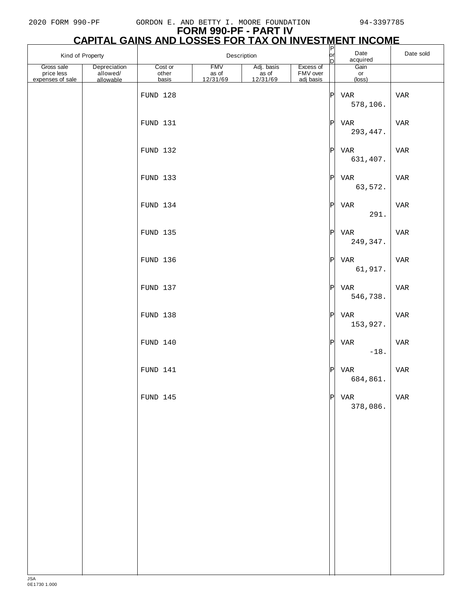| Kind of Property                             |                                       |                           | Description                     |                                |                                    | $\overline{\mathsf{P}}$<br> or <br>D | Date<br>acquired              | Date sold |
|----------------------------------------------|---------------------------------------|---------------------------|---------------------------------|--------------------------------|------------------------------------|--------------------------------------|-------------------------------|-----------|
| Gross sale<br>price less<br>expenses of sale | Depreciation<br>allowed/<br>allowable | Cost or<br>other<br>basis | <b>FMV</b><br>as of<br>12/31/69 | Adj. basis<br>$rac{12}{31/69}$ | Excess of<br>FMV over<br>adj basis |                                      | Gain<br>or<br>$(\text{loss})$ |           |
|                                              |                                       | FUND 128                  |                                 |                                |                                    | $ {\tt P} $                          | VAR<br>578,106.               | VAR       |
|                                              |                                       | FUND 131                  |                                 |                                |                                    | P                                    | VAR<br>293, 447.              | VAR       |
|                                              |                                       | FUND 132                  |                                 |                                |                                    | P                                    | VAR<br>631,407.               | VAR       |
|                                              |                                       | FUND 133                  |                                 |                                |                                    | P                                    | VAR<br>63,572.                | VAR       |
|                                              |                                       | FUND 134                  |                                 |                                |                                    | P                                    | VAR<br>291.                   | VAR       |
|                                              |                                       | FUND 135                  |                                 |                                |                                    | P                                    | VAR<br>249, 347.              | VAR       |
|                                              |                                       | FUND 136                  |                                 |                                |                                    | P                                    | VAR<br>61,917.                | VAR       |
|                                              |                                       | FUND 137                  |                                 |                                |                                    | P                                    | VAR<br>546,738.               | VAR       |
|                                              |                                       | FUND 138                  |                                 |                                |                                    | P                                    | VAR<br>153,927.               | VAR       |
|                                              |                                       | FUND 140                  |                                 |                                |                                    | P                                    | VAR<br>$-18.$                 | VAR       |
|                                              |                                       | FUND 141                  |                                 |                                |                                    | P                                    | VAR<br>684,861.               | VAR       |
|                                              |                                       | FUND 145                  |                                 |                                |                                    | P                                    | VAR<br>378,086.               | VAR       |
|                                              |                                       |                           |                                 |                                |                                    |                                      |                               |           |
|                                              |                                       |                           |                                 |                                |                                    |                                      |                               |           |
|                                              |                                       |                           |                                 |                                |                                    |                                      |                               |           |
|                                              |                                       |                           |                                 |                                |                                    |                                      |                               |           |
|                                              |                                       |                           |                                 |                                |                                    |                                      |                               |           |
|                                              |                                       |                           |                                 |                                |                                    |                                      |                               |           |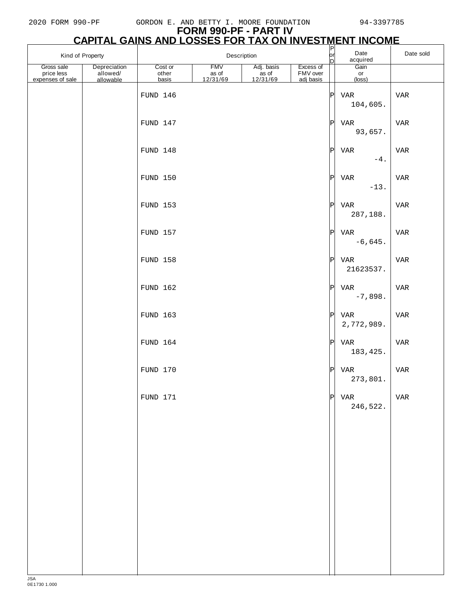| Kind of Property                             |                                       |                           | Description                     |                                            |                                    | $\frac{P}{\text{or}}$<br>Date<br>acquired<br>D |                      | Date sold |
|----------------------------------------------|---------------------------------------|---------------------------|---------------------------------|--------------------------------------------|------------------------------------|------------------------------------------------|----------------------|-----------|
| Gross sale<br>price less<br>expenses of sale | Depreciation<br>allowed/<br>allowable | Cost or<br>other<br>basis | <b>FMV</b><br>as of<br>12/31/69 | Adj. basis<br>as of<br>$\frac{12/31/69}{}$ | Excess of<br>FMV over<br>adj basis |                                                | Gain<br>or<br>(loss) |           |
|                                              |                                       | FUND 146                  |                                 |                                            |                                    | P                                              | VAR<br>104,605.      | VAR       |
|                                              |                                       | FUND 147                  |                                 |                                            |                                    | P                                              | VAR<br>93,657.       | VAR       |
|                                              |                                       | FUND 148                  |                                 |                                            |                                    | P                                              | VAR<br>$-4.$         | VAR       |
|                                              |                                       | FUND 150                  |                                 |                                            |                                    | P                                              | VAR<br>$-13.$        | VAR       |
|                                              |                                       | FUND 153                  |                                 |                                            |                                    | P                                              | VAR<br>287,188.      | VAR       |
|                                              |                                       | FUND 157                  |                                 |                                            |                                    | P                                              | VAR<br>$-6,645.$     | VAR       |
|                                              |                                       | FUND 158                  |                                 |                                            |                                    | P                                              | VAR<br>21623537.     | VAR       |
|                                              |                                       | FUND 162                  |                                 |                                            |                                    | P                                              | VAR<br>$-7,898.$     | VAR       |
|                                              |                                       | FUND 163                  |                                 |                                            |                                    | P                                              | VAR<br>2,772,989.    | VAR       |
|                                              |                                       | FUND 164                  |                                 |                                            |                                    | P                                              | VAR<br>183, 425.     | VAR       |
|                                              |                                       | FUND 170                  |                                 |                                            |                                    | P                                              | VAR<br>273,801.      | VAR       |
|                                              |                                       | FUND 171                  |                                 |                                            |                                    | P                                              | VAR<br>246,522.      | VAR       |
|                                              |                                       |                           |                                 |                                            |                                    |                                                |                      |           |
|                                              |                                       |                           |                                 |                                            |                                    |                                                |                      |           |
|                                              |                                       |                           |                                 |                                            |                                    |                                                |                      |           |
|                                              |                                       |                           |                                 |                                            |                                    |                                                |                      |           |
|                                              |                                       |                           |                                 |                                            |                                    |                                                |                      |           |
|                                              |                                       |                           |                                 |                                            |                                    |                                                |                      |           |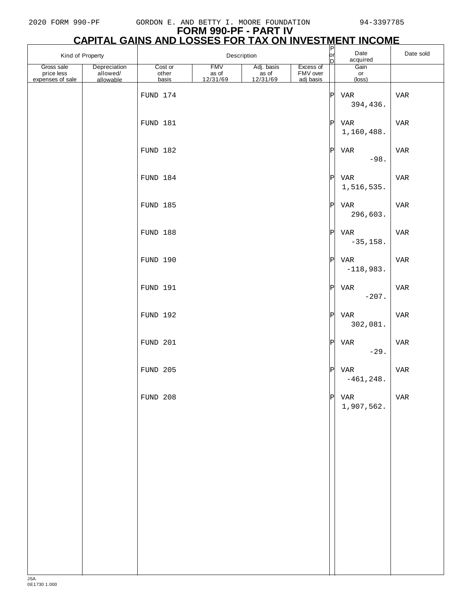|                                              | Kind of Property<br>Description       |                           |                                 |                                | $\frac{P}{D}$                      | Date<br>acquired  | Date sold            |            |
|----------------------------------------------|---------------------------------------|---------------------------|---------------------------------|--------------------------------|------------------------------------|-------------------|----------------------|------------|
| Gross sale<br>price less<br>expenses of sale | Depreciation<br>allowed/<br>allowable | Cost or<br>other<br>basis | <b>FMV</b><br>as of<br>12/31/69 | Adj. basis<br>$rac{12}{31/69}$ | Excess of<br>FMV over<br>adj basis |                   | Gain<br>or<br>(loss) |            |
|                                              |                                       | FUND 174                  |                                 |                                |                                    | P                 | VAR<br>394,436.      | <b>VAR</b> |
|                                              |                                       | FUND 181                  |                                 |                                |                                    | $ \mathbf{P} $    | VAR<br>1,160,488.    | VAR        |
|                                              |                                       | FUND 182                  |                                 |                                |                                    | $\vert$ P $\vert$ | VAR<br>$-98.$        | <b>VAR</b> |
|                                              |                                       | FUND 184                  |                                 |                                |                                    | P                 | VAR<br>1,516,535.    | VAR        |
|                                              |                                       | FUND 185                  |                                 |                                |                                    | P                 | VAR<br>296,603.      | VAR        |
|                                              |                                       | FUND 188                  |                                 |                                |                                    | P                 | VAR<br>$-35,158.$    | VAR        |
|                                              |                                       | FUND 190                  |                                 |                                |                                    | $ \mathbf{P} $    | VAR<br>$-118,983.$   | <b>VAR</b> |
|                                              |                                       | FUND 191                  |                                 |                                |                                    | $ \mathbf{P} $    | VAR<br>$-207.$       | <b>VAR</b> |
|                                              |                                       | FUND 192                  |                                 |                                |                                    | P                 | VAR<br>302,081.      | VAR        |
|                                              |                                       | FUND 201                  |                                 |                                |                                    | P                 | VAR<br>$-29.$        | <b>VAR</b> |
|                                              |                                       | FUND 205                  |                                 |                                |                                    | $ \mathbf{P} $    | VAR<br>$-461, 248.$  | <b>VAR</b> |
|                                              |                                       | <b>FUND 208</b>           |                                 |                                |                                    | $\vert P \vert$   | VAR<br>1,907,562.    | <b>VAR</b> |
|                                              |                                       |                           |                                 |                                |                                    |                   |                      |            |
|                                              |                                       |                           |                                 |                                |                                    |                   |                      |            |
|                                              |                                       |                           |                                 |                                |                                    |                   |                      |            |
|                                              |                                       |                           |                                 |                                |                                    |                   |                      |            |
|                                              |                                       |                           |                                 |                                |                                    |                   |                      |            |
|                                              |                                       |                           |                                 |                                |                                    |                   |                      |            |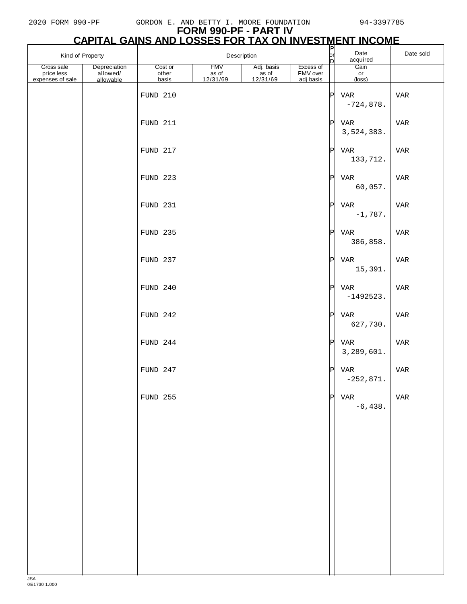| Kind of Property                             |                                       |                           | Description                     |                                 |                                    | $\overline{q}$<br>Date<br>acquired<br>D |                        | Date sold  |
|----------------------------------------------|---------------------------------------|---------------------------|---------------------------------|---------------------------------|------------------------------------|-----------------------------------------|------------------------|------------|
| Gross sale<br>price less<br>expenses of sale | Depreciation<br>allowed/<br>allowable | Cost or<br>other<br>basis | <b>FMV</b><br>as of<br>12/31/69 | Adj. basis<br>as of<br>12/31/69 | Excess of<br>FMV over<br>adj basis |                                         | Gain<br>or<br>(loss)   |            |
|                                              |                                       | FUND 210                  |                                 |                                 |                                    | $ {\tt P} $                             | VAR<br>$-724,878.$     | VAR        |
|                                              |                                       | FUND 211                  |                                 |                                 |                                    | P                                       | VAR<br>3,524,383.      | VAR        |
|                                              |                                       | FUND 217                  |                                 |                                 |                                    | P                                       | VAR<br>133,712.        | VAR        |
|                                              |                                       | FUND 223                  |                                 |                                 |                                    | P                                       | VAR<br>60,057.         | VAR        |
|                                              |                                       | FUND 231                  |                                 |                                 |                                    | P                                       | VAR<br>$-1,787.$       | VAR        |
|                                              |                                       | FUND 235                  |                                 |                                 |                                    | P                                       | VAR<br>386,858.        | <b>VAR</b> |
|                                              |                                       | FUND 237                  |                                 |                                 |                                    | P                                       | VAR<br>15,391.         | <b>VAR</b> |
|                                              |                                       | FUND 240                  |                                 |                                 |                                    | P                                       | VAR<br>$-1492523.$     | VAR        |
|                                              |                                       | FUND 242                  |                                 |                                 |                                    | P                                       | VAR<br>627,730.        | VAR        |
|                                              |                                       | FUND 244                  |                                 |                                 |                                    | $ {\rm P} $                             | VAR<br>3,289,601.      | VAR        |
|                                              |                                       | FUND 247                  |                                 |                                 |                                    | P                                       | VAR<br>$-252,871.$     | VAR        |
|                                              |                                       | FUND 255                  |                                 |                                 |                                    |                                         | $ P $ VAR<br>$-6,438.$ | VAR        |
|                                              |                                       |                           |                                 |                                 |                                    |                                         |                        |            |
|                                              |                                       |                           |                                 |                                 |                                    |                                         |                        |            |
|                                              |                                       |                           |                                 |                                 |                                    |                                         |                        |            |
|                                              |                                       |                           |                                 |                                 |                                    |                                         |                        |            |
|                                              |                                       |                           |                                 |                                 |                                    |                                         |                        |            |
|                                              |                                       |                           |                                 |                                 |                                    |                                         |                        |            |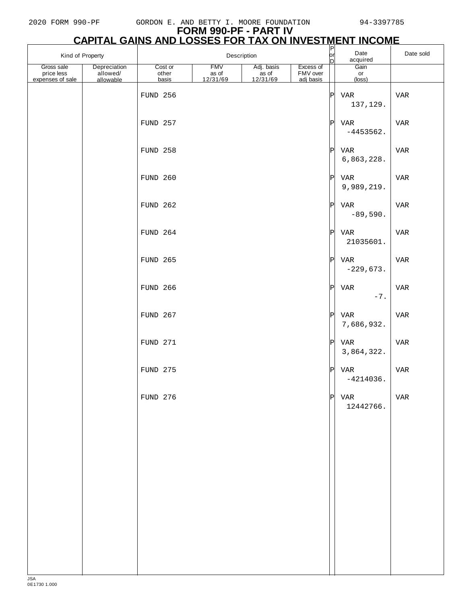| Depreciation<br>Gross sale<br>allowed/<br>price less<br>expenses of sale<br>allowable | Cost or<br>other<br>basis<br><b>FUND 256</b><br>FUND 257<br>FUND 258 | <b>FMV</b><br>as of<br>12/31/69 | Adj. basis<br>as of<br>12/31/69 | Excess of<br>FMV over<br>adj basis | D<br>$\vert P \vert$ | Gain<br>or<br>(loss)<br>VAR | <b>VAR</b> |
|---------------------------------------------------------------------------------------|----------------------------------------------------------------------|---------------------------------|---------------------------------|------------------------------------|----------------------|-----------------------------|------------|
|                                                                                       |                                                                      |                                 |                                 |                                    |                      |                             |            |
|                                                                                       |                                                                      |                                 |                                 |                                    |                      | 137,129.                    |            |
|                                                                                       |                                                                      |                                 |                                 |                                    | $ \mathbb{P} $       | VAR<br>$-4453562.$          | VAR        |
|                                                                                       |                                                                      |                                 |                                 |                                    |                      | $ P $ VAR<br>6,863,228.     | VAR        |
|                                                                                       | FUND 260                                                             |                                 |                                 |                                    | P                    | VAR<br>9,989,219.           | VAR        |
|                                                                                       | FUND 262                                                             |                                 |                                 |                                    | P                    | VAR<br>$-89,590.$           | VAR        |
|                                                                                       | FUND 264                                                             |                                 |                                 |                                    | $ {\rm P} $          | VAR<br>21035601.            | VAR        |
|                                                                                       | <b>FUND 265</b>                                                      |                                 |                                 |                                    |                      | $ P $ VAR<br>$-229,673.$    | VAR        |
|                                                                                       | <b>FUND 266</b>                                                      |                                 |                                 |                                    | $ \mathbf{P} $       | VAR<br>$-7.$                | <b>VAR</b> |
|                                                                                       | FUND 267                                                             |                                 |                                 |                                    | $ {\rm P} $          | VAR<br>7,686,932.           | VAR        |
|                                                                                       | FUND 271                                                             |                                 |                                 |                                    | $ {\tt P} $          | VAR<br>3,864,322.           | <b>VAR</b> |
|                                                                                       | FUND 275                                                             |                                 |                                 |                                    |                      | IPI VAR<br>$-4214036.$      | VAR        |
|                                                                                       | <b>FUND 276</b>                                                      |                                 |                                 |                                    |                      | $ P $ VAR<br>12442766.      | VAR        |
|                                                                                       |                                                                      |                                 |                                 |                                    |                      |                             |            |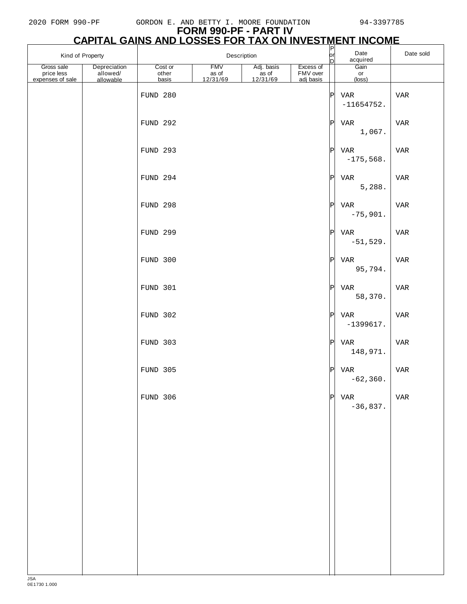| Kind of Property                             |                                       |                           | Description                     |                                             |                                    | $\frac{P}{Q}$ | Date<br>acquired                           | Date sold  |
|----------------------------------------------|---------------------------------------|---------------------------|---------------------------------|---------------------------------------------|------------------------------------|---------------|--------------------------------------------|------------|
| Gross sale<br>price less<br>expenses of sale | Depreciation<br>allowed/<br>allowable | Cost or<br>other<br>basis | <b>FMV</b><br>as of<br>12/31/69 | Adj. basis<br>as of<br>$\frac{12/31/69}{2}$ | Excess of<br>FMV over<br>adj basis |               | Gain<br>$\mathsf{or}\,$<br>$(\text{loss})$ |            |
|                                              |                                       | FUND 280                  |                                 |                                             |                                    | P             | VAR<br>$-11654752.$                        | VAR        |
|                                              |                                       | <b>FUND 292</b>           |                                 |                                             |                                    | P             | VAR<br>1,067.                              | VAR        |
|                                              |                                       | <b>FUND 293</b>           |                                 |                                             |                                    | P             | VAR<br>$-175,568.$                         | VAR        |
|                                              |                                       | FUND 294                  |                                 |                                             |                                    | P             | VAR<br>5,288.                              | VAR        |
|                                              |                                       | <b>FUND 298</b>           |                                 |                                             |                                    | P             | VAR<br>$-75,901.$                          | VAR        |
|                                              |                                       | <b>FUND 299</b>           |                                 |                                             |                                    | P             | VAR<br>$-51,529.$                          | <b>VAR</b> |
|                                              |                                       | FUND 300                  |                                 |                                             |                                    | P             | VAR<br>95,794.                             | VAR        |
|                                              |                                       | FUND 301                  |                                 |                                             |                                    | P             | VAR<br>58,370.                             | VAR        |
|                                              |                                       | FUND 302                  |                                 |                                             |                                    | P             | VAR<br>$-1399617.$                         | VAR        |
|                                              |                                       | FUND 303                  |                                 |                                             |                                    | P             | VAR<br>148,971.                            | VAR        |
|                                              |                                       | FUND 305                  |                                 |                                             |                                    | P             | VAR<br>$-62,360.$                          | <b>VAR</b> |
|                                              |                                       | FUND 306                  |                                 |                                             |                                    | P             | VAR<br>$-36,837.$                          | VAR        |
|                                              |                                       |                           |                                 |                                             |                                    |               |                                            |            |
|                                              |                                       |                           |                                 |                                             |                                    |               |                                            |            |
|                                              |                                       |                           |                                 |                                             |                                    |               |                                            |            |
|                                              |                                       |                           |                                 |                                             |                                    |               |                                            |            |
|                                              |                                       |                           |                                 |                                             |                                    |               |                                            |            |
|                                              |                                       |                           |                                 |                                             |                                    |               |                                            |            |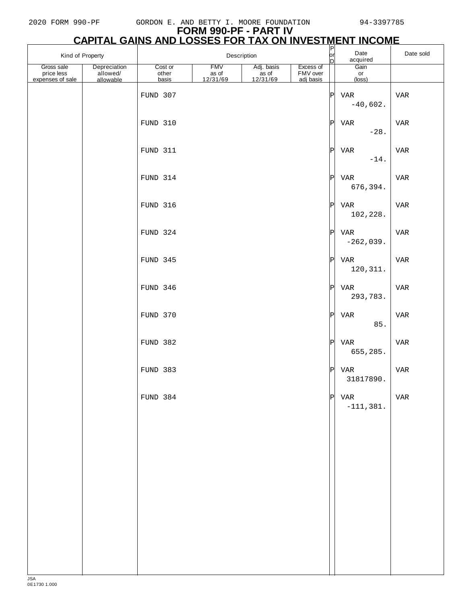# **FORM 990-PF - PART IV**

|                                              | <u>CAPITAL GAINS AND LOSSES FOR TAX ON INVESTMENT INCOME</u> |                           |                                 |                                |                                    |                                    |                      |           |
|----------------------------------------------|--------------------------------------------------------------|---------------------------|---------------------------------|--------------------------------|------------------------------------|------------------------------------|----------------------|-----------|
| Kind of Property                             |                                                              |                           |                                 | Description                    |                                    | $\overline{\mathsf{P}}$<br>or<br>D | Date<br>acquired     | Date sold |
| Gross sale<br>price less<br>expenses of sale | Depreciation<br>allowed/<br>allowable                        | Cost or<br>other<br>basis | <b>FMV</b><br>as of<br>12/31/69 | Adj. basis<br>$rac{12}{31/69}$ | Excess of<br>FMV over<br>adj basis |                                    | Gain<br>or<br>(loss) |           |
|                                              |                                                              | FUND 307                  |                                 |                                |                                    | P                                  | VAR<br>$-40,602.$    | VAR       |
|                                              |                                                              | FUND 310                  |                                 |                                |                                    | P                                  | VAR<br>$-28.$        | VAR       |
|                                              |                                                              | FUND 311                  |                                 |                                |                                    | P                                  | VAR<br>$-14.$        | VAR       |
|                                              |                                                              | FUND 314                  |                                 |                                |                                    | P                                  | VAR<br>676,394.      | VAR       |
|                                              |                                                              | FUND 316                  |                                 |                                |                                    | P                                  | VAR<br>102,228.      | VAR       |
|                                              |                                                              | FUND 324                  |                                 |                                |                                    | P                                  | VAR<br>$-262,039.$   | VAR       |
|                                              |                                                              | FUND 345                  |                                 |                                |                                    | P                                  | VAR<br>120, 311.     | VAR       |
|                                              |                                                              | FUND 346                  |                                 |                                |                                    | P                                  | VAR<br>293,783.      | VAR       |
|                                              |                                                              | FUND 370                  |                                 |                                |                                    | P                                  | VAR<br>85.           | VAR       |
|                                              |                                                              | FUND 382                  |                                 |                                |                                    | P                                  | VAR<br>655,285.      | VAR       |
|                                              |                                                              | FUND 383                  |                                 |                                |                                    | P                                  | VAR<br>31817890.     | VAR       |
|                                              |                                                              | FUND 384                  |                                 |                                |                                    | P                                  | VAR<br>$-111,381.$   | VAR       |
|                                              |                                                              |                           |                                 |                                |                                    |                                    |                      |           |
|                                              |                                                              |                           |                                 |                                |                                    |                                    |                      |           |
|                                              |                                                              |                           |                                 |                                |                                    |                                    |                      |           |
|                                              |                                                              |                           |                                 |                                |                                    |                                    |                      |           |
|                                              |                                                              |                           |                                 |                                |                                    |                                    |                      |           |
|                                              |                                                              |                           |                                 |                                |                                    |                                    |                      |           |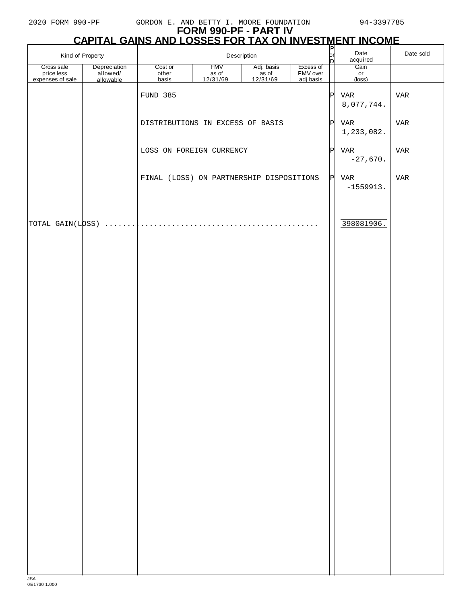| Kind of Property                             |                                       | CAPITAL GAINS AND LOSSES FOR TAX ON INVESTMENT INCOME |                                 | Description                     |                                    | lorl            | Date                             | Date sold  |
|----------------------------------------------|---------------------------------------|-------------------------------------------------------|---------------------------------|---------------------------------|------------------------------------|-----------------|----------------------------------|------------|
| Gross sale<br>price less<br>expenses of sale | Depreciation<br>allowed/<br>allowable | Cost or<br>other<br>basis                             | <b>FMV</b><br>as of<br>12/31/69 | Adj. basis<br>as of<br>12/31/69 | Excess of<br>FMV over<br>adj basis | D               | acquired<br>Gain<br>or<br>(loss) |            |
|                                              |                                       | FUND 385                                              |                                 |                                 |                                    | $\vert P \vert$ | VAR<br>8,077,744.                | <b>VAR</b> |
|                                              |                                       | DISTRIBUTIONS IN EXCESS OF BASIS                      |                                 |                                 |                                    | P               | VAR<br>1,233,082.                | VAR        |
|                                              |                                       | LOSS ON FOREIGN CURRENCY                              |                                 |                                 |                                    | $\vert P \vert$ | VAR<br>$-27,670.$                | VAR        |
|                                              |                                       | FINAL (LOSS) ON PARTNERSHIP DISPOSITIONS              |                                 |                                 |                                    | P               | VAR<br>$-1559913.$               | VAR        |
| TOTAL GAIN(LOSS)                             |                                       |                                                       |                                 |                                 |                                    |                 | 398081906.                       |            |
|                                              |                                       |                                                       |                                 |                                 |                                    |                 |                                  |            |
|                                              |                                       |                                                       |                                 |                                 |                                    |                 |                                  |            |
|                                              |                                       |                                                       |                                 |                                 |                                    |                 |                                  |            |
|                                              |                                       |                                                       |                                 |                                 |                                    |                 |                                  |            |
|                                              |                                       |                                                       |                                 |                                 |                                    |                 |                                  |            |
|                                              |                                       |                                                       |                                 |                                 |                                    |                 |                                  |            |
|                                              |                                       |                                                       |                                 |                                 |                                    |                 |                                  |            |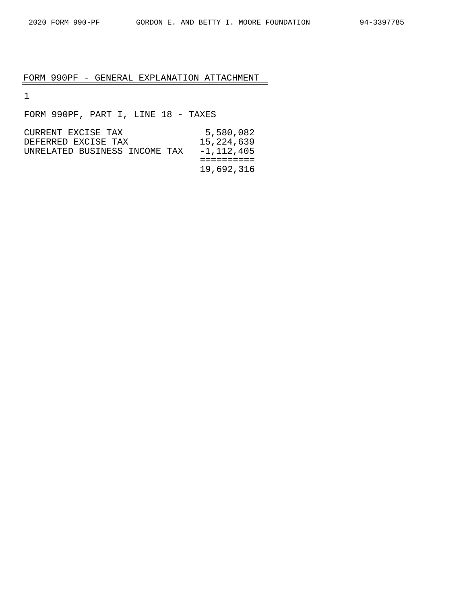# FORM 990PF - GENERAL EXPLANATION ATTACHMENT

1

FORM 990PF, PART I, LINE 18 - TAXES

| CURRENT EXCISE TAX            | 5,580,082  |
|-------------------------------|------------|
| DEFERRED EXCISE TAX           | 15,224,639 |
| UNRELATED BUSINESS INCOME TAX | -1,112,405 |
|                               |            |
|                               | 19,692,316 |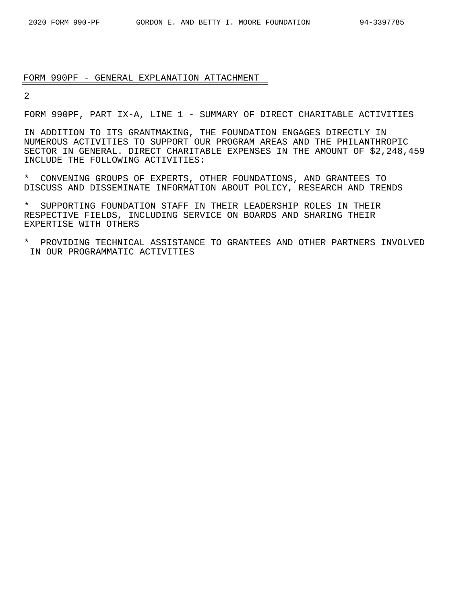#### FORM 990PF - GENERAL EXPLANATION ATTACHMENT

2

FORM 990PF, PART IX-A, LINE 1 - SUMMARY OF DIRECT CHARITABLE ACTIVITIES

IN ADDITION TO ITS GRANTMAKING, THE FOUNDATION ENGAGES DIRECTLY IN NUMEROUS ACTIVITIES TO SUPPORT OUR PROGRAM AREAS AND THE PHILANTHROPIC SECTOR IN GENERAL. DIRECT CHARITABLE EXPENSES IN THE AMOUNT OF \$2,248,459 INCLUDE THE FOLLOWING ACTIVITIES:

\* CONVENING GROUPS OF EXPERTS, OTHER FOUNDATIONS, AND GRANTEES TO DISCUSS AND DISSEMINATE INFORMATION ABOUT POLICY, RESEARCH AND TRENDS

SUPPORTING FOUNDATION STAFF IN THEIR LEADERSHIP ROLES IN THEIR RESPECTIVE FIELDS, INCLUDING SERVICE ON BOARDS AND SHARING THEIR EXPERTISE WITH OTHERS

\* PROVIDING TECHNICAL ASSISTANCE TO GRANTEES AND OTHER PARTNERS INVOLVED IN OUR PROGRAMMATIC ACTIVITIES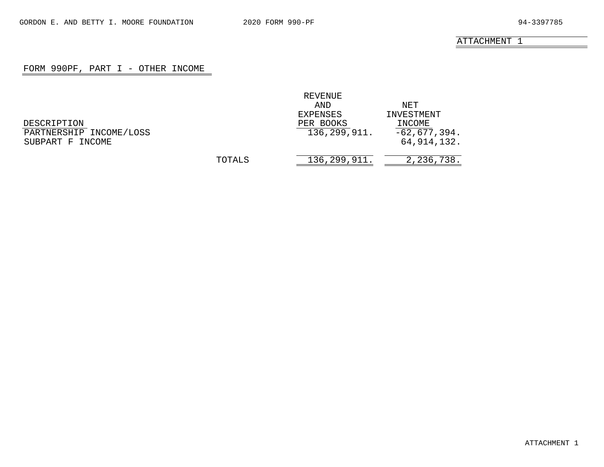# FORM 990PF, PART I - OTHER INCOME

<span id="page-30-0"></span>

|                         |        | REVENUE      |                |
|-------------------------|--------|--------------|----------------|
|                         |        | AND          | NET            |
|                         |        | EXPENSES     | INVESTMENT     |
| DESCRIPTION             |        | PER BOOKS    | INCOME         |
| PARTNERSHIP INCOME/LOSS |        | 136,299,911. | $-62,677,394.$ |
| SUBPART F INCOME        |        |              | 64, 914, 132.  |
|                         | TOTALS | 136,299,911. | 2,236,738.     |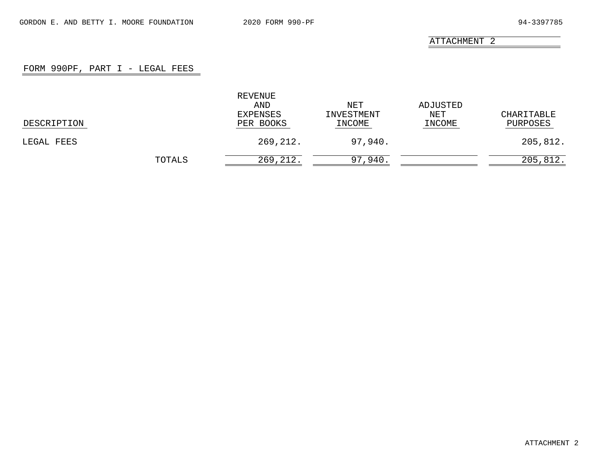# FORM 990PF, PART I - LEGAL FEES

<span id="page-31-0"></span>

|             |        | REVENUE<br>AND<br>EXPENSES | NET<br>INVESTMENT | ADJUSTED<br>NET | CHARITABLE |
|-------------|--------|----------------------------|-------------------|-----------------|------------|
| DESCRIPTION |        | PER BOOKS                  | INCOME            | INCOME          | PURPOSES   |
| LEGAL FEES  |        | 269,212.                   | 97,940.           |                 | 205,812.   |
|             | TOTALS | 269,212.                   | 97,940.           |                 | 205,812.   |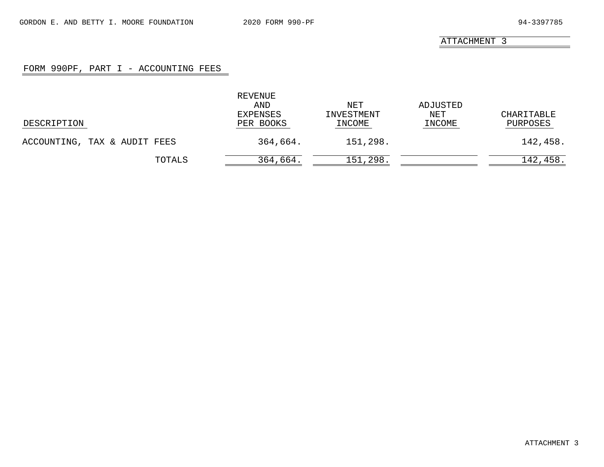# FORM 990PF, PART I - ACCOUNTING FEES

<span id="page-32-0"></span>

|                              | REVENUE<br>AND<br>EXPENSES | NET<br>INVESTMENT | ADJUSTED<br>NET | CHARITABLE |
|------------------------------|----------------------------|-------------------|-----------------|------------|
| DESCRIPTION                  | PER BOOKS                  | INCOME            | INCOME          | PURPOSES   |
| ACCOUNTING, TAX & AUDIT FEES | 364,664.                   | 151,298.          |                 | 142,458.   |
| TOTALS                       | 364,664.                   | 151,298.          |                 | 142,458.   |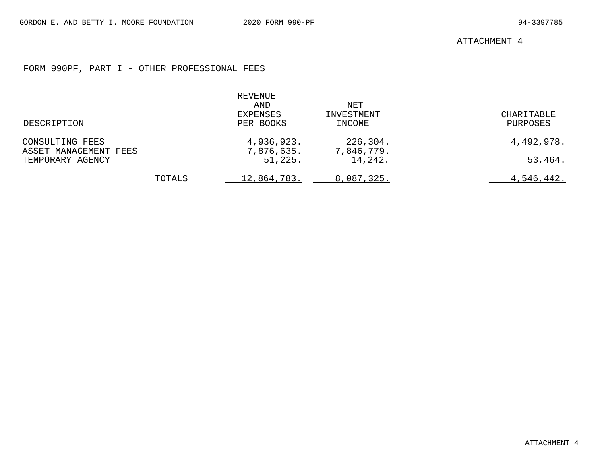# FORM 990PF, PART I - OTHER PROFESSIONAL FEES

<span id="page-33-0"></span>

| DESCRIPTION                               |        | REVENUE<br>AND<br>EXPENSES<br>PER BOOKS | NET<br>INVESTMENT<br>INCOME | CHARITABLE<br>PURPOSES |
|-------------------------------------------|--------|-----------------------------------------|-----------------------------|------------------------|
| CONSULTING FEES                           |        | 4,936,923.                              | 226,304.                    | 4,492,978.             |
| ASSET MANAGEMENT FEES<br>TEMPORARY AGENCY |        | 7,876,635.<br>51,225.                   | 7,846,779.<br>14,242.       | 53,464.                |
|                                           | TOTALS | 12,864,783.                             | 8,087,325.                  | 4,546,442.             |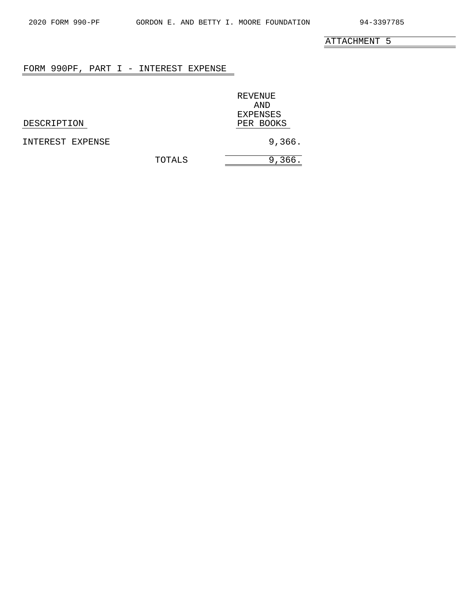$\overline{\phantom{a}}$ 

ATTACHMENT 5

## <span id="page-34-0"></span>FORM 990PF, PART I - INTEREST EXPENSE

REVENUE AND EXPENSES<br>PER BOOKS

DESCRIPTION

INTEREST EXPENSE 366.

TOTALS 9,366.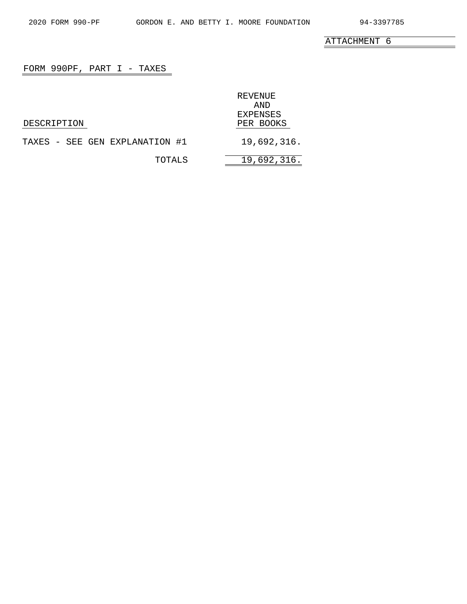e.

ATTACHMENT 6

# <span id="page-35-0"></span>FORM 990PF, PART I - TAXES

|                                | REVENUE<br>AND<br><b>EXPENSES</b> |
|--------------------------------|-----------------------------------|
| DESCRIPTION                    | PER BOOKS                         |
| TAXES - SEE GEN EXPLANATION #1 | 19,692,316.                       |
| TOTALS                         | 19,692,316.                       |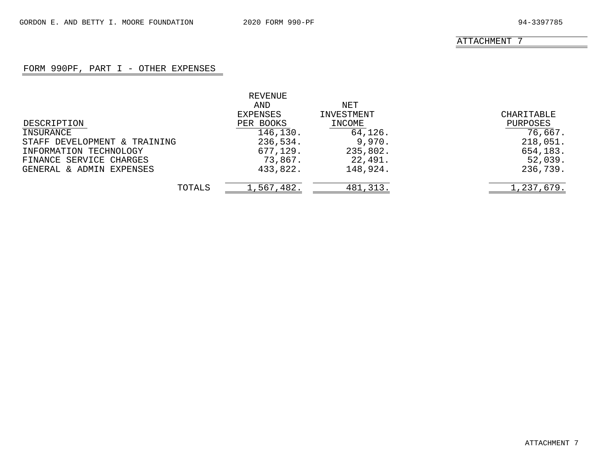# FORM 990PF, PART I - OTHER EXPENSES

|                              | REVENUE    |            |            |
|------------------------------|------------|------------|------------|
|                              | AND        | NET        |            |
|                              | EXPENSES   | INVESTMENT | CHARITABLE |
| DESCRIPTION                  | PER BOOKS  | INCOME     | PURPOSES   |
| INSURANCE                    | 146,130.   | 64,126.    | 76,667.    |
| STAFF DEVELOPMENT & TRAINING | 236,534.   | 9,970.     | 218,051.   |
| INFORMATION TECHNOLOGY       | 677,129.   | 235,802.   | 654,183.   |
| FINANCE SERVICE CHARGES      | 73,867.    | 22,491.    | 52,039.    |
| GENERAL & ADMIN EXPENSES     | 433,822.   | 148,924.   | 236,739.   |
| TOTALS                       | 1,567,482. | 481, 313.  | 1,237,679. |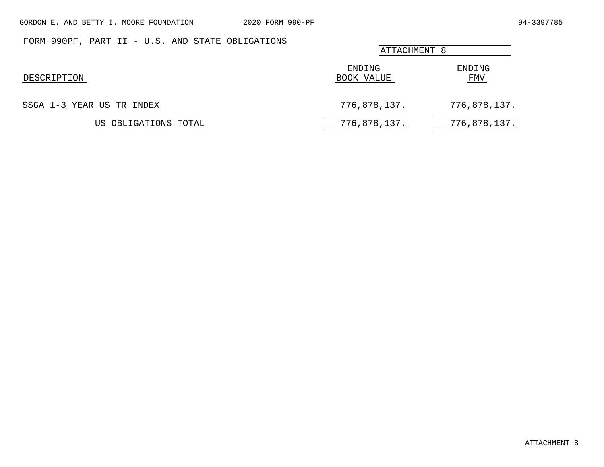| FORM 990PF, PART II - U.S. AND STATE OBLIGATIONS | ATTACHMENT 8         |               |
|--------------------------------------------------|----------------------|---------------|
| DESCRIPTION                                      | ENDING<br>BOOK VALUE | ENDING<br>FMV |
| SSGA 1-3 YEAR US TR INDEX                        | 776,878,137.         | 776,878,137.  |
| US OBLIGATIONS TOTAL                             | 776,878,137.         | 776,878,137.  |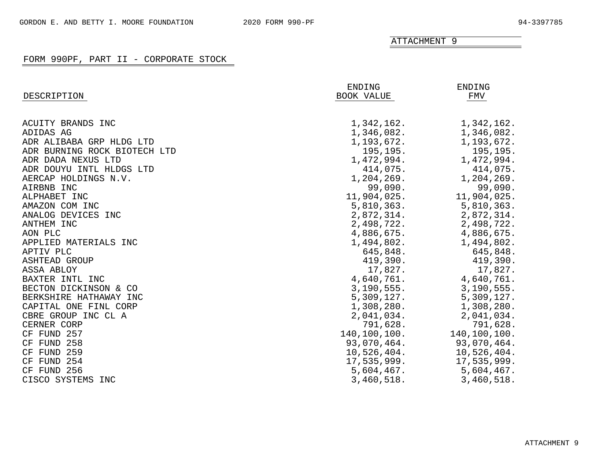|                              | ENDING       | ENDING       |
|------------------------------|--------------|--------------|
| DESCRIPTION                  | BOOK VALUE   | FMV          |
| ACUITY BRANDS INC            | 1,342,162.   | 1,342,162.   |
| ADIDAS AG                    | 1,346,082.   | 1,346,082.   |
| ADR ALIBABA GRP HLDG LTD     | 1,193,672.   | 1,193,672.   |
| ADR BURNING ROCK BIOTECH LTD | 195,195.     | 195,195.     |
| ADR DADA NEXUS LTD           | 1,472,994.   | 1,472,994.   |
| ADR DOUYU INTL HLDGS LTD     | 414,075.     | 414,075.     |
| AERCAP HOLDINGS N.V.         | 1,204,269.   | 1,204,269.   |
| AIRBNB INC                   | 99,090.      | 99,090.      |
| ALPHABET INC                 | 11,904,025.  | 11,904,025.  |
| AMAZON COM INC               | 5,810,363.   | 5,810,363.   |
| ANALOG DEVICES INC           | 2,872,314.   | 2,872,314.   |
| ANTHEM INC                   | 2,498,722.   | 2,498,722.   |
| AON PLC                      | 4,886,675.   | 4,886,675.   |
| APPLIED MATERIALS INC        | 1,494,802.   | 1,494,802.   |
| APTIV PLC                    | 645,848.     | 645,848.     |
| <b>ASHTEAD GROUP</b>         | 419,390.     | 419,390.     |
| ASSA ABLOY                   | 17,827.      | 17,827.      |
| BAXTER INTL INC              | 4,640,761.   | 4,640,761.   |
| BECTON DICKINSON & CO        | 3,190,555.   | 3,190,555.   |
| BERKSHIRE HATHAWAY INC       | 5,309,127.   | 5,309,127.   |
| CAPITAL ONE FINL CORP        | 1,308,280.   | 1,308,280.   |
| CBRE GROUP INC CL A          | 2,041,034.   | 2,041,034.   |
| CERNER CORP                  | 791,628.     | 791,628.     |
| CF FUND 257                  | 140,100,100. | 140,100,100. |
| CF FUND 258                  | 93,070,464.  | 93,070,464.  |
| CF FUND 259                  | 10,526,404.  | 10,526,404.  |
| FUND 254<br>CF               | 17,535,999.  | 17,535,999.  |
| CF FUND 256                  | 5,604,467.   | 5,604,467.   |
| CISCO SYSTEMS<br>INC         | 3,460,518.   | 3,460,518.   |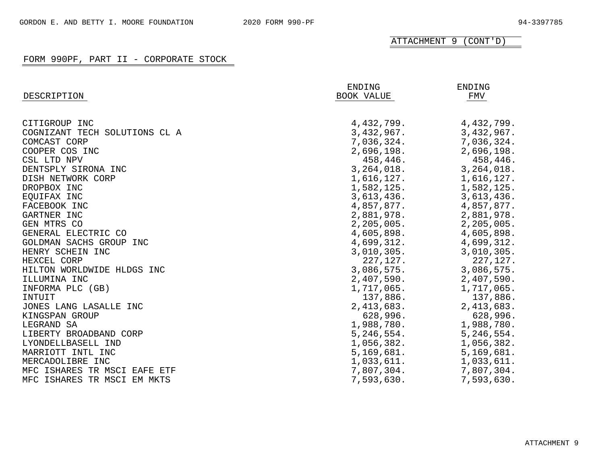| DESCRIPTION                   | ENDING<br>BOOK VALUE | ENDING<br>FMV |
|-------------------------------|----------------------|---------------|
|                               |                      |               |
| CITIGROUP INC                 | 4,432,799.           | 4,432,799.    |
| COGNIZANT TECH SOLUTIONS CL A | 3,432,967.           | 3,432,967.    |
| COMCAST CORP                  | 7,036,324.           | 7,036,324.    |
| COOPER COS INC                | 2,696,198.           | 2,696,198.    |
| CSL LTD NPV                   | 458,446.             | 458,446.      |
| DENTSPLY SIRONA INC           | 3, 264, 018.         | 3,264,018.    |
| DISH NETWORK CORP             | 1,616,127.           | 1,616,127.    |
| DROPBOX INC                   | 1,582,125.           | 1,582,125.    |
| EOUIFAX INC                   | 3,613,436.           | 3,613,436.    |
| FACEBOOK INC                  | 4,857,877.           | 4,857,877.    |
| GARTNER INC                   | 2,881,978.           | 2,881,978.    |
| GEN MTRS CO                   | 2, 205, 005.         | 2,205,005.    |
| GENERAL ELECTRIC CO           | 4,605,898.           | 4,605,898.    |
| GOLDMAN SACHS GROUP INC       | 4,699,312.           | 4,699,312.    |
| HENRY SCHEIN INC              | 3,010,305.           | 3,010,305.    |
| HEXCEL CORP                   | 227, 127.            | 227, 127.     |
| HILTON WORLDWIDE HLDGS INC    | 3,086,575.           | 3,086,575.    |
| ILLUMINA INC                  | 2,407,590.           | 2,407,590.    |
| INFORMA PLC (GB)              | 1,717,065.           | 1,717,065.    |
| INTUIT                        | 137,886.             | 137,886.      |
| JONES LANG LASALLE INC        | 2, 413, 683.         | 2,413,683.    |
| KINGSPAN GROUP                | 628,996.             | 628,996.      |
| LEGRAND SA                    | 1,988,780.           | 1,988,780.    |
| LIBERTY BROADBAND CORP        | 5, 246, 554.         | 5,246,554.    |
| LYONDELLBASELL IND            | 1,056,382.           | 1,056,382.    |
| MARRIOTT INTL INC             | 5,169,681.           | 5,169,681.    |
| MERCADOLIBRE INC              | 1,033,611.           | 1,033,611.    |
| MFC ISHARES TR MSCI EAFE ETF  | 7,807,304.           | 7,807,304.    |
| MFC ISHARES TR MSCI EM MKTS   | 7,593,630.           | 7,593,630.    |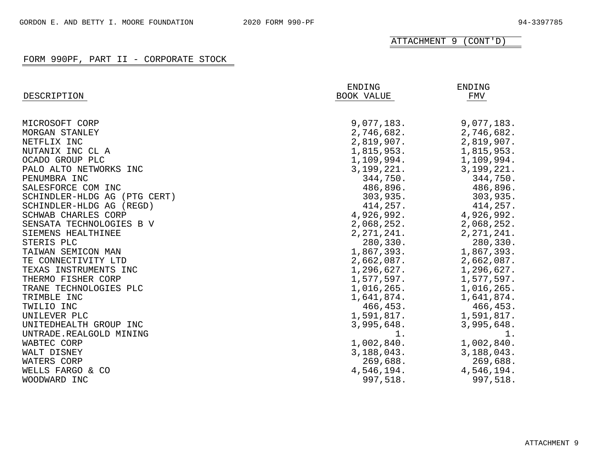|                              | ENDING       | ENDING       |
|------------------------------|--------------|--------------|
| DESCRIPTION                  | BOOK VALUE   | FMV          |
|                              |              |              |
| MICROSOFT CORP               | 9,077,183.   | 9,077,183.   |
| MORGAN STANLEY               | 2,746,682.   | 2,746,682.   |
| NETFLIX INC                  | 2,819,907.   | 2,819,907.   |
| NUTANIX INC CL A             | 1,815,953.   | 1,815,953.   |
| OCADO GROUP PLC              | 1,109,994.   | 1,109,994.   |
| PALO ALTO NETWORKS INC       | 3,199,221.   | 3,199,221.   |
| PENUMBRA INC                 | 344,750.     | 344,750.     |
| SALESFORCE COM INC           | 486,896.     | 486,896.     |
| SCHINDLER-HLDG AG (PTG CERT) | 303,935.     | 303,935.     |
| SCHINDLER-HLDG AG (REGD)     | 414,257.     | 414,257.     |
| SCHWAB CHARLES CORP          | 4,926,992.   | 4,926,992.   |
| SENSATA TECHNOLOGIES B V     | 2,068,252.   | 2,068,252.   |
| SIEMENS HEALTHINEE           | 2, 271, 241. | 2, 271, 241. |
| STERIS PLC                   | 280,330.     | 280,330.     |
| TAIWAN SEMICON MAN           | 1,867,393.   | 1,867,393.   |
| TE CONNECTIVITY LTD          | 2,662,087.   | 2,662,087.   |
| TEXAS INSTRUMENTS INC        | 1,296,627.   | 1,296,627.   |
| THERMO FISHER CORP           | 1,577,597.   | 1,577,597.   |
| TRANE TECHNOLOGIES PLC       | 1,016,265.   | 1,016,265.   |
| TRIMBLE INC                  | 1,641,874.   | 1,641,874.   |
| TWILIO INC                   | 466,453.     | 466,453.     |
| UNILEVER PLC                 | 1,591,817.   | 1,591,817.   |
| UNITEDHEALTH GROUP INC       | 3,995,648.   | 3,995,648.   |
| UNTRADE.REALGOLD MINING      | 1.           | 1.           |
| WABTEC CORP                  | 1,002,840.   | 1,002,840.   |
| WALT DISNEY                  | 3,188,043.   | 3,188,043.   |
| WATERS CORP                  | 269,688.     | 269,688.     |
| WELLS FARGO & CO             | 4,546,194.   | 4,546,194.   |
| WOODWARD INC                 | 997,518.     | 997,518.     |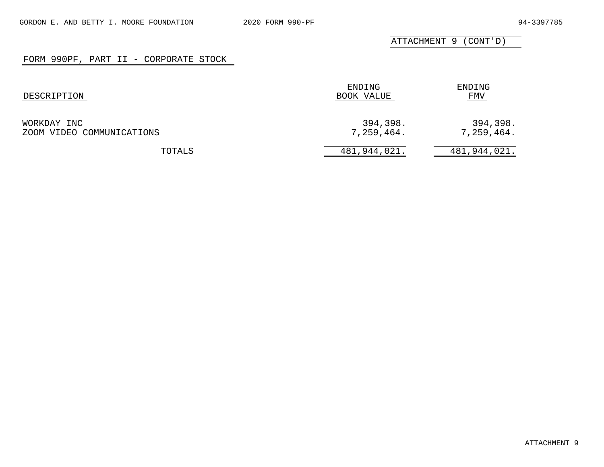| DESCRIPTION                              | ENDING<br>BOOK VALUE   | ENDING<br>FMV          |
|------------------------------------------|------------------------|------------------------|
| WORKDAY INC<br>ZOOM VIDEO COMMUNICATIONS | 394,398.<br>7,259,464. | 394,398.<br>7,259,464. |
| TOTALS                                   | 481,944,021.           | 481,944,021.           |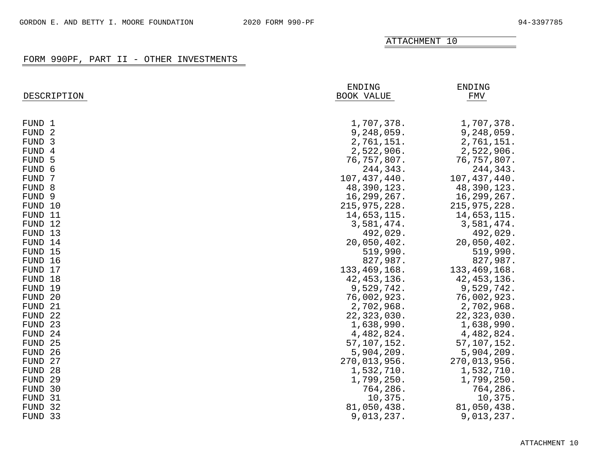|                    | ENDING         | <b>ENDING</b>  |
|--------------------|----------------|----------------|
| DESCRIPTION        | BOOK VALUE     | <b>FMV</b>     |
|                    |                |                |
|                    |                |                |
| FUND 1             | 1,707,378.     | 1,707,378.     |
| FUND <sub>2</sub>  | 9,248,059.     | 9,248,059.     |
| FUND 3             | 2,761,151.     | 2,761,151.     |
| FUND 4             | 2,522,906.     | 2,522,906.     |
| FUND 5             | 76,757,807.    | 76,757,807.    |
| FUND 6             | 244,343.       | 244,343.       |
| FUND<br>-7         | 107, 437, 440. | 107, 437, 440. |
| FUND 8             | 48,390,123.    | 48,390,123.    |
| FUND <sub>9</sub>  | 16,299,267.    | 16,299,267.    |
| FUND 10            | 215, 975, 228. | 215, 975, 228. |
| FUND 11            | 14,653,115.    | 14,653,115.    |
| FUND 12            | 3,581,474.     | 3,581,474.     |
| FUND 13            | 492,029.       | 492,029.       |
| FUND 14            | 20,050,402.    | 20,050,402.    |
| FUND 15            | 519,990.       | 519,990.       |
| FUND 16            | 827,987.       | 827,987.       |
| FUND 17            | 133, 469, 168. | 133, 469, 168. |
| FUND 18            | 42, 453, 136.  | 42, 453, 136.  |
| FUND 19            | 9,529,742.     | 9,529,742.     |
| FUND<br>-20        | 76,002,923.    | 76,002,923.    |
| <b>FUND</b><br>-21 | 2,702,968.     | 2,702,968.     |
| 22<br><b>FUND</b>  | 22,323,030.    | 22,323,030.    |
| 23<br><b>FUND</b>  | 1,638,990.     | 1,638,990.     |
| <b>FUND</b><br>24  | 4,482,824.     | 4,482,824.     |
| <b>FUND</b><br>25  | 57, 107, 152.  | 57,107,152.    |
| <b>FUND</b><br>26  | 5,904,209.     | 5,904,209.     |
| <b>FUND</b><br>27  | 270,013,956.   | 270,013,956.   |
| <b>FUND</b><br>28  | 1,532,710.     | 1,532,710.     |
| <b>FUND</b><br>29  | 1,799,250.     | 1,799,250.     |
| FUND<br>-30        | 764,286.       | 764,286.       |
| FUND<br>-31        | 10,375.        | 10,375.        |
| 32<br>FUND         | 81,050,438.    | 81,050,438.    |
| FUND 33            | 9,013,237.     | 9,013,237.     |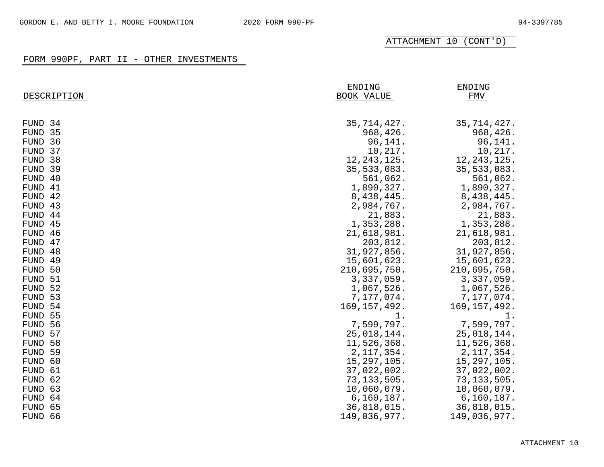|                   | ENDING         | <b>ENDING</b>  |
|-------------------|----------------|----------------|
| DESCRIPTION       | BOOK VALUE     | ${\tt FMV}$    |
|                   |                |                |
| FUND 34           | 35, 714, 427.  | 35,714,427.    |
| FUND 35           | 968,426.       | 968,426.       |
| FUND 36           | 96,141.        | 96,141.        |
| FUND 37           | 10,217.        | 10,217.        |
| FUND 38           | 12, 243, 125.  | 12, 243, 125.  |
| FUND 39           | 35, 533, 083.  | 35, 533, 083.  |
| FUND 40           | 561,062.       | 561,062.       |
| FUND 41           | 1,890,327.     | 1,890,327.     |
| FUND 42           | 8,438,445.     | 8,438,445.     |
| FUND 43           | 2,984,767.     | 2,984,767.     |
| FUND 44           | 21,883.        | 21,883.        |
| FUND 45           | 1,353,288.     | 1,353,288.     |
| FUND 46           | 21,618,981.    | 21,618,981.    |
| FUND 47           | 203,812.       | 203,812.       |
| FUND<br>-48       | 31,927,856.    | 31,927,856.    |
| FUND<br>49        | 15,601,623.    | 15,601,623.    |
| FUND<br>50        | 210,695,750.   | 210,695,750.   |
| <b>FUND</b><br>51 | 3,337,059.     | 3,337,059.     |
| FUND<br>-52       | 1,067,526.     | 1,067,526.     |
| FUND<br>-53       | 7,177,074.     | 7,177,074.     |
| FUND<br>-54       | 169, 157, 492. | 169, 157, 492. |
| 55<br>FUND        | $1$ .          | 1.             |
| 56<br>FUND        | 7,599,797.     | 7,599,797.     |
| 57<br>FUND        | 25,018,144.    | 25,018,144.    |
| 58<br>FUND        | 11,526,368.    | 11,526,368.    |
| <b>FUND</b><br>59 | 2, 117, 354.   | 2, 117, 354.   |
| 60<br>FUND        | 15, 297, 105.  | 15,297,105.    |
| 61<br>FUND        | 37,022,002.    | 37,022,002.    |
| 62<br>FUND        | 73, 133, 505.  | 73, 133, 505.  |
| 63<br>FUND        | 10,060,079.    | 10,060,079.    |
| FUND<br>64        | 6, 160, 187.   | 6, 160, 187.   |
| 65<br>FUND        | 36,818,015.    | 36,818,015.    |
| FUND 66           | 149,036,977.   | 149,036,977.   |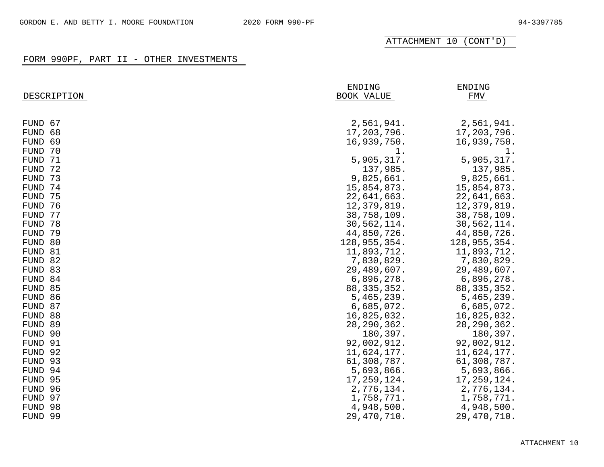|                   | <b>ENDING</b> | <b>ENDING</b> |
|-------------------|---------------|---------------|
| DESCRIPTION       | BOOK VALUE    | FMV           |
|                   |               |               |
|                   |               |               |
| FUND 67           | 2,561,941.    | 2,561,941.    |
| 68<br><b>FUND</b> | 17,203,796.   | 17,203,796.   |
| 69<br><b>FUND</b> | 16,939,750.   | 16,939,750.   |
| 70<br><b>FUND</b> | 1.            | 1.            |
| 71<br><b>FUND</b> | 5,905,317.    | 5,905,317.    |
| 72<br><b>FUND</b> | 137,985.      | 137,985.      |
| 73<br><b>FUND</b> | 9,825,661.    | 9,825,661.    |
| 74<br><b>FUND</b> | 15,854,873.   | 15,854,873.   |
| 75<br><b>FUND</b> | 22,641,663.   | 22,641,663.   |
| 76<br><b>FUND</b> | 12,379,819.   | 12,379,819.   |
| 77<br><b>FUND</b> | 38,758,109.   | 38,758,109.   |
| 78<br><b>FUND</b> | 30,562,114.   | 30,562,114.   |
| 79<br><b>FUND</b> | 44,850,726.   | 44,850,726.   |
| FUND 80           | 128,955,354.  | 128,955,354.  |
| FUND 81           | 11,893,712.   | 11,893,712.   |
| FUND 82           | 7,830,829.    | 7,830,829.    |
| FUND 83           | 29,489,607.   | 29,489,607.   |
| FUND 84           | 6,896,278.    | 6,896,278.    |
| FUND 85           | 88, 335, 352. | 88, 335, 352. |
| FUND 86           | 5,465,239.    | 5,465,239.    |
| FUND 87           | 6,685,072.    | 6,685,072.    |
| FUND 88           | 16,825,032.   | 16,825,032.   |
| FUND 89           | 28, 290, 362. | 28, 290, 362. |
| FUND 90           | 180,397.      | 180,397.      |
| FUND 91           | 92,002,912.   | 92,002,912.   |
| FUND 92           | 11,624,177.   | 11,624,177.   |
| FUND 93           | 61,308,787.   | 61,308,787.   |
| FUND 94           | 5,693,866.    | 5,693,866.    |
| FUND 95           | 17,259,124.   | 17,259,124.   |
| FUND 96           | 2,776,134.    | 2,776,134.    |
| FUND 97           | 1,758,771.    | 1,758,771.    |
| FUND 98           | 4,948,500.    | 4,948,500.    |
| FUND 99           | 29,470,710.   | 29,470,710.   |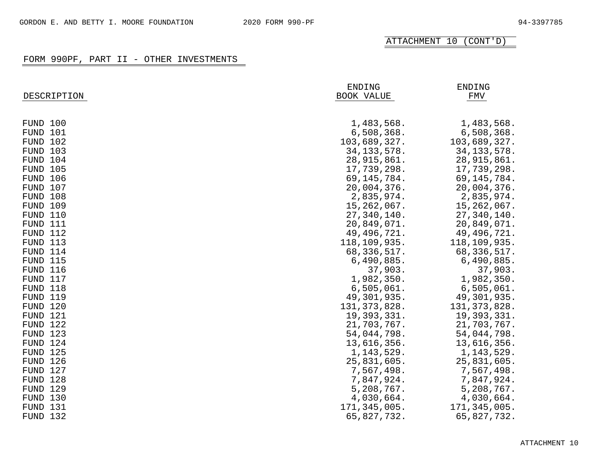| DESCRIPTION     | ENDING<br><b>BOOK VALUE</b> | <b>ENDING</b><br><b>FMV</b> |
|-----------------|-----------------------------|-----------------------------|
| FUND 100        | 1,483,568.                  | 1,483,568.                  |
| FUND 101        | 6,508,368.                  | 6,508,368.                  |
| FUND 102        | 103,689,327.                | 103,689,327.                |
| FUND 103        | 34, 133, 578.               | 34, 133, 578.               |
| FUND 104        | 28, 915, 861.               | 28, 915, 861.               |
| FUND 105        | 17,739,298.                 | 17,739,298.                 |
| FUND 106        | 69, 145, 784.               | 69, 145, 784.               |
| FUND 107        | 20,004,376.                 | 20,004,376.                 |
| FUND 108        | 2,835,974.                  | 2,835,974.                  |
| <b>FUND 109</b> | 15,262,067.                 | 15,262,067.                 |
| FUND 110        | 27,340,140.                 | 27,340,140.                 |
| FUND 111        | 20,849,071.                 | 20,849,071.                 |
| FUND 112        | 49, 496, 721.               | 49, 496, 721.               |
| FUND 113        | 118,109,935.                | 118,109,935.                |
| FUND 114        | 68,336,517.                 | 68, 336, 517.               |
| FUND 115        | 6,490,885.                  | 6,490,885.                  |
| FUND 116        | 37,903.                     | 37,903.                     |
| FUND 117        | 1,982,350.                  | 1,982,350.                  |
| FUND 118        | 6,505,061.                  | 6,505,061.                  |
| <b>FUND 119</b> | 49,301,935.                 | 49,301,935.                 |
| FUND 120        | 131, 373, 828.              | 131, 373, 828.              |
| FUND 121        | 19,393,331.                 | 19,393,331.                 |
| FUND 122        | 21,703,767.                 | 21,703,767.                 |
| FUND 123        | 54,044,798.                 | 54,044,798.                 |
| FUND 124        | 13,616,356.                 | 13,616,356.                 |
| FUND 125        | 1, 143, 529.                | 1, 143, 529.                |
| FUND 126        | 25,831,605.                 | 25,831,605.                 |
| FUND 127        | 7,567,498.                  | 7,567,498.                  |
| FUND 128        | 7,847,924.                  | 7,847,924.                  |
| FUND 129        | 5,208,767.                  | 5,208,767.                  |
| FUND 130        | 4,030,664.                  | 4,030,664.                  |
| FUND 131        | 171,345,005.                | 171,345,005.                |
| FUND 132        | 65,827,732.                 | 65,827,732.                 |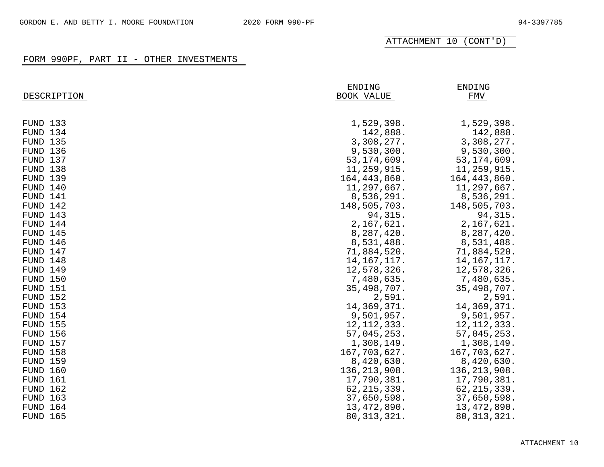|                 | ENDING            | <b>ENDING</b>  |
|-----------------|-------------------|----------------|
| DESCRIPTION     | <b>BOOK VALUE</b> | <b>FMV</b>     |
|                 |                   |                |
|                 |                   |                |
| FUND 133        | 1,529,398.        | 1,529,398.     |
| FUND 134        | 142,888.          | 142,888.       |
| <b>FUND 135</b> | 3,308,277.        | 3,308,277.     |
| FUND 136        | 9,530,300.        | 9,530,300.     |
| FUND 137        | 53, 174, 609.     | 53, 174, 609.  |
| FUND 138        | 11,259,915.       | 11,259,915.    |
| <b>FUND 139</b> | 164, 443, 860.    | 164, 443, 860. |
| FUND 140        | 11,297,667.       | 11,297,667.    |
| FUND 141        | 8,536,291.        | 8,536,291.     |
| FUND 142        | 148,505,703.      | 148,505,703.   |
| FUND 143        | 94, 315.          | 94,315.        |
| FUND 144        | 2,167,621.        | 2,167,621.     |
| FUND 145        | 8,287,420.        | 8,287,420.     |
| FUND 146        | 8,531,488.        | 8,531,488.     |
| FUND 147        | 71,884,520.       | 71,884,520.    |
| FUND 148        | 14, 167, 117.     | 14, 167, 117.  |
| FUND 149        | 12,578,326.       | 12,578,326.    |
| <b>FUND 150</b> | 7,480,635.        | 7,480,635.     |
| <b>FUND 151</b> | 35,498,707.       | 35,498,707.    |
| FUND 152        | 2,591.            | 2,591.         |
| <b>FUND 153</b> | 14,369,371.       | 14,369,371.    |
| FUND 154        | 9,501,957.        | 9,501,957.     |
| <b>FUND 155</b> | 12, 112, 333.     | 12, 112, 333.  |
| <b>FUND 156</b> | 57,045,253.       | 57,045,253.    |
| <b>FUND 157</b> | 1,308,149.        | 1,308,149.     |
| <b>FUND 158</b> | 167,703,627.      | 167,703,627.   |
| <b>FUND 159</b> | 8,420,630.        | 8,420,630.     |
| <b>FUND 160</b> | 136, 213, 908.    | 136, 213, 908. |
| <b>FUND 161</b> | 17,790,381.       | 17,790,381.    |
| <b>FUND 162</b> | 62, 215, 339.     | 62, 215, 339.  |
| <b>FUND 163</b> | 37,650,598.       | 37,650,598.    |
| FUND 164        | 13, 472, 890.     | 13,472,890.    |
| <b>FUND 165</b> | 80, 313, 321.     | 80, 313, 321.  |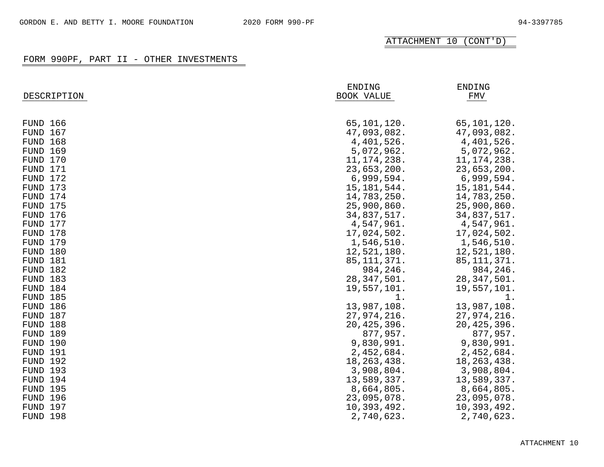| DESCRIPTION          | ENDING<br>BOOK VALUE       | <b>ENDING</b><br>FMV         |
|----------------------|----------------------------|------------------------------|
| <b>FUND 166</b>      | 65,101,120.                | 65,101,120.                  |
| <b>FUND 167</b>      | 47,093,082.                | 47,093,082.                  |
| <b>FUND 168</b>      | 4,401,526.                 | 4,401,526.                   |
| <b>FUND 169</b>      | 5,072,962.                 | 5,072,962.                   |
| FUND 170             | 11, 174, 238.              | 11, 174, 238.                |
| FUND 171             | 23,653,200.                | 23,653,200.                  |
| FUND 172             | 6,999,594.                 | 6,999,594.                   |
| FUND 173             | 15, 181, 544.              | 15, 181, 544.                |
| FUND 174             | 14,783,250.                | 14,783,250.                  |
| FUND 175             | 25,900,860.                | 25,900,860.                  |
| FUND 176             | 34,837,517.                | 34,837,517.                  |
| FUND 177             | 4,547,961.                 | 4,547,961.                   |
| FUND 178             | 17,024,502.                | 17,024,502.                  |
| FUND 179             | 1,546,510.                 | 1,546,510.                   |
| FUND 180             | 12,521,180.                | 12,521,180.                  |
| FUND 181             | 85, 111, 371.              | 85, 111, 371.                |
| FUND 182             | 984,246.                   | 984,246.                     |
| FUND 183             | 28, 347, 501.              | 28, 347, 501.                |
| FUND 184             | 19,557,101.                | 19,557,101.                  |
| <b>FUND 185</b>      | 1.                         | 1.                           |
| FUND 186<br>FUND 187 | 13,987,108.<br>27,974,216. | 13,987,108.                  |
| FUND 188             | 20, 425, 396.              | 27,974,216.<br>20, 425, 396. |
| FUND 189             | 877,957.                   | 877,957.                     |
| FUND 190             | 9,830,991.                 | 9,830,991.                   |
| FUND 191             | 2,452,684.                 | 2,452,684.                   |
| FUND 192             | 18, 263, 438.              | 18, 263, 438.                |
| FUND 193             | 3,908,804.                 | 3,908,804.                   |
| FUND 194             | 13,589,337.                | 13,589,337.                  |
| FUND 195             | 8,664,805.                 | 8,664,805.                   |
| FUND 196             | 23,095,078.                | 23,095,078.                  |
| FUND 197             | 10,393,492.                | 10,393,492.                  |
| FUND 198             | 2,740,623.                 | 2,740,623.                   |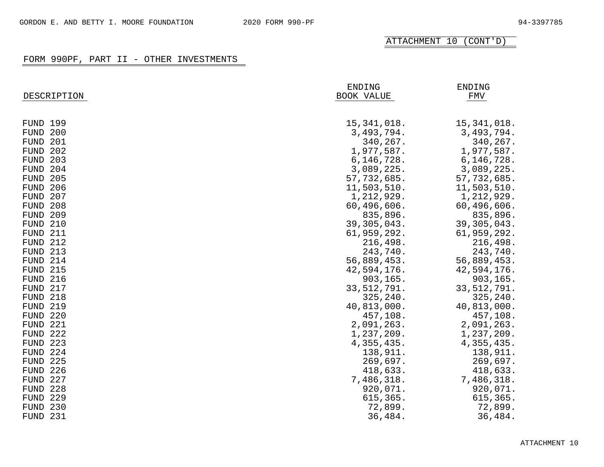| DESCRIPTION     | ENDING<br><b>BOOK VALUE</b> |               |
|-----------------|-----------------------------|---------------|
| <b>FUND 199</b> | 15, 341, 018.               | 15, 341, 018. |
| FUND 200        | 3,493,794.                  | 3,493,794.    |
| FUND 201        | 340,267.                    | 340,267.      |
| FUND 202        | 1,977,587.                  | 1,977,587.    |
| FUND 203        | 6, 146, 728.                | 6, 146, 728.  |
| FUND 204        | 3,089,225.                  | 3,089,225.    |
| <b>FUND 205</b> | 57,732,685.                 | 57,732,685.   |
| FUND 206        | 11,503,510.                 | 11,503,510.   |
| FUND 207        | 1,212,929.                  | 1,212,929.    |
| FUND 208        | 60,496,606.                 | 60,496,606.   |
| <b>FUND 209</b> | 835,896.                    | 835,896.      |
| FUND 210        | 39,305,043.                 | 39,305,043.   |
| FUND 211        | 61,959,292.                 | 61,959,292.   |
| FUND 212        | 216,498.                    | 216,498.      |
| FUND 213        | 243,740.                    | 243,740.      |
| FUND 214        | 56,889,453.                 | 56,889,453.   |
| <b>FUND 215</b> | 42,594,176.                 | 42,594,176.   |
| FUND 216        | 903,165.                    | 903,165.      |
| FUND 217        | 33, 512, 791.               | 33, 512, 791. |
| FUND 218        | 325,240.                    | 325, 240.     |
| <b>FUND 219</b> | 40,813,000.                 | 40,813,000.   |
| FUND 220        | 457,108.                    | 457,108.      |
| FUND 221        | 2,091,263.                  | 2,091,263.    |
| FUND 222        | 1,237,209.                  | 1,237,209.    |
| FUND 223        | 4, 355, 435.                | 4, 355, 435.  |
| FUND 224        | 138,911.                    | 138,911.      |
| FUND 225        | 269,697.                    | 269,697.      |
| FUND 226        | 418,633.                    | 418,633.      |
| 227<br>FUND     | 7,486,318.                  | 7,486,318.    |
| 228<br>FUND     | 920,071.                    | 920,071.      |
| 229<br>FUND     | 615,365.                    | 615,365.      |
| 230<br>FUND     | 72,899.                     | 72,899.       |
| FUND 231        | 36,484.                     | 36,484.       |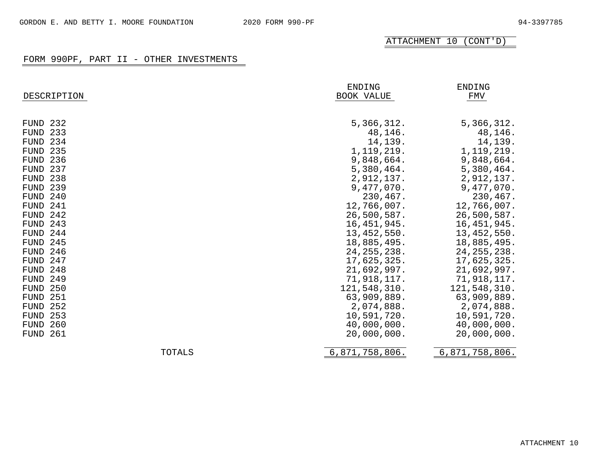| DESCRIPTION        | ENDING<br>BOOK VALUE | <b>ENDING</b><br>FMV |
|--------------------|----------------------|----------------------|
| FUND 232           | 5,366,312.           | 5,366,312.           |
| 233<br>FUND        | 48,146.              | 48,146.              |
| 234<br>FUND        | 14,139.              | 14,139.              |
| <b>FUND 235</b>    | 1, 119, 219.         | 1, 119, 219.         |
| FUND<br>-236       | 9,848,664.           | 9,848,664.           |
| 237<br>FUND        | 5,380,464.           | 5,380,464.           |
| 238<br>FUND        | 2,912,137.           | 2,912,137.           |
| 239<br>FUND        | 9,477,070.           | 9,477,070.           |
| 240<br>FUND        | 230,467.             | 230,467.             |
| 241<br>FUND        | 12,766,007.          | 12,766,007.          |
| 242<br><b>FUND</b> | 26,500,587.          | 26,500,587.          |
| 243<br>FUND        | 16, 451, 945.        | 16, 451, 945.        |
| FUND<br>244        | 13, 452, 550.        | 13,452,550.          |
| 245<br>FUND        | 18,885,495.          | 18,885,495.          |
| 246<br>FUND        | 24, 255, 238.        | 24, 255, 238.        |
| 247<br>FUND        | 17,625,325.          | 17,625,325.          |
| 248<br>FUND        | 21,692,997.          | 21,692,997.          |
| 249<br>FUND        | 71,918,117.          | 71,918,117.          |
| 250<br>FUND        | 121,548,310.         | 121,548,310.         |
| FUND<br>251        | 63,909,889.          | 63,909,889.          |
| 252<br>FUND        | 2,074,888.           | 2,074,888.           |
| 253<br>FUND        | 10,591,720.          | 10,591,720.          |
| 260<br>FUND        | 40,000,000.          | 40,000,000.          |
| 261<br>FUND        | 20,000,000.          | 20,000,000.          |
| <b>TOTALS</b>      | 6,871,758,806.       | 6,871,758,806.       |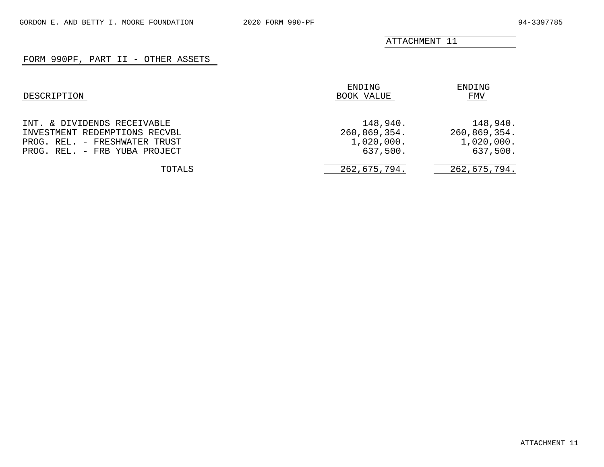# FORM 990PF, PART II - OTHER ASSETS

| DESCRIPTION                                                                                                                    | ENDING<br>BOOK VALUE                               | ENDING<br>FMV                                      |
|--------------------------------------------------------------------------------------------------------------------------------|----------------------------------------------------|----------------------------------------------------|
| INT. & DIVIDENDS RECEIVABLE<br>INVESTMENT REDEMPTIONS RECVBL<br>PROG. REL. - FRESHWATER TRUST<br>PROG. REL. - FRB YUBA PROJECT | 148,940.<br>260,869,354.<br>1,020,000.<br>637,500. | 148,940.<br>260,869,354.<br>1,020,000.<br>637,500. |
| TOTALS                                                                                                                         | 262,675,794.                                       | 262,675,794.                                       |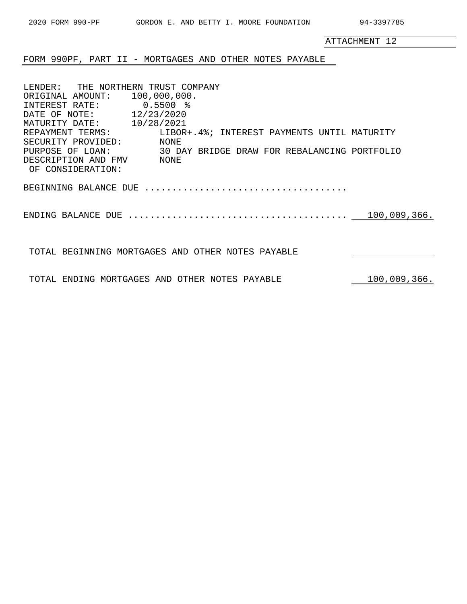|                                                                                                                                                                                                              | ATTACHMENT 12 |
|--------------------------------------------------------------------------------------------------------------------------------------------------------------------------------------------------------------|---------------|
| FORM 990PF, PART II - MORTGAGES AND OTHER NOTES PAYABLE                                                                                                                                                      |               |
| LENDER: THE NORTHERN TRUST COMPANY<br>ORIGINAL AMOUNT: 100,000,000.<br>INTEREST RATE: 0.5500 %<br>DATE OF NOTE: 12/23/2020<br>MATURITY DATE: 10/28/2021                                                      |               |
| REPAYMENT TERMS: LIBOR+.4%; INTEREST PAYMENTS UNTIL MATURITY<br>SECURITY PROVIDED: NONE<br>30 DAY BRIDGE DRAW FOR REBALANCING PORTFOLIO<br>PURPOSE OF LOAN:<br>DESCRIPTION AND FMV NONE<br>OF CONSIDERATION: |               |
|                                                                                                                                                                                                              |               |
|                                                                                                                                                                                                              | 100,009,366.  |
| TOTAL BEGINNING MORTGAGES AND OTHER NOTES PAYABLE                                                                                                                                                            |               |

2020 FORM 990-PF GORDON E. AND BETTY I. MOORE FOUNDATION 94-3397785

TOTAL ENDING MORTGAGES AND OTHER NOTES PAYABLE  $100,009,366$ .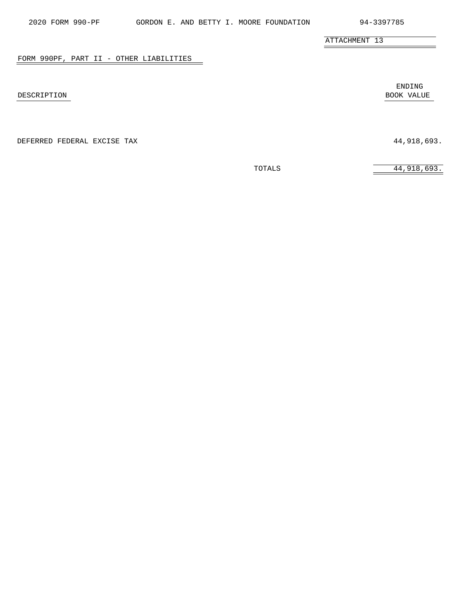## FORM 990PF, PART II - OTHER LIABILITIES

DEFERRED FEDERAL EXCISE TAX 44,918,693.

ENDING DESCRIPTION BOOK VALUE

÷.

TOTALS 44,918,693.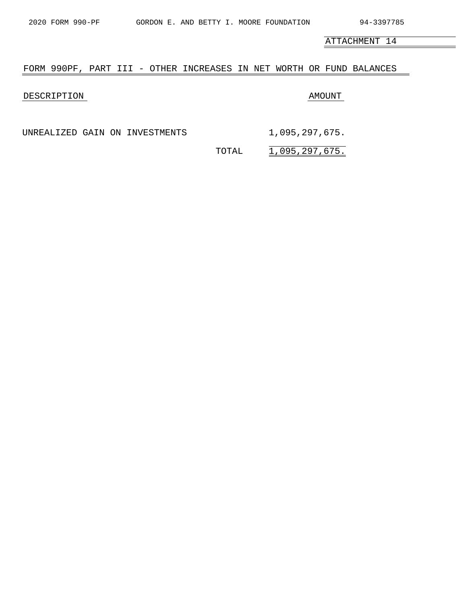## FORM 990PF, PART III - OTHER INCREASES IN NET WORTH OR FUND BALANCES

## DESCRIPTION AMOUNT

UNREALIZED GAIN ON INVESTMENTS 1,095,297,675.

TOTAL 1,095,297,675.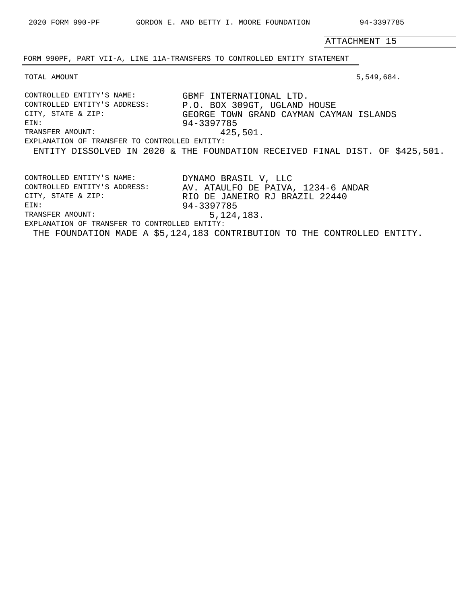$\overline{\phantom{0}}$ 

ATTACHMENT 15

FORM 990PF, PART VII-A, LINE 11A-TRANSFERS TO CONTROLLED ENTITY STATEMENT

TOTAL AMOUNT 5,549,684.

| CONTROLLED ENTITY'S NAME:                     | GBMF INTERNATIONAL LTD.                                                      |  |  |
|-----------------------------------------------|------------------------------------------------------------------------------|--|--|
| CONTROLLED ENTITY'S ADDRESS:                  | P.O. BOX 309GT, UGLAND HOUSE                                                 |  |  |
| CITY, STATE & ZIP:                            | GEORGE TOWN GRAND CAYMAN CAYMAN ISLANDS                                      |  |  |
| EIN:                                          | 94-3397785                                                                   |  |  |
| TRANSFER AMOUNT:                              | 425,501.                                                                     |  |  |
| EXPLANATION OF TRANSFER TO CONTROLLED ENTITY: |                                                                              |  |  |
|                                               | ENTITY DISSOLVED IN 2020 & THE FOUNDATION RECEIVED FINAL DIST. OF \$425,501. |  |  |
|                                               |                                                                              |  |  |
|                                               |                                                                              |  |  |
| CONTROLLED ENTITY'S NAME:                     | DYNAMO BRASIL V, LLC                                                         |  |  |
| CONTROLLED ENTITY'S ADDRESS:                  | AV. ATAULFO DE PAIVA, 1234-6 ANDAR                                           |  |  |
| CITY, STATE & ZIP:                            | RIO DE JANEIRO RJ BRAZIL 22440                                               |  |  |
| EIN:                                          | 94-3397785                                                                   |  |  |
| TRANSFER AMOUNT:                              | 5,124,183.                                                                   |  |  |
| EXPLANATION OF TRANSFER TO CONTROLLED ENTITY: |                                                                              |  |  |
|                                               | THE FOUNDATION MADE A \$5,124,183 CONTRIBUTION TO THE CONTROLLED ENTITY.     |  |  |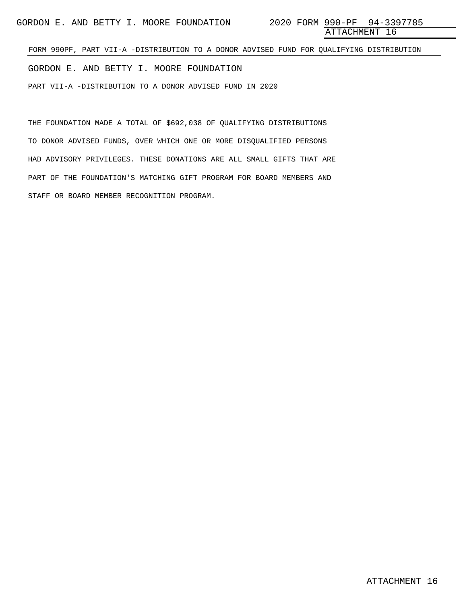FORM 990PF, PART VII-A -DISTRIBUTION TO A DONOR ADVISED FUND FOR QUALIFYING DISTRIBUTION

GORDON E. AND BETTY I. MOORE FOUNDATION

PART VII-A -DISTRIBUTION TO A DONOR ADVISED FUND IN 2020

THE FOUNDATION MADE A TOTAL OF \$692,038 OF QUALIFYING DISTRIBUTIONS TO DONOR ADVISED FUNDS, OVER WHICH ONE OR MORE DISQUALIFIED PERSONS HAD ADVISORY PRIVILEGES. THESE DONATIONS ARE ALL SMALL GIFTS THAT ARE PART OF THE FOUNDATION'S MATCHING GIFT PROGRAM FOR BOARD MEMBERS AND STAFF OR BOARD MEMBER RECOGNITION PROGRAM.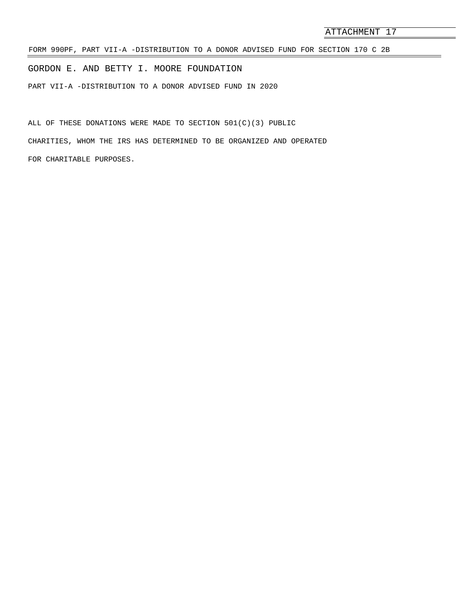FORM 990PF, PART VII-A -DISTRIBUTION TO A DONOR ADVISED FUND FOR SECTION 170 C 2B

GORDON E. AND BETTY I. MOORE FOUNDATION

PART VII-A -DISTRIBUTION TO A DONOR ADVISED FUND IN 2020

ALL OF THESE DONATIONS WERE MADE TO SECTION  $501(C)(3)$  public CHARITIES, WHOM THE IRS HAS DETERMINED TO BE ORGANIZED AND OPERATED FOR CHARITABLE PURPOSES.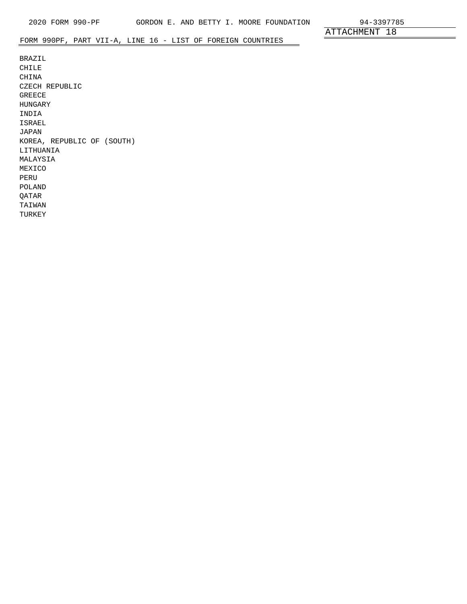# FORM 990PF, PART VII-A, LINE 16 - LIST OF FOREIGN COUNTRIES

BRAZIL CHILE CHINA CZECH REPUBLIC GREECE HUNGARY INDIA ISRAEL JAPAN KOREA, REPUBLIC OF (SOUTH) LITHUANIA MALAYSIA MEXICO PERU POLAND QATAR TAIWAN TURKEY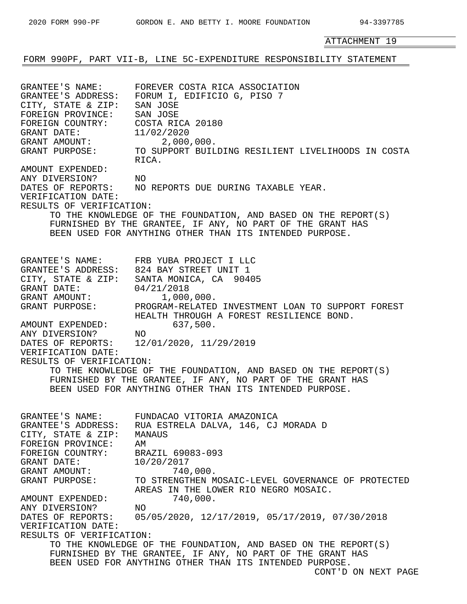FORM 990PF, PART VII-B, LINE 5C-EXPENDITURE RESPONSIBILITY STATEMENT

| GRANTEE'S NAME:<br>GRANTEE'S ADDRESS:<br>CITY, STATE & ZIP:<br>FOREIGN PROVINCE:<br>FOREIGN COUNTRY:<br>GRANT DATE:<br>GRANT AMOUNT: 2,000,000.<br>GRANT PURPOSE:                                                                                | FOREVER COSTA RICA ASSOCIATION<br>FORUM I, EDIFICIO G, PISO 7<br>SAN JOSE<br>SAN JOSE<br>COSTA RICA 20180<br>11/02/2020<br>TO SUPPORT BUILDING RESILIENT LIVELIHOODS IN COSTA<br>RICA.                                                                                                                                                                                                                                                                                                                                               |
|--------------------------------------------------------------------------------------------------------------------------------------------------------------------------------------------------------------------------------------------------|--------------------------------------------------------------------------------------------------------------------------------------------------------------------------------------------------------------------------------------------------------------------------------------------------------------------------------------------------------------------------------------------------------------------------------------------------------------------------------------------------------------------------------------|
| AMOUNT EXPENDED:<br>ANY DIVERSION?<br>NO<br>VERIFICATION DATE:<br>RESULTS OF VERIFICATION:                                                                                                                                                       | DATES OF REPORTS: NO REPORTS DUE DURING TAXABLE YEAR.<br>TO THE KNOWLEDGE OF THE FOUNDATION, AND BASED ON THE REPORT(S)<br>FURNISHED BY THE GRANTEE, IF ANY, NO PART OF THE GRANT HAS<br>BEEN USED FOR ANYTHING OTHER THAN ITS INTENDED PURPOSE.                                                                                                                                                                                                                                                                                     |
| GRANT DATE:<br>GRANT AMOUNT:<br>AMOUNT EXPENDED:<br>ANY DIVERSION? NO<br>VERIFICATION DATE:<br>RESULTS OF VERIFICATION:                                                                                                                          | GRANTEE'S NAME: FRB YUBA PROJECT I LLC<br>GRANTEE'S ADDRESS: 824 BAY STREET UNIT 1<br>CITY, STATE & ZIP: SANTA MONICA, CA 90405<br>04/21/2018<br>1,000,000.<br>GRANT PURPOSE: PROGRAM-RELATED INVESTMENT LOAN TO SUPPORT FOREST<br>HEALTH THROUGH A FOREST RESILIENCE BOND.<br>637,500.<br>DATES OF REPORTS: 12/01/2020, 11/29/2019<br>TO THE KNOWLEDGE OF THE FOUNDATION, AND BASED ON THE REPORT(S)<br>FURNISHED BY THE GRANTEE, IF ANY, NO PART OF THE GRANT HAS<br>BEEN USED FOR ANYTHING OTHER THAN ITS INTENDED PURPOSE.       |
| GRANTEE'S ADDRESS:<br>CITY, STATE & ZIP:<br>FOREIGN PROVINCE:<br>FOREIGN COUNTRY:<br>GRANT DATE:<br>GRANT AMOUNT:<br>GRANT PURPOSE:<br>AMOUNT EXPENDED:<br>ANY DIVERSION?<br>DATES OF REPORTS:<br>VERIFICATION DATE:<br>RESULTS OF VERIFICATION: | GRANTEE'S NAME: FUNDACAO VITORIA AMAZONICA<br>RUA ESTRELA DALVA, 146, CJ MORADA D<br>MANAUS<br>AΜ<br>BRAZIL 69083-093<br>10/20/2017<br>740,000.<br>TO STRENGTHEN MOSAIC-LEVEL GOVERNANCE OF PROTECTED<br>AREAS IN THE LOWER RIO NEGRO MOSAIC.<br>740,000.<br>NO.<br>05/05/2020, 12/17/2019, 05/17/2019, 07/30/2018<br>TO THE KNOWLEDGE OF THE FOUNDATION, AND BASED ON THE REPORT(S)<br>FURNISHED BY THE GRANTEE, IF ANY, NO PART OF THE GRANT HAS<br>BEEN USED FOR ANYTHING OTHER THAN ITS INTENDED PURPOSE.<br>CONT'D ON NEXT PAGE |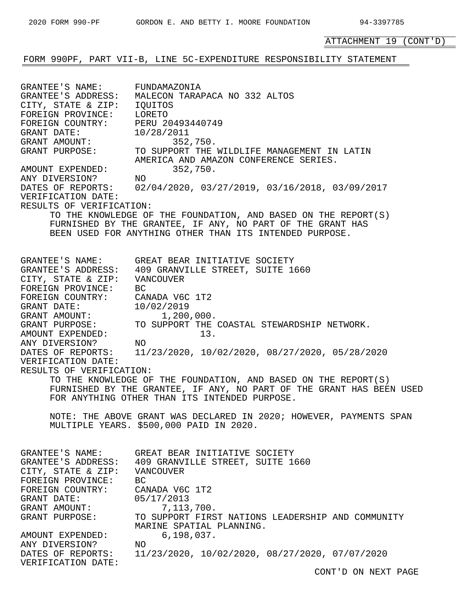# FORM 990PF, PART VII-B, LINE 5C-EXPENDITURE RESPONSIBILITY STATEMENT

| GRANTEE'S NAME: FUNDAMAZONIA                                                                           | GRANTEE'S ADDRESS: MALECON TARAPACA NO 332 ALTOS                                                                                                                                                                                                                                                                                                                                                                                                                                                                                                                                                                                                                                         |
|--------------------------------------------------------------------------------------------------------|------------------------------------------------------------------------------------------------------------------------------------------------------------------------------------------------------------------------------------------------------------------------------------------------------------------------------------------------------------------------------------------------------------------------------------------------------------------------------------------------------------------------------------------------------------------------------------------------------------------------------------------------------------------------------------------|
| CITY, STATE & ZIP: IQUITOS                                                                             | GRANT DATE:<br>GRANT DATE: 10/28/2011<br>GRANT AMOUNT: 352,750.<br>GRANT PURPOSE: TO SUPPORT THE WILDLIFE MANAGEMENT IN LATIN                                                                                                                                                                                                                                                                                                                                                                                                                                                                                                                                                            |
| FOREIGN PROVINCE: LORETO                                                                               | AMERICA AND AMAZON CONFERENCE SERIES.                                                                                                                                                                                                                                                                                                                                                                                                                                                                                                                                                                                                                                                    |
| FOREIGN COUNTRY: PERU 20493440749                                                                      | 352,750.                                                                                                                                                                                                                                                                                                                                                                                                                                                                                                                                                                                                                                                                                 |
| AMOUNT EXPENDED:                                                                                       | DATES OF REPORTS: 02/04/2020, 03/27/2019, 03/16/2018, 03/09/2017                                                                                                                                                                                                                                                                                                                                                                                                                                                                                                                                                                                                                         |
| AMOUNT EXPENDED:<br>ANY DIVERSION? NO                                                                  | TO THE KNOWLEDGE OF THE FOUNDATION, AND BASED ON THE REPORT(S)                                                                                                                                                                                                                                                                                                                                                                                                                                                                                                                                                                                                                           |
| VERIFICATION DATE:                                                                                     | FURNISHED BY THE GRANTEE, IF ANY, NO PART OF THE GRANT HAS                                                                                                                                                                                                                                                                                                                                                                                                                                                                                                                                                                                                                               |
| RESULTS OF VERIFICATION:                                                                               | BEEN USED FOR ANYTHING OTHER THAN ITS INTENDED PURPOSE.                                                                                                                                                                                                                                                                                                                                                                                                                                                                                                                                                                                                                                  |
| CITY, STATE & ZIP: VANCOUVER<br>FOREIGN PROVINCE: BC<br>VERIFICATION DATE:<br>RESULTS OF VERIFICATION: | GRANTEE'S NAME: GREAT BEAR INITIATIVE SOCIETY<br>GRANTEE'S ADDRESS: 409 GRANVILLE STREET, SUITE 1660<br>FOREIGN COUNTRY: CANADA V6C 1T2<br>GRANT DATE: 10/02/2019<br>GRANT AMOUNT: 1,200,000.<br>GRANT PURPOSE: TO SUPPORT THE COASTAL STEWARDSHIP NETWORK.<br>AMOUNT EXPENDED: 13.<br>ANY DIVERSION? NO<br>DATES OF REPORTS: 11/23/2020, 10/02/2020, 08/27/2020, 05/28/2020<br>TO THE KNOWLEDGE OF THE FOUNDATION, AND BASED ON THE REPORT(S)<br>FURNISHED BY THE GRANTEE, IF ANY, NO PART OF THE GRANT HAS BEEN USED<br>FOR ANYTHING OTHER THAN ITS INTENDED PURPOSE.<br>NOTE: THE ABOVE GRANT WAS DECLARED IN 2020; HOWEVER, PAYMENTS SPAN<br>MULTIPLE YEARS. \$500,000 PAID IN 2020. |
| GRANTEE'S NAME:                                                                                        | GREAT BEAR INITIATIVE SOCIETY                                                                                                                                                                                                                                                                                                                                                                                                                                                                                                                                                                                                                                                            |
| CITY, STATE & ZIP: VANCOUVER                                                                           | GRANTEE'S ADDRESS: 409 GRANVILLE STREET, SUITE 1660                                                                                                                                                                                                                                                                                                                                                                                                                                                                                                                                                                                                                                      |
| FOREIGN PROVINCE:                                                                                      | BC                                                                                                                                                                                                                                                                                                                                                                                                                                                                                                                                                                                                                                                                                       |
| FOREIGN COUNTRY:                                                                                       | CANADA V6C 1T2                                                                                                                                                                                                                                                                                                                                                                                                                                                                                                                                                                                                                                                                           |
| GRANT DATE:                                                                                            | 05/17/2013                                                                                                                                                                                                                                                                                                                                                                                                                                                                                                                                                                                                                                                                               |
| GRANT AMOUNT:                                                                                          | 7,113,700.                                                                                                                                                                                                                                                                                                                                                                                                                                                                                                                                                                                                                                                                               |
| GRANT PURPOSE:                                                                                         | TO SUPPORT FIRST NATIONS LEADERSHIP AND COMMUNITY                                                                                                                                                                                                                                                                                                                                                                                                                                                                                                                                                                                                                                        |
| AMOUNT EXPENDED:                                                                                       | MARINE SPATIAL PLANNING.                                                                                                                                                                                                                                                                                                                                                                                                                                                                                                                                                                                                                                                                 |
| ANY DIVERSION?                                                                                         | 6, 198, 037.                                                                                                                                                                                                                                                                                                                                                                                                                                                                                                                                                                                                                                                                             |
| DATES OF REPORTS:                                                                                      | ΝO                                                                                                                                                                                                                                                                                                                                                                                                                                                                                                                                                                                                                                                                                       |
| VERIFICATION DATE:                                                                                     | 11/23/2020, 10/02/2020, 08/27/2020, 07/07/2020                                                                                                                                                                                                                                                                                                                                                                                                                                                                                                                                                                                                                                           |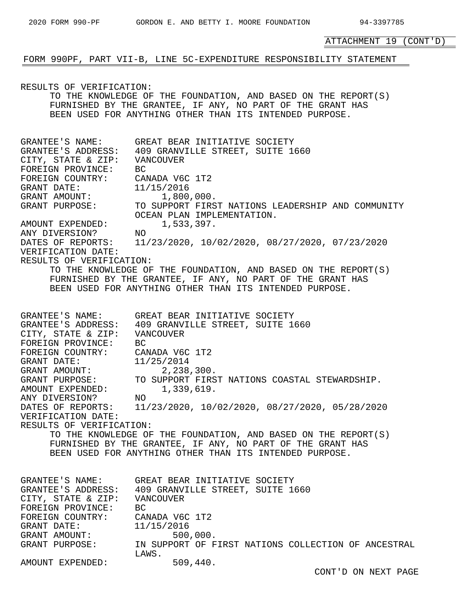### FORM 990PF, PART VII-B, LINE 5C-EXPENDITURE RESPONSIBILITY STATEMENT

RESULTS OF VERIFICATION: TO THE KNOWLEDGE OF THE FOUNDATION, AND BASED ON THE REPORT(S) FURNISHED BY THE GRANTEE, IF ANY, NO PART OF THE GRANT HAS BEEN USED FOR ANYTHING OTHER THAN ITS INTENDED PURPOSE. GRANTEE'S NAME: GREAT BEAR INITIATIVE SOCIETY GRANTEE'S ADDRESS: 409 GRANVILLE STREET, SUITE 1660 CITY, STATE & ZIP: VANCOUVER FOREIGN PROVINCE: BC FOREIGN COUNTRY: CANADA V6C 1T2 GRANT DATE: 11/15/2016 GRANT AMOUNT: 1,800,000. GRANT PURPOSE: TO SUPPORT FIRST NATIONS LEADERSHIP AND COMMUNITY OCEAN PLAN IMPLEMENTATION. AMOUNT EXPENDED: 1,533,397.<br>ANY DIVERSION? NO ANY DIVERSION? DATES OF REPORTS: 11/23/2020, 10/02/2020, 08/27/2020, 07/23/2020 VERIFICATION DATE: RESULTS OF VERIFICATION: TO THE KNOWLEDGE OF THE FOUNDATION, AND BASED ON THE REPORT(S) FURNISHED BY THE GRANTEE, IF ANY, NO PART OF THE GRANT HAS BEEN USED FOR ANYTHING OTHER THAN ITS INTENDED PURPOSE. GRANTEE'S NAME: GREAT BEAR INITIATIVE SOCIETY GRANTEE'S ADDRESS: 409 GRANVILLE STREET, SUITE 1660 CITY, STATE & ZIP: VANCOUVER FOREIGN PROVINCE: BC FOREIGN COUNTRY: CANADA V6C 1T2 GRANT DATE: 11/25/2014 GRANT AMOUNT: 2,238,300. GRANT PURPOSE: TO SUPPORT FIRST NATIONS COASTAL STEWARDSHIP. AMOUNT EXPENDED: 1,339,619. ANY DIVERSION? NO DATES OF REPORTS: 11/23/2020, 10/02/2020, 08/27/2020, 05/28/2020 VERIFICATION DATE: RESULTS OF VERIFICATION: TO THE KNOWLEDGE OF THE FOUNDATION, AND BASED ON THE REPORT(S) FURNISHED BY THE GRANTEE, IF ANY, NO PART OF THE GRANT HAS BEEN USED FOR ANYTHING OTHER THAN ITS INTENDED PURPOSE. GRANTEE'S NAME: GREAT BEAR INITIATIVE SOCIETY<br>GRANTEE'S ADDRESS: 409 GRANVILLE STREET, SUITE 1 409 GRANVILLE STREET, SUITE 1660 CITY, STATE & ZIP: VANCOUVER FOREIGN PROVINCE: BC FOREIGN COUNTRY: CANADA V6C 1T2 GRANT DATE: 11/15/2016 GRANT AMOUNT: 500,000. GRANT PURPOSE: IN SUPPORT OF FIRST NATIONS COLLECTION OF ANCESTRAL LAWS. AMOUNT EXPENDED: 509,440.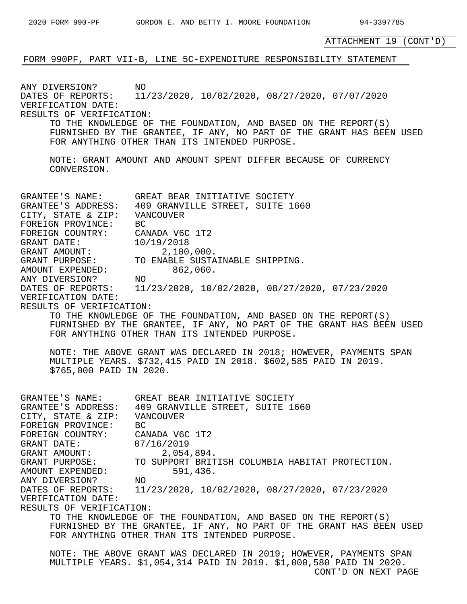ATTACHMENT 19 (CONT'D) FORM 990PF, PART VII-B, LINE 5C-EXPENDITURE RESPONSIBILITY STATEMENT ANY DIVERSION? NO<br>DATES OF REPORTS: 11 DATES OF REPORTS: 11/23/2020, 10/02/2020, 08/27/2020, 07/07/2020 VERIFICATION DATE: RESULTS OF VERIFICATION: TO THE KNOWLEDGE OF THE FOUNDATION, AND BASED ON THE REPORT(S) FURNISHED BY THE GRANTEE, IF ANY, NO PART OF THE GRANT HAS BEEN USED FOR ANYTHING OTHER THAN ITS INTENDED PURPOSE. NOTE: GRANT AMOUNT AND AMOUNT SPENT DIFFER BECAUSE OF CURRENCY CONVERSION. GRANTEE'S NAME: GREAT BEAR INITIATIVE SOCIETY GRANTEE'S ADDRESS: 409 GRANVILLE STREET, SUITE 1660 CITY, STATE & ZIP: VANCOUVER FOREIGN PROVINCE: BC FOREIGN COUNTRY: CANADA V6C 1T2 GRANT DATE: 10/19/2018 GRANT AMOUNT: 2,100,000. GRANT PURPOSE: TO ENABLE SUSTAINABLE SHIPPING. AMOUNT EXPENDED: 862,060. ANY DIVERSION? NO DATES OF REPORTS: 11/23/2020, 10/02/2020, 08/27/2020, 07/23/2020 VERIFICATION DATE: RESULTS OF VERIFICATION: TO THE KNOWLEDGE OF THE FOUNDATION, AND BASED ON THE REPORT(S) FURNISHED BY THE GRANTEE, IF ANY, NO PART OF THE GRANT HAS BEEN USED FOR ANYTHING OTHER THAN ITS INTENDED PURPOSE. NOTE: THE ABOVE GRANT WAS DECLARED IN 2018; HOWEVER, PAYMENTS SPAN MULTIPLE YEARS. \$732,415 PAID IN 2018. \$602,585 PAID IN 2019. \$765,000 PAID IN 2020. GRANTEE'S NAME: GREAT BEAR INITIATIVE SOCIETY GRANTEE'S ADDRESS: 409 GRANVILLE STREET, SUITE 1660 CITY, STATE & ZIP: VANCOUVER FOREIGN PROVINCE: BC FOREIGN COUNTRY: CANADA V6C 1T2 GRANT DATE: 07/16/2019 GRANT AMOUNT: 2,054,894. GRANT PURPOSE: TO SUPPORT BRITISH COLUMBIA HABITAT PROTECTION. AMOUNT EXPENDED: 591,436. ANY DIVERSION? NO DATES OF REPORTS: 11/23/2020, 10/02/2020, 08/27/2020, 07/23/2020 VERIFICATION DATE: RESULTS OF VERIFICATION: TO THE KNOWLEDGE OF THE FOUNDATION, AND BASED ON THE REPORT(S) FURNISHED BY THE GRANTEE, IF ANY, NO PART OF THE GRANT HAS BEEN USED FOR ANYTHING OTHER THAN ITS INTENDED PURPOSE. NOTE: THE ABOVE GRANT WAS DECLARED IN 2019; HOWEVER, PAYMENTS SPAN MULTIPLE YEARS. \$1,054,314 PAID IN 2019. \$1,000,580 PAID IN 2020. CONT'D ON NEXT PAGE

2020 FORM 990-PF GORDON E. AND BETTY I. MOORE FOUNDATION 94-3397785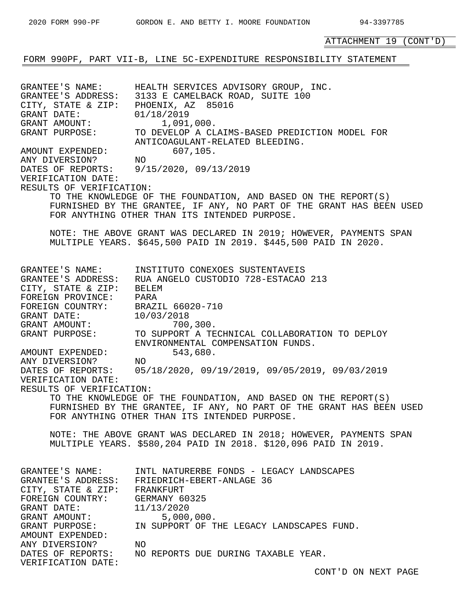# FORM 990PF, PART VII-B, LINE 5C-EXPENDITURE RESPONSIBILITY STATEMENT

GRANTEE'S NAME: HEALTH SERVICES ADVISORY GROUP, INC. GRANTEE'S ADDRESS: 3133 E CAMELBACK ROAD, SUITE 100 CITY, STATE & ZIP: PHOENIX, AZ 85016 GRANT DATE: 01/18/2019 GRANT AMOUNT: 1,091,000. GRANT PURPOSE: TO DEVELOP A CLAIMS-BASED PREDICTION MODEL FOR ANTICOAGULANT-RELATED BLEEDING. AMOUNT EXPENDED: 607,105. ANY DIVERSION? NO DATES OF REPORTS: 9/15/2020, 09/13/2019 VERIFICATION DATE: RESULTS OF VERIFICATION: TO THE KNOWLEDGE OF THE FOUNDATION, AND BASED ON THE REPORT(S) FURNISHED BY THE GRANTEE, IF ANY, NO PART OF THE GRANT HAS BEEN USED FOR ANYTHING OTHER THAN ITS INTENDED PURPOSE. NOTE: THE ABOVE GRANT WAS DECLARED IN 2019; HOWEVER, PAYMENTS SPAN MULTIPLE YEARS. \$645,500 PAID IN 2019. \$445,500 PAID IN 2020. GRANTEE'S NAME: INSTITUTO CONEXOES SUSTENTAVEIS GRANTEE'S ADDRESS: RUA ANGELO CUSTODIO 728-ESTACAO 213 CITY, STATE & ZIP: BELEM FOREIGN PROVINCE: PARA FOREIGN COUNTRY: BRAZIL 66020-710 GRANT DATE: 10/03/2018 GRANT AMOUNT: 700,300. GRANT PURPOSE: TO SUPPORT A TECHNICAL COLLABORATION TO DEPLOY ENVIRONMENTAL COMPENSATION FUNDS. AMOUNT EXPENDED: 543,680.<br>ANY DIVERSION? NO ANY DIVERSION? DATES OF REPORTS: 05/18/2020, 09/19/2019, 09/05/2019, 09/03/2019 VERIFICATION DATE: RESULTS OF VERIFICATION: TO THE KNOWLEDGE OF THE FOUNDATION, AND BASED ON THE REPORT(S) FURNISHED BY THE GRANTEE, IF ANY, NO PART OF THE GRANT HAS BEEN USED FOR ANYTHING OTHER THAN ITS INTENDED PURPOSE. NOTE: THE ABOVE GRANT WAS DECLARED IN 2018; HOWEVER, PAYMENTS SPAN MULTIPLE YEARS. \$580,204 PAID IN 2018. \$120,096 PAID IN 2019. GRANTEE'S NAME: INTL NATURERBE FONDS - LEGACY LANDSCAPES GRANTEE'S ADDRESS: FRIEDRICH-EBERT-ANLAGE 36 CITY, STATE & ZIP: FRANKFURT FOREIGN COUNTRY: GERMANY 60325 GRANT DATE: 11/13/2020 GRANT AMOUNT: 5,000,000. GRANT PURPOSE: IN SUPPORT OF THE LEGACY LANDSCAPES FUND. AMOUNT EXPENDED: ANY DIVERSION? NO DATES OF REPORTS: NO REPORTS DUE DURING TAXABLE YEAR. VERIFICATION DATE: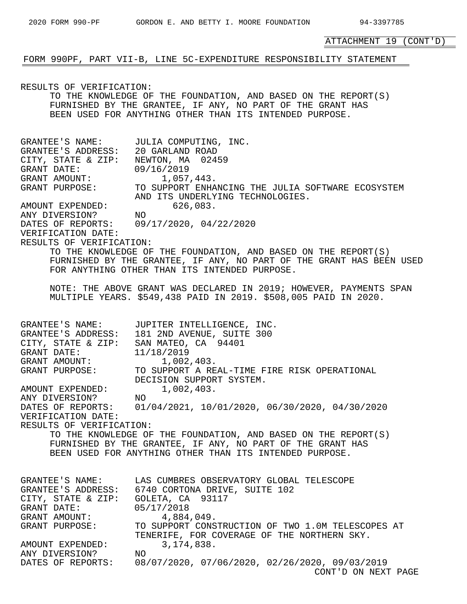FORM 990PF, PART VII-B, LINE 5C-EXPENDITURE RESPONSIBILITY STATEMENT

RESULTS OF VERIFICATION: TO THE KNOWLEDGE OF THE FOUNDATION, AND BASED ON THE REPORT(S) FURNISHED BY THE GRANTEE, IF ANY, NO PART OF THE GRANT HAS BEEN USED FOR ANYTHING OTHER THAN ITS INTENDED PURPOSE. GRANTEE'S NAME: JULIA COMPUTING, INC. GRANTEE'S ADDRESS: 20 GARLAND ROAD CITY, STATE & ZIP: NEWTON, MA 02459 GRANT DATE: 09/16/2019 GRANT AMOUNT:  $1,057,443$ . GRANT PURPOSE: TO SUPPORT ENHANCING THE JULIA SOFTWARE ECOSYSTEM AND ITS UNDERLYING TECHNOLOGIES. AMOUNT EXPENDED: 626,083. ANY DIVERSION? NO DATES OF REPORTS: 09/17/2020, 04/22/2020 VERIFICATION DATE: RESULTS OF VERIFICATION: TO THE KNOWLEDGE OF THE FOUNDATION, AND BASED ON THE REPORT(S) FURNISHED BY THE GRANTEE, IF ANY, NO PART OF THE GRANT HAS BEEN USED FOR ANYTHING OTHER THAN ITS INTENDED PURPOSE. NOTE: THE ABOVE GRANT WAS DECLARED IN 2019; HOWEVER, PAYMENTS SPAN MULTIPLE YEARS. \$549,438 PAID IN 2019. \$508,005 PAID IN 2020. GRANTEE'S NAME: JUPITER INTELLIGENCE, INC. GRANTEE'S ADDRESS: 181 2ND AVENUE, SUITE 300 CITY, STATE & ZIP: SAN MATEO, CA 94401 GRANT DATE: 11/18/2019 GRANT AMOUNT: 1,002,403. GRANT PURPOSE: TO SUPPORT A REAL-TIME FIRE RISK OPERATIONAL DECISION SUPPORT SYSTEM. AMOUNT EXPENDED: 1,002,403. ANY DIVERSION? NO DATES OF REPORTS: 01/04/2021, 10/01/2020, 06/30/2020, 04/30/2020 VERIFICATION DATE: RESULTS OF VERIFICATION: TO THE KNOWLEDGE OF THE FOUNDATION, AND BASED ON THE REPORT(S) FURNISHED BY THE GRANTEE, IF ANY, NO PART OF THE GRANT HAS BEEN USED FOR ANYTHING OTHER THAN ITS INTENDED PURPOSE. GRANTEE'S NAME: LAS CUMBRES OBSERVATORY GLOBAL TELESCOPE GRANTEE'S ADDRESS: 6740 CORTONA DRIVE, SUITE 102 CITY, STATE & ZIP: GOLETA, CA 93117 GRANT DATE: 05/17/2018 GRANT AMOUNT: 4,884,049. GRANT PURPOSE: TO SUPPORT CONSTRUCTION OF TWO 1.0M TELESCOPES AT TENERIFE, FOR COVERAGE OF THE NORTHERN SKY. AMOUNT EXPENDED: 3,174,838. ANY DIVERSION? NO DATES OF REPORTS: 08/07/2020, 07/06/2020, 02/26/2020, 09/03/2019 CONT'D ON NEXT PAGE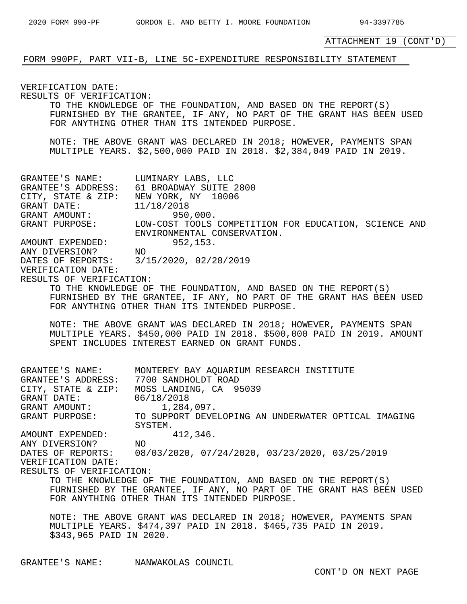# FORM 990PF, PART VII-B, LINE 5C-EXPENDITURE RESPONSIBILITY STATEMENT

VERIFICATION DATE: RESULTS OF VERIFICATION: TO THE KNOWLEDGE OF THE FOUNDATION, AND BASED ON THE REPORT(S) FURNISHED BY THE GRANTEE, IF ANY, NO PART OF THE GRANT HAS BEEN USED FOR ANYTHING OTHER THAN ITS INTENDED PURPOSE. NOTE: THE ABOVE GRANT WAS DECLARED IN 2018; HOWEVER, PAYMENTS SPAN MULTIPLE YEARS. \$2,500,000 PAID IN 2018. \$2,384,049 PAID IN 2019. GRANTEE'S NAME: LUMINARY LABS, LLC<br>GRANTEE'S ADDRESS: 61 BROADWAY SUITE 2800 GRANTEE'S ADDRESS: 61 BROADWAY SUITE 2800 CITY, STATE & ZIP: NEW YORK, NY 10006 GRANT DATE: 11/18/2018 GRANT AMOUNT: 950,000. GRANT PURPOSE: LOW-COST TOOLS COMPETITION FOR EDUCATION, SCIENCE AND ENVIRONMENTAL CONSERVATION. AMOUNT EXPENDED: 952,153. ANY DIVERSION? NO DATES OF REPORTS: 3/15/2020, 02/28/2019 VERIFICATION DATE: RESULTS OF VERIFICATION: TO THE KNOWLEDGE OF THE FOUNDATION, AND BASED ON THE REPORT(S) FURNISHED BY THE GRANTEE, IF ANY, NO PART OF THE GRANT HAS BEEN USED FOR ANYTHING OTHER THAN ITS INTENDED PURPOSE. NOTE: THE ABOVE GRANT WAS DECLARED IN 2018; HOWEVER, PAYMENTS SPAN MULTIPLE YEARS. \$450,000 PAID IN 2018. \$500,000 PAID IN 2019. AMOUNT SPENT INCLUDES INTEREST EARNED ON GRANT FUNDS. GRANTEE'S NAME: MONTEREY BAY AQUARIUM RESEARCH INSTITUTE GRANTEE'S ADDRESS: 7700 SANDHOLDT ROAD CITY, STATE & ZIP: MOSS LANDING, CA 95039 GRANT DATE: 06/18/2018 GRANT AMOUNT:  $1,284,097$ . GRANT PURPOSE: TO SUPPORT DEVELOPING AN UNDERWATER OPTICAL IMAGING SYSTEM.<br>NO<br>C (03/2 AMOUNT EXPENDED: 412,346. ANY DIVERSION? NO DATES OF REPORTS: 08/03/2020, 07/24/2020, 03/23/2020, 03/25/2019 VERIFICATION DATE: RESULTS OF VERIFICATION: TO THE KNOWLEDGE OF THE FOUNDATION, AND BASED ON THE REPORT(S) FURNISHED BY THE GRANTEE, IF ANY, NO PART OF THE GRANT HAS BEEN USED FOR ANYTHING OTHER THAN ITS INTENDED PURPOSE. NOTE: THE ABOVE GRANT WAS DECLARED IN 2018; HOWEVER, PAYMENTS SPAN MULTIPLE YEARS. \$474,397 PAID IN 2018. \$465,735 PAID IN 2019. \$343,965 PAID IN 2020.

GRANTEE'S NAME: NANWAKOLAS COUNCIL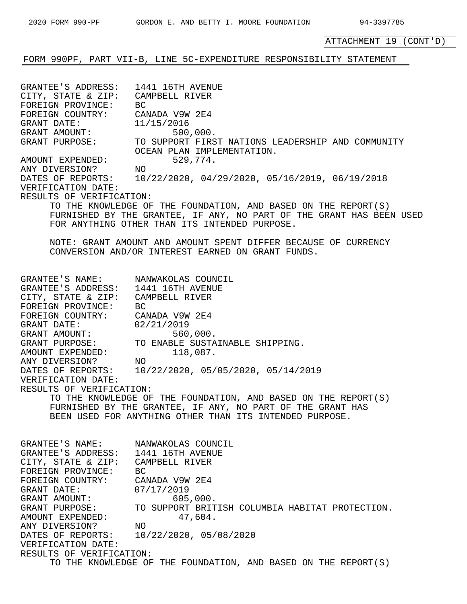# FORM 990PF, PART VII-B, LINE 5C-EXPENDITURE RESPONSIBILITY STATEMENT

GRANTEE'S ADDRESS: 1441 16TH AVENUE CITY, STATE & ZIP: CAMPBELL RIVER FOREIGN PROVINCE: BC FOREIGN COUNTRY: CANADA V9W 2E4 GRANT DATE: 11/15/2016<br>GRANT AMOUNT: 500 GRANT AMOUNT: 500,000. GRANT PURPOSE: TO SUPPORT FIRST NATIONS LEADERSHIP AND COMMUNITY OCEAN PLAN IMPLEMENTATION. AMOUNT EXPENDED: 529,774.<br>ANY DIVERSION? NO ANY DIVERSION? DATES OF REPORTS: 10/22/2020, 04/29/2020, 05/16/2019, 06/19/2018 VERIFICATION DATE: RESULTS OF VERIFICATION: TO THE KNOWLEDGE OF THE FOUNDATION, AND BASED ON THE REPORT(S) FURNISHED BY THE GRANTEE, IF ANY, NO PART OF THE GRANT HAS BEEN USED FOR ANYTHING OTHER THAN ITS INTENDED PURPOSE. NOTE: GRANT AMOUNT AND AMOUNT SPENT DIFFER BECAUSE OF CURRENCY CONVERSION AND/OR INTEREST EARNED ON GRANT FUNDS. GRANTEE'S NAME: NANWAKOLAS COUNCIL GRANTEE'S ADDRESS: 1441 16TH AVENUE CITY, STATE & ZIP: CAMPBELL RIVER FOREIGN PROVINCE: BC FOREIGN COUNTRY: CANADA V9W 2E4 GRANT DATE: 02/21/2019 GRANT AMOUNT: 560,000. GRANT PURPOSE: TO ENABLE SUSTAINABLE SHIPPING. AMOUNT EXPENDED: 118,087. ANY DIVERSION? NO DATES OF REPORTS: 10/22/2020, 05/05/2020, 05/14/2019 VERIFICATION DATE: RESULTS OF VERIFICATION: TO THE KNOWLEDGE OF THE FOUNDATION, AND BASED ON THE REPORT(S) FURNISHED BY THE GRANTEE, IF ANY, NO PART OF THE GRANT HAS BEEN USED FOR ANYTHING OTHER THAN ITS INTENDED PURPOSE. GRANTEE'S NAME: NANWAKOLAS COUNCIL GRANTEE'S ADDRESS: 1441 16TH AVENUE CITY, STATE & ZIP: CAMPBELL RIVER FOREIGN PROVINCE: BC FOREIGN COUNTRY: CANADA V9W 2E4<br>GRANT DATE: 07/17/2019<br>GRANT AMOUNT: 605,000 GRANT DATE: 07/17/2019 GRANT AMOUNT: 605,000. GRANT PURPOSE: TO SUPPORT BRITISH COLUMBIA HABITAT PROTECTION. AMOUNT EXPENDED: 47,604. ANY DIVERSION? NO DATES OF REPORTS: 10/22/2020, 05/08/2020 VERIFICATION DATE: RESULTS OF VERIFICATION: TO THE KNOWLEDGE OF THE FOUNDATION, AND BASED ON THE REPORT(S)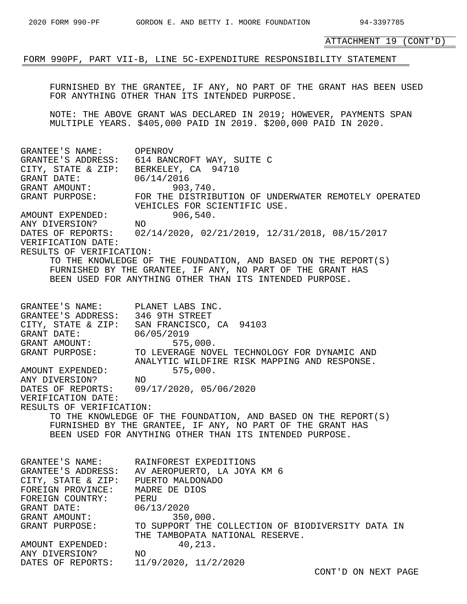FORM 990PF, PART VII-B, LINE 5C-EXPENDITURE RESPONSIBILITY STATEMENT

FURNISHED BY THE GRANTEE, IF ANY, NO PART OF THE GRANT HAS BEEN USED FOR ANYTHING OTHER THAN ITS INTENDED PURPOSE.

NOTE: THE ABOVE GRANT WAS DECLARED IN 2019; HOWEVER, PAYMENTS SPAN MULTIPLE YEARS. \$405,000 PAID IN 2019. \$200,000 PAID IN 2020.

GRANTEE'S NAME: OPENROV GRANTEE'S ADDRESS: 614 BANCROFT WAY, SUITE C CITY, STATE & ZIP: BERKELEY, CA 94710 GRANT DATE: 06/14/2016 GRANT AMOUNT: 903,740. GRANT PURPOSE: FOR THE DISTRIBUTION OF UNDERWATER REMOTELY OPERATED VEHICLES FOR SCIENTIFIC USE. AMOUNT EXPENDED: 906,540.<br>ANY DIVERSION? NO ANY DIVERSION? DATES OF REPORTS: 02/14/2020, 02/21/2019, 12/31/2018, 08/15/2017 VERIFICATION DATE: RESULTS OF VERIFICATION: TO THE KNOWLEDGE OF THE FOUNDATION, AND BASED ON THE REPORT(S) FURNISHED BY THE GRANTEE, IF ANY, NO PART OF THE GRANT HAS BEEN USED FOR ANYTHING OTHER THAN ITS INTENDED PURPOSE. GRANTEE'S NAME: PLANET LABS INC. GRANTEE'S ADDRESS: 346 9TH STREET CITY, STATE & ZIP: SAN FRANCISCO, CA 94103 GRANT DATE: 06/05/2019 GRANT AMOUNT: 575,000. GRANT PURPOSE: TO LEVERAGE NOVEL TECHNOLOGY FOR DYNAMIC AND ANALYTIC WILDFIRE RISK MAPPING AND RESPONSE. AMOUNT EXPENDED: 575,000. ANY DIVERSION? NO AMOUNT EXPENDED:<br>
ANY DIVERSION? NO<br>
DATES OF REPORTS: 09/17/2020, 05/06/2020 VERIFICATION DATE: RESULTS OF VERIFICATION: TO THE KNOWLEDGE OF THE FOUNDATION, AND BASED ON THE REPORT(S) FURNISHED BY THE GRANTEE, IF ANY, NO PART OF THE GRANT HAS BEEN USED FOR ANYTHING OTHER THAN ITS INTENDED PURPOSE. GRANTEE'S NAME: RAINFOREST EXPEDITIONS GRANTEE'S ADDRESS: AV AEROPUERTO, LA JOYA KM 6 CITY, STATE & ZIP: PUERTO MALDONADO FOREIGN PROVINCE: MADRE DE DIOS FOREIGN COUNTRY: PERU GRANT DATE: 06/13/2020 GRANT AMOUNT: 350,000. GRANT PURPOSE: TO SUPPORT THE COLLECTION OF BIODIVERSITY DATA IN THE TAMBOPATA NATIONAL RESERVE. AMOUNT EXPENDED: 40,213. ANY DIVERSION? NO DATES OF REPORTS: 11/9/2020, 11/2/2020 CONT'D ON NEXT PAGE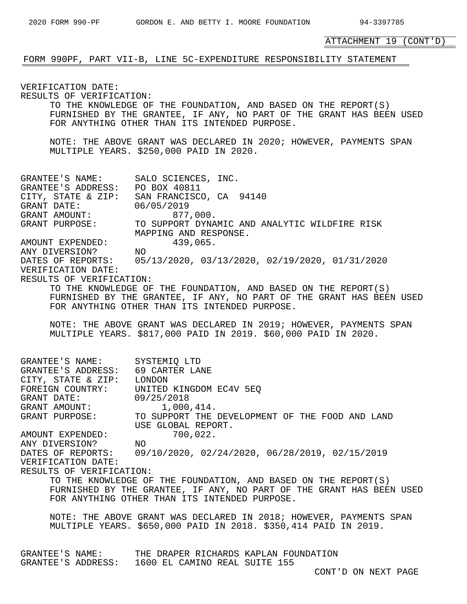# FORM 990PF, PART VII-B, LINE 5C-EXPENDITURE RESPONSIBILITY STATEMENT

VERIFICATION DATE: RESULTS OF VERIFICATION: TO THE KNOWLEDGE OF THE FOUNDATION, AND BASED ON THE REPORT(S) FURNISHED BY THE GRANTEE, IF ANY, NO PART OF THE GRANT HAS BEEN USED FOR ANYTHING OTHER THAN ITS INTENDED PURPOSE. NOTE: THE ABOVE GRANT WAS DECLARED IN 2020; HOWEVER, PAYMENTS SPAN MULTIPLE YEARS. \$250,000 PAID IN 2020. GRANTEE'S NAME: SALO SCIENCES, INC. GRANTEE'S ADDRESS: PO BOX 40811 CITY, STATE & ZIP: SAN FRANCISCO, CA 94140 GRANT DATE: 06/05/2019 GRANT AMOUNT: 877,000. GRANT PURPOSE: TO SUPPORT DYNAMIC AND ANALYTIC WILDFIRE RISK MAPPING AND RESPONSE. AMOUNT EXPENDED: 439,065. ANY DIVERSION? NO DATES OF REPORTS: 05/13/2020, 03/13/2020, 02/19/2020, 01/31/2020 VERIFICATION DATE: RESULTS OF VERIFICATION: TO THE KNOWLEDGE OF THE FOUNDATION, AND BASED ON THE REPORT(S) FURNISHED BY THE GRANTEE, IF ANY, NO PART OF THE GRANT HAS BEEN USED FOR ANYTHING OTHER THAN ITS INTENDED PURPOSE. NOTE: THE ABOVE GRANT WAS DECLARED IN 2019; HOWEVER, PAYMENTS SPAN MULTIPLE YEARS. \$817,000 PAID IN 2019. \$60,000 PAID IN 2020. GRANTEE'S NAME: SYSTEMIQ LTD GRANTEE'S ADDRESS: 69 CARTER LANE CITY, STATE & ZIP: LONDON FOREIGN COUNTRY: UNITED KINGDOM EC4V 5EQ GRANT DATE: 09/25/2018 GRANT AMOUNT:  $1,000,414$ . GRANT PURPOSE: TO SUPPORT THE DEVELOPMENT OF THE FOOD AND LAND USE GLOBAL REPORT. AMOUNT EXPENDED: 700,022. ANY DIVERSION? NO DATES OF REPORTS: 09/10/2020, 02/24/2020, 06/28/2019, 02/15/2019 VERIFICATION DATE: RESULTS OF VERIFICATION: TO THE KNOWLEDGE OF THE FOUNDATION, AND BASED ON THE REPORT(S) FURNISHED BY THE GRANTEE, IF ANY, NO PART OF THE GRANT HAS BEEN USED FOR ANYTHING OTHER THAN ITS INTENDED PURPOSE. NOTE: THE ABOVE GRANT WAS DECLARED IN 2018; HOWEVER, PAYMENTS SPAN MULTIPLE YEARS. \$650,000 PAID IN 2018. \$350,414 PAID IN 2019. GRANTEE'S NAME: THE DRAPER RICHARDS KAPLAN FOUNDATION GRANTEE'S ADDRESS: 1600 EL CAMINO REAL SUITE 155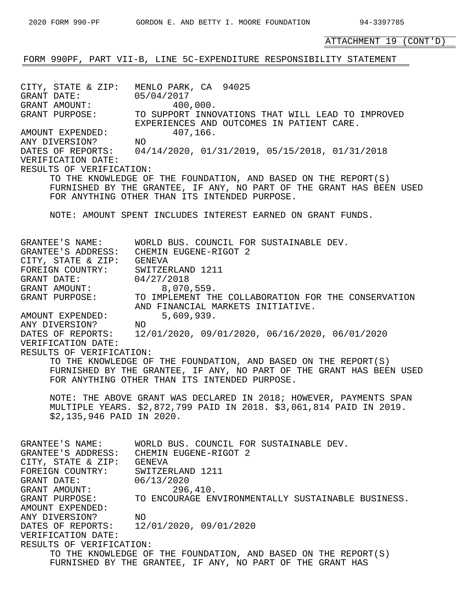FORM 990PF, PART VII-B, LINE 5C-EXPENDITURE RESPONSIBILITY STATEMENT CITY, STATE & ZIP: MENLO PARK, CA 94025 GRANT DATE: 05/04/2017 GRANT AMOUNT: 400,000. GRANT PURPOSE: TO SUPPORT INNOVATIONS THAT WILL LEAD TO IMPROVED EXPERIENCES AND OUTCOMES IN PATIENT CARE. AMOUNT EXPENDED: 407,166. ANY DIVERSION? NO DATES OF REPORTS: 04/14/2020, 01/31/2019, 05/15/2018, 01/31/2018 VERIFICATION DATE: RESULTS OF VERIFICATION: TO THE KNOWLEDGE OF THE FOUNDATION, AND BASED ON THE REPORT(S) FURNISHED BY THE GRANTEE, IF ANY, NO PART OF THE GRANT HAS BEEN USED FOR ANYTHING OTHER THAN ITS INTENDED PURPOSE. NOTE: AMOUNT SPENT INCLUDES INTEREST EARNED ON GRANT FUNDS. GRANTEE'S NAME: WORLD BUS. COUNCIL FOR SUSTAINABLE DEV. GRANTEE'S ADDRESS: CHEMIN EUGENE-RIGOT 2 CITY, STATE & ZIP: GENEVA FOREIGN COUNTRY: SWITZERLAND 1211 GRANT DATE: 04/27/2018 GRANT AMOUNT: 8,070,559. GRANT PURPOSE: TO IMPLEMENT THE COLLABORATION FOR THE CONSERVATION AND FINANCIAL MARKETS INITIATIVE. AMOUNT EXPENDED: 5,609,939.<br>ANY DIVERSION? NO ANY DIVERSION?

DATES OF REPORTS: 12/01/2020, 09/01/2020, 06/16/2020, 06/01/2020 VERIFICATION DATE:

RESULTS OF VERIFICATION:

TO THE KNOWLEDGE OF THE FOUNDATION, AND BASED ON THE REPORT(S) FURNISHED BY THE GRANTEE, IF ANY, NO PART OF THE GRANT HAS BEEN USED FOR ANYTHING OTHER THAN ITS INTENDED PURPOSE.

NOTE: THE ABOVE GRANT WAS DECLARED IN 2018; HOWEVER, PAYMENTS SPAN MULTIPLE YEARS. \$2,872,799 PAID IN 2018. \$3,061,814 PAID IN 2019. \$2,135,946 PAID IN 2020.

GRANTEE'S NAME: WORLD BUS. COUNCIL FOR SUSTAINABLE DEV. GRANTEE'S ADDRESS: CHEMIN EUGENE-RIGOT 2 CITY, STATE & ZIP: GENEVA FOREIGN COUNTRY: SWITZERLAND 1211 GRANT DATE: 06/13/2020 GRANT AMOUNT: 296,410. GRANT PURPOSE: TO ENCOURAGE ENVIRONMENTALLY SUSTAINABLE BUSINESS. AMOUNT EXPENDED: ANY DIVERSION? NO DATES OF REPORTS: 12/01/2020, 09/01/2020 VERIFICATION DATE: RESULTS OF VERIFICATION: TO THE KNOWLEDGE OF THE FOUNDATION, AND BASED ON THE REPORT(S) FURNISHED BY THE GRANTEE, IF ANY, NO PART OF THE GRANT HAS

ATTACHMENT 19 (CONT'D)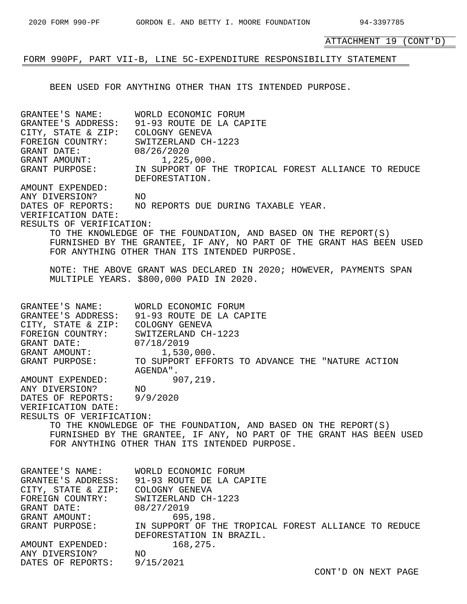# FORM 990PF, PART VII-B, LINE 5C-EXPENDITURE RESPONSIBILITY STATEMENT

BEEN USED FOR ANYTHING OTHER THAN ITS INTENDED PURPOSE.

GRANTEE'S NAME: WORLD ECONOMIC FORUM GRANTEE'S ADDRESS: 91-93 ROUTE DE LA CAPITE CITY, STATE & ZIP: COLOGNY GENEVA<br>FOREIGN COUNTRY: SWITZERLAND CH-1223 FOREIGN COUNTRY: SWITZERLAND CH-1223 GRANT DATE: 08/26/2020 GRANT AMOUNT:  $1,225,000$ . GRANT PURPOSE: IN SUPPORT OF THE TROPICAL FOREST ALLIANCE TO REDUCE DEFORESTATION. AMOUNT EXPENDED: ANY DIVERSION? NO ANY DIVERSION? NO<br>DATES OF REPORTS: NO REPORTS DUE DURING TAXABLE YEAR. VERIFICATION DATE: RESULTS OF VERIFICATION: TO THE KNOWLEDGE OF THE FOUNDATION, AND BASED ON THE REPORT(S) FURNISHED BY THE GRANTEE, IF ANY, NO PART OF THE GRANT HAS BEEN USED FOR ANYTHING OTHER THAN ITS INTENDED PURPOSE. NOTE: THE ABOVE GRANT WAS DECLARED IN 2020; HOWEVER, PAYMENTS SPAN MULTIPLE YEARS. \$800,000 PAID IN 2020. GRANTEE'S NAME: WORLD ECONOMIC FORUM GRANTEE'S ADDRESS: 91-93 ROUTE DE LA CAPITE CITY, STATE & ZIP: COLOGNY GENEVA FOREIGN COUNTRY: SWITZERLAND CH-1223 GRANT DATE: 07/18/2019 GRANT AMOUNT:  $1,530,000$ . GRANT PURPOSE: TO SUPPORT EFFORTS TO ADVANCE THE "NATURE ACTION AGENDA". AMOUNT EXPENDED: 907,219. ANY DIVERSION? NO DATES OF REPORTS: 9/9/2020 VERIFICATION DATE: RESULTS OF VERIFICATION: TO THE KNOWLEDGE OF THE FOUNDATION, AND BASED ON THE REPORT(S) FURNISHED BY THE GRANTEE, IF ANY, NO PART OF THE GRANT HAS BEEN USED FOR ANYTHING OTHER THAN ITS INTENDED PURPOSE. GRANTEE'S NAME: WORLD ECONOMIC FORUM GRANTEE'S ADDRESS: 91-93 ROUTE DE LA CAPITE CITY, STATE & ZIP: COLOGNY GENEVA FOREIGN COUNTRY: SWITZERLAND CH-1223 GRANT DATE: 08/27/2019 GRANT AMOUNT: 695,198. GRANT PURPOSE: IN SUPPORT OF THE TROPICAL FOREST ALLIANCE TO REDUCE DEFORESTATION IN BRAZIL. AMOUNT EXPENDED: 168,275. ANY DIVERSION? NO DATES OF REPORTS: 9/15/2021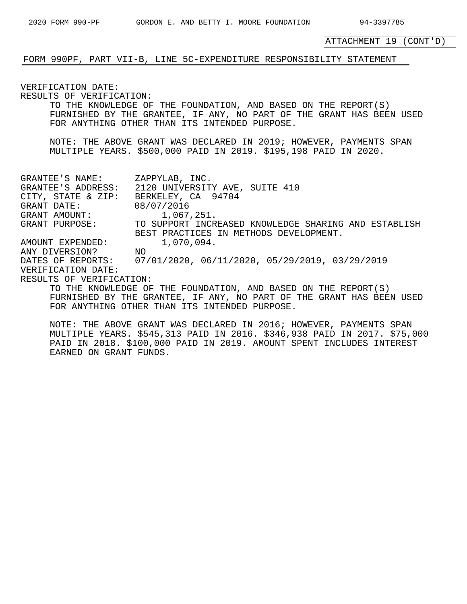# FORM 990PF, PART VII-B, LINE 5C-EXPENDITURE RESPONSIBILITY STATEMENT

VERIFICATION DATE: RESULTS OF VERIFICATION: TO THE KNOWLEDGE OF THE FOUNDATION, AND BASED ON THE REPORT(S) FURNISHED BY THE GRANTEE, IF ANY, NO PART OF THE GRANT HAS BEEN USED FOR ANYTHING OTHER THAN ITS INTENDED PURPOSE. NOTE: THE ABOVE GRANT WAS DECLARED IN 2019; HOWEVER, PAYMENTS SPAN MULTIPLE YEARS. \$500,000 PAID IN 2019. \$195,198 PAID IN 2020. GRANTEE'S NAME: ZAPPYLAB, INC. GRANTEE'S ADDRESS: 2120 UNIVERSITY AVE, SUITE 410 CITY, STATE & ZIP: BERKELEY, CA 94704 GRANT DATE: 08/07/2016 GRANT AMOUNT:  $1,067,251$ . GRANT PURPOSE: TO SUPPORT INCREASED KNOWLEDGE SHARING AND ESTABLISH BEST PRACTICES IN METHODS DEVELOPMENT. AMOUNT EXPENDED: 1,070,094. ANY DIVERSION? NO<br>DATES OF REPORTS: 07 DATES OF REPORTS: 07/01/2020, 06/11/2020, 05/29/2019, 03/29/2019 VERIFICATION DATE: RESULTS OF VERIFICATION: TO THE KNOWLEDGE OF THE FOUNDATION, AND BASED ON THE REPORT(S) FURNISHED BY THE GRANTEE, IF ANY, NO PART OF THE GRANT HAS BEEN USED FOR ANYTHING OTHER THAN ITS INTENDED PURPOSE.

NOTE: THE ABOVE GRANT WAS DECLARED IN 2016; HOWEVER, PAYMENTS SPAN MULTIPLE YEARS. \$545,313 PAID IN 2016. \$346,938 PAID IN 2017. \$75,000 PAID IN 2018. \$100,000 PAID IN 2019. AMOUNT SPENT INCLUDES INTEREST EARNED ON GRANT FUNDS.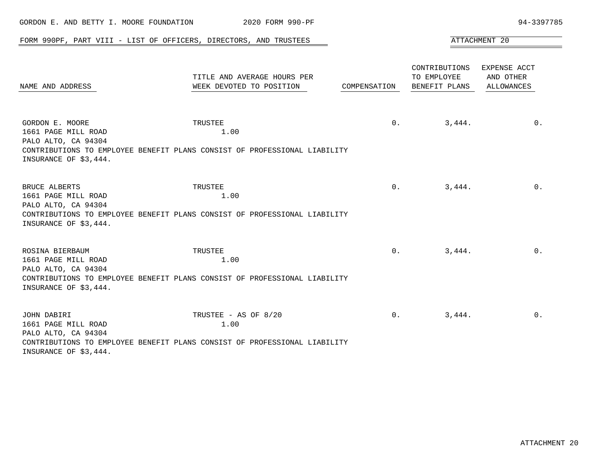| GORDON E. AND BETTY I. MOORE FOUNDATION                                                | 2020 FORM 990-PF                                                                                          |                |                                               | 94-3397785                              |
|----------------------------------------------------------------------------------------|-----------------------------------------------------------------------------------------------------------|----------------|-----------------------------------------------|-----------------------------------------|
|                                                                                        | FORM 990PF, PART VIII - LIST OF OFFICERS, DIRECTORS, AND TRUSTEES                                         |                |                                               | ATTACHMENT 20                           |
| NAME AND ADDRESS                                                                       | TITLE AND AVERAGE HOURS PER<br>WEEK DEVOTED TO POSITION                                                   | COMPENSATION   | CONTRIBUTIONS<br>TO EMPLOYEE<br>BENEFIT PLANS | EXPENSE ACCT<br>AND OTHER<br>ALLOWANCES |
| GORDON E. MOORE<br>1661 PAGE MILL ROAD<br>PALO ALTO, CA 94304<br>INSURANCE OF \$3,444. | TRUSTEE<br>1.00<br>CONTRIBUTIONS TO EMPLOYEE BENEFIT PLANS CONSIST OF PROFESSIONAL LIABILITY              | 0.             | 3,444.                                        | 0.                                      |
| BRUCE ALBERTS<br>1661 PAGE MILL ROAD<br>PALO ALTO, CA 94304<br>INSURANCE OF \$3,444.   | TRUSTEE<br>1.00<br>CONTRIBUTIONS TO EMPLOYEE BENEFIT PLANS CONSIST OF PROFESSIONAL LIABILITY              | 0 <sub>1</sub> | 3,444.                                        | $0$ .                                   |
| ROSINA BIERBAUM<br>1661 PAGE MILL ROAD<br>PALO ALTO, CA 94304<br>INSURANCE OF \$3,444. | TRUSTEE<br>1.00<br>CONTRIBUTIONS TO EMPLOYEE BENEFIT PLANS CONSIST OF PROFESSIONAL LIABILITY              | 0.             | 3,444.                                        | $0$ .                                   |
| JOHN DABIRI<br>1661 PAGE MILL ROAD<br>PALO ALTO, CA 94304<br>INSURANCE OF \$3,444.     | TRUSTEE - AS OF 8/20<br>1.00<br>CONTRIBUTIONS TO EMPLOYEE BENEFIT PLANS CONSIST OF PROFESSIONAL LIABILITY | $0$ .          | 3,444.                                        | $0$ .                                   |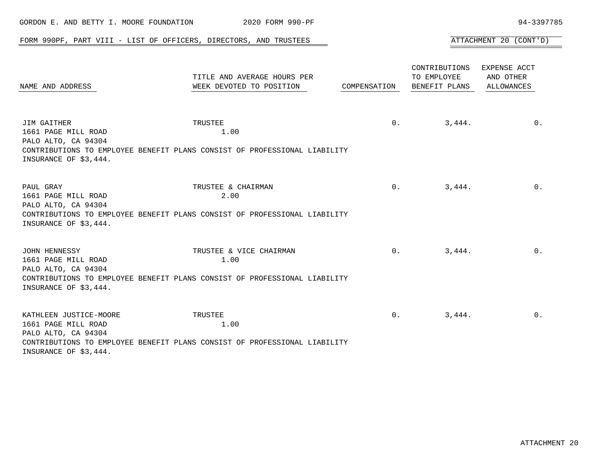| GORDON E. AND BETTY I. MOORE FOUNDATION                                                       | 2020 FORM 990-PF                                                                                             |                |                                               | 94-3397785                              |
|-----------------------------------------------------------------------------------------------|--------------------------------------------------------------------------------------------------------------|----------------|-----------------------------------------------|-----------------------------------------|
|                                                                                               | FORM 990PF, PART VIII - LIST OF OFFICERS, DIRECTORS, AND TRUSTEES                                            |                |                                               | ATTACHMENT 20 (CONT'D)                  |
| NAME AND ADDRESS                                                                              | TITLE AND AVERAGE HOURS PER<br>WEEK DEVOTED TO POSITION                                                      | COMPENSATION   | CONTRIBUTIONS<br>TO EMPLOYEE<br>BENEFIT PLANS | EXPENSE ACCT<br>AND OTHER<br>ALLOWANCES |
| JIM GAITHER<br>1661 PAGE MILL ROAD<br>PALO ALTO, CA 94304<br>INSURANCE OF \$3,444.            | TRUSTEE<br>1.00<br>CONTRIBUTIONS TO EMPLOYEE BENEFIT PLANS CONSIST OF PROFESSIONAL LIABILITY                 | $0$ .          | 3,444.                                        | $0$ .                                   |
| PAUL GRAY<br>1661 PAGE MILL ROAD<br>PALO ALTO, CA 94304<br>INSURANCE OF \$3,444.              | TRUSTEE & CHAIRMAN<br>2.00<br>CONTRIBUTIONS TO EMPLOYEE BENEFIT PLANS CONSIST OF PROFESSIONAL LIABILITY      | 0 <sub>1</sub> | 3,444.                                        | 0.                                      |
| JOHN HENNESSY<br>1661 PAGE MILL ROAD<br>PALO ALTO, CA 94304<br>INSURANCE OF \$3,444.          | TRUSTEE & VICE CHAIRMAN<br>1.00<br>CONTRIBUTIONS TO EMPLOYEE BENEFIT PLANS CONSIST OF PROFESSIONAL LIABILITY | 0 <sub>1</sub> | 3,444.                                        | $0$ .                                   |
| KATHLEEN JUSTICE-MOORE<br>1661 PAGE MILL ROAD<br>PALO ALTO, CA 94304<br>INSURANCE OF \$3,444. | TRUSTEE<br>1.00<br>CONTRIBUTIONS TO EMPLOYEE BENEFIT PLANS CONSIST OF PROFESSIONAL LIABILITY                 | 0 <sub>1</sub> | 3,444.                                        | $0$ .                                   |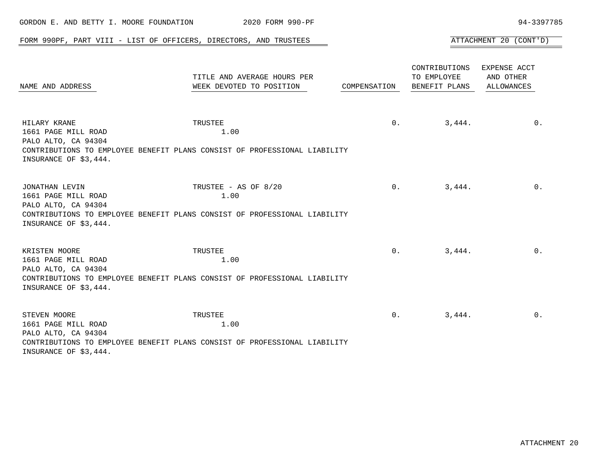| GORDON E. AND BETTY I. MOORE FOUNDATION                                               | 2020 FORM 990-PF                                                                                          |                |                                               | 94-3397785                                     |
|---------------------------------------------------------------------------------------|-----------------------------------------------------------------------------------------------------------|----------------|-----------------------------------------------|------------------------------------------------|
|                                                                                       | FORM 990PF, PART VIII - LIST OF OFFICERS, DIRECTORS, AND TRUSTEES                                         |                |                                               | ATTACHMENT 20 (CONT'D)                         |
| NAME AND ADDRESS                                                                      | TITLE AND AVERAGE HOURS PER<br>WEEK DEVOTED TO POSITION                                                   | COMPENSATION   | CONTRIBUTIONS<br>TO EMPLOYEE<br>BENEFIT PLANS | EXPENSE ACCT<br>AND OTHER<br><b>ALLOWANCES</b> |
| HILARY KRANE<br>1661 PAGE MILL ROAD<br>PALO ALTO, CA 94304<br>INSURANCE OF \$3,444.   | TRUSTEE<br>1.00<br>CONTRIBUTIONS TO EMPLOYEE BENEFIT PLANS CONSIST OF PROFESSIONAL LIABILITY              | 0.             | 3,444.                                        | $0$ .                                          |
| JONATHAN LEVIN<br>1661 PAGE MILL ROAD<br>PALO ALTO, CA 94304<br>INSURANCE OF \$3,444. | TRUSTEE - AS OF 8/20<br>1.00<br>CONTRIBUTIONS TO EMPLOYEE BENEFIT PLANS CONSIST OF PROFESSIONAL LIABILITY | 0 <sub>1</sub> | 3,444.                                        | $0$ .                                          |
| KRISTEN MOORE<br>1661 PAGE MILL ROAD<br>PALO ALTO, CA 94304<br>INSURANCE OF \$3,444.  | TRUSTEE<br>1.00<br>CONTRIBUTIONS TO EMPLOYEE BENEFIT PLANS CONSIST OF PROFESSIONAL LIABILITY              | 0.             | 3,444.                                        | $0$ .                                          |
| STEVEN MOORE<br>1661 PAGE MILL ROAD<br>PALO ALTO, CA 94304<br>INSURANCE OF \$3,444.   | TRUSTEE<br>1.00<br>CONTRIBUTIONS TO EMPLOYEE BENEFIT PLANS CONSIST OF PROFESSIONAL LIABILITY              | $0$ .          | 3,444.                                        | 0.                                             |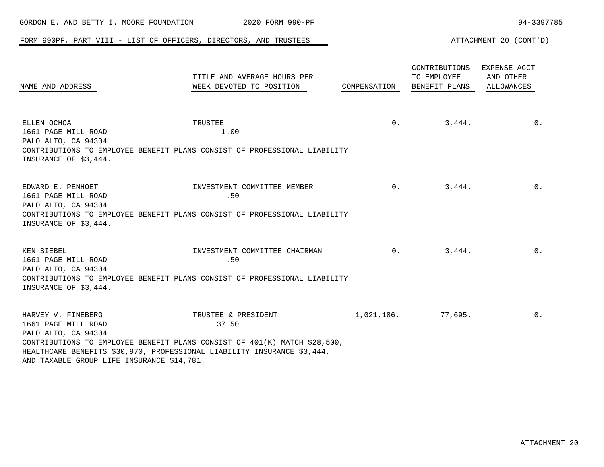| GORDON E. AND BETTY I. MOORE FOUNDATION                                                                        | 2020 FORM 990-PF                                                                                                                                                                     |              |                                               | 94-3397785                              |
|----------------------------------------------------------------------------------------------------------------|--------------------------------------------------------------------------------------------------------------------------------------------------------------------------------------|--------------|-----------------------------------------------|-----------------------------------------|
|                                                                                                                | FORM 990PF, PART VIII - LIST OF OFFICERS, DIRECTORS, AND TRUSTEES                                                                                                                    |              |                                               | ATTACHMENT 20 (CONT'D)                  |
| NAME AND ADDRESS                                                                                               | TITLE AND AVERAGE HOURS PER<br>WEEK DEVOTED TO POSITION                                                                                                                              | COMPENSATION | CONTRIBUTIONS<br>TO EMPLOYEE<br>BENEFIT PLANS | EXPENSE ACCT<br>AND OTHER<br>ALLOWANCES |
| ELLEN OCHOA<br>1661 PAGE MILL ROAD<br>PALO ALTO, CA 94304<br>INSURANCE OF \$3,444.                             | TRUSTEE<br>1.00<br>CONTRIBUTIONS TO EMPLOYEE BENEFIT PLANS CONSIST OF PROFESSIONAL LIABILITY                                                                                         | 0.           | 3,444.                                        | $0$ .                                   |
| EDWARD E. PENHOET<br>1661 PAGE MILL ROAD<br>PALO ALTO, CA 94304<br>INSURANCE OF \$3,444.                       | INVESTMENT COMMITTEE MEMBER<br>.50<br>CONTRIBUTIONS TO EMPLOYEE BENEFIT PLANS CONSIST OF PROFESSIONAL LIABILITY                                                                      |              | 0.<br>3,444.                                  | 0.                                      |
| KEN SIEBEL<br>1661 PAGE MILL ROAD<br>PALO ALTO, CA 94304<br>INSURANCE OF \$3,444.                              | INVESTMENT COMMITTEE CHAIRMAN<br>.50<br>CONTRIBUTIONS TO EMPLOYEE BENEFIT PLANS CONSIST OF PROFESSIONAL LIABILITY                                                                    | 0.           | 3,444.                                        | 0.                                      |
| HARVEY V. FINEBERG<br>1661 PAGE MILL ROAD<br>PALO ALTO, CA 94304<br>AND TAXABLE GROUP LIFE INSURANCE \$14,781. | TRUSTEE & PRESIDENT<br>37.50<br>CONTRIBUTIONS TO EMPLOYEE BENEFIT PLANS CONSIST OF 401(K) MATCH \$28,500,<br>HEALTHCARE BENEFITS \$30,970, PROFESSIONAL LIABILITY INSURANCE \$3,444, | 1,021,186.   | 77,695.                                       | $0$ .                                   |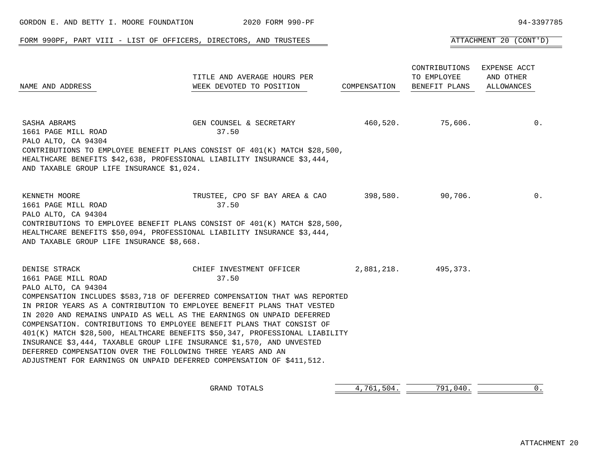|                                                                                                          | FORM 990PF, PART VIII - LIST OF OFFICERS, DIRECTORS, AND TRUSTEES                                                                                                                                                                                                                                                                                                                                                                                                                                                                                                                                                                           |              |                                               | ATTACHMENT 20 (CONT'D)                  |
|----------------------------------------------------------------------------------------------------------|---------------------------------------------------------------------------------------------------------------------------------------------------------------------------------------------------------------------------------------------------------------------------------------------------------------------------------------------------------------------------------------------------------------------------------------------------------------------------------------------------------------------------------------------------------------------------------------------------------------------------------------------|--------------|-----------------------------------------------|-----------------------------------------|
| NAME AND ADDRESS                                                                                         | TITLE AND AVERAGE HOURS PER<br>WEEK DEVOTED TO POSITION                                                                                                                                                                                                                                                                                                                                                                                                                                                                                                                                                                                     | COMPENSATION | CONTRIBUTIONS<br>TO EMPLOYEE<br>BENEFIT PLANS | EXPENSE ACCT<br>AND OTHER<br>ALLOWANCES |
| SASHA ABRAMS<br>1661 PAGE MILL ROAD<br>PALO ALTO, CA 94304<br>AND TAXABLE GROUP LIFE INSURANCE \$1,024.  | GEN COUNSEL & SECRETARY<br>37.50<br>CONTRIBUTIONS TO EMPLOYEE BENEFIT PLANS CONSIST OF 401(K) MATCH \$28,500,<br>HEALTHCARE BENEFITS \$42,638, PROFESSIONAL LIABILITY INSURANCE \$3,444,                                                                                                                                                                                                                                                                                                                                                                                                                                                    | 460,520.     | 75,606.                                       | $0$ .                                   |
| KENNETH MOORE<br>1661 PAGE MILL ROAD<br>PALO ALTO, CA 94304<br>AND TAXABLE GROUP LIFE INSURANCE \$8,668. | TRUSTEE, CPO SF BAY AREA & CAO<br>37.50<br>CONTRIBUTIONS TO EMPLOYEE BENEFIT PLANS CONSIST OF 401(K) MATCH \$28,500,<br>HEALTHCARE BENEFITS \$50,094, PROFESSIONAL LIABILITY INSURANCE \$3,444,                                                                                                                                                                                                                                                                                                                                                                                                                                             | 398,580.     | 90,706.                                       | $0$ .                                   |
| DENISE STRACK<br>1661 PAGE MILL ROAD<br>PALO ALTO, CA 94304                                              | CHIEF INVESTMENT OFFICER<br>37.50<br>COMPENSATION INCLUDES \$583,718 OF DEFERRED COMPENSATION THAT WAS REPORTED<br>IN PRIOR YEARS AS A CONTRIBUTION TO EMPLOYEE BENEFIT PLANS THAT VESTED<br>IN 2020 AND REMAINS UNPAID AS WELL AS THE EARNINGS ON UNPAID DEFERRED<br>COMPENSATION. CONTRIBUTIONS TO EMPLOYEE BENEFIT PLANS THAT CONSIST OF<br>401(K) MATCH \$28,500, HEALTHCARE BENEFITS \$50,347, PROFESSIONAL LIABILITY<br>INSURANCE \$3,444, TAXABLE GROUP LIFE INSURANCE \$1,570, AND UNVESTED<br>DEFERRED COMPENSATION OVER THE FOLLOWING THREE YEARS AND AN<br>ADJUSTMENT FOR EARNINGS ON UNPAID DEFERRED COMPENSATION OF \$411,512. | 2,881,218.   | 495,373.                                      |                                         |
|                                                                                                          | GRAND TOTALS                                                                                                                                                                                                                                                                                                                                                                                                                                                                                                                                                                                                                                | 4,761,504.   | 791,040.                                      | 0.                                      |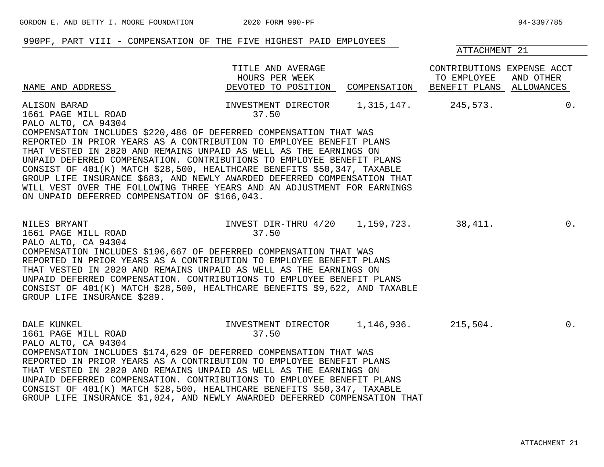ATTACHMENT 21

### 990PF, PART VIII - COMPENSATION OF THE FIVE HIGHEST PAID EMPLOYEES

TITLE AND AVERAGE CONTRIBUTIONS EXPENSE ACCT HOURS PER WEEK TO EMPLOYEE AND OTHER NAME AND ADDRESS DEVOTED TO POSITION COMPENSATION BENEFIT PLANS ALLOWANCES ALISON BARAD INVESTMENT DIRECTOR 1,315,147. 245,573. 0. 1661 PAGE MILL ROAD 37.50 PALO ALTO, CA 94304 COMPENSATION INCLUDES \$220,486 OF DEFERRED COMPENSATION THAT WAS REPORTED IN PRIOR YEARS AS A CONTRIBUTION TO EMPLOYEE BENEFIT PLANS THAT VESTED IN 2020 AND REMAINS UNPAID AS WELL AS THE EARNINGS ON UNPAID DEFERRED COMPENSATION. CONTRIBUTIONS TO EMPLOYEE BENEFIT PLANS CONSIST OF 401(K) MATCH \$28,500, HEALTHCARE BENEFITS \$50,347, TAXABLE GROUP LIFE INSURANCE \$683, AND NEWLY AWARDED DEFERRED COMPENSATION THAT WILL VEST OVER THE FOLLOWING THREE YEARS AND AN ADJUSTMENT FOR EARNINGS ON UNPAID DEFERRED COMPENSATION OF \$166,043. NILES BRYANT INVEST DIR-THRU 4/20 1,159,723. 38,411. 0. 1661 PAGE MILL ROAD 37.50 PALO ALTO, CA 94304 COMPENSATION INCLUDES \$196,667 OF DEFERRED COMPENSATION THAT WAS REPORTED IN PRIOR YEARS AS A CONTRIBUTION TO EMPLOYEE BENEFIT PLANS THAT VESTED IN 2020 AND REMAINS UNPAID AS WELL AS THE EARNINGS ON UNPAID DEFERRED COMPENSATION. CONTRIBUTIONS TO EMPLOYEE BENEFIT PLANS CONSIST OF 401(K) MATCH \$28,500, HEALTHCARE BENEFITS \$9,622, AND TAXABLE GROUP LIFE INSURANCE \$289. DALE KUNKEL INVESTMENT DIRECTOR 1,146,936. 215,504. 0. 1661 PAGE MILL ROAD 37.50 PALO ALTO, CA 94304 COMPENSATION INCLUDES \$174,629 OF DEFERRED COMPENSATION THAT WAS REPORTED IN PRIOR YEARS AS A CONTRIBUTION TO EMPLOYEE BENEFIT PLANS THAT VESTED IN 2020 AND REMAINS UNPAID AS WELL AS THE EARNINGS ON UNPAID DEFERRED COMPENSATION. CONTRIBUTIONS TO EMPLOYEE BENEFIT PLANS

CONSIST OF 401(K) MATCH \$28,500, HEALTHCARE BENEFITS \$50,347, TAXABLE GROUP LIFE INSURANCE \$1,024, AND NEWLY AWARDED DEFERRED COMPENSATION THAT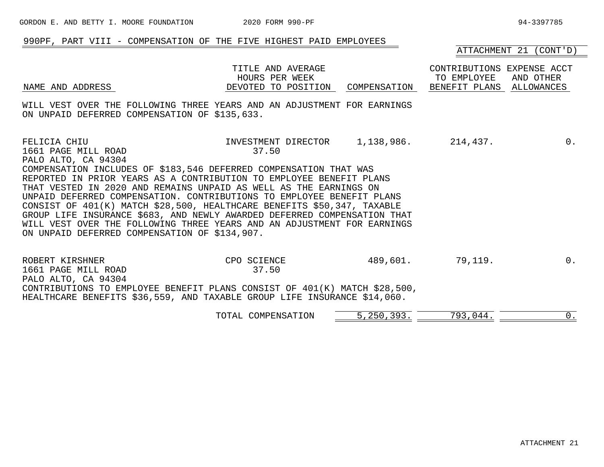# 990PF, PART VIII - COMPENSATION OF THE FIVE HIGHEST PAID EMPLOYEES

ATTACHMENT 21 (CONT'D)

|                                                                                                                                                                                                                                                                                                                                                                                                                                                                                                                                                                                                                                         | TITLE AND AVERAGE<br>HOURS PER WEEK              |          | CONTRIBUTIONS EXPENSE ACCT<br>TO EMPLOYEE | AND OTHER |
|-----------------------------------------------------------------------------------------------------------------------------------------------------------------------------------------------------------------------------------------------------------------------------------------------------------------------------------------------------------------------------------------------------------------------------------------------------------------------------------------------------------------------------------------------------------------------------------------------------------------------------------------|--------------------------------------------------|----------|-------------------------------------------|-----------|
| NAME AND ADDRESS                                                                                                                                                                                                                                                                                                                                                                                                                                                                                                                                                                                                                        | DEVOTED TO POSITION                              |          | COMPENSATION BENEFIT PLANS ALLOWANCES     |           |
| WILL VEST OVER THE FOLLOWING THREE YEARS AND AN ADJUSTMENT FOR EARNINGS<br>ON UNPAID DEFERRED COMPENSATION OF \$135,633.                                                                                                                                                                                                                                                                                                                                                                                                                                                                                                                |                                                  |          |                                           |           |
| FELICIA CHIU<br>1661 PAGE MILL ROAD<br>PALO ALTO, CA 94304<br>COMPENSATION INCLUDES OF \$183,546 DEFERRED COMPENSATION THAT WAS<br>REPORTED IN PRIOR YEARS AS A CONTRIBUTION TO EMPLOYEE BENEFIT PLANS<br>THAT VESTED IN 2020 AND REMAINS UNPAID AS WELL AS THE EARNINGS ON<br>UNPAID DEFERRED COMPENSATION. CONTRIBUTIONS TO EMPLOYEE BENEFIT PLANS<br>CONSIST OF 401(K) MATCH \$28,500, HEALTHCARE BENEFITS \$50,347, TAXABLE<br>GROUP LIFE INSURANCE \$683, AND NEWLY AWARDED DEFERRED COMPENSATION THAT<br>WILL VEST OVER THE FOLLOWING THREE YEARS AND AN ADJUSTMENT FOR EARNINGS<br>ON UNPAID DEFERRED COMPENSATION OF \$134,907. | INVESTMENT DIRECTOR 1,138,986. 214,437.<br>37.50 |          |                                           | $0$ .     |
| ROBERT KIRSHNER<br>1661 PAGE MILL ROAD<br>PALO ALTO, CA 94304<br>CONTRIBUTIONS TO EMPLOYEE BENEFIT PLANS CONSIST OF 401(K) MATCH \$28,500,<br>HEALTHCARE BENEFITS \$36,559, AND TAXABLE GROUP LIFE INSURANCE \$14,060.                                                                                                                                                                                                                                                                                                                                                                                                                  | CPO SCIENCE<br>37.50                             | 489,601. | 79,119.                                   | $0$ .     |

| COMPENSATION<br>TOTAL | 393.<br>n E N |  |  |
|-----------------------|---------------|--|--|
|-----------------------|---------------|--|--|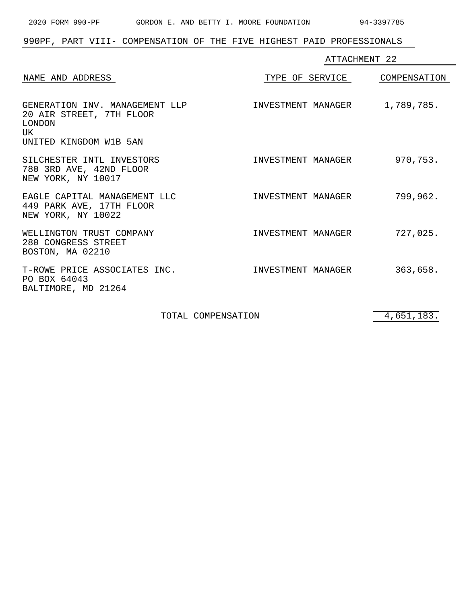$=$ 

# 990PF, PART VIII- COMPENSATION OF THE FIVE HIGHEST PAID PROFESSIONALS

|                                                                                                      | ATTACHMENT 22      |              |
|------------------------------------------------------------------------------------------------------|--------------------|--------------|
| NAME AND ADDRESS                                                                                     | TYPE OF SERVICE    | COMPENSATION |
| GENERATION INV. MANAGEMENT LLP<br>20 AIR STREET, 7TH FLOOR<br>LONDON<br>UK<br>UNITED KINGDOM W1B 5AN | INVESTMENT MANAGER | 1,789,785.   |
| SILCHESTER INTL INVESTORS<br>780 3RD AVE, 42ND FLOOR<br>NEW YORK, NY 10017                           | INVESTMENT MANAGER | 970,753.     |
| EAGLE CAPITAL MANAGEMENT LLC<br>449 PARK AVE, 17TH FLOOR<br>NEW YORK, NY 10022                       | INVESTMENT MANAGER | 799,962.     |
| WELLINGTON TRUST COMPANY<br>280 CONGRESS STREET<br>BOSTON, MA 02210                                  | INVESTMENT MANAGER | 727,025.     |
| T-ROWE PRICE ASSOCIATES INC.<br>PO BOX 64043<br>BALTIMORE, MD 21264                                  | INVESTMENT MANAGER | 363,658.     |

TOTAL COMPENSATION 4,651,183.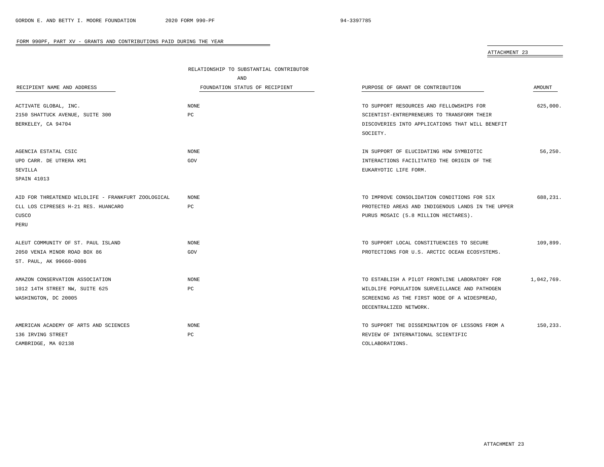$\overline{\phantom{a}}$ 

### FORM 990PF, PART XV - GRANTS AND CONTRIBUTIONS PAID DURING THE YEAR

ATTACHMENT 23

|                                                    | RELATIONSHIP TO SUBSTANTIAL CONTRIBUTOR |                                                   |            |
|----------------------------------------------------|-----------------------------------------|---------------------------------------------------|------------|
|                                                    | AND                                     |                                                   |            |
| RECIPIENT NAME AND ADDRESS                         | FOUNDATION STATUS OF RECIPIENT          | PURPOSE OF GRANT OR CONTRIBUTION                  | AMOUNT     |
|                                                    |                                         |                                                   |            |
| ACTIVATE GLOBAL, INC.                              | <b>NONE</b>                             | TO SUPPORT RESOURCES AND FELLOWSHIPS FOR          | 625,000.   |
| 2150 SHATTUCK AVENUE, SUITE 300                    | PC                                      | SCIENTIST-ENTREPRENEURS TO TRANSFORM THEIR        |            |
| BERKELEY, CA 94704                                 |                                         | DISCOVERIES INTO APPLICATIONS THAT WILL BENEFIT   |            |
|                                                    |                                         | SOCIETY.                                          |            |
| AGENCIA ESTATAL CSIC                               | <b>NONE</b>                             | IN SUPPORT OF ELUCIDATING HOW SYMBIOTIC           | 56,250.    |
| UPO CARR. DE UTRERA KM1                            | GOV                                     | INTERACTIONS FACILITATED THE ORIGIN OF THE        |            |
| SEVILLA                                            |                                         | EUKARYOTIC LIFE FORM.                             |            |
| SPAIN 41013                                        |                                         |                                                   |            |
| AID FOR THREATENED WILDLIFE - FRANKFURT ZOOLOGICAL | <b>NONE</b>                             | TO IMPROVE CONSOLIDATION CONDITIONS FOR SIX       | 688,231.   |
| CLL LOS CIPRESES H-21 RES. HUANCARO                | PC                                      | PROTECTED AREAS AND INDIGENOUS LANDS IN THE UPPER |            |
| CUSCO                                              |                                         | PURUS MOSAIC (5.8 MILLION HECTARES).              |            |
| PERU                                               |                                         |                                                   |            |
|                                                    |                                         |                                                   |            |
| ALEUT COMMUNITY OF ST. PAUL ISLAND                 | <b>NONE</b>                             | TO SUPPORT LOCAL CONSTITUENCIES TO SECURE         | 109,899.   |
| 2050 VENIA MINOR ROAD BOX 86                       | GOV                                     | PROTECTIONS FOR U.S. ARCTIC OCEAN ECOSYSTEMS.     |            |
| ST. PAUL, AK 99660-0086                            |                                         |                                                   |            |
| AMAZON CONSERVATION ASSOCIATION                    | <b>NONE</b>                             | TO ESTABLISH A PILOT FRONTLINE LABORATORY FOR     | 1,042,769. |
| 1012 14TH STREET NW, SUITE 625                     | PC                                      | WILDLIFE POPULATION SURVEILLANCE AND PATHOGEN     |            |
| WASHINGTON, DC 20005                               |                                         | SCREENING AS THE FIRST NODE OF A WIDESPREAD,      |            |
|                                                    |                                         | DECENTRALIZED NETWORK.                            |            |
|                                                    |                                         |                                                   |            |
| AMERICAN ACADEMY OF ARTS AND SCIENCES              | NONE                                    | TO SUPPORT THE DISSEMINATION OF LESSONS FROM A    | 150,233.   |
| 136 IRVING STREET                                  | PC                                      | REVIEW OF INTERNATIONAL SCIENTIFIC                |            |
| CAMBRIDGE, MA 02138                                |                                         | COLLABORATIONS.                                   |            |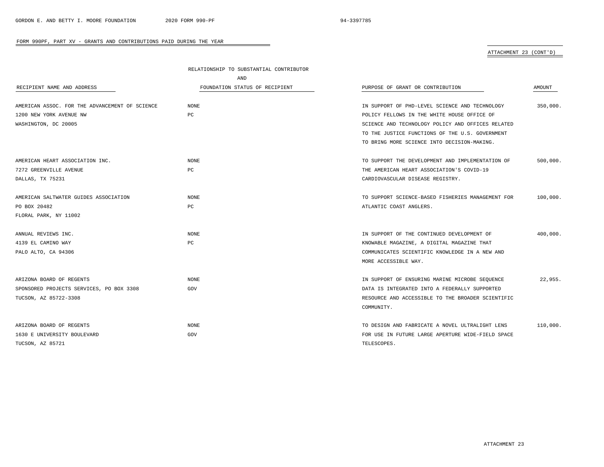# ATTACHMENT 23 (CONT'D)

|                                                | RELATIONSHIP TO SUBSTANTIAL CONTRIBUTOR |                                                   |          |  |
|------------------------------------------------|-----------------------------------------|---------------------------------------------------|----------|--|
|                                                | AND                                     |                                                   |          |  |
| RECIPIENT NAME AND ADDRESS                     | FOUNDATION STATUS OF RECIPIENT          | PURPOSE OF GRANT OR CONTRIBUTION                  | AMOUNT   |  |
| AMERICAN ASSOC. FOR THE ADVANCEMENT OF SCIENCE | NONE                                    | IN SUPPORT OF PHD-LEVEL SCIENCE AND TECHNOLOGY    | 350,000. |  |
| 1200 NEW YORK AVENUE NW                        | PC                                      | POLICY FELLOWS IN THE WHITE HOUSE OFFICE OF       |          |  |
| WASHINGTON, DC 20005                           |                                         | SCIENCE AND TECHNOLOGY POLICY AND OFFICES RELATED |          |  |
|                                                |                                         | TO THE JUSTICE FUNCTIONS OF THE U.S. GOVERNMENT   |          |  |
|                                                |                                         | TO BRING MORE SCIENCE INTO DECISION-MAKING.       |          |  |
| AMERICAN HEART ASSOCIATION INC.                | NONE                                    | TO SUPPORT THE DEVELOPMENT AND IMPLEMENTATION OF  | 500,000. |  |
| 7272 GREENVILLE AVENUE                         | PC.                                     | THE AMERICAN HEART ASSOCIATION'S COVID-19         |          |  |
| DALLAS, TX 75231                               |                                         | CARDIOVASCULAR DISEASE REGISTRY.                  |          |  |
| AMERICAN SALTWATER GUIDES ASSOCIATION          | <b>NONE</b>                             | TO SUPPORT SCIENCE-BASED FISHERIES MANAGEMENT FOR | 100,000. |  |
| PO BOX 20482                                   | PC                                      | ATLANTIC COAST ANGLERS.                           |          |  |
| FLORAL PARK, NY 11002                          |                                         |                                                   |          |  |
| ANNUAL REVIEWS INC.                            | <b>NONE</b>                             | IN SUPPORT OF THE CONTINUED DEVELOPMENT OF        | 400,000. |  |
| 4139 EL CAMINO WAY                             | PC                                      | KNOWABLE MAGAZINE, A DIGITAL MAGAZINE THAT        |          |  |
| PALO ALTO, CA 94306                            |                                         | COMMUNICATES SCIENTIFIC KNOWLEDGE IN A NEW AND    |          |  |
|                                                |                                         | MORE ACCESSIBLE WAY.                              |          |  |
| ARIZONA BOARD OF REGENTS                       | <b>NONE</b>                             | IN SUPPORT OF ENSURING MARINE MICROBE SEQUENCE    | 22,955.  |  |
| SPONSORED PROJECTS SERVICES, PO BOX 3308       | GOV                                     | DATA IS INTEGRATED INTO A FEDERALLY SUPPORTED     |          |  |
| TUCSON, AZ 85722-3308                          |                                         | RESOURCE AND ACCESSIBLE TO THE BROADER SCIENTIFIC |          |  |
|                                                |                                         | COMMUNITY.                                        |          |  |
| ARIZONA BOARD OF REGENTS                       | NONE                                    | TO DESIGN AND FABRICATE A NOVEL ULTRALIGHT LENS   | 110,000. |  |
| 1630 E UNIVERSITY BOULEVARD                    | GOV                                     | FOR USE IN FUTURE LARGE APERTURE WIDE-FIELD SPACE |          |  |
| TUCSON, AZ 85721                               |                                         | TELESCOPES.                                       |          |  |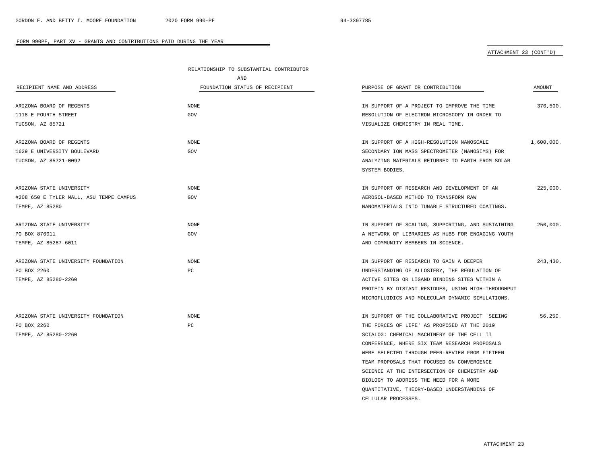### ATTACHMENT 23 (CONT'D)

|                                         | RELATIONSHIP TO SUBSTANTIAL CONTRIBUTOR |                                                    |            |  |
|-----------------------------------------|-----------------------------------------|----------------------------------------------------|------------|--|
|                                         | AND                                     |                                                    |            |  |
| RECIPIENT NAME AND ADDRESS              | FOUNDATION STATUS OF RECIPIENT          | PURPOSE OF GRANT OR CONTRIBUTION                   | AMOUNT     |  |
| ARIZONA BOARD OF REGENTS                | <b>NONE</b>                             | IN SUPPORT OF A PROJECT TO IMPROVE THE TIME        | 370,500.   |  |
| 1118 E FOURTH STREET                    | GOV                                     | RESOLUTION OF ELECTRON MICROSCOPY IN ORDER TO      |            |  |
| TUCSON, AZ 85721                        |                                         | VISUALIZE CHEMISTRY IN REAL TIME.                  |            |  |
| ARIZONA BOARD OF REGENTS                | <b>NONE</b>                             | IN SUPPORT OF A HIGH-RESOLUTION NANOSCALE          | 1,600,000. |  |
| 1629 E UNIVERSITY BOULEVARD             | GOV                                     | SECONDARY ION MASS SPECTROMETER (NANOSIMS) FOR     |            |  |
| TUCSON, AZ 85721-0092                   |                                         | ANALYZING MATERIALS RETURNED TO EARTH FROM SOLAR   |            |  |
|                                         |                                         | SYSTEM BODIES.                                     |            |  |
| ARIZONA STATE UNIVERSITY                | <b>NONE</b>                             | IN SUPPORT OF RESEARCH AND DEVELOPMENT OF AN       | 225,000.   |  |
| #208 650 E TYLER MALL, ASU TEMPE CAMPUS | GOV                                     | AEROSOL-BASED METHOD TO TRANSFORM RAW              |            |  |
| TEMPE, AZ 85280                         |                                         | NANOMATERIALS INTO TUNABLE STRUCTURED COATINGS.    |            |  |
| ARIZONA STATE UNIVERSITY                | $\rm{NONE}$                             | IN SUPPORT OF SCALING, SUPPORTING, AND SUSTAINING  | 250,000.   |  |
| PO BOX 876011                           | GOV                                     | A NETWORK OF LIBRARIES AS HUBS FOR ENGAGING YOUTH  |            |  |
| TEMPE, AZ 85287-6011                    |                                         | AND COMMUNITY MEMBERS IN SCIENCE.                  |            |  |
| ARIZONA STATE UNIVERSITY FOUNDATION     | <b>NONE</b>                             | IN SUPPORT OF RESEARCH TO GAIN A DEEPER            | 243,430.   |  |
| PO BOX 2260                             | PC                                      | UNDERSTANDING OF ALLOSTERY, THE REGULATION OF      |            |  |
| TEMPE, AZ 85280-2260                    |                                         | ACTIVE SITES OR LIGAND BINDING SITES WITHIN A      |            |  |
|                                         |                                         | PROTEIN BY DISTANT RESIDUES, USING HIGH-THROUGHPUT |            |  |
|                                         |                                         | MICROFLUIDICS AND MOLECULAR DYNAMIC SIMULATIONS.   |            |  |
| ARIZONA STATE UNIVERSITY FOUNDATION     | <b>NONE</b>                             | IN SUPPORT OF THE COLLABORATIVE PROJECT 'SEEING    | 56.250.    |  |
| PO BOX 2260                             | $_{\rm PC}$                             | THE FORCES OF LIFE' AS PROPOSED AT THE 2019        |            |  |
| TEMPE, AZ 85280-2260                    |                                         | SCIALOG: CHEMICAL MACHINERY OF THE CELL II         |            |  |
|                                         |                                         | CONFERENCE, WHERE SIX TEAM RESEARCH PROPOSALS      |            |  |
|                                         |                                         | WERE SELECTED THROUGH PEER-REVIEW FROM FIFTEEN     |            |  |
|                                         |                                         | TEAM PROPOSALS THAT FOCUSED ON CONVERGENCE         |            |  |
|                                         |                                         | SCIENCE AT THE INTERSECTION OF CHEMISTRY AND       |            |  |
|                                         |                                         | BIOLOGY TO ADDRESS THE NEED FOR A MORE             |            |  |
|                                         |                                         | QUANTITATIVE, THEORY-BASED UNDERSTANDING OF        |            |  |

CELLULAR PROCESSES.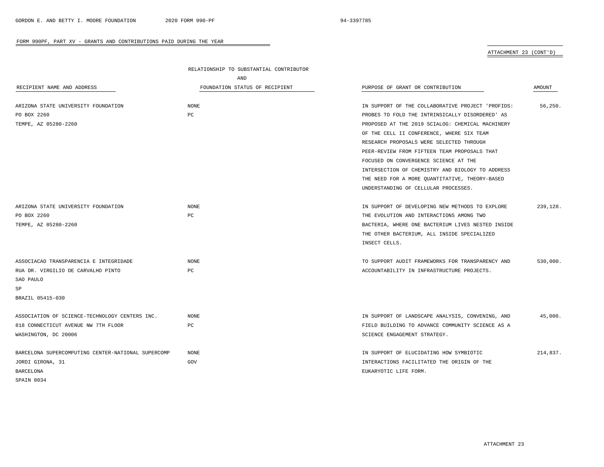$\overline{\phantom{a}}$ 

#### FORM 990PF, PART XV - GRANTS AND CONTRIBUTIONS PAID DURING THE YEAR

ATTACHMENT 23 (CONT'D)

|                                                    | RELATIONSHIP TO SUBSTANTIAL CONTRIBUTOR |                                                   |          |  |
|----------------------------------------------------|-----------------------------------------|---------------------------------------------------|----------|--|
|                                                    | AND                                     |                                                   |          |  |
| RECIPIENT NAME AND ADDRESS                         | FOUNDATION STATUS OF RECIPIENT          | PURPOSE OF GRANT OR CONTRIBUTION                  | AMOUNT   |  |
| ARIZONA STATE UNIVERSITY FOUNDATION                | NONE                                    | IN SUPPORT OF THE COLLABORATIVE PROJECT 'PROFIDS: | 56,250.  |  |
| PO BOX 2260                                        | PC                                      | PROBES TO FOLD THE INTRINSICALLY DISORDERED' AS   |          |  |
| TEMPE, AZ 85280-2260                               |                                         | PROPOSED AT THE 2019 SCIALOG: CHEMICAL MACHINERY  |          |  |
|                                                    |                                         | OF THE CELL II CONFERENCE, WHERE SIX TEAM         |          |  |
|                                                    |                                         | RESEARCH PROPOSALS WERE SELECTED THROUGH          |          |  |
|                                                    |                                         | PEER-REVIEW FROM FIFTEEN TEAM PROPOSALS THAT      |          |  |
|                                                    |                                         | FOCUSED ON CONVERGENCE SCIENCE AT THE             |          |  |
|                                                    |                                         | INTERSECTION OF CHEMISTRY AND BIOLOGY TO ADDRESS  |          |  |
|                                                    |                                         | THE NEED FOR A MORE QUANTITATIVE, THEORY-BASED    |          |  |
|                                                    |                                         | UNDERSTANDING OF CELLULAR PROCESSES.              |          |  |
|                                                    |                                         |                                                   |          |  |
| ARIZONA STATE UNIVERSITY FOUNDATION                | <b>NONE</b>                             | IN SUPPORT OF DEVELOPING NEW METHODS TO EXPLORE   | 239,128. |  |
| PO BOX 2260                                        | PC                                      | THE EVOLUTION AND INTERACTIONS AMONG TWO          |          |  |
| TEMPE, AZ 85280-2260                               |                                         | BACTERIA, WHERE ONE BACTERIUM LIVES NESTED INSIDE |          |  |
|                                                    |                                         | THE OTHER BACTERIUM, ALL INSIDE SPECIALIZED       |          |  |
|                                                    |                                         | INSECT CELLS.                                     |          |  |
|                                                    |                                         |                                                   |          |  |
| ASSOCIACAO TRANSPARENCIA E INTEGRIDADE             | NONE                                    | TO SUPPORT AUDIT FRAMEWORKS FOR TRANSPARENCY AND  | 530,000. |  |
| RUA DR. VIRGILIO DE CARVALHO PINTO                 | PC                                      | ACCOUNTABILITY IN INFRASTRUCTURE PROJECTS.        |          |  |
| SAO PAULO                                          |                                         |                                                   |          |  |
| SP                                                 |                                         |                                                   |          |  |
| BRAZIL 05415-030                                   |                                         |                                                   |          |  |
|                                                    |                                         |                                                   |          |  |
| ASSOCIATION OF SCIENCE-TECHNOLOGY CENTERS INC.     | <b>NONE</b>                             | IN SUPPORT OF LANDSCAPE ANALYSIS, CONVENING, AND  | 45,000.  |  |
| 818 CONNECTICUT AVENUE NW 7TH FLOOR                | PC                                      | FIELD BUILDING TO ADVANCE COMMUNITY SCIENCE AS A  |          |  |
| WASHINGTON, DC 20006                               |                                         | SCIENCE ENGAGEMENT STRATEGY.                      |          |  |
|                                                    |                                         |                                                   |          |  |
| BARCELONA SUPERCOMPUTING CENTER-NATIONAL SUPERCOMP | <b>NONE</b>                             | IN SUPPORT OF ELUCIDATING HOW SYMBIOTIC           | 214,837. |  |
| JORDI GIRONA, 31                                   | GOV                                     | INTERACTIONS FACILITATED THE ORIGIN OF THE        |          |  |
| <b>BARCELONA</b>                                   |                                         | EUKARYOTIC LIFE FORM.                             |          |  |
| SPAIN 8034                                         |                                         |                                                   |          |  |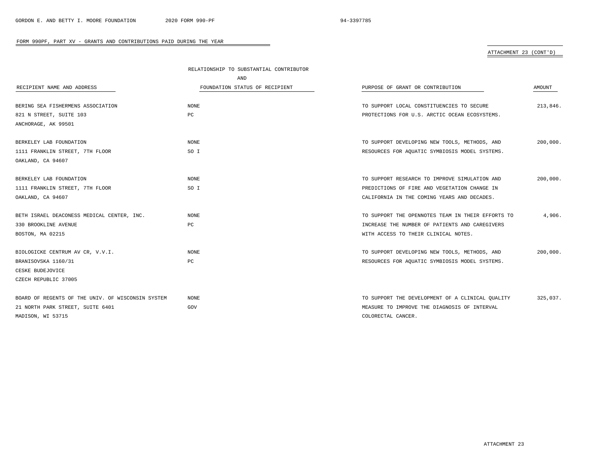# ATTACHMENT 23 (CONT'D)

|                                                   | RELATIONSHIP TO SUBSTANTIAL CONTRIBUTOR |                                                   |          |
|---------------------------------------------------|-----------------------------------------|---------------------------------------------------|----------|
|                                                   | AND                                     |                                                   |          |
| RECIPIENT NAME AND ADDRESS                        | FOUNDATION STATUS OF RECIPIENT          | PURPOSE OF GRANT OR CONTRIBUTION                  | AMOUNT   |
|                                                   |                                         |                                                   |          |
| BERING SEA FISHERMENS ASSOCIATION                 | <b>NONE</b>                             | TO SUPPORT LOCAL CONSTITUENCIES TO SECURE         | 213,846. |
| 821 N STREET, SUITE 103                           | PC                                      | PROTECTIONS FOR U.S. ARCTIC OCEAN ECOSYSTEMS.     |          |
| ANCHORAGE, AK 99501                               |                                         |                                                   |          |
|                                                   |                                         |                                                   |          |
| BERKELEY LAB FOUNDATION                           | <b>NONE</b>                             | TO SUPPORT DEVELOPING NEW TOOLS, METHODS, AND     | 200,000. |
| 1111 FRANKLIN STREET, 7TH FLOOR                   | SO I                                    | RESOURCES FOR AQUATIC SYMBIOSIS MODEL SYSTEMS.    |          |
| OAKLAND, CA 94607                                 |                                         |                                                   |          |
|                                                   |                                         |                                                   |          |
| BERKELEY LAB FOUNDATION                           | <b>NONE</b>                             | TO SUPPORT RESEARCH TO IMPROVE SIMULATION AND     | 200,000. |
| 1111 FRANKLIN STREET, 7TH FLOOR                   | SO I                                    | PREDICTIONS OF FIRE AND VEGETATION CHANGE IN      |          |
| OAKLAND, CA 94607                                 |                                         | CALIFORNIA IN THE COMING YEARS AND DECADES.       |          |
|                                                   |                                         |                                                   |          |
| BETH ISRAEL DEACONESS MEDICAL CENTER, INC.        | <b>NONE</b>                             | TO SUPPORT THE OPENNOTES TEAM IN THEIR EFFORTS TO | 4,906.   |
| 330 BROOKLINE AVENUE                              | PC                                      | INCREASE THE NUMBER OF PATIENTS AND CAREGIVERS    |          |
| BOSTON, MA 02215                                  |                                         | WITH ACCESS TO THEIR CLINICAL NOTES.              |          |
|                                                   |                                         |                                                   |          |
| BIOLOGICKE CENTRUM AV CR, V.V.I.                  | <b>NONE</b>                             | TO SUPPORT DEVELOPING NEW TOOLS, METHODS, AND     | 200,000. |
| BRANISOVSKA 1160/31                               | PC                                      | RESOURCES FOR AQUATIC SYMBIOSIS MODEL SYSTEMS.    |          |
| CESKE BUDEJOVICE                                  |                                         |                                                   |          |
| CZECH REPUBLIC 37005                              |                                         |                                                   |          |
|                                                   |                                         |                                                   |          |
| BOARD OF REGENTS OF THE UNIV. OF WISCONSIN SYSTEM | NONE                                    | TO SUPPORT THE DEVELOPMENT OF A CLINICAL OUALITY  | 325,037. |
| 21 NORTH PARK STREET, SUITE 6401                  | GOV                                     | MEASURE TO IMPROVE THE DIAGNOSIS OF INTERVAL      |          |
| MADISON, WI 53715                                 |                                         | COLORECTAL CANCER.                                |          |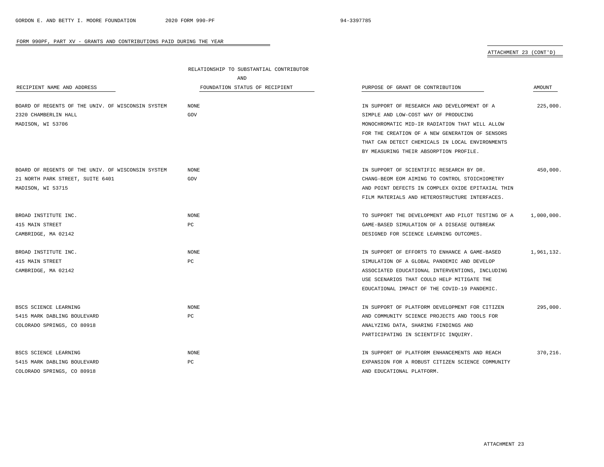### ATTACHMENT 23 (CONT'D)

|                                                   | RELATIONSHIP TO SUBSTANTIAL CONTRIBUTOR |                                                   |            |
|---------------------------------------------------|-----------------------------------------|---------------------------------------------------|------------|
|                                                   | AND                                     |                                                   |            |
| RECIPIENT NAME AND ADDRESS                        | FOUNDATION STATUS OF RECIPIENT          | PURPOSE OF GRANT OR CONTRIBUTION                  | AMOUNT     |
|                                                   |                                         |                                                   |            |
| BOARD OF REGENTS OF THE UNIV. OF WISCONSIN SYSTEM | <b>NONE</b>                             | IN SUPPORT OF RESEARCH AND DEVELOPMENT OF A       | 225,000.   |
| 2320 CHAMBERLIN HALL                              | GOV                                     | SIMPLE AND LOW-COST WAY OF PRODUCING              |            |
| MADISON, WI 53706                                 |                                         | MONOCHROMATIC MID-IR RADIATION THAT WILL ALLOW    |            |
|                                                   |                                         | FOR THE CREATION OF A NEW GENERATION OF SENSORS   |            |
|                                                   |                                         | THAT CAN DETECT CHEMICALS IN LOCAL ENVIRONMENTS   |            |
|                                                   |                                         | BY MEASURING THEIR ABSORPTION PROFILE.            |            |
| BOARD OF REGENTS OF THE UNIV. OF WISCONSIN SYSTEM | NONE                                    | IN SUPPORT OF SCIENTIFIC RESEARCH BY DR.          | 450,000.   |
| 21 NORTH PARK STREET, SUITE 6401                  | GOV                                     | CHANG-BEOM EOM AIMING TO CONTROL STOICHIOMETRY    |            |
| MADISON, WI 53715                                 |                                         | AND POINT DEFECTS IN COMPLEX OXIDE EPITAXIAL THIN |            |
|                                                   |                                         | FILM MATERIALS AND HETEROSTRUCTURE INTERFACES.    |            |
| BROAD INSTITUTE INC.                              | <b>NONE</b>                             | TO SUPPORT THE DEVELOPMENT AND PILOT TESTING OF A | 1,000,000. |
| 415 MAIN STREET                                   | PC                                      | GAME-BASED SIMULATION OF A DISEASE OUTBREAK       |            |
| CAMBRIDGE, MA 02142                               |                                         | DESIGNED FOR SCIENCE LEARNING OUTCOMES.           |            |
| BROAD INSTITUTE INC.                              | <b>NONE</b>                             | IN SUPPORT OF EFFORTS TO ENHANCE A GAME-BASED     | 1,961,132. |
| 415 MAIN STREET                                   | PC                                      | SIMULATION OF A GLOBAL PANDEMIC AND DEVELOP       |            |
| CAMBRIDGE, MA 02142                               |                                         | ASSOCIATED EDUCATIONAL INTERVENTIONS, INCLUDING   |            |
|                                                   |                                         | USE SCENARIOS THAT COULD HELP MITIGATE THE        |            |
|                                                   |                                         | EDUCATIONAL IMPACT OF THE COVID-19 PANDEMIC.      |            |
|                                                   |                                         |                                                   |            |
| BSCS SCIENCE LEARNING                             | NONE                                    | IN SUPPORT OF PLATFORM DEVELOPMENT FOR CITIZEN    | 295,000.   |
| 5415 MARK DABLING BOULEVARD                       | $_{\rm PC}$                             | AND COMMUNITY SCIENCE PROJECTS AND TOOLS FOR      |            |
| COLORADO SPRINGS, CO 80918                        |                                         | ANALYZING DATA, SHARING FINDINGS AND              |            |
|                                                   |                                         | PARTICIPATING IN SCIENTIFIC INQUIRY.              |            |
| BSCS SCIENCE LEARNING                             | $\rm{NONE}$                             | IN SUPPORT OF PLATFORM ENHANCEMENTS AND REACH     | 370,216.   |
| 5415 MARK DABLING BOULEVARD                       | PC                                      | EXPANSION FOR A ROBUST CITIZEN SCIENCE COMMUNITY  |            |
| COLORADO SPRINGS, CO 80918                        |                                         | AND EDUCATIONAL PLATFORM.                         |            |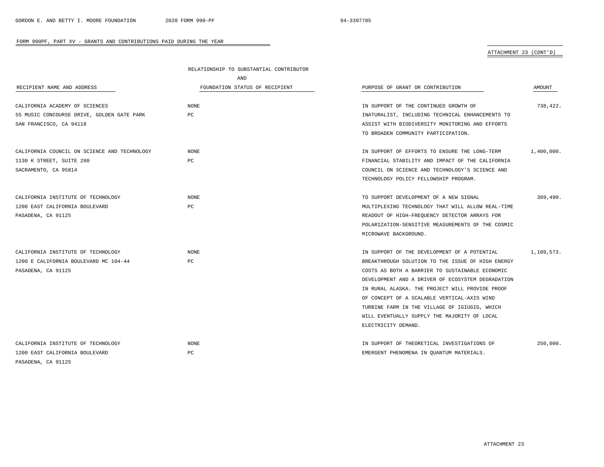# ATTACHMENT 23 (CONT'D)

|                                              | RELATIONSHIP TO SUBSTANTIAL CONTRIBUTOR |                                                   |            |
|----------------------------------------------|-----------------------------------------|---------------------------------------------------|------------|
|                                              | AND                                     |                                                   |            |
| RECIPIENT NAME AND ADDRESS                   | FOUNDATION STATUS OF RECIPIENT          | PURPOSE OF GRANT OR CONTRIBUTION                  | AMOUNT     |
| CALIFORNIA ACADEMY OF SCIENCES               | <b>NONE</b>                             | IN SUPPORT OF THE CONTINUED GROWTH OF             | 738,422.   |
| 55 MUSIC CONCOURSE DRIVE, GOLDEN GATE PARK   | PC                                      | INATURALIST, INCLUDING TECHNICAL ENHANCEMENTS TO  |            |
| SAN FRANCISCO, CA 94118                      |                                         | ASSIST WITH BIODIVERSITY MONITORING AND EFFORTS   |            |
|                                              |                                         | TO BROADEN COMMUNITY PARTICIPATION.               |            |
|                                              |                                         |                                                   |            |
| CALIFORNIA COUNCIL ON SCIENCE AND TECHNOLOGY | <b>NONE</b>                             | IN SUPPORT OF EFFORTS TO ENSURE THE LONG-TERM     | 1,400,000. |
| 1130 K STREET, SUITE 280                     | PC                                      | FINANCIAL STABILITY AND IMPACT OF THE CALIFORNIA  |            |
| SACRAMENTO, CA 95814                         |                                         | COUNCIL ON SCIENCE AND TECHNOLOGY'S SCIENCE AND   |            |
|                                              |                                         | TECHNOLOGY POLICY FELLOWSHIP PROGRAM.             |            |
| CALIFORNIA INSTITUTE OF TECHNOLOGY           | <b>NONE</b>                             | TO SUPPORT DEVELOPMENT OF A NEW SIGNAL            | 389,490.   |
| 1200 EAST CALIFORNIA BOULEVARD               | PC                                      | MULTIPLEXING TECHNOLOGY THAT WILL ALLOW REAL-TIME |            |
| PASADENA, CA 91125                           |                                         | READOUT OF HIGH-FREQUENCY DETECTOR ARRAYS FOR     |            |
|                                              |                                         | POLARIZATION-SENSITIVE MEASUREMENTS OF THE COSMIC |            |
|                                              |                                         | MICROWAVE BACKGROUND.                             |            |
| CALIFORNIA INSTITUTE OF TECHNOLOGY           | <b>NONE</b>                             | IN SUPPORT OF THE DEVELOPMENT OF A POTENTIAL      | 1,109,573. |
| 1200 E CALIFORNIA BOULEVARD MC 104-44        | PC                                      | BREAKTHROUGH SOLUTION TO THE ISSUE OF HIGH ENERGY |            |
| PASADENA, CA 91125                           |                                         | COSTS AS BOTH A BARRIER TO SUSTAINABLE ECONOMIC   |            |
|                                              |                                         | DEVELOPMENT AND A DRIVER OF ECOSYSTEM DEGRADATION |            |
|                                              |                                         | IN RURAL ALASKA. THE PROJECT WILL PROVIDE PROOF   |            |
|                                              |                                         | OF CONCEPT OF A SCALABLE VERTICAL-AXIS WIND       |            |
|                                              |                                         | TURBINE FARM IN THE VILLAGE OF IGIUGIG, WHICH     |            |
|                                              |                                         | WILL EVENTUALLY SUPPLY THE MAJORITY OF LOCAL      |            |
|                                              |                                         | ELECTRICITY DEMAND.                               |            |
| CALIFORNIA INSTITUTE OF TECHNOLOGY           | <b>NONE</b>                             | IN SUPPORT OF THEORETICAL INVESTIGATIONS OF       | 250,000.   |
| 1200 EAST CALIFORNIA BOULEVARD               | РC                                      | EMERGENT PHENOMENA IN QUANTUM MATERIALS.          |            |
| PASADENA, CA 91125                           |                                         |                                                   |            |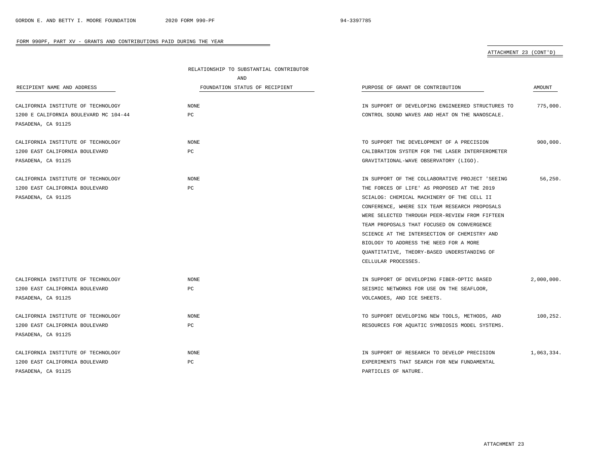### ATTACHMENT 23 (CONT'D)

|                                       | RELATIONSHIP TO SUBSTANTIAL CONTRIBUTOR |                                                   |            |
|---------------------------------------|-----------------------------------------|---------------------------------------------------|------------|
|                                       | AND                                     |                                                   |            |
| RECIPIENT NAME AND ADDRESS            | FOUNDATION STATUS OF RECIPIENT          | PURPOSE OF GRANT OR CONTRIBUTION                  | AMOUNT     |
| CALIFORNIA INSTITUTE OF TECHNOLOGY    | NONE                                    | IN SUPPORT OF DEVELOPING ENGINEERED STRUCTURES TO | 775,000.   |
| 1200 E CALIFORNIA BOULEVARD MC 104-44 | PC                                      | CONTROL SOUND WAVES AND HEAT ON THE NANOSCALE.    |            |
| PASADENA, CA 91125                    |                                         |                                                   |            |
| CALIFORNIA INSTITUTE OF TECHNOLOGY    | <b>NONE</b>                             | TO SUPPORT THE DEVELOPMENT OF A PRECISION         | 900.000.   |
| 1200 EAST CALIFORNIA BOULEVARD        | $_{\rm PC}$                             | CALIBRATION SYSTEM FOR THE LASER INTERFEROMETER   |            |
| PASADENA, CA 91125                    |                                         | GRAVITATIONAL-WAVE OBSERVATORY (LIGO).            |            |
| CALIFORNIA INSTITUTE OF TECHNOLOGY    | <b>NONE</b>                             | IN SUPPORT OF THE COLLABORATIVE PROJECT 'SEEING   | 56,250.    |
| 1200 EAST CALIFORNIA BOULEVARD        | PC                                      | THE FORCES OF LIFE' AS PROPOSED AT THE 2019       |            |
| PASADENA, CA 91125                    |                                         | SCIALOG: CHEMICAL MACHINERY OF THE CELL II        |            |
|                                       |                                         | CONFERENCE, WHERE SIX TEAM RESEARCH PROPOSALS     |            |
|                                       |                                         | WERE SELECTED THROUGH PEER-REVIEW FROM FIFTEEN    |            |
|                                       |                                         | TEAM PROPOSALS THAT FOCUSED ON CONVERGENCE        |            |
|                                       |                                         | SCIENCE AT THE INTERSECTION OF CHEMISTRY AND      |            |
|                                       |                                         | BIOLOGY TO ADDRESS THE NEED FOR A MORE            |            |
|                                       |                                         | QUANTITATIVE, THEORY-BASED UNDERSTANDING OF       |            |
|                                       |                                         | CELLULAR PROCESSES.                               |            |
| CALIFORNIA INSTITUTE OF TECHNOLOGY    | NONE                                    | IN SUPPORT OF DEVELOPING FIBER-OPTIC BASED        | 2,000,000. |
| 1200 EAST CALIFORNIA BOULEVARD        | PC                                      | SEISMIC NETWORKS FOR USE ON THE SEAFLOOR,         |            |
| PASADENA, CA 91125                    |                                         | VOLCANOES, AND ICE SHEETS.                        |            |
| CALIFORNIA INSTITUTE OF TECHNOLOGY    | NONE                                    | TO SUPPORT DEVELOPING NEW TOOLS, METHODS, AND     | 100,252.   |
| 1200 EAST CALIFORNIA BOULEVARD        | PC                                      | RESOURCES FOR AQUATIC SYMBIOSIS MODEL SYSTEMS.    |            |
| PASADENA, CA 91125                    |                                         |                                                   |            |
| CALIFORNIA INSTITUTE OF TECHNOLOGY    | NONE                                    | IN SUPPORT OF RESEARCH TO DEVELOP PRECISION       | 1,063,334. |
| 1200 EAST CALIFORNIA BOULEVARD        | PC                                      | EXPERIMENTS THAT SEARCH FOR NEW FUNDAMENTAL       |            |
| PASADENA, CA 91125                    |                                         | PARTICLES OF NATURE.                              |            |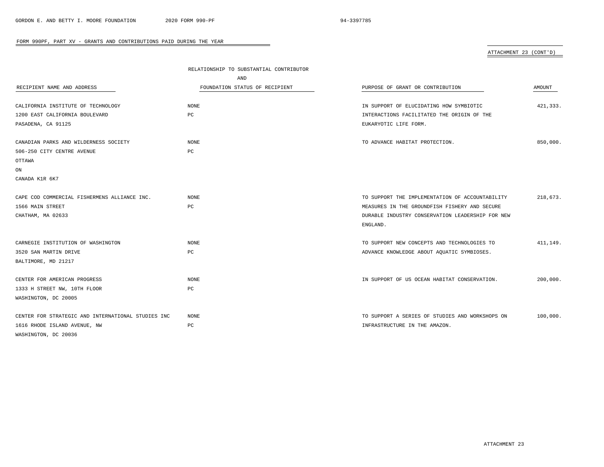# ATTACHMENT 23 (CONT'D)

|                                                    | RELATIONSHIP TO SUBSTANTIAL CONTRIBUTOR |                                                  |          |  |
|----------------------------------------------------|-----------------------------------------|--------------------------------------------------|----------|--|
|                                                    | AND                                     |                                                  |          |  |
| RECIPIENT NAME AND ADDRESS                         | FOUNDATION STATUS OF RECIPIENT          | PURPOSE OF GRANT OR CONTRIBUTION                 | AMOUNT   |  |
| CALIFORNIA INSTITUTE OF TECHNOLOGY                 | <b>NONE</b>                             | IN SUPPORT OF ELUCIDATING HOW SYMBIOTIC          | 421,333. |  |
|                                                    |                                         |                                                  |          |  |
| 1200 EAST CALIFORNIA BOULEVARD                     | PC                                      | INTERACTIONS FACILITATED THE ORIGIN OF THE       |          |  |
| PASADENA, CA 91125                                 |                                         | EUKARYOTIC LIFE FORM.                            |          |  |
| CANADIAN PARKS AND WILDERNESS SOCIETY              | <b>NONE</b>                             | TO ADVANCE HABITAT PROTECTION.                   | 850,000. |  |
| 506-250 CITY CENTRE AVENUE                         | $_{\rm PC}$                             |                                                  |          |  |
| OTTAWA                                             |                                         |                                                  |          |  |
| ON                                                 |                                         |                                                  |          |  |
| CANADA K1R 6K7                                     |                                         |                                                  |          |  |
|                                                    |                                         |                                                  |          |  |
| CAPE COD COMMERCIAL FISHERMENS ALLIANCE INC.       | <b>NONE</b>                             | TO SUPPORT THE IMPLEMENTATION OF ACCOUNTABILITY  | 218,673. |  |
| 1566 MAIN STREET                                   | РC                                      | MEASURES IN THE GROUNDFISH FISHERY AND SECURE    |          |  |
| CHATHAM, MA 02633                                  |                                         | DURABLE INDUSTRY CONSERVATION LEADERSHIP FOR NEW |          |  |
|                                                    |                                         | ENGLAND.                                         |          |  |
| CARNEGIE INSTITUTION OF WASHINGTON                 | <b>NONE</b>                             | TO SUPPORT NEW CONCEPTS AND TECHNOLOGIES TO      | 411,149. |  |
| 3520 SAN MARTIN DRIVE                              | $_{\rm PC}$                             | ADVANCE KNOWLEDGE ABOUT AQUATIC SYMBIOSES.       |          |  |
| BALTIMORE, MD 21217                                |                                         |                                                  |          |  |
| CENTER FOR AMERICAN PROGRESS                       | NONE                                    | IN SUPPORT OF US OCEAN HABITAT CONSERVATION.     | 200,000. |  |
| 1333 H STREET NW, 10TH FLOOR                       | PC                                      |                                                  |          |  |
| WASHINGTON, DC 20005                               |                                         |                                                  |          |  |
|                                                    |                                         |                                                  |          |  |
| CENTER FOR STRATEGIC AND INTERNATIONAL STUDIES INC | <b>NONE</b>                             | TO SUPPORT A SERIES OF STUDIES AND WORKSHOPS ON  | 100,000. |  |
| 1616 RHODE ISLAND AVENUE, NW                       | $_{\rm PC}$                             | INFRASTRUCTURE IN THE AMAZON.                    |          |  |
| WASHINGTON, DC 20036                               |                                         |                                                  |          |  |

÷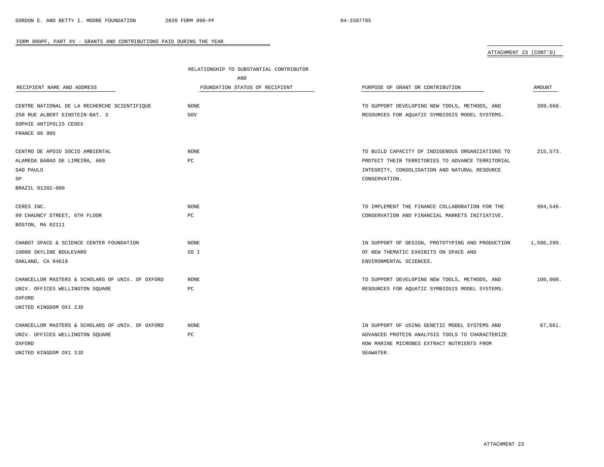# ATTACHMENT 23 (CONT'D)

|                                                  | RELATIONSHIP TO SUBSTANTIAL CONTRIBUTOR |                                                  |            |
|--------------------------------------------------|-----------------------------------------|--------------------------------------------------|------------|
|                                                  | AND                                     |                                                  |            |
| RECIPIENT NAME AND ADDRESS                       | FOUNDATION STATUS OF RECIPIENT          | PURPOSE OF GRANT OR CONTRIBUTION                 | AMOUNT     |
|                                                  |                                         |                                                  |            |
| CENTRE NATIONAL DE LA RECHERCHE SCIENTIFIQUE     | <b>NONE</b>                             | TO SUPPORT DEVELOPING NEW TOOLS, METHODS, AND    | 399,660.   |
| 250 RUE ALBERT EINSTEIN-BAT. 3                   | GOV                                     | RESOURCES FOR AQUATIC SYMBIOSIS MODEL SYSTEMS.   |            |
| SOPHIE ANTIPOLIS CEDEX                           |                                         |                                                  |            |
| <b>FRANCE 06 905</b>                             |                                         |                                                  |            |
| CENTRO DE APOIO SOCIO AMBIENTAL                  | <b>NONE</b>                             | TO BUILD CAPACITY OF INDIGENOUS ORGANIZATIONS TO | 215,573.   |
| ALAMEDA BARAO DE LIMEIRA, 660                    | РC                                      | PROTECT THEIR TERRITORIES TO ADVANCE TERRITORIAL |            |
| SAO PAULO                                        |                                         | INTEGRITY, CONSOLIDATION AND NATURAL RESOURCE    |            |
| SP                                               |                                         | CONSERVATION.                                    |            |
| BRAZIL 01202-000                                 |                                         |                                                  |            |
|                                                  |                                         |                                                  |            |
| CERES INC.                                       | <b>NONE</b>                             | TO IMPLEMENT THE FINANCE COLLABORATION FOR THE   | 994,546.   |
| 99 CHAUNCY STREET, 6TH FLOOR                     | РC                                      | CONSERVATION AND FINANCIAL MARKETS INITIATIVE.   |            |
| BOSTON, MA 02111                                 |                                         |                                                  |            |
| CHABOT SPACE & SCIENCE CENTER FOUNDATION         | <b>NONE</b>                             | IN SUPPORT OF DESIGN, PROTOTYPING AND PRODUCTION | 1,596,299. |
| 10000 SKYLINE BOULEVARD                          | SO I                                    | OF NEW THEMATIC EXHIBITS ON SPACE AND            |            |
| OAKLAND, CA 94619                                |                                         | ENVIRONMENTAL SCIENCES.                          |            |
| CHANCELLOR MASTERS & SCHOLARS OF UNIV. OF OXFORD | <b>NONE</b>                             | TO SUPPORT DEVELOPING NEW TOOLS, METHODS, AND    | 100,000.   |
| UNIV. OFFICES WELLINGTON SQUARE                  | PC                                      | RESOURCES FOR AQUATIC SYMBIOSIS MODEL SYSTEMS.   |            |
| OXFORD                                           |                                         |                                                  |            |
| UNITED KINGDOM OX1 2JD                           |                                         |                                                  |            |
|                                                  |                                         |                                                  |            |
| CHANCELLOR MASTERS & SCHOLARS OF UNIV. OF OXFORD | <b>NONE</b>                             | IN SUPPORT OF USING GENETIC MODEL SYSTEMS AND    | 87,661.    |
| UNIV. OFFICES WELLINGTON SQUARE                  | PC                                      | ADVANCED PROTEIN ANALYSIS TOOLS TO CHARACTERIZE  |            |
| OXFORD                                           |                                         | HOW MARINE MICROBES EXTRACT NUTRIENTS FROM       |            |
| UNITED KINGDOM OX1 2JD                           |                                         | SEAWATER.                                        |            |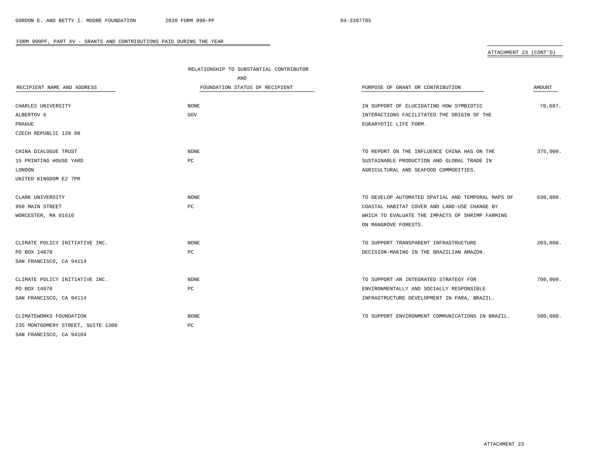# ATTACHMENT 23 (CONT'D)

|                                   | RELATIONSHIP TO SUBSTANTIAL CONTRIBUTOR |                                                   |               |
|-----------------------------------|-----------------------------------------|---------------------------------------------------|---------------|
|                                   | AND                                     |                                                   |               |
| RECIPIENT NAME AND ADDRESS        | FOUNDATION STATUS OF RECIPIENT          | PURPOSE OF GRANT OR CONTRIBUTION                  | <b>AMOUNT</b> |
|                                   |                                         |                                                   |               |
| CHARLES UNIVERSITY                | NONE                                    | IN SUPPORT OF ELUCIDATING HOW SYMBIOTIC           | 70.687.       |
| ALBERTOV 6                        | GOV                                     | INTERACTIONS FACILITATED THE ORIGIN OF THE        |               |
| PRAGUE                            |                                         | EUKARYOTIC LIFE FORM.                             |               |
| CZECH REPUBLIC 128 00             |                                         |                                                   |               |
| CHINA DIALOGUE TRUST              | <b>NONE</b>                             | TO REPORT ON THE INFLUENCE CHINA HAS ON THE       | 375,000.      |
| 15 PRINTING HOUSE YARD            | PC                                      | SUSTAINABLE PRODUCTION AND GLOBAL TRADE IN        |               |
| LONDON                            |                                         | AGRICULTURAL AND SEAFOOD COMMODITIES.             |               |
| UNITED KINGDOM E2 7PR             |                                         |                                                   |               |
| CLARK UNIVERSITY                  | <b>NONE</b>                             | TO DEVELOP AUTOMATED SPATIAL AND TEMPORAL MAPS OF | 630,000.      |
| 950 MAIN STREET                   | PC                                      | COASTAL HABITAT COVER AND LAND-USE CHANGE BY      |               |
| WORCESTER, MA 01610               |                                         | WHICH TO EVALUATE THE IMPACTS OF SHRIMP FARMING   |               |
|                                   |                                         | ON MANGROVE FORESTS.                              |               |
| CLIMATE POLICY INITIATIVE INC.    | <b>NONE</b>                             | TO SUPPORT TRANSPARENT INFRASTRUCTURE             | 203,000.      |
| PO BOX 14070                      | PC                                      | DECISION-MAKING IN THE BRAZILIAN AMAZON.          |               |
| SAN FRANCISCO, CA 94114           |                                         |                                                   |               |
| CLIMATE POLICY INITIATIVE INC.    | <b>NONE</b>                             | TO SUPPORT AN INTEGRATED STRATEGY FOR             | 700,000.      |
| PO BOX 14070                      | PC                                      | ENVIRONMENTALLY AND SOCIALLY RESPONSIBLE          |               |
| SAN FRANCISCO, CA 94114           |                                         | INFRASTRUCTURE DEVELOPMENT IN PARA, BRAZIL.       |               |
| CLIMATEWORKS FOUNDATION           | <b>NONE</b>                             | TO SUPPORT ENVIRONMENT COMMUNICATIONS IN BRAZIL.  | 500,000.      |
| 235 MONTGOMERY STREET, SUITE 1300 | PC                                      |                                                   |               |
| SAN FRANCISCO, CA 94104           |                                         |                                                   |               |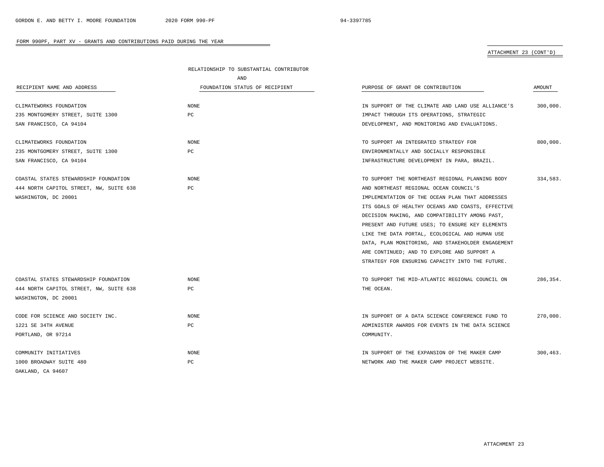# ATTACHMENT 23 (CONT'D)

|                                         | RELATIONSHIP TO SUBSTANTIAL CONTRIBUTOR |                                                   |          |
|-----------------------------------------|-----------------------------------------|---------------------------------------------------|----------|
|                                         | AND                                     |                                                   |          |
| RECIPIENT NAME AND ADDRESS              | FOUNDATION STATUS OF RECIPIENT          | PURPOSE OF GRANT OR CONTRIBUTION                  | AMOUNT   |
| CLIMATEWORKS FOUNDATION                 | NONE                                    | IN SUPPORT OF THE CLIMATE AND LAND USE ALLIANCE'S | 300,000. |
| 235 MONTGOMERY STREET, SUITE 1300       | PC                                      | IMPACT THROUGH ITS OPERATIONS, STRATEGIC          |          |
| SAN FRANCISCO, CA 94104                 |                                         | DEVELOPMENT, AND MONITORING AND EVALUATIONS.      |          |
| CLIMATEWORKS FOUNDATION                 | <b>NONE</b>                             | TO SUPPORT AN INTEGRATED STRATEGY FOR             | 800,000. |
| 235 MONTGOMERY STREET, SUITE 1300       | PC                                      | ENVIRONMENTALLY AND SOCIALLY RESPONSIBLE          |          |
| SAN FRANCISCO, CA 94104                 |                                         | INFRASTRUCTURE DEVELOPMENT IN PARA, BRAZIL.       |          |
| COASTAL STATES STEWARDSHIP FOUNDATION   | <b>NONE</b>                             | TO SUPPORT THE NORTHEAST REGIONAL PLANNING BODY   | 334,583. |
| 444 NORTH CAPITOL STREET, NW, SUITE 638 | PC                                      | AND NORTHEAST REGIONAL OCEAN COUNCIL'S            |          |
| WASHINGTON, DC 20001                    |                                         | IMPLEMENTATION OF THE OCEAN PLAN THAT ADDRESSES   |          |
|                                         |                                         | ITS GOALS OF HEALTHY OCEANS AND COASTS, EFFECTIVE |          |
|                                         |                                         | DECISION MAKING, AND COMPATIBILITY AMONG PAST,    |          |
|                                         |                                         | PRESENT AND FUTURE USES; TO ENSURE KEY ELEMENTS   |          |
|                                         |                                         | LIKE THE DATA PORTAL, ECOLOGICAL AND HUMAN USE    |          |
|                                         |                                         | DATA, PLAN MONITORING, AND STAKEHOLDER ENGAGEMENT |          |
|                                         |                                         | ARE CONTINUED; AND TO EXPLORE AND SUPPORT A       |          |
|                                         |                                         | STRATEGY FOR ENSURING CAPACITY INTO THE FUTURE.   |          |
| COASTAL STATES STEWARDSHIP FOUNDATION   | NONE                                    | TO SUPPORT THE MID-ATLANTIC REGIONAL COUNCIL ON   | 286.354. |
| 444 NORTH CAPITOL STREET, NW, SUITE 638 | PC                                      | THE OCEAN.                                        |          |
| WASHINGTON, DC 20001                    |                                         |                                                   |          |
| CODE FOR SCIENCE AND SOCIETY INC.       | <b>NONE</b>                             | IN SUPPORT OF A DATA SCIENCE CONFERENCE FUND TO   | 270,000. |
| 1221 SE 34TH AVENUE                     | PC                                      | ADMINISTER AWARDS FOR EVENTS IN THE DATA SCIENCE  |          |
| PORTLAND, OR 97214                      |                                         | COMMUNITY.                                        |          |
| COMMUNITY INITIATIVES                   | NONE                                    | IN SUPPORT OF THE EXPANSION OF THE MAKER CAMP     | 300.463. |
| 1000 BROADWAY SUITE 480                 | PC                                      | NETWORK AND THE MAKER CAMP PROJECT WEBSITE.       |          |
| OAKLAND, CA 94607                       |                                         |                                                   |          |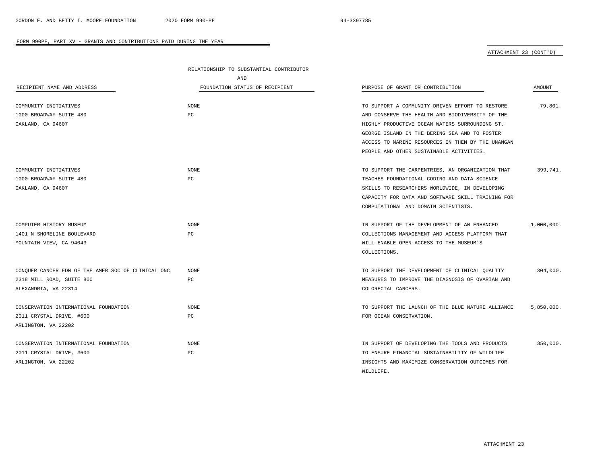$\overline{\phantom{a}}$ 

### FORM 990PF, PART XV - GRANTS AND CONTRIBUTIONS PAID DURING THE YEAR

ATTACHMENT 23 (CONT'D)

|                                                    | RELATIONSHIP TO SUBSTANTIAL CONTRIBUTOR |                                                   |            |
|----------------------------------------------------|-----------------------------------------|---------------------------------------------------|------------|
|                                                    | AND                                     |                                                   |            |
| RECIPIENT NAME AND ADDRESS                         | FOUNDATION STATUS OF RECIPIENT          | PURPOSE OF GRANT OR CONTRIBUTION                  | AMOUNT     |
|                                                    |                                         |                                                   |            |
| COMMUNITY INITIATIVES                              | NONE                                    | TO SUPPORT A COMMUNITY-DRIVEN EFFORT TO RESTORE   | 79,801.    |
| 1000 BROADWAY SUITE 480                            | PC                                      | AND CONSERVE THE HEALTH AND BIODIVERSITY OF THE   |            |
| OAKLAND, CA 94607                                  |                                         | HIGHLY PRODUCTIVE OCEAN WATERS SURROUNDING ST.    |            |
|                                                    |                                         | GEORGE ISLAND IN THE BERING SEA AND TO FOSTER     |            |
|                                                    |                                         | ACCESS TO MARINE RESOURCES IN THEM BY THE UNANGAN |            |
|                                                    |                                         | PEOPLE AND OTHER SUSTAINABLE ACTIVITIES.          |            |
| COMMUNITY INITIATIVES                              | NONE                                    | TO SUPPORT THE CARPENTRIES, AN ORGANIZATION THAT  | 399,741.   |
| 1000 BROADWAY SUITE 480                            | PC                                      | TEACHES FOUNDATIONAL CODING AND DATA SCIENCE      |            |
| OAKLAND, CA 94607                                  |                                         | SKILLS TO RESEARCHERS WORLDWIDE, IN DEVELOPING    |            |
|                                                    |                                         | CAPACITY FOR DATA AND SOFTWARE SKILL TRAINING FOR |            |
|                                                    |                                         | COMPUTATIONAL AND DOMAIN SCIENTISTS.              |            |
| COMPUTER HISTORY MUSEUM                            | <b>NONE</b>                             | IN SUPPORT OF THE DEVELOPMENT OF AN ENHANCED      | 1,000,000. |
| 1401 N SHORELINE BOULEVARD                         | PC                                      | COLLECTIONS MANAGEMENT AND ACCESS PLATFORM THAT   |            |
| MOUNTAIN VIEW, CA 94043                            |                                         | WILL ENABLE OPEN ACCESS TO THE MUSEUM'S           |            |
|                                                    |                                         | COLLECTIONS.                                      |            |
| CONQUER CANCER FDN OF THE AMER SOC OF CLINICAL ONC | NONE                                    | TO SUPPORT THE DEVELOPMENT OF CLINICAL QUALITY    | 304,000.   |
| 2318 MILL ROAD, SUITE 800                          | PC                                      | MEASURES TO IMPROVE THE DIAGNOSIS OF OVARIAN AND  |            |
| ALEXANDRIA, VA 22314                               |                                         | COLORECTAL CANCERS.                               |            |
|                                                    |                                         |                                                   |            |
| CONSERVATION INTERNATIONAL FOUNDATION              | NONE                                    | TO SUPPORT THE LAUNCH OF THE BLUE NATURE ALLIANCE | 5,850,000. |
| 2011 CRYSTAL DRIVE, #600                           | РC                                      | FOR OCEAN CONSERVATION.                           |            |
| ARLINGTON, VA 22202                                |                                         |                                                   |            |
| CONSERVATION INTERNATIONAL FOUNDATION              | <b>NONE</b>                             | IN SUPPORT OF DEVELOPING THE TOOLS AND PRODUCTS   | 350,000.   |
| 2011 CRYSTAL DRIVE, #600                           | PC                                      | TO ENSURE FINANCIAL SUSTAINABILITY OF WILDLIFE    |            |
| ARLINGTON, VA 22202                                |                                         | INSIGHTS AND MAXIMIZE CONSERVATION OUTCOMES FOR   |            |
|                                                    |                                         | WILDLIFE.                                         |            |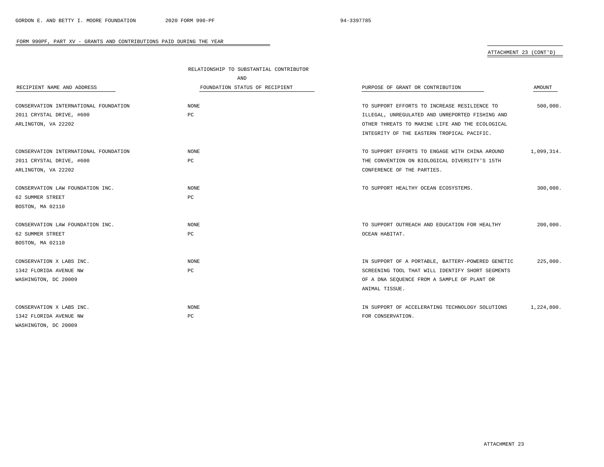# ATTACHMENT 23 (CONT'D)

|                                       | RELATIONSHIP TO SUBSTANTIAL CONTRIBUTOR |                                                   |            |
|---------------------------------------|-----------------------------------------|---------------------------------------------------|------------|
|                                       | AND                                     |                                                   |            |
| RECIPIENT NAME AND ADDRESS            | FOUNDATION STATUS OF RECIPIENT          | PURPOSE OF GRANT OR CONTRIBUTION                  | AMOUNT     |
|                                       |                                         |                                                   |            |
| CONSERVATION INTERNATIONAL FOUNDATION | <b>NONE</b>                             | TO SUPPORT EFFORTS TO INCREASE RESILIENCE TO      | 500,000.   |
| 2011 CRYSTAL DRIVE, #600              | PC                                      | ILLEGAL, UNREGULATED AND UNREPORTED FISHING AND   |            |
| ARLINGTON, VA 22202                   |                                         | OTHER THREATS TO MARINE LIFE AND THE ECOLOGICAL   |            |
|                                       |                                         | INTEGRITY OF THE EASTERN TROPICAL PACIFIC.        |            |
| CONSERVATION INTERNATIONAL FOUNDATION | NONE                                    | TO SUPPORT EFFORTS TO ENGAGE WITH CHINA AROUND    | 1,099,314. |
| 2011 CRYSTAL DRIVE, #600              | PC                                      | THE CONVENTION ON BIOLOGICAL DIVERSITY'S 15TH     |            |
| ARLINGTON, VA 22202                   |                                         | CONFERENCE OF THE PARTIES.                        |            |
| CONSERVATION LAW FOUNDATION INC.      | <b>NONE</b>                             | TO SUPPORT HEALTHY OCEAN ECOSYSTEMS.              | 300,000.   |
| 62 SUMMER STREET                      | $_{\rm PC}$                             |                                                   |            |
| BOSTON, MA 02110                      |                                         |                                                   |            |
|                                       |                                         |                                                   |            |
| CONSERVATION LAW FOUNDATION INC.      | NONE                                    | TO SUPPORT OUTREACH AND EDUCATION FOR HEALTHY     | 200,000.   |
| 62 SUMMER STREET                      | PC                                      | OCEAN HABITAT.                                    |            |
| BOSTON, MA 02110                      |                                         |                                                   |            |
| CONSERVATION X LABS INC.              | <b>NONE</b>                             | IN SUPPORT OF A PORTABLE, BATTERY-POWERED GENETIC | 225,000.   |
| 1342 FLORIDA AVENUE NW                | PC                                      | SCREENING TOOL THAT WILL IDENTIFY SHORT SEGMENTS  |            |
| WASHINGTON, DC 20009                  |                                         | OF A DNA SEQUENCE FROM A SAMPLE OF PLANT OR       |            |
|                                       |                                         | ANIMAL TISSUE.                                    |            |
| CONSERVATION X LABS INC.              | NONE                                    | IN SUPPORT OF ACCELERATING TECHNOLOGY SOLUTIONS   | 1,224,800. |
| 1342 FLORIDA AVENUE NW                | PC                                      | FOR CONSERVATION.                                 |            |
| WASHINGTON, DC 20009                  |                                         |                                                   |            |

÷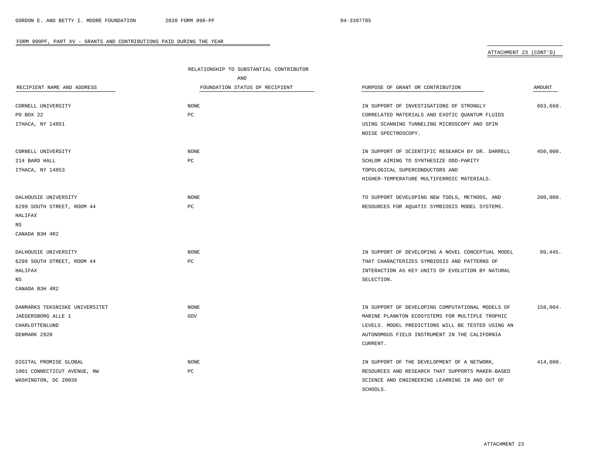# ATTACHMENT 23 (CONT'D)

|                                | RELATIONSHIP TO SUBSTANTIAL CONTRIBUTOR |                                                   |          |
|--------------------------------|-----------------------------------------|---------------------------------------------------|----------|
|                                | AND                                     |                                                   |          |
| RECIPIENT NAME AND ADDRESS     | FOUNDATION STATUS OF RECIPIENT          | PURPOSE OF GRANT OR CONTRIBUTION                  | AMOUNT   |
| CORNELL UNIVERSITY             | <b>NONE</b>                             | IN SUPPORT OF INVESTIGATIONS OF STRONGLY          | 663,660. |
| PO BOX 22                      | PC                                      | CORRELATED MATERIALS AND EXOTIC QUANTUM FLUIDS    |          |
| ITHACA, NY 14851               |                                         | USING SCANNING TUNNELING MICROSCOPY AND SPIN      |          |
|                                |                                         | NOISE SPECTROSCOPY.                               |          |
| CORNELL UNIVERSITY             | <b>NONE</b>                             | IN SUPPORT OF SCIENTIFIC RESEARCH BY DR. DARRELL  | 450,000. |
| 214 BARD HALL                  | PC                                      | SCHLOM AIMING TO SYNTHESIZE ODD-PARITY            |          |
| ITHACA, NY 14853               |                                         | TOPOLOGICAL SUPERCONDUCTORS AND                   |          |
|                                |                                         | HIGHER-TEMPERATURE MULTIFERROIC MATERIALS.        |          |
| DALHOUSIE UNIVERSITY           | <b>NONE</b>                             | TO SUPPORT DEVELOPING NEW TOOLS, METHODS, AND     | 200,000. |
| 6299 SOUTH STREET, ROOM 44     | PC                                      | RESOURCES FOR AQUATIC SYMBIOSIS MODEL SYSTEMS.    |          |
| HALIFAX                        |                                         |                                                   |          |
| NS                             |                                         |                                                   |          |
| CANADA B3H 4R2                 |                                         |                                                   |          |
| DALHOUSIE UNIVERSITY           | <b>NONE</b>                             | IN SUPPORT OF DEVELOPING A NOVEL CONCEPTUAL MODEL | 99,445.  |
| 6299 SOUTH STREET, ROOM 44     | PC                                      | THAT CHARACTERIZES SYMBIOSIS AND PATTERNS OF      |          |
| HALIFAX                        |                                         | INTERACTION AS KEY UNITS OF EVOLUTION BY NATURAL  |          |
| $_{\rm NS}$                    |                                         | SELECTION.                                        |          |
| CANADA B3H 4R2                 |                                         |                                                   |          |
| DANMARKS TEKSNISKE UNIVERSITET | <b>NONE</b>                             | IN SUPPORT OF DEVELOPING COMPUTATIONAL MODELS OF  | 158,004. |
| JAEGERSBORG ALLE 1             | GOV                                     | MARINE PLANKTON ECOSYSTEMS FOR MULTIPLE TROPHIC   |          |
| CHARLOTTENLUND                 |                                         | LEVELS. MODEL PREDICTIONS WILL BE TESTED USING AN |          |
| DENMARK 2920                   |                                         | AUTONOMOUS FIELD INSTRUMENT IN THE CALIFORNIA     |          |
|                                |                                         | CURRENT.                                          |          |
| DIGITAL PROMISE GLOBAL         | <b>NONE</b>                             | IN SUPPORT OF THE DEVELOPMENT OF A NETWORK,       | 414,000. |
| 1001 CONNECTICUT AVENUE, NW    | PC                                      | RESOURCES AND RESEARCH THAT SUPPORTS MAKER-BASED  |          |
| WASHINGTON, DC 20036           |                                         | SCIENCE AND ENGINEERING LEARNING IN AND OUT OF    |          |
|                                |                                         | SCHOOLS.                                          |          |

÷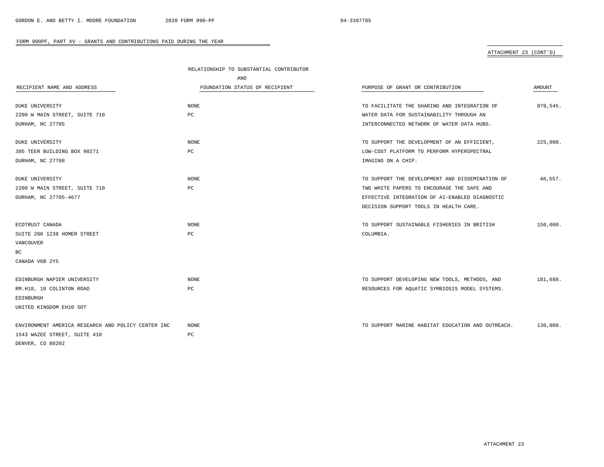# ATTACHMENT 23 (CONT'D)

|                                                    | RELATIONSHIP TO SUBSTANTIAL CONTRIBUTOR |                                                   |          |  |
|----------------------------------------------------|-----------------------------------------|---------------------------------------------------|----------|--|
|                                                    | AND                                     |                                                   |          |  |
| RECIPIENT NAME AND ADDRESS                         | FOUNDATION STATUS OF RECIPIENT          | PURPOSE OF GRANT OR CONTRIBUTION                  | AMOUNT   |  |
| <b>DUKE UNIVERSITY</b>                             | <b>NONE</b>                             | TO FACILITATE THE SHARING AND INTEGRATION OF      | 879,545. |  |
| 2200 W MAIN STREET, SUITE 710                      | PC                                      | WATER DATA FOR SUSTAINABILITY THROUGH AN          |          |  |
| DURHAM, NC 27705                                   |                                         | INTERCONNECTED NETWORK OF WATER DATA HUBS.        |          |  |
| DUKE UNIVERSITY                                    | NONE                                    | TO SUPPORT THE DEVELOPMENT OF AN EFFICIENT,       | 225,000. |  |
| 305 TEER BUILDING BOX 90271                        | РC                                      | LOW-COST PLATFORM TO PERFORM HYPERSPECTRAL        |          |  |
| DURHAM, NC 27708                                   |                                         | IMAGING ON A CHIP.                                |          |  |
| DUKE UNIVERSITY                                    | NONE                                    | TO SUPPORT THE DEVELOPMENT AND DISSEMINATION OF   | 48,557.  |  |
| 2200 W MAIN STREET, SUITE 710                      | $_{\rm PC}$                             | TWO WHITE PAPERS TO ENCOURAGE THE SAFE AND        |          |  |
| DURHAM, NC 27705-4677                              |                                         | EFFECTIVE INTEGRATION OF AI-ENABLED DIAGNOSTIC    |          |  |
|                                                    |                                         | DECISION SUPPORT TOOLS IN HEALTH CARE.            |          |  |
| ECOTRUST CANADA                                    | NONE                                    | TO SUPPORT SUSTAINABLE FISHERIES IN BRITISH       | 150,000. |  |
| SUITE 200 1238 HOMER STREET                        | PC                                      | COLUMBIA.                                         |          |  |
| <b>VANCOUVER</b>                                   |                                         |                                                   |          |  |
| ВC                                                 |                                         |                                                   |          |  |
| CANADA V6B 2Y5                                     |                                         |                                                   |          |  |
| EDINBURGH NAPIER UNIVERSITY                        | <b>NONE</b>                             | TO SUPPORT DEVELOPING NEW TOOLS, METHODS, AND     | 181,688. |  |
| RM.H18, 10 COLINTON ROAD                           | PC                                      | RESOURCES FOR AQUATIC SYMBIOSIS MODEL SYSTEMS.    |          |  |
| EDINBURGH                                          |                                         |                                                   |          |  |
| UNITED KINGDOM EH10 5DT                            |                                         |                                                   |          |  |
| ENVIRONMENT AMERICA RESEARCH AND POLICY CENTER INC | <b>NONE</b>                             | TO SUPPORT MARINE HABITAT EDUCATION AND OUTREACH. | 130,000. |  |
| 1543 WAZEE STREET, SUITE 410                       | PC                                      |                                                   |          |  |
| DENVER, CO 80202                                   |                                         |                                                   |          |  |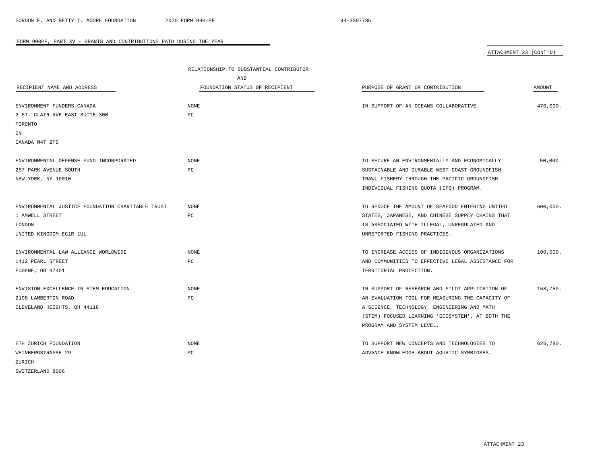ATTACHMENT 23 (CONT'D)

|                                                   | RELATIONSHIP TO SUBSTANTIAL CONTRIBUTOR |                                                   |          |  |
|---------------------------------------------------|-----------------------------------------|---------------------------------------------------|----------|--|
|                                                   | AND                                     |                                                   |          |  |
| RECIPIENT NAME AND ADDRESS                        | FOUNDATION STATUS OF RECIPIENT          | PURPOSE OF GRANT OR CONTRIBUTION                  | AMOUNT   |  |
| ENVIRONMENT FUNDERS CANADA                        | <b>NONE</b>                             | IN SUPPORT OF AN OCEANS COLLABORATIVE.            | 470,000. |  |
| 2 ST. CLAIR AVE EAST SUITE 300                    | PC                                      |                                                   |          |  |
| TORONTO                                           |                                         |                                                   |          |  |
| ON                                                |                                         |                                                   |          |  |
| CANADA M4T 2T5                                    |                                         |                                                   |          |  |
| ENVIRONMENTAL DEFENSE FUND INCORPORATED           | NONE                                    | TO SECURE AN ENVIRONMENTALLY AND ECONOMICALLY     | 50,000.  |  |
| 257 PARK AVENUE SOUTH                             | PC                                      | SUSTAINABLE AND DURABLE WEST COAST GROUNDFISH     |          |  |
| NEW YORK, NY 10010                                |                                         | TRAWL FISHERY THROUGH THE PACIFIC GROUNDFISH      |          |  |
|                                                   |                                         | INDIVIDUAL FISHING QUOTA (IFQ) PROGRAM.           |          |  |
| ENVIRONMENTAL JUSTICE FOUNDATION CHARITABLE TRUST | NONE                                    | TO REDUCE THE AMOUNT OF SEAFOOD ENTERING UNITED   | 600,000. |  |
| 1 AMWELL STREET                                   | PC                                      | STATES, JAPANESE, AND CHINESE SUPPLY CHAINS THAT  |          |  |
| LONDON                                            |                                         | IS ASSOCIATED WITH ILLEGAL, UNREGULATED AND       |          |  |
| UNITED KINGDOM EC1R 1UL                           |                                         | UNREPORTED FISHING PRACTICES.                     |          |  |
| ENVIRONMENTAL LAW ALLIANCE WORLDWIDE              | NONE                                    | TO INCREASE ACCESS OF INDIGENOUS ORGANIZATIONS    | 100,000. |  |
| 1412 PEARL STREET                                 | PC                                      | AND COMMUNITIES TO EFFECTIVE LEGAL ASSISTANCE FOR |          |  |
| EUGENE, OR 97401                                  |                                         | TERRITORIAL PROTECTION.                           |          |  |
| ENVISION EXCELLENCE IN STEM EDUCATION             | <b>NONE</b>                             | IN SUPPORT OF RESEARCH AND PILOT APPLICATION OF   | 158,750. |  |
| 2108 LAMBERTON ROAD                               | PC                                      | AN EVALUATION TOOL FOR MEASURING THE CAPACITY OF  |          |  |
| CLEVELAND HEIGHTS, OH 44118                       |                                         | A SCIENCE, TECHNOLOGY, ENGINEERING AND MATH       |          |  |
|                                                   |                                         | (STEM) FOCUSED LEARNING 'ECOSYSTEM', AT BOTH THE  |          |  |
|                                                   |                                         | PROGRAM AND SYSTEM LEVEL.                         |          |  |
| ETH ZURICH FOUNDATION                             | NONE                                    | TO SUPPORT NEW CONCEPTS AND TECHNOLOGIES TO       | 626.780. |  |
| WEINBERGSTRASSE 29                                | PC                                      | ADVANCE KNOWLEDGE ABOUT AQUATIC SYMBIOSES.        |          |  |
| ZURICH                                            |                                         |                                                   |          |  |
| SWITZERLAND 8006                                  |                                         |                                                   |          |  |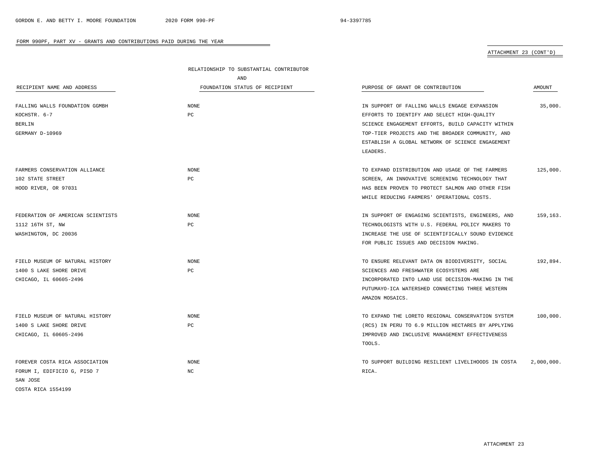# ATTACHMENT 23 (CONT'D)

|                                   | RELATIONSHIP TO SUBSTANTIAL CONTRIBUTOR |                                                    |            |
|-----------------------------------|-----------------------------------------|----------------------------------------------------|------------|
|                                   | AND                                     |                                                    |            |
| RECIPIENT NAME AND ADDRESS        | FOUNDATION STATUS OF RECIPIENT          | PURPOSE OF GRANT OR CONTRIBUTION                   | AMOUNT     |
|                                   |                                         |                                                    |            |
| FALLING WALLS FOUNDATION GGMBH    | <b>NONE</b>                             | IN SUPPORT OF FALLING WALLS ENGAGE EXPANSION       | 35,000.    |
| KOCHSTR. 6-7                      | PC                                      | EFFORTS TO IDENTIFY AND SELECT HIGH-QUALITY        |            |
| <b>BERLIN</b>                     |                                         | SCIENCE ENGAGEMENT EFFORTS, BUILD CAPACITY WITHIN  |            |
| GERMANY D-10969                   |                                         | TOP-TIER PROJECTS AND THE BROADER COMMUNITY, AND   |            |
|                                   |                                         | ESTABLISH A GLOBAL NETWORK OF SCIENCE ENGAGEMENT   |            |
|                                   |                                         | LEADERS.                                           |            |
| FARMERS CONSERVATION ALLIANCE     | NONE                                    | TO EXPAND DISTRIBUTION AND USAGE OF THE FARMERS    | 125,000.   |
| 102 STATE STREET                  | PC                                      | SCREEN, AN INNOVATIVE SCREENING TECHNOLOGY THAT    |            |
| HOOD RIVER, OR 97031              |                                         | HAS BEEN PROVEN TO PROTECT SALMON AND OTHER FISH   |            |
|                                   |                                         | WHILE REDUCING FARMERS' OPERATIONAL COSTS.         |            |
|                                   |                                         |                                                    |            |
| FEDERATION OF AMERICAN SCIENTISTS | <b>NONE</b>                             | IN SUPPORT OF ENGAGING SCIENTISTS, ENGINEERS, AND  | 159,163.   |
| 1112 16TH ST, NW                  | PC                                      | TECHNOLOGISTS WITH U.S. FEDERAL POLICY MAKERS TO   |            |
| WASHINGTON, DC 20036              |                                         | INCREASE THE USE OF SCIENTIFICALLY SOUND EVIDENCE  |            |
|                                   |                                         | FOR PUBLIC ISSUES AND DECISION MAKING.             |            |
|                                   |                                         |                                                    |            |
| FIELD MUSEUM OF NATURAL HISTORY   | <b>NONE</b>                             | TO ENSURE RELEVANT DATA ON BIODIVERSITY, SOCIAL    | 192,894.   |
| 1400 S LAKE SHORE DRIVE           | PC                                      | SCIENCES AND FRESHWATER ECOSYSTEMS ARE             |            |
| CHICAGO, IL 60605-2496            |                                         | INCORPORATED INTO LAND USE DECISION-MAKING IN THE  |            |
|                                   |                                         | PUTUMAYO-ICA WATERSHED CONNECTING THREE WESTERN    |            |
|                                   |                                         | AMAZON MOSAICS.                                    |            |
| FIELD MUSEUM OF NATURAL HISTORY   | <b>NONE</b>                             | TO EXPAND THE LORETO REGIONAL CONSERVATION SYSTEM  | 100,000.   |
| 1400 S LAKE SHORE DRIVE           | PC                                      | (RCS) IN PERU TO 6.9 MILLION HECTARES BY APPLYING  |            |
| CHICAGO, IL 60605-2496            |                                         | IMPROVED AND INCLUSIVE MANAGEMENT EFFECTIVENESS    |            |
|                                   |                                         | TOOLS.                                             |            |
|                                   |                                         |                                                    |            |
| FOREVER COSTA RICA ASSOCIATION    | <b>NONE</b>                             | TO SUPPORT BUILDING RESILIENT LIVELIHOODS IN COSTA | 2,000,000. |
| FORUM I, EDIFICIO G, PISO 7       | NC                                      | RICA.                                              |            |
| SAN JOSE                          |                                         |                                                    |            |
| COSTA RICA 1554199                |                                         |                                                    |            |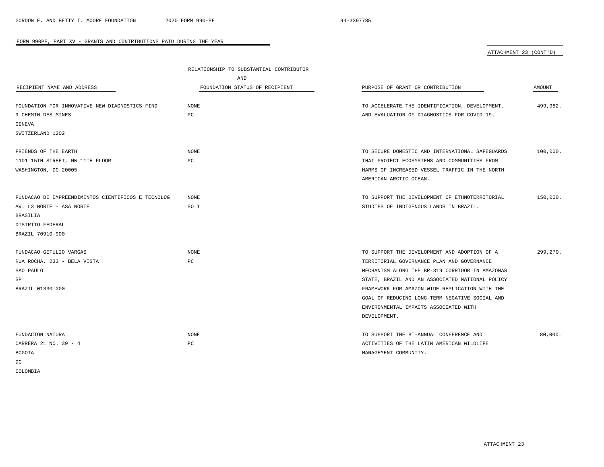# ATTACHMENT 23 (CONT'D)

|                                                    | RELATIONSHIP TO SUBSTANTIAL CONTRIBUTOR |                                                 |               |
|----------------------------------------------------|-----------------------------------------|-------------------------------------------------|---------------|
|                                                    | AND                                     |                                                 |               |
| RECIPIENT NAME AND ADDRESS                         | FOUNDATION STATUS OF RECIPIENT          | PURPOSE OF GRANT OR CONTRIBUTION                | <b>AMOUNT</b> |
| FOUNDATION FOR INNOVATIVE NEW DIAGNOSTICS FIND     | <b>NONE</b>                             | TO ACCELERATE THE IDENTIFICATION, DEVELOPMENT,  | 499,982.      |
| 9 CHEMIN DES MINES                                 | PC                                      | AND EVALUATION OF DIAGNOSTICS FOR COVID-19.     |               |
| GENEVA                                             |                                         |                                                 |               |
| SWITZERLAND 1202                                   |                                         |                                                 |               |
| FRIENDS OF THE EARTH                               | <b>NONE</b>                             | TO SECURE DOMESTIC AND INTERNATIONAL SAFEGUARDS | 100,000.      |
| 1101 15TH STREET, NW 11TH FLOOR                    | PC                                      | THAT PROTECT ECOSYSTEMS AND COMMUNITIES FROM    |               |
| WASHINGTON, DC 20005                               |                                         | HARMS OF INCREASED VESSEL TRAFFIC IN THE NORTH  |               |
|                                                    |                                         | AMERICAN ARCTIC OCEAN.                          |               |
| FUNDACAO DE EMPREENDIMENTOS CIENTIFICOS E TECNOLOG | NONE                                    | TO SUPPORT THE DEVELOPMENT OF ETHNOTERRITORIAL  | 150,000.      |
| AV. L3 NORTE - ASA NORTE                           | SO I                                    | STUDIES OF INDIGENOUS LANDS IN BRAZIL.          |               |
| BRASILIA                                           |                                         |                                                 |               |
| DISTRITO FEDERAL                                   |                                         |                                                 |               |
| BRAZIL 70910-900                                   |                                         |                                                 |               |
| FUNDACAO GETULIO VARGAS                            | <b>NONE</b>                             | TO SUPPORT THE DEVELOPMENT AND ADOPTION OF A    | 299,270.      |
| RUA ROCHA, 233 - BELA VISTA                        | PC                                      | TERRITORIAL GOVERNANCE PLAN AND GOVERNANCE      |               |
| SAO PAULO                                          |                                         | MECHANISM ALONG THE BR-319 CORRIDOR IN AMAZONAS |               |
| SP                                                 |                                         | STATE, BRAZIL AND AN ASSOCIATED NATIONAL POLICY |               |
| BRAZIL 01330-000                                   |                                         | FRAMEWORK FOR AMAZON-WIDE REPLICATION WITH THE  |               |
|                                                    |                                         | GOAL OF REDUCING LONG-TERM NEGATIVE SOCIAL AND  |               |
|                                                    |                                         | ENVIRONMENTAL IMPACTS ASSOCIATED WITH           |               |
|                                                    |                                         | DEVELOPMENT.                                    |               |
| FUNDACION NATURA                                   | <b>NONE</b>                             | TO SUPPORT THE BI-ANNUAL CONFERENCE AND         | 80,000.       |
| CARRERA 21 NO. 39 - 4                              | PC                                      | ACTIVITIES OF THE LATIN AMERICAN WILDLIFE       |               |
| <b>BOGOTA</b>                                      |                                         | MANAGEMENT COMMUNITY.                           |               |
| DC                                                 |                                         |                                                 |               |
| COLOMBIA                                           |                                         |                                                 |               |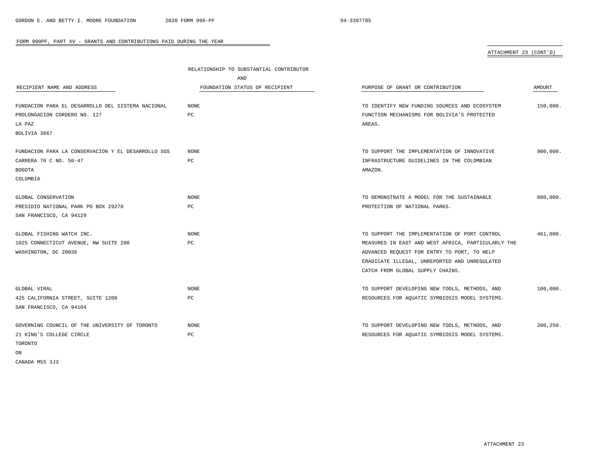# ATTACHMENT 23 (CONT'D)

|                                                    | RELATIONSHIP TO SUBSTANTIAL CONTRIBUTOR |                                                    |           |
|----------------------------------------------------|-----------------------------------------|----------------------------------------------------|-----------|
|                                                    | AND                                     |                                                    |           |
| RECIPIENT NAME AND ADDRESS                         | FOUNDATION STATUS OF RECIPIENT          | PURPOSE OF GRANT OR CONTRIBUTION                   | AMOUNT    |
|                                                    |                                         |                                                    |           |
| FUNDACION PARA EL DESARROLLO DEL SISTEMA NACIONAL  | NONE                                    | TO IDENTIFY NEW FUNDING SOURCES AND ECOSYSTEM      | 150,000.  |
| PROLONGACION CORDERO NO. 127                       | PC                                      | FUNCTION MECHANISMS FOR BOLIVIA'S PROTECTED        |           |
| LA PAZ                                             |                                         | AREAS.                                             |           |
| BOLIVIA 3667                                       |                                         |                                                    |           |
|                                                    |                                         |                                                    |           |
| FUNDACION PARA LA CONSERVACION Y EL DESARROLLO SOS | NONE                                    | TO SUPPORT THE IMPLEMENTATION OF INNOVATIVE        | 900,000.  |
| CARRERA 70 C NO. 50-47                             | PC                                      | INFRASTRUCTURE GUIDELINES IN THE COLOMBIAN         |           |
| <b>BOGOTA</b>                                      |                                         | AMAZON.                                            |           |
| COLOMBIA                                           |                                         |                                                    |           |
|                                                    |                                         |                                                    |           |
| GLOBAL CONSERVATION                                | <b>NONE</b>                             | TO DEMONSTRATE A MODEL FOR THE SUSTAINABLE         | 800,000.  |
| PRESIDIO NATIONAL PARK PO BOX 29278                | PC                                      | PROTECTION OF NATIONAL PARKS.                      |           |
| SAN FRANCISCO, CA 94129                            |                                         |                                                    |           |
|                                                    |                                         |                                                    |           |
| GLOBAL FISHING WATCH INC.                          | NONE                                    | TO SUPPORT THE IMPLEMENTATION OF PORT CONTROL      | 461,000.  |
| 1025 CONNECTICUT AVENUE, NW SUITE 200              | PC                                      | MEASURES IN EAST AND WEST AFRICA, PARTICULARLY THE |           |
| WASHINGTON, DC 20036                               |                                         | ADVANCED REQUEST FOR ENTRY TO PORT, TO HELP        |           |
|                                                    |                                         | ERADICATE ILLEGAL, UNREPORTED AND UNREGULATED      |           |
|                                                    |                                         | CATCH FROM GLOBAL SUPPLY CHAINS.                   |           |
| GLOBAL VIRAL                                       | NONE                                    | TO SUPPORT DEVELOPING NEW TOOLS, METHODS, AND      | 100,000.  |
| 425 CALIFORNIA STREET, SUITE 1200                  | PC                                      | RESOURCES FOR AQUATIC SYMBIOSIS MODEL SYSTEMS.     |           |
| SAN FRANCISCO, CA 94104                            |                                         |                                                    |           |
|                                                    |                                         |                                                    |           |
| GOVERNING COUNCIL OF THE UNIVERSITY OF TORONTO     | <b>NONE</b>                             | TO SUPPORT DEVELOPING NEW TOOLS, METHODS, AND      | 200, 250. |
| 21 KING'S COLLEGE CIRCLE                           | PC                                      | RESOURCES FOR AQUATIC SYMBIOSIS MODEL SYSTEMS.     |           |
| TORONTO                                            |                                         |                                                    |           |
| ON                                                 |                                         |                                                    |           |

 $\overline{\phantom{a}}$ 

CANADA M5S 3J3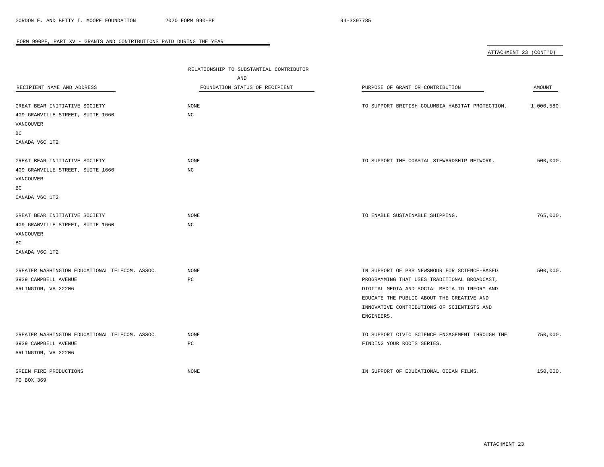| ATTACHMENT 23 (CONT'D) |  |
|------------------------|--|
|                        |  |

| RECIPIENT NAME AND ADDRESS<br>GREAT BEAR INITIATIVE SOCIETY                                            | RELATIONSHIP TO SUBSTANTIAL CONTRIBUTOR<br>AND<br>FOUNDATION STATUS OF RECIPIENT<br><b>NONE</b> | PURPOSE OF GRANT OR CONTRIBUTION<br>TO SUPPORT BRITISH COLUMBIA HABITAT PROTECTION.                                                                                                                                                                   | AMOUNT<br>1,000,580. |
|--------------------------------------------------------------------------------------------------------|-------------------------------------------------------------------------------------------------|-------------------------------------------------------------------------------------------------------------------------------------------------------------------------------------------------------------------------------------------------------|----------------------|
| 409 GRANVILLE STREET, SUITE 1660<br>VANCOUVER<br>ВC<br>CANADA V6C 1T2                                  | $_{\mathrm{NC}}$                                                                                |                                                                                                                                                                                                                                                       |                      |
| GREAT BEAR INITIATIVE SOCIETY<br>409 GRANVILLE STREET, SUITE 1660<br>VANCOUVER<br>ВC<br>CANADA V6C 1T2 | <b>NONE</b><br>$_{\mathrm{NC}}$                                                                 | TO SUPPORT THE COASTAL STEWARDSHIP NETWORK.                                                                                                                                                                                                           | 500,000.             |
| GREAT BEAR INITIATIVE SOCIETY<br>409 GRANVILLE STREET, SUITE 1660<br>VANCOUVER<br>ВC<br>CANADA V6C 1T2 | $\rm{NONE}$<br>NC                                                                               | TO ENABLE SUSTAINABLE SHIPPING.                                                                                                                                                                                                                       | 765,000.             |
| GREATER WASHINGTON EDUCATIONAL TELECOM. ASSOC.<br>3939 CAMPBELL AVENUE<br>ARLINGTON, VA 22206          | <b>NONE</b><br>PC                                                                               | IN SUPPORT OF PBS NEWSHOUR FOR SCIENCE-BASED<br>PROGRAMMING THAT USES TRADITIONAL BROADCAST,<br>DIGITAL MEDIA AND SOCIAL MEDIA TO INFORM AND<br>EDUCATE THE PUBLIC ABOUT THE CREATIVE AND<br>INNOVATIVE CONTRIBUTIONS OF SCIENTISTS AND<br>ENGINEERS. | 500,000.             |
| GREATER WASHINGTON EDUCATIONAL TELECOM. ASSOC.<br>3939 CAMPBELL AVENUE<br>ARLINGTON, VA 22206          | <b>NONE</b><br>PC                                                                               | TO SUPPORT CIVIC SCIENCE ENGAGEMENT THROUGH THE<br>FINDING YOUR ROOTS SERIES.                                                                                                                                                                         | 750,000.             |
| GREEN FIRE PRODUCTIONS<br>PO BOX 369                                                                   | <b>NONE</b>                                                                                     | IN SUPPORT OF EDUCATIONAL OCEAN FILMS.                                                                                                                                                                                                                | 150,000.             |

 $\overline{\phantom{a}}$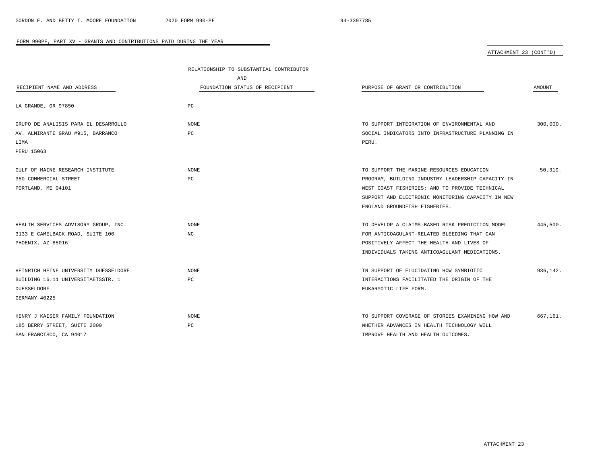ATTACHMENT 23 (CONT'D)

|                                       | RELATIONSHIP TO SUBSTANTIAL CONTRIBUTOR |                                                   |          |
|---------------------------------------|-----------------------------------------|---------------------------------------------------|----------|
|                                       | <b>AND</b>                              |                                                   |          |
| RECIPIENT NAME AND ADDRESS            | FOUNDATION STATUS OF RECIPIENT          | PURPOSE OF GRANT OR CONTRIBUTION                  | AMOUNT   |
|                                       |                                         |                                                   |          |
| LA GRANDE, OR 97850                   | PC                                      |                                                   |          |
| GRUPO DE ANALISIS PARA EL DESARROLLO  | <b>NONE</b>                             | TO SUPPORT INTEGRATION OF ENVIRONMENTAL AND       | 300,000. |
| AV. ALMIRANTE GRAU #915, BARRANCO     | PC                                      | SOCIAL INDICATORS INTO INFRASTRUCTURE PLANNING IN |          |
| LIMA                                  |                                         | PERU.                                             |          |
| PERU 15063                            |                                         |                                                   |          |
|                                       |                                         |                                                   |          |
| GULF OF MAINE RESEARCH INSTITUTE      | NONE                                    | TO SUPPORT THE MARINE RESOURCES EDUCATION         | 50.310.  |
| 350 COMMERCIAL STREET                 | PC                                      | PROGRAM, BUILDING INDUSTRY LEADERSHIP CAPACITY IN |          |
| PORTLAND, ME 04101                    |                                         | WEST COAST FISHERIES; AND TO PROVIDE TECHNICAL    |          |
|                                       |                                         | SUPPORT AND ELECTRONIC MONITORING CAPACITY IN NEW |          |
|                                       |                                         | ENGLAND GROUNDFISH FISHERIES.                     |          |
|                                       |                                         |                                                   |          |
| HEALTH SERVICES ADVISORY GROUP, INC.  | <b>NONE</b>                             | TO DEVELOP A CLAIMS-BASED RISK PREDICTION MODEL   | 445,500. |
| 3133 E CAMELBACK ROAD, SUITE 100      | NC.                                     | FOR ANTICOAGULANT-RELATED BLEEDING THAT CAN       |          |
| PHOENIX, AZ 85016                     |                                         | POSITIVELY AFFECT THE HEALTH AND LIVES OF         |          |
|                                       |                                         | INDIVIDUALS TAKING ANTICOAGULANT MEDICATIONS.     |          |
| HEINRICH HEINE UNIVERSITY DUESSELDORF | <b>NONE</b>                             | IN SUPPORT OF ELUCIDATING HOW SYMBIOTIC           | 936,142. |
| BUILDING 16.11 UNIVERSITAETSSTR. 1    | PC                                      | INTERACTIONS FACILITATED THE ORIGIN OF THE        |          |
| DUESSELDORF                           |                                         | EUKARYOTIC LIFE FORM.                             |          |
| GERMANY 40225                         |                                         |                                                   |          |
|                                       |                                         |                                                   |          |
| HENRY J KAISER FAMILY FOUNDATION      | <b>NONE</b>                             | TO SUPPORT COVERAGE OF STORIES EXAMINING HOW AND  | 667,161. |
| 185 BERRY STREET, SUITE 2000          | PC                                      | WHETHER ADVANCES IN HEALTH TECHNOLOGY WILL        |          |
| SAN FRANCISCO, CA 94017               |                                         | IMPROVE HEALTH AND HEALTH OUTCOMES.               |          |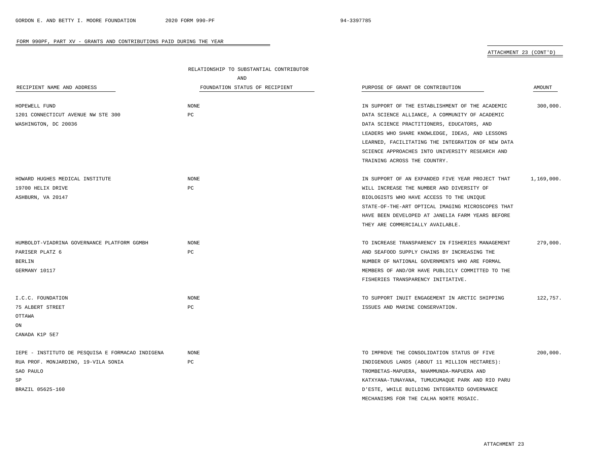### ATTACHMENT 23 (CONT'D)

|                                                  | RELATIONSHIP TO SUBSTANTIAL CONTRIBUTOR |                                                   |            |
|--------------------------------------------------|-----------------------------------------|---------------------------------------------------|------------|
|                                                  | AND                                     |                                                   |            |
| RECIPIENT NAME AND ADDRESS                       | FOUNDATION STATUS OF RECIPIENT          | PURPOSE OF GRANT OR CONTRIBUTION                  | AMOUNT     |
|                                                  |                                         |                                                   |            |
| HOPEWELL FUND                                    | <b>NONE</b>                             | IN SUPPORT OF THE ESTABLISHMENT OF THE ACADEMIC   | 300,000.   |
| 1201 CONNECTICUT AVENUE NW STE 300               | PC                                      | DATA SCIENCE ALLIANCE, A COMMUNITY OF ACADEMIC    |            |
| WASHINGTON, DC 20036                             |                                         | DATA SCIENCE PRACTITIONERS, EDUCATORS, AND        |            |
|                                                  |                                         | LEADERS WHO SHARE KNOWLEDGE, IDEAS, AND LESSONS   |            |
|                                                  |                                         | LEARNED, FACILITATING THE INTEGRATION OF NEW DATA |            |
|                                                  |                                         | SCIENCE APPROACHES INTO UNIVERSITY RESEARCH AND   |            |
|                                                  |                                         | TRAINING ACROSS THE COUNTRY.                      |            |
| HOWARD HUGHES MEDICAL INSTITUTE                  | <b>NONE</b>                             | IN SUPPORT OF AN EXPANDED FIVE YEAR PROJECT THAT  | 1,169,000. |
| 19700 HELIX DRIVE                                | PC                                      | WILL INCREASE THE NUMBER AND DIVERSITY OF         |            |
| ASHBURN, VA 20147                                |                                         | BIOLOGISTS WHO HAVE ACCESS TO THE UNIQUE          |            |
|                                                  |                                         | STATE-OF-THE-ART OPTICAL IMAGING MICROSCOPES THAT |            |
|                                                  |                                         | HAVE BEEN DEVELOPED AT JANELIA FARM YEARS BEFORE  |            |
|                                                  |                                         | THEY ARE COMMERCIALLY AVAILABLE.                  |            |
|                                                  |                                         |                                                   |            |
| HUMBOLDT-VIADRINA GOVERNANCE PLATFORM GGMBH      | <b>NONE</b>                             | TO INCREASE TRANSPARENCY IN FISHERIES MANAGEMENT  | 279,000.   |
| PARISER PLATZ 6                                  | PC                                      | AND SEAFOOD SUPPLY CHAINS BY INCREASING THE       |            |
| <b>BERLIN</b>                                    |                                         | NUMBER OF NATIONAL GOVERNMENTS WHO ARE FORMAL     |            |
| GERMANY 10117                                    |                                         | MEMBERS OF AND/OR HAVE PUBLICLY COMMITTED TO THE  |            |
|                                                  |                                         | FISHERIES TRANSPARENCY INITIATIVE.                |            |
|                                                  |                                         |                                                   |            |
| I.C.C. FOUNDATION                                | <b>NONE</b>                             | TO SUPPORT INUIT ENGAGEMENT IN ARCTIC SHIPPING    | 122,757.   |
| 75 ALBERT STREET                                 | PC                                      | ISSUES AND MARINE CONSERVATION.                   |            |
| OTTAWA                                           |                                         |                                                   |            |
| ON                                               |                                         |                                                   |            |
| CANADA K1P 5E7                                   |                                         |                                                   |            |
|                                                  |                                         |                                                   |            |
| IEPE - INSTITUTO DE PESQUISA E FORMACAO INDIGENA | <b>NONE</b>                             | TO IMPROVE THE CONSOLIDATION STATUS OF FIVE       | 200,000.   |
| RUA PROF. MONJARDINO, 19-VILA SONIA              | PC                                      | INDIGENOUS LANDS (ABOUT 11 MILLION HECTARES):     |            |
| SAO PAULO                                        |                                         | TROMBETAS-MAPUERA, NHAMMUNDA-MAPUERA AND          |            |
| SP                                               |                                         | KATXYANA-TUNAYANA, TUMUCUMAQUE PARK AND RIO PARU  |            |
| BRAZIL 05625-160                                 |                                         | D'ESTE, WHILE BUILDING INTEGRATED GOVERNANCE      |            |
|                                                  |                                         | MECHANISMS FOR THE CALHA NORTE MOSAIC.            |            |

÷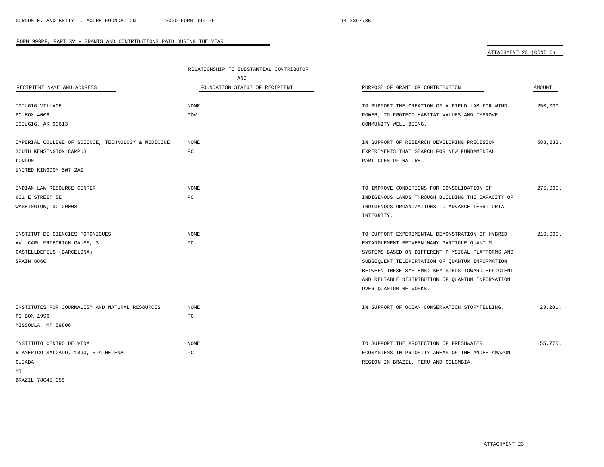# ATTACHMENT 23 (CONT'D)

|                                                    | RELATIONSHIP TO SUBSTANTIAL CONTRIBUTOR |                                                   |          |
|----------------------------------------------------|-----------------------------------------|---------------------------------------------------|----------|
|                                                    | AND                                     |                                                   |          |
| RECIPIENT NAME AND ADDRESS                         | FOUNDATION STATUS OF RECIPIENT          | PURPOSE OF GRANT OR CONTRIBUTION                  | AMOUNT   |
| IGIUGIG VILLAGE                                    | <b>NONE</b>                             | TO SUPPORT THE CREATION OF A FIELD LAB FOR WIND   | 250,000. |
| PO BOX 4008                                        | GOV                                     | POWER, TO PROTECT HABITAT VALUES AND IMPROVE      |          |
| IGIUGIG, AK 99613                                  |                                         | COMMUNITY WELL-BEING.                             |          |
| IMPERIAL COLLEGE OF SCIENCE, TECHNOLOGY & MEDICINE | NONE                                    | IN SUPPORT OF RESEARCH DEVELOPING PRECISION       | 588.232. |
| SOUTH KENSINGTON CAMPUS                            | PC                                      | EXPERIMENTS THAT SEARCH FOR NEW FUNDAMENTAL       |          |
| LONDON                                             |                                         | PARTICLES OF NATURE.                              |          |
| UNITED KINGDOM SW7 2AZ                             |                                         |                                                   |          |
| INDIAN LAW RESOURCE CENTER                         | <b>NONE</b>                             | TO IMPROVE CONDITIONS FOR CONSOLIDATION OF        | 275,000. |
| 601 E STREET SE                                    | PC                                      | INDIGENOUS LANDS THROUGH BUILDING THE CAPACITY OF |          |
| WASHINGTON, DC 20003                               |                                         | INDIGENOUS ORGANIZATIONS TO ADVANCE TERRITORIAL   |          |
|                                                    |                                         | INTEGRITY.                                        |          |
| INSTITUT DE CIENCIES FOTONIQUES                    | NONE                                    | TO SUPPORT EXPERIMENTAL DEMONSTRATION OF HYBRID   | 210,000. |
| AV. CARL FRIEDRICH GAUSS, 3                        | PC                                      | ENTANGLEMENT BETWEEN MANY-PARTICLE QUANTUM        |          |
| CASTELLDEFELS (BARCELONA)                          |                                         | SYSTEMS BASED ON DIFFERENT PHYSICAL PLATFORMS AND |          |
| SPAIN 8860                                         |                                         | SUBSEQUENT TELEPORTATION OF QUANTUM INFORMATION   |          |
|                                                    |                                         | BETWEEN THESE SYSTEMS: KEY STEPS TOWARD EFFICIENT |          |
|                                                    |                                         | AND RELIABLE DISTRIBUTION OF QUANTUM INFORMATION  |          |
|                                                    |                                         | OVER QUANTUM NETWORKS.                            |          |
| INSTITUTES FOR JOURNALISM AND NATURAL RESOURCES    | <b>NONE</b>                             | IN SUPPORT OF OCEAN CONSERVATION STORYTELLING.    | 23,281.  |
| PO BOX 1996                                        | РC                                      |                                                   |          |
| MISSOULA, MT 59806                                 |                                         |                                                   |          |
| INSTITUTO CENTRO DE VIDA                           | <b>NONE</b>                             | TO SUPPORT THE PROTECTION OF FRESHWATER           | 55,770.  |
| R AMERICO SALGADO, 1890, STA HELENA                | PC                                      | ECOSYSTEMS IN PRIORITY AREAS OF THE ANDES-AMAZON  |          |
| CUIABA                                             |                                         | REGION IN BRAZIL, PERU AND COLOMBIA.              |          |
| МT                                                 |                                         |                                                   |          |

 $\overline{\phantom{a}}$ 

BRAZIL 78045-055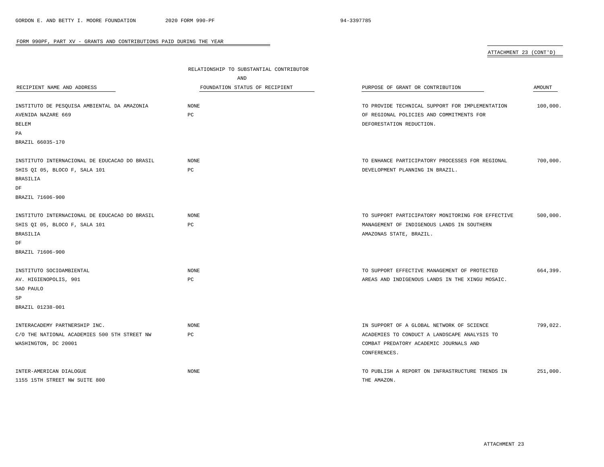# ATTACHMENT 23 (CONT'D)

|                                               | RELATIONSHIP TO SUBSTANTIAL CONTRIBUTOR |                                                   |          |
|-----------------------------------------------|-----------------------------------------|---------------------------------------------------|----------|
|                                               | AND                                     |                                                   |          |
| RECIPIENT NAME AND ADDRESS                    | FOUNDATION STATUS OF RECIPIENT          | PURPOSE OF GRANT OR CONTRIBUTION                  | AMOUNT   |
| INSTITUTO DE PESQUISA AMBIENTAL DA AMAZONIA   | NONE                                    | TO PROVIDE TECHNICAL SUPPORT FOR IMPLEMENTATION   | 100,000. |
| AVENIDA NAZARE 669                            | PC                                      | OF REGIONAL POLICIES AND COMMITMENTS FOR          |          |
| <b>BELEM</b>                                  |                                         | DEFORESTATION REDUCTION.                          |          |
| PA                                            |                                         |                                                   |          |
| BRAZIL 66035-170                              |                                         |                                                   |          |
| INSTITUTO INTERNACIONAL DE EDUCACAO DO BRASIL | NONE                                    | TO ENHANCE PARTICIPATORY PROCESSES FOR REGIONAL   | 700,000. |
| SHIS QI 05, BLOCO F, SALA 101                 | PC                                      | DEVELOPMENT PLANNING IN BRAZIL.                   |          |
| <b>BRASILIA</b>                               |                                         |                                                   |          |
| DF                                            |                                         |                                                   |          |
| BRAZIL 71606-900                              |                                         |                                                   |          |
| INSTITUTO INTERNACIONAL DE EDUCACAO DO BRASIL | NONE                                    | TO SUPPORT PARTICIPATORY MONITORING FOR EFFECTIVE | 500,000. |
| SHIS QI 05, BLOCO F, SALA 101                 | PC                                      | MANAGEMENT OF INDIGENOUS LANDS IN SOUTHERN        |          |
| <b>BRASILIA</b>                               |                                         | AMAZONAS STATE, BRAZIL.                           |          |
| DF                                            |                                         |                                                   |          |
| BRAZIL 71606-900                              |                                         |                                                   |          |
| INSTITUTO SOCIOAMBIENTAL                      | <b>NONE</b>                             | TO SUPPORT EFFECTIVE MANAGEMENT OF PROTECTED      | 664,399. |
| AV. HIGIENOPOLIS, 901                         | PC                                      | AREAS AND INDIGENOUS LANDS IN THE XINGU MOSAIC.   |          |
| SAO PAULO                                     |                                         |                                                   |          |
| SP                                            |                                         |                                                   |          |
| BRAZIL 01238-001                              |                                         |                                                   |          |
| INTERACADEMY PARTNERSHIP INC.                 | <b>NONE</b>                             | IN SUPPORT OF A GLOBAL NETWORK OF SCIENCE         | 799.022. |
| C/O THE NATIONAL ACADEMIES 500 5TH STREET NW  | PC                                      | ACADEMIES TO CONDUCT A LANDSCAPE ANALYSIS TO      |          |
| WASHINGTON, DC 20001                          |                                         | COMBAT PREDATORY ACADEMIC JOURNALS AND            |          |
|                                               |                                         | CONFERENCES.                                      |          |
| INTER-AMERICAN DIALOGUE                       | <b>NONE</b>                             | TO PUBLISH A REPORT ON INFRASTRUCTURE TRENDS IN   | 251,000. |
| 1155 15TH STREET NW SUITE 800                 |                                         | THE AMAZON.                                       |          |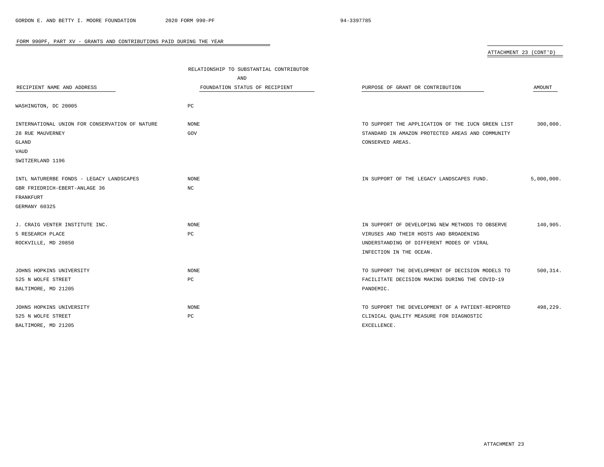| RECIPIENT NAME AND ADDRESS                                                | RELATIONSHIP TO SUBSTANTIAL CONTRIBUTOR<br>AND<br>FOUNDATION STATUS OF RECIPIENT | PURPOSE OF GRANT OR CONTRIBUTION                                                                                                                                  | AMOUNT     |
|---------------------------------------------------------------------------|----------------------------------------------------------------------------------|-------------------------------------------------------------------------------------------------------------------------------------------------------------------|------------|
| WASHINGTON, DC 20005                                                      | PC                                                                               |                                                                                                                                                                   |            |
| INTERNATIONAL UNION FOR CONSERVATION OF NATURE<br>28 RUE MAUVERNEY        | NONE<br>GOV                                                                      | TO SUPPORT THE APPLICATION OF THE IUCN GREEN LIST<br>STANDARD IN AMAZON PROTECTED AREAS AND COMMUNITY                                                             | 300,000.   |
| GLAND<br>VAUD                                                             |                                                                                  | CONSERVED AREAS.                                                                                                                                                  |            |
| SWITZERLAND 1196                                                          |                                                                                  |                                                                                                                                                                   |            |
| INTL NATURERBE FONDS - LEGACY LANDSCAPES<br>GBR FRIEDRICH-EBERT-ANLAGE 36 | <b>NONE</b><br>NC                                                                | IN SUPPORT OF THE LEGACY LANDSCAPES FUND.                                                                                                                         | 5,000,000. |
| FRANKFURT<br>GERMANY 60325                                                |                                                                                  |                                                                                                                                                                   |            |
| J. CRAIG VENTER INSTITUTE INC.<br>5 RESEARCH PLACE<br>ROCKVILLE, MD 20850 | <b>NONE</b><br>PC                                                                | IN SUPPORT OF DEVELOPING NEW METHODS TO OBSERVE<br>VIRUSES AND THEIR HOSTS AND BROADENING<br>UNDERSTANDING OF DIFFERENT MODES OF VIRAL<br>INFECTION IN THE OCEAN. | 140,905.   |
| JOHNS HOPKINS UNIVERSITY<br>525 N WOLFE STREET<br>BALTIMORE, MD 21205     | <b>NONE</b><br>$_{\rm PC}$                                                       | TO SUPPORT THE DEVELOPMENT OF DECISION MODELS TO<br>FACILITATE DECISION MAKING DURING THE COVID-19<br>PANDEMIC.                                                   | 500,314.   |
| JOHNS HOPKINS UNIVERSITY<br>525 N WOLFE STREET<br>BALTIMORE, MD 21205     | <b>NONE</b><br>PC                                                                | TO SUPPORT THE DEVELOPMENT OF A PATIENT-REPORTED<br>CLINICAL QUALITY MEASURE FOR DIAGNOSTIC<br>EXCELLENCE.                                                        | 498,229.   |

BALTIMORE, MD 21205

ATTACHMENT 23 (CONT'D)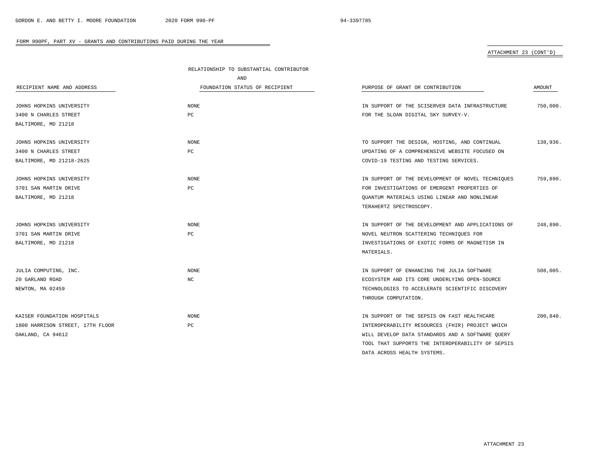# ATTACHMENT 23 (CONT'D)

|                                  | RELATIONSHIP TO SUBSTANTIAL CONTRIBUTOR |                                                   |          |
|----------------------------------|-----------------------------------------|---------------------------------------------------|----------|
|                                  | AND                                     |                                                   |          |
| RECIPIENT NAME AND ADDRESS       | FOUNDATION STATUS OF RECIPIENT          | PURPOSE OF GRANT OR CONTRIBUTION                  | AMOUNT   |
|                                  |                                         |                                                   |          |
| JOHNS HOPKINS UNIVERSITY         | <b>NONE</b>                             | IN SUPPORT OF THE SCISERVER DATA INFRASTRUCTURE   | 750,000. |
| 3400 N CHARLES STREET            | PC                                      | FOR THE SLOAN DIGITAL SKY SURVEY-V.               |          |
| BALTIMORE, MD 21218              |                                         |                                                   |          |
| JOHNS HOPKINS UNIVERSITY         | <b>NONE</b>                             | TO SUPPORT THE DESIGN, HOSTING, AND CONTINUAL     | 138,936. |
| 3400 N CHARLES STREET            | $_{\rm PC}$                             | UPDATING OF A COMPREHENSIVE WEBSITE FOCUSED ON    |          |
| BALTIMORE, MD 21218-2625         |                                         | COVID-19 TESTING AND TESTING SERVICES.            |          |
| JOHNS HOPKINS UNIVERSITY         | <b>NONE</b>                             | IN SUPPORT OF THE DEVELOPMENT OF NOVEL TECHNIOUES | 759,890. |
| 3701 SAN MARTIN DRIVE            | PC                                      | FOR INVESTIGATIONS OF EMERGENT PROPERTIES OF      |          |
| BALTIMORE, MD 21218              |                                         | OUANTUM MATERIALS USING LINEAR AND NONLINEAR      |          |
|                                  |                                         | TERAHERTZ SPECTROSCOPY.                           |          |
|                                  |                                         |                                                   |          |
| JOHNS HOPKINS UNIVERSITY         | NONE                                    | IN SUPPORT OF THE DEVELOPMENT AND APPLICATIONS OF | 248,890. |
| 3701 SAN MARTIN DRIVE            | PC                                      | NOVEL NEUTRON SCATTERING TECHNIQUES FOR           |          |
| BALTIMORE, MD 21218              |                                         | INVESTIGATIONS OF EXOTIC FORMS OF MAGNETISM IN    |          |
|                                  |                                         | MATERIALS.                                        |          |
| JULIA COMPUTING, INC.            | <b>NONE</b>                             | IN SUPPORT OF ENHANCING THE JULIA SOFTWARE        | 508,005. |
| 20 GARLAND ROAD                  | NC                                      | ECOSYSTEM AND ITS CORE UNDERLYING OPEN-SOURCE     |          |
| NEWTON, MA 02459                 |                                         | TECHNOLOGIES TO ACCELERATE SCIENTIFIC DISCOVERY   |          |
|                                  |                                         | THROUGH COMPUTATION.                              |          |
|                                  |                                         |                                                   |          |
| KAISER FOUNDATION HOSPITALS      | <b>NONE</b>                             | IN SUPPORT OF THE SEPSIS ON FAST HEALTHCARE       | 200,840. |
| 1800 HARRISON STREET, 17TH FLOOR | PC                                      | INTEROPERABILITY RESOURCES (FHIR) PROJECT WHICH   |          |
| OAKLAND, CA 94612                |                                         | WILL DEVELOP DATA STANDARDS AND A SOFTWARE QUERY  |          |
|                                  |                                         | TOOL THAT SUPPORTS THE INTEROPERABILITY OF SEPSIS |          |
|                                  |                                         | DATA ACROSS HEALTH SYSTEMS.                       |          |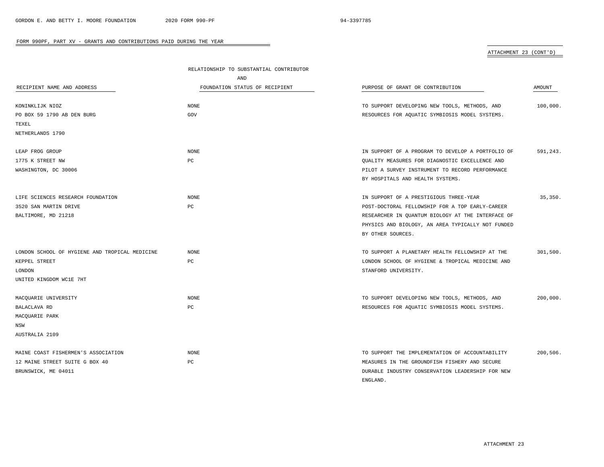# ATTACHMENT 23 (CONT'D)

|                                                | RELATIONSHIP TO SUBSTANTIAL CONTRIBUTOR |                                                   |          |
|------------------------------------------------|-----------------------------------------|---------------------------------------------------|----------|
|                                                | AND                                     |                                                   |          |
| RECIPIENT NAME AND ADDRESS                     | FOUNDATION STATUS OF RECIPIENT          | PURPOSE OF GRANT OR CONTRIBUTION                  | AMOUNT   |
|                                                |                                         |                                                   |          |
| KONINKLIJK NIOZ                                | <b>NONE</b>                             | TO SUPPORT DEVELOPING NEW TOOLS, METHODS, AND     | 100,000. |
| PO BOX 59 1790 AB DEN BURG                     | GOV                                     | RESOURCES FOR AQUATIC SYMBIOSIS MODEL SYSTEMS.    |          |
| TEXEL                                          |                                         |                                                   |          |
| NETHERLANDS 1790                               |                                         |                                                   |          |
| LEAP FROG GROUP                                | <b>NONE</b>                             | IN SUPPORT OF A PROGRAM TO DEVELOP A PORTFOLIO OF | 591,243. |
| 1775 K STREET NW                               | PC                                      | OUALITY MEASURES FOR DIAGNOSTIC EXCELLENCE AND    |          |
| WASHINGTON, DC 30006                           |                                         | PILOT A SURVEY INSTRUMENT TO RECORD PERFORMANCE   |          |
|                                                |                                         | BY HOSPITALS AND HEALTH SYSTEMS.                  |          |
| LIFE SCIENCES RESEARCH FOUNDATION              | <b>NONE</b>                             | IN SUPPORT OF A PRESTIGIOUS THREE-YEAR            | 35,350.  |
| 3520 SAN MARTIN DRIVE                          | PC                                      | POST-DOCTORAL FELLOWSHIP FOR A TOP EARLY-CAREER   |          |
| BALTIMORE, MD 21218                            |                                         | RESEARCHER IN QUANTUM BIOLOGY AT THE INTERFACE OF |          |
|                                                |                                         | PHYSICS AND BIOLOGY, AN AREA TYPICALLY NOT FUNDED |          |
|                                                |                                         | BY OTHER SOURCES.                                 |          |
| LONDON SCHOOL OF HYGIENE AND TROPICAL MEDICINE | <b>NONE</b>                             | TO SUPPORT A PLANETARY HEALTH FELLOWSHIP AT THE   | 301,500. |
| KEPPEL STREET                                  | PC                                      | LONDON SCHOOL OF HYGIENE & TROPICAL MEDICINE AND  |          |
| LONDON                                         |                                         | STANFORD UNIVERSITY.                              |          |
| UNITED KINGDOM WC1E 7HT                        |                                         |                                                   |          |
| MACQUARIE UNIVERSITY                           | <b>NONE</b>                             | TO SUPPORT DEVELOPING NEW TOOLS, METHODS, AND     | 200,000. |
| BALACLAVA RD                                   | PC                                      | RESOURCES FOR AQUATIC SYMBIOSIS MODEL SYSTEMS.    |          |
| MACQUARIE PARK                                 |                                         |                                                   |          |
| NSW                                            |                                         |                                                   |          |
| AUSTRALIA 2109                                 |                                         |                                                   |          |
| MAINE COAST FISHERMEN'S ASSOCIATION            | <b>NONE</b>                             | TO SUPPORT THE IMPLEMENTATION OF ACCOUNTABILITY   | 200,506. |
|                                                |                                         |                                                   |          |
| 12 MAINE STREET SUITE G BOX 40                 | PC                                      | MEASURES IN THE GROUNDFISH FISHERY AND SECURE     |          |
| BRUNSWICK, ME 04011                            |                                         | DURABLE INDUSTRY CONSERVATION LEADERSHIP FOR NEW  |          |
|                                                |                                         | ENGLAND.                                          |          |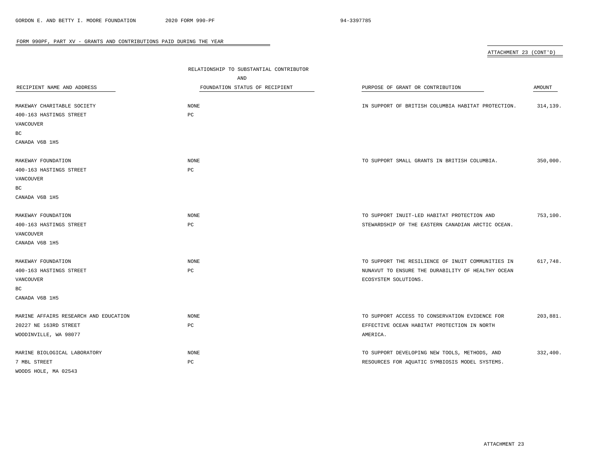| ATTACHMENT 23 (CONT'D) |  |
|------------------------|--|
|                        |  |

| RECIPIENT NAME AND ADDRESS<br>MAKEWAY CHARITABLE SOCIETY<br>400-163 HASTINGS STREET<br>VANCOUVER<br>ВC<br>CANADA V6B 1H5 | RELATIONSHIP TO SUBSTANTIAL CONTRIBUTOR<br>AND<br>FOUNDATION STATUS OF RECIPIENT<br><b>NONE</b><br>PC | PURPOSE OF GRANT OR CONTRIBUTION<br>IN SUPPORT OF BRITISH COLUMBIA HABITAT PROTECTION.                                         | AMOUNT<br>314,139. |
|--------------------------------------------------------------------------------------------------------------------------|-------------------------------------------------------------------------------------------------------|--------------------------------------------------------------------------------------------------------------------------------|--------------------|
| MAKEWAY FOUNDATION<br>400-163 HASTINGS STREET<br>VANCOUVER<br>ВC<br>CANADA V6B 1H5                                       | <b>NONE</b><br>PC                                                                                     | TO SUPPORT SMALL GRANTS IN BRITISH COLUMBIA.                                                                                   | 350,000.           |
| MAKEWAY FOUNDATION<br>400-163 HASTINGS STREET<br>VANCOUVER<br>CANADA V6B 1H5                                             | NONE<br>PC                                                                                            | TO SUPPORT INUIT-LED HABITAT PROTECTION AND<br>STEWARDSHIP OF THE EASTERN CANADIAN ARCTIC OCEAN.                               | 753,100.           |
| MAKEWAY FOUNDATION<br>400-163 HASTINGS STREET<br>VANCOUVER<br>ВC<br>CANADA V6B 1H5                                       | NONE<br>PC                                                                                            | TO SUPPORT THE RESILIENCE OF INUIT COMMUNITIES IN<br>NUNAVUT TO ENSURE THE DURABILITY OF HEALTHY OCEAN<br>ECOSYSTEM SOLUTIONS. | 617,748.           |
| MARINE AFFAIRS RESEARCH AND EDUCATION<br>20227 NE 163RD STREET<br>WOODINVILLE, WA 98077                                  | NONE<br>PC                                                                                            | TO SUPPORT ACCESS TO CONSERVATION EVIDENCE FOR<br>EFFECTIVE OCEAN HABITAT PROTECTION IN NORTH<br>AMERICA.                      | 203,881.           |
| MARINE BIOLOGICAL LABORATORY<br>7 MBL STREET<br>WOODS HOLE, MA 02543                                                     | <b>NONE</b><br>PC                                                                                     | TO SUPPORT DEVELOPING NEW TOOLS, METHODS, AND<br>RESOURCES FOR AQUATIC SYMBIOSIS MODEL SYSTEMS.                                | 332,400.           |

 $\overline{\phantom{a}}$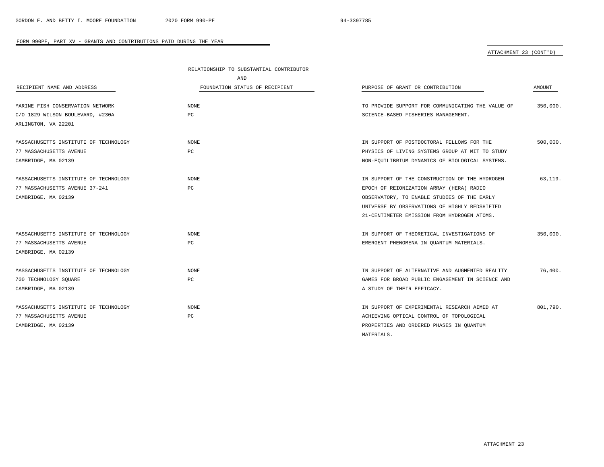# ATTACHMENT 23 (CONT'D)

|                                       | RELATIONSHIP TO SUBSTANTIAL CONTRIBUTOR |                                                   |          |  |
|---------------------------------------|-----------------------------------------|---------------------------------------------------|----------|--|
|                                       | <b>AND</b>                              |                                                   |          |  |
| RECIPIENT NAME AND ADDRESS            | FOUNDATION STATUS OF RECIPIENT          | PURPOSE OF GRANT OR CONTRIBUTION                  | AMOUNT   |  |
| MARINE FISH CONSERVATION NETWORK      | NONE                                    | TO PROVIDE SUPPORT FOR COMMUNICATING THE VALUE OF | 350,000. |  |
| C/O 1829 WILSON BOULEVARD, #230A      | PC                                      | SCIENCE-BASED FISHERIES MANAGEMENT.               |          |  |
| ARLINGTON, VA 22201                   |                                         |                                                   |          |  |
| MASSACHUSETTS INSTITUTE OF TECHNOLOGY | NONE                                    | IN SUPPORT OF POSTDOCTORAL FELLOWS FOR THE        | 500,000. |  |
| 77 MASSACHUSETTS AVENUE               | PC                                      | PHYSICS OF LIVING SYSTEMS GROUP AT MIT TO STUDY   |          |  |
| CAMBRIDGE, MA 02139                   |                                         | NON-EQUILIBRIUM DYNAMICS OF BIOLOGICAL SYSTEMS.   |          |  |
| MASSACHUSETTS INSTITUTE OF TECHNOLOGY | <b>NONE</b>                             | IN SUPPORT OF THE CONSTRUCTION OF THE HYDROGEN    | 63.119.  |  |
| 77 MASSACHUSETTS AVENUE 37-241        | PC                                      | EPOCH OF REIONIZATION ARRAY (HERA) RADIO          |          |  |
| CAMBRIDGE, MA 02139                   |                                         | OBSERVATORY, TO ENABLE STUDIES OF THE EARLY       |          |  |
|                                       |                                         | UNIVERSE BY OBSERVATIONS OF HIGHLY REDSHIFTED     |          |  |
|                                       |                                         | 21-CENTIMETER EMISSION FROM HYDROGEN ATOMS.       |          |  |
| MASSACHUSETTS INSTITUTE OF TECHNOLOGY | NONE                                    | IN SUPPORT OF THEORETICAL INVESTIGATIONS OF       | 350,000. |  |
| 77 MASSACHUSETTS AVENUE               | PC                                      | EMERGENT PHENOMENA IN QUANTUM MATERIALS.          |          |  |
| CAMBRIDGE, MA 02139                   |                                         |                                                   |          |  |
| MASSACHUSETTS INSTITUTE OF TECHNOLOGY | NONE                                    | IN SUPPORT OF ALTERNATIVE AND AUGMENTED REALITY   | 76,400.  |  |
| 700 TECHNOLOGY SQUARE                 | PC                                      | GAMES FOR BROAD PUBLIC ENGAGEMENT IN SCIENCE AND  |          |  |
| CAMBRIDGE, MA 02139                   |                                         | A STUDY OF THEIR EFFICACY.                        |          |  |
| MASSACHUSETTS INSTITUTE OF TECHNOLOGY | NONE                                    | IN SUPPORT OF EXPERIMENTAL RESEARCH AIMED AT      | 801,790. |  |
| 77 MASSACHUSETTS AVENUE               | PC                                      | ACHIEVING OPTICAL CONTROL OF TOPOLOGICAL          |          |  |
| CAMBRIDGE, MA 02139                   |                                         | PROPERTIES AND ORDERED PHASES IN OUANTUM          |          |  |
|                                       |                                         | MATERIALS.                                        |          |  |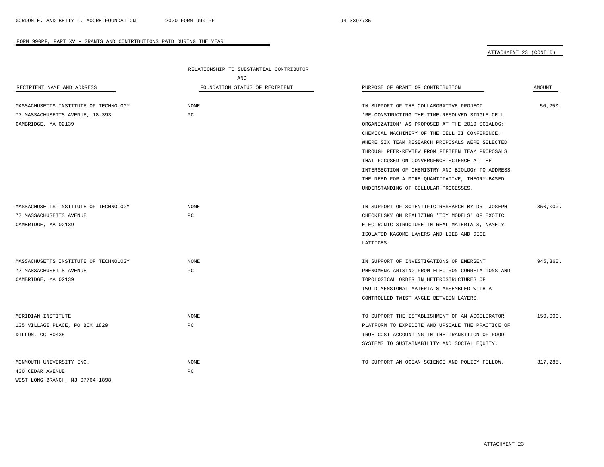ATTACHMENT 23 (CONT'D)

|                                       | RELATIONSHIP TO SUBSTANTIAL CONTRIBUTOR |                                                  |               |  |
|---------------------------------------|-----------------------------------------|--------------------------------------------------|---------------|--|
|                                       | AND                                     |                                                  |               |  |
| RECIPIENT NAME AND ADDRESS            | FOUNDATION STATUS OF RECIPIENT          | PURPOSE OF GRANT OR CONTRIBUTION                 | <b>AMOUNT</b> |  |
|                                       |                                         |                                                  |               |  |
| MASSACHUSETTS INSTITUTE OF TECHNOLOGY | <b>NONE</b>                             | IN SUPPORT OF THE COLLABORATIVE PROJECT          | 56.250.       |  |
| 77 MASSACHUSETTS AVENUE, 18-393       | $_{\rm PC}$                             | 'RE-CONSTRUCTING THE TIME-RESOLVED SINGLE CELL   |               |  |
| CAMBRIDGE, MA 02139                   |                                         | ORGANIZATION' AS PROPOSED AT THE 2019 SCIALOG:   |               |  |
|                                       |                                         | CHEMICAL MACHINERY OF THE CELL II CONFERENCE,    |               |  |
|                                       |                                         | WHERE SIX TEAM RESEARCH PROPOSALS WERE SELECTED  |               |  |
|                                       |                                         | THROUGH PEER-REVIEW FROM FIFTEEN TEAM PROPOSALS  |               |  |
|                                       |                                         | THAT FOCUSED ON CONVERGENCE SCIENCE AT THE       |               |  |
|                                       |                                         | INTERSECTION OF CHEMISTRY AND BIOLOGY TO ADDRESS |               |  |
|                                       |                                         | THE NEED FOR A MORE QUANTITATIVE, THEORY-BASED   |               |  |
|                                       |                                         | UNDERSTANDING OF CELLULAR PROCESSES.             |               |  |
|                                       |                                         |                                                  |               |  |
| MASSACHUSETTS INSTITUTE OF TECHNOLOGY | <b>NONE</b>                             | IN SUPPORT OF SCIENTIFIC RESEARCH BY DR. JOSEPH  | 350.000.      |  |
| 77 MASSACHUSETTS AVENUE               | PC                                      | CHECKELSKY ON REALIZING 'TOY MODELS' OF EXOTIC   |               |  |
| CAMBRIDGE, MA 02139                   |                                         | ELECTRONIC STRUCTURE IN REAL MATERIALS, NAMELY   |               |  |
|                                       |                                         | ISOLATED KAGOME LAYERS AND LIEB AND DICE         |               |  |
|                                       |                                         | LATTICES.                                        |               |  |
|                                       |                                         |                                                  |               |  |
| MASSACHUSETTS INSTITUTE OF TECHNOLOGY | <b>NONE</b>                             | IN SUPPORT OF INVESTIGATIONS OF EMERGENT         | 945,360.      |  |
| 77 MASSACHUSETTS AVENUE               | PC                                      | PHENOMENA ARISING FROM ELECTRON CORRELATIONS AND |               |  |
| CAMBRIDGE, MA 02139                   |                                         | TOPOLOGICAL ORDER IN HETEROSTRUCTURES OF         |               |  |
|                                       |                                         | TWO-DIMENSIONAL MATERIALS ASSEMBLED WITH A       |               |  |
|                                       |                                         | CONTROLLED TWIST ANGLE BETWEEN LAYERS.           |               |  |
|                                       |                                         |                                                  |               |  |
| MERIDIAN INSTITUTE                    | <b>NONE</b>                             | TO SUPPORT THE ESTABLISHMENT OF AN ACCELERATOR   | 150,000.      |  |
| 105 VILLAGE PLACE, PO BOX 1829        | PC                                      | PLATFORM TO EXPEDITE AND UPSCALE THE PRACTICE OF |               |  |
| DILLON, CO 80435                      |                                         | TRUE COST ACCOUNTING IN THE TRANSITION OF FOOD   |               |  |
|                                       |                                         | SYSTEMS TO SUSTAINABILITY AND SOCIAL EQUITY.     |               |  |
| MONMOUTH UNIVERSITY INC.              | <b>NONE</b>                             | TO SUPPORT AN OCEAN SCIENCE AND POLICY FELLOW.   | 317.285.      |  |
| 400 CEDAR AVENUE                      | PC                                      |                                                  |               |  |
| WEST LONG BRANCH, NJ 07764-1898       |                                         |                                                  |               |  |
|                                       |                                         |                                                  |               |  |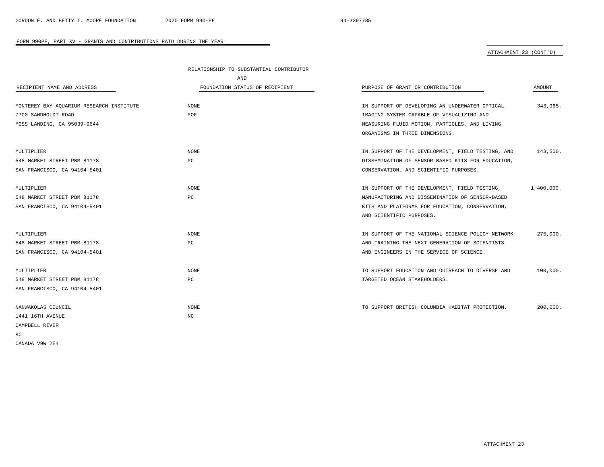# ATTACHMENT 23 (CONT'D)

|                                          | RELATIONSHIP TO SUBSTANTIAL CONTRIBUTOR |                                                   |               |
|------------------------------------------|-----------------------------------------|---------------------------------------------------|---------------|
|                                          | AND                                     |                                                   |               |
| RECIPIENT NAME AND ADDRESS               | FOUNDATION STATUS OF RECIPIENT          | PURPOSE OF GRANT OR CONTRIBUTION                  | <b>AMOUNT</b> |
|                                          |                                         |                                                   |               |
| MONTEREY BAY AQUARIUM RESEARCH INSTITUTE | <b>NONE</b>                             | IN SUPPORT OF DEVELOPING AN UNDERWATER OPTICAL    | 343,965.      |
| 7700 SANDHOLDT ROAD                      | POF                                     | IMAGING SYSTEM CAPABLE OF VISUALIZING AND         |               |
| MOSS LANDING, CA 95039-9644              |                                         | MEASURING FLUID MOTION, PARTICLES, AND LIVING     |               |
|                                          |                                         | ORGANISMS IN THREE DIMENSIONS.                    |               |
| MULTIPLIER                               | <b>NONE</b>                             | IN SUPPORT OF THE DEVELOPMENT, FIELD TESTING, AND | 143,500.      |
| 548 MARKET STREET PBM 81178              | PC                                      | DISSEMINATION OF SENSOR-BASED KITS FOR EDUCATION, |               |
| SAN FRANCISCO, CA 94104-5401             |                                         | CONSERVATION, AND SCIENTIFIC PURPOSES.            |               |
|                                          |                                         |                                                   |               |
| MULTIPLIER                               | <b>NONE</b>                             | IN SUPPORT OF THE DEVELOPMENT, FIELD TESTING,     | 1,400,000.    |
| 548 MARKET STREET PBM 81178              | PC                                      | MANUFACTURING AND DISSEMINATION OF SENSOR-BASED   |               |
| SAN FRANCISCO, CA 94104-5401             |                                         | KITS AND PLATFORMS FOR EDUCATION, CONSERVATION,   |               |
|                                          |                                         | AND SCIENTIFIC PURPOSES.                          |               |
| MULTIPLIER                               | <b>NONE</b>                             | IN SUPPORT OF THE NATIONAL SCIENCE POLICY NETWORK | 275,000.      |
| 548 MARKET STREET PBM 81178              | PC                                      | AND TRAINING THE NEXT GENERATION OF SCIENTISTS    |               |
| SAN FRANCISCO, CA 94104-5401             |                                         | AND ENGINEERS IN THE SERVICE OF SCIENCE.          |               |
|                                          |                                         |                                                   |               |
| MULTIPLIER                               | <b>NONE</b>                             | TO SUPPORT EDUCATION AND OUTREACH TO DIVERSE AND  | 100,000.      |
| 548 MARKET STREET PBM 81178              | PC                                      | TARGETED OCEAN STAKEHOLDERS.                      |               |
| SAN FRANCISCO, CA 94104-5401             |                                         |                                                   |               |
| NANWAKOLAS COUNCIL                       | <b>NONE</b>                             | TO SUPPORT BRITISH COLUMBIA HABITAT PROTECTION.   | 200,000.      |
| 1441 16TH AVENUE                         | $_{\mathrm{NC}}$                        |                                                   |               |
| CAMPBELL RIVER                           |                                         |                                                   |               |
| ВC                                       |                                         |                                                   |               |
| CANADA V9W 2E4                           |                                         |                                                   |               |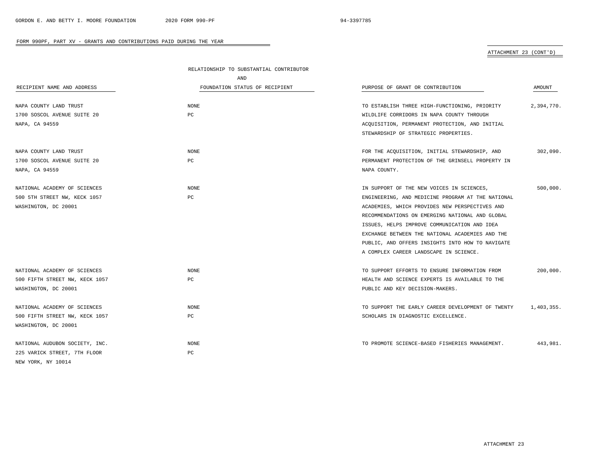# ATTACHMENT 23 (CONT'D)

|                                | RELATIONSHIP TO SUBSTANTIAL CONTRIBUTOR |                                                   |            |
|--------------------------------|-----------------------------------------|---------------------------------------------------|------------|
|                                | AND                                     |                                                   |            |
| RECIPIENT NAME AND ADDRESS     | FOUNDATION STATUS OF RECIPIENT          | PURPOSE OF GRANT OR CONTRIBUTION                  | AMOUNT     |
|                                |                                         |                                                   |            |
| NAPA COUNTY LAND TRUST         | NONE                                    | TO ESTABLISH THREE HIGH-FUNCTIONING, PRIORITY     | 2,394,770. |
| 1700 SOSCOL AVENUE SUITE 20    | PC                                      | WILDLIFE CORRIDORS IN NAPA COUNTY THROUGH         |            |
| NAPA, CA 94559                 |                                         | ACQUISITION, PERMANENT PROTECTION, AND INITIAL    |            |
|                                |                                         | STEWARDSHIP OF STRATEGIC PROPERTIES.              |            |
| NAPA COUNTY LAND TRUST         | NONE                                    | FOR THE ACQUISITION, INITIAL STEWARDSHIP, AND     | 302,090.   |
| 1700 SOSCOL AVENUE SUITE 20    | PC                                      | PERMANENT PROTECTION OF THE GRINSELL PROPERTY IN  |            |
| NAPA, CA 94559                 |                                         | NAPA COUNTY.                                      |            |
| NATIONAL ACADEMY OF SCIENCES   | NONE                                    | IN SUPPORT OF THE NEW VOICES IN SCIENCES,         | 500,000.   |
| 500 5TH STREET NW, KECK 1057   | PC                                      | ENGINEERING, AND MEDICINE PROGRAM AT THE NATIONAL |            |
| WASHINGTON, DC 20001           |                                         | ACADEMIES, WHICH PROVIDES NEW PERSPECTIVES AND    |            |
|                                |                                         | RECOMMENDATIONS ON EMERGING NATIONAL AND GLOBAL   |            |
|                                |                                         | ISSUES, HELPS IMPROVE COMMUNICATION AND IDEA      |            |
|                                |                                         | EXCHANGE BETWEEN THE NATIONAL ACADEMIES AND THE   |            |
|                                |                                         | PUBLIC, AND OFFERS INSIGHTS INTO HOW TO NAVIGATE  |            |
|                                |                                         | A COMPLEX CAREER LANDSCAPE IN SCIENCE.            |            |
| NATIONAL ACADEMY OF SCIENCES   | NONE                                    | TO SUPPORT EFFORTS TO ENSURE INFORMATION FROM     | 200,000.   |
| 500 FIFTH STREET NW, KECK 1057 | $_{\rm PC}$                             | HEALTH AND SCIENCE EXPERTS IS AVAILABLE TO THE    |            |
| WASHINGTON, DC 20001           |                                         | PUBLIC AND KEY DECISION-MAKERS.                   |            |
| NATIONAL ACADEMY OF SCIENCES   | NONE                                    | TO SUPPORT THE EARLY CAREER DEVELOPMENT OF TWENTY | 1,403,355. |
| 500 FIFTH STREET NW, KECK 1057 | PC                                      | SCHOLARS IN DIAGNOSTIC EXCELLENCE.                |            |
| WASHINGTON, DC 20001           |                                         |                                                   |            |
| NATIONAL AUDUBON SOCIETY, INC. | NONE                                    | TO PROMOTE SCIENCE-BASED FISHERIES MANAGEMENT.    | 443,981.   |
| 225 VARICK STREET, 7TH FLOOR   | PC                                      |                                                   |            |
| NEW YORK, NY 10014             |                                         |                                                   |            |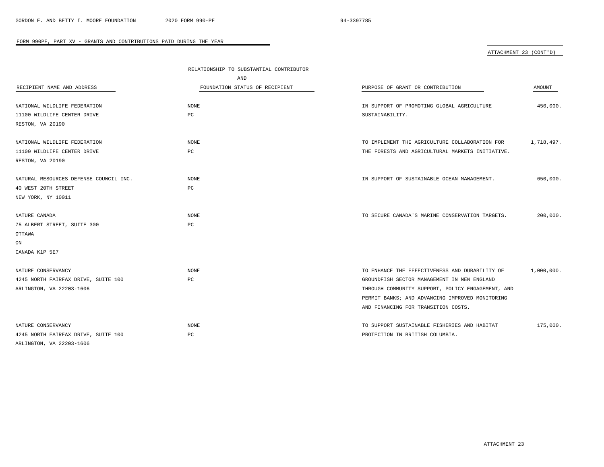ATTACHMENT 23 (CONT'D)

|                                        | RELATIONSHIP TO SUBSTANTIAL CONTRIBUTOR |                                                   |            |  |
|----------------------------------------|-----------------------------------------|---------------------------------------------------|------------|--|
|                                        | AND                                     |                                                   |            |  |
| RECIPIENT NAME AND ADDRESS             | FOUNDATION STATUS OF RECIPIENT          | PURPOSE OF GRANT OR CONTRIBUTION                  | AMOUNT     |  |
| NATIONAL WILDLIFE FEDERATION           | <b>NONE</b>                             | IN SUPPORT OF PROMOTING GLOBAL AGRICULTURE        | 450,000.   |  |
| 11100 WILDLIFE CENTER DRIVE            | РC                                      | SUSTAINABILITY.                                   |            |  |
| RESTON, VA 20190                       |                                         |                                                   |            |  |
| NATIONAL WILDLIFE FEDERATION           | <b>NONE</b>                             | TO IMPLEMENT THE AGRICULTURE COLLABORATION FOR    | 1,718,497. |  |
| 11100 WILDLIFE CENTER DRIVE            | РC                                      | THE FORESTS AND AGRICULTURAL MARKETS INITIATIVE.  |            |  |
| RESTON, VA 20190                       |                                         |                                                   |            |  |
| NATURAL RESOURCES DEFENSE COUNCIL INC. | <b>NONE</b>                             | IN SUPPORT OF SUSTAINABLE OCEAN MANAGEMENT.       | 650,000.   |  |
| 40 WEST 20TH STREET                    | PC                                      |                                                   |            |  |
| NEW YORK, NY 10011                     |                                         |                                                   |            |  |
| NATURE CANADA                          | <b>NONE</b>                             | TO SECURE CANADA'S MARINE CONSERVATION TARGETS.   | 200,000.   |  |
| 75 ALBERT STREET, SUITE 300            | $_{\rm PC}$                             |                                                   |            |  |
| OTTAWA                                 |                                         |                                                   |            |  |
| ON                                     |                                         |                                                   |            |  |
| CANADA K1P 5E7                         |                                         |                                                   |            |  |
| NATURE CONSERVANCY                     | <b>NONE</b>                             | TO ENHANCE THE EFFECTIVENESS AND DURABILITY OF    | 1,000,000. |  |
| 4245 NORTH FAIRFAX DRIVE, SUITE 100    | PC                                      | GROUNDFISH SECTOR MANAGEMENT IN NEW ENGLAND       |            |  |
| ARLINGTON, VA 22203-1606               |                                         | THROUGH COMMUNITY SUPPORT, POLICY ENGAGEMENT, AND |            |  |
|                                        |                                         | PERMIT BANKS; AND ADVANCING IMPROVED MONITORING   |            |  |
|                                        |                                         | AND FINANCING FOR TRANSITION COSTS.               |            |  |
| NATURE CONSERVANCY                     | <b>NONE</b>                             | TO SUPPORT SUSTAINABLE FISHERIES AND HABITAT      | 175,000.   |  |
| 4245 NORTH FAIRFAX DRIVE, SUITE 100    | PC                                      | PROTECTION IN BRITISH COLUMBIA.                   |            |  |
| ARLINGTON, VA 22203-1606               |                                         |                                                   |            |  |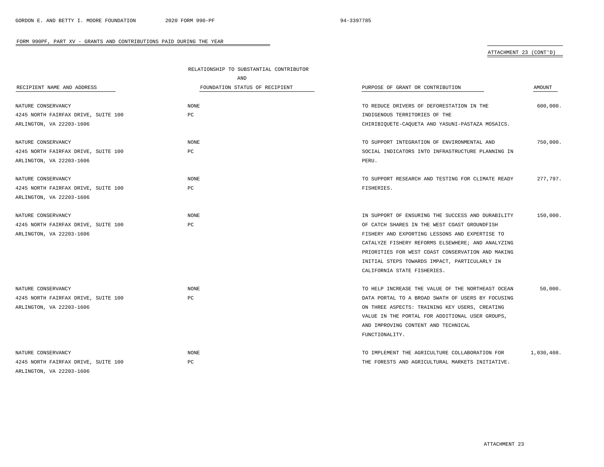# ATTACHMENT 23 (CONT'D)

|                                     | RELATIONSHIP TO SUBSTANTIAL CONTRIBUTOR |                                                   |            |
|-------------------------------------|-----------------------------------------|---------------------------------------------------|------------|
|                                     | AND                                     |                                                   |            |
| RECIPIENT NAME AND ADDRESS          | FOUNDATION STATUS OF RECIPIENT          | PURPOSE OF GRANT OR CONTRIBUTION                  | AMOUNT     |
|                                     |                                         |                                                   |            |
| NATURE CONSERVANCY                  | <b>NONE</b>                             | TO REDUCE DRIVERS OF DEFORESTATION IN THE         | 600,000.   |
| 4245 NORTH FAIRFAX DRIVE, SUITE 100 | PC                                      | INDIGENOUS TERRITORIES OF THE                     |            |
| ARLINGTON, VA 22203-1606            |                                         | CHIRIBIOUETE-CAOUETA AND YASUNI-PASTAZA MOSAICS.  |            |
| NATURE CONSERVANCY                  | NONE                                    | TO SUPPORT INTEGRATION OF ENVIRONMENTAL AND       | 750,000.   |
| 4245 NORTH FAIRFAX DRIVE, SUITE 100 | $_{\rm PC}$                             | SOCIAL INDICATORS INTO INFRASTRUCTURE PLANNING IN |            |
| ARLINGTON, VA 22203-1606            |                                         | PERU.                                             |            |
| NATURE CONSERVANCY                  | NONE                                    | TO SUPPORT RESEARCH AND TESTING FOR CLIMATE READY | 277,797.   |
| 4245 NORTH FAIRFAX DRIVE, SUITE 100 | РC                                      | FISHERIES.                                        |            |
| ARLINGTON, VA 22203-1606            |                                         |                                                   |            |
| NATURE CONSERVANCY                  | <b>NONE</b>                             | IN SUPPORT OF ENSURING THE SUCCESS AND DURABILITY | 150,000.   |
| 4245 NORTH FAIRFAX DRIVE, SUITE 100 | PC                                      | OF CATCH SHARES IN THE WEST COAST GROUNDFISH      |            |
| ARLINGTON, VA 22203-1606            |                                         | FISHERY AND EXPORTING LESSONS AND EXPERTISE TO    |            |
|                                     |                                         | CATALYZE FISHERY REFORMS ELSEWHERE; AND ANALYZING |            |
|                                     |                                         | PRIORITIES FOR WEST COAST CONSERVATION AND MAKING |            |
|                                     |                                         | INITIAL STEPS TOWARDS IMPACT, PARTICULARLY IN     |            |
|                                     |                                         | CALIFORNIA STATE FISHERIES.                       |            |
| NATURE CONSERVANCY                  | NONE                                    | TO HELP INCREASE THE VALUE OF THE NORTHEAST OCEAN | 50,000.    |
|                                     | PC                                      | DATA PORTAL TO A BROAD SWATH OF USERS BY FOCUSING |            |
| 4245 NORTH FAIRFAX DRIVE, SUITE 100 |                                         |                                                   |            |
| ARLINGTON, VA 22203-1606            |                                         | ON THREE ASPECTS: TRAINING KEY USERS, CREATING    |            |
|                                     |                                         | VALUE IN THE PORTAL FOR ADDITIONAL USER GROUPS,   |            |
|                                     |                                         | AND IMPROVING CONTENT AND TECHNICAL               |            |
|                                     |                                         | FUNCTIONALITY.                                    |            |
| NATURE CONSERVANCY                  | NONE                                    | TO IMPLEMENT THE AGRICULTURE COLLABORATION FOR    | 1,030,408. |
| 4245 NORTH FAIRFAX DRIVE, SUITE 100 | PC                                      | THE FORESTS AND AGRICULTURAL MARKETS INITIATIVE.  |            |
| ARLINGTON, VA 22203-1606            |                                         |                                                   |            |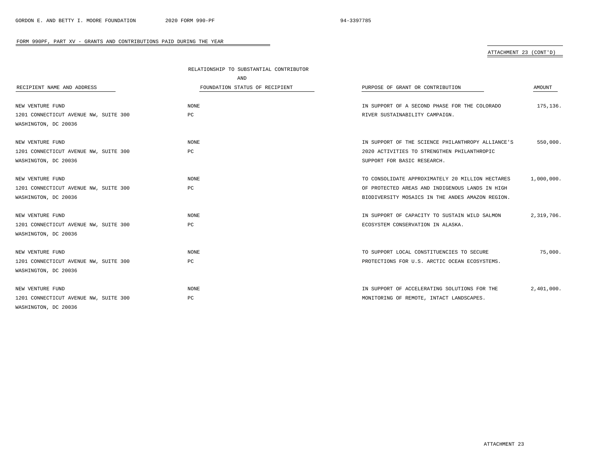# ATTACHMENT 23 (CONT'D)

|                                       | RELATIONSHIP TO SUBSTANTIAL CONTRIBUTOR |                                                   |            |
|---------------------------------------|-----------------------------------------|---------------------------------------------------|------------|
|                                       | AND                                     |                                                   |            |
| RECIPIENT NAME AND ADDRESS            | FOUNDATION STATUS OF RECIPIENT          | PURPOSE OF GRANT OR CONTRIBUTION                  | AMOUNT     |
|                                       |                                         |                                                   |            |
| NEW VENTURE FUND                      | NONE                                    | IN SUPPORT OF A SECOND PHASE FOR THE COLORADO     | 175,136.   |
| 1201 CONNECTICUT AVENUE NW, SUITE 300 | РC                                      | RIVER SUSTAINABILITY CAMPAIGN.                    |            |
| WASHINGTON, DC 20036                  |                                         |                                                   |            |
| NEW VENTURE FUND                      | <b>NONE</b>                             | IN SUPPORT OF THE SCIENCE PHILANTHROPY ALLIANCE'S | 550,000.   |
| 1201 CONNECTICUT AVENUE NW, SUITE 300 | $_{\rm PC}$                             | 2020 ACTIVITIES TO STRENGTHEN PHILANTHROPIC       |            |
| WASHINGTON, DC 20036                  |                                         | SUPPORT FOR BASIC RESEARCH.                       |            |
|                                       |                                         |                                                   |            |
| NEW VENTURE FUND                      | <b>NONE</b>                             | TO CONSOLIDATE APPROXIMATELY 20 MILLION HECTARES  | 1,000,000. |
| 1201 CONNECTICUT AVENUE NW, SUITE 300 | РC                                      | OF PROTECTED AREAS AND INDIGENOUS LANDS IN HIGH   |            |
| WASHINGTON, DC 20036                  |                                         | BIODIVERSITY MOSAICS IN THE ANDES AMAZON REGION.  |            |
|                                       |                                         |                                                   |            |
| NEW VENTURE FUND                      | NONE                                    | IN SUPPORT OF CAPACITY TO SUSTAIN WILD SALMON     | 2,319,706. |
| 1201 CONNECTICUT AVENUE NW, SUITE 300 | PC                                      | ECOSYSTEM CONSERVATION IN ALASKA.                 |            |
| WASHINGTON, DC 20036                  |                                         |                                                   |            |
| NEW VENTURE FUND                      | <b>NONE</b>                             | TO SUPPORT LOCAL CONSTITUENCIES TO SECURE         | 75,000.    |
| 1201 CONNECTICUT AVENUE NW, SUITE 300 | РC                                      | PROTECTIONS FOR U.S. ARCTIC OCEAN ECOSYSTEMS.     |            |
| WASHINGTON, DC 20036                  |                                         |                                                   |            |
|                                       |                                         |                                                   |            |
| NEW VENTURE FUND                      | <b>NONE</b>                             | IN SUPPORT OF ACCELERATING SOLUTIONS FOR THE      | 2,401,000. |
| 1201 CONNECTICUT AVENUE NW, SUITE 300 | PС                                      | MONITORING OF REMOTE, INTACT LANDSCAPES.          |            |
| WASHINGTON, DC 20036                  |                                         |                                                   |            |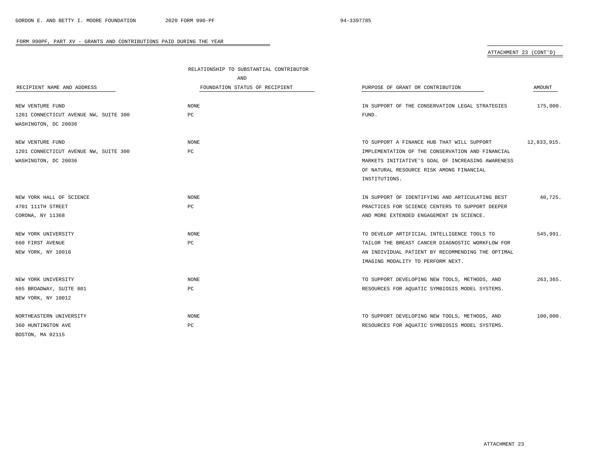## ATTACHMENT 23 (CONT'D)

|                                       | RELATIONSHIP TO SUBSTANTIAL CONTRIBUTOR |                                                   |             |  |
|---------------------------------------|-----------------------------------------|---------------------------------------------------|-------------|--|
|                                       | AND                                     |                                                   |             |  |
| RECIPIENT NAME AND ADDRESS            | FOUNDATION STATUS OF RECIPIENT          | PURPOSE OF GRANT OR CONTRIBUTION                  | AMOUNT      |  |
| NEW VENTURE FUND                      | NONE                                    | IN SUPPORT OF THE CONSERVATION LEGAL STRATEGIES   | 175,000.    |  |
| 1201 CONNECTICUT AVENUE NW, SUITE 300 | PC                                      | FUND.                                             |             |  |
| WASHINGTON, DC 20036                  |                                         |                                                   |             |  |
| NEW VENTURE FUND                      | <b>NONE</b>                             | TO SUPPORT A FINANCE HUB THAT WILL SUPPORT        | 12,833,915. |  |
| 1201 CONNECTICUT AVENUE NW, SUITE 300 | PC                                      | IMPLEMENTATION OF THE CONSERVATION AND FINANCIAL  |             |  |
| WASHINGTON, DC 20036                  |                                         | MARKETS INITIATIVE'S GOAL OF INCREASING AWARENESS |             |  |
|                                       |                                         | OF NATURAL RESOURCE RISK AMONG FINANCIAL          |             |  |
|                                       |                                         | INSTITUTIONS.                                     |             |  |
| NEW YORK HALL OF SCIENCE              | NONE                                    | IN SUPPORT OF IDENTIFYING AND ARTICULATING BEST   | 40,725.     |  |
| 4701 111TH STREET                     | РC                                      | PRACTICES FOR SCIENCE CENTERS TO SUPPORT DEEPER   |             |  |
| CORONA, NY 11368                      |                                         | AND MORE EXTENDED ENGAGEMENT IN SCIENCE.          |             |  |
| NEW YORK UNIVERSITY                   | NONE                                    | TO DEVELOP ARTIFICIAL INTELLIGENCE TOOLS TO       | 545,991.    |  |
| 660 FIRST AVENUE                      | PC                                      | TAILOR THE BREAST CANCER DIAGNOSTIC WORKFLOW FOR  |             |  |
| NEW YORK, NY 10016                    |                                         | AN INDIVIDUAL PATIENT BY RECOMMENDING THE OPTIMAL |             |  |
|                                       |                                         | IMAGING MODALITY TO PERFORM NEXT.                 |             |  |
| NEW YORK UNIVERSITY                   | NONE                                    | TO SUPPORT DEVELOPING NEW TOOLS, METHODS, AND     | 263,365.    |  |
| 665 BROADWAY, SUITE 801               | РC                                      | RESOURCES FOR AQUATIC SYMBIOSIS MODEL SYSTEMS.    |             |  |
| NEW YORK, NY 10012                    |                                         |                                                   |             |  |
| NORTHEASTERN UNIVERSITY               | <b>NONE</b>                             | TO SUPPORT DEVELOPING NEW TOOLS, METHODS, AND     | 100,000.    |  |
| 360 HUNTINGTON AVE                    | PС                                      | RESOURCES FOR AQUATIC SYMBIOSIS MODEL SYSTEMS.    |             |  |
| BOSTON, MA 02115                      |                                         |                                                   |             |  |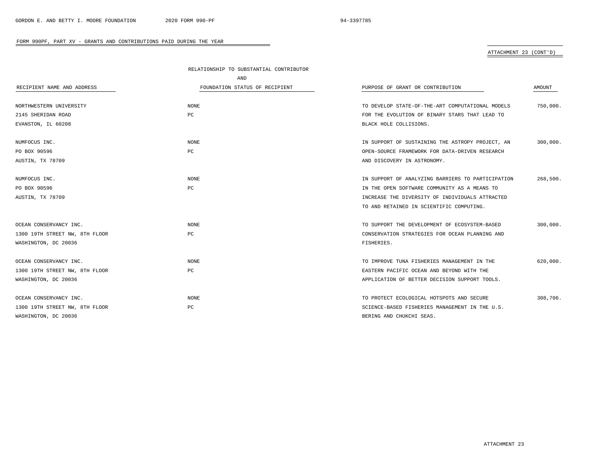# ATTACHMENT 23 (CONT'D)

|                                | RELATIONSHIP TO SUBSTANTIAL CONTRIBUTOR |                                                   |          |
|--------------------------------|-----------------------------------------|---------------------------------------------------|----------|
|                                | AND                                     |                                                   |          |
| RECIPIENT NAME AND ADDRESS     | FOUNDATION STATUS OF RECIPIENT          | PURPOSE OF GRANT OR CONTRIBUTION                  | AMOUNT   |
|                                |                                         |                                                   |          |
| NORTHWESTERN UNIVERSITY        | <b>NONE</b>                             | TO DEVELOP STATE-OF-THE-ART COMPUTATIONAL MODELS  | 750,000. |
| 2145 SHERIDAN ROAD             | PC                                      | FOR THE EVOLUTION OF BINARY STARS THAT LEAD TO    |          |
| EVANSTON, IL 60208             |                                         | BLACK HOLE COLLISIONS.                            |          |
| NUMFOCUS INC.                  | <b>NONE</b>                             | IN SUPPORT OF SUSTAINING THE ASTROPY PROJECT, AN  | 300,000. |
| PO BOX 90596                   | PC                                      | OPEN-SOURCE FRAMEWORK FOR DATA-DRIVEN RESEARCH    |          |
| AUSTIN, TX 78709               |                                         | AND DISCOVERY IN ASTRONOMY.                       |          |
| NUMFOCUS INC.                  | <b>NONE</b>                             | IN SUPPORT OF ANALYZING BARRIERS TO PARTICIPATION | 268,500. |
| PO BOX 90596                   | PC                                      | IN THE OPEN SOFTWARE COMMUNITY AS A MEANS TO      |          |
| AUSTIN, TX 78709               |                                         | INCREASE THE DIVERSITY OF INDIVIDUALS ATTRACTED   |          |
|                                |                                         | TO AND RETAINED IN SCIENTIFIC COMPUTING.          |          |
| OCEAN CONSERVANCY INC.         | <b>NONE</b>                             | TO SUPPORT THE DEVELOPMENT OF ECOSYSTEM-BASED     | 300,000. |
| 1300 19TH STREET NW, 8TH FLOOR | PC                                      | CONSERVATION STRATEGIES FOR OCEAN PLANNING AND    |          |
| WASHINGTON, DC 20036           |                                         | FISHERIES.                                        |          |
| OCEAN CONSERVANCY INC.         | <b>NONE</b>                             | TO IMPROVE TUNA FISHERIES MANAGEMENT IN THE       | 620,000. |
| 1300 19TH STREET NW, 8TH FLOOR | PC                                      | EASTERN PACIFIC OCEAN AND BEYOND WITH THE         |          |
| WASHINGTON, DC 20036           |                                         | APPLICATION OF BETTER DECISION SUPPORT TOOLS.     |          |
| OCEAN CONSERVANCY INC.         | <b>NONE</b>                             | TO PROTECT ECOLOGICAL HOTSPOTS AND SECURE         | 308,706. |
| 1300 19TH STREET NW, 8TH FLOOR | PC                                      | SCIENCE-BASED FISHERIES MANAGEMENT IN THE U.S.    |          |
| WASHINGTON, DC 20036           |                                         | BERING AND CHUKCHI SEAS.                          |          |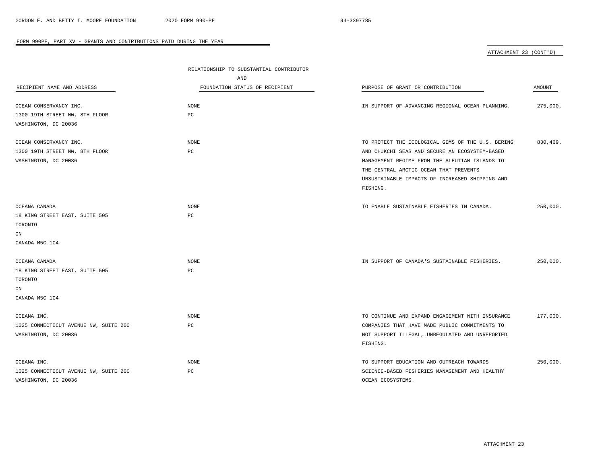# ATTACHMENT 23 (CONT'D)

|                                       | RELATIONSHIP TO SUBSTANTIAL CONTRIBUTOR |                                                   |          |
|---------------------------------------|-----------------------------------------|---------------------------------------------------|----------|
|                                       | <b>AND</b>                              |                                                   |          |
| RECIPIENT NAME AND ADDRESS            | FOUNDATION STATUS OF RECIPIENT          | PURPOSE OF GRANT OR CONTRIBUTION                  | AMOUNT   |
| OCEAN CONSERVANCY INC.                | NONE                                    | IN SUPPORT OF ADVANCING REGIONAL OCEAN PLANNING.  | 275,000. |
| 1300 19TH STREET NW, 8TH FLOOR        | PC                                      |                                                   |          |
| WASHINGTON, DC 20036                  |                                         |                                                   |          |
| OCEAN CONSERVANCY INC.                | <b>NONE</b>                             | TO PROTECT THE ECOLOGICAL GEMS OF THE U.S. BERING | 830,469. |
| 1300 19TH STREET NW, 8TH FLOOR        | $_{\rm PC}$                             | AND CHUKCHI SEAS AND SECURE AN ECOSYSTEM-BASED    |          |
| WASHINGTON, DC 20036                  |                                         | MANAGEMENT REGIME FROM THE ALEUTIAN ISLANDS TO    |          |
|                                       |                                         | THE CENTRAL ARCTIC OCEAN THAT PREVENTS            |          |
|                                       |                                         | UNSUSTAINABLE IMPACTS OF INCREASED SHIPPING AND   |          |
|                                       |                                         | FISHING.                                          |          |
| OCEANA CANADA                         | <b>NONE</b>                             | TO ENABLE SUSTAINABLE FISHERIES IN CANADA.        | 250,000. |
| 18 KING STREET EAST, SUITE 505        | PC                                      |                                                   |          |
| TORONTO                               |                                         |                                                   |          |
| ON                                    |                                         |                                                   |          |
| CANADA M5C 1C4                        |                                         |                                                   |          |
| OCEANA CANADA                         | NONE                                    | IN SUPPORT OF CANADA'S SUSTAINABLE FISHERIES.     | 250,000. |
| 18 KING STREET EAST, SUITE 505        | PC                                      |                                                   |          |
| TORONTO                               |                                         |                                                   |          |
| ON                                    |                                         |                                                   |          |
| CANADA M5C 1C4                        |                                         |                                                   |          |
| OCEANA INC.                           | <b>NONE</b>                             | TO CONTINUE AND EXPAND ENGAGEMENT WITH INSURANCE  | 177,000. |
| 1025 CONNECTICUT AVENUE NW, SUITE 200 | $_{\rm PC}$                             | COMPANIES THAT HAVE MADE PUBLIC COMMITMENTS TO    |          |
| WASHINGTON, DC 20036                  |                                         | NOT SUPPORT ILLEGAL, UNREGULATED AND UNREPORTED   |          |
|                                       |                                         | FISHING.                                          |          |
| OCEANA INC.                           | <b>NONE</b>                             | TO SUPPORT EDUCATION AND OUTREACH TOWARDS         | 250,000. |
| 1025 CONNECTICUT AVENUE NW, SUITE 200 | PC                                      | SCIENCE-BASED FISHERIES MANAGEMENT AND HEALTHY    |          |
| WASHINGTON, DC 20036                  |                                         | OCEAN ECOSYSTEMS.                                 |          |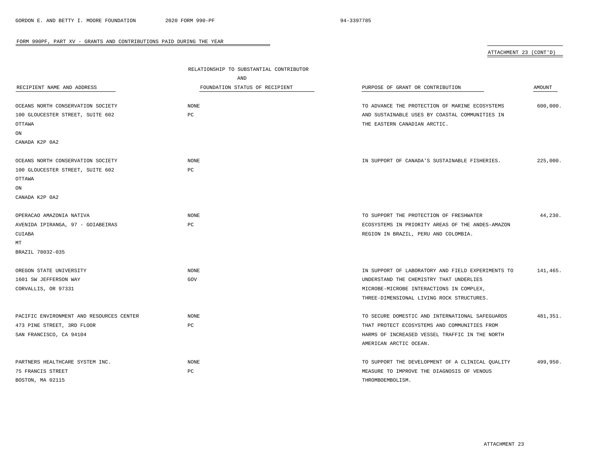# ATTACHMENT 23 (CONT'D)

|                                          | RELATIONSHIP TO SUBSTANTIAL CONTRIBUTOR |                                                   |           |
|------------------------------------------|-----------------------------------------|---------------------------------------------------|-----------|
|                                          | AND                                     |                                                   |           |
| RECIPIENT NAME AND ADDRESS               | FOUNDATION STATUS OF RECIPIENT          | PURPOSE OF GRANT OR CONTRIBUTION                  | AMOUNT    |
|                                          |                                         |                                                   |           |
| OCEANS NORTH CONSERVATION SOCIETY        | NONE                                    | TO ADVANCE THE PROTECTION OF MARINE ECOSYSTEMS    | 600,000.  |
| 100 GLOUCESTER STREET, SUITE 602         | PC                                      | AND SUSTAINABLE USES BY COASTAL COMMUNITIES IN    |           |
| OTTAWA                                   |                                         | THE EASTERN CANADIAN ARCTIC.                      |           |
| ON                                       |                                         |                                                   |           |
| CANADA K2P 0A2                           |                                         |                                                   |           |
| OCEANS NORTH CONSERVATION SOCIETY        | <b>NONE</b>                             | IN SUPPORT OF CANADA'S SUSTAINABLE FISHERIES.     | 225,000.  |
| 100 GLOUCESTER STREET, SUITE 602         | PC                                      |                                                   |           |
| OTTAWA                                   |                                         |                                                   |           |
| ON                                       |                                         |                                                   |           |
| CANADA K2P 0A2                           |                                         |                                                   |           |
|                                          |                                         |                                                   |           |
| OPERACAO AMAZONIA NATIVA                 | <b>NONE</b>                             | TO SUPPORT THE PROTECTION OF FRESHWATER           | 44,230.   |
| AVENIDA IPIRANGA, 97 - GOIABEIRAS        | PC                                      | ECOSYSTEMS IN PRIORITY AREAS OF THE ANDES-AMAZON  |           |
| CUIABA                                   |                                         | REGION IN BRAZIL, PERU AND COLOMBIA.              |           |
| МT                                       |                                         |                                                   |           |
| BRAZIL 78032-035                         |                                         |                                                   |           |
|                                          |                                         |                                                   |           |
| OREGON STATE UNIVERSITY                  | <b>NONE</b>                             | IN SUPPORT OF LABORATORY AND FIELD EXPERIMENTS TO | 141,465.  |
| 1601 SW JEFFERSON WAY                    | GOV                                     | UNDERSTAND THE CHEMISTRY THAT UNDERLIES           |           |
| CORVALLIS, OR 97331                      |                                         | MICROBE-MICROBE INTERACTIONS IN COMPLEX,          |           |
|                                          |                                         | THREE-DIMENSIONAL LIVING ROCK STRUCTURES.         |           |
| PACIFIC ENVIRONMENT AND RESOURCES CENTER | <b>NONE</b>                             | TO SECURE DOMESTIC AND INTERNATIONAL SAFEGUARDS   | 481, 351. |
| 473 PINE STREET, 3RD FLOOR               | РC                                      | THAT PROTECT ECOSYSTEMS AND COMMUNITIES FROM      |           |
| SAN FRANCISCO, CA 94104                  |                                         | HARMS OF INCREASED VESSEL TRAFFIC IN THE NORTH    |           |
|                                          |                                         | AMERICAN ARCTIC OCEAN.                            |           |
| PARTNERS HEALTHCARE SYSTEM INC.          | NONE                                    | TO SUPPORT THE DEVELOPMENT OF A CLINICAL QUALITY  | 499,950.  |
| 75 FRANCIS STREET                        | PC                                      | MEASURE TO IMPROVE THE DIAGNOSIS OF VENOUS        |           |
| BOSTON, MA 02115                         |                                         | THROMBOEMBOLISM.                                  |           |
|                                          |                                         |                                                   |           |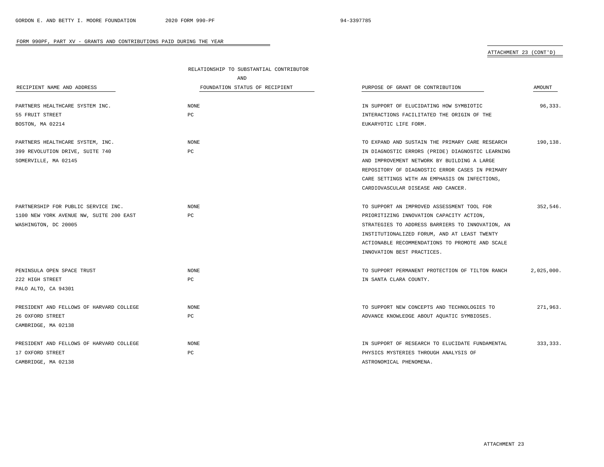# ATTACHMENT 23 (CONT'D)

|                                          | RELATIONSHIP TO SUBSTANTIAL CONTRIBUTOR |                                                  |            |
|------------------------------------------|-----------------------------------------|--------------------------------------------------|------------|
|                                          | AND                                     |                                                  |            |
| RECIPIENT NAME AND ADDRESS               | FOUNDATION STATUS OF RECIPIENT          | PURPOSE OF GRANT OR CONTRIBUTION                 | AMOUNT     |
|                                          |                                         |                                                  |            |
| PARTNERS HEALTHCARE SYSTEM INC.          | NONE                                    | IN SUPPORT OF ELUCIDATING HOW SYMBIOTIC          | 96,333.    |
| 55 FRUIT STREET                          | PC                                      | INTERACTIONS FACILITATED THE ORIGIN OF THE       |            |
| BOSTON, MA 02214                         |                                         | EUKARYOTIC LIFE FORM.                            |            |
| PARTNERS HEALTHCARE SYSTEM, INC.         | <b>NONE</b>                             | TO EXPAND AND SUSTAIN THE PRIMARY CARE RESEARCH  | 190,138.   |
| 399 REVOLUTION DRIVE, SUITE 740          | PC.                                     | IN DIAGNOSTIC ERRORS (PRIDE) DIAGNOSTIC LEARNING |            |
| SOMERVILLE, MA 02145                     |                                         | AND IMPROVEMENT NETWORK BY BUILDING A LARGE      |            |
|                                          |                                         | REPOSITORY OF DIAGNOSTIC ERROR CASES IN PRIMARY  |            |
|                                          |                                         | CARE SETTINGS WITH AN EMPHASIS ON INFECTIONS,    |            |
|                                          |                                         | CARDIOVASCULAR DISEASE AND CANCER.               |            |
| PARTNERSHIP FOR PUBLIC SERVICE INC.      | NONE                                    | TO SUPPORT AN IMPROVED ASSESSMENT TOOL FOR       | 352,546.   |
| 1100 NEW YORK AVENUE NW, SUITE 200 EAST  | PC                                      | PRIORITIZING INNOVATION CAPACITY ACTION,         |            |
| WASHINGTON, DC 20005                     |                                         | STRATEGIES TO ADDRESS BARRIERS TO INNOVATION, AN |            |
|                                          |                                         | INSTITUTIONALIZED FORUM, AND AT LEAST TWENTY     |            |
|                                          |                                         | ACTIONABLE RECOMMENDATIONS TO PROMOTE AND SCALE  |            |
|                                          |                                         | INNOVATION BEST PRACTICES.                       |            |
| PENINSULA OPEN SPACE TRUST               | <b>NONE</b>                             | TO SUPPORT PERMANENT PROTECTION OF TILTON RANCH  | 2,025,000. |
| 222 HIGH STREET                          | PC                                      | IN SANTA CLARA COUNTY.                           |            |
| PALO ALTO, CA 94301                      |                                         |                                                  |            |
|                                          |                                         |                                                  |            |
| PRESIDENT AND FELLOWS OF HARVARD COLLEGE | <b>NONE</b>                             | TO SUPPORT NEW CONCEPTS AND TECHNOLOGIES TO      | 271,963.   |
| 26 OXFORD STREET                         | PC                                      | ADVANCE KNOWLEDGE ABOUT AQUATIC SYMBIOSES.       |            |
| CAMBRIDGE, MA 02138                      |                                         |                                                  |            |
| PRESIDENT AND FELLOWS OF HARVARD COLLEGE | NONE                                    | IN SUPPORT OF RESEARCH TO ELUCIDATE FUNDAMENTAL  | 333,333.   |
| 17 OXFORD STREET                         | РC                                      | PHYSICS MYSTERIES THROUGH ANALYSIS OF            |            |
| CAMBRIDGE, MA 02138                      |                                         | ASTRONOMICAL PHENOMENA.                          |            |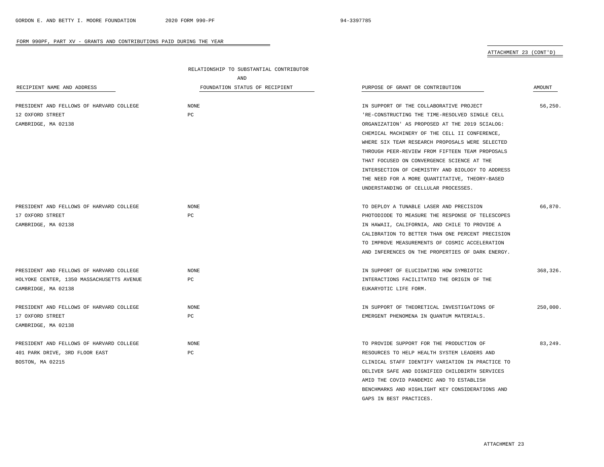## ATTACHMENT 23 (CONT'D)

|                                           | RELATIONSHIP TO SUBSTANTIAL CONTRIBUTOR |                                                  |          |
|-------------------------------------------|-----------------------------------------|--------------------------------------------------|----------|
|                                           | AND                                     |                                                  |          |
| RECIPIENT NAME AND ADDRESS                | FOUNDATION STATUS OF RECIPIENT          | PURPOSE OF GRANT OR CONTRIBUTION                 | AMOUNT   |
|                                           |                                         |                                                  |          |
| PRESIDENT AND FELLOWS OF HARVARD COLLEGE  | NONE                                    | IN SUPPORT OF THE COLLABORATIVE PROJECT          | 56,250.  |
| 12 OXFORD STREET                          | PC                                      | 'RE-CONSTRUCTING THE TIME-RESOLVED SINGLE CELL   |          |
| CAMBRIDGE, MA 02138                       |                                         | ORGANIZATION' AS PROPOSED AT THE 2019 SCIALOG:   |          |
|                                           |                                         | CHEMICAL MACHINERY OF THE CELL II CONFERENCE,    |          |
|                                           |                                         | WHERE SIX TEAM RESEARCH PROPOSALS WERE SELECTED  |          |
|                                           |                                         | THROUGH PEER-REVIEW FROM FIFTEEN TEAM PROPOSALS  |          |
|                                           |                                         | THAT FOCUSED ON CONVERGENCE SCIENCE AT THE       |          |
|                                           |                                         | INTERSECTION OF CHEMISTRY AND BIOLOGY TO ADDRESS |          |
|                                           |                                         | THE NEED FOR A MORE QUANTITATIVE, THEORY-BASED   |          |
|                                           |                                         | UNDERSTANDING OF CELLULAR PROCESSES.             |          |
| PRESIDENT AND FELLOWS OF HARVARD COLLEGE  | NONE                                    | TO DEPLOY A TUNABLE LASER AND PRECISION          | 66,870.  |
| 17 OXFORD STREET                          | PC                                      | PHOTODIODE TO MEASURE THE RESPONSE OF TELESCOPES |          |
| CAMBRIDGE, MA 02138                       |                                         | IN HAWAII, CALIFORNIA, AND CHILE TO PROVIDE A    |          |
|                                           |                                         | CALIBRATION TO BETTER THAN ONE PERCENT PRECISION |          |
|                                           |                                         | TO IMPROVE MEASUREMENTS OF COSMIC ACCELERATION   |          |
|                                           |                                         | AND INFERENCES ON THE PROPERTIES OF DARK ENERGY. |          |
|                                           |                                         |                                                  |          |
| PRESIDENT AND FELLOWS OF HARVARD COLLEGE  | NONE                                    | IN SUPPORT OF ELUCIDATING HOW SYMBIOTIC          | 368,326. |
| HOLYOKE CENTER, 1350 MASSACHUSETTS AVENUE | PC                                      | INTERACTIONS FACILITATED THE ORIGIN OF THE       |          |
| CAMBRIDGE, MA 02138                       |                                         | EUKARYOTIC LIFE FORM.                            |          |
| PRESIDENT AND FELLOWS OF HARVARD COLLEGE  | <b>NONE</b>                             | IN SUPPORT OF THEORETICAL INVESTIGATIONS OF      | 250,000. |
| 17 OXFORD STREET                          | PC                                      | EMERGENT PHENOMENA IN QUANTUM MATERIALS.         |          |
| CAMBRIDGE, MA 02138                       |                                         |                                                  |          |
|                                           |                                         |                                                  |          |
| PRESIDENT AND FELLOWS OF HARVARD COLLEGE  | <b>NONE</b>                             | TO PROVIDE SUPPORT FOR THE PRODUCTION OF         | 83,249.  |
| 401 PARK DRIVE, 3RD FLOOR EAST            | PC                                      | RESOURCES TO HELP HEALTH SYSTEM LEADERS AND      |          |
| BOSTON, MA 02215                          |                                         | CLINICAL STAFF IDENTIFY VARIATION IN PRACTICE TO |          |
|                                           |                                         | DELIVER SAFE AND DIGNIFIED CHILDBIRTH SERVICES   |          |
|                                           |                                         | AMID THE COVID PANDEMIC AND TO ESTABLISH         |          |
|                                           |                                         | BENCHMARKS AND HIGHLIGHT KEY CONSIDERATIONS AND  |          |

 $\overline{\phantom{a}}$ 

GAPS IN BEST PRACTICES.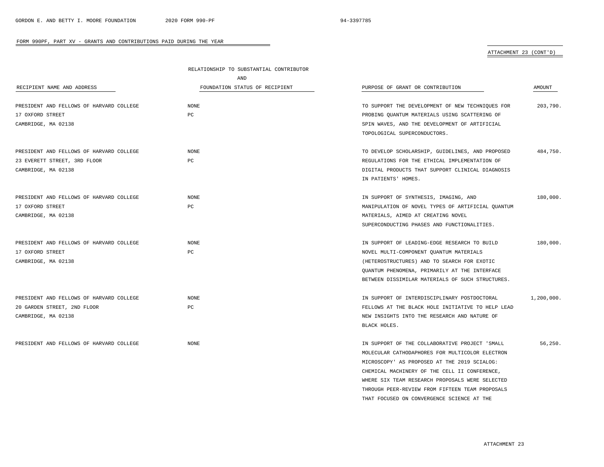## ATTACHMENT 23 (CONT'D)

|                                          | RELATIONSHIP TO SUBSTANTIAL CONTRIBUTOR |                                                   |            |
|------------------------------------------|-----------------------------------------|---------------------------------------------------|------------|
|                                          | AND                                     |                                                   |            |
| RECIPIENT NAME AND ADDRESS               | FOUNDATION STATUS OF RECIPIENT          | PURPOSE OF GRANT OR CONTRIBUTION                  | AMOUNT     |
| PRESIDENT AND FELLOWS OF HARVARD COLLEGE | <b>NONE</b>                             | TO SUPPORT THE DEVELOPMENT OF NEW TECHNIOUES FOR  | 203,790.   |
| 17 OXFORD STREET                         | PC                                      | PROBING QUANTUM MATERIALS USING SCATTERING OF     |            |
| CAMBRIDGE, MA 02138                      |                                         | SPIN WAVES, AND THE DEVELOPMENT OF ARTIFICIAL     |            |
|                                          |                                         | TOPOLOGICAL SUPERCONDUCTORS.                      |            |
| PRESIDENT AND FELLOWS OF HARVARD COLLEGE | <b>NONE</b>                             | TO DEVELOP SCHOLARSHIP, GUIDELINES, AND PROPOSED  | 484,750.   |
| 23 EVERETT STREET, 3RD FLOOR             | PC                                      | REGULATIONS FOR THE ETHICAL IMPLEMENTATION OF     |            |
| CAMBRIDGE, MA 02138                      |                                         | DIGITAL PRODUCTS THAT SUPPORT CLINICAL DIAGNOSIS  |            |
|                                          |                                         | IN PATIENTS' HOMES.                               |            |
| PRESIDENT AND FELLOWS OF HARVARD COLLEGE | <b>NONE</b>                             | IN SUPPORT OF SYNTHESIS, IMAGING, AND             | 180,000.   |
| 17 OXFORD STREET                         | PC                                      | MANIPULATION OF NOVEL TYPES OF ARTIFICIAL QUANTUM |            |
| CAMBRIDGE, MA 02138                      |                                         | MATERIALS, AIMED AT CREATING NOVEL                |            |
|                                          |                                         | SUPERCONDUCTING PHASES AND FUNCTIONALITIES.       |            |
| PRESIDENT AND FELLOWS OF HARVARD COLLEGE | NONE                                    | IN SUPPORT OF LEADING-EDGE RESEARCH TO BUILD      | 180,000.   |
| 17 OXFORD STREET                         | PC                                      | NOVEL MULTI-COMPONENT QUANTUM MATERIALS           |            |
| CAMBRIDGE, MA 02138                      |                                         | (HETEROSTRUCTURES) AND TO SEARCH FOR EXOTIC       |            |
|                                          |                                         | QUANTUM PHENOMENA, PRIMARILY AT THE INTERFACE     |            |
|                                          |                                         | BETWEEN DISSIMILAR MATERIALS OF SUCH STRUCTURES.  |            |
| PRESIDENT AND FELLOWS OF HARVARD COLLEGE | <b>NONE</b>                             | IN SUPPORT OF INTERDISCIPLINARY POSTDOCTORAL      | 1,200,000. |
| 20 GARDEN STREET, 2ND FLOOR              | PC                                      | FELLOWS AT THE BLACK HOLE INITIATIVE TO HELP LEAD |            |
| CAMBRIDGE, MA 02138                      |                                         | NEW INSIGHTS INTO THE RESEARCH AND NATURE OF      |            |
|                                          |                                         | BLACK HOLES.                                      |            |
| PRESIDENT AND FELLOWS OF HARVARD COLLEGE | <b>NONE</b>                             | IN SUPPORT OF THE COLLABORATIVE PROJECT 'SMALL    | 56,250.    |
|                                          |                                         | MOLECULAR CATHODAPHORES FOR MULTICOLOR ELECTRON   |            |
|                                          |                                         | MICROSCOPY' AS PROPOSED AT THE 2019 SCIALOG:      |            |
|                                          |                                         | CHEMICAL MACHINERY OF THE CELL II CONFERENCE,     |            |
|                                          |                                         | WHERE SIX TEAM RESEARCH PROPOSALS WERE SELECTED   |            |
|                                          |                                         | THROUGH PEER-REVIEW FROM FIFTEEN TEAM PROPOSALS   |            |

THAT FOCUSED ON CONVERGENCE SCIENCE AT THE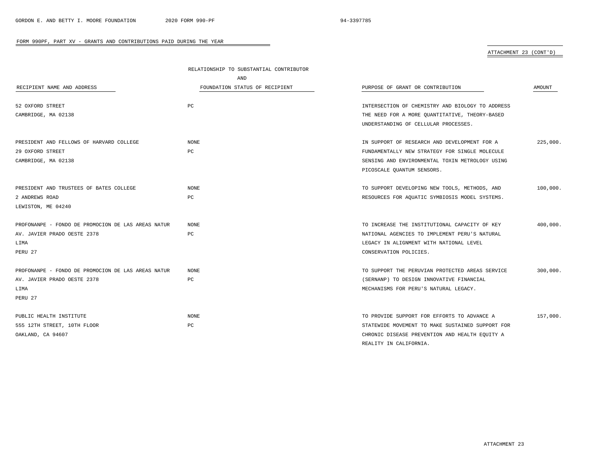$\overline{\phantom{a}}$ 

## FORM 990PF, PART XV - GRANTS AND CONTRIBUTIONS PAID DURING THE YEAR

## ATTACHMENT 23 (CONT'D)

|                                                    | RELATIONSHIP TO SUBSTANTIAL CONTRIBUTOR |                                                  |          |
|----------------------------------------------------|-----------------------------------------|--------------------------------------------------|----------|
|                                                    | AND                                     |                                                  |          |
| RECIPIENT NAME AND ADDRESS                         | FOUNDATION STATUS OF RECIPIENT          | PURPOSE OF GRANT OR CONTRIBUTION                 | AMOUNT   |
| 52 OXFORD STREET                                   | PC                                      | INTERSECTION OF CHEMISTRY AND BIOLOGY TO ADDRESS |          |
| CAMBRIDGE, MA 02138                                |                                         | THE NEED FOR A MORE OUANTITATIVE, THEORY-BASED   |          |
|                                                    |                                         | UNDERSTANDING OF CELLULAR PROCESSES.             |          |
| PRESIDENT AND FELLOWS OF HARVARD COLLEGE           | <b>NONE</b>                             | IN SUPPORT OF RESEARCH AND DEVELOPMENT FOR A     | 225,000. |
| 29 OXFORD STREET                                   | PC                                      | FUNDAMENTALLY NEW STRATEGY FOR SINGLE MOLECULE   |          |
| CAMBRIDGE, MA 02138                                |                                         | SENSING AND ENVIRONMENTAL TOXIN METROLOGY USING  |          |
|                                                    |                                         | PICOSCALE QUANTUM SENSORS.                       |          |
| PRESIDENT AND TRUSTEES OF BATES COLLEGE            | <b>NONE</b>                             | TO SUPPORT DEVELOPING NEW TOOLS, METHODS, AND    | 100,000. |
| 2 ANDREWS ROAD                                     | PC                                      | RESOURCES FOR AQUATIC SYMBIOSIS MODEL SYSTEMS.   |          |
| LEWISTON, ME 04240                                 |                                         |                                                  |          |
| PROFONANPE - FONDO DE PROMOCION DE LAS AREAS NATUR | NONE                                    | TO INCREASE THE INSTITUTIONAL CAPACITY OF KEY    | 400,000. |
| AV. JAVIER PRADO OESTE 2378                        | РC                                      | NATIONAL AGENCIES TO IMPLEMENT PERU'S NATURAL    |          |
| LIMA                                               |                                         | LEGACY IN ALIGNMENT WITH NATIONAL LEVEL          |          |
| PERU 27                                            |                                         | CONSERVATION POLICIES.                           |          |
| PROFONANPE - FONDO DE PROMOCION DE LAS AREAS NATUR | NONE                                    | TO SUPPORT THE PERUVIAN PROTECTED AREAS SERVICE  | 300,000. |
| AV. JAVIER PRADO OESTE 2378                        | РC                                      | (SERNANP) TO DESIGN INNOVATIVE FINANCIAL         |          |
| LIMA                                               |                                         | MECHANISMS FOR PERU'S NATURAL LEGACY.            |          |
| PERU 27                                            |                                         |                                                  |          |
| PUBLIC HEALTH INSTITUTE                            | <b>NONE</b>                             | TO PROVIDE SUPPORT FOR EFFORTS TO ADVANCE A      | 157,000. |
| 555 12TH STREET, 10TH FLOOR                        | PC                                      | STATEWIDE MOVEMENT TO MAKE SUSTAINED SUPPORT FOR |          |
| OAKLAND, CA 94607                                  |                                         | CHRONIC DISEASE PREVENTION AND HEALTH EQUITY A   |          |
|                                                    |                                         | REALITY IN CALIFORNIA.                           |          |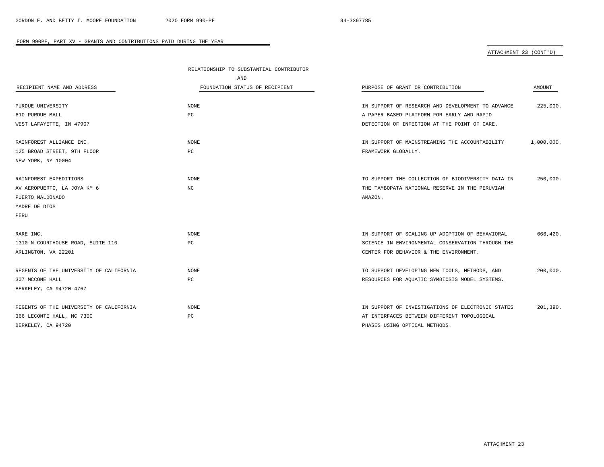# ATTACHMENT 23 (CONT'D)

|                                         | RELATIONSHIP TO SUBSTANTIAL CONTRIBUTOR |                                                   |            |
|-----------------------------------------|-----------------------------------------|---------------------------------------------------|------------|
|                                         | AND                                     |                                                   |            |
| RECIPIENT NAME AND ADDRESS              | FOUNDATION STATUS OF RECIPIENT          | PURPOSE OF GRANT OR CONTRIBUTION                  | AMOUNT     |
|                                         |                                         |                                                   |            |
| PURDUE UNIVERSITY                       | <b>NONE</b>                             | IN SUPPORT OF RESEARCH AND DEVELOPMENT TO ADVANCE | 225,000.   |
| 610 PURDUE MALL                         | PC                                      | A PAPER-BASED PLATFORM FOR EARLY AND RAPID        |            |
| WEST LAFAYETTE, IN 47907                |                                         | DETECTION OF INFECTION AT THE POINT OF CARE.      |            |
| RAINFOREST ALLIANCE INC.                | <b>NONE</b>                             | IN SUPPORT OF MAINSTREAMING THE ACCOUNTABILITY    | 1,000,000. |
| 125 BROAD STREET, 9TH FLOOR             | PC                                      | FRAMEWORK GLOBALLY.                               |            |
| NEW YORK, NY 10004                      |                                         |                                                   |            |
|                                         |                                         |                                                   |            |
| RAINFOREST EXPEDITIONS                  | <b>NONE</b>                             | TO SUPPORT THE COLLECTION OF BIODIVERSITY DATA IN | 250,000.   |
| AV AEROPUERTO, LA JOYA KM 6             | NC                                      | THE TAMBOPATA NATIONAL RESERVE IN THE PERUVIAN    |            |
| PUERTO MALDONADO                        |                                         | AMAZON.                                           |            |
| MADRE DE DIOS                           |                                         |                                                   |            |
| PERU                                    |                                         |                                                   |            |
| RARE INC.                               | <b>NONE</b>                             | IN SUPPORT OF SCALING UP ADOPTION OF BEHAVIORAL   | 666,420.   |
| 1310 N COURTHOUSE ROAD, SUITE 110       | РC                                      | SCIENCE IN ENVIRONMENTAL CONSERVATION THROUGH THE |            |
| ARLINGTON, VA 22201                     |                                         | CENTER FOR BEHAVIOR & THE ENVIRONMENT.            |            |
|                                         |                                         |                                                   |            |
| REGENTS OF THE UNIVERSITY OF CALIFORNIA | <b>NONE</b>                             | TO SUPPORT DEVELOPING NEW TOOLS, METHODS, AND     | 200,000.   |
| 307 MCCONE HALL                         | РC                                      | RESOURCES FOR AQUATIC SYMBIOSIS MODEL SYSTEMS.    |            |
| BERKELEY, CA 94720-4767                 |                                         |                                                   |            |
| REGENTS OF THE UNIVERSITY OF CALIFORNIA | <b>NONE</b>                             | IN SUPPORT OF INVESTIGATIONS OF ELECTRONIC STATES | 201.390.   |
| 366 LECONTE HALL, MC 7300               | PC                                      | AT INTERFACES BETWEEN DIFFERENT TOPOLOGICAL       |            |
| BERKELEY, CA 94720                      |                                         | PHASES USING OPTICAL METHODS.                     |            |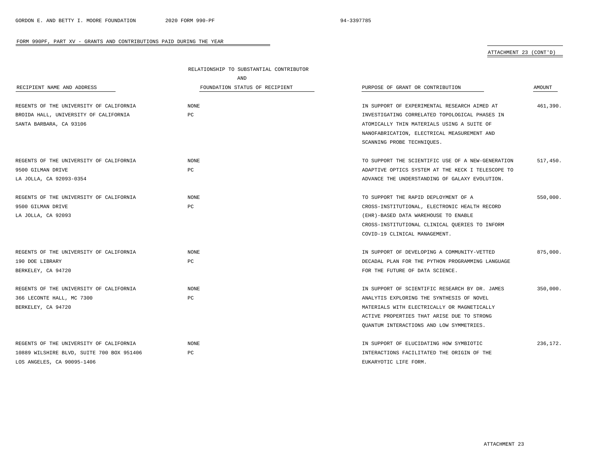# ATTACHMENT 23 (CONT'D)

|                                           | RELATIONSHIP TO SUBSTANTIAL CONTRIBUTOR |                                                   |               |
|-------------------------------------------|-----------------------------------------|---------------------------------------------------|---------------|
|                                           | AND                                     |                                                   |               |
| RECIPIENT NAME AND ADDRESS                | FOUNDATION STATUS OF RECIPIENT          | PURPOSE OF GRANT OR CONTRIBUTION                  | <b>AMOUNT</b> |
|                                           |                                         |                                                   |               |
| REGENTS OF THE UNIVERSITY OF CALIFORNIA   | <b>NONE</b>                             | IN SUPPORT OF EXPERIMENTAL RESEARCH AIMED AT      | 461,390.      |
| BROIDA HALL, UNIVERSITY OF CALIFORNIA     | PC                                      | INVESTIGATING CORRELATED TOPOLOGICAL PHASES IN    |               |
| SANTA BARBARA, CA 93106                   |                                         | ATOMICALLY THIN MATERIALS USING A SUITE OF        |               |
|                                           |                                         | NANOFABRICATION, ELECTRICAL MEASUREMENT AND       |               |
|                                           |                                         | SCANNING PROBE TECHNIQUES.                        |               |
| REGENTS OF THE UNIVERSITY OF CALIFORNIA   | <b>NONE</b>                             | TO SUPPORT THE SCIENTIFIC USE OF A NEW-GENERATION | 517,450.      |
| 9500 GILMAN DRIVE                         | PC                                      | ADAPTIVE OPTICS SYSTEM AT THE KECK I TELESCOPE TO |               |
| LA JOLLA, CA 92093-0354                   |                                         | ADVANCE THE UNDERSTANDING OF GALAXY EVOLUTION.    |               |
| REGENTS OF THE UNIVERSITY OF CALIFORNIA   | <b>NONE</b>                             | TO SUPPORT THE RAPID DEPLOYMENT OF A              | 550,000.      |
| 9500 GILMAN DRIVE                         | PC                                      | CROSS-INSTITUTIONAL, ELECTRONIC HEALTH RECORD     |               |
| LA JOLLA, CA 92093                        |                                         | (EHR)-BASED DATA WAREHOUSE TO ENABLE              |               |
|                                           |                                         | CROSS-INSTITUTIONAL CLINICAL QUERIES TO INFORM    |               |
|                                           |                                         | COVID-19 CLINICAL MANAGEMENT.                     |               |
| REGENTS OF THE UNIVERSITY OF CALIFORNIA   | <b>NONE</b>                             | IN SUPPORT OF DEVELOPING A COMMUNITY-VETTED       | 875,000.      |
| 190 DOE LIBRARY                           | PC                                      | DECADAL PLAN FOR THE PYTHON PROGRAMMING LANGUAGE  |               |
| BERKELEY, CA 94720                        |                                         | FOR THE FUTURE OF DATA SCIENCE.                   |               |
| REGENTS OF THE UNIVERSITY OF CALIFORNIA   | <b>NONE</b>                             | IN SUPPORT OF SCIENTIFIC RESEARCH BY DR. JAMES    | 350,000.      |
| 366 LECONTE HALL, MC 7300                 | PC                                      | ANALYTIS EXPLORING THE SYNTHESIS OF NOVEL         |               |
| BERKELEY, CA 94720                        |                                         | MATERIALS WITH ELECTRICALLY OR MAGNETICALLY       |               |
|                                           |                                         | ACTIVE PROPERTIES THAT ARISE DUE TO STRONG        |               |
|                                           |                                         | OUANTUM INTERACTIONS AND LOW SYMMETRIES.          |               |
| REGENTS OF THE UNIVERSITY OF CALIFORNIA   | NONE                                    | IN SUPPORT OF ELUCIDATING HOW SYMBIOTIC           | 236.172.      |
| 10889 WILSHIRE BLVD, SUITE 700 BOX 951406 | PC                                      | INTERACTIONS FACILITATED THE ORIGIN OF THE        |               |
| LOS ANGELES, CA 90095-1406                |                                         | EUKARYOTIC LIFE FORM.                             |               |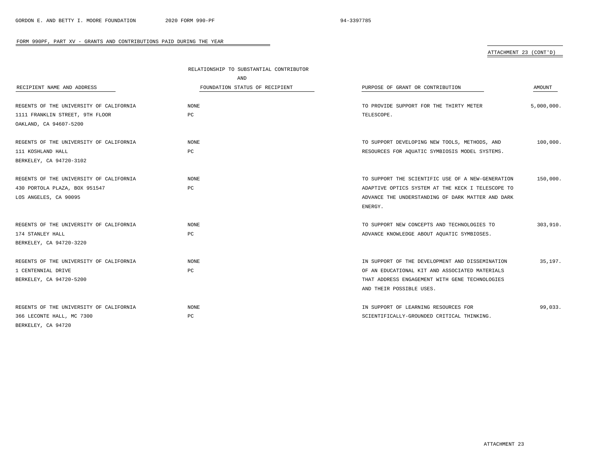# ATTACHMENT 23 (CONT'D)

|                                         | RELATIONSHIP TO SUBSTANTIAL CONTRIBUTOR |                                                   |            |
|-----------------------------------------|-----------------------------------------|---------------------------------------------------|------------|
|                                         | AND                                     |                                                   |            |
| RECIPIENT NAME AND ADDRESS              | FOUNDATION STATUS OF RECIPIENT          | PURPOSE OF GRANT OR CONTRIBUTION                  | AMOUNT     |
|                                         |                                         |                                                   |            |
| REGENTS OF THE UNIVERSITY OF CALIFORNIA | <b>NONE</b>                             | TO PROVIDE SUPPORT FOR THE THIRTY METER           | 5,000,000. |
| 1111 FRANKLIN STREET, 9TH FLOOR         | РC                                      | TELESCOPE.                                        |            |
| OAKLAND, CA 94607-5200                  |                                         |                                                   |            |
|                                         |                                         |                                                   |            |
| REGENTS OF THE UNIVERSITY OF CALIFORNIA | <b>NONE</b>                             | TO SUPPORT DEVELOPING NEW TOOLS, METHODS, AND     | 100,000.   |
| 111 KOSHLAND HALL                       | PC                                      | RESOURCES FOR AQUATIC SYMBIOSIS MODEL SYSTEMS.    |            |
| BERKELEY, CA 94720-3102                 |                                         |                                                   |            |
| REGENTS OF THE UNIVERSITY OF CALIFORNIA | NONE                                    | TO SUPPORT THE SCIENTIFIC USE OF A NEW-GENERATION | 150,000.   |
| 430 PORTOLA PLAZA, BOX 951547           | PC                                      | ADAPTIVE OPTICS SYSTEM AT THE KECK I TELESCOPE TO |            |
| LOS ANGELES, CA 90095                   |                                         | ADVANCE THE UNDERSTANDING OF DARK MATTER AND DARK |            |
|                                         |                                         | ENERGY.                                           |            |
|                                         |                                         |                                                   |            |
| REGENTS OF THE UNIVERSITY OF CALIFORNIA | <b>NONE</b>                             | TO SUPPORT NEW CONCEPTS AND TECHNOLOGIES TO       | 303,910.   |
| 174 STANLEY HALL                        | PC                                      | ADVANCE KNOWLEDGE ABOUT AQUATIC SYMBIOSES.        |            |
| BERKELEY, CA 94720-3220                 |                                         |                                                   |            |
| REGENTS OF THE UNIVERSITY OF CALIFORNIA | <b>NONE</b>                             | IN SUPPORT OF THE DEVELOPMENT AND DISSEMINATION   | 35,197.    |
| 1 CENTENNIAL DRIVE                      | PC                                      | OF AN EDUCATIONAL KIT AND ASSOCIATED MATERIALS    |            |
| BERKELEY, CA 94720-5200                 |                                         | THAT ADDRESS ENGAGEMENT WITH GENE TECHNOLOGIES    |            |
|                                         |                                         | AND THEIR POSSIBLE USES.                          |            |
|                                         |                                         |                                                   |            |
| REGENTS OF THE UNIVERSITY OF CALIFORNIA | <b>NONE</b>                             | IN SUPPORT OF LEARNING RESOURCES FOR              | 99,033.    |
| 366 LECONTE HALL, MC 7300               | РC                                      | SCIENTIFICALLY-GROUNDED CRITICAL THINKING.        |            |
| BERKELEY, CA 94720                      |                                         |                                                   |            |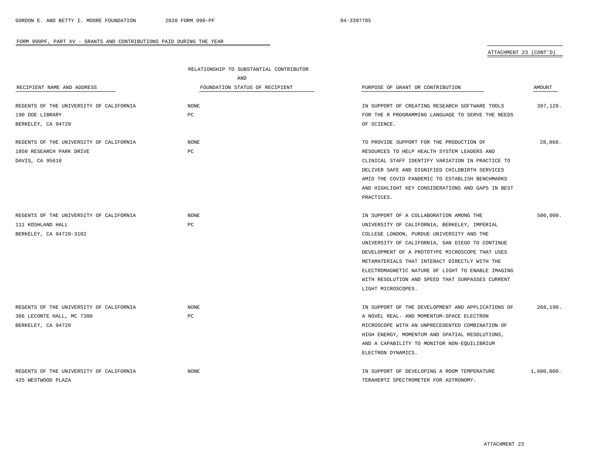## ATTACHMENT 23 (CONT'D)

|                                         | RELATIONSHIP TO SUBSTANTIAL CONTRIBUTOR |                                                   |            |
|-----------------------------------------|-----------------------------------------|---------------------------------------------------|------------|
|                                         | AND                                     |                                                   |            |
| RECIPIENT NAME AND ADDRESS              | FOUNDATION STATUS OF RECIPIENT          | PURPOSE OF GRANT OR CONTRIBUTION                  | AMOUNT     |
| REGENTS OF THE UNIVERSITY OF CALIFORNIA | NONE                                    | IN SUPPORT OF CREATING RESEARCH SOFTWARE TOOLS    | 397,128.   |
| 190 DOE LIBRARY                         | PC                                      | FOR THE R PROGRAMMING LANGUAGE TO SERVE THE NEEDS |            |
| BERKELEY, CA 94720                      |                                         | OF SCIENCE.                                       |            |
| REGENTS OF THE UNIVERSITY OF CALIFORNIA | NONE                                    | TO PROVIDE SUPPORT FOR THE PRODUCTION OF          | 28,868.    |
| 1850 RESEARCH PARK DRIVE                | PC                                      | RESOURCES TO HELP HEALTH SYSTEM LEADERS AND       |            |
| DAVIS, CA 95618                         |                                         | CLINICAL STAFF IDENTIFY VARIATION IN PRACTICE TO  |            |
|                                         |                                         | DELIVER SAFE AND DIGNIFIED CHILDBIRTH SERVICES    |            |
|                                         |                                         | AMID THE COVID PANDEMIC TO ESTABLISH BENCHMARKS   |            |
|                                         |                                         | AND HIGHLIGHT KEY CONSIDERATIONS AND GAPS IN BEST |            |
|                                         |                                         | PRACTICES.                                        |            |
| REGENTS OF THE UNIVERSITY OF CALIFORNIA | NONE                                    | IN SUPPORT OF A COLLABORATION AMONG THE           | 500,000.   |
| 111 KOSHLAND HALL                       | PC                                      | UNIVERSITY OF CALIFORNIA, BERKELEY, IMPERIAL      |            |
| BERKELEY, CA 94720-3102                 |                                         | COLLEGE LONDON, PURDUE UNIVERSITY AND THE         |            |
|                                         |                                         | UNIVERSITY OF CALIFORNIA, SAN DIEGO TO CONTINUE   |            |
|                                         |                                         | DEVELOPMENT OF A PROTOTYPE MICROSCOPE THAT USES   |            |
|                                         |                                         | METAMATERIALS THAT INTERACT DIRECTLY WITH THE     |            |
|                                         |                                         | ELECTROMAGNETIC NATURE OF LIGHT TO ENABLE IMAGING |            |
|                                         |                                         | WITH RESOLUTION AND SPEED THAT SURPASSES CURRENT  |            |
|                                         |                                         | LIGHT MICROSCOPES.                                |            |
| REGENTS OF THE UNIVERSITY OF CALIFORNIA | <b>NONE</b>                             | IN SUPPORT OF THE DEVELOPMENT AND APPLICATIONS OF | 268,190.   |
| 366 LECONTE HALL, MC 7300               | PC                                      | A NOVEL REAL- AND MOMENTUM-SPACE ELECTRON         |            |
| BERKELEY, CA 94720                      |                                         | MICROSCOPE WITH AN UNPRECEDENTED COMBINATION OF   |            |
|                                         |                                         | HIGH ENERGY, MOMENTUM AND SPATIAL RESOLUTIONS,    |            |
|                                         |                                         | AND A CAPABILITY TO MONITOR NON-EQUILIBRIUM       |            |
|                                         |                                         | ELECTRON DYNAMICS.                                |            |
| REGENTS OF THE UNIVERSITY OF CALIFORNIA | <b>NONE</b>                             | IN SUPPORT OF DEVELOPING A ROOM TEMPERATURE       | 1,600,000. |
| 425 WESTWOOD PLAZA                      |                                         | TERAHERTZ SPECTROMETER FOR ASTRONOMY.             |            |

÷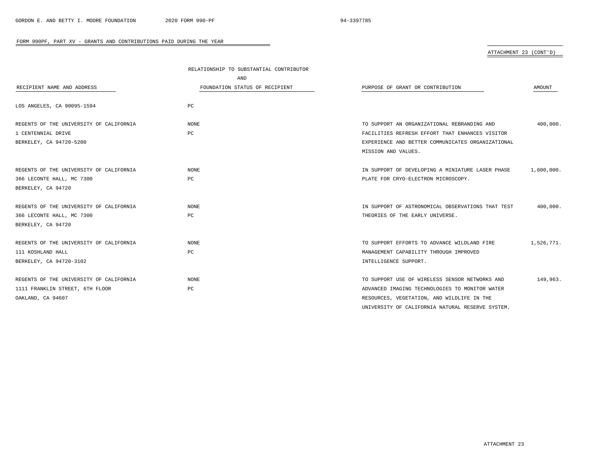ATTACHMENT 23 (CONT'D)

|                                         | RELATIONSHIP TO SUBSTANTIAL CONTRIBUTOR |                                                   |               |
|-----------------------------------------|-----------------------------------------|---------------------------------------------------|---------------|
|                                         | AND                                     |                                                   |               |
| RECIPIENT NAME AND ADDRESS              | FOUNDATION STATUS OF RECIPIENT          | PURPOSE OF GRANT OR CONTRIBUTION                  | <b>AMOUNT</b> |
| LOS ANGELES, CA 90095-1594              | PC                                      |                                                   |               |
| REGENTS OF THE UNIVERSITY OF CALIFORNIA | NONE                                    | TO SUPPORT AN ORGANIZATIONAL REBRANDING AND       | 400,000.      |
| 1 CENTENNIAL DRIVE                      | PC                                      | FACILITIES REFRESH EFFORT THAT ENHANCES VISITOR   |               |
| BERKELEY, CA 94720-5200                 |                                         | EXPERIENCE AND BETTER COMMUNICATES ORGANIZATIONAL |               |
|                                         |                                         | MISSION AND VALUES.                               |               |
| REGENTS OF THE UNIVERSITY OF CALIFORNIA | <b>NONE</b>                             | IN SUPPORT OF DEVELOPING A MINIATURE LASER PHASE  | 1,600,000.    |
| 366 LECONTE HALL, MC 7300               | PC                                      | PLATE FOR CRYO-ELECTRON MICROSCOPY.               |               |
| BERKELEY, CA 94720                      |                                         |                                                   |               |
|                                         |                                         |                                                   |               |
| REGENTS OF THE UNIVERSITY OF CALIFORNIA | <b>NONE</b><br>PC                       | IN SUPPORT OF ASTRONOMICAL OBSERVATIONS THAT TEST | 400,000.      |
| 366 LECONTE HALL, MC 7300               |                                         | THEORIES OF THE EARLY UNIVERSE.                   |               |
| BERKELEY, CA 94720                      |                                         |                                                   |               |
| REGENTS OF THE UNIVERSITY OF CALIFORNIA | <b>NONE</b>                             | TO SUPPORT EFFORTS TO ADVANCE WILDLAND FIRE       | 1,526,771.    |
| 111 KOSHLAND HALL                       | $_{\rm PC}$                             | MANAGEMENT CAPABILITY THROUGH IMPROVED            |               |
| BERKELEY, CA 94720-3102                 |                                         | INTELLIGENCE SUPPORT.                             |               |
| REGENTS OF THE UNIVERSITY OF CALIFORNIA | <b>NONE</b>                             | TO SUPPORT USE OF WIRELESS SENSOR NETWORKS AND    | 149,963.      |
| 1111 FRANKLIN STREET, 6TH FLOOR         | $_{\rm PC}$                             | ADVANCED IMAGING TECHNOLOGIES TO MONITOR WATER    |               |
| OAKLAND, CA 94607                       |                                         | RESOURCES, VEGETATION, AND WILDLIFE IN THE        |               |
|                                         |                                         | UNIVERSITY OF CALIFORNIA NATURAL RESERVE SYSTEM.  |               |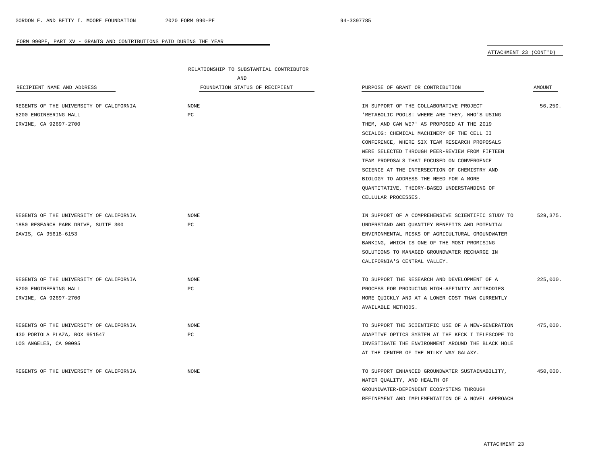ATTACHMENT 23 (CONT'D)

|                                         | RELATIONSHIP TO SUBSTANTIAL CONTRIBUTOR |                                                   |               |  |
|-----------------------------------------|-----------------------------------------|---------------------------------------------------|---------------|--|
|                                         | AND                                     |                                                   |               |  |
| RECIPIENT NAME AND ADDRESS              | FOUNDATION STATUS OF RECIPIENT          | PURPOSE OF GRANT OR CONTRIBUTION                  | <b>AMOUNT</b> |  |
|                                         |                                         |                                                   |               |  |
| REGENTS OF THE UNIVERSITY OF CALIFORNIA | NONE                                    | IN SUPPORT OF THE COLLABORATIVE PROJECT           | 56,250.       |  |
| 5200 ENGINEERING HALL                   | PC                                      | 'METABOLIC POOLS: WHERE ARE THEY, WHO'S USING     |               |  |
| IRVINE, CA 92697-2700                   |                                         | THEM, AND CAN WE?' AS PROPOSED AT THE 2019        |               |  |
|                                         |                                         | SCIALOG: CHEMICAL MACHINERY OF THE CELL II        |               |  |
|                                         |                                         | CONFERENCE, WHERE SIX TEAM RESEARCH PROPOSALS     |               |  |
|                                         |                                         | WERE SELECTED THROUGH PEER-REVIEW FROM FIFTEEN    |               |  |
|                                         |                                         | TEAM PROPOSALS THAT FOCUSED ON CONVERGENCE        |               |  |
|                                         |                                         | SCIENCE AT THE INTERSECTION OF CHEMISTRY AND      |               |  |
|                                         |                                         | BIOLOGY TO ADDRESS THE NEED FOR A MORE            |               |  |
|                                         |                                         | QUANTITATIVE, THEORY-BASED UNDERSTANDING OF       |               |  |
|                                         |                                         | CELLULAR PROCESSES.                               |               |  |
|                                         |                                         |                                                   |               |  |
| REGENTS OF THE UNIVERSITY OF CALIFORNIA | <b>NONE</b>                             | IN SUPPORT OF A COMPREHENSIVE SCIENTIFIC STUDY TO | 529,375.      |  |
| 1850 RESEARCH PARK DRIVE, SUITE 300     | PC                                      | UNDERSTAND AND QUANTIFY BENEFITS AND POTENTIAL    |               |  |
| DAVIS, CA 95618-6153                    |                                         | ENVIRONMENTAL RISKS OF AGRICULTURAL GROUNDWATER   |               |  |
|                                         |                                         | BANKING, WHICH IS ONE OF THE MOST PROMISING       |               |  |
|                                         |                                         | SOLUTIONS TO MANAGED GROUNDWATER RECHARGE IN      |               |  |
|                                         |                                         | CALIFORNIA'S CENTRAL VALLEY.                      |               |  |
|                                         |                                         |                                                   |               |  |
| REGENTS OF THE UNIVERSITY OF CALIFORNIA | <b>NONE</b>                             | TO SUPPORT THE RESEARCH AND DEVELOPMENT OF A      | 225,000.      |  |
| 5200 ENGINEERING HALL                   | PC                                      | PROCESS FOR PRODUCING HIGH-AFFINITY ANTIBODIES    |               |  |
| IRVINE, CA 92697-2700                   |                                         | MORE QUICKLY AND AT A LOWER COST THAN CURRENTLY   |               |  |
|                                         |                                         | AVAILABLE METHODS.                                |               |  |
|                                         |                                         |                                                   |               |  |
| REGENTS OF THE UNIVERSITY OF CALIFORNIA | $\rm{NONE}$                             | TO SUPPORT THE SCIENTIFIC USE OF A NEW-GENERATION | 475,000.      |  |
| 430 PORTOLA PLAZA, BOX 951547           | РC                                      | ADAPTIVE OPTICS SYSTEM AT THE KECK I TELESCOPE TO |               |  |
| LOS ANGELES, CA 90095                   |                                         | INVESTIGATE THE ENVIRONMENT AROUND THE BLACK HOLE |               |  |
|                                         |                                         | AT THE CENTER OF THE MILKY WAY GALAXY.            |               |  |
|                                         |                                         |                                                   |               |  |
| REGENTS OF THE UNIVERSITY OF CALIFORNIA | $\rm{NONE}$                             | TO SUPPORT ENHANCED GROUNDWATER SUSTAINABILITY,   | 450,000.      |  |
|                                         |                                         | WATER QUALITY, AND HEALTH OF                      |               |  |
|                                         |                                         | GROUNDWATER-DEPENDENT ECOSYSTEMS THROUGH          |               |  |
|                                         |                                         | REFINEMENT AND IMPLEMENTATION OF A NOVEL APPROACH |               |  |

÷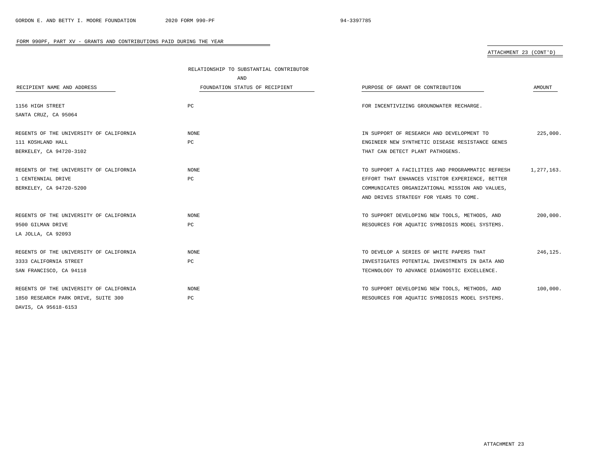# ATTACHMENT 23 (CONT'D)

|                                         | RELATIONSHIP TO SUBSTANTIAL CONTRIBUTOR |                                                  |            |
|-----------------------------------------|-----------------------------------------|--------------------------------------------------|------------|
|                                         | AND                                     |                                                  |            |
| RECIPIENT NAME AND ADDRESS              | FOUNDATION STATUS OF RECIPIENT          | PURPOSE OF GRANT OR CONTRIBUTION                 | AMOUNT     |
|                                         |                                         |                                                  |            |
| 1156 HIGH STREET                        | PC                                      | FOR INCENTIVIZING GROUNDWATER RECHARGE.          |            |
| SANTA CRUZ, CA 95064                    |                                         |                                                  |            |
| REGENTS OF THE UNIVERSITY OF CALIFORNIA | <b>NONE</b>                             | IN SUPPORT OF RESEARCH AND DEVELOPMENT TO        | 225,000.   |
| 111 KOSHLAND HALL                       | PC                                      | ENGINEER NEW SYNTHETIC DISEASE RESISTANCE GENES  |            |
| BERKELEY, CA 94720-3102                 |                                         | THAT CAN DETECT PLANT PATHOGENS.                 |            |
| REGENTS OF THE UNIVERSITY OF CALIFORNIA | NONE                                    | TO SUPPORT A FACILITIES AND PROGRAMMATIC REFRESH | 1,277,163. |
| 1 CENTENNIAL DRIVE                      | $_{\rm PC}$                             | EFFORT THAT ENHANCES VISITOR EXPERIENCE, BETTER  |            |
| BERKELEY, CA 94720-5200                 |                                         | COMMUNICATES ORGANIZATIONAL MISSION AND VALUES,  |            |
|                                         |                                         | AND DRIVES STRATEGY FOR YEARS TO COME.           |            |
| REGENTS OF THE UNIVERSITY OF CALIFORNIA | <b>NONE</b>                             | TO SUPPORT DEVELOPING NEW TOOLS, METHODS, AND    | 200,000.   |
| 9500 GILMAN DRIVE                       | $_{\rm PC}$                             | RESOURCES FOR AQUATIC SYMBIOSIS MODEL SYSTEMS.   |            |
| LA JOLLA, CA 92093                      |                                         |                                                  |            |
| REGENTS OF THE UNIVERSITY OF CALIFORNIA | <b>NONE</b>                             | TO DEVELOP A SERIES OF WHITE PAPERS THAT         | 246,125.   |
| 3333 CALIFORNIA STREET                  | $_{\rm PC}$                             | INVESTIGATES POTENTIAL INVESTMENTS IN DATA AND   |            |
| SAN FRANCISCO, CA 94118                 |                                         | TECHNOLOGY TO ADVANCE DIAGNOSTIC EXCELLENCE.     |            |
| REGENTS OF THE UNIVERSITY OF CALIFORNIA | <b>NONE</b>                             | TO SUPPORT DEVELOPING NEW TOOLS, METHODS, AND    | 100,000.   |
| 1850 RESEARCH PARK DRIVE, SUITE 300     | $_{\rm PC}$                             | RESOURCES FOR AQUATIC SYMBIOSIS MODEL SYSTEMS.   |            |
| DAVIS, CA 95618-6153                    |                                         |                                                  |            |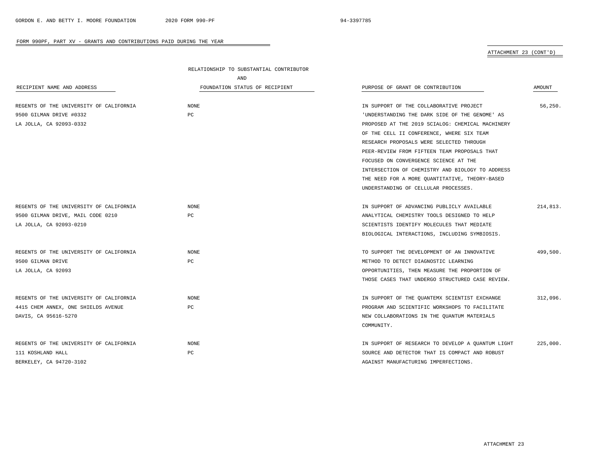ATTACHMENT 23 (CONT'D)

|                                         | RELATIONSHIP TO SUBSTANTIAL CONTRIBUTOR |                                                   |          |
|-----------------------------------------|-----------------------------------------|---------------------------------------------------|----------|
|                                         | AND                                     |                                                   |          |
| RECIPIENT NAME AND ADDRESS              | FOUNDATION STATUS OF RECIPIENT          | PURPOSE OF GRANT OR CONTRIBUTION                  | AMOUNT   |
|                                         |                                         |                                                   |          |
| REGENTS OF THE UNIVERSITY OF CALIFORNIA | NONE                                    | IN SUPPORT OF THE COLLABORATIVE PROJECT           | 56,250.  |
| 9500 GILMAN DRIVE #0332                 | PC                                      | 'UNDERSTANDING THE DARK SIDE OF THE GENOME' AS    |          |
| LA JOLLA, CA 92093-0332                 |                                         | PROPOSED AT THE 2019 SCIALOG: CHEMICAL MACHINERY  |          |
|                                         |                                         | OF THE CELL II CONFERENCE, WHERE SIX TEAM         |          |
|                                         |                                         | RESEARCH PROPOSALS WERE SELECTED THROUGH          |          |
|                                         |                                         | PEER-REVIEW FROM FIFTEEN TEAM PROPOSALS THAT      |          |
|                                         |                                         | FOCUSED ON CONVERGENCE SCIENCE AT THE             |          |
|                                         |                                         | INTERSECTION OF CHEMISTRY AND BIOLOGY TO ADDRESS  |          |
|                                         |                                         | THE NEED FOR A MORE QUANTITATIVE, THEORY-BASED    |          |
|                                         |                                         | UNDERSTANDING OF CELLULAR PROCESSES.              |          |
|                                         |                                         |                                                   |          |
| REGENTS OF THE UNIVERSITY OF CALIFORNIA | <b>NONE</b>                             | IN SUPPORT OF ADVANCING PUBLICLY AVAILABLE        | 214,813. |
| 9500 GILMAN DRIVE, MAIL CODE 0210       | PC                                      | ANALYTICAL CHEMISTRY TOOLS DESIGNED TO HELP       |          |
| LA JOLLA, CA 92093-0210                 |                                         | SCIENTISTS IDENTIFY MOLECULES THAT MEDIATE        |          |
|                                         |                                         | BIOLOGICAL INTERACTIONS, INCLUDING SYMBIOSIS.     |          |
|                                         |                                         |                                                   |          |
| REGENTS OF THE UNIVERSITY OF CALIFORNIA | <b>NONE</b>                             | TO SUPPORT THE DEVELOPMENT OF AN INNOVATIVE       | 499,500. |
| 9500 GILMAN DRIVE                       | PC                                      | METHOD TO DETECT DIAGNOSTIC LEARNING              |          |
| LA JOLLA, CA 92093                      |                                         | OPPORTUNITIES, THEN MEASURE THE PROPORTION OF     |          |
|                                         |                                         | THOSE CASES THAT UNDERGO STRUCTURED CASE REVIEW.  |          |
|                                         |                                         |                                                   |          |
| REGENTS OF THE UNIVERSITY OF CALIFORNIA | <b>NONE</b>                             | IN SUPPORT OF THE QUANTEMX SCIENTIST EXCHANGE     | 312,096. |
| 4415 CHEM ANNEX, ONE SHIELDS AVENUE     | PC                                      | PROGRAM AND SCIENTIFIC WORKSHOPS TO FACILITATE    |          |
| DAVIS, CA 95616-5270                    |                                         | NEW COLLABORATIONS IN THE QUANTUM MATERIALS       |          |
|                                         |                                         | COMMUNITY.                                        |          |
|                                         |                                         |                                                   |          |
| REGENTS OF THE UNIVERSITY OF CALIFORNIA | <b>NONE</b>                             | IN SUPPORT OF RESEARCH TO DEVELOP A QUANTUM LIGHT | 225,000. |
| 111 KOSHLAND HALL                       | PC                                      | SOURCE AND DETECTOR THAT IS COMPACT AND ROBUST    |          |
| BERKELEY, CA 94720-3102                 |                                         | AGAINST MANUFACTURING IMPERFECTIONS.              |          |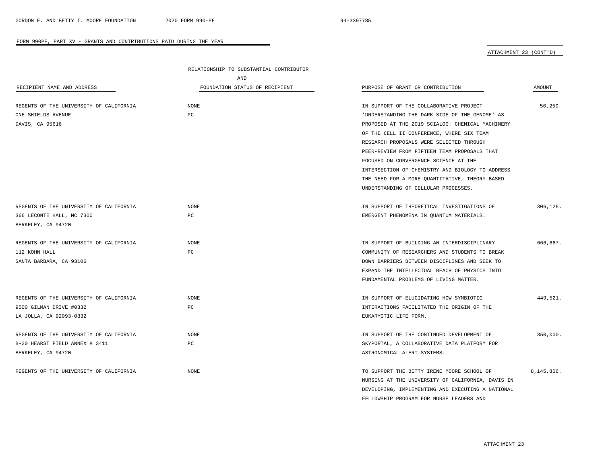÷

#### FORM 990PF, PART XV - GRANTS AND CONTRIBUTIONS PAID DURING THE YEAR

ATTACHMENT 23 (CONT'D)

|                                         | RELATIONSHIP TO SUBSTANTIAL CONTRIBUTOR |                                                   |            |
|-----------------------------------------|-----------------------------------------|---------------------------------------------------|------------|
|                                         | AND                                     |                                                   |            |
| RECIPIENT NAME AND ADDRESS              | FOUNDATION STATUS OF RECIPIENT          | PURPOSE OF GRANT OR CONTRIBUTION                  | AMOUNT     |
|                                         |                                         |                                                   |            |
| REGENTS OF THE UNIVERSITY OF CALIFORNIA | <b>NONE</b>                             | IN SUPPORT OF THE COLLABORATIVE PROJECT           | 56.250.    |
| ONE SHIELDS AVENUE                      | PC                                      | 'UNDERSTANDING THE DARK SIDE OF THE GENOME' AS    |            |
| DAVIS, CA 95616                         |                                         | PROPOSED AT THE 2019 SCIALOG: CHEMICAL MACHINERY  |            |
|                                         |                                         | OF THE CELL II CONFERENCE, WHERE SIX TEAM         |            |
|                                         |                                         | RESEARCH PROPOSALS WERE SELECTED THROUGH          |            |
|                                         |                                         | PEER-REVIEW FROM FIFTEEN TEAM PROPOSALS THAT      |            |
|                                         |                                         | FOCUSED ON CONVERGENCE SCIENCE AT THE             |            |
|                                         |                                         | INTERSECTION OF CHEMISTRY AND BIOLOGY TO ADDRESS  |            |
|                                         |                                         | THE NEED FOR A MORE QUANTITATIVE, THEORY-BASED    |            |
|                                         |                                         | UNDERSTANDING OF CELLULAR PROCESSES.              |            |
| REGENTS OF THE UNIVERSITY OF CALIFORNIA | <b>NONE</b>                             | IN SUPPORT OF THEORETICAL INVESTIGATIONS OF       | 306,125.   |
| 366 LECONTE HALL, MC 7300               | PC                                      | EMERGENT PHENOMENA IN QUANTUM MATERIALS.          |            |
| BERKELEY, CA 94720                      |                                         |                                                   |            |
|                                         |                                         |                                                   |            |
| REGENTS OF THE UNIVERSITY OF CALIFORNIA | <b>NONE</b>                             | IN SUPPORT OF BUILDING AN INTERDISCIPLINARY       | 666,667.   |
| 112 KOHN HALL                           | PC                                      | COMMUNITY OF RESEARCHERS AND STUDENTS TO BREAK    |            |
| SANTA BARBARA, CA 93106                 |                                         | DOWN BARRIERS BETWEEN DISCIPLINES AND SEEK TO     |            |
|                                         |                                         | EXPAND THE INTELLECTUAL REACH OF PHYSICS INTO     |            |
|                                         |                                         | FUNDAMENTAL PROBLEMS OF LIVING MATTER.            |            |
|                                         |                                         |                                                   |            |
| REGENTS OF THE UNIVERSITY OF CALIFORNIA | <b>NONE</b>                             | IN SUPPORT OF ELUCIDATING HOW SYMBIOTIC           | 449.521.   |
| 9500 GILMAN DRIVE #0332                 | PC                                      | INTERACTIONS FACILITATED THE ORIGIN OF THE        |            |
| LA JOLLA, CA 92093-0332                 |                                         | EUKARYOTIC LIFE FORM.                             |            |
|                                         |                                         |                                                   |            |
| REGENTS OF THE UNIVERSITY OF CALIFORNIA | <b>NONE</b>                             | IN SUPPORT OF THE CONTINUED DEVELOPMENT OF        | 350,000.   |
| B-20 HEARST FIELD ANNEX # 3411          | PC                                      | SKYPORTAL, A COLLABORATIVE DATA PLATFORM FOR      |            |
| BERKELEY, CA 94720                      |                                         | ASTRONOMICAL ALERT SYSTEMS.                       |            |
|                                         |                                         |                                                   |            |
| REGENTS OF THE UNIVERSITY OF CALIFORNIA | <b>NONE</b>                             | TO SUPPORT THE BETTY IRENE MOORE SCHOOL OF        | 8,145,866. |
|                                         |                                         | NURSING AT THE UNIVERSITY OF CALIFORNIA, DAVIS IN |            |
|                                         |                                         | DEVELOPING, IMPLEMENTING AND EXECUTING A NATIONAL |            |
|                                         |                                         | FELLOWSHIP PROGRAM FOR NURSE LEADERS AND          |            |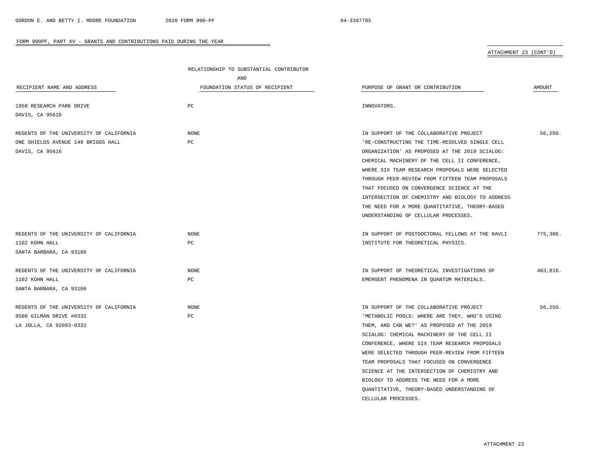CELLULAR PROCESSES.

## FORM 990PF, PART XV - GRANTS AND CONTRIBUTIONS PAID DURING THE YEAR

ATTACHMENT 23 (CONT'D)

|                                         | RELATIONSHIP TO SUBSTANTIAL CONTRIBUTOR |                                                  |          |
|-----------------------------------------|-----------------------------------------|--------------------------------------------------|----------|
|                                         | AND                                     |                                                  |          |
| RECIPIENT NAME AND ADDRESS              | FOUNDATION STATUS OF RECIPIENT          | PURPOSE OF GRANT OR CONTRIBUTION                 | AMOUNT   |
|                                         |                                         |                                                  |          |
| 1850 RESEARCH PARK DRIVE                | PC                                      | INNOVATORS.                                      |          |
| DAVIS, CA 95618                         |                                         |                                                  |          |
| REGENTS OF THE UNIVERSITY OF CALIFORNIA | NONE                                    | IN SUPPORT OF THE COLLABORATIVE PROJECT          | 56,250.  |
| ONE SHIELDS AVENUE 149 BRIGGS HALL      | PC                                      | 'RE-CONSTRUCTING THE TIME-RESOLVED SINGLE CELL   |          |
| DAVIS, CA 95616                         |                                         | ORGANIZATION' AS PROPOSED AT THE 2019 SCIALOG:   |          |
|                                         |                                         | CHEMICAL MACHINERY OF THE CELL II CONFERENCE,    |          |
|                                         |                                         | WHERE SIX TEAM RESEARCH PROPOSALS WERE SELECTED  |          |
|                                         |                                         | THROUGH PEER-REVIEW FROM FIFTEEN TEAM PROPOSALS  |          |
|                                         |                                         | THAT FOCUSED ON CONVERGENCE SCIENCE AT THE       |          |
|                                         |                                         | INTERSECTION OF CHEMISTRY AND BIOLOGY TO ADDRESS |          |
|                                         |                                         | THE NEED FOR A MORE QUANTITATIVE, THEORY-BASED   |          |
|                                         |                                         | UNDERSTANDING OF CELLULAR PROCESSES.             |          |
| REGENTS OF THE UNIVERSITY OF CALIFORNIA | NONE                                    | IN SUPPORT OF POSTDOCTORAL FELLOWS AT THE KAVLI  | 775,306. |
| 1102 KOHN HALL                          | PC                                      | INSTITUTE FOR THEORETICAL PHYSICS.               |          |
| SANTA BARBARA, CA 93106                 |                                         |                                                  |          |
|                                         |                                         |                                                  |          |
| REGENTS OF THE UNIVERSITY OF CALIFORNIA | <b>NONE</b>                             | IN SUPPORT OF THEORETICAL INVESTIGATIONS OF      | 403,816. |
| 1102 KOHN HALL                          | PC                                      | EMERGENT PHENOMENA IN QUANTUM MATERIALS.         |          |
| SANTA BARBARA, CA 93106                 |                                         |                                                  |          |
| REGENTS OF THE UNIVERSITY OF CALIFORNIA | $\rm{NONE}$                             | IN SUPPORT OF THE COLLABORATIVE PROJECT          | 56,250.  |
| 9500 GILMAN DRIVE #0332                 | PC                                      | 'METABOLIC POOLS: WHERE ARE THEY, WHO'S USING    |          |
| LA JOLLA, CA 92093-0332                 |                                         | THEM, AND CAN WE?' AS PROPOSED AT THE 2019       |          |
|                                         |                                         | SCIALOG: CHEMICAL MACHINERY OF THE CELL II       |          |
|                                         |                                         | CONFERENCE, WHERE SIX TEAM RESEARCH PROPOSALS    |          |
|                                         |                                         | WERE SELECTED THROUGH PEER-REVIEW FROM FIFTEEN   |          |
|                                         |                                         | TEAM PROPOSALS THAT FOCUSED ON CONVERGENCE       |          |
|                                         |                                         | SCIENCE AT THE INTERSECTION OF CHEMISTRY AND     |          |
|                                         |                                         | BIOLOGY TO ADDRESS THE NEED FOR A MORE           |          |
|                                         |                                         | QUANTITATIVE, THEORY-BASED UNDERSTANDING OF      |          |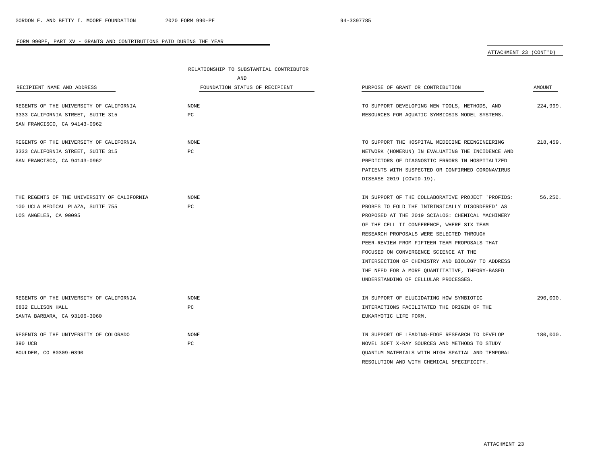# ATTACHMENT 23 (CONT'D)

|                                             | RELATIONSHIP TO SUBSTANTIAL CONTRIBUTOR |                                                   |          |
|---------------------------------------------|-----------------------------------------|---------------------------------------------------|----------|
|                                             | AND                                     |                                                   |          |
| RECIPIENT NAME AND ADDRESS                  | FOUNDATION STATUS OF RECIPIENT          | PURPOSE OF GRANT OR CONTRIBUTION                  | AMOUNT   |
|                                             |                                         |                                                   |          |
| REGENTS OF THE UNIVERSITY OF CALIFORNIA     | NONE                                    | TO SUPPORT DEVELOPING NEW TOOLS, METHODS, AND     | 224,999. |
| 3333 CALIFORNIA STREET, SUITE 315           | PC                                      | RESOURCES FOR AQUATIC SYMBIOSIS MODEL SYSTEMS.    |          |
| SAN FRANCISCO, CA 94143-0962                |                                         |                                                   |          |
| REGENTS OF THE UNIVERSITY OF CALIFORNIA     | <b>NONE</b>                             | TO SUPPORT THE HOSPITAL MEDICINE REENGINEERING    | 218,459. |
| 3333 CALIFORNIA STREET, SUITE 315           | РC                                      | NETWORK (HOMERUN) IN EVALUATING THE INCIDENCE AND |          |
| SAN FRANCISCO, CA 94143-0962                |                                         | PREDICTORS OF DIAGNOSTIC ERRORS IN HOSPITALIZED   |          |
|                                             |                                         | PATIENTS WITH SUSPECTED OR CONFIRMED CORONAVIRUS  |          |
|                                             |                                         | DISEASE 2019 (COVID-19).                          |          |
|                                             |                                         |                                                   |          |
| THE REGENTS OF THE UNIVERSITY OF CALIFORNIA | <b>NONE</b>                             | IN SUPPORT OF THE COLLABORATIVE PROJECT 'PROFIDS: | 56, 250. |
| 100 UCLA MEDICAL PLAZA, SUITE 755           | PC                                      | PROBES TO FOLD THE INTRINSICALLY DISORDERED' AS   |          |
| LOS ANGELES, CA 90095                       |                                         | PROPOSED AT THE 2019 SCIALOG: CHEMICAL MACHINERY  |          |
|                                             |                                         | OF THE CELL II CONFERENCE, WHERE SIX TEAM         |          |
|                                             |                                         | RESEARCH PROPOSALS WERE SELECTED THROUGH          |          |
|                                             |                                         | PEER-REVIEW FROM FIFTEEN TEAM PROPOSALS THAT      |          |
|                                             |                                         | FOCUSED ON CONVERGENCE SCIENCE AT THE             |          |
|                                             |                                         | INTERSECTION OF CHEMISTRY AND BIOLOGY TO ADDRESS  |          |
|                                             |                                         | THE NEED FOR A MORE QUANTITATIVE, THEORY-BASED    |          |
|                                             |                                         | UNDERSTANDING OF CELLULAR PROCESSES.              |          |
|                                             |                                         |                                                   |          |
| REGENTS OF THE UNIVERSITY OF CALIFORNIA     | <b>NONE</b>                             | IN SUPPORT OF ELUCIDATING HOW SYMBIOTIC           | 290,000. |
| 6832 ELLISON HALL                           | РC                                      | INTERACTIONS FACILITATED THE ORIGIN OF THE        |          |
| SANTA BARBARA, CA 93106-3060                |                                         | EUKARYOTIC LIFE FORM.                             |          |
|                                             |                                         |                                                   |          |
| REGENTS OF THE UNIVERSITY OF COLORADO       | <b>NONE</b>                             | IN SUPPORT OF LEADING-EDGE RESEARCH TO DEVELOP    | 180,000. |
| 390 UCB                                     | РC                                      | NOVEL SOFT X-RAY SOURCES AND METHODS TO STUDY     |          |
| BOULDER, CO 80309-0390                      |                                         | QUANTUM MATERIALS WITH HIGH SPATIAL AND TEMPORAL  |          |

 $\overline{\phantom{a}}$ 

RESOLUTION AND WITH CHEMICAL SPECIFICITY.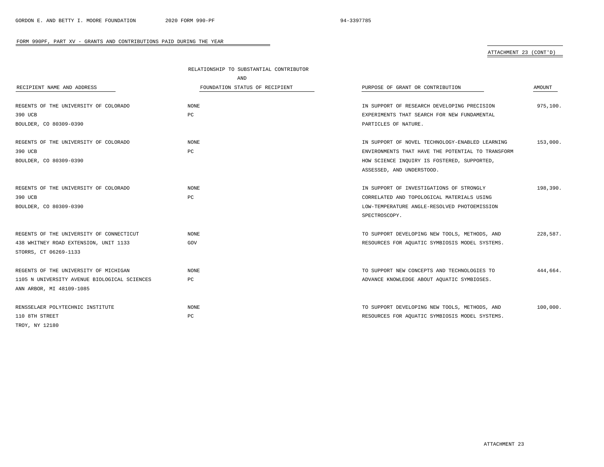# ATTACHMENT 23 (CONT'D)

|                                              | RELATIONSHIP TO SUBSTANTIAL CONTRIBUTOR |                                                   |          |
|----------------------------------------------|-----------------------------------------|---------------------------------------------------|----------|
|                                              | AND                                     |                                                   |          |
| RECIPIENT NAME AND ADDRESS                   | FOUNDATION STATUS OF RECIPIENT          | PURPOSE OF GRANT OR CONTRIBUTION                  | AMOUNT   |
|                                              |                                         |                                                   |          |
| REGENTS OF THE UNIVERSITY OF COLORADO        | NONE                                    | IN SUPPORT OF RESEARCH DEVELOPING PRECISION       | 975,100. |
| 390 UCB                                      | PC                                      | EXPERIMENTS THAT SEARCH FOR NEW FUNDAMENTAL       |          |
| BOULDER, CO 80309-0390                       |                                         | PARTICLES OF NATURE.                              |          |
| REGENTS OF THE UNIVERSITY OF COLORADO        | <b>NONE</b>                             | IN SUPPORT OF NOVEL TECHNOLOGY-ENABLED LEARNING   | 153,000. |
| 390 UCB                                      | PC                                      | ENVIRONMENTS THAT HAVE THE POTENTIAL TO TRANSFORM |          |
| BOULDER, CO 80309-0390                       |                                         | HOW SCIENCE INQUIRY IS FOSTERED, SUPPORTED,       |          |
|                                              |                                         | ASSESSED, AND UNDERSTOOD.                         |          |
|                                              |                                         |                                                   |          |
| REGENTS OF THE UNIVERSITY OF COLORADO        | <b>NONE</b>                             | IN SUPPORT OF INVESTIGATIONS OF STRONGLY          | 198,390. |
| 390 UCB                                      | PC                                      | CORRELATED AND TOPOLOGICAL MATERIALS USING        |          |
| BOULDER, CO 80309-0390                       |                                         | LOW-TEMPERATURE ANGLE-RESOLVED PHOTOEMISSION      |          |
|                                              |                                         | SPECTROSCOPY.                                     |          |
| REGENTS OF THE UNIVERSITY OF CONNECTICUT     | NONE                                    | TO SUPPORT DEVELOPING NEW TOOLS, METHODS, AND     | 228,587. |
| 438 WHITNEY ROAD EXTENSION, UNIT 1133        | GOV                                     | RESOURCES FOR AQUATIC SYMBIOSIS MODEL SYSTEMS.    |          |
| STORRS, CT 06269-1133                        |                                         |                                                   |          |
|                                              |                                         |                                                   |          |
| REGENTS OF THE UNIVERSITY OF MICHIGAN        | <b>NONE</b>                             | TO SUPPORT NEW CONCEPTS AND TECHNOLOGIES TO       | 444.664. |
| 1105 N UNIVERSITY AVENUE BIOLOGICAL SCIENCES | РC                                      | ADVANCE KNOWLEDGE ABOUT AQUATIC SYMBIOSES.        |          |
| ANN ARBOR, MI 48109-1085                     |                                         |                                                   |          |
| RENSSELAER POLYTECHNIC INSTITUTE             | <b>NONE</b>                             | TO SUPPORT DEVELOPING NEW TOOLS, METHODS, AND     | 100,000. |
| 110 8TH STREET                               | PC                                      | RESOURCES FOR AQUATIC SYMBIOSIS MODEL SYSTEMS.    |          |
| TROY, NY 12180                               |                                         |                                                   |          |

÷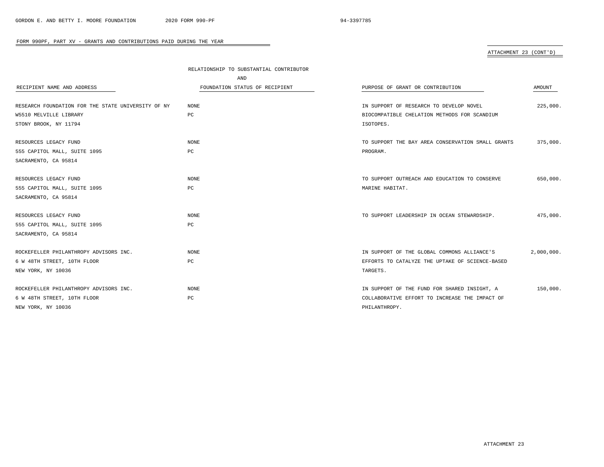# ATTACHMENT 23 (CONT'D)

|                                                    | RELATIONSHIP TO SUBSTANTIAL CONTRIBUTOR |                                                   |            |
|----------------------------------------------------|-----------------------------------------|---------------------------------------------------|------------|
|                                                    | AND                                     |                                                   |            |
| RECIPIENT NAME AND ADDRESS                         | FOUNDATION STATUS OF RECIPIENT          | PURPOSE OF GRANT OR CONTRIBUTION                  | AMOUNT     |
|                                                    |                                         |                                                   |            |
| RESEARCH FOUNDATION FOR THE STATE UNIVERSITY OF NY | <b>NONE</b>                             | IN SUPPORT OF RESEARCH TO DEVELOP NOVEL           | 225,000.   |
| W5510 MELVILLE LIBRARY                             | $_{\rm PC}$                             | BIOCOMPATIBLE CHELATION METHODS FOR SCANDIUM      |            |
| STONY BROOK, NY 11794                              |                                         | ISOTOPES.                                         |            |
| RESOURCES LEGACY FUND                              | <b>NONE</b>                             | TO SUPPORT THE BAY AREA CONSERVATION SMALL GRANTS | 375,000.   |
| 555 CAPITOL MALL, SUITE 1095                       | PC                                      | PROGRAM.                                          |            |
| SACRAMENTO, CA 95814                               |                                         |                                                   |            |
|                                                    |                                         |                                                   |            |
| RESOURCES LEGACY FUND                              | <b>NONE</b>                             | TO SUPPORT OUTREACH AND EDUCATION TO CONSERVE     | 650,000.   |
| 555 CAPITOL MALL, SUITE 1095                       | $_{\rm PC}$                             | MARINE HABITAT.                                   |            |
| SACRAMENTO, CA 95814                               |                                         |                                                   |            |
|                                                    |                                         |                                                   |            |
| RESOURCES LEGACY FUND                              | <b>NONE</b>                             | TO SUPPORT LEADERSHIP IN OCEAN STEWARDSHIP.       | 475,000.   |
| 555 CAPITOL MALL, SUITE 1095                       | PC                                      |                                                   |            |
| SACRAMENTO, CA 95814                               |                                         |                                                   |            |
| ROCKEFELLER PHILANTHROPY ADVISORS INC.             | <b>NONE</b>                             | IN SUPPORT OF THE GLOBAL COMMONS ALLIANCE'S       | 2,000,000. |
| 6 W 48TH STREET, 10TH FLOOR                        | $_{\rm PC}$                             | EFFORTS TO CATALYZE THE UPTAKE OF SCIENCE-BASED   |            |
| NEW YORK, NY 10036                                 |                                         | TARGETS.                                          |            |
|                                                    |                                         |                                                   |            |
| ROCKEFELLER PHILANTHROPY ADVISORS INC.             | <b>NONE</b>                             | IN SUPPORT OF THE FUND FOR SHARED INSIGHT, A      | 150,000.   |
| 6 W 48TH STREET, 10TH FLOOR                        | $_{\rm PC}$                             | COLLABORATIVE EFFORT TO INCREASE THE IMPACT OF    |            |
| NEW YORK, NY 10036                                 |                                         | PHILANTHROPY.                                     |            |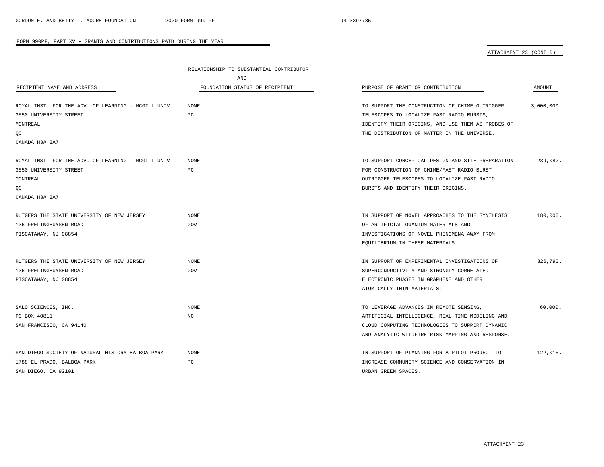# ATTACHMENT 23 (CONT'D)

|                                                    | RELATIONSHIP TO SUBSTANTIAL CONTRIBUTOR |                                                   |            |
|----------------------------------------------------|-----------------------------------------|---------------------------------------------------|------------|
|                                                    | AND                                     |                                                   |            |
| RECIPIENT NAME AND ADDRESS                         | FOUNDATION STATUS OF RECIPIENT          | PURPOSE OF GRANT OR CONTRIBUTION                  | AMOUNT     |
| ROYAL INST. FOR THE ADV. OF LEARNING - MCGILL UNIV | <b>NONE</b>                             | TO SUPPORT THE CONSTRUCTION OF CHIME OUTRIGGER    | 3,000,000. |
| 3550 UNIVERSITY STREET                             | PC                                      | TELESCOPES TO LOCALIZE FAST RADIO BURSTS,         |            |
| MONTREAL                                           |                                         | IDENTIFY THEIR ORIGINS, AND USE THEM AS PROBES OF |            |
| QC                                                 |                                         | THE DISTRIBUTION OF MATTER IN THE UNIVERSE.       |            |
| CANADA H3A 2A7                                     |                                         |                                                   |            |
| ROYAL INST. FOR THE ADV. OF LEARNING - MCGILL UNIV | NONE                                    | TO SUPPORT CONCEPTUAL DESIGN AND SITE PREPARATION | 239,082.   |
| 3550 UNIVERSITY STREET                             | PC                                      | FOR CONSTRUCTION OF CHIME/FAST RADIO BURST        |            |
| MONTREAL                                           |                                         | OUTRIGGER TELESCOPES TO LOCALIZE FAST RADIO       |            |
| QC                                                 |                                         | BURSTS AND IDENTIFY THEIR ORIGINS.                |            |
| CANADA H3A 2A7                                     |                                         |                                                   |            |
| RUTGERS THE STATE UNIVERSITY OF NEW JERSEY         | <b>NONE</b>                             | IN SUPPORT OF NOVEL APPROACHES TO THE SYNTHESIS   | 180,000.   |
| 136 FRELINGHUYSEN ROAD                             | GOV                                     | OF ARTIFICIAL QUANTUM MATERIALS AND               |            |
| PISCATAWAY, NJ 08854                               |                                         | INVESTIGATIONS OF NOVEL PHENOMENA AWAY FROM       |            |
|                                                    |                                         | EQUILIBRIUM IN THESE MATERIALS.                   |            |
| RUTGERS THE STATE UNIVERSITY OF NEW JERSEY         | <b>NONE</b>                             | IN SUPPORT OF EXPERIMENTAL INVESTIGATIONS OF      | 326,790.   |
| 136 FRELINGHUYSEN ROAD                             | GOV                                     | SUPERCONDUCTIVITY AND STRONGLY CORRELATED         |            |
| PISCATAWAY, NJ 08854                               |                                         | ELECTRONIC PHASES IN GRAPHENE AND OTHER           |            |
|                                                    |                                         | ATOMICALLY THIN MATERIALS.                        |            |
| SALO SCIENCES, INC.                                | NONE                                    | TO LEVERAGE ADVANCES IN REMOTE SENSING,           | 60,000.    |
| PO BOX 40811                                       | NC                                      | ARTIFICIAL INTELLIGENCE, REAL-TIME MODELING AND   |            |
| SAN FRANCISCO, CA 94140                            |                                         | CLOUD COMPUTING TECHNOLOGIES TO SUPPORT DYNAMIC   |            |
|                                                    |                                         | AND ANALYTIC WILDFIRE RISK MAPPING AND RESPONSE.  |            |
| SAN DIEGO SOCIETY OF NATURAL HISTORY BALBOA PARK   | <b>NONE</b>                             | IN SUPPORT OF PLANNING FOR A PILOT PROJECT TO     | 122,015.   |
| 1788 EL PRADO, BALBOA PARK                         | PC.                                     | INCREASE COMMUNITY SCIENCE AND CONSERVATION IN    |            |
| SAN DIEGO, CA 92101                                |                                         | URBAN GREEN SPACES.                               |            |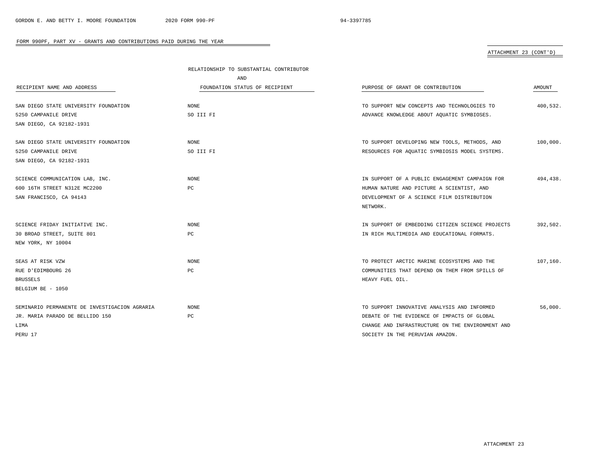# ATTACHMENT 23 (CONT'D)

|                                               | RELATIONSHIP TO SUBSTANTIAL CONTRIBUTOR |                                                  |          |
|-----------------------------------------------|-----------------------------------------|--------------------------------------------------|----------|
|                                               | AND                                     |                                                  |          |
| RECIPIENT NAME AND ADDRESS                    | FOUNDATION STATUS OF RECIPIENT          | PURPOSE OF GRANT OR CONTRIBUTION                 | AMOUNT   |
|                                               |                                         |                                                  |          |
| SAN DIEGO STATE UNIVERSITY FOUNDATION         | NONE                                    | TO SUPPORT NEW CONCEPTS AND TECHNOLOGIES TO      | 400,532. |
| 5250 CAMPANILE DRIVE                          | SO III FI                               | ADVANCE KNOWLEDGE ABOUT AQUATIC SYMBIOSES.       |          |
| SAN DIEGO, CA 92182-1931                      |                                         |                                                  |          |
|                                               |                                         |                                                  |          |
| SAN DIEGO STATE UNIVERSITY FOUNDATION         | NONE                                    | TO SUPPORT DEVELOPING NEW TOOLS, METHODS, AND    | 100,000. |
| 5250 CAMPANILE DRIVE                          | SO III FI                               | RESOURCES FOR AQUATIC SYMBIOSIS MODEL SYSTEMS.   |          |
| SAN DIEGO, CA 92182-1931                      |                                         |                                                  |          |
|                                               |                                         |                                                  |          |
| SCIENCE COMMUNICATION LAB, INC.               | NONE                                    | IN SUPPORT OF A PUBLIC ENGAGEMENT CAMPAIGN FOR   | 494,438. |
| 600 16TH STREET N312E MC2200                  | PC                                      | HUMAN NATURE AND PICTURE A SCIENTIST, AND        |          |
| SAN FRANCISCO, CA 94143                       |                                         | DEVELOPMENT OF A SCIENCE FILM DISTRIBUTION       |          |
|                                               |                                         | NETWORK.                                         |          |
|                                               |                                         |                                                  |          |
| SCIENCE FRIDAY INITIATIVE INC.                | <b>NONE</b>                             | IN SUPPORT OF EMBEDDING CITIZEN SCIENCE PROJECTS | 392,502. |
| 30 BROAD STREET, SUITE 801                    | PC                                      | IN RICH MULTIMEDIA AND EDUCATIONAL FORMATS.      |          |
| NEW YORK, NY 10004                            |                                         |                                                  |          |
|                                               |                                         |                                                  |          |
| SEAS AT RISK VZW                              | <b>NONE</b>                             | TO PROTECT ARCTIC MARINE ECOSYSTEMS AND THE      | 107,160. |
| RUE D'EDIMBOURG 26                            | PC                                      | COMMUNITIES THAT DEPEND ON THEM FROM SPILLS OF   |          |
| <b>BRUSSELS</b>                               |                                         | HEAVY FUEL OIL.                                  |          |
| BELGIUM BE - 1050                             |                                         |                                                  |          |
|                                               |                                         |                                                  |          |
| SEMINARIO PERMANENTE DE INVESTIGACION AGRARIA | <b>NONE</b>                             | TO SUPPORT INNOVATIVE ANALYSIS AND INFORMED      | 56,000.  |
| JR. MARIA PARADO DE BELLIDO 150               | РC                                      | DEBATE OF THE EVIDENCE OF IMPACTS OF GLOBAL      |          |
| LIMA                                          |                                         | CHANGE AND INFRASTRUCTURE ON THE ENVIRONMENT AND |          |
| PERU 17                                       |                                         | SOCIETY IN THE PERUVIAN AMAZON.                  |          |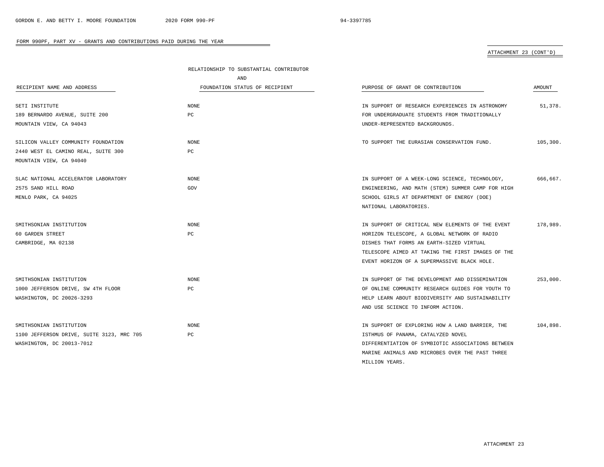# ATTACHMENT 23 (CONT'D)

|                                           | RELATIONSHIP TO SUBSTANTIAL CONTRIBUTOR |                                                   |          |
|-------------------------------------------|-----------------------------------------|---------------------------------------------------|----------|
|                                           | AND                                     |                                                   |          |
| RECIPIENT NAME AND ADDRESS                | FOUNDATION STATUS OF RECIPIENT          | PURPOSE OF GRANT OR CONTRIBUTION                  | AMOUNT   |
| SETI INSTITUTE                            | <b>NONE</b>                             | IN SUPPORT OF RESEARCH EXPERIENCES IN ASTRONOMY   | 51,378.  |
| 189 BERNARDO AVENUE, SUITE 200            | PC                                      | FOR UNDERGRADUATE STUDENTS FROM TRADITIONALLY     |          |
| MOUNTAIN VIEW, CA 94043                   |                                         | UNDER-REPRESENTED BACKGROUNDS.                    |          |
| SILICON VALLEY COMMUNITY FOUNDATION       | NONE                                    | TO SUPPORT THE EURASIAN CONSERVATION FUND.        | 105,300. |
| 2440 WEST EL CAMINO REAL, SUITE 300       | PC                                      |                                                   |          |
| MOUNTAIN VIEW, CA 94040                   |                                         |                                                   |          |
| SLAC NATIONAL ACCELERATOR LABORATORY      | <b>NONE</b>                             | IN SUPPORT OF A WEEK-LONG SCIENCE, TECHNOLOGY,    | 666,667. |
| 2575 SAND HILL ROAD                       | GOV                                     | ENGINEERING, AND MATH (STEM) SUMMER CAMP FOR HIGH |          |
| MENLO PARK, CA 94025                      |                                         | SCHOOL GIRLS AT DEPARTMENT OF ENERGY (DOE)        |          |
|                                           |                                         | NATIONAL LABORATORIES.                            |          |
| SMITHSONIAN INSTITUTION                   | NONE                                    | IN SUPPORT OF CRITICAL NEW ELEMENTS OF THE EVENT  | 178,989. |
| 60 GARDEN STREET                          | PC                                      | HORIZON TELESCOPE, A GLOBAL NETWORK OF RADIO      |          |
| CAMBRIDGE, MA 02138                       |                                         | DISHES THAT FORMS AN EARTH-SIZED VIRTUAL          |          |
|                                           |                                         | TELESCOPE AIMED AT TAKING THE FIRST IMAGES OF THE |          |
|                                           |                                         | EVENT HORIZON OF A SUPERMASSIVE BLACK HOLE.       |          |
| SMITHSONIAN INSTITUTION                   | NONE                                    | IN SUPPORT OF THE DEVELOPMENT AND DISSEMINATION   | 253,000. |
| 1000 JEFFERSON DRIVE, SW 4TH FLOOR        | PС                                      | OF ONLINE COMMUNITY RESEARCH GUIDES FOR YOUTH TO  |          |
| WASHINGTON, DC 20026-3293                 |                                         | HELP LEARN ABOUT BIODIVERSITY AND SUSTAINABILITY  |          |
|                                           |                                         | AND USE SCIENCE TO INFORM ACTION.                 |          |
| SMITHSONIAN INSTITUTION                   | <b>NONE</b>                             | IN SUPPORT OF EXPLORING HOW A LAND BARRIER, THE   | 104,898. |
| 1100 JEFFERSON DRIVE, SUITE 3123, MRC 705 | PC                                      | ISTHMUS OF PANAMA, CATALYZED NOVEL                |          |
| WASHINGTON, DC 20013-7012                 |                                         | DIFFERENTIATION OF SYMBIOTIC ASSOCIATIONS BETWEEN |          |
|                                           |                                         | MARINE ANIMALS AND MICROBES OVER THE PAST THREE   |          |
|                                           |                                         | MILLION YEARS.                                    |          |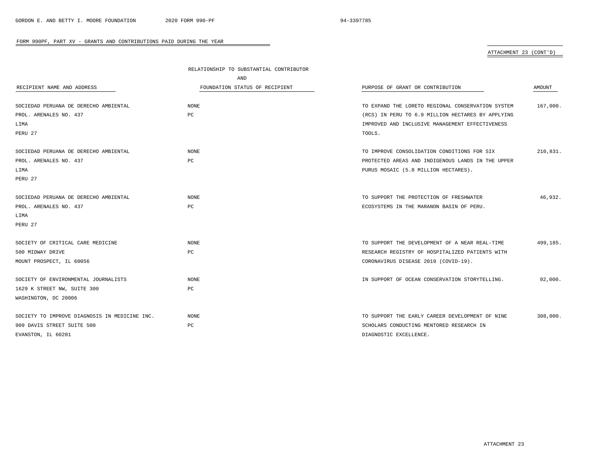# ATTACHMENT 23 (CONT'D)

|                                               | RELATIONSHIP TO SUBSTANTIAL CONTRIBUTOR |                                                   |          |
|-----------------------------------------------|-----------------------------------------|---------------------------------------------------|----------|
|                                               | AND                                     |                                                   |          |
| RECIPIENT NAME AND ADDRESS                    | FOUNDATION STATUS OF RECIPIENT          | PURPOSE OF GRANT OR CONTRIBUTION                  | AMOUNT   |
|                                               |                                         |                                                   |          |
| SOCIEDAD PERUANA DE DERECHO AMBIENTAL         | <b>NONE</b>                             | TO EXPAND THE LORETO REGIONAL CONSERVATION SYSTEM | 167,000. |
| PROL. ARENALES NO. 437                        | PC                                      | (RCS) IN PERU TO 6.9 MILLION HECTARES BY APPLYING |          |
| LIMA                                          |                                         | IMPROVED AND INCLUSIVE MANAGEMENT EFFECTIVENESS   |          |
| PERU 27                                       |                                         | TOOLS.                                            |          |
| SOCIEDAD PERUANA DE DERECHO AMBIENTAL         | NONE                                    | TO IMPROVE CONSOLIDATION CONDITIONS FOR SIX       | 210,831. |
| PROL. ARENALES NO. 437                        | PC                                      | PROTECTED AREAS AND INDIGENOUS LANDS IN THE UPPER |          |
| LIMA                                          |                                         | PURUS MOSAIC (5.8 MILLION HECTARES).              |          |
| PERU 27                                       |                                         |                                                   |          |
|                                               |                                         |                                                   |          |
| SOCIEDAD PERUANA DE DERECHO AMBIENTAL         | NONE                                    | TO SUPPORT THE PROTECTION OF FRESHWATER           | 46,932.  |
| PROL. ARENALES NO. 437                        | PC                                      | ECOSYSTEMS IN THE MARANON BASIN OF PERU.          |          |
| LIMA                                          |                                         |                                                   |          |
| PERU 27                                       |                                         |                                                   |          |
| SOCIETY OF CRITICAL CARE MEDICINE             | NONE                                    | TO SUPPORT THE DEVELOPMENT OF A NEAR REAL-TIME    | 499,185. |
| 500 MIDWAY DRIVE                              | PC                                      | RESEARCH REGISTRY OF HOSPITALIZED PATIENTS WITH   |          |
| MOUNT PROSPECT, IL 60056                      |                                         | CORONAVIRUS DISEASE 2019 (COVID-19).              |          |
|                                               |                                         |                                                   |          |
| SOCIETY OF ENVIRONMENTAL JOURNALISTS          | <b>NONE</b>                             | IN SUPPORT OF OCEAN CONSERVATION STORYTELLING.    | 92,000.  |
| 1629 K STREET NW, SUITE 300                   | PC                                      |                                                   |          |
| WASHINGTON, DC 20006                          |                                         |                                                   |          |
|                                               |                                         |                                                   |          |
| SOCIETY TO IMPROVE DIAGNOSIS IN MEDICINE INC. | <b>NONE</b>                             | TO SUPPORT THE EARLY CAREER DEVELOPMENT OF NINE   | 308,000. |
| 909 DAVIS STREET SUITE 500                    | PC                                      | SCHOLARS CONDUCTING MENTORED RESEARCH IN          |          |
| EVANSTON, IL 60201                            |                                         | DIAGNOSTIC EXCELLENCE.                            |          |

۰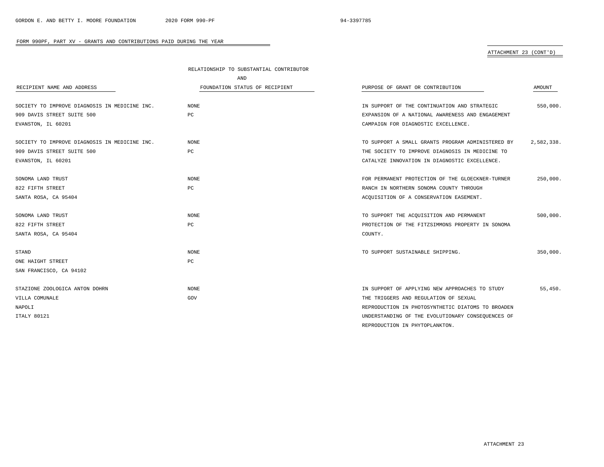## ATTACHMENT 23 (CONT'D)

|                                               | RELATIONSHIP TO SUBSTANTIAL CONTRIBUTOR |                                                   |            |
|-----------------------------------------------|-----------------------------------------|---------------------------------------------------|------------|
|                                               | AND                                     |                                                   |            |
| RECIPIENT NAME AND ADDRESS                    | FOUNDATION STATUS OF RECIPIENT          | PURPOSE OF GRANT OR CONTRIBUTION                  | AMOUNT     |
|                                               |                                         |                                                   |            |
| SOCIETY TO IMPROVE DIAGNOSIS IN MEDICINE INC. | NONE                                    | IN SUPPORT OF THE CONTINUATION AND STRATEGIC      | 550,000.   |
| 909 DAVIS STREET SUITE 500                    | PC                                      | EXPANSION OF A NATIONAL AWARENESS AND ENGAGEMENT  |            |
| EVANSTON, IL 60201                            |                                         | CAMPAIGN FOR DIAGNOSTIC EXCELLENCE.               |            |
| SOCIETY TO IMPROVE DIAGNOSIS IN MEDICINE INC. | <b>NONE</b>                             | TO SUPPORT A SMALL GRANTS PROGRAM ADMINISTERED BY | 2,582,338. |
| 909 DAVIS STREET SUITE 500                    | PC                                      | THE SOCIETY TO IMPROVE DIAGNOSIS IN MEDICINE TO   |            |
| EVANSTON, IL 60201                            |                                         | CATALYZE INNOVATION IN DIAGNOSTIC EXCELLENCE.     |            |
|                                               |                                         |                                                   |            |
| SONOMA LAND TRUST                             | NONE                                    | FOR PERMANENT PROTECTION OF THE GLOECKNER-TURNER  | 250,000.   |
| 822 FIFTH STREET                              | PC                                      | RANCH IN NORTHERN SONOMA COUNTY THROUGH           |            |
| SANTA ROSA, CA 95404                          |                                         | ACOUISITION OF A CONSERVATION EASEMENT.           |            |
|                                               |                                         |                                                   |            |
| SONOMA LAND TRUST                             | <b>NONE</b>                             | TO SUPPORT THE ACQUISITION AND PERMANENT          | 500,000.   |
| 822 FIFTH STREET                              | PC                                      | PROTECTION OF THE FITZSIMMONS PROPERTY IN SONOMA  |            |
| SANTA ROSA, CA 95404                          |                                         | COUNTY.                                           |            |
|                                               |                                         |                                                   |            |
| STAND                                         | NONE                                    | TO SUPPORT SUSTAINABLE SHIPPING.                  | 350,000.   |
| ONE HAIGHT STREET                             | PC                                      |                                                   |            |
| SAN FRANCISCO, CA 94102                       |                                         |                                                   |            |
|                                               |                                         |                                                   |            |
| STAZIONE ZOOLOGICA ANTON DOHRN                | <b>NONE</b>                             | IN SUPPORT OF APPLYING NEW APPROACHES TO STUDY    | 55,450.    |
| VILLA COMUNALE                                | GOV                                     | THE TRIGGERS AND REGULATION OF SEXUAL             |            |
| NAPOLI                                        |                                         | REPRODUCTION IN PHOTOSYNTHETIC DIATOMS TO BROADEN |            |
| <b>ITALY 80121</b>                            |                                         | UNDERSTANDING OF THE EVOLUTIONARY CONSEQUENCES OF |            |
|                                               |                                         | REPRODUCTION IN PHYTOPLANKTON.                    |            |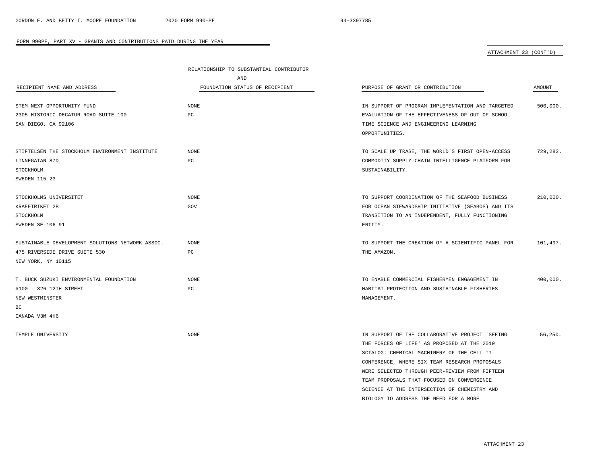## ATTACHMENT 23 (CONT'D)

|                                                  | RELATIONSHIP TO SUBSTANTIAL CONTRIBUTOR |                                                            |               |
|--------------------------------------------------|-----------------------------------------|------------------------------------------------------------|---------------|
|                                                  | AND                                     |                                                            |               |
| RECIPIENT NAME AND ADDRESS                       | FOUNDATION STATUS OF RECIPIENT          | PURPOSE OF GRANT OR CONTRIBUTION                           | <b>AMOUNT</b> |
|                                                  |                                         |                                                            |               |
| STEM NEXT OPPORTUNITY FUND                       | <b>NONE</b>                             | IN SUPPORT OF PROGRAM IMPLEMENTATION AND TARGETED          | 500,000.      |
| 2305 HISTORIC DECATUR ROAD SUITE 100             | PC                                      | EVALUATION OF THE EFFECTIVENESS OF OUT-OF-SCHOOL           |               |
| SAN DIEGO, CA 92106                              |                                         | TIME SCIENCE AND ENGINEERING LEARNING                      |               |
|                                                  |                                         | OPPORTUNITIES.                                             |               |
| STIFTELSEN THE STOCKHOLM ENVIRONMENT INSTITUTE   | <b>NONE</b>                             | TO SCALE UP TRASE, THE WORLD'S FIRST OPEN-ACCESS           | 729,283.      |
| LINNEGATAN 87D                                   | PC                                      | COMMODITY SUPPLY-CHAIN INTELLIGENCE PLATFORM FOR           |               |
| STOCKHOLM                                        |                                         | SUSTAINABILITY.                                            |               |
| SWEDEN 115 23                                    |                                         |                                                            |               |
| STOCKHOLMS UNIVERSITET                           | <b>NONE</b>                             | TO SUPPORT COORDINATION OF THE SEAFOOD BUSINESS            | 210,000.      |
|                                                  | GOV                                     |                                                            |               |
| KRAEFTRIKET 2B                                   |                                         | FOR OCEAN STEWARDSHIP INITIATIVE (SEABOS) AND ITS          |               |
| STOCKHOLM                                        |                                         | TRANSITION TO AN INDEPENDENT, FULLY FUNCTIONING<br>ENTITY. |               |
| SWEDEN SE-106 91                                 |                                         |                                                            |               |
| SUSTAINABLE DEVELOPMENT SOLUTIONS NETWORK ASSOC. | <b>NONE</b>                             | TO SUPPORT THE CREATION OF A SCIENTIFIC PANEL FOR          | 101,497.      |
| 475 RIVERSIDE DRIVE SUITE 530                    | PC                                      | THE AMAZON.                                                |               |
| NEW YORK, NY 10115                               |                                         |                                                            |               |
| T. BUCK SUZUKI ENVIRONMENTAL FOUNDATION          | <b>NONE</b>                             | TO ENABLE COMMERCIAL FISHERMEN ENGAGEMENT IN               | 400,000.      |
| #100 - 326 12TH STREET                           | PC                                      | HABITAT PROTECTION AND SUSTAINABLE FISHERIES               |               |
| NEW WESTMINSTER                                  |                                         | MANAGEMENT.                                                |               |
| ВC                                               |                                         |                                                            |               |
| CANADA V3M 4H6                                   |                                         |                                                            |               |
| TEMPLE UNIVERSITY                                | <b>NONE</b>                             | IN SUPPORT OF THE COLLABORATIVE PROJECT 'SEEING            | 56,250.       |
|                                                  |                                         | THE FORCES OF LIFE' AS PROPOSED AT THE 2019                |               |
|                                                  |                                         | SCIALOG: CHEMICAL MACHINERY OF THE CELL II                 |               |
|                                                  |                                         | CONFERENCE, WHERE SIX TEAM RESEARCH PROPOSALS              |               |

BIOLOGY TO ADDRESS THE NEED FOR A MORE

WERE SELECTED THROUGH PEER-REVIEW FROM FIFTEEN TEAM PROPOSALS THAT FOCUSED ON CONVERGENCE SCIENCE AT THE INTERSECTION OF CHEMISTRY AND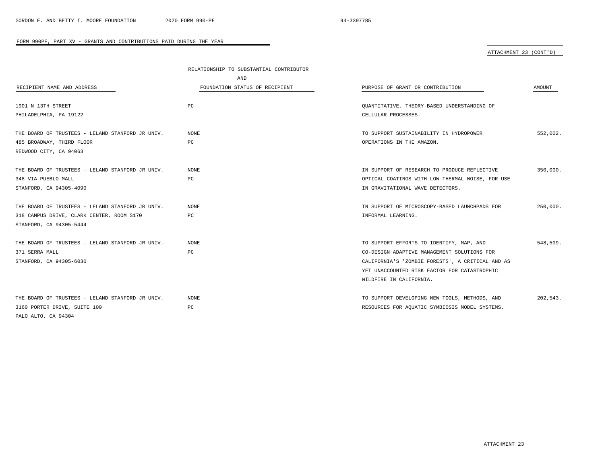## ATTACHMENT 23 (CONT'D)

|                                                  | RELATIONSHIP TO SUBSTANTIAL CONTRIBUTOR |                                                  |          |
|--------------------------------------------------|-----------------------------------------|--------------------------------------------------|----------|
|                                                  | AND                                     |                                                  |          |
| RECIPIENT NAME AND ADDRESS                       | FOUNDATION STATUS OF RECIPIENT          | PURPOSE OF GRANT OR CONTRIBUTION                 | AMOUNT   |
|                                                  |                                         |                                                  |          |
| 1901 N 13TH STREET                               | PC                                      | QUANTITATIVE, THEORY-BASED UNDERSTANDING OF      |          |
| PHILADELPHIA, PA 19122                           |                                         | CELLULAR PROCESSES.                              |          |
| THE BOARD OF TRUSTEES - LELAND STANFORD JR UNIV. | <b>NONE</b>                             | TO SUPPORT SUSTAINABILITY IN HYDROPOWER          | 552,002. |
| 485 BROADWAY, THIRD FLOOR                        | PC                                      | OPERATIONS IN THE AMAZON.                        |          |
| REDWOOD CITY, CA 94063                           |                                         |                                                  |          |
|                                                  |                                         |                                                  |          |
| THE BOARD OF TRUSTEES - LELAND STANFORD JR UNIV. | NONE                                    | IN SUPPORT OF RESEARCH TO PRODUCE REFLECTIVE     | 350,000. |
| 348 VIA PUEBLO MALL                              | PC                                      | OPTICAL COATINGS WITH LOW THERMAL NOISE, FOR USE |          |
| STANFORD, CA 94305-4090                          |                                         | IN GRAVITATIONAL WAVE DETECTORS.                 |          |
|                                                  |                                         |                                                  |          |
| THE BOARD OF TRUSTEES - LELAND STANFORD JR UNIV. | <b>NONE</b>                             | IN SUPPORT OF MICROSCOPY-BASED LAUNCHPADS FOR    | 250,000. |
| 318 CAMPUS DRIVE, CLARK CENTER, ROOM S170        | PC                                      | INFORMAL LEARNING.                               |          |
| STANFORD, CA 94305-5444                          |                                         |                                                  |          |
| THE BOARD OF TRUSTEES - LELAND STANFORD JR UNIV. | <b>NONE</b>                             | TO SUPPORT EFFORTS TO IDENTIFY, MAP, AND         | 548,509. |
| 371 SERRA MALL                                   | PC                                      | CO-DESIGN ADAPTIVE MANAGEMENT SOLUTIONS FOR      |          |
| STANFORD, CA 94305-6030                          |                                         | CALIFORNIA'S 'ZOMBIE FORESTS', A CRITICAL AND AS |          |
|                                                  |                                         | YET UNACCOUNTED RISK FACTOR FOR CATASTROPHIC     |          |
|                                                  |                                         | WILDFIRE IN CALIFORNIA.                          |          |
|                                                  |                                         |                                                  |          |
| THE BOARD OF TRUSTEES - LELAND STANFORD JR UNIV. | NONE                                    | TO SUPPORT DEVELOPING NEW TOOLS, METHODS, AND    | 202,543. |
| 3160 PORTER DRIVE, SUITE 100                     | РC                                      | RESOURCES FOR AQUATIC SYMBIOSIS MODEL SYSTEMS.   |          |
| PALO ALTO, CA 94304                              |                                         |                                                  |          |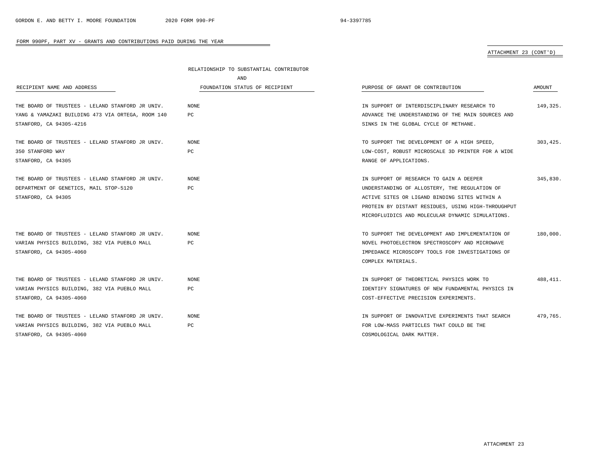ATTACHMENT 23 (CONT'D)

|                                                   | RELATIONSHIP TO SUBSTANTIAL CONTRIBUTOR |                                                    |           |
|---------------------------------------------------|-----------------------------------------|----------------------------------------------------|-----------|
|                                                   | AND                                     |                                                    |           |
| RECIPIENT NAME AND ADDRESS                        | FOUNDATION STATUS OF RECIPIENT          | PURPOSE OF GRANT OR CONTRIBUTION                   | AMOUNT    |
|                                                   |                                         |                                                    | 149,325.  |
| THE BOARD OF TRUSTEES - LELAND STANFORD JR UNIV.  | NONE                                    | IN SUPPORT OF INTERDISCIPLINARY RESEARCH TO        |           |
| YANG & YAMAZAKI BUILDING 473 VIA ORTEGA, ROOM 140 | PC                                      | ADVANCE THE UNDERSTANDING OF THE MAIN SOURCES AND  |           |
| STANFORD, CA 94305-4216                           |                                         | SINKS IN THE GLOBAL CYCLE OF METHANE.              |           |
| THE BOARD OF TRUSTEES - LELAND STANFORD JR UNIV.  | NONE                                    | TO SUPPORT THE DEVELOPMENT OF A HIGH SPEED,        | 303,425.  |
| 350 STANFORD WAY                                  | PC                                      | LOW-COST, ROBUST MICROSCALE 3D PRINTER FOR A WIDE  |           |
| STANFORD, CA 94305                                |                                         | RANGE OF APPLICATIONS.                             |           |
| THE BOARD OF TRUSTEES - LELAND STANFORD JR UNIV.  | NONE                                    | IN SUPPORT OF RESEARCH TO GAIN A DEEPER            | 345,830.  |
| DEPARTMENT OF GENETICS, MAIL STOP-5120            | $_{\rm PC}$                             | UNDERSTANDING OF ALLOSTERY, THE REGULATION OF      |           |
| STANFORD, CA 94305                                |                                         | ACTIVE SITES OR LIGAND BINDING SITES WITHIN A      |           |
|                                                   |                                         | PROTEIN BY DISTANT RESIDUES, USING HIGH-THROUGHPUT |           |
|                                                   |                                         | MICROFLUIDICS AND MOLECULAR DYNAMIC SIMULATIONS.   |           |
| THE BOARD OF TRUSTEES - LELAND STANFORD JR UNIV.  | NONE.                                   | TO SUPPORT THE DEVELOPMENT AND IMPLEMENTATION OF   | 180,000.  |
| VARIAN PHYSICS BUILDING, 382 VIA PUEBLO MALL      | PC                                      | NOVEL PHOTOELECTRON SPECTROSCOPY AND MICROWAVE     |           |
| STANFORD, CA 94305-4060                           |                                         | IMPEDANCE MICROSCOPY TOOLS FOR INVESTIGATIONS OF   |           |
|                                                   |                                         | COMPLEX MATERIALS.                                 |           |
| THE BOARD OF TRUSTEES - LELAND STANFORD JR UNIV.  | NONE                                    | IN SUPPORT OF THEORETICAL PHYSICS WORK TO          | 488, 411. |
| VARIAN PHYSICS BUILDING, 382 VIA PUEBLO MALL      | PC                                      | IDENTIFY SIGNATURES OF NEW FUNDAMENTAL PHYSICS IN  |           |
| STANFORD, CA 94305-4060                           |                                         | COST-EFFECTIVE PRECISION EXPERIMENTS.              |           |
| THE BOARD OF TRUSTEES - LELAND STANFORD JR UNIV.  | NONE                                    | IN SUPPORT OF INNOVATIVE EXPERIMENTS THAT SEARCH   | 479.765.  |
| VARIAN PHYSICS BUILDING, 382 VIA PUEBLO MALL      | PC                                      | FOR LOW-MASS PARTICLES THAT COULD BE THE           |           |
| STANFORD, CA 94305-4060                           |                                         | COSMOLOGICAL DARK MATTER.                          |           |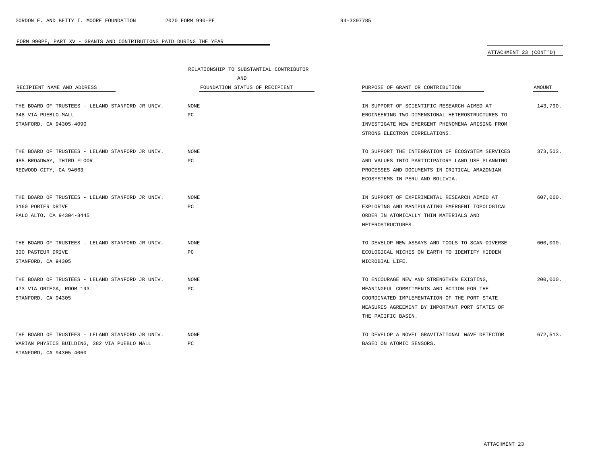# ATTACHMENT 23 (CONT'D)

|                                                  | RELATIONSHIP TO SUBSTANTIAL CONTRIBUTOR |                                                  |          |
|--------------------------------------------------|-----------------------------------------|--------------------------------------------------|----------|
|                                                  | AND                                     |                                                  |          |
| RECIPIENT NAME AND ADDRESS                       | FOUNDATION STATUS OF RECIPIENT          | PURPOSE OF GRANT OR CONTRIBUTION                 | AMOUNT   |
| THE BOARD OF TRUSTEES - LELAND STANFORD JR UNIV. | NONE                                    | IN SUPPORT OF SCIENTIFIC RESEARCH AIMED AT       | 143,790. |
| 348 VIA PUEBLO MALL                              | PC                                      | ENGINEERING TWO-DIMENSIONAL HETEROSTRUCTURES TO  |          |
| STANFORD, CA 94305-4090                          |                                         | INVESTIGATE NEW EMERGENT PHENOMENA ARISING FROM  |          |
|                                                  |                                         | STRONG ELECTRON CORRELATIONS.                    |          |
| THE BOARD OF TRUSTEES - LELAND STANFORD JR UNIV. | NONE                                    | TO SUPPORT THE INTEGRATION OF ECOSYSTEM SERVICES | 373,503. |
| 485 BROADWAY, THIRD FLOOR                        | PC                                      | AND VALUES INTO PARTICIPATORY LAND USE PLANNING  |          |
| REDWOOD CITY, CA 94063                           |                                         | PROCESSES AND DOCUMENTS IN CRITICAL AMAZONIAN    |          |
|                                                  |                                         | ECOSYSTEMS IN PERU AND BOLIVIA.                  |          |
| THE BOARD OF TRUSTEES - LELAND STANFORD JR UNIV. | NONE                                    | IN SUPPORT OF EXPERIMENTAL RESEARCH AIMED AT     | 607,060. |
| 3160 PORTER DRIVE                                | PC                                      | EXPLORING AND MANIPULATING EMERGENT TOPOLOGICAL  |          |
| PALO ALTO, CA 94304-8445                         |                                         | ORDER IN ATOMICALLY THIN MATERIALS AND           |          |
|                                                  |                                         | HETEROSTRUCTURES.                                |          |
| THE BOARD OF TRUSTEES - LELAND STANFORD JR UNIV. | NONE                                    | TO DEVELOP NEW ASSAYS AND TOOLS TO SCAN DIVERSE  | 600,000. |
| 300 PASTEUR DRIVE                                | PC                                      | ECOLOGICAL NICHES ON EARTH TO IDENTIFY HIDDEN    |          |
| STANFORD, CA 94305                               |                                         | MICROBIAL LIFE.                                  |          |
| THE BOARD OF TRUSTEES - LELAND STANFORD JR UNIV. | <b>NONE</b>                             | TO ENCOURAGE NEW AND STRENGTHEN EXISTING,        | 200,000. |
| 473 VIA ORTEGA, ROOM 193                         | PC                                      | MEANINGFUL COMMITMENTS AND ACTION FOR THE        |          |
| STANFORD, CA 94305                               |                                         | COORDINATED IMPLEMENTATION OF THE PORT STATE     |          |
|                                                  |                                         | MEASURES AGREEMENT BY IMPORTANT PORT STATES OF   |          |
|                                                  |                                         | THE PACIFIC BASIN.                               |          |
| THE BOARD OF TRUSTEES - LELAND STANFORD JR UNIV. | NONE                                    | TO DEVELOP A NOVEL GRAVITATIONAL WAVE DETECTOR   | 672.513. |
| VARIAN PHYSICS BUILDING, 382 VIA PUEBLO MALL     | PC                                      | BASED ON ATOMIC SENSORS.                         |          |
| STANFORD, CA 94305-4060                          |                                         |                                                  |          |

-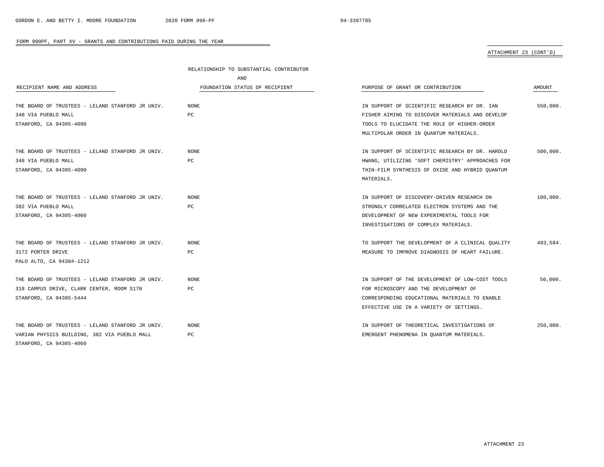# ATTACHMENT 23 (CONT'D)

|                                                  | RELATIONSHIP TO SUBSTANTIAL CONTRIBUTOR |                                                  |          |
|--------------------------------------------------|-----------------------------------------|--------------------------------------------------|----------|
|                                                  | AND                                     |                                                  |          |
| RECIPIENT NAME AND ADDRESS                       | FOUNDATION STATUS OF RECIPIENT          | PURPOSE OF GRANT OR CONTRIBUTION                 | AMOUNT   |
| THE BOARD OF TRUSTEES - LELAND STANFORD JR UNIV. | NONE                                    | IN SUPPORT OF SCIENTIFIC RESEARCH BY DR. IAN     | 550,000. |
| 348 VIA PUEBLO MALL                              | PC                                      | FISHER AIMING TO DISCOVER MATERIALS AND DEVELOP  |          |
| STANFORD, CA 94305-4090                          |                                         | TOOLS TO ELUCIDATE THE ROLE OF HIGHER-ORDER      |          |
|                                                  |                                         | MULTIPOLAR ORDER IN QUANTUM MATERIALS.           |          |
| THE BOARD OF TRUSTEES - LELAND STANFORD JR UNIV. | <b>NONE</b>                             | IN SUPPORT OF SCIENTIFIC RESEARCH BY DR. HAROLD  | 500,000. |
| 348 VIA PUEBLO MALL                              | PC                                      | HWANG, UTILIZING 'SOFT CHEMISTRY' APPROACHES FOR |          |
| STANFORD, CA 94305-4090                          |                                         | THIN-FILM SYNTHESIS OF OXIDE AND HYBRID QUANTUM  |          |
|                                                  |                                         | MATERIALS.                                       |          |
| THE BOARD OF TRUSTEES - LELAND STANFORD JR UNIV. | <b>NONE</b>                             | IN SUPPORT OF DISCOVERY-DRIVEN RESEARCH ON       | 180,000. |
| 382 VIA PUEBLO MALL                              | PC                                      | STRONGLY CORRELATED ELECTRON SYSTEMS AND THE     |          |
| STANFORD, CA 94305-4060                          |                                         | DEVELOPMENT OF NEW EXPERIMENTAL TOOLS FOR        |          |
|                                                  |                                         | INVESTIGATIONS OF COMPLEX MATERIALS.             |          |
| THE BOARD OF TRUSTEES - LELAND STANFORD JR UNIV. | NONE                                    | TO SUPPORT THE DEVELOPMENT OF A CLINICAL QUALITY | 493,584. |
| 3172 PORTER DRIVE                                | РC                                      | MEASURE TO IMPROVE DIAGNOSIS OF HEART FAILURE.   |          |
| PALO ALTO, CA 94304-1212                         |                                         |                                                  |          |
| THE BOARD OF TRUSTEES - LELAND STANFORD JR UNIV. | NONE                                    | IN SUPPORT OF THE DEVELOPMENT OF LOW-COST TOOLS  | 50,000.  |
| 318 CAMPUS DRIVE, CLARK CENTER, ROOM S170        | PC                                      | FOR MICROSCOPY AND THE DEVELOPMENT OF            |          |
| STANFORD, CA 94305-5444                          |                                         | CORRESPONDING EDUCATIONAL MATERIALS TO ENABLE    |          |
|                                                  |                                         | EFFECTIVE USE IN A VARIETY OF SETTINGS.          |          |
| THE BOARD OF TRUSTEES - LELAND STANFORD JR UNIV. | NONE                                    | IN SUPPORT OF THEORETICAL INVESTIGATIONS OF      | 250,000. |
| VARIAN PHYSICS BUILDING, 382 VIA PUEBLO MALL     | PC                                      | EMERGENT PHENOMENA IN OUANTUM MATERIALS.         |          |
| STANFORD, CA 94305-4060                          |                                         |                                                  |          |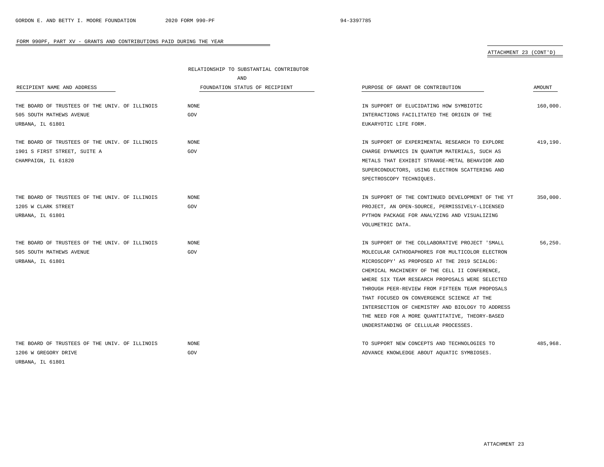# ATTACHMENT 23 (CONT'D)

|                                                | RELATIONSHIP TO SUBSTANTIAL CONTRIBUTOR |                                                   |          |  |
|------------------------------------------------|-----------------------------------------|---------------------------------------------------|----------|--|
|                                                | AND                                     |                                                   |          |  |
| RECIPIENT NAME AND ADDRESS                     | FOUNDATION STATUS OF RECIPIENT          | PURPOSE OF GRANT OR CONTRIBUTION                  | AMOUNT   |  |
|                                                |                                         |                                                   |          |  |
| THE BOARD OF TRUSTEES OF THE UNIV. OF ILLINOIS | NONE                                    | IN SUPPORT OF ELUCIDATING HOW SYMBIOTIC           | 160,000. |  |
| 505 SOUTH MATHEWS AVENUE                       | GOV                                     | INTERACTIONS FACILITATED THE ORIGIN OF THE        |          |  |
| URBANA, IL 61801                               |                                         | EUKARYOTIC LIFE FORM.                             |          |  |
| THE BOARD OF TRUSTEES OF THE UNIV. OF ILLINOIS | <b>NONE</b>                             | IN SUPPORT OF EXPERIMENTAL RESEARCH TO EXPLORE    | 419,190. |  |
| 1901 S FIRST STREET, SUITE A                   | GOV                                     | CHARGE DYNAMICS IN OUANTUM MATERIALS, SUCH AS     |          |  |
| CHAMPAIGN, IL 61820                            |                                         | METALS THAT EXHIBIT STRANGE-METAL BEHAVIOR AND    |          |  |
|                                                |                                         | SUPERCONDUCTORS, USING ELECTRON SCATTERING AND    |          |  |
|                                                |                                         | SPECTROSCOPY TECHNIQUES.                          |          |  |
| THE BOARD OF TRUSTEES OF THE UNIV. OF ILLINOIS | <b>NONE</b>                             | IN SUPPORT OF THE CONTINUED DEVELOPMENT OF THE YT | 350,000. |  |
| 1205 W CLARK STREET                            | GOV                                     | PROJECT, AN OPEN-SOURCE, PERMISSIVELY-LICENSED    |          |  |
| URBANA, IL 61801                               |                                         | PYTHON PACKAGE FOR ANALYZING AND VISUALIZING      |          |  |
|                                                |                                         | VOLUMETRIC DATA.                                  |          |  |
|                                                |                                         |                                                   |          |  |
| THE BOARD OF TRUSTEES OF THE UNIV. OF ILLINOIS | <b>NONE</b>                             | IN SUPPORT OF THE COLLABORATIVE PROJECT 'SMALL    | 56,250.  |  |
| 505 SOUTH MATHEWS AVENUE                       | GOV                                     | MOLECULAR CATHODAPHORES FOR MULTICOLOR ELECTRON   |          |  |
| URBANA, IL 61801                               |                                         | MICROSCOPY' AS PROPOSED AT THE 2019 SCIALOG:      |          |  |
|                                                |                                         | CHEMICAL MACHINERY OF THE CELL II CONFERENCE,     |          |  |
|                                                |                                         | WHERE SIX TEAM RESEARCH PROPOSALS WERE SELECTED   |          |  |
|                                                |                                         | THROUGH PEER-REVIEW FROM FIFTEEN TEAM PROPOSALS   |          |  |
|                                                |                                         | THAT FOCUSED ON CONVERGENCE SCIENCE AT THE        |          |  |
|                                                |                                         | INTERSECTION OF CHEMISTRY AND BIOLOGY TO ADDRESS  |          |  |
|                                                |                                         | THE NEED FOR A MORE QUANTITATIVE, THEORY-BASED    |          |  |
|                                                |                                         | UNDERSTANDING OF CELLULAR PROCESSES.              |          |  |
| THE BOARD OF TRUSTEES OF THE UNIV. OF ILLINOIS | <b>NONE</b>                             | TO SUPPORT NEW CONCEPTS AND TECHNOLOGIES TO       | 485,968. |  |
| 1206 W GREGORY DRIVE                           | GOV                                     | ADVANCE KNOWLEDGE ABOUT AQUATIC SYMBIOSES.        |          |  |
| URBANA, IL 61801                               |                                         |                                                   |          |  |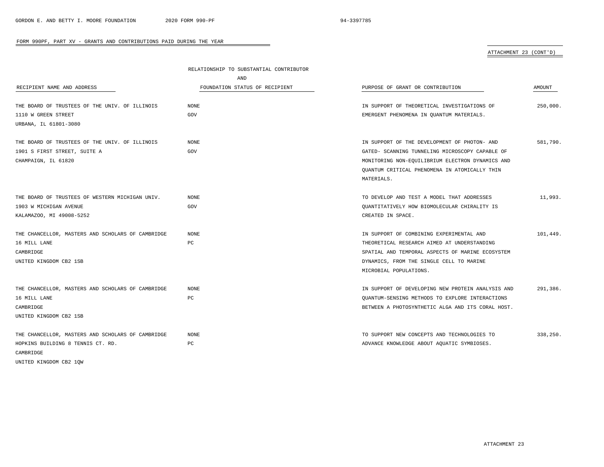$\overline{\phantom{a}}$ 

#### FORM 990PF, PART XV - GRANTS AND CONTRIBUTIONS PAID DURING THE YEAR

# ATTACHMENT 23 (CONT'D)

|                                                   | RELATIONSHIP TO SUBSTANTIAL CONTRIBUTOR |                                                   |          |
|---------------------------------------------------|-----------------------------------------|---------------------------------------------------|----------|
|                                                   | AND                                     |                                                   |          |
| RECIPIENT NAME AND ADDRESS                        | FOUNDATION STATUS OF RECIPIENT          | PURPOSE OF GRANT OR CONTRIBUTION                  | AMOUNT   |
| THE BOARD OF TRUSTEES OF THE UNIV. OF ILLINOIS    | <b>NONE</b>                             | IN SUPPORT OF THEORETICAL INVESTIGATIONS OF       | 250,000. |
| 1110 W GREEN STREET                               | GOV                                     | EMERGENT PHENOMENA IN QUANTUM MATERIALS.          |          |
| URBANA, IL 61801-3080                             |                                         |                                                   |          |
| THE BOARD OF TRUSTEES OF THE UNIV. OF ILLINOIS    | <b>NONE</b>                             | IN SUPPORT OF THE DEVELOPMENT OF PHOTON- AND      | 581,790. |
| 1901 S FIRST STREET, SUITE A                      | GOV                                     | GATED- SCANNING TUNNELING MICROSCOPY CAPABLE OF   |          |
| CHAMPAIGN, IL 61820                               |                                         | MONITORING NON-EQUILIBRIUM ELECTRON DYNAMICS AND  |          |
|                                                   |                                         | QUANTUM CRITICAL PHENOMENA IN ATOMICALLY THIN     |          |
|                                                   |                                         | MATERIALS.                                        |          |
| THE BOARD OF TRUSTEES OF WESTERN MICHIGAN UNIV.   | <b>NONE</b>                             | TO DEVELOP AND TEST A MODEL THAT ADDRESSES        | 11,993.  |
| 1903 W MICHIGAN AVENUE                            | GOV                                     | OUANTITATIVELY HOW BIOMOLECULAR CHIRALITY IS      |          |
| KALAMAZOO, MI 49008-5252                          |                                         | CREATED IN SPACE.                                 |          |
| THE CHANCELLOR, MASTERS AND SCHOLARS OF CAMBRIDGE | <b>NONE</b>                             | IN SUPPORT OF COMBINING EXPERIMENTAL AND          | 101,449. |
| 16 MILL LANE                                      | РC                                      | THEORETICAL RESEARCH AIMED AT UNDERSTANDING       |          |
| CAMBRIDGE                                         |                                         | SPATIAL AND TEMPORAL ASPECTS OF MARINE ECOSYSTEM  |          |
| UNITED KINGDOM CB2 1SB                            |                                         | DYNAMICS, FROM THE SINGLE CELL TO MARINE          |          |
|                                                   |                                         | MICROBIAL POPULATIONS.                            |          |
| THE CHANCELLOR, MASTERS AND SCHOLARS OF CAMBRIDGE | <b>NONE</b>                             | IN SUPPORT OF DEVELOPING NEW PROTEIN ANALYSIS AND | 291,386. |
| 16 MILL LANE                                      | PC                                      | QUANTUM-SENSING METHODS TO EXPLORE INTERACTIONS   |          |
| CAMBRIDGE                                         |                                         | BETWEEN A PHOTOSYNTHETIC ALGA AND ITS CORAL HOST. |          |
| UNITED KINGDOM CB2 1SB                            |                                         |                                                   |          |
| THE CHANCELLOR, MASTERS AND SCHOLARS OF CAMBRIDGE | <b>NONE</b>                             | TO SUPPORT NEW CONCEPTS AND TECHNOLOGIES TO       | 338,250. |
| HOPKINS BUILDING 8 TENNIS CT. RD.                 | PC                                      | ADVANCE KNOWLEDGE ABOUT AQUATIC SYMBIOSES.        |          |
| CAMBRIDGE                                         |                                         |                                                   |          |
| UNITED KINGDOM CB2 1QW                            |                                         |                                                   |          |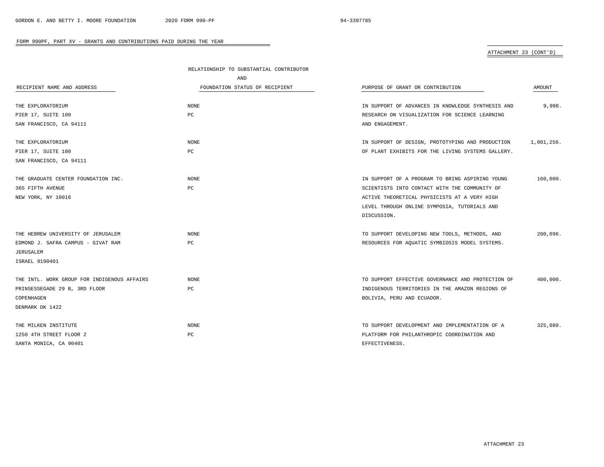# ATTACHMENT 23 (CONT'D)

|                                             | RELATIONSHIP TO SUBSTANTIAL CONTRIBUTOR |                                                   |            |  |
|---------------------------------------------|-----------------------------------------|---------------------------------------------------|------------|--|
|                                             | AND                                     |                                                   |            |  |
| RECIPIENT NAME AND ADDRESS                  | FOUNDATION STATUS OF RECIPIENT          | PURPOSE OF GRANT OR CONTRIBUTION                  | AMOUNT     |  |
| THE EXPLORATORIUM                           | NONE                                    | IN SUPPORT OF ADVANCES IN KNOWLEDGE SYNTHESIS AND | 9,998.     |  |
| PIER 17, SUITE 100                          | PC                                      | RESEARCH ON VISUALIZATION FOR SCIENCE LEARNING    |            |  |
| SAN FRANCISCO, CA 94111                     |                                         | AND ENGAGEMENT.                                   |            |  |
| THE EXPLORATORIUM                           | NONE                                    | IN SUPPORT OF DESIGN, PROTOTYPING AND PRODUCTION  | 1,801,256. |  |
| PIER 17, SUITE 100                          | PC                                      | OF PLANT EXHIBITS FOR THE LIVING SYSTEMS GALLERY. |            |  |
| SAN FRANCISCO, CA 94111                     |                                         |                                                   |            |  |
| THE GRADUATE CENTER FOUNDATION INC.         | NONE                                    | IN SUPPORT OF A PROGRAM TO BRING ASPIRING YOUNG   | 160,000.   |  |
| 365 FIFTH AVENUE                            | PC                                      | SCIENTISTS INTO CONTACT WITH THE COMMUNITY OF     |            |  |
| NEW YORK, NY 10016                          |                                         | ACTIVE THEORETICAL PHYSICISTS AT A VERY HIGH      |            |  |
|                                             |                                         | LEVEL THROUGH ONLINE SYMPOSIA, TUTORIALS AND      |            |  |
|                                             |                                         | DISCUSSION.                                       |            |  |
| THE HEBREW UNIVERSITY OF JERUSALEM          | NONE                                    | TO SUPPORT DEVELOPING NEW TOOLS, METHODS, AND     | 200,096.   |  |
| EDMOND J. SAFRA CAMPUS - GIVAT RAM          | PC                                      | RESOURCES FOR AQUATIC SYMBIOSIS MODEL SYSTEMS.    |            |  |
| JERUSALEM                                   |                                         |                                                   |            |  |
| ISRAEL 9190401                              |                                         |                                                   |            |  |
| THE INTL. WORK GROUP FOR INDIGENOUS AFFAIRS | NONE                                    | TO SUPPORT EFFECTIVE GOVERNANCE AND PROTECTION OF | 400,000.   |  |
| PRINSESSEGADE 29 B, 3RD FLOOR               | $_{\rm PC}$                             | INDIGENOUS TERRITORIES IN THE AMAZON REGIONS OF   |            |  |
| COPENHAGEN                                  |                                         | BOLIVIA, PERU AND ECUADOR.                        |            |  |
| DENMARK DK 1422                             |                                         |                                                   |            |  |
| THE MILKEN INSTITUTE                        | NONE                                    | TO SUPPORT DEVELOPMENT AND IMPLEMENTATION OF A    | 325,080.   |  |
| 1250 4TH STREET FLOOR 2                     | PC                                      | PLATFORM FOR PHILANTHROPIC COORDINATION AND       |            |  |
| SANTA MONICA, CA 90401                      |                                         | EFFECTIVENESS.                                    |            |  |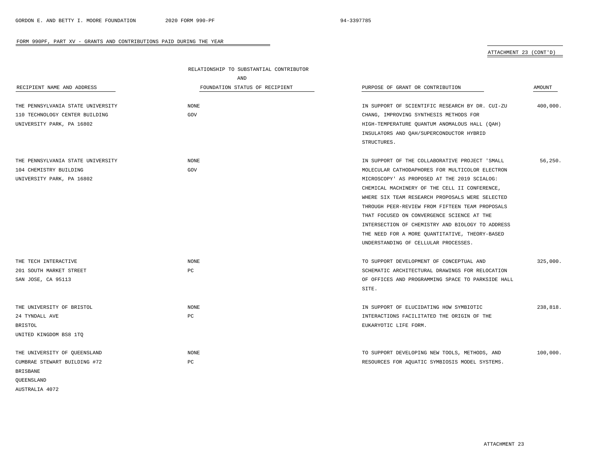# ATTACHMENT 23 (CONT'D)

|                                   | RELATIONSHIP TO SUBSTANTIAL CONTRIBUTOR |                                                   |               |
|-----------------------------------|-----------------------------------------|---------------------------------------------------|---------------|
|                                   | AND                                     |                                                   |               |
| RECIPIENT NAME AND ADDRESS        | FOUNDATION STATUS OF RECIPIENT          | PURPOSE OF GRANT OR CONTRIBUTION                  | <b>AMOUNT</b> |
| THE PENNSYLVANIA STATE UNIVERSITY | <b>NONE</b>                             | IN SUPPORT OF SCIENTIFIC RESEARCH BY DR. CUI-ZU   | 400,000.      |
| 110 TECHNOLOGY CENTER BUILDING    | GOV                                     | CHANG, IMPROVING SYNTHESIS METHODS FOR            |               |
| UNIVERSITY PARK, PA 16802         |                                         | HIGH-TEMPERATURE QUANTUM ANOMALOUS HALL (QAH)     |               |
|                                   |                                         | INSULATORS AND QAH/SUPERCONDUCTOR HYBRID          |               |
|                                   |                                         | STRUCTURES.                                       |               |
| THE PENNSYLVANIA STATE UNIVERSITY | <b>NONE</b>                             | IN SUPPORT OF THE COLLABORATIVE PROJECT 'SMALL    | 56,250.       |
| 104 CHEMISTRY BUILDING            | GOV                                     | MOLECULAR CATHODAPHORES FOR MULTICOLOR ELECTRON   |               |
| UNIVERSITY PARK, PA 16802         |                                         | MICROSCOPY' AS PROPOSED AT THE 2019 SCIALOG:      |               |
|                                   |                                         | CHEMICAL MACHINERY OF THE CELL II CONFERENCE,     |               |
|                                   |                                         | WHERE SIX TEAM RESEARCH PROPOSALS WERE SELECTED   |               |
|                                   |                                         | THROUGH PEER-REVIEW FROM FIFTEEN TEAM PROPOSALS   |               |
|                                   |                                         | THAT FOCUSED ON CONVERGENCE SCIENCE AT THE        |               |
|                                   |                                         | INTERSECTION OF CHEMISTRY AND BIOLOGY TO ADDRESS  |               |
|                                   |                                         | THE NEED FOR A MORE QUANTITATIVE, THEORY-BASED    |               |
|                                   |                                         | UNDERSTANDING OF CELLULAR PROCESSES.              |               |
| THE TECH INTERACTIVE              | <b>NONE</b>                             | TO SUPPORT DEVELOPMENT OF CONCEPTUAL AND          | 325,000.      |
| 201 SOUTH MARKET STREET           | PC                                      | SCHEMATIC ARCHITECTURAL DRAWINGS FOR RELOCATION   |               |
| SAN JOSE, CA 95113                |                                         | OF OFFICES AND PROGRAMMING SPACE TO PARKSIDE HALL |               |
|                                   |                                         | SITE.                                             |               |
| THE UNIVERSITY OF BRISTOL         | <b>NONE</b>                             | IN SUPPORT OF ELUCIDATING HOW SYMBIOTIC           | 238,818.      |
| 24 TYNDALL AVE                    | PC                                      | INTERACTIONS FACILITATED THE ORIGIN OF THE        |               |
| <b>BRISTOL</b>                    |                                         | EUKARYOTIC LIFE FORM.                             |               |
| UNITED KINGDOM BS8 1TQ            |                                         |                                                   |               |
| THE UNIVERSITY OF QUEENSLAND      | <b>NONE</b>                             | TO SUPPORT DEVELOPING NEW TOOLS, METHODS, AND     | 100,000.      |
| CUMBRAE STEWART BUILDING #72      | РC                                      | RESOURCES FOR AQUATIC SYMBIOSIS MODEL SYSTEMS.    |               |
| <b>BRISBANE</b>                   |                                         |                                                   |               |
| QUEENSLAND                        |                                         |                                                   |               |

÷

AUSTRALIA 4072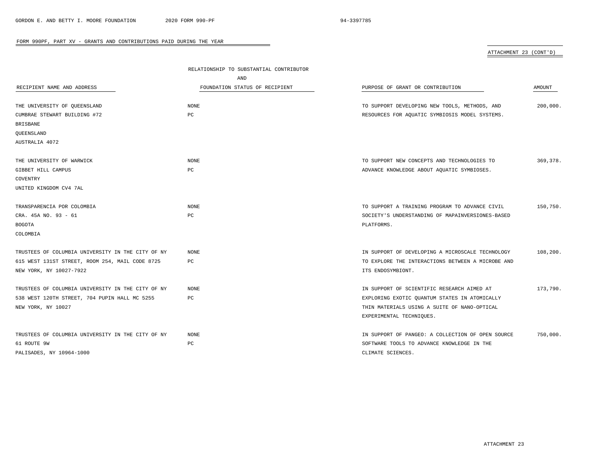# ATTACHMENT 23 (CONT'D)

|                                                   | RELATIONSHIP TO SUBSTANTIAL CONTRIBUTOR |                                                   |               |
|---------------------------------------------------|-----------------------------------------|---------------------------------------------------|---------------|
|                                                   | AND                                     |                                                   |               |
| RECIPIENT NAME AND ADDRESS                        | FOUNDATION STATUS OF RECIPIENT          | PURPOSE OF GRANT OR CONTRIBUTION                  | <b>AMOUNT</b> |
|                                                   |                                         |                                                   |               |
| THE UNIVERSITY OF OUEENSLAND                      | NONE                                    | TO SUPPORT DEVELOPING NEW TOOLS, METHODS, AND     | 200,000.      |
| CUMBRAE STEWART BUILDING #72                      | PC                                      | RESOURCES FOR AQUATIC SYMBIOSIS MODEL SYSTEMS.    |               |
| <b>BRISBANE</b>                                   |                                         |                                                   |               |
| QUEENSLAND                                        |                                         |                                                   |               |
| AUSTRALIA 4072                                    |                                         |                                                   |               |
| THE UNIVERSITY OF WARWICK                         | NONE                                    | TO SUPPORT NEW CONCEPTS AND TECHNOLOGIES TO       | 369, 378.     |
| GIBBET HILL CAMPUS                                | PC                                      | ADVANCE KNOWLEDGE ABOUT AQUATIC SYMBIOSES.        |               |
| COVENTRY                                          |                                         |                                                   |               |
| UNITED KINGDOM CV4 7AL                            |                                         |                                                   |               |
|                                                   |                                         |                                                   |               |
| TRANSPARENCIA POR COLOMBIA                        | NONE                                    | TO SUPPORT A TRAINING PROGRAM TO ADVANCE CIVIL    | 150,750.      |
| CRA. 45A NO. 93 - 61                              | РC                                      | SOCIETY'S UNDERSTANDING OF MAPAINVERSIONES-BASED  |               |
| <b>BOGOTA</b>                                     |                                         | PLATFORMS.                                        |               |
| COLOMBIA                                          |                                         |                                                   |               |
|                                                   |                                         |                                                   |               |
| TRUSTEES OF COLUMBIA UNIVERSITY IN THE CITY OF NY | <b>NONE</b>                             | IN SUPPORT OF DEVELOPING A MICROSCALE TECHNOLOGY  | 108,200.      |
| 615 WEST 131ST STREET, ROOM 254, MAIL CODE 8725   | РC                                      | TO EXPLORE THE INTERACTIONS BETWEEN A MICROBE AND |               |
| NEW YORK, NY 10027-7922                           |                                         | ITS ENDOSYMBIONT.                                 |               |
|                                                   |                                         |                                                   |               |
| TRUSTEES OF COLUMBIA UNIVERSITY IN THE CITY OF NY | <b>NONE</b>                             | IN SUPPORT OF SCIENTIFIC RESEARCH AIMED AT        | 173,790.      |
| 538 WEST 120TH STREET, 704 PUPIN HALL MC 5255     | PC                                      | EXPLORING EXOTIC QUANTUM STATES IN ATOMICALLY     |               |
| NEW YORK, NY 10027                                |                                         | THIN MATERIALS USING A SUITE OF NANO-OPTICAL      |               |
|                                                   |                                         | EXPERIMENTAL TECHNIQUES.                          |               |
| TRUSTEES OF COLUMBIA UNIVERSITY IN THE CITY OF NY | NONE                                    | IN SUPPORT OF PANGEO: A COLLECTION OF OPEN SOURCE | 750,000.      |
| 61 ROUTE 9W                                       | $_{\rm PC}$                             | SOFTWARE TOOLS TO ADVANCE KNOWLEDGE IN THE        |               |
| PALISADES, NY 10964-1000                          |                                         | CLIMATE SCIENCES.                                 |               |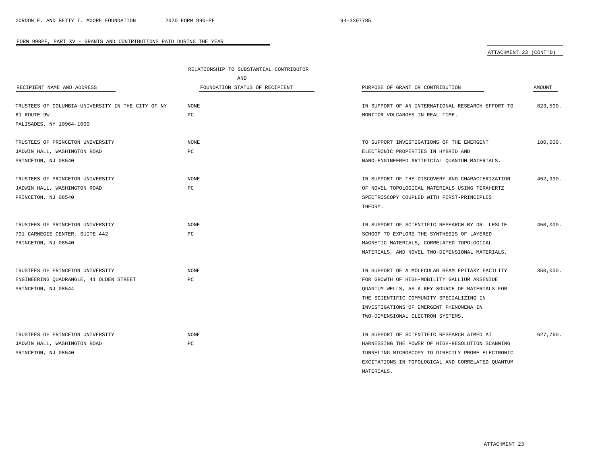# ATTACHMENT 23 (CONT'D)

|                                                   | RELATIONSHIP TO SUBSTANTIAL CONTRIBUTOR |                                                   |          |
|---------------------------------------------------|-----------------------------------------|---------------------------------------------------|----------|
|                                                   | AND                                     |                                                   |          |
| RECIPIENT NAME AND ADDRESS                        | FOUNDATION STATUS OF RECIPIENT          | PURPOSE OF GRANT OR CONTRIBUTION                  | AMOUNT   |
| TRUSTEES OF COLUMBIA UNIVERSITY IN THE CITY OF NY | NONE                                    | IN SUPPORT OF AN INTERNATIONAL RESEARCH EFFORT TO | 823,500. |
| 61 ROUTE 9W                                       | $_{\rm PC}$                             | MONITOR VOLCANOES IN REAL TIME.                   |          |
| PALISADES, NY 10964-1000                          |                                         |                                                   |          |
| TRUSTEES OF PRINCETON UNIVERSITY                  | <b>NONE</b>                             | TO SUPPORT INVESTIGATIONS OF THE EMERGENT         | 180,000. |
| JADWIN HALL, WASHINGTON ROAD                      | PC                                      | ELECTRONIC PROPERTIES IN HYBRID AND               |          |
| PRINCETON, NJ 08540                               |                                         | NANO-ENGINEERED ARTIFICIAL OUANTUM MATERIALS.     |          |
| TRUSTEES OF PRINCETON UNIVERSITY                  | <b>NONE</b>                             | IN SUPPORT OF THE DISCOVERY AND CHARACTERIZATION  | 452,990. |
| JADWIN HALL, WASHINGTON ROAD                      | PC                                      | OF NOVEL TOPOLOGICAL MATERIALS USING TERAHERTZ    |          |
| PRINCETON, NJ 08540                               |                                         | SPECTROSCOPY COUPLED WITH FIRST-PRINCIPLES        |          |
|                                                   |                                         | THEORY.                                           |          |
| TRUSTEES OF PRINCETON UNIVERSITY                  | <b>NONE</b>                             | IN SUPPORT OF SCIENTIFIC RESEARCH BY DR. LESLIE   | 450,000. |
| 701 CARNEGIE CENTER, SUITE 442                    | PC                                      | SCHOOP TO EXPLORE THE SYNTHESIS OF LAYERED        |          |
| PRINCETON, NJ 08540                               |                                         | MAGNETIC MATERIALS, CORRELATED TOPOLOGICAL        |          |
|                                                   |                                         | MATERIALS, AND NOVEL TWO-DIMENSIONAL MATERIALS.   |          |
| TRUSTEES OF PRINCETON UNIVERSITY                  | NONE                                    | IN SUPPORT OF A MOLECULAR BEAM EPITAXY FACILITY   | 350,000. |
| ENGINEERING QUADRANGLE, 41 OLDEN STREET           | PC                                      | FOR GROWTH OF HIGH-MOBILITY GALLIUM ARSENIDE      |          |
| PRINCETON, NJ 08544                               |                                         | QUANTUM WELLS, AS A KEY SOURCE OF MATERIALS FOR   |          |
|                                                   |                                         | THE SCIENTIFIC COMMUNITY SPECIALIZING IN          |          |
|                                                   |                                         | INVESTIGATIONS OF EMERGENT PHENOMENA IN           |          |
|                                                   |                                         | TWO-DIMENSIONAL ELECTRON SYSTEMS.                 |          |
| TRUSTEES OF PRINCETON UNIVERSITY                  | <b>NONE</b>                             | IN SUPPORT OF SCIENTIFIC RESEARCH AIMED AT        | 627,760. |
| JADWIN HALL, WASHINGTON ROAD                      | PC                                      | HARNESSING THE POWER OF HIGH-RESOLUTION SCANNING  |          |
| PRINCETON, NJ 08540                               |                                         | TUNNELING MICROSCOPY TO DIRECTLY PROBE ELECTRONIC |          |
|                                                   |                                         | EXCITATIONS IN TOPOLOGICAL AND CORRELATED OUANTUM |          |
|                                                   |                                         | MATERIALS.                                        |          |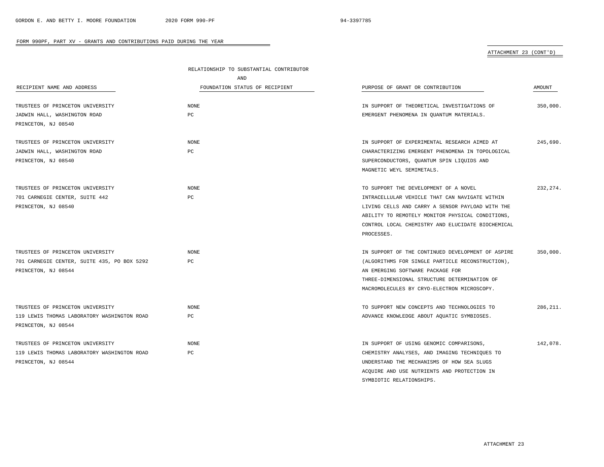SYMBIOTIC RELATIONSHIPS.

### FORM 990PF, PART XV - GRANTS AND CONTRIBUTIONS PAID DURING THE YEAR

# ATTACHMENT 23 (CONT'D)

|                                             | RELATIONSHIP TO SUBSTANTIAL CONTRIBUTOR |                                                   |           |
|---------------------------------------------|-----------------------------------------|---------------------------------------------------|-----------|
|                                             | AND                                     |                                                   |           |
| RECIPIENT NAME AND ADDRESS                  | FOUNDATION STATUS OF RECIPIENT          | PURPOSE OF GRANT OR CONTRIBUTION                  | AMOUNT    |
| TRUSTEES OF PRINCETON UNIVERSITY            | <b>NONE</b>                             | IN SUPPORT OF THEORETICAL INVESTIGATIONS OF       | 350,000.  |
| JADWIN HALL, WASHINGTON ROAD                | PC                                      | EMERGENT PHENOMENA IN QUANTUM MATERIALS.          |           |
| PRINCETON, NJ 08540                         |                                         |                                                   |           |
|                                             |                                         |                                                   |           |
| TRUSTEES OF PRINCETON UNIVERSITY            | <b>NONE</b>                             | IN SUPPORT OF EXPERIMENTAL RESEARCH AIMED AT      | 245,690.  |
| JADWIN HALL, WASHINGTON ROAD                | PC                                      | CHARACTERIZING EMERGENT PHENOMENA IN TOPOLOGICAL  |           |
| PRINCETON, NJ 08540                         |                                         | SUPERCONDUCTORS, QUANTUM SPIN LIQUIDS AND         |           |
|                                             |                                         | MAGNETIC WEYL SEMIMETALS.                         |           |
| TRUSTEES OF PRINCETON UNIVERSITY            | <b>NONE</b>                             | TO SUPPORT THE DEVELOPMENT OF A NOVEL             | 232.274.  |
| 701 CARNEGIE CENTER, SUITE 442              | PC                                      | INTRACELLULAR VEHICLE THAT CAN NAVIGATE WITHIN    |           |
| PRINCETON, NJ 08540                         |                                         | LIVING CELLS AND CARRY A SENSOR PAYLOAD WITH THE  |           |
|                                             |                                         | ABILITY TO REMOTELY MONITOR PHYSICAL CONDITIONS,  |           |
|                                             |                                         | CONTROL LOCAL CHEMISTRY AND ELUCIDATE BIOCHEMICAL |           |
|                                             |                                         | PROCESSES.                                        |           |
|                                             |                                         |                                                   |           |
| TRUSTEES OF PRINCETON UNIVERSITY            | <b>NONE</b>                             | IN SUPPORT OF THE CONTINUED DEVELOPMENT OF ASPIRE | 350.000.  |
| 701 CARNEGIE CENTER, SUITE 435, PO BOX 5292 | PC                                      | (ALGORITHMS FOR SINGLE PARTICLE RECONSTRUCTION),  |           |
| PRINCETON, NJ 08544                         |                                         | AN EMERGING SOFTWARE PACKAGE FOR                  |           |
|                                             |                                         | THREE-DIMENSIONAL STRUCTURE DETERMINATION OF      |           |
|                                             |                                         | MACROMOLECULES BY CRYO-ELECTRON MICROSCOPY.       |           |
| TRUSTEES OF PRINCETON UNIVERSITY            | <b>NONE</b>                             | TO SUPPORT NEW CONCEPTS AND TECHNOLOGIES TO       | 286, 211. |
| 119 LEWIS THOMAS LABORATORY WASHINGTON ROAD | РC                                      | ADVANCE KNOWLEDGE ABOUT AQUATIC SYMBIOSES.        |           |
| PRINCETON, NJ 08544                         |                                         |                                                   |           |
|                                             |                                         |                                                   |           |
| TRUSTEES OF PRINCETON UNIVERSITY            | <b>NONE</b>                             | IN SUPPORT OF USING GENOMIC COMPARISONS,          | 142,078.  |
| 119 LEWIS THOMAS LABORATORY WASHINGTON ROAD | $_{\rm PC}$                             | CHEMISTRY ANALYSES, AND IMAGING TECHNIQUES TO     |           |
| PRINCETON, NJ 08544                         |                                         | UNDERSTAND THE MECHANISMS OF HOW SEA SLUGS        |           |
|                                             |                                         | ACOUIRE AND USE NUTRIENTS AND PROTECTION IN       |           |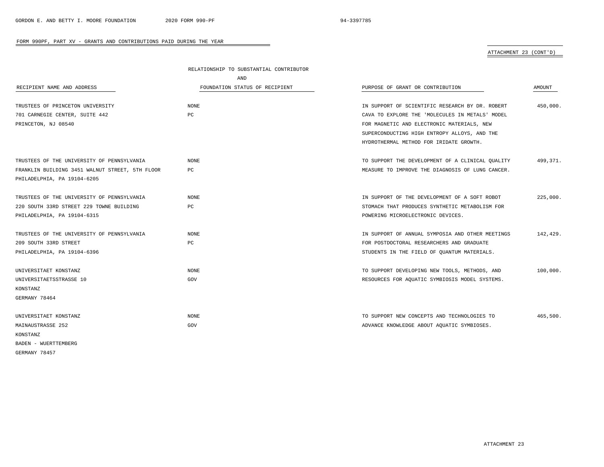# ATTACHMENT 23 (CONT'D)

|                                                 | RELATIONSHIP TO SUBSTANTIAL CONTRIBUTOR |                                                  |               |
|-------------------------------------------------|-----------------------------------------|--------------------------------------------------|---------------|
|                                                 | AND                                     |                                                  |               |
| RECIPIENT NAME AND ADDRESS                      | FOUNDATION STATUS OF RECIPIENT          | PURPOSE OF GRANT OR CONTRIBUTION                 | <b>AMOUNT</b> |
| TRUSTEES OF PRINCETON UNIVERSITY                | NONE                                    | IN SUPPORT OF SCIENTIFIC RESEARCH BY DR. ROBERT  | 450,000.      |
| 701 CARNEGIE CENTER, SUITE 442                  | РC                                      | CAVA TO EXPLORE THE 'MOLECULES IN METALS' MODEL  |               |
| PRINCETON, NJ 08540                             |                                         | FOR MAGNETIC AND ELECTRONIC MATERIALS, NEW       |               |
|                                                 |                                         | SUPERCONDUCTING HIGH ENTROPY ALLOYS, AND THE     |               |
|                                                 |                                         | HYDROTHERMAL METHOD FOR IRIDATE GROWTH.          |               |
| TRUSTEES OF THE UNIVERSITY OF PENNSYLVANIA      | <b>NONE</b>                             | TO SUPPORT THE DEVELOPMENT OF A CLINICAL QUALITY | 499,371.      |
| FRANKLIN BUILDING 3451 WALNUT STREET, 5TH FLOOR | PC                                      | MEASURE TO IMPROVE THE DIAGNOSIS OF LUNG CANCER. |               |
| PHILADELPHIA, PA 19104-6205                     |                                         |                                                  |               |
| TRUSTEES OF THE UNIVERSITY OF PENNSYLVANIA      | <b>NONE</b>                             | IN SUPPORT OF THE DEVELOPMENT OF A SOFT ROBOT    | 225.000.      |
| 220 SOUTH 33RD STREET 229 TOWNE BUILDING        | PC                                      | STOMACH THAT PRODUCES SYNTHETIC METABOLISM FOR   |               |
| PHILADELPHIA, PA 19104-6315                     |                                         | POWERING MICROELECTRONIC DEVICES.                |               |
| TRUSTEES OF THE UNIVERSITY OF PENNSYLVANIA      | <b>NONE</b>                             | IN SUPPORT OF ANNUAL SYMPOSIA AND OTHER MEETINGS | 142,429.      |
| 209 SOUTH 33RD STREET                           | РC                                      | FOR POSTDOCTORAL RESEARCHERS AND GRADUATE        |               |
| PHILADELPHIA, PA 19104-6396                     |                                         | STUDENTS IN THE FIELD OF QUANTUM MATERIALS.      |               |
| UNIVERSITAET KONSTANZ                           | <b>NONE</b>                             | TO SUPPORT DEVELOPING NEW TOOLS, METHODS, AND    | 100,000.      |
| UNIVERSITAETSSTRASSE 10                         | GOV                                     | RESOURCES FOR AQUATIC SYMBIOSIS MODEL SYSTEMS.   |               |
| KONSTANZ                                        |                                         |                                                  |               |
| GERMANY 78464                                   |                                         |                                                  |               |
| UNIVERSITAET KONSTANZ                           | NONE                                    | TO SUPPORT NEW CONCEPTS AND TECHNOLOGIES TO      | 465,500.      |
| MAINAUSTRASSE 252                               | GOV                                     | ADVANCE KNOWLEDGE ABOUT AQUATIC SYMBIOSES.       |               |
| KONSTANZ                                        |                                         |                                                  |               |
| BADEN - WUERTTEMBERG                            |                                         |                                                  |               |
| GERMANY 78457                                   |                                         |                                                  |               |

÷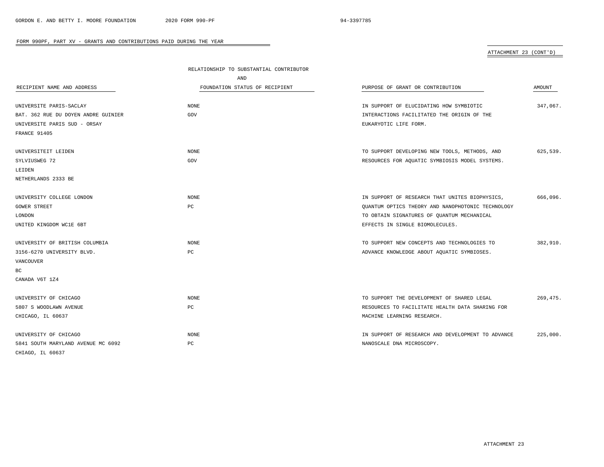# ATTACHMENT 23 (CONT'D)

|                                     | RELATIONSHIP TO SUBSTANTIAL CONTRIBUTOR |                                                   |           |
|-------------------------------------|-----------------------------------------|---------------------------------------------------|-----------|
|                                     | AND                                     |                                                   |           |
| RECIPIENT NAME AND ADDRESS          | FOUNDATION STATUS OF RECIPIENT          | PURPOSE OF GRANT OR CONTRIBUTION                  | AMOUNT    |
|                                     |                                         |                                                   |           |
| UNIVERSITE PARIS-SACLAY             | <b>NONE</b>                             | IN SUPPORT OF ELUCIDATING HOW SYMBIOTIC           | 347,067.  |
| BAT. 362 RUE DU DOYEN ANDRE GUINIER | GOV                                     | INTERACTIONS FACILITATED THE ORIGIN OF THE        |           |
| UNIVERSITE PARIS SUD - ORSAY        |                                         | EUKARYOTIC LIFE FORM.                             |           |
| FRANCE 91405                        |                                         |                                                   |           |
| UNIVERSITEIT LEIDEN                 | NONE                                    | TO SUPPORT DEVELOPING NEW TOOLS, METHODS, AND     | 625,539.  |
| SYLVIUSWEG 72                       | GOV                                     | RESOURCES FOR AQUATIC SYMBIOSIS MODEL SYSTEMS.    |           |
| LEIDEN                              |                                         |                                                   |           |
| NETHERLANDS 2333 BE                 |                                         |                                                   |           |
| UNIVERSITY COLLEGE LONDON           | <b>NONE</b>                             | IN SUPPORT OF RESEARCH THAT UNITES BIOPHYSICS,    | 666,096.  |
| <b>GOWER STREET</b>                 | PC                                      | QUANTUM OPTICS THEORY AND NANOPHOTONIC TECHNOLOGY |           |
| LONDON                              |                                         | TO OBTAIN SIGNATURES OF QUANTUM MECHANICAL        |           |
| UNITED KINGDOM WC1E 6BT             |                                         | EFFECTS IN SINGLE BIOMOLECULES.                   |           |
| UNIVERSITY OF BRITISH COLUMBIA      | NONE                                    | TO SUPPORT NEW CONCEPTS AND TECHNOLOGIES TO       | 382,910.  |
| 3156-6270 UNIVERSITY BLVD.          | PC                                      | ADVANCE KNOWLEDGE ABOUT AQUATIC SYMBIOSES.        |           |
| VANCOUVER                           |                                         |                                                   |           |
| BC                                  |                                         |                                                   |           |
| CANADA V6T 1Z4                      |                                         |                                                   |           |
| UNIVERSITY OF CHICAGO               | <b>NONE</b>                             | TO SUPPORT THE DEVELOPMENT OF SHARED LEGAL        | 269, 475. |
| 5807 S WOODLAWN AVENUE              | PC                                      | RESOURCES TO FACILITATE HEALTH DATA SHARING FOR   |           |
| CHICAGO, IL 60637                   |                                         | MACHINE LEARNING RESEARCH.                        |           |
| UNIVERSITY OF CHICAGO               | NONE                                    | IN SUPPORT OF RESEARCH AND DEVELOPMENT TO ADVANCE | 225,000.  |
| 5841 SOUTH MARYLAND AVENUE MC 6092  | PC                                      | NANOSCALE DNA MICROSCOPY.                         |           |
| CHIAGO, IL 60637                    |                                         |                                                   |           |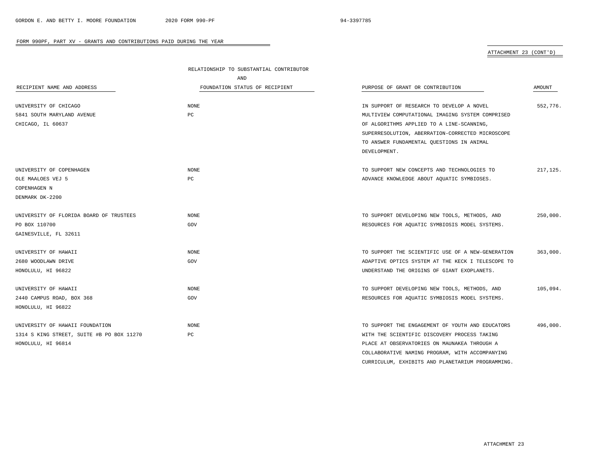# ATTACHMENT 23 (CONT'D)

|                                           | RELATIONSHIP TO SUBSTANTIAL CONTRIBUTOR |                                                   |           |
|-------------------------------------------|-----------------------------------------|---------------------------------------------------|-----------|
|                                           | AND                                     |                                                   |           |
| RECIPIENT NAME AND ADDRESS                | FOUNDATION STATUS OF RECIPIENT          | PURPOSE OF GRANT OR CONTRIBUTION                  | AMOUNT    |
| UNIVERSITY OF CHICAGO                     | NONE                                    | IN SUPPORT OF RESEARCH TO DEVELOP A NOVEL         | 552,776.  |
| 5841 SOUTH MARYLAND AVENUE                | $_{\rm PC}$                             | MULTIVIEW COMPUTATIONAL IMAGING SYSTEM COMPRISED  |           |
| CHICAGO, IL 60637                         |                                         | OF ALGORITHMS APPLIED TO A LINE-SCANNING,         |           |
|                                           |                                         | SUPERRESOLUTION, ABERRATION-CORRECTED MICROSCOPE  |           |
|                                           |                                         | TO ANSWER FUNDAMENTAL QUESTIONS IN ANIMAL         |           |
|                                           |                                         | DEVELOPMENT.                                      |           |
| UNIVERSITY OF COPENHAGEN                  | <b>NONE</b>                             | TO SUPPORT NEW CONCEPTS AND TECHNOLOGIES TO       | 217, 125. |
| OLE MAALOES VEJ 5                         | PC                                      | ADVANCE KNOWLEDGE ABOUT AQUATIC SYMBIOSES.        |           |
| COPENHAGEN N                              |                                         |                                                   |           |
| DENMARK DK-2200                           |                                         |                                                   |           |
| UNIVERSITY OF FLORIDA BOARD OF TRUSTEES   | <b>NONE</b>                             | TO SUPPORT DEVELOPING NEW TOOLS, METHODS, AND     | 250,000.  |
| PO BOX 110700                             | GOV                                     | RESOURCES FOR AQUATIC SYMBIOSIS MODEL SYSTEMS.    |           |
| GAINESVILLE, FL 32611                     |                                         |                                                   |           |
| UNIVERSITY OF HAWAII                      | <b>NONE</b>                             | TO SUPPORT THE SCIENTIFIC USE OF A NEW-GENERATION | 363,000.  |
| 2680 WOODLAWN DRIVE                       | GOV                                     | ADAPTIVE OPTICS SYSTEM AT THE KECK I TELESCOPE TO |           |
| HONOLULU, HI 96822                        |                                         | UNDERSTAND THE ORIGINS OF GIANT EXOPLANETS.       |           |
| UNIVERSITY OF HAWAII                      | <b>NONE</b>                             | TO SUPPORT DEVELOPING NEW TOOLS, METHODS, AND     | 105,094.  |
| 2440 CAMPUS ROAD, BOX 368                 | GOV                                     | RESOURCES FOR AQUATIC SYMBIOSIS MODEL SYSTEMS.    |           |
| HONOLULU, HI 96822                        |                                         |                                                   |           |
| UNIVERSITY OF HAWAII FOUNDATION           | NONE                                    | TO SUPPORT THE ENGAGEMENT OF YOUTH AND EDUCATORS  | 496,000.  |
| 1314 S KING STREET, SUITE #B PO BOX 11270 | PC                                      | WITH THE SCIENTIFIC DISCOVERY PROCESS TAKING      |           |
| HONOLULU, HI 96814                        |                                         | PLACE AT OBSERVATORIES ON MAUNAKEA THROUGH A      |           |
|                                           |                                         | COLLABORATIVE NAMING PROGRAM, WITH ACCOMPANYING   |           |

 $\overline{\phantom{a}}$ 

CURRICULUM, EXHIBITS AND PLANETARIUM PROGRAMMING.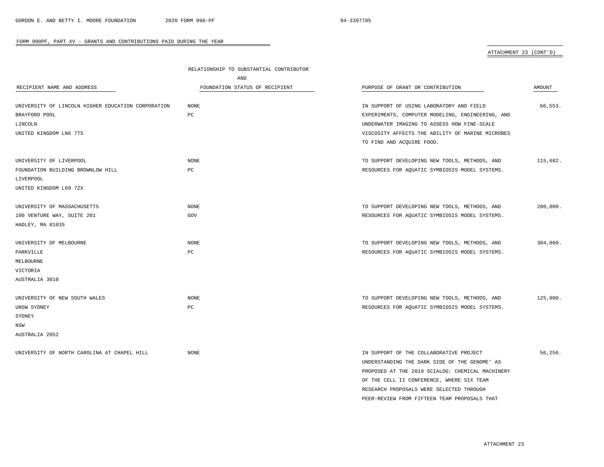### ATTACHMENT 23 (CONT'D)

|                                                    | RELATIONSHIP TO SUBSTANTIAL CONTRIBUTOR |                                                  |          |
|----------------------------------------------------|-----------------------------------------|--------------------------------------------------|----------|
|                                                    | AND                                     |                                                  |          |
| RECIPIENT NAME AND ADDRESS                         | FOUNDATION STATUS OF RECIPIENT          | PURPOSE OF GRANT OR CONTRIBUTION                 | AMOUNT   |
|                                                    |                                         |                                                  |          |
| UNIVERSITY OF LINCOLN HIGHER EDUCATION CORPORATION | NONE                                    | IN SUPPORT OF USING LABORATORY AND FIELD         | 66,553.  |
| BRAYFORD POOL                                      | PC                                      | EXPERIMENTS, COMPUTER MODELING, ENGINEERING, AND |          |
| LINCOLN                                            |                                         | UNDERWATER IMAGING TO ASSESS HOW FINE-SCALE      |          |
| UNITED KINGDOM LN6 7TS                             |                                         | VISCOSITY AFFECTS THE ABILITY OF MARINE MICROBES |          |
|                                                    |                                         | TO FIND AND ACQUIRE FOOD.                        |          |
|                                                    |                                         |                                                  |          |
| UNIVERSITY OF LIVERPOOL                            | NONE                                    | TO SUPPORT DEVELOPING NEW TOOLS, METHODS, AND    | 115,682. |
| FOUNDATION BUILDING BROWNLOW HILL                  | PC                                      | RESOURCES FOR AQUATIC SYMBIOSIS MODEL SYSTEMS.   |          |
| LIVERPOOL                                          |                                         |                                                  |          |
| UNITED KINGDOM L69 7ZX                             |                                         |                                                  |          |
|                                                    |                                         |                                                  |          |
| UNIVERSITY OF MASSACHUSETTS                        | NONE                                    | TO SUPPORT DEVELOPING NEW TOOLS, METHODS, AND    | 200,000. |
| 100 VENTURE WAY, SUITE 201                         | GOV                                     | RESOURCES FOR AQUATIC SYMBIOSIS MODEL SYSTEMS.   |          |
| HADLEY, MA 01035                                   |                                         |                                                  |          |
|                                                    |                                         |                                                  |          |
| UNIVERSITY OF MELBOURNE                            | <b>NONE</b>                             | TO SUPPORT DEVELOPING NEW TOOLS, METHODS, AND    | 304,060. |
| PARKVILLE                                          | РC                                      | RESOURCES FOR AQUATIC SYMBIOSIS MODEL SYSTEMS.   |          |
| MELBOURNE                                          |                                         |                                                  |          |
| VICTORIA                                           |                                         |                                                  |          |
| AUSTRALIA 3010                                     |                                         |                                                  |          |
|                                                    |                                         |                                                  |          |
| UNIVERSITY OF NEW SOUTH WALES                      | <b>NONE</b>                             | TO SUPPORT DEVELOPING NEW TOOLS, METHODS, AND    | 125,000. |
| UNSW SYDNEY                                        | PC                                      | RESOURCES FOR AQUATIC SYMBIOSIS MODEL SYSTEMS.   |          |
| SYDNEY                                             |                                         |                                                  |          |
| NSW                                                |                                         |                                                  |          |
| AUSTRALIA 2052                                     |                                         |                                                  |          |
|                                                    |                                         |                                                  |          |
| UNIVERSITY OF NORTH CAROLINA AT CHAPEL HILL        | <b>NONE</b>                             | IN SUPPORT OF THE COLLABORATIVE PROJECT          | 56.250.  |
|                                                    |                                         | UNDERSTANDING THE DARK SIDE OF THE GENOME' AS    |          |

ATTACHMENT 23

PROPOSED AT THE 2019 SCIALOG: CHEMICAL MACHINERY OF THE CELL II CONFERENCE, WHERE SIX TEAM RESEARCH PROPOSALS WERE SELECTED THROUGH PEER-REVIEW FROM FIFTEEN TEAM PROPOSALS THAT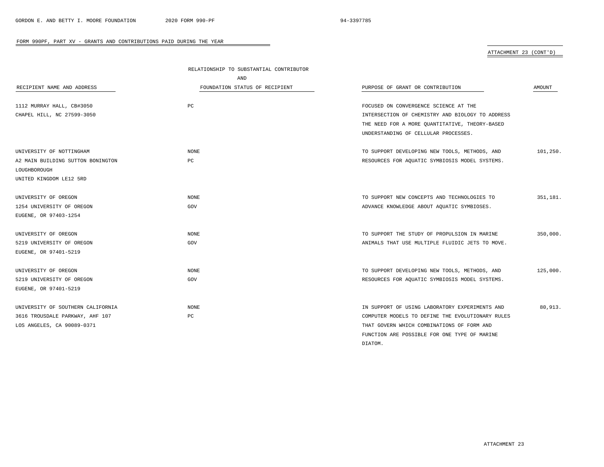ATTACHMENT 23 (CONT'D)

|                                   | RELATIONSHIP TO SUBSTANTIAL CONTRIBUTOR |                                                  |          |
|-----------------------------------|-----------------------------------------|--------------------------------------------------|----------|
|                                   | AND                                     |                                                  |          |
| RECIPIENT NAME AND ADDRESS        | FOUNDATION STATUS OF RECIPIENT          | PURPOSE OF GRANT OR CONTRIBUTION                 | AMOUNT   |
|                                   |                                         |                                                  |          |
| 1112 MURRAY HALL, CB#3050         | PC                                      | FOCUSED ON CONVERGENCE SCIENCE AT THE            |          |
| CHAPEL HILL, NC 27599-3050        |                                         | INTERSECTION OF CHEMISTRY AND BIOLOGY TO ADDRESS |          |
|                                   |                                         | THE NEED FOR A MORE QUANTITATIVE, THEORY-BASED   |          |
|                                   |                                         | UNDERSTANDING OF CELLULAR PROCESSES.             |          |
| UNIVERSITY OF NOTTINGHAM          | NONE                                    | TO SUPPORT DEVELOPING NEW TOOLS, METHODS, AND    | 101,250. |
| A2 MAIN BUILDING SUTTON BONINGTON | PC                                      | RESOURCES FOR AQUATIC SYMBIOSIS MODEL SYSTEMS.   |          |
| LOUGHBOROUGH                      |                                         |                                                  |          |
| UNITED KINGDOM LE12 5RD           |                                         |                                                  |          |
|                                   |                                         |                                                  |          |
| UNIVERSITY OF OREGON              | <b>NONE</b>                             | TO SUPPORT NEW CONCEPTS AND TECHNOLOGIES TO      | 351,181. |
| 1254 UNIVERSITY OF OREGON         | GOV                                     | ADVANCE KNOWLEDGE ABOUT AQUATIC SYMBIOSES.       |          |
| EUGENE, OR 97403-1254             |                                         |                                                  |          |
| UNIVERSITY OF OREGON              | <b>NONE</b>                             | TO SUPPORT THE STUDY OF PROPULSION IN MARINE     | 350,000. |
| 5219 UNIVERSITY OF OREGON         | GOV                                     | ANIMALS THAT USE MULTIPLE FLUIDIC JETS TO MOVE.  |          |
| EUGENE, OR 97401-5219             |                                         |                                                  |          |
| UNIVERSITY OF OREGON              | <b>NONE</b>                             | TO SUPPORT DEVELOPING NEW TOOLS, METHODS, AND    | 125,000. |
| 5219 UNIVERSITY OF OREGON         | GOV                                     | RESOURCES FOR AQUATIC SYMBIOSIS MODEL SYSTEMS.   |          |
| EUGENE, OR 97401-5219             |                                         |                                                  |          |
|                                   |                                         |                                                  |          |
| UNIVERSITY OF SOUTHERN CALIFORNIA | <b>NONE</b>                             | IN SUPPORT OF USING LABORATORY EXPERIMENTS AND   | 80,913.  |
| 3616 TROUSDALE PARKWAY, AHF 107   | PC                                      | COMPUTER MODELS TO DEFINE THE EVOLUTIONARY RULES |          |
| LOS ANGELES, CA 90089-0371        |                                         | THAT GOVERN WHICH COMBINATIONS OF FORM AND       |          |
|                                   |                                         | FUNCTION ARE POSSIBLE FOR ONE TYPE OF MARINE     |          |
|                                   |                                         | DIATOM.                                          |          |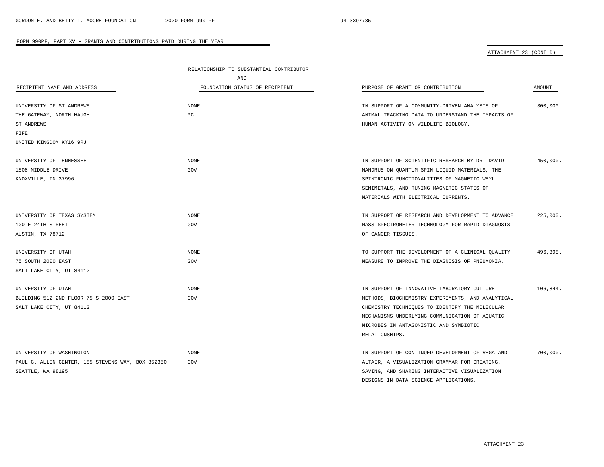# ATTACHMENT 23 (CONT'D)

|                                                   | RELATIONSHIP TO SUBSTANTIAL CONTRIBUTOR |                                                   |          |
|---------------------------------------------------|-----------------------------------------|---------------------------------------------------|----------|
|                                                   | AND                                     |                                                   |          |
| RECIPIENT NAME AND ADDRESS                        | FOUNDATION STATUS OF RECIPIENT          | PURPOSE OF GRANT OR CONTRIBUTION                  | AMOUNT   |
|                                                   |                                         |                                                   |          |
| UNIVERSITY OF ST ANDREWS                          | NONE                                    | IN SUPPORT OF A COMMUNITY-DRIVEN ANALYSIS OF      | 300.000. |
| THE GATEWAY, NORTH HAUGH                          | PC                                      | ANIMAL TRACKING DATA TO UNDERSTAND THE IMPACTS OF |          |
| ST ANDREWS                                        |                                         | HUMAN ACTIVITY ON WILDLIFE BIOLOGY.               |          |
| FIFE                                              |                                         |                                                   |          |
| UNITED KINGDOM KY16 9RJ                           |                                         |                                                   |          |
| UNIVERSITY OF TENNESSEE                           | NONE                                    | IN SUPPORT OF SCIENTIFIC RESEARCH BY DR. DAVID    | 450,000. |
| 1508 MIDDLE DRIVE                                 | GOV                                     | MANDRUS ON QUANTUM SPIN LIQUID MATERIALS, THE     |          |
| KNOXVILLE, TN 37996                               |                                         | SPINTRONIC FUNCTIONALITIES OF MAGNETIC WEYL       |          |
|                                                   |                                         | SEMIMETALS, AND TUNING MAGNETIC STATES OF         |          |
|                                                   |                                         | MATERIALS WITH ELECTRICAL CURRENTS.               |          |
|                                                   |                                         |                                                   |          |
| UNIVERSITY OF TEXAS SYSTEM                        | <b>NONE</b>                             | IN SUPPORT OF RESEARCH AND DEVELOPMENT TO ADVANCE | 225,000. |
| 100 E 24TH STREET                                 | GOV                                     | MASS SPECTROMETER TECHNOLOGY FOR RAPID DIAGNOSIS  |          |
| AUSTIN, TX 78712                                  |                                         | OF CANCER TISSUES.                                |          |
|                                                   |                                         |                                                   |          |
| UNIVERSITY OF UTAH                                | <b>NONE</b>                             | TO SUPPORT THE DEVELOPMENT OF A CLINICAL QUALITY  | 496,398. |
| 75 SOUTH 2000 EAST                                | GOV                                     | MEASURE TO IMPROVE THE DIAGNOSIS OF PNEUMONIA.    |          |
| SALT LAKE CITY, UT 84112                          |                                         |                                                   |          |
|                                                   |                                         |                                                   |          |
| UNIVERSITY OF UTAH                                | <b>NONE</b>                             | IN SUPPORT OF INNOVATIVE LABORATORY CULTURE       | 106,844. |
| BUILDING 512 2ND FLOOR 75 S 2000 EAST             | GOV                                     | METHODS, BIOCHEMISTRY EXPERIMENTS, AND ANALYTICAL |          |
| SALT LAKE CITY, UT 84112                          |                                         | CHEMISTRY TECHNIQUES TO IDENTIFY THE MOLECULAR    |          |
|                                                   |                                         | MECHANISMS UNDERLYING COMMUNICATION OF AQUATIC    |          |
|                                                   |                                         | MICROBES IN ANTAGONISTIC AND SYMBIOTIC            |          |
|                                                   |                                         | RELATIONSHIPS.                                    |          |
| UNIVERSITY OF WASHINGTON                          | NONE                                    | IN SUPPORT OF CONTINUED DEVELOPMENT OF VEGA AND   | 700,000. |
| PAUL G. ALLEN CENTER, 185 STEVENS WAY, BOX 352350 | GOV                                     | ALTAIR, A VISUALIZATION GRAMMAR FOR CREATING,     |          |
| SEATTLE, WA 98195                                 |                                         | SAVING, AND SHARING INTERACTIVE VISUALIZATION     |          |

 $\overline{\phantom{a}}$ 

DESIGNS IN DATA SCIENCE APPLICATIONS.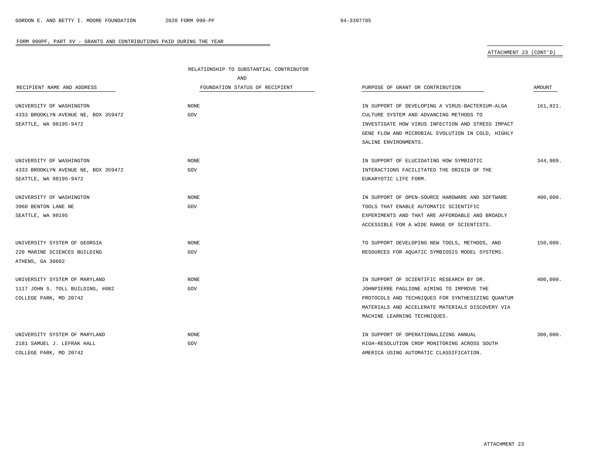### ATTACHMENT 23 (CONT'D)

|                                     | RELATIONSHIP TO SUBSTANTIAL CONTRIBUTOR |                                                   |          |
|-------------------------------------|-----------------------------------------|---------------------------------------------------|----------|
|                                     | AND                                     |                                                   |          |
| RECIPIENT NAME AND ADDRESS          | FOUNDATION STATUS OF RECIPIENT          | PURPOSE OF GRANT OR CONTRIBUTION                  | AMOUNT   |
| UNIVERSITY OF WASHINGTON            | <b>NONE</b>                             | IN SUPPORT OF DEVELOPING A VIRUS-BACTERIUM-ALGA   | 161,921. |
| 4333 BROOKLYN AVENUE NE, BOX 359472 | GOV                                     | CULTURE SYSTEM AND ADVANCING METHODS TO           |          |
| SEATTLE, WA 98195-9472              |                                         | INVESTIGATE HOW VIRUS INFECTION AND STRESS IMPACT |          |
|                                     |                                         | GENE FLOW AND MICROBIAL EVOLUTION IN COLD, HIGHLY |          |
|                                     |                                         | SALINE ENVIRONMENTS.                              |          |
| UNIVERSITY OF WASHINGTON            | NONE                                    | IN SUPPORT OF ELUCIDATING HOW SYMBIOTIC           | 344,909. |
| 4333 BROOKLYN AVENUE NE, BOX 359472 | GOV                                     | INTERACTIONS FACILITATED THE ORIGIN OF THE        |          |
| SEATTLE, WA 98195-9472              |                                         | EUKARYOTIC LIFE FORM.                             |          |
| UNIVERSITY OF WASHINGTON            | NONE                                    | IN SUPPORT OF OPEN-SOURCE HARDWARE AND SOFTWARE   | 400,000. |
| 3960 BENTON LANE NE                 | GOV                                     | TOOLS THAT ENABLE AUTOMATIC SCIENTIFIC            |          |
| SEATTLE, WA 98195                   |                                         | EXPERIMENTS AND THAT ARE AFFORDABLE AND BROADLY   |          |
|                                     |                                         | ACCESSIBLE FOR A WIDE RANGE OF SCIENTISTS.        |          |
| UNIVERSITY SYSTEM OF GEORGIA        | <b>NONE</b>                             | TO SUPPORT DEVELOPING NEW TOOLS, METHODS, AND     | 150,000. |
| 220 MARINE SCIENCES BUILDING        | GOV                                     | RESOURCES FOR AQUATIC SYMBIOSIS MODEL SYSTEMS.    |          |
| ATHENS, GA 30602                    |                                         |                                                   |          |
| UNIVERSITY SYSTEM OF MARYLAND       | <b>NONE</b>                             | IN SUPPORT OF SCIENTIFIC RESEARCH BY DR.          | 400,000. |
| 1117 JOHN S. TOLL BUILDING, #082    | GOV                                     | JOHNPIERRE PAGLIONE AIMING TO IMPROVE THE         |          |
| COLLEGE PARK, MD 20742              |                                         | PROTOCOLS AND TECHNIQUES FOR SYNTHESIZING QUANTUM |          |
|                                     |                                         | MATERIALS AND ACCELERATE MATERIALS DISCOVERY VIA  |          |
|                                     |                                         | MACHINE LEARNING TECHNIQUES.                      |          |
| UNIVERSITY SYSTEM OF MARYLAND       | NONE                                    | IN SUPPORT OF OPERATIONALIZING ANNUAL             | 300,000. |
| 2181 SAMUEL J. LEFRAK HALL          | GOV                                     | HIGH-RESOLUTION CROP MONITORING ACROSS SOUTH      |          |
| COLLEGE PARK, MD 20742              |                                         | AMERICA USING AUTOMATIC CLASSIFICATION.           |          |

÷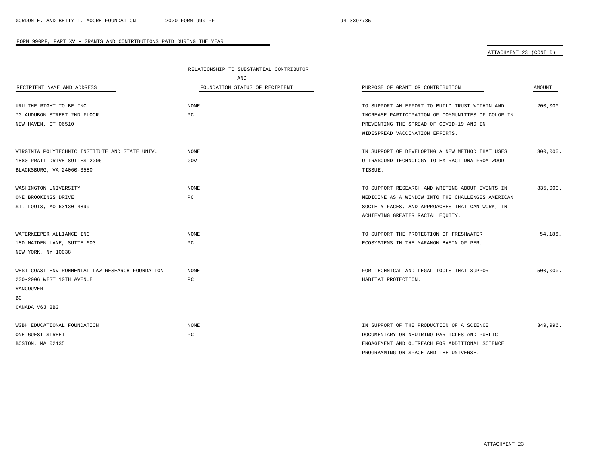# ATTACHMENT 23 (CONT'D)

|                                                  | RELATIONSHIP TO SUBSTANTIAL CONTRIBUTOR |                                                   |               |
|--------------------------------------------------|-----------------------------------------|---------------------------------------------------|---------------|
|                                                  | AND                                     |                                                   |               |
| RECIPIENT NAME AND ADDRESS                       | FOUNDATION STATUS OF RECIPIENT          | PURPOSE OF GRANT OR CONTRIBUTION                  | <b>AMOUNT</b> |
| URU THE RIGHT TO BE INC.                         | <b>NONE</b>                             | TO SUPPORT AN EFFORT TO BUILD TRUST WITHIN AND    | 200,000.      |
|                                                  |                                         |                                                   |               |
| 70 AUDUBON STREET 2ND FLOOR                      | РC                                      | INCREASE PARTICIPATION OF COMMUNITIES OF COLOR IN |               |
| NEW HAVEN, CT 06510                              |                                         | PREVENTING THE SPREAD OF COVID-19 AND IN          |               |
|                                                  |                                         | WIDESPREAD VACCINATION EFFORTS.                   |               |
| VIRGINIA POLYTECHNIC INSTITUTE AND STATE UNIV.   | <b>NONE</b>                             | IN SUPPORT OF DEVELOPING A NEW METHOD THAT USES   | 300,000.      |
| 1880 PRATT DRIVE SUITES 2006                     | GOV                                     | ULTRASOUND TECHNOLOGY TO EXTRACT DNA FROM WOOD    |               |
| BLACKSBURG, VA 24060-3580                        |                                         | TISSUE.                                           |               |
| WASHINGTON UNIVERSITY                            | NONE                                    | TO SUPPORT RESEARCH AND WRITING ABOUT EVENTS IN   | 335,000.      |
| ONE BROOKINGS DRIVE                              | PC                                      | MEDICINE AS A WINDOW INTO THE CHALLENGES AMERICAN |               |
| ST. LOUIS, MO 63130-4899                         |                                         | SOCIETY FACES, AND APPROACHES THAT CAN WORK, IN   |               |
|                                                  |                                         | ACHIEVING GREATER RACIAL EQUITY.                  |               |
| WATERKEEPER ALLIANCE INC.                        | <b>NONE</b>                             | TO SUPPORT THE PROTECTION OF FRESHWATER           | 54,186.       |
| 180 MAIDEN LANE, SUITE 603                       | РC                                      | ECOSYSTEMS IN THE MARANON BASIN OF PERU.          |               |
| NEW YORK, NY 10038                               |                                         |                                                   |               |
| WEST COAST ENVIRONMENTAL LAW RESEARCH FOUNDATION | <b>NONE</b>                             | FOR TECHNICAL AND LEGAL TOOLS THAT SUPPORT        | 500,000.      |
| 200-2006 WEST 10TH AVENUE                        | РC                                      | HABITAT PROTECTION.                               |               |
| <b>VANCOUVER</b>                                 |                                         |                                                   |               |
| ВC                                               |                                         |                                                   |               |
| CANADA V6J 2B3                                   |                                         |                                                   |               |
| WGBH EDUCATIONAL FOUNDATION                      | <b>NONE</b>                             | IN SUPPORT OF THE PRODUCTION OF A SCIENCE         | 349,996.      |
| ONE GUEST STREET                                 | РC                                      | DOCUMENTARY ON NEUTRINO PARTICLES AND PUBLIC      |               |
| BOSTON, MA 02135                                 |                                         | ENGAGEMENT AND OUTREACH FOR ADDITIONAL SCIENCE    |               |
|                                                  |                                         | PROGRAMMING ON SPACE AND THE UNIVERSE.            |               |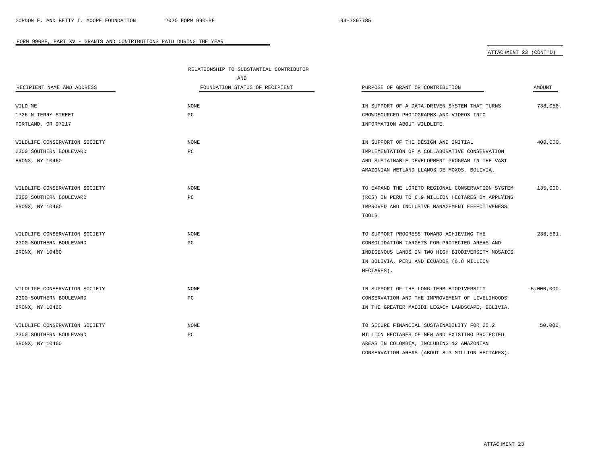### ATTACHMENT 23 (CONT'D)

|                               | RELATIONSHIP TO SUBSTANTIAL CONTRIBUTOR |                                                   |            |
|-------------------------------|-----------------------------------------|---------------------------------------------------|------------|
|                               | AND                                     |                                                   |            |
| RECIPIENT NAME AND ADDRESS    | FOUNDATION STATUS OF RECIPIENT          | PURPOSE OF GRANT OR CONTRIBUTION                  | AMOUNT     |
|                               |                                         |                                                   |            |
| WILD ME                       | <b>NONE</b>                             | IN SUPPORT OF A DATA-DRIVEN SYSTEM THAT TURNS     | 738,058.   |
| 1726 N TERRY STREET           | PC                                      | CROWDSOURCED PHOTOGRAPHS AND VIDEOS INTO          |            |
| PORTLAND, OR 97217            |                                         | INFORMATION ABOUT WILDLIFE.                       |            |
| WILDLIFE CONSERVATION SOCIETY | NONE                                    | IN SUPPORT OF THE DESIGN AND INITIAL              | 400,000.   |
| 2300 SOUTHERN BOULEVARD       | PC                                      | IMPLEMENTATION OF A COLLABORATIVE CONSERVATION    |            |
| BRONX, NY 10460               |                                         | AND SUSTAINABLE DEVELOPMENT PROGRAM IN THE VAST   |            |
|                               |                                         | AMAZONIAN WETLAND LLANOS DE MOXOS, BOLIVIA.       |            |
| WILDLIFE CONSERVATION SOCIETY | NONE                                    | TO EXPAND THE LORETO REGIONAL CONSERVATION SYSTEM | 135,000.   |
| 2300 SOUTHERN BOULEVARD       | PC                                      | (RCS) IN PERU TO 6.9 MILLION HECTARES BY APPLYING |            |
| BRONX, NY 10460               |                                         | IMPROVED AND INCLUSIVE MANAGEMENT EFFECTIVENESS   |            |
|                               |                                         | TOOLS.                                            |            |
| WILDLIFE CONSERVATION SOCIETY | <b>NONE</b>                             | TO SUPPORT PROGRESS TOWARD ACHIEVING THE          | 238,561.   |
| 2300 SOUTHERN BOULEVARD       | PC                                      | CONSOLIDATION TARGETS FOR PROTECTED AREAS AND     |            |
| BRONX, NY 10460               |                                         | INDIGENOUS LANDS IN TWO HIGH BIODIVERSITY MOSAICS |            |
|                               |                                         | IN BOLIVIA, PERU AND ECUADOR (6.8 MILLION         |            |
|                               |                                         | HECTARES).                                        |            |
| WILDLIFE CONSERVATION SOCIETY | <b>NONE</b>                             | IN SUPPORT OF THE LONG-TERM BIODIVERSITY          | 5,000,000. |
| 2300 SOUTHERN BOULEVARD       | PC                                      | CONSERVATION AND THE IMPROVEMENT OF LIVELIHOODS   |            |
| BRONX, NY 10460               |                                         | IN THE GREATER MADIDI LEGACY LANDSCAPE, BOLIVIA.  |            |
| WILDLIFE CONSERVATION SOCIETY | <b>NONE</b>                             | TO SECURE FINANCIAL SUSTAINABILITY FOR 25.2       | 50,000.    |
| 2300 SOUTHERN BOULEVARD       | PC                                      | MILLION HECTARES OF NEW AND EXISTING PROTECTED    |            |
| BRONX, NY 10460               |                                         | AREAS IN COLOMBIA, INCLUDING 12 AMAZONIAN         |            |
|                               |                                         | CONSERVATION AREAS (ABOUT 8.3 MILLION HECTARES).  |            |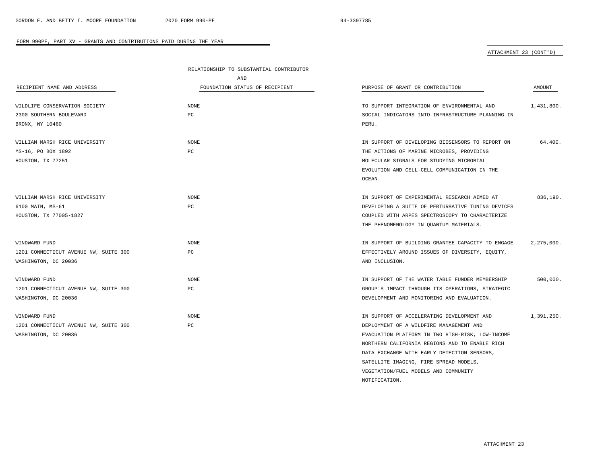### ATTACHMENT 23 (CONT'D)

| AND<br>FOUNDATION STATUS OF RECIPIENT<br>PURPOSE OF GRANT OR CONTRIBUTION<br>AMOUNT<br>RECIPIENT NAME AND ADDRESS<br><b>NONE</b><br>WILDLIFE CONSERVATION SOCIETY<br>TO SUPPORT INTEGRATION OF ENVIRONMENTAL AND<br>1,431,800.<br>2300 SOUTHERN BOULEVARD<br>PC<br>SOCIAL INDICATORS INTO INFRASTRUCTURE PLANNING IN<br>BRONX, NY 10460<br>PERU.<br><b>NONE</b><br>64,400.<br>WILLIAM MARSH RICE UNIVERSITY<br>IN SUPPORT OF DEVELOPING BIOSENSORS TO REPORT ON<br>MS-16, PO BOX 1892<br>PC<br>THE ACTIONS OF MARINE MICROBES, PROVIDING<br>HOUSTON, TX 77251<br>MOLECULAR SIGNALS FOR STUDYING MICROBIAL<br>EVOLUTION AND CELL-CELL COMMUNICATION IN THE<br>OCEAN.<br>836,190.<br>WILLIAM MARSH RICE UNIVERSITY<br>NONE<br>IN SUPPORT OF EXPERIMENTAL RESEARCH AIMED AT<br>PC<br>6100 MAIN, MS-61<br>DEVELOPING A SUITE OF PERTURBATIVE TUNING DEVICES<br>HOUSTON, TX 77005-1827<br>COUPLED WITH ARPES SPECTROSCOPY TO CHARACTERIZE<br>THE PHENOMENOLOGY IN QUANTUM MATERIALS.<br>NONE<br>IN SUPPORT OF BUILDING GRANTEE CAPACITY TO ENGAGE<br>2,275,000.<br>WINDWARD FUND<br>1201 CONNECTICUT AVENUE NW, SUITE 300<br>PC<br>EFFECTIVELY AROUND ISSUES OF DIVERSITY, EQUITY,<br>WASHINGTON, DC 20036<br>AND INCLUSION.<br>NONE<br>IN SUPPORT OF THE WATER TABLE FUNDER MEMBERSHIP<br>500,000.<br>WINDWARD FUND<br>$_{\rm PC}$<br>1201 CONNECTICUT AVENUE NW, SUITE 300<br>GROUP'S IMPACT THROUGH ITS OPERATIONS, STRATEGIC<br>DEVELOPMENT AND MONITORING AND EVALUATION.<br>WASHINGTON, DC 20036 |               | RELATIONSHIP TO SUBSTANTIAL CONTRIBUTOR |                                            |            |
|---------------------------------------------------------------------------------------------------------------------------------------------------------------------------------------------------------------------------------------------------------------------------------------------------------------------------------------------------------------------------------------------------------------------------------------------------------------------------------------------------------------------------------------------------------------------------------------------------------------------------------------------------------------------------------------------------------------------------------------------------------------------------------------------------------------------------------------------------------------------------------------------------------------------------------------------------------------------------------------------------------------------------------------------------------------------------------------------------------------------------------------------------------------------------------------------------------------------------------------------------------------------------------------------------------------------------------------------------------------------------------------------------------------------------------------------------------------------------------------------------|---------------|-----------------------------------------|--------------------------------------------|------------|
|                                                                                                                                                                                                                                                                                                                                                                                                                                                                                                                                                                                                                                                                                                                                                                                                                                                                                                                                                                                                                                                                                                                                                                                                                                                                                                                                                                                                                                                                                                   |               |                                         |                                            |            |
|                                                                                                                                                                                                                                                                                                                                                                                                                                                                                                                                                                                                                                                                                                                                                                                                                                                                                                                                                                                                                                                                                                                                                                                                                                                                                                                                                                                                                                                                                                   |               |                                         |                                            |            |
|                                                                                                                                                                                                                                                                                                                                                                                                                                                                                                                                                                                                                                                                                                                                                                                                                                                                                                                                                                                                                                                                                                                                                                                                                                                                                                                                                                                                                                                                                                   |               |                                         |                                            |            |
|                                                                                                                                                                                                                                                                                                                                                                                                                                                                                                                                                                                                                                                                                                                                                                                                                                                                                                                                                                                                                                                                                                                                                                                                                                                                                                                                                                                                                                                                                                   |               |                                         |                                            |            |
|                                                                                                                                                                                                                                                                                                                                                                                                                                                                                                                                                                                                                                                                                                                                                                                                                                                                                                                                                                                                                                                                                                                                                                                                                                                                                                                                                                                                                                                                                                   |               |                                         |                                            |            |
|                                                                                                                                                                                                                                                                                                                                                                                                                                                                                                                                                                                                                                                                                                                                                                                                                                                                                                                                                                                                                                                                                                                                                                                                                                                                                                                                                                                                                                                                                                   |               |                                         |                                            |            |
|                                                                                                                                                                                                                                                                                                                                                                                                                                                                                                                                                                                                                                                                                                                                                                                                                                                                                                                                                                                                                                                                                                                                                                                                                                                                                                                                                                                                                                                                                                   |               |                                         |                                            |            |
|                                                                                                                                                                                                                                                                                                                                                                                                                                                                                                                                                                                                                                                                                                                                                                                                                                                                                                                                                                                                                                                                                                                                                                                                                                                                                                                                                                                                                                                                                                   |               |                                         |                                            |            |
|                                                                                                                                                                                                                                                                                                                                                                                                                                                                                                                                                                                                                                                                                                                                                                                                                                                                                                                                                                                                                                                                                                                                                                                                                                                                                                                                                                                                                                                                                                   |               |                                         |                                            |            |
|                                                                                                                                                                                                                                                                                                                                                                                                                                                                                                                                                                                                                                                                                                                                                                                                                                                                                                                                                                                                                                                                                                                                                                                                                                                                                                                                                                                                                                                                                                   |               |                                         |                                            |            |
|                                                                                                                                                                                                                                                                                                                                                                                                                                                                                                                                                                                                                                                                                                                                                                                                                                                                                                                                                                                                                                                                                                                                                                                                                                                                                                                                                                                                                                                                                                   |               |                                         |                                            |            |
|                                                                                                                                                                                                                                                                                                                                                                                                                                                                                                                                                                                                                                                                                                                                                                                                                                                                                                                                                                                                                                                                                                                                                                                                                                                                                                                                                                                                                                                                                                   |               |                                         |                                            |            |
|                                                                                                                                                                                                                                                                                                                                                                                                                                                                                                                                                                                                                                                                                                                                                                                                                                                                                                                                                                                                                                                                                                                                                                                                                                                                                                                                                                                                                                                                                                   |               |                                         |                                            |            |
|                                                                                                                                                                                                                                                                                                                                                                                                                                                                                                                                                                                                                                                                                                                                                                                                                                                                                                                                                                                                                                                                                                                                                                                                                                                                                                                                                                                                                                                                                                   |               |                                         |                                            |            |
|                                                                                                                                                                                                                                                                                                                                                                                                                                                                                                                                                                                                                                                                                                                                                                                                                                                                                                                                                                                                                                                                                                                                                                                                                                                                                                                                                                                                                                                                                                   |               |                                         |                                            |            |
|                                                                                                                                                                                                                                                                                                                                                                                                                                                                                                                                                                                                                                                                                                                                                                                                                                                                                                                                                                                                                                                                                                                                                                                                                                                                                                                                                                                                                                                                                                   |               |                                         |                                            |            |
|                                                                                                                                                                                                                                                                                                                                                                                                                                                                                                                                                                                                                                                                                                                                                                                                                                                                                                                                                                                                                                                                                                                                                                                                                                                                                                                                                                                                                                                                                                   |               |                                         |                                            |            |
|                                                                                                                                                                                                                                                                                                                                                                                                                                                                                                                                                                                                                                                                                                                                                                                                                                                                                                                                                                                                                                                                                                                                                                                                                                                                                                                                                                                                                                                                                                   |               |                                         |                                            |            |
|                                                                                                                                                                                                                                                                                                                                                                                                                                                                                                                                                                                                                                                                                                                                                                                                                                                                                                                                                                                                                                                                                                                                                                                                                                                                                                                                                                                                                                                                                                   |               |                                         |                                            |            |
|                                                                                                                                                                                                                                                                                                                                                                                                                                                                                                                                                                                                                                                                                                                                                                                                                                                                                                                                                                                                                                                                                                                                                                                                                                                                                                                                                                                                                                                                                                   |               |                                         |                                            |            |
|                                                                                                                                                                                                                                                                                                                                                                                                                                                                                                                                                                                                                                                                                                                                                                                                                                                                                                                                                                                                                                                                                                                                                                                                                                                                                                                                                                                                                                                                                                   |               |                                         |                                            |            |
|                                                                                                                                                                                                                                                                                                                                                                                                                                                                                                                                                                                                                                                                                                                                                                                                                                                                                                                                                                                                                                                                                                                                                                                                                                                                                                                                                                                                                                                                                                   |               |                                         |                                            |            |
|                                                                                                                                                                                                                                                                                                                                                                                                                                                                                                                                                                                                                                                                                                                                                                                                                                                                                                                                                                                                                                                                                                                                                                                                                                                                                                                                                                                                                                                                                                   | WINDWARD FUND | <b>NONE</b>                             | IN SUPPORT OF ACCELERATING DEVELOPMENT AND | 1,391,250. |
| 1201 CONNECTICUT AVENUE NW, SUITE 300<br>PC<br>DEPLOYMENT OF A WILDFIRE MANAGEMENT AND                                                                                                                                                                                                                                                                                                                                                                                                                                                                                                                                                                                                                                                                                                                                                                                                                                                                                                                                                                                                                                                                                                                                                                                                                                                                                                                                                                                                            |               |                                         |                                            |            |
| WASHINGTON, DC 20036<br>EVACUATION PLATFORM IN TWO HIGH-RISK, LOW-INCOME                                                                                                                                                                                                                                                                                                                                                                                                                                                                                                                                                                                                                                                                                                                                                                                                                                                                                                                                                                                                                                                                                                                                                                                                                                                                                                                                                                                                                          |               |                                         |                                            |            |
| NORTHERN CALIFORNIA REGIONS AND TO ENABLE RICH                                                                                                                                                                                                                                                                                                                                                                                                                                                                                                                                                                                                                                                                                                                                                                                                                                                                                                                                                                                                                                                                                                                                                                                                                                                                                                                                                                                                                                                    |               |                                         |                                            |            |
| DATA EXCHANGE WITH EARLY DETECTION SENSORS,                                                                                                                                                                                                                                                                                                                                                                                                                                                                                                                                                                                                                                                                                                                                                                                                                                                                                                                                                                                                                                                                                                                                                                                                                                                                                                                                                                                                                                                       |               |                                         |                                            |            |
| SATELLITE IMAGING, FIRE SPREAD MODELS,                                                                                                                                                                                                                                                                                                                                                                                                                                                                                                                                                                                                                                                                                                                                                                                                                                                                                                                                                                                                                                                                                                                                                                                                                                                                                                                                                                                                                                                            |               |                                         |                                            |            |

VEGETATION/FUEL MODELS AND COMMUNITY

NOTIFICATION.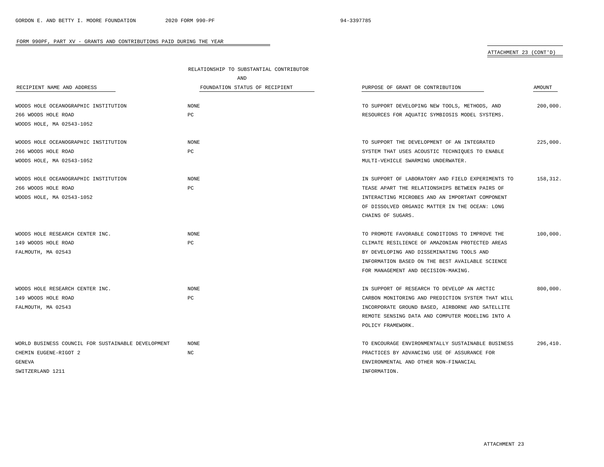### ATTACHMENT 23 (CONT'D)

|                                                    | RELATIONSHIP TO SUBSTANTIAL CONTRIBUTOR |                                                   |          |
|----------------------------------------------------|-----------------------------------------|---------------------------------------------------|----------|
|                                                    | AND                                     |                                                   |          |
| RECIPIENT NAME AND ADDRESS                         | FOUNDATION STATUS OF RECIPIENT          | PURPOSE OF GRANT OR CONTRIBUTION                  | AMOUNT   |
|                                                    |                                         |                                                   |          |
| WOODS HOLE OCEANOGRAPHIC INSTITUTION               | NONE                                    | TO SUPPORT DEVELOPING NEW TOOLS, METHODS, AND     | 200,000. |
| 266 WOODS HOLE ROAD                                | PC                                      | RESOURCES FOR AQUATIC SYMBIOSIS MODEL SYSTEMS.    |          |
| WOODS HOLE, MA 02543-1052                          |                                         |                                                   |          |
| WOODS HOLE OCEANOGRAPHIC INSTITUTION               | <b>NONE</b>                             | TO SUPPORT THE DEVELOPMENT OF AN INTEGRATED       | 225,000. |
| 266 WOODS HOLE ROAD                                | PC                                      | SYSTEM THAT USES ACOUSTIC TECHNIQUES TO ENABLE    |          |
| WOODS HOLE, MA 02543-1052                          |                                         | MULTI-VEHICLE SWARMING UNDERWATER.                |          |
|                                                    |                                         |                                                   |          |
| WOODS HOLE OCEANOGRAPHIC INSTITUTION               | <b>NONE</b>                             | IN SUPPORT OF LABORATORY AND FIELD EXPERIMENTS TO | 158,312. |
| 266 WOODS HOLE ROAD                                | PC                                      | TEASE APART THE RELATIONSHIPS BETWEEN PAIRS OF    |          |
| WOODS HOLE, MA 02543-1052                          |                                         | INTERACTING MICROBES AND AN IMPORTANT COMPONENT   |          |
|                                                    |                                         | OF DISSOLVED ORGANIC MATTER IN THE OCEAN: LONG    |          |
|                                                    |                                         | CHAINS OF SUGARS.                                 |          |
| WOODS HOLE RESEARCH CENTER INC.                    | NONE                                    | TO PROMOTE FAVORABLE CONDITIONS TO IMPROVE THE    | 100,000. |
| 149 WOODS HOLE ROAD                                | PC                                      | CLIMATE RESILIENCE OF AMAZONIAN PROTECTED AREAS   |          |
| FALMOUTH, MA 02543                                 |                                         | BY DEVELOPING AND DISSEMINATING TOOLS AND         |          |
|                                                    |                                         | INFORMATION BASED ON THE BEST AVAILABLE SCIENCE   |          |
|                                                    |                                         | FOR MANAGEMENT AND DECISION-MAKING.               |          |
| WOODS HOLE RESEARCH CENTER INC.                    | NONE.                                   | IN SUPPORT OF RESEARCH TO DEVELOP AN ARCTIC       | 800,000. |
| 149 WOODS HOLE ROAD                                | PC                                      | CARBON MONITORING AND PREDICTION SYSTEM THAT WILL |          |
| FALMOUTH, MA 02543                                 |                                         | INCORPORATE GROUND BASED, AIRBORNE AND SATELLITE  |          |
|                                                    |                                         | REMOTE SENSING DATA AND COMPUTER MODELING INTO A  |          |
|                                                    |                                         | POLICY FRAMEWORK.                                 |          |
| WORLD BUSINESS COUNCIL FOR SUSTAINABLE DEVELOPMENT | <b>NONE</b>                             | TO ENCOURAGE ENVIRONMENTALLY SUSTAINABLE BUSINESS | 296,410. |
| CHEMIN EUGENE-RIGOT 2                              | NC                                      | PRACTICES BY ADVANCING USE OF ASSURANCE FOR       |          |
| GENEVA                                             |                                         | ENVIRONMENTAL AND OTHER NON-FINANCIAL             |          |
| SWITZERLAND 1211                                   |                                         | INFORMATION.                                      |          |
|                                                    |                                         |                                                   |          |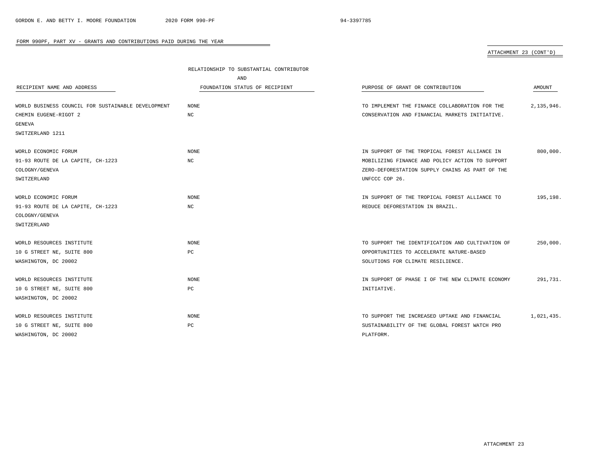# ATTACHMENT 23 (CONT'D)

| AND                                                          |                                                              |
|--------------------------------------------------------------|--------------------------------------------------------------|
| RECIPIENT NAME AND ADDRESS<br>FOUNDATION STATUS OF RECIPIENT | PURPOSE OF GRANT OR CONTRIBUTION<br>AMOUNT                   |
|                                                              |                                                              |
| WORLD BUSINESS COUNCIL FOR SUSTAINABLE DEVELOPMENT<br>NONE   | 2,135,946.<br>TO IMPLEMENT THE FINANCE COLLABORATION FOR THE |
| CHEMIN EUGENE-RIGOT 2<br>NC                                  | CONSERVATION AND FINANCIAL MARKETS INITIATIVE.               |
| GENEVA                                                       |                                                              |
| SWITZERLAND 1211                                             |                                                              |
| WORLD ECONOMIC FORUM<br><b>NONE</b>                          | 800,000.<br>IN SUPPORT OF THE TROPICAL FOREST ALLIANCE IN    |
| 91-93 ROUTE DE LA CAPITE, CH-1223<br>NC                      | MOBILIZING FINANCE AND POLICY ACTION TO SUPPORT              |
| COLOGNY/GENEVA                                               | ZERO-DEFORESTATION SUPPLY CHAINS AS PART OF THE              |
| SWITZERLAND                                                  | UNFCCC COP 26.                                               |
|                                                              |                                                              |
| WORLD ECONOMIC FORUM<br><b>NONE</b>                          | 195,198.<br>IN SUPPORT OF THE TROPICAL FOREST ALLIANCE TO    |
| 91-93 ROUTE DE LA CAPITE, CH-1223<br>NC                      | REDUCE DEFORESTATION IN BRAZIL.                              |
| COLOGNY/GENEVA                                               |                                                              |
| SWITZERLAND                                                  |                                                              |
|                                                              |                                                              |
| WORLD RESOURCES INSTITUTE<br><b>NONE</b>                     | 250,000.<br>TO SUPPORT THE IDENTIFICATION AND CULTIVATION OF |
| PC<br>10 G STREET NE, SUITE 800                              | OPPORTUNITIES TO ACCELERATE NATURE-BASED                     |
| WASHINGTON, DC 20002                                         | SOLUTIONS FOR CLIMATE RESILIENCE.                            |
| WORLD RESOURCES INSTITUTE<br><b>NONE</b>                     | IN SUPPORT OF PHASE I OF THE NEW CLIMATE ECONOMY<br>291,731. |
| 10 G STREET NE, SUITE 800<br>PC<br>INITIATIVE.               |                                                              |
| WASHINGTON, DC 20002                                         |                                                              |
|                                                              |                                                              |
| WORLD RESOURCES INSTITUTE<br><b>NONE</b>                     | 1,021,435.<br>TO SUPPORT THE INCREASED UPTAKE AND FINANCIAL  |
| 10 G STREET NE, SUITE 800<br>PC                              | SUSTAINABILITY OF THE GLOBAL FOREST WATCH PRO                |
| WASHINGTON, DC 20002<br>PLATFORM.                            |                                                              |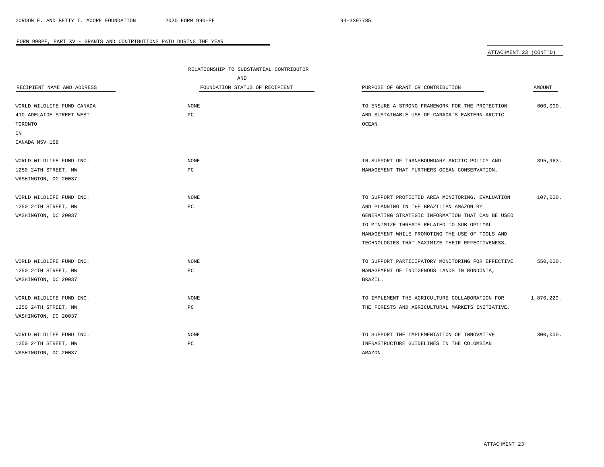# ATTACHMENT 23 (CONT'D)

|                            | RELATIONSHIP TO SUBSTANTIAL CONTRIBUTOR |                                                   |            |
|----------------------------|-----------------------------------------|---------------------------------------------------|------------|
|                            | AND                                     |                                                   |            |
| RECIPIENT NAME AND ADDRESS | FOUNDATION STATUS OF RECIPIENT          | PURPOSE OF GRANT OR CONTRIBUTION                  | AMOUNT     |
|                            |                                         |                                                   |            |
| WORLD WILDLIFE FUND CANADA | NONE                                    | TO ENSURE A STRONG FRAMEWORK FOR THE PROTECTION   | 600,000.   |
| 410 ADELAIDE STREET WEST   | PC                                      | AND SUSTAINABLE USE OF CANADA'S EASTERN ARCTIC    |            |
| TORONTO                    |                                         | OCEAN.                                            |            |
| ON                         |                                         |                                                   |            |
| CANADA M5V 1S8             |                                         |                                                   |            |
| WORLD WILDLIFE FUND INC.   | NONE                                    | IN SUPPORT OF TRANSBOUNDARY ARCTIC POLICY AND     | 395,963.   |
| 1250 24TH STREET, NW       | PC                                      | MANAGEMENT THAT FURTHERS OCEAN CONSERVATION.      |            |
| WASHINGTON, DC 20037       |                                         |                                                   |            |
| WORLD WILDLIFE FUND INC.   | NONE                                    | TO SUPPORT PROTECTED AREA MONITORING, EVALUATION  | 107,000.   |
| 1250 24TH STREET, NW       | PC                                      | AND PLANNING IN THE BRAZILIAN AMAZON BY           |            |
| WASHINGTON, DC 20037       |                                         | GENERATING STRATEGIC INFORMATION THAT CAN BE USED |            |
|                            |                                         | TO MINIMIZE THREATS RELATED TO SUB-OPTIMAL        |            |
|                            |                                         | MANAGEMENT WHILE PROMOTING THE USE OF TOOLS AND   |            |
|                            |                                         | TECHNOLOGIES THAT MAXIMIZE THEIR EFFECTIVENESS.   |            |
| WORLD WILDLIFE FUND INC.   | NONE                                    | TO SUPPORT PARTICIPATORY MONITORING FOR EFFECTIVE | 550,000.   |
| 1250 24TH STREET, NW       | PC                                      | MANAGEMENT OF INDIGENOUS LANDS IN RONDONIA,       |            |
| WASHINGTON, DC 20037       |                                         | BRAZIL.                                           |            |
| WORLD WILDLIFE FUND INC.   | <b>NONE</b>                             | TO IMPLEMENT THE AGRICULTURE COLLABORATION FOR    | 1,876,229. |
| 1250 24TH STREET, NW       | PC                                      | THE FORESTS AND AGRICULTURAL MARKETS INITIATIVE.  |            |
| WASHINGTON, DC 20037       |                                         |                                                   |            |
|                            |                                         |                                                   |            |
| WORLD WILDLIFE FUND INC.   | NONE                                    | TO SUPPORT THE IMPLEMENTATION OF INNOVATIVE       | 300,000.   |
| 1250 24TH STREET, NW       | PC                                      | INFRASTRUCTURE GUIDELINES IN THE COLOMBIAN        |            |
| WASHINGTON, DC 20037       |                                         | AMAZON.                                           |            |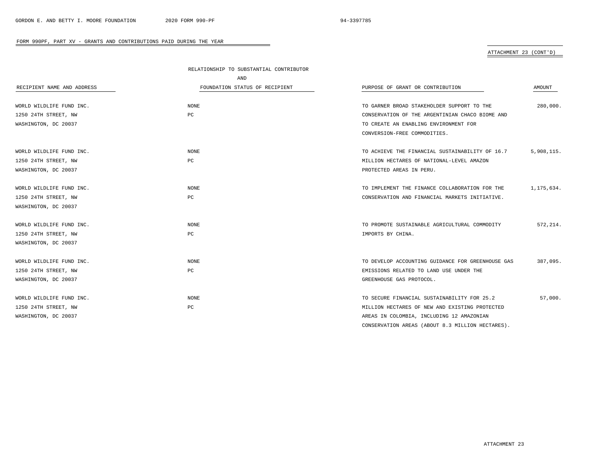$\overline{\phantom{a}}$ 

#### FORM 990PF, PART XV - GRANTS AND CONTRIBUTIONS PAID DURING THE YEAR

ATTACHMENT 23 (CONT'D)

|                            | RELATIONSHIP TO SUBSTANTIAL CONTRIBUTOR |                                                   |            |
|----------------------------|-----------------------------------------|---------------------------------------------------|------------|
|                            | AND                                     |                                                   |            |
| RECIPIENT NAME AND ADDRESS | FOUNDATION STATUS OF RECIPIENT          | PURPOSE OF GRANT OR CONTRIBUTION                  | AMOUNT     |
|                            |                                         |                                                   |            |
| WORLD WILDLIFE FUND INC.   | <b>NONE</b>                             | TO GARNER BROAD STAKEHOLDER SUPPORT TO THE        | 280,000.   |
| 1250 24TH STREET, NW       | PC                                      | CONSERVATION OF THE ARGENTINIAN CHACO BIOME AND   |            |
| WASHINGTON, DC 20037       |                                         | TO CREATE AN ENABLING ENVIRONMENT FOR             |            |
|                            |                                         | CONVERSION-FREE COMMODITIES.                      |            |
| WORLD WILDLIFE FUND INC.   | NONE                                    | TO ACHIEVE THE FINANCIAL SUSTAINABILITY OF 16.7   | 5,908,115. |
| 1250 24TH STREET, NW       | PC                                      | MILLION HECTARES OF NATIONAL-LEVEL AMAZON         |            |
| WASHINGTON, DC 20037       |                                         | PROTECTED AREAS IN PERU.                          |            |
| WORLD WILDLIFE FUND INC.   | <b>NONE</b>                             | TO IMPLEMENT THE FINANCE COLLABORATION FOR THE    | 1,175,634. |
| 1250 24TH STREET, NW       | PC                                      | CONSERVATION AND FINANCIAL MARKETS INITIATIVE.    |            |
| WASHINGTON, DC 20037       |                                         |                                                   |            |
| WORLD WILDLIFE FUND INC.   | <b>NONE</b>                             | TO PROMOTE SUSTAINABLE AGRICULTURAL COMMODITY     | 572,214.   |
| 1250 24TH STREET, NW       | PС                                      | IMPORTS BY CHINA.                                 |            |
| WASHINGTON, DC 20037       |                                         |                                                   |            |
| WORLD WILDLIFE FUND INC.   | <b>NONE</b>                             | TO DEVELOP ACCOUNTING GUIDANCE FOR GREENHOUSE GAS | 387,095.   |
| 1250 24TH STREET, NW       | PC                                      | EMISSIONS RELATED TO LAND USE UNDER THE           |            |
| WASHINGTON, DC 20037       |                                         | GREENHOUSE GAS PROTOCOL.                          |            |
| WORLD WILDLIFE FUND INC.   | NONE                                    | TO SECURE FINANCIAL SUSTAINABILITY FOR 25.2       | 57,000.    |
| 1250 24TH STREET, NW       | PC                                      | MILLION HECTARES OF NEW AND EXISTING PROTECTED    |            |
| WASHINGTON, DC 20037       |                                         | AREAS IN COLOMBIA, INCLUDING 12 AMAZONIAN         |            |
|                            |                                         | CONSERVATION AREAS (ABOUT 8.3 MILLION HECTARES).  |            |

ATTACHMENT 23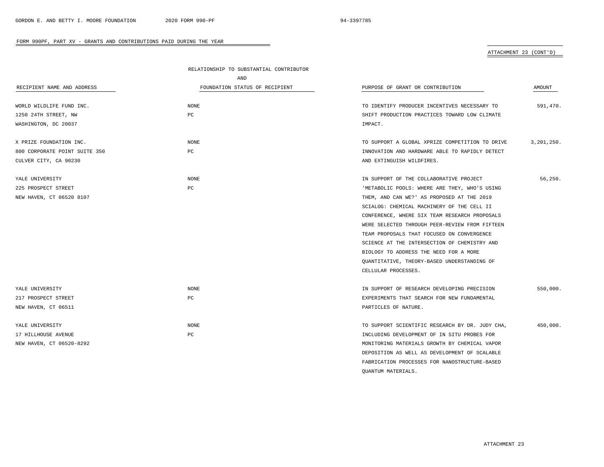QUANTUM MATERIALS.

#### FORM 990PF, PART XV - GRANTS AND CONTRIBUTIONS PAID DURING THE YEAR

### ATTACHMENT 23 (CONT'D)

|                               | RELATIONSHIP TO SUBSTANTIAL CONTRIBUTOR |                                                 |               |
|-------------------------------|-----------------------------------------|-------------------------------------------------|---------------|
|                               | AND                                     |                                                 |               |
| RECIPIENT NAME AND ADDRESS    | FOUNDATION STATUS OF RECIPIENT          | PURPOSE OF GRANT OR CONTRIBUTION                | <b>AMOUNT</b> |
|                               |                                         |                                                 |               |
| WORLD WILDLIFE FUND INC.      | <b>NONE</b>                             | TO IDENTIFY PRODUCER INCENTIVES NECESSARY TO    | 591,470.      |
| 1250 24TH STREET, NW          | PC                                      | SHIFT PRODUCTION PRACTICES TOWARD LOW CLIMATE   |               |
| WASHINGTON, DC 20037          |                                         | IMPACT.                                         |               |
| X PRIZE FOUNDATION INC.       | NONE                                    | TO SUPPORT A GLOBAL XPRIZE COMPETITION TO DRIVE | 3,201,250.    |
| 800 CORPORATE POINT SUITE 350 | PC                                      | INNOVATION AND HARDWARE ABLE TO RAPIDLY DETECT  |               |
| CULVER CITY, CA 90230         |                                         | AND EXTINGUISH WILDFIRES.                       |               |
| YALE UNIVERSITY               | <b>NONE</b>                             | IN SUPPORT OF THE COLLABORATIVE PROJECT         | 56,250.       |
| 225 PROSPECT STREET           | PC                                      | 'METABOLIC POOLS: WHERE ARE THEY, WHO'S USING   |               |
| NEW HAVEN, CT 06520 8107      |                                         | THEM, AND CAN WE?' AS PROPOSED AT THE 2019      |               |
|                               |                                         | SCIALOG: CHEMICAL MACHINERY OF THE CELL II      |               |
|                               |                                         | CONFERENCE, WHERE SIX TEAM RESEARCH PROPOSALS   |               |
|                               |                                         | WERE SELECTED THROUGH PEER-REVIEW FROM FIFTEEN  |               |
|                               |                                         | TEAM PROPOSALS THAT FOCUSED ON CONVERGENCE      |               |
|                               |                                         | SCIENCE AT THE INTERSECTION OF CHEMISTRY AND    |               |
|                               |                                         | BIOLOGY TO ADDRESS THE NEED FOR A MORE          |               |
|                               |                                         | QUANTITATIVE, THEORY-BASED UNDERSTANDING OF     |               |
|                               |                                         | CELLULAR PROCESSES.                             |               |
| YALE UNIVERSITY               | NONE                                    | IN SUPPORT OF RESEARCH DEVELOPING PRECISION     | 550,000.      |
| 217 PROSPECT STREET           | PC                                      | EXPERIMENTS THAT SEARCH FOR NEW FUNDAMENTAL     |               |
| NEW HAVEN, CT 06511           |                                         | PARTICLES OF NATURE.                            |               |
| YALE UNIVERSITY               | NONE                                    | TO SUPPORT SCIENTIFIC RESEARCH BY DR. JUDY CHA, | 450,000.      |
| 17 HILLHOUSE AVENUE           | PC                                      | INCLUDING DEVELOPMENT OF IN SITU PROBES FOR     |               |
| NEW HAVEN, CT 06520-8292      |                                         | MONITORING MATERIALS GROWTH BY CHEMICAL VAPOR   |               |
|                               |                                         | DEPOSITION AS WELL AS DEVELOPMENT OF SCALABLE   |               |
|                               |                                         | FABRICATION PROCESSES FOR NANOSTRUCTURE-BASED   |               |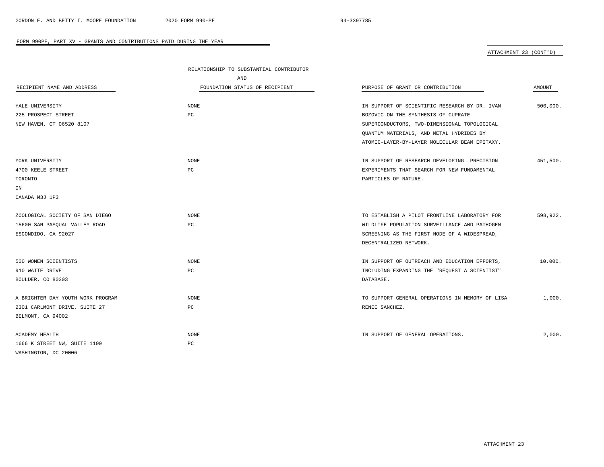# ATTACHMENT 23 (CONT'D)

|                                   | RELATIONSHIP TO SUBSTANTIAL CONTRIBUTOR |                                                 |          |
|-----------------------------------|-----------------------------------------|-------------------------------------------------|----------|
|                                   | AND                                     |                                                 |          |
| RECIPIENT NAME AND ADDRESS        | FOUNDATION STATUS OF RECIPIENT          | PURPOSE OF GRANT OR CONTRIBUTION                | AMOUNT   |
| YALE UNIVERSITY                   | <b>NONE</b>                             | IN SUPPORT OF SCIENTIFIC RESEARCH BY DR. IVAN   | 500,000. |
| 225 PROSPECT STREET               | PC                                      | BOZOVIC ON THE SYNTHESIS OF CUPRATE             |          |
| NEW HAVEN, CT 06520 8107          |                                         | SUPERCONDUCTORS, TWO-DIMENSIONAL TOPOLOGICAL    |          |
|                                   |                                         | OUANTUM MATERIALS, AND METAL HYDRIDES BY        |          |
|                                   |                                         | ATOMIC-LAYER-BY-LAYER MOLECULAR BEAM EPITAXY.   |          |
| YORK UNIVERSITY                   | NONE                                    | IN SUPPORT OF RESEARCH DEVELOPING PRECISION     | 451,500. |
| 4700 KEELE STREET                 | PC                                      | EXPERIMENTS THAT SEARCH FOR NEW FUNDAMENTAL     |          |
| TORONTO                           |                                         | PARTICLES OF NATURE.                            |          |
| ON                                |                                         |                                                 |          |
| CANADA M3J 1P3                    |                                         |                                                 |          |
| ZOOLOGICAL SOCIETY OF SAN DIEGO   | NONE                                    | TO ESTABLISH A PILOT FRONTLINE LABORATORY FOR   | 598,922. |
| 15600 SAN PASQUAL VALLEY ROAD     | PC                                      | WILDLIFE POPULATION SURVEILLANCE AND PATHOGEN   |          |
| ESCONDIDO, CA 92027               |                                         | SCREENING AS THE FIRST NODE OF A WIDESPREAD,    |          |
|                                   |                                         | DECENTRALIZED NETWORK.                          |          |
| 500 WOMEN SCIENTISTS              | NONE                                    | IN SUPPORT OF OUTREACH AND EDUCATION EFFORTS,   | 10,000.  |
| 910 WAITE DRIVE                   | $_{\rm PC}$                             | INCLUDING EXPANDING THE "REQUEST A SCIENTIST"   |          |
| BOULDER, CO 80303                 |                                         | DATABASE.                                       |          |
| A BRIGHTER DAY YOUTH WORK PROGRAM | <b>NONE</b>                             | TO SUPPORT GENERAL OPERATIONS IN MEMORY OF LISA | 1,000.   |
| 2301 CARLMONT DRIVE, SUITE 27     | PC                                      | RENEE SANCHEZ.                                  |          |
| BELMONT, CA 94002                 |                                         |                                                 |          |
| ACADEMY HEALTH                    | <b>NONE</b>                             | IN SUPPORT OF GENERAL OPERATIONS.               | 2,000.   |
| 1666 K STREET NW, SUITE 1100      | PC                                      |                                                 |          |
| WASHINGTON, DC 20006              |                                         |                                                 |          |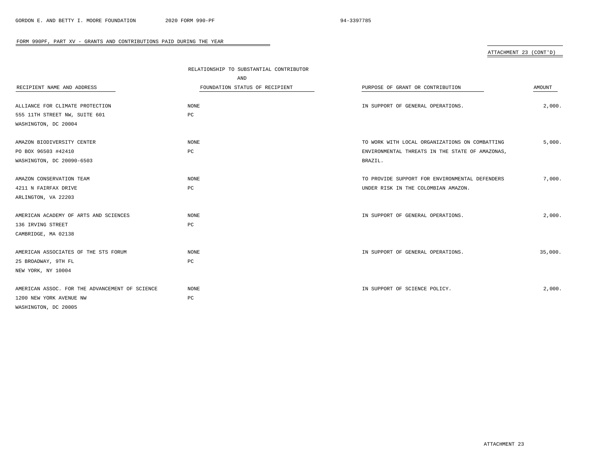# ATTACHMENT 23 (CONT'D)

|                                                | RELATIONSHIP TO SUBSTANTIAL CONTRIBUTOR |                                                 |         |
|------------------------------------------------|-----------------------------------------|-------------------------------------------------|---------|
|                                                | AND                                     |                                                 |         |
| RECIPIENT NAME AND ADDRESS                     | FOUNDATION STATUS OF RECIPIENT          | PURPOSE OF GRANT OR CONTRIBUTION                | AMOUNT  |
|                                                |                                         |                                                 |         |
| ALLIANCE FOR CLIMATE PROTECTION                | NONE                                    | IN SUPPORT OF GENERAL OPERATIONS.               | 2,000.  |
| 555 11TH STREET NW, SUITE 601                  | PC                                      |                                                 |         |
| WASHINGTON, DC 20004                           |                                         |                                                 |         |
| AMAZON BIODIVERSITY CENTER                     | NONE                                    | TO WORK WITH LOCAL ORGANIZATIONS ON COMBATTING  | 5,000.  |
| PO BOX 96503 #42410                            | PC                                      | ENVIRONMENTAL THREATS IN THE STATE OF AMAZONAS, |         |
| WASHINGTON, DC 20090-6503                      |                                         | BRAZIL.                                         |         |
| AMAZON CONSERVATION TEAM                       | NONE                                    | TO PROVIDE SUPPORT FOR ENVIRONMENTAL DEFENDERS  | 7,000.  |
| 4211 N FAIRFAX DRIVE                           | PC                                      | UNDER RISK IN THE COLOMBIAN AMAZON.             |         |
| ARLINGTON, VA 22203                            |                                         |                                                 |         |
|                                                |                                         |                                                 |         |
| AMERICAN ACADEMY OF ARTS AND SCIENCES          | NONE                                    | IN SUPPORT OF GENERAL OPERATIONS.               | 2,000.  |
| 136 IRVING STREET                              | PC                                      |                                                 |         |
| CAMBRIDGE, MA 02138                            |                                         |                                                 |         |
| AMERICAN ASSOCIATES OF THE STS FORUM           | NONE                                    | IN SUPPORT OF GENERAL OPERATIONS.               | 35,000. |
| 25 BROADWAY, 9TH FL                            | $_{\rm PC}$                             |                                                 |         |
| NEW YORK, NY 10004                             |                                         |                                                 |         |
| AMERICAN ASSOC. FOR THE ADVANCEMENT OF SCIENCE | NONE                                    | IN SUPPORT OF SCIENCE POLICY.                   | 2,000.  |
|                                                |                                         |                                                 |         |
| 1200 NEW YORK AVENUE NW                        | $_{\rm PC}$                             |                                                 |         |
| WASHINGTON, DC 20005                           |                                         |                                                 |         |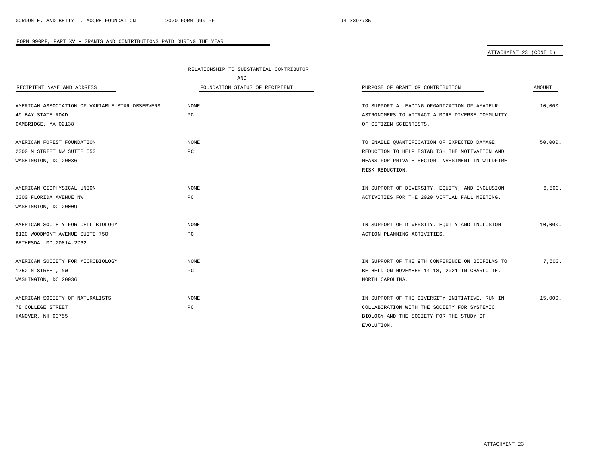# ATTACHMENT 23 (CONT'D)

|                                                 | RELATIONSHIP TO SUBSTANTIAL CONTRIBUTOR |                                                 |         |
|-------------------------------------------------|-----------------------------------------|-------------------------------------------------|---------|
|                                                 | AND                                     |                                                 |         |
| RECIPIENT NAME AND ADDRESS                      | FOUNDATION STATUS OF RECIPIENT          | PURPOSE OF GRANT OR CONTRIBUTION                | AMOUNT  |
| AMERICAN ASSOCIATION OF VARIABLE STAR OBSERVERS | <b>NONE</b>                             | TO SUPPORT A LEADING ORGANIZATION OF AMATEUR    | 10.000. |
| 49 BAY STATE ROAD                               | PC                                      | ASTRONOMERS TO ATTRACT A MORE DIVERSE COMMUNITY |         |
| CAMBRIDGE, MA 02138                             |                                         | OF CITIZEN SCIENTISTS.                          |         |
| AMERICAN FOREST FOUNDATION                      | NONE                                    | TO ENABLE QUANTIFICATION OF EXPECTED DAMAGE     | 50,000. |
| 2000 M STREET NW SUITE 550                      | PC                                      | REDUCTION TO HELP ESTABLISH THE MOTIVATION AND  |         |
| WASHINGTON, DC 20036                            |                                         | MEANS FOR PRIVATE SECTOR INVESTMENT IN WILDFIRE |         |
|                                                 |                                         | RISK REDUCTION.                                 |         |
| AMERICAN GEOPHYSICAL UNION                      | NONE                                    | IN SUPPORT OF DIVERSITY, EQUITY, AND INCLUSION  | 6,500.  |
| 2000 FLORIDA AVENUE NW                          | PC                                      | ACTIVITIES FOR THE 2020 VIRTUAL FALL MEETING.   |         |
| WASHINGTON, DC 20009                            |                                         |                                                 |         |
| AMERICAN SOCIETY FOR CELL BIOLOGY               | NONE                                    | IN SUPPORT OF DIVERSITY, EQUITY AND INCLUSION   | 10,000. |
| 8120 WOODMONT AVENUE SUITE 750                  | PC                                      | ACTION PLANNING ACTIVITIES.                     |         |
| BETHESDA, MD 20814-2762                         |                                         |                                                 |         |
| AMERICAN SOCIETY FOR MICROBIOLOGY               | <b>NONE</b>                             | IN SUPPORT OF THE 9TH CONFERENCE ON BIOFILMS TO | 7,500.  |
| 1752 N STREET, NW                               | PC                                      | BE HELD ON NOVEMBER 14-18, 2021 IN CHARLOTTE,   |         |
| WASHINGTON, DC 20036                            |                                         | NORTH CAROLINA.                                 |         |
| AMERICAN SOCIETY OF NATURALISTS                 | NONE                                    | IN SUPPORT OF THE DIVERSITY INITIATIVE, RUN IN  | 15,000. |
| 78 COLLEGE STREET                               | PC                                      | COLLABORATION WITH THE SOCIETY FOR SYSTEMIC     |         |
| HANOVER, NH 03755                               |                                         | BIOLOGY AND THE SOCIETY FOR THE STUDY OF        |         |
|                                                 |                                         | EVOLUTION.                                      |         |

÷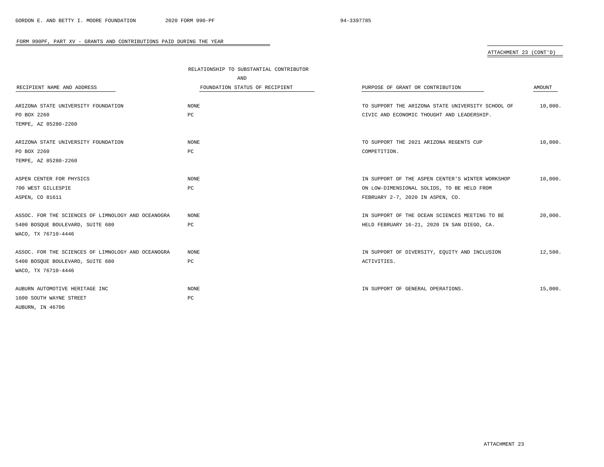# ATTACHMENT 23 (CONT'D)

|                                                    | RELATIONSHIP TO SUBSTANTIAL CONTRIBUTOR |                                                   |         |
|----------------------------------------------------|-----------------------------------------|---------------------------------------------------|---------|
|                                                    | AND                                     |                                                   |         |
| RECIPIENT NAME AND ADDRESS                         | FOUNDATION STATUS OF RECIPIENT          | PURPOSE OF GRANT OR CONTRIBUTION                  | AMOUNT  |
|                                                    |                                         |                                                   |         |
| ARIZONA STATE UNIVERSITY FOUNDATION                | NONE                                    | TO SUPPORT THE ARIZONA STATE UNIVERSITY SCHOOL OF | 10,000. |
| PO BOX 2260                                        | PC                                      | CIVIC AND ECONOMIC THOUGHT AND LEADERSHIP.        |         |
| TEMPE, AZ 85280-2260                               |                                         |                                                   |         |
|                                                    |                                         |                                                   |         |
| ARIZONA STATE UNIVERSITY FOUNDATION                | NONE                                    | TO SUPPORT THE 2021 ARIZONA REGENTS CUP           | 10,000. |
| PO BOX 2260                                        | $_{\rm PC}$                             | COMPETITION.                                      |         |
| TEMPE, AZ 85280-2260                               |                                         |                                                   |         |
|                                                    |                                         |                                                   |         |
| ASPEN CENTER FOR PHYSICS                           | <b>NONE</b>                             | IN SUPPORT OF THE ASPEN CENTER'S WINTER WORKSHOP  | 10,000. |
| 700 WEST GILLESPIE                                 | $_{\rm PC}$                             | ON LOW-DIMENSIONAL SOLIDS, TO BE HELD FROM        |         |
| ASPEN, CO 81611                                    |                                         | FEBRUARY 2-7, 2020 IN ASPEN, CO.                  |         |
|                                                    |                                         |                                                   |         |
| ASSOC. FOR THE SCIENCES OF LIMNOLOGY AND OCEANOGRA | NONE                                    | IN SUPPORT OF THE OCEAN SCIENCES MEETING TO BE    | 20,000. |
| 5400 BOSOUE BOULEVARD, SUITE 680                   | PC                                      | HELD FEBRUARY 16-21, 2020 IN SAN DIEGO, CA.       |         |
| WACO, TX 76710-4446                                |                                         |                                                   |         |
|                                                    |                                         |                                                   |         |
| ASSOC. FOR THE SCIENCES OF LIMNOLOGY AND OCEANOGRA | NONE                                    | IN SUPPORT OF DIVERSITY, EQUITY AND INCLUSION     | 12,500. |
| 5400 BOSQUE BOULEVARD, SUITE 680                   | РC                                      | ACTIVITIES.                                       |         |
| WACO, TX 76710-4446                                |                                         |                                                   |         |
| AUBURN AUTOMOTIVE HERITAGE INC                     | NONE                                    | IN SUPPORT OF GENERAL OPERATIONS.                 | 15,000. |
| 1600 SOUTH WAYNE STREET                            | $_{\rm PC}$                             |                                                   |         |
| AUBURN, IN 46706                                   |                                         |                                                   |         |
|                                                    |                                         |                                                   |         |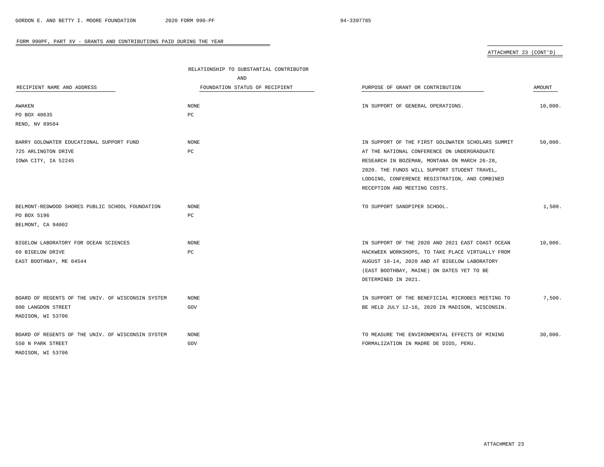ATTACHMENT 23 (CONT'D)

|                                                   | RELATIONSHIP TO SUBSTANTIAL CONTRIBUTOR |                                                   |         |  |
|---------------------------------------------------|-----------------------------------------|---------------------------------------------------|---------|--|
|                                                   | AND                                     |                                                   |         |  |
| RECIPIENT NAME AND ADDRESS                        | FOUNDATION STATUS OF RECIPIENT          | PURPOSE OF GRANT OR CONTRIBUTION                  | AMOUNT  |  |
| AWAKEN                                            | NONE                                    | IN SUPPORT OF GENERAL OPERATIONS.                 | 10,000. |  |
| PO BOX 40635                                      | PC                                      |                                                   |         |  |
| RENO, NV 89504                                    |                                         |                                                   |         |  |
|                                                   |                                         |                                                   |         |  |
| BARRY GOLDWATER EDUCATIONAL SUPPORT FUND          | NONE                                    | IN SUPPORT OF THE FIRST GOLDWATER SCHOLARS SUMMIT | 50,000. |  |
| 725 ARLINGTON DRIVE                               | PC                                      | AT THE NATIONAL CONFERENCE ON UNDERGRADUATE       |         |  |
| IOWA CITY, IA 52245                               |                                         | RESEARCH IN BOZEMAN, MONTANA ON MARCH 26-28,      |         |  |
|                                                   |                                         | 2020. THE FUNDS WILL SUPPORT STUDENT TRAVEL,      |         |  |
|                                                   |                                         | LODGING, CONFERENCE REGISTRATION, AND COMBINED    |         |  |
|                                                   |                                         | RECEPTION AND MEETING COSTS.                      |         |  |
|                                                   |                                         |                                                   |         |  |
| BELMONT-REDWOOD SHORES PUBLIC SCHOOL FOUNDATION   | NONE                                    | TO SUPPORT SANDPIPER SCHOOL.                      | 1,500.  |  |
| PO BOX 5196                                       | PC                                      |                                                   |         |  |
| BELMONT, CA 94002                                 |                                         |                                                   |         |  |
|                                                   |                                         |                                                   |         |  |
| BIGELOW LABORATORY FOR OCEAN SCIENCES             | <b>NONE</b>                             | IN SUPPORT OF THE 2020 AND 2021 EAST COAST OCEAN  | 10,000. |  |
| 60 BIGELOW DRIVE                                  | PC                                      | HACKWEEK WORKSHOPS, TO TAKE PLACE VIRTUALLY FROM  |         |  |
| EAST BOOTHBAY, ME 04544                           |                                         | AUGUST 10-14, 2020 AND AT BIGELOW LABORATORY      |         |  |
|                                                   |                                         | (EAST BOOTHBAY, MAINE) ON DATES YET TO BE         |         |  |
|                                                   |                                         | DETERMINED IN 2021.                               |         |  |
|                                                   |                                         |                                                   |         |  |
| BOARD OF REGENTS OF THE UNIV. OF WISCONSIN SYSTEM | NONE                                    | IN SUPPORT OF THE BENEFICIAL MICROBES MEETING TO  | 7,500.  |  |
| 800 LANGDON STREET                                | GOV                                     | BE HELD JULY 12-16, 2020 IN MADISON, WISCONSIN.   |         |  |
| MADISON, WI 53706                                 |                                         |                                                   |         |  |
| BOARD OF REGENTS OF THE UNIV. OF WISCONSIN SYSTEM | NONE                                    | TO MEASURE THE ENVIRONMENTAL EFFECTS OF MINING    | 30,000. |  |
| 550 N PARK STREET                                 | GOV                                     | FORMALIZATION IN MADRE DE DIOS, PERU.             |         |  |
| MADISON, WI 53706                                 |                                         |                                                   |         |  |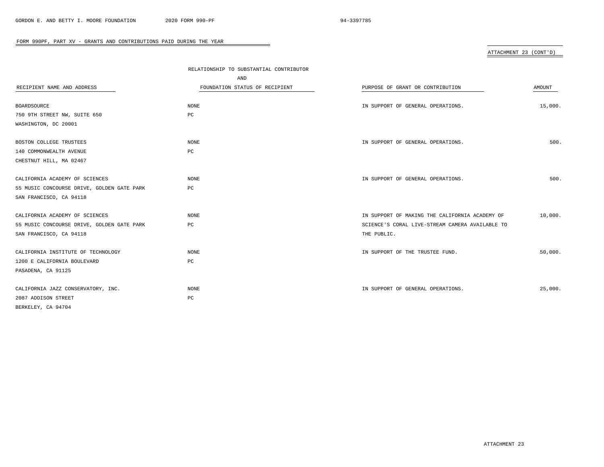# ATTACHMENT 23 (CONT'D)

|                                            | RELATIONSHIP TO SUBSTANTIAL CONTRIBUTOR |                                                 |         |
|--------------------------------------------|-----------------------------------------|-------------------------------------------------|---------|
|                                            | AND                                     |                                                 |         |
| RECIPIENT NAME AND ADDRESS                 | FOUNDATION STATUS OF RECIPIENT          | PURPOSE OF GRANT OR CONTRIBUTION                | AMOUNT  |
|                                            |                                         |                                                 |         |
| BOARDSOURCE                                | NONE                                    | IN SUPPORT OF GENERAL OPERATIONS.               | 15,000. |
| 750 9TH STREET NW, SUITE 650               | PC                                      |                                                 |         |
| WASHINGTON, DC 20001                       |                                         |                                                 |         |
|                                            |                                         |                                                 |         |
| BOSTON COLLEGE TRUSTEES                    | NONE                                    | IN SUPPORT OF GENERAL OPERATIONS.               | 500.    |
| 140 COMMONWEALTH AVENUE                    | РC                                      |                                                 |         |
| CHESTNUT HILL, MA 02467                    |                                         |                                                 |         |
| CALIFORNIA ACADEMY OF SCIENCES             | <b>NONE</b>                             | IN SUPPORT OF GENERAL OPERATIONS.               | 500.    |
| 55 MUSIC CONCOURSE DRIVE, GOLDEN GATE PARK | PC                                      |                                                 |         |
| SAN FRANCISCO, CA 94118                    |                                         |                                                 |         |
|                                            |                                         |                                                 |         |
| CALIFORNIA ACADEMY OF SCIENCES             | <b>NONE</b>                             | IN SUPPORT OF MAKING THE CALIFORNIA ACADEMY OF  | 10,000. |
| 55 MUSIC CONCOURSE DRIVE, GOLDEN GATE PARK | РC                                      | SCIENCE'S CORAL LIVE-STREAM CAMERA AVAILABLE TO |         |
| SAN FRANCISCO, CA 94118                    |                                         | THE PUBLIC.                                     |         |
|                                            |                                         |                                                 |         |
| CALIFORNIA INSTITUTE OF TECHNOLOGY         | NONE                                    | IN SUPPORT OF THE TRUSTEE FUND.                 | 50,000. |
| 1200 E CALIFORNIA BOULEVARD                | PC                                      |                                                 |         |
| PASADENA, CA 91125                         |                                         |                                                 |         |
| CALIFORNIA JAZZ CONSERVATORY, INC.         | <b>NONE</b>                             | IN SUPPORT OF GENERAL OPERATIONS.               | 25,000. |
| 2087 ADDISON STREET                        | PC                                      |                                                 |         |
| BERKELEY, CA 94704                         |                                         |                                                 |         |
|                                            |                                         |                                                 |         |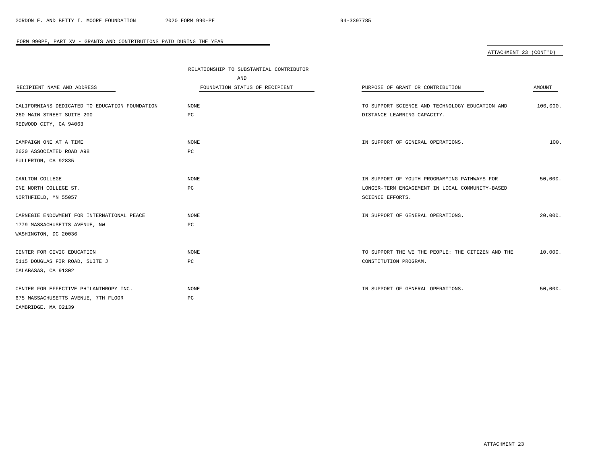# ATTACHMENT 23 (CONT'D)

|                                                | RELATIONSHIP TO SUBSTANTIAL CONTRIBUTOR |                                                   |          |
|------------------------------------------------|-----------------------------------------|---------------------------------------------------|----------|
|                                                | AND                                     |                                                   |          |
| RECIPIENT NAME AND ADDRESS                     | FOUNDATION STATUS OF RECIPIENT          | PURPOSE OF GRANT OR CONTRIBUTION                  | AMOUNT   |
|                                                |                                         |                                                   |          |
| CALIFORNIANS DEDICATED TO EDUCATION FOUNDATION | NONE                                    | TO SUPPORT SCIENCE AND TECHNOLOGY EDUCATION AND   | 100,000. |
| 260 MAIN STREET SUITE 200                      | РC                                      | DISTANCE LEARNING CAPACITY.                       |          |
| REDWOOD CITY, CA 94063                         |                                         |                                                   |          |
|                                                |                                         |                                                   |          |
| CAMPAIGN ONE AT A TIME                         | <b>NONE</b>                             | IN SUPPORT OF GENERAL OPERATIONS.                 | 100.     |
| 2620 ASSOCIATED ROAD A98                       | PC                                      |                                                   |          |
| FULLERTON, CA 92835                            |                                         |                                                   |          |
|                                                |                                         |                                                   |          |
| CARLTON COLLEGE                                | NONE                                    | IN SUPPORT OF YOUTH PROGRAMMING PATHWAYS FOR      | 50,000.  |
| ONE NORTH COLLEGE ST.                          | РC                                      | LONGER-TERM ENGAGEMENT IN LOCAL COMMUNITY-BASED   |          |
| NORTHFIELD, MN 55057                           |                                         | SCIENCE EFFORTS.                                  |          |
|                                                |                                         |                                                   |          |
| CARNEGIE ENDOWMENT FOR INTERNATIONAL PEACE     | NONE                                    | IN SUPPORT OF GENERAL OPERATIONS.                 | 20,000.  |
| 1779 MASSACHUSETTS AVENUE, NW                  | РC                                      |                                                   |          |
| WASHINGTON, DC 20036                           |                                         |                                                   |          |
|                                                |                                         |                                                   |          |
| CENTER FOR CIVIC EDUCATION                     | NONE                                    | TO SUPPORT THE WE THE PEOPLE: THE CITIZEN AND THE | 10,000.  |
| 5115 DOUGLAS FIR ROAD, SUITE J                 | РC                                      | CONSTITUTION PROGRAM.                             |          |
| CALABASAS, CA 91302                            |                                         |                                                   |          |
|                                                |                                         |                                                   |          |
| CENTER FOR EFFECTIVE PHILANTHROPY INC.         | NONE                                    | IN SUPPORT OF GENERAL OPERATIONS.                 | 50,000.  |
| 675 MASSACHUSETTS AVENUE, 7TH FLOOR            | PC                                      |                                                   |          |
| CAMBRIDGE, MA 02139                            |                                         |                                                   |          |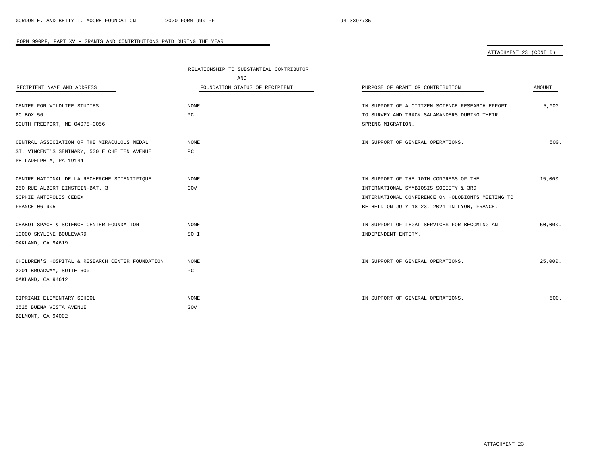### ATTACHMENT 23 (CONT'D)

|                                                  | RELATIONSHIP TO SUBSTANTIAL CONTRIBUTOR |                                                   |         |
|--------------------------------------------------|-----------------------------------------|---------------------------------------------------|---------|
|                                                  | AND                                     |                                                   |         |
| RECIPIENT NAME AND ADDRESS                       | FOUNDATION STATUS OF RECIPIENT          | PURPOSE OF GRANT OR CONTRIBUTION                  | AMOUNT  |
|                                                  |                                         |                                                   |         |
| CENTER FOR WILDLIFE STUDIES                      | NONE                                    | IN SUPPORT OF A CITIZEN SCIENCE RESEARCH EFFORT   | 5,000.  |
| PO BOX 56                                        | PC                                      | TO SURVEY AND TRACK SALAMANDERS DURING THEIR      |         |
| SOUTH FREEPORT, ME 04078-0056                    |                                         | SPRING MIGRATION.                                 |         |
|                                                  |                                         |                                                   |         |
| CENTRAL ASSOCIATION OF THE MIRACULOUS MEDAL      | NONE                                    | IN SUPPORT OF GENERAL OPERATIONS.                 | 500.    |
| ST. VINCENT'S SEMINARY, 500 E CHELTEN AVENUE     | PC                                      |                                                   |         |
| PHILADELPHIA, PA 19144                           |                                         |                                                   |         |
|                                                  |                                         |                                                   |         |
| CENTRE NATIONAL DE LA RECHERCHE SCIENTIFIQUE     | NONE                                    | IN SUPPORT OF THE 10TH CONGRESS OF THE            | 15,000. |
| 250 RUE ALBERT EINSTEIN-BAT. 3                   | GOV                                     | INTERNATIONAL SYMBIOSIS SOCIETY & 3RD             |         |
| SOPHIE ANTIPOLIS CEDEX                           |                                         | INTERNATIONAL CONFERENCE ON HOLOBIONTS MEETING TO |         |
| <b>FRANCE 06 905</b>                             |                                         | BE HELD ON JULY 18-23, 2021 IN LYON, FRANCE.      |         |
|                                                  |                                         |                                                   |         |
| CHABOT SPACE & SCIENCE CENTER FOUNDATION         | NONE                                    | IN SUPPORT OF LEGAL SERVICES FOR BECOMING AN      | 50,000. |
| 10000 SKYLINE BOULEVARD                          | SO I                                    | INDEPENDENT ENTITY.                               |         |
| OAKLAND, CA 94619                                |                                         |                                                   |         |
|                                                  |                                         |                                                   |         |
| CHILDREN'S HOSPITAL & RESEARCH CENTER FOUNDATION | NONE                                    | IN SUPPORT OF GENERAL OPERATIONS.                 | 25,000. |
| 2201 BROADWAY, SUITE 600                         | РC                                      |                                                   |         |
| OAKLAND, CA 94612                                |                                         |                                                   |         |
|                                                  |                                         |                                                   |         |
| CIPRIANI ELEMENTARY SCHOOL                       | NONE                                    | IN SUPPORT OF GENERAL OPERATIONS.                 | 500.    |
| 2525 BUENA VISTA AVENUE                          | GOV                                     |                                                   |         |
| BELMONT, CA 94002                                |                                         |                                                   |         |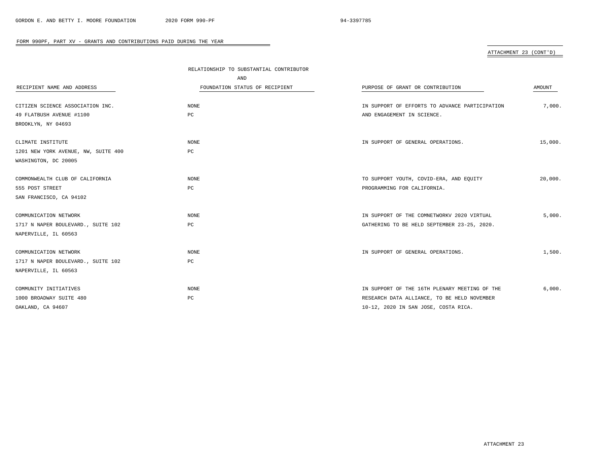# ATTACHMENT 23 (CONT'D)

|                                     | RELATIONSHIP TO SUBSTANTIAL CONTRIBUTOR |                                                |               |
|-------------------------------------|-----------------------------------------|------------------------------------------------|---------------|
|                                     | AND                                     |                                                |               |
| RECIPIENT NAME AND ADDRESS          | FOUNDATION STATUS OF RECIPIENT          | PURPOSE OF GRANT OR CONTRIBUTION               | <b>AMOUNT</b> |
| CITIZEN SCIENCE ASSOCIATION INC.    | NONE                                    | IN SUPPORT OF EFFORTS TO ADVANCE PARTICIPATION | 7,000.        |
| 49 FLATBUSH AVENUE #1100            | PC                                      | AND ENGAGEMENT IN SCIENCE.                     |               |
| BROOKLYN, NY 04693                  |                                         |                                                |               |
| CLIMATE INSTITUTE                   | NONE                                    | IN SUPPORT OF GENERAL OPERATIONS.              | 15,000.       |
| 1201 NEW YORK AVENUE, NW, SUITE 400 | РC                                      |                                                |               |
| WASHINGTON, DC 20005                |                                         |                                                |               |
| COMMONWEALTH CLUB OF CALIFORNIA     | <b>NONE</b>                             | TO SUPPORT YOUTH, COVID-ERA, AND EQUITY        | 20,000.       |
| 555 POST STREET                     | PC                                      | PROGRAMMING FOR CALIFORNIA.                    |               |
| SAN FRANCISCO, CA 94102             |                                         |                                                |               |
| COMMUNICATION NETWORK               | NONE                                    | IN SUPPORT OF THE COMNETWORKV 2020 VIRTUAL     | 5,000.        |
| 1717 N NAPER BOULEVARD., SUITE 102  | РC                                      | GATHERING TO BE HELD SEPTEMBER 23-25, 2020.    |               |
| NAPERVILLE, IL 60563                |                                         |                                                |               |
| COMMUNICATION NETWORK               | NONE                                    | IN SUPPORT OF GENERAL OPERATIONS.              | 1,500.        |
| 1717 N NAPER BOULEVARD., SUITE 102  | РC                                      |                                                |               |
| NAPERVILLE, IL 60563                |                                         |                                                |               |
| COMMUNITY INITIATIVES               | <b>NONE</b>                             | IN SUPPORT OF THE 16TH PLENARY MEETING OF THE  | 6,000.        |
| 1000 BROADWAY SUITE 480             | РC                                      | RESEARCH DATA ALLIANCE, TO BE HELD NOVEMBER    |               |
| OAKLAND, CA 94607                   |                                         | 10-12, 2020 IN SAN JOSE, COSTA RICA.           |               |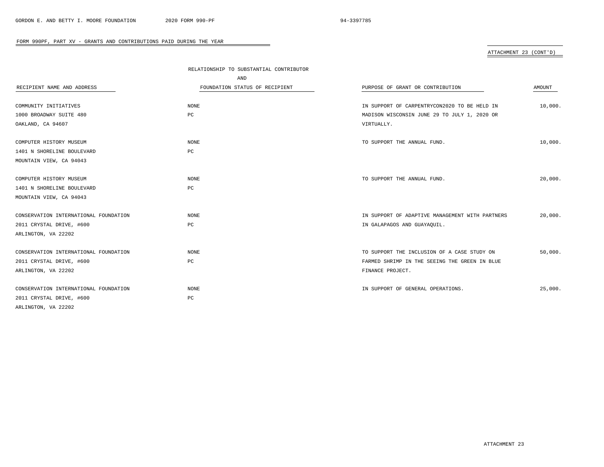# ATTACHMENT 23 (CONT'D)

|                                       | RELATIONSHIP TO SUBSTANTIAL CONTRIBUTOR |                                                 |         |
|---------------------------------------|-----------------------------------------|-------------------------------------------------|---------|
|                                       | AND                                     |                                                 |         |
| RECIPIENT NAME AND ADDRESS            | FOUNDATION STATUS OF RECIPIENT          | PURPOSE OF GRANT OR CONTRIBUTION                | AMOUNT  |
|                                       |                                         |                                                 |         |
| COMMUNITY INITIATIVES                 | NONE                                    | IN SUPPORT OF CARPENTRYCON2020 TO BE HELD IN    | 10,000. |
| 1000 BROADWAY SUITE 480               | PC                                      | MADISON WISCONSIN JUNE 29 TO JULY 1, 2020 OR    |         |
| OAKLAND, CA 94607                     |                                         | VIRTUALLY.                                      |         |
| COMPUTER HISTORY MUSEUM               | NONE                                    | TO SUPPORT THE ANNUAL FUND.                     | 10,000. |
| 1401 N SHORELINE BOULEVARD            | PC                                      |                                                 |         |
| MOUNTAIN VIEW, CA 94043               |                                         |                                                 |         |
|                                       |                                         |                                                 |         |
| COMPUTER HISTORY MUSEUM               | NONE                                    | TO SUPPORT THE ANNUAL FUND.                     | 20,000. |
| 1401 N SHORELINE BOULEVARD            | PC                                      |                                                 |         |
| MOUNTAIN VIEW, CA 94043               |                                         |                                                 |         |
|                                       |                                         |                                                 |         |
| CONSERVATION INTERNATIONAL FOUNDATION | NONE                                    | IN SUPPORT OF ADAPTIVE MANAGEMENT WITH PARTNERS | 20,000. |
| 2011 CRYSTAL DRIVE, #600              | PC                                      | IN GALAPAGOS AND GUAYAQUIL.                     |         |
| ARLINGTON, VA 22202                   |                                         |                                                 |         |
| CONSERVATION INTERNATIONAL FOUNDATION | NONE                                    | TO SUPPORT THE INCLUSION OF A CASE STUDY ON     | 50,000. |
| 2011 CRYSTAL DRIVE, #600              | $_{\rm PC}$                             | FARMED SHRIMP IN THE SEEING THE GREEN IN BLUE   |         |
| ARLINGTON, VA 22202                   |                                         | FINANCE PROJECT.                                |         |
|                                       |                                         |                                                 |         |
| CONSERVATION INTERNATIONAL FOUNDATION | <b>NONE</b>                             | IN SUPPORT OF GENERAL OPERATIONS.               | 25,000. |
| 2011 CRYSTAL DRIVE, #600              | PC                                      |                                                 |         |
| ARLINGTON, VA 22202                   |                                         |                                                 |         |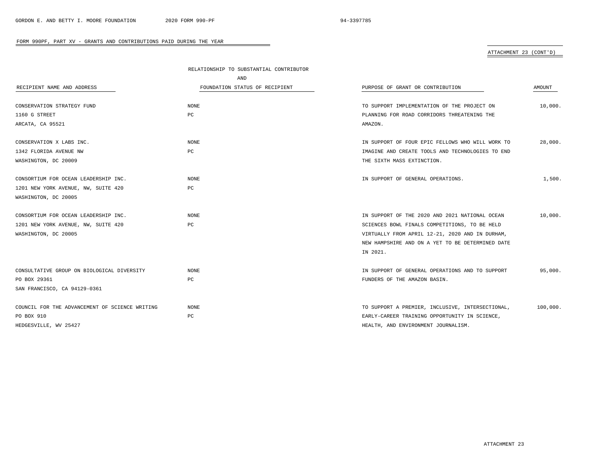# ATTACHMENT 23 (CONT'D)

|                                                | RELATIONSHIP TO SUBSTANTIAL CONTRIBUTOR |                                                  |          |
|------------------------------------------------|-----------------------------------------|--------------------------------------------------|----------|
|                                                | AND                                     |                                                  |          |
| RECIPIENT NAME AND ADDRESS                     | FOUNDATION STATUS OF RECIPIENT          | PURPOSE OF GRANT OR CONTRIBUTION                 | AMOUNT   |
| CONSERVATION STRATEGY FUND                     | <b>NONE</b>                             | TO SUPPORT IMPLEMENTATION OF THE PROJECT ON      | 10,000.  |
| 1160 G STREET                                  | PC                                      | PLANNING FOR ROAD CORRIDORS THREATENING THE      |          |
| ARCATA, CA 95521                               |                                         | AMAZON.                                          |          |
| CONSERVATION X LABS INC.                       | <b>NONE</b>                             | IN SUPPORT OF FOUR EPIC FELLOWS WHO WILL WORK TO | 28,000.  |
| 1342 FLORIDA AVENUE NW                         | PC                                      | IMAGINE AND CREATE TOOLS AND TECHNOLOGIES TO END |          |
| WASHINGTON, DC 20009                           |                                         | THE SIXTH MASS EXTINCTION.                       |          |
| CONSORTIUM FOR OCEAN LEADERSHIP INC.           | <b>NONE</b>                             | IN SUPPORT OF GENERAL OPERATIONS.                | 1,500.   |
| 1201 NEW YORK AVENUE, NW, SUITE 420            | PC                                      |                                                  |          |
| WASHINGTON, DC 20005                           |                                         |                                                  |          |
| CONSORTIUM FOR OCEAN LEADERSHIP INC.           | <b>NONE</b>                             | IN SUPPORT OF THE 2020 AND 2021 NATIONAL OCEAN   | 10,000.  |
| 1201 NEW YORK AVENUE, NW, SUITE 420            | PC                                      | SCIENCES BOWL FINALS COMPETITIONS, TO BE HELD    |          |
| WASHINGTON, DC 20005                           |                                         | VIRTUALLY FROM APRIL 12-21, 2020 AND IN DURHAM,  |          |
|                                                |                                         | NEW HAMPSHIRE AND ON A YET TO BE DETERMINED DATE |          |
|                                                |                                         | IN 2021.                                         |          |
| CONSULTATIVE GROUP ON BIOLOGICAL DIVERSITY     | <b>NONE</b>                             | IN SUPPORT OF GENERAL OPERATIONS AND TO SUPPORT  | 95,000.  |
| PO BOX 29361                                   | PC                                      | FUNDERS OF THE AMAZON BASIN.                     |          |
| SAN FRANCISCO, CA 94129-0361                   |                                         |                                                  |          |
| COUNCIL FOR THE ADVANCEMENT OF SCIENCE WRITING | <b>NONE</b>                             | TO SUPPORT A PREMIER, INCLUSIVE, INTERSECTIONAL, | 100,000. |
| PO BOX 910                                     | PC                                      | EARLY-CAREER TRAINING OPPORTUNITY IN SCIENCE,    |          |
| HEDGESVILLE, WV 25427                          |                                         | HEALTH, AND ENVIRONMENT JOURNALISM.              |          |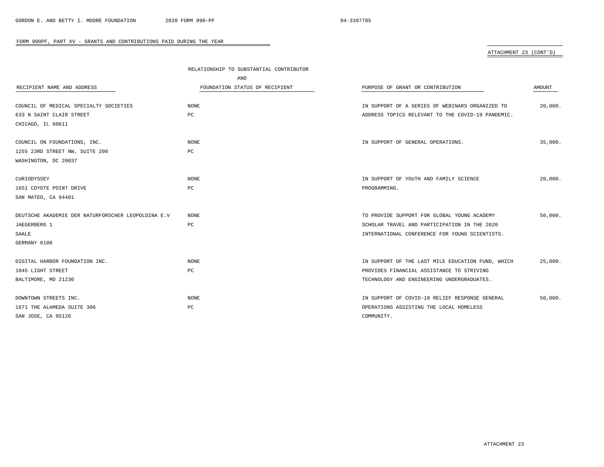# ATTACHMENT 23 (CONT'D)

|                                                    | RELATIONSHIP TO SUBSTANTIAL CONTRIBUTOR |                                                   |         |
|----------------------------------------------------|-----------------------------------------|---------------------------------------------------|---------|
|                                                    | AND                                     |                                                   |         |
| RECIPIENT NAME AND ADDRESS                         | FOUNDATION STATUS OF RECIPIENT          | PURPOSE OF GRANT OR CONTRIBUTION                  | AMOUNT  |
|                                                    |                                         |                                                   |         |
| COUNCIL OF MEDICAL SPECIALTY SOCIETIES             | <b>NONE</b>                             | IN SUPPORT OF A SERIES OF WEBINARS ORGANIZED TO   | 20.000. |
| 633 N SAINT CLAIR STREET                           | PC                                      | ADDRESS TOPICS RELEVANT TO THE COVID-19 PANDEMIC. |         |
| CHICAGO, IL 60611                                  |                                         |                                                   |         |
|                                                    |                                         |                                                   |         |
| COUNCIL ON FOUNDATIONS, INC.                       | NONE                                    | IN SUPPORT OF GENERAL OPERATIONS.                 | 35,000. |
| 1255 23RD STREET NW, SUITE 200                     | PC                                      |                                                   |         |
| WASHINGTON, DC 20037                               |                                         |                                                   |         |
|                                                    |                                         |                                                   |         |
| CURIODYSSEY                                        | NONE                                    | IN SUPPORT OF YOUTH AND FAMILY SCIENCE            | 20,000. |
| 1651 COYOTE POINT DRIVE                            | PC                                      | PROGRAMMING.                                      |         |
| SAN MATEO, CA 94401                                |                                         |                                                   |         |
|                                                    |                                         |                                                   |         |
| DEUTSCHE AKADEMIE DER NATURFORSCHER LEOPOLDINA E.V | NONE                                    | TO PROVIDE SUPPORT FOR GLOBAL YOUNG ACADEMY       | 50.000. |
| JAEGERBERG 1                                       | PC                                      | SCHOLAR TRAVEL AND PARTICIPATION IN THE 2020      |         |
| SAALE                                              |                                         | INTERNATIONAL CONFERENCE FOR YOUNG SCIENTISTS.    |         |
| GERMANY 6108                                       |                                         |                                                   |         |
|                                                    |                                         |                                                   |         |
| DIGITAL HARBOR FOUNDATION INC.                     | NONE                                    | IN SUPPORT OF THE LAST MILE EDUCATION FUND, WHICH | 25,000. |
| 1045 LIGHT STREET                                  | PC                                      | PROVIDES FINANCIAL ASSISTANCE TO STRIVING         |         |
| BALTIMORE, MD 21230                                |                                         | TECHNOLOGY AND ENGINEERING UNDERGRADUATES.        |         |
|                                                    |                                         |                                                   |         |
| DOWNTOWN STREETS INC.                              | NONE                                    | IN SUPPORT OF COVID-19 RELIEF RESPONSE GENERAL    | 50,000. |
| 1671 THE ALAMEDA SUITE 306                         | PC                                      | OPERATIONS ASSISTING THE LOCAL HOMELESS           |         |
| SAN JOSE, CA 95126                                 |                                         | COMMUNITY.                                        |         |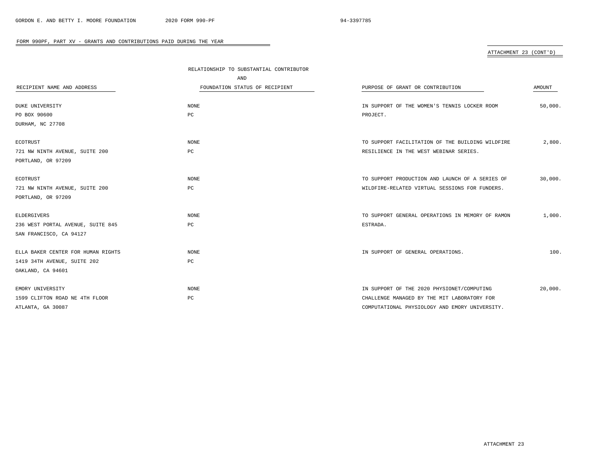# ATTACHMENT 23 (CONT'D)

|                                    | RELATIONSHIP TO SUBSTANTIAL CONTRIBUTOR |                                                  |         |
|------------------------------------|-----------------------------------------|--------------------------------------------------|---------|
|                                    | AND                                     |                                                  |         |
| RECIPIENT NAME AND ADDRESS         | FOUNDATION STATUS OF RECIPIENT          | PURPOSE OF GRANT OR CONTRIBUTION                 | AMOUNT  |
| <b>DUKE UNIVERSITY</b>             | <b>NONE</b>                             | IN SUPPORT OF THE WOMEN'S TENNIS LOCKER ROOM     | 50,000. |
| PO BOX 90600                       | PC                                      | PROJECT.                                         |         |
| DURHAM, NC 27708                   |                                         |                                                  |         |
| <b>ECOTRUST</b>                    | NONE                                    | TO SUPPORT FACILITATION OF THE BUILDING WILDFIRE | 2,800.  |
| 721 NW NINTH AVENUE, SUITE 200     | РC                                      | RESILIENCE IN THE WEST WEBINAR SERIES.           |         |
| PORTLAND, OR 97209                 |                                         |                                                  |         |
| <b>ECOTRUST</b>                    | <b>NONE</b>                             | TO SUPPORT PRODUCTION AND LAUNCH OF A SERIES OF  | 30,000. |
| 721 NW NINTH AVENUE, SUITE 200     | РC                                      | WILDFIRE-RELATED VIRTUAL SESSIONS FOR FUNDERS.   |         |
| PORTLAND, OR 97209                 |                                         |                                                  |         |
| ELDERGIVERS                        | <b>NONE</b>                             | TO SUPPORT GENERAL OPERATIONS IN MEMORY OF RAMON | 1,000.  |
| 236 WEST PORTAL AVENUE, SUITE 845  | РC                                      | ESTRADA.                                         |         |
| SAN FRANCISCO, CA 94127            |                                         |                                                  |         |
| ELLA BAKER CENTER FOR HUMAN RIGHTS | NONE                                    | IN SUPPORT OF GENERAL OPERATIONS.                | 100.    |
| 1419 34TH AVENUE, SUITE 202        | PC                                      |                                                  |         |
| OAKLAND, CA 94601                  |                                         |                                                  |         |
| EMORY UNIVERSITY                   | NONE                                    | IN SUPPORT OF THE 2020 PHYSIONET/COMPUTING       | 20,000. |
| 1599 CLIFTON ROAD NE 4TH FLOOR     | PC                                      | CHALLENGE MANAGED BY THE MIT LABORATORY FOR      |         |
| ATLANTA, GA 30087                  |                                         | COMPUTATIONAL PHYSIOLOGY AND EMORY UNIVERSITY.   |         |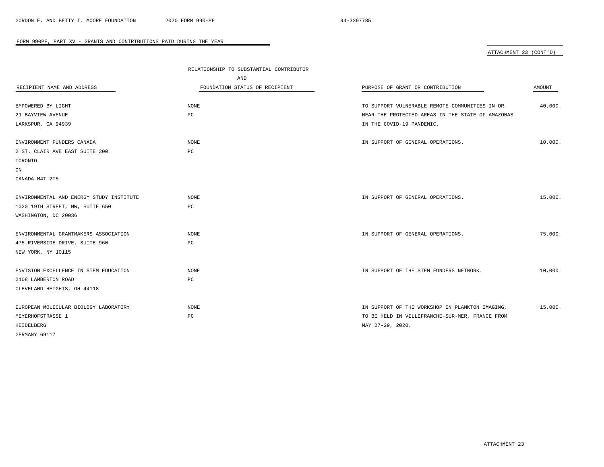ATTACHMENT 23 (CONT'D)

|                                          | RELATIONSHIP TO SUBSTANTIAL CONTRIBUTOR |                                                   |         |
|------------------------------------------|-----------------------------------------|---------------------------------------------------|---------|
|                                          | AND                                     |                                                   |         |
| RECIPIENT NAME AND ADDRESS               | FOUNDATION STATUS OF RECIPIENT          | PURPOSE OF GRANT OR CONTRIBUTION                  | AMOUNT  |
|                                          |                                         |                                                   |         |
| EMPOWERED BY LIGHT                       | NONE                                    | TO SUPPORT VULNERABLE REMOTE COMMUNITIES IN OR    | 40,000. |
| 21 BAYVIEW AVENUE                        | PC                                      | NEAR THE PROTECTED AREAS IN THE STATE OF AMAZONAS |         |
| LARKSPUR, CA 94939                       |                                         | IN THE COVID-19 PANDEMIC.                         |         |
| ENVIRONMENT FUNDERS CANADA               | <b>NONE</b>                             | IN SUPPORT OF GENERAL OPERATIONS.                 | 10,000. |
| 2 ST. CLAIR AVE EAST SUITE 300           | $_{\rm PC}$                             |                                                   |         |
| TORONTO                                  |                                         |                                                   |         |
| ON                                       |                                         |                                                   |         |
| CANADA M4T 2T5                           |                                         |                                                   |         |
|                                          |                                         |                                                   |         |
| ENVIRONMENTAL AND ENERGY STUDY INSTITUTE | NONE                                    | IN SUPPORT OF GENERAL OPERATIONS.                 | 15,000. |
| 1020 19TH STREET, NW, SUITE 650          | PC                                      |                                                   |         |
| WASHINGTON, DC 20036                     |                                         |                                                   |         |
|                                          |                                         |                                                   |         |
| ENVIRONMENTAL GRANTMAKERS ASSOCIATION    | <b>NONE</b>                             | IN SUPPORT OF GENERAL OPERATIONS.                 | 75,000. |
| 475 RIVERSIDE DRIVE, SUITE 960           | PC                                      |                                                   |         |
| NEW YORK, NY 10115                       |                                         |                                                   |         |
|                                          |                                         |                                                   |         |
| ENVISION EXCELLENCE IN STEM EDUCATION    | NONE                                    | IN SUPPORT OF THE STEM FUNDERS NETWORK.           | 10,000. |
| 2108 LAMBERTON ROAD                      | PC                                      |                                                   |         |
| CLEVELAND HEIGHTS, OH 44118              |                                         |                                                   |         |
|                                          |                                         |                                                   |         |
| EUROPEAN MOLECULAR BIOLOGY LABORATORY    | NONE                                    | IN SUPPORT OF THE WORKSHOP IN PLANKTON IMAGING,   | 15,000. |
| MEYERHOFSTRASSE 1                        | $_{\rm PC}$                             | TO BE HELD IN VILLEFRANCHE-SUR-MER, FRANCE FROM   |         |
| HEIDELBERG                               |                                         | MAY 27-29, 2020.                                  |         |
| GERMANY 69117                            |                                         |                                                   |         |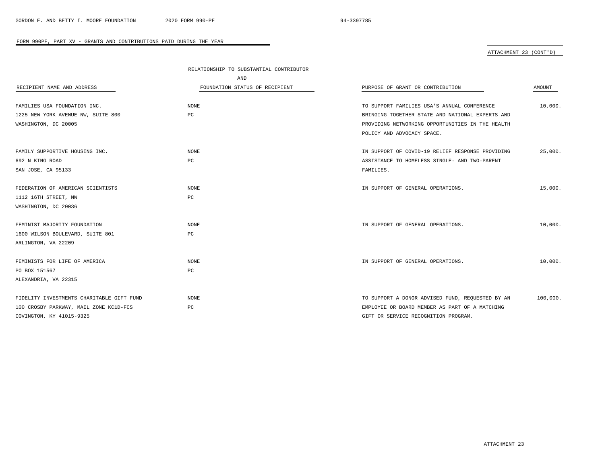# ATTACHMENT 23 (CONT'D)

|                                           | RELATIONSHIP TO SUBSTANTIAL CONTRIBUTOR |                                                  |          |
|-------------------------------------------|-----------------------------------------|--------------------------------------------------|----------|
|                                           | AND                                     |                                                  |          |
| RECIPIENT NAME AND ADDRESS                | FOUNDATION STATUS OF RECIPIENT          | PURPOSE OF GRANT OR CONTRIBUTION                 | AMOUNT   |
| FAMILIES USA FOUNDATION INC.              | NONE                                    | TO SUPPORT FAMILIES USA'S ANNUAL CONFERENCE      | 10,000.  |
| 1225 NEW YORK AVENUE NW, SUITE 800        | РC                                      | BRINGING TOGETHER STATE AND NATIONAL EXPERTS AND |          |
|                                           |                                         |                                                  |          |
| WASHINGTON, DC 20005                      |                                         | PROVIDING NETWORKING OPPORTUNITIES IN THE HEALTH |          |
|                                           |                                         | POLICY AND ADVOCACY SPACE.                       |          |
| FAMILY SUPPORTIVE HOUSING INC.            | NONE                                    | IN SUPPORT OF COVID-19 RELIEF RESPONSE PROVIDING | 25,000.  |
| 692 N KING ROAD                           | РC                                      | ASSISTANCE TO HOMELESS SINGLE- AND TWO-PARENT    |          |
| SAN JOSE, CA 95133                        |                                         | FAMILIES.                                        |          |
| FEDERATION OF AMERICAN SCIENTISTS         | NONE                                    | IN SUPPORT OF GENERAL OPERATIONS.                | 15,000.  |
| 1112 16TH STREET, NW                      | РC                                      |                                                  |          |
| WASHINGTON, DC 20036                      |                                         |                                                  |          |
|                                           |                                         |                                                  |          |
| FEMINIST MAJORITY FOUNDATION              | NONE                                    | IN SUPPORT OF GENERAL OPERATIONS.                | 10,000.  |
| 1600 WILSON BOULEVARD, SUITE 801          | $_{\rm PC}$                             |                                                  |          |
| ARLINGTON, VA 22209                       |                                         |                                                  |          |
| FEMINISTS FOR LIFE OF AMERICA             | <b>NONE</b>                             | IN SUPPORT OF GENERAL OPERATIONS.                | 10,000.  |
| PO BOX 151567                             | РC                                      |                                                  |          |
| ALEXANDRIA, VA 22315                      |                                         |                                                  |          |
|                                           |                                         |                                                  |          |
| FIDELITY INVESTMENTS CHARITABLE GIFT FUND | <b>NONE</b>                             | TO SUPPORT A DONOR ADVISED FUND, REQUESTED BY AN | 100,000. |
| 100 CROSBY PARKWAY, MAIL ZONE KC1D-FCS    | РC                                      | EMPLOYEE OR BOARD MEMBER AS PART OF A MATCHING   |          |
| COVINGTON, KY 41015-9325                  |                                         | GIFT OR SERVICE RECOGNITION PROGRAM.             |          |

-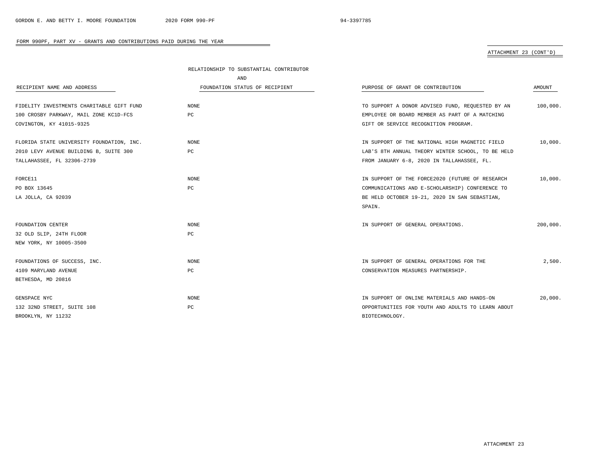# ATTACHMENT 23 (CONT'D)

|                                           | RELATIONSHIP TO SUBSTANTIAL CONTRIBUTOR |                                                   |          |
|-------------------------------------------|-----------------------------------------|---------------------------------------------------|----------|
|                                           | AND                                     |                                                   |          |
| RECIPIENT NAME AND ADDRESS                | FOUNDATION STATUS OF RECIPIENT          | PURPOSE OF GRANT OR CONTRIBUTION                  | AMOUNT   |
| FIDELITY INVESTMENTS CHARITABLE GIFT FUND | NONE                                    | TO SUPPORT A DONOR ADVISED FUND, REQUESTED BY AN  | 100,000. |
| 100 CROSBY PARKWAY, MAIL ZONE KC1D-FCS    | РC                                      | EMPLOYEE OR BOARD MEMBER AS PART OF A MATCHING    |          |
| COVINGTON, KY 41015-9325                  |                                         | GIFT OR SERVICE RECOGNITION PROGRAM.              |          |
| FLORIDA STATE UNIVERSITY FOUNDATION, INC. | NONE                                    | IN SUPPORT OF THE NATIONAL HIGH MAGNETIC FIELD    | 10,000.  |
| 2010 LEVY AVENUE BUILDING B, SUITE 300    | PC                                      | LAB'S 8TH ANNUAL THEORY WINTER SCHOOL, TO BE HELD |          |
| TALLAHASSEE, FL 32306-2739                |                                         | FROM JANUARY 6-8, 2020 IN TALLAHASSEE, FL.        |          |
| FORCE11                                   | NONE                                    | IN SUPPORT OF THE FORCE2020 (FUTURE OF RESEARCH   | 10,000.  |
| PO BOX 13645                              | PC                                      | COMMUNICATIONS AND E-SCHOLARSHIP) CONFERENCE TO   |          |
| LA JOLLA, CA 92039                        |                                         | BE HELD OCTOBER 19-21, 2020 IN SAN SEBASTIAN,     |          |
|                                           |                                         | SPAIN.                                            |          |
| FOUNDATION CENTER                         | <b>NONE</b>                             | IN SUPPORT OF GENERAL OPERATIONS.                 | 200,000. |
| 32 OLD SLIP, 24TH FLOOR                   | PC                                      |                                                   |          |
| NEW YORK, NY 10005-3500                   |                                         |                                                   |          |
| FOUNDATIONS OF SUCCESS, INC.              | NONE                                    | IN SUPPORT OF GENERAL OPERATIONS FOR THE          | 2,500.   |
| 4109 MARYLAND AVENUE                      | РC                                      | CONSERVATION MEASURES PARTNERSHIP.                |          |
| BETHESDA, MD 20816                        |                                         |                                                   |          |
| GENSPACE NYC                              | NONE                                    | IN SUPPORT OF ONLINE MATERIALS AND HANDS-ON       | 20,000.  |
| 132 32ND STREET, SUITE 108                | PC                                      | OPPORTUNITIES FOR YOUTH AND ADULTS TO LEARN ABOUT |          |
| BROOKLYN, NY 11232                        |                                         | BIOTECHNOLOGY.                                    |          |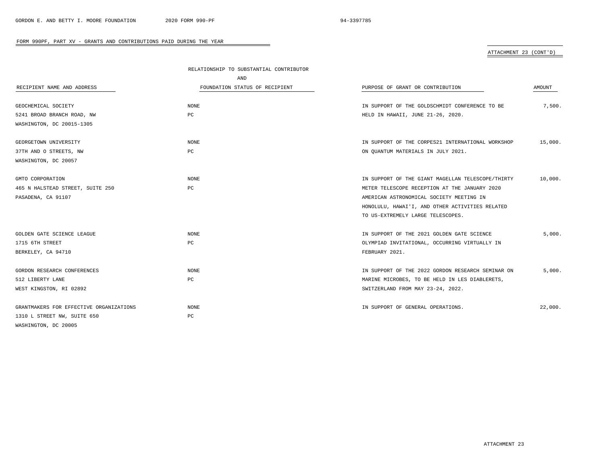# ATTACHMENT 23 (CONT'D)

|                                         | RELATIONSHIP TO SUBSTANTIAL CONTRIBUTOR |                                                   |         |
|-----------------------------------------|-----------------------------------------|---------------------------------------------------|---------|
|                                         | AND                                     |                                                   |         |
| RECIPIENT NAME AND ADDRESS              | FOUNDATION STATUS OF RECIPIENT          | PURPOSE OF GRANT OR CONTRIBUTION                  | AMOUNT  |
|                                         |                                         |                                                   |         |
| GEOCHEMICAL SOCIETY                     | NONE                                    | IN SUPPORT OF THE GOLDSCHMIDT CONFERENCE TO BE    | 7,500.  |
| 5241 BROAD BRANCH ROAD, NW              | PC                                      | HELD IN HAWAII, JUNE 21-26, 2020.                 |         |
| WASHINGTON, DC 20015-1305               |                                         |                                                   |         |
| GEORGETOWN UNIVERSITY                   | NONE                                    | IN SUPPORT OF THE CORPES21 INTERNATIONAL WORKSHOP | 15,000. |
| 37TH AND O STREETS, NW                  | РC                                      | ON QUANTUM MATERIALS IN JULY 2021.                |         |
| WASHINGTON, DC 20057                    |                                         |                                                   |         |
| GMTO CORPORATION                        | NONE                                    | IN SUPPORT OF THE GIANT MAGELLAN TELESCOPE/THIRTY | 10,000. |
| 465 N HALSTEAD STREET, SUITE 250        | РC                                      | METER TELESCOPE RECEPTION AT THE JANUARY 2020     |         |
| PASADENA, CA 91107                      |                                         | AMERICAN ASTRONOMICAL SOCIETY MEETING IN          |         |
|                                         |                                         | HONOLULU, HAWAI'I, AND OTHER ACTIVITIES RELATED   |         |
|                                         |                                         | TO US-EXTREMELY LARGE TELESCOPES.                 |         |
| GOLDEN GATE SCIENCE LEAGUE              | NONE                                    | IN SUPPORT OF THE 2021 GOLDEN GATE SCIENCE        | 5,000.  |
| 1715 6TH STREET                         | PC                                      | OLYMPIAD INVITATIONAL, OCCURRING VIRTUALLY IN     |         |
| BERKELEY, CA 94710                      |                                         | FEBRUARY 2021.                                    |         |
| GORDON RESEARCH CONFERENCES             | NONE                                    | IN SUPPORT OF THE 2022 GORDON RESEARCH SEMINAR ON | 5,000.  |
| 512 LIBERTY LANE                        | PC                                      | MARINE MICROBES, TO BE HELD IN LES DIABLERETS,    |         |
| WEST KINGSTON, RI 02892                 |                                         | SWITZERLAND FROM MAY 23-24, 2022.                 |         |
| GRANTMAKERS FOR EFFECTIVE ORGANIZATIONS | NONE                                    | IN SUPPORT OF GENERAL OPERATIONS.                 | 22,000. |
| 1310 L STREET NW, SUITE 650             | $_{\rm PC}$                             |                                                   |         |
| WASHINGTON, DC 20005                    |                                         |                                                   |         |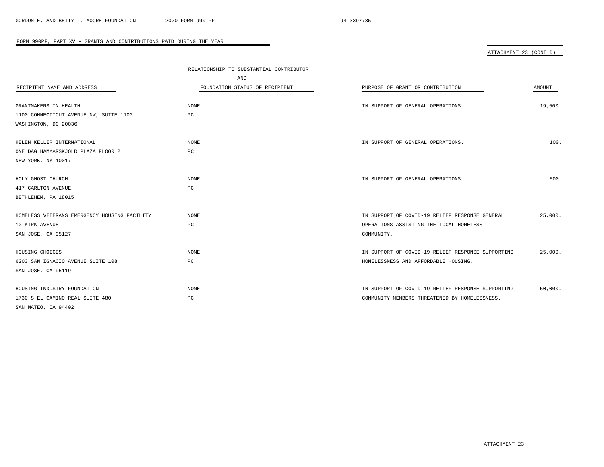# ATTACHMENT 23 (CONT'D)

|                                              | RELATIONSHIP TO SUBSTANTIAL CONTRIBUTOR |                                                   |         |
|----------------------------------------------|-----------------------------------------|---------------------------------------------------|---------|
|                                              | AND                                     |                                                   |         |
| RECIPIENT NAME AND ADDRESS                   | FOUNDATION STATUS OF RECIPIENT          | PURPOSE OF GRANT OR CONTRIBUTION                  | AMOUNT  |
|                                              |                                         |                                                   |         |
| GRANTMAKERS IN HEALTH                        | $\rm{NONE}$                             | IN SUPPORT OF GENERAL OPERATIONS.                 | 19,500. |
| 1100 CONNECTICUT AVENUE NW, SUITE 1100       | PC                                      |                                                   |         |
| WASHINGTON, DC 20036                         |                                         |                                                   |         |
|                                              |                                         |                                                   |         |
| HELEN KELLER INTERNATIONAL                   | NONE                                    | IN SUPPORT OF GENERAL OPERATIONS.                 | 100.    |
| ONE DAG HAMMARSKJOLD PLAZA FLOOR 2           | PC                                      |                                                   |         |
| NEW YORK, NY 10017                           |                                         |                                                   |         |
|                                              |                                         |                                                   |         |
| HOLY GHOST CHURCH                            | <b>NONE</b>                             | IN SUPPORT OF GENERAL OPERATIONS.                 | 500.    |
| 417 CARLTON AVENUE                           | PC                                      |                                                   |         |
| BETHLEHEM, PA 18015                          |                                         |                                                   |         |
|                                              |                                         |                                                   |         |
| HOMELESS VETERANS EMERGENCY HOUSING FACILITY | <b>NONE</b>                             | IN SUPPORT OF COVID-19 RELIEF RESPONSE GENERAL    | 25,000. |
| 10 KIRK AVENUE                               | PC                                      | OPERATIONS ASSISTING THE LOCAL HOMELESS           |         |
| SAN JOSE, CA 95127                           |                                         | COMMUNITY.                                        |         |
|                                              |                                         |                                                   |         |
| HOUSING CHOICES                              | NONE                                    | IN SUPPORT OF COVID-19 RELIEF RESPONSE SUPPORTING | 25,000. |
| 6203 SAN IGNACIO AVENUE SUITE 108            | PC                                      | HOMELESSNESS AND AFFORDABLE HOUSING.              |         |
| SAN JOSE, CA 95119                           |                                         |                                                   |         |
| HOUSING INDUSTRY FOUNDATION                  | <b>NONE</b>                             | IN SUPPORT OF COVID-19 RELIEF RESPONSE SUPPORTING | 50,000. |
| 1730 S EL CAMINO REAL SUITE 480              | PC                                      | COMMUNITY MEMBERS THREATENED BY HOMELESSNESS.     |         |
|                                              |                                         |                                                   |         |
| SAN MATEO, CA 94402                          |                                         |                                                   |         |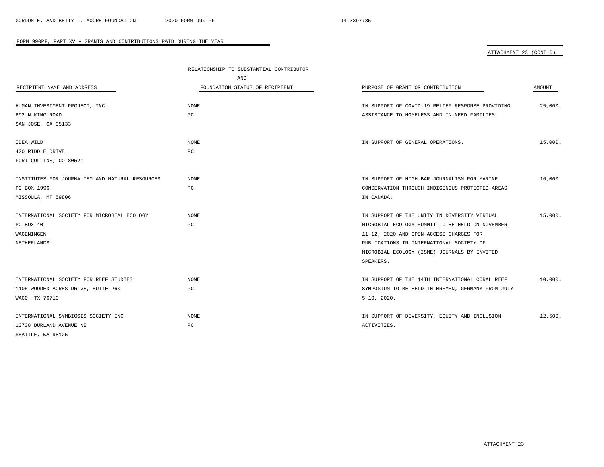### ATTACHMENT 23 (CONT'D)

|                                                 | RELATIONSHIP TO SUBSTANTIAL CONTRIBUTOR |                                                   |         |
|-------------------------------------------------|-----------------------------------------|---------------------------------------------------|---------|
|                                                 | AND                                     |                                                   |         |
| RECIPIENT NAME AND ADDRESS                      | FOUNDATION STATUS OF RECIPIENT          | PURPOSE OF GRANT OR CONTRIBUTION                  | AMOUNT  |
| HUMAN INVESTMENT PROJECT, INC.                  | NONE                                    | IN SUPPORT OF COVID-19 RELIEF RESPONSE PROVIDING  | 25,000. |
| 692 N KING ROAD                                 | PC                                      | ASSISTANCE TO HOMELESS AND IN-NEED FAMILIES.      |         |
| SAN JOSE, CA 95133                              |                                         |                                                   |         |
|                                                 |                                         |                                                   |         |
| IDEA WILD                                       | NONE                                    | IN SUPPORT OF GENERAL OPERATIONS.                 | 15,000. |
| 420 RIDDLE DRIVE                                | PC                                      |                                                   |         |
| FORT COLLINS, CO 80521                          |                                         |                                                   |         |
|                                                 |                                         |                                                   |         |
| INSTITUTES FOR JOURNALISM AND NATURAL RESOURCES | <b>NONE</b>                             | IN SUPPORT OF HIGH-BAR JOURNALISM FOR MARINE      | 16,000. |
| PO BOX 1996                                     | PC                                      | CONSERVATION THROUGH INDIGENOUS PROTECTED AREAS   |         |
| MISSOULA, MT 59806                              |                                         | IN CANADA.                                        |         |
| INTERNATIONAL SOCIETY FOR MICROBIAL ECOLOGY     | NONE                                    | IN SUPPORT OF THE UNITY IN DIVERSITY VIRTUAL      | 15,000. |
| PO BOX 40                                       | PC                                      | MICROBIAL ECOLOGY SUMMIT TO BE HELD ON NOVEMBER   |         |
| WAGENINGEN                                      |                                         | 11-12, 2020 AND OPEN-ACCESS CHARGES FOR           |         |
| NETHERLANDS                                     |                                         | PUBLICATIONS IN INTERNATIONAL SOCIETY OF          |         |
|                                                 |                                         | MICROBIAL ECOLOGY (ISME) JOURNALS BY INVITED      |         |
|                                                 |                                         | SPEAKERS.                                         |         |
|                                                 |                                         |                                                   |         |
| INTERNATIONAL SOCIETY FOR REEF STUDIES          | <b>NONE</b>                             | IN SUPPORT OF THE 14TH INTERNATIONAL CORAL REEF   | 10.000. |
| 1105 WOODED ACRES DRIVE, SUITE 260              | $_{\rm PC}$                             | SYMPOSIUM TO BE HELD IN BREMEN, GERMANY FROM JULY |         |
| WACO, TX 76710                                  |                                         | $5-10, 2020.$                                     |         |
|                                                 |                                         |                                                   |         |
| INTERNATIONAL SYMBIOSIS SOCIETY INC             | NONE                                    | IN SUPPORT OF DIVERSITY, EQUITY AND INCLUSION     | 12,500. |
| 10738 DURLAND AVENUE NE                         | PC                                      | ACTIVITIES.                                       |         |
| SEATTLE, WA 98125                               |                                         |                                                   |         |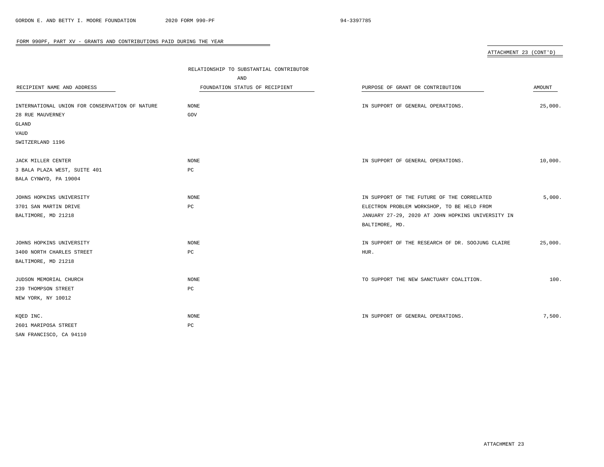| ATTACHMENT 23 (CONT'D) |  |
|------------------------|--|
|                        |  |

|                                                | RELATIONSHIP TO SUBSTANTIAL CONTRIBUTOR |                                                   |               |
|------------------------------------------------|-----------------------------------------|---------------------------------------------------|---------------|
|                                                | AND                                     |                                                   |               |
| RECIPIENT NAME AND ADDRESS                     | FOUNDATION STATUS OF RECIPIENT          | PURPOSE OF GRANT OR CONTRIBUTION                  | <b>AMOUNT</b> |
|                                                |                                         |                                                   |               |
| INTERNATIONAL UNION FOR CONSERVATION OF NATURE | <b>NONE</b>                             | IN SUPPORT OF GENERAL OPERATIONS.                 | 25,000.       |
| 28 RUE MAUVERNEY                               | GOV                                     |                                                   |               |
| GLAND                                          |                                         |                                                   |               |
| VAUD                                           |                                         |                                                   |               |
| SWITZERLAND 1196                               |                                         |                                                   |               |
|                                                |                                         |                                                   |               |
| JACK MILLER CENTER                             | <b>NONE</b>                             | IN SUPPORT OF GENERAL OPERATIONS.                 | 10,000.       |
| 3 BALA PLAZA WEST, SUITE 401                   | PC                                      |                                                   |               |
| BALA CYNWYD, PA 19004                          |                                         |                                                   |               |
|                                                |                                         |                                                   |               |
| JOHNS HOPKINS UNIVERSITY                       | <b>NONE</b>                             | IN SUPPORT OF THE FUTURE OF THE CORRELATED        | 5,000.        |
| 3701 SAN MARTIN DRIVE                          | PC                                      | ELECTRON PROBLEM WORKSHOP, TO BE HELD FROM        |               |
| BALTIMORE, MD 21218                            |                                         | JANUARY 27-29, 2020 AT JOHN HOPKINS UNIVERSITY IN |               |
|                                                |                                         | BALTIMORE, MD.                                    |               |
|                                                |                                         |                                                   |               |
| JOHNS HOPKINS UNIVERSITY                       | <b>NONE</b>                             | IN SUPPORT OF THE RESEARCH OF DR. SOOJUNG CLAIRE  | 25,000.       |
| 3400 NORTH CHARLES STREET                      | PC                                      | HUR.                                              |               |
| BALTIMORE, MD 21218                            |                                         |                                                   |               |
|                                                |                                         |                                                   |               |
| JUDSON MEMORIAL CHURCH                         | <b>NONE</b>                             | TO SUPPORT THE NEW SANCTUARY COALITION.           | 100.          |
| 239 THOMPSON STREET                            | PC                                      |                                                   |               |
| NEW YORK, NY 10012                             |                                         |                                                   |               |
|                                                |                                         |                                                   |               |
| KQED INC.                                      | <b>NONE</b>                             | IN SUPPORT OF GENERAL OPERATIONS.                 | 7,500.        |
| 2601 MARIPOSA STREET                           | $_{\rm PC}$                             |                                                   |               |
| SAN FRANCISCO, CA 94110                        |                                         |                                                   |               |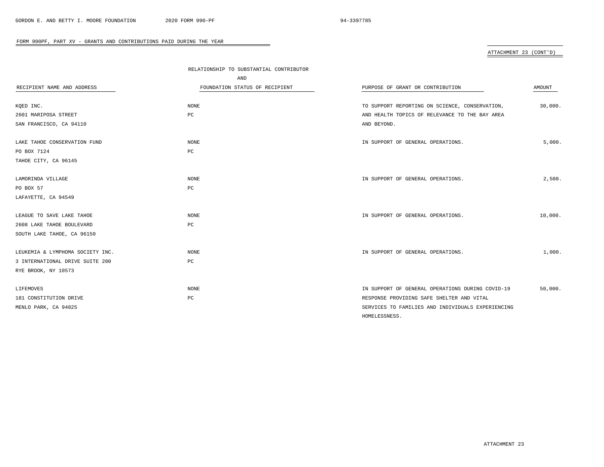# ATTACHMENT 23 (CONT'D)

|                                  | RELATIONSHIP TO SUBSTANTIAL CONTRIBUTOR |                                                   |         |
|----------------------------------|-----------------------------------------|---------------------------------------------------|---------|
|                                  | AND                                     |                                                   |         |
| RECIPIENT NAME AND ADDRESS       | FOUNDATION STATUS OF RECIPIENT          | PURPOSE OF GRANT OR CONTRIBUTION                  | AMOUNT  |
|                                  |                                         |                                                   |         |
| KQED INC.                        | NONE                                    | TO SUPPORT REPORTING ON SCIENCE, CONSERVATION,    | 30,000. |
| 2601 MARIPOSA STREET             | $_{\rm PC}$                             | AND HEALTH TOPICS OF RELEVANCE TO THE BAY AREA    |         |
| SAN FRANCISCO, CA 94110          |                                         | AND BEYOND.                                       |         |
| LAKE TAHOE CONSERVATION FUND     | NONE                                    | IN SUPPORT OF GENERAL OPERATIONS.                 | 5,000.  |
| PO BOX 7124                      | PC                                      |                                                   |         |
| TAHOE CITY, CA 96145             |                                         |                                                   |         |
| LAMORINDA VILLAGE                | NONE                                    | IN SUPPORT OF GENERAL OPERATIONS.                 | 2,500.  |
| PO BOX 57                        | РC                                      |                                                   |         |
| LAFAYETTE, CA 94549              |                                         |                                                   |         |
|                                  |                                         |                                                   |         |
| LEAGUE TO SAVE LAKE TAHOE        | NONE                                    | IN SUPPORT OF GENERAL OPERATIONS.                 | 10,000. |
| 2608 LAKE TAHOE BOULEVARD        | $_{\rm PC}$                             |                                                   |         |
| SOUTH LAKE TAHOE, CA 96150       |                                         |                                                   |         |
| LEUKEMIA & LYMPHOMA SOCIETY INC. | NONE                                    | IN SUPPORT OF GENERAL OPERATIONS.                 | 1,000.  |
| 3 INTERNATIONAL DRIVE SUITE 200  | PC                                      |                                                   |         |
| RYE BROOK, NY 10573              |                                         |                                                   |         |
|                                  |                                         |                                                   |         |
| LIFEMOVES                        | <b>NONE</b>                             | IN SUPPORT OF GENERAL OPERATIONS DURING COVID-19  | 50,000. |
| 181 CONSTITUTION DRIVE           | $_{\rm PC}$                             | RESPONSE PROVIDING SAFE SHELTER AND VITAL         |         |
| MENLO PARK, CA 94025             |                                         | SERVICES TO FAMILIES AND INDIVIDUALS EXPERIENCING |         |
|                                  |                                         | HOMELESSNESS.                                     |         |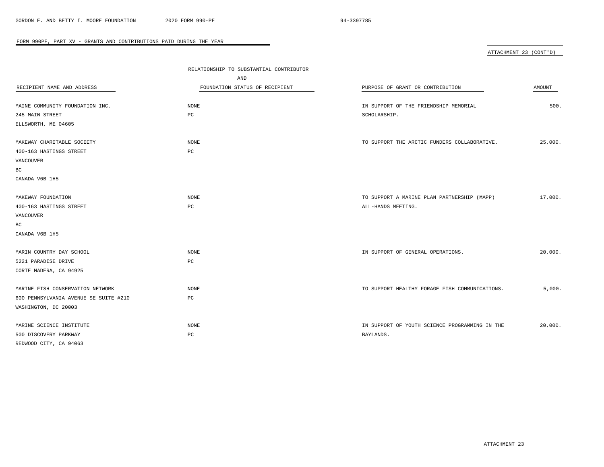ATTACHMENT 23 (CONT'D)

|                                       | RELATIONSHIP TO SUBSTANTIAL CONTRIBUTOR |                                                |         |
|---------------------------------------|-----------------------------------------|------------------------------------------------|---------|
|                                       | AND                                     |                                                |         |
| RECIPIENT NAME AND ADDRESS            | FOUNDATION STATUS OF RECIPIENT          | PURPOSE OF GRANT OR CONTRIBUTION               | AMOUNT  |
|                                       |                                         |                                                |         |
| MAINE COMMUNITY FOUNDATION INC.       | <b>NONE</b>                             | IN SUPPORT OF THE FRIENDSHIP MEMORIAL          | 500.    |
| 245 MAIN STREET                       | PC                                      | SCHOLARSHIP.                                   |         |
| ELLSWORTH, ME 04605                   |                                         |                                                |         |
| MAKEWAY CHARITABLE SOCIETY            | <b>NONE</b>                             | TO SUPPORT THE ARCTIC FUNDERS COLLABORATIVE.   | 25,000. |
| 400-163 HASTINGS STREET               | PC                                      |                                                |         |
| VANCOUVER                             |                                         |                                                |         |
| ВC                                    |                                         |                                                |         |
| CANADA V6B 1H5                        |                                         |                                                |         |
|                                       |                                         |                                                |         |
| MAKEWAY FOUNDATION                    | <b>NONE</b>                             | TO SUPPORT A MARINE PLAN PARTNERSHIP (MAPP)    | 17,000. |
| 400-163 HASTINGS STREET               | $_{\rm PC}$                             | ALL-HANDS MEETING.                             |         |
| VANCOUVER                             |                                         |                                                |         |
| BC                                    |                                         |                                                |         |
| CANADA V6B 1H5                        |                                         |                                                |         |
| MARIN COUNTRY DAY SCHOOL              | NONE                                    | IN SUPPORT OF GENERAL OPERATIONS.              | 20,000. |
| 5221 PARADISE DRIVE                   | PC                                      |                                                |         |
| CORTE MADERA, CA 94925                |                                         |                                                |         |
|                                       |                                         |                                                |         |
| MARINE FISH CONSERVATION NETWORK      | <b>NONE</b>                             | TO SUPPORT HEALTHY FORAGE FISH COMMUNICATIONS. | 5,000.  |
| 600 PENNSYLVANIA AVENUE SE SUITE #210 | РC                                      |                                                |         |
| WASHINGTON, DC 20003                  |                                         |                                                |         |
|                                       |                                         |                                                |         |
| MARINE SCIENCE INSTITUTE              | <b>NONE</b>                             | IN SUPPORT OF YOUTH SCIENCE PROGRAMMING IN THE | 20,000. |
| 500 DISCOVERY PARKWAY                 | PC                                      | BAYLANDS.                                      |         |
| REDWOOD CITY, CA 94063                |                                         |                                                |         |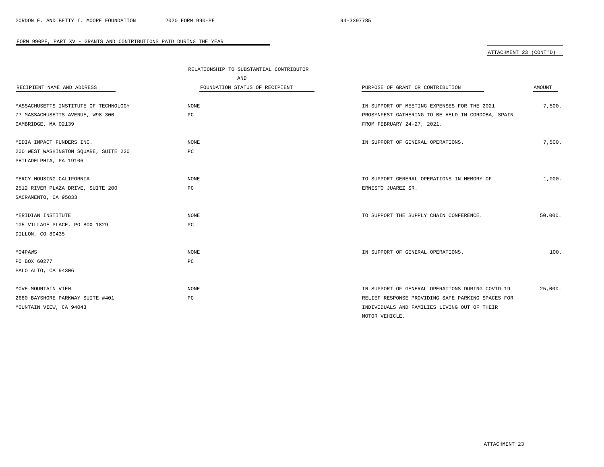# ATTACHMENT 23 (CONT'D)

|                                       | RELATIONSHIP TO SUBSTANTIAL CONTRIBUTOR |                                                   |         |
|---------------------------------------|-----------------------------------------|---------------------------------------------------|---------|
|                                       | AND                                     |                                                   |         |
| RECIPIENT NAME AND ADDRESS            | FOUNDATION STATUS OF RECIPIENT          | PURPOSE OF GRANT OR CONTRIBUTION                  | AMOUNT  |
|                                       |                                         |                                                   |         |
| MASSACHUSETTS INSTITUTE OF TECHNOLOGY | <b>NONE</b>                             | IN SUPPORT OF MEETING EXPENSES FOR THE 2021       | 7,500.  |
| 77 MASSACHUSETTS AVENUE, W98-300      | PC                                      | PROSYNFEST GATHERING TO BE HELD IN CORDOBA, SPAIN |         |
| CAMBRIDGE, MA 02139                   |                                         | FROM FEBRUARY 24-27, 2021.                        |         |
|                                       |                                         |                                                   |         |
| MEDIA IMPACT FUNDERS INC.             | <b>NONE</b>                             | IN SUPPORT OF GENERAL OPERATIONS.                 | 7,500.  |
| 200 WEST WASHINGTON SQUARE, SUITE 220 | РC                                      |                                                   |         |
| PHILADELPHIA, PA 19106                |                                         |                                                   |         |
|                                       |                                         |                                                   |         |
| MERCY HOUSING CALIFORNIA              | <b>NONE</b>                             | TO SUPPORT GENERAL OPERATIONS IN MEMORY OF        | 1,000.  |
| 2512 RIVER PLAZA DRIVE, SUITE 200     | РC                                      | ERNESTO JUAREZ SR.                                |         |
| SACRAMENTO, CA 95833                  |                                         |                                                   |         |
|                                       |                                         |                                                   |         |
| MERIDIAN INSTITUTE                    | <b>NONE</b>                             | TO SUPPORT THE SUPPLY CHAIN CONFERENCE.           | 50,000. |
| 105 VILLAGE PLACE, PO BOX 1829        | РC                                      |                                                   |         |
| DILLON, CO 80435                      |                                         |                                                   |         |
|                                       |                                         |                                                   |         |
| MO4PAWS                               | NONE                                    | IN SUPPORT OF GENERAL OPERATIONS.                 | 100.    |
| PO BOX 60277                          | PC                                      |                                                   |         |
| PALO ALTO, CA 94306                   |                                         |                                                   |         |
|                                       |                                         |                                                   |         |
| MOVE MOUNTAIN VIEW                    | <b>NONE</b>                             | IN SUPPORT OF GENERAL OPERATIONS DURING COVID-19  | 25,000. |
| 2680 BAYSHORE PARKWAY SUITE #401      | PC                                      | RELIEF RESPONSE PROVIDING SAFE PARKING SPACES FOR |         |
| MOUNTAIN VIEW, CA 94043               |                                         | INDIVIDUALS AND FAMILIES LIVING OUT OF THEIR      |         |
|                                       |                                         | MOTOR VEHICLE.                                    |         |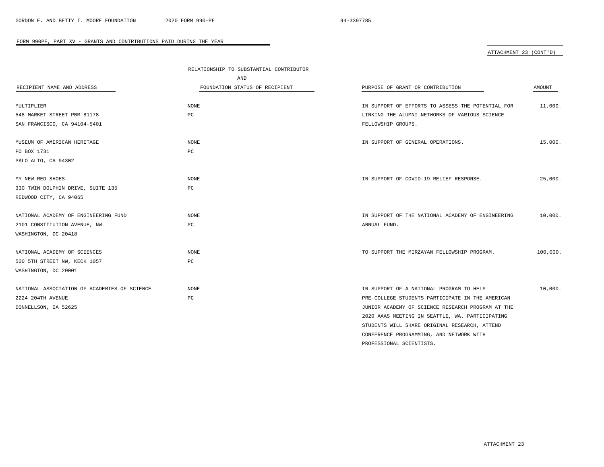PROFESSIONAL SCIENTISTS.

### FORM 990PF, PART XV - GRANTS AND CONTRIBUTIONS PAID DURING THE YEAR

# ATTACHMENT 23 (CONT'D)

|                                              | RELATIONSHIP TO SUBSTANTIAL CONTRIBUTOR |                                                   |          |
|----------------------------------------------|-----------------------------------------|---------------------------------------------------|----------|
|                                              | <b>AND</b>                              |                                                   |          |
| RECIPIENT NAME AND ADDRESS                   | FOUNDATION STATUS OF RECIPIENT          | PURPOSE OF GRANT OR CONTRIBUTION                  | AMOUNT   |
| MULTIPLIER                                   | NONE                                    | IN SUPPORT OF EFFORTS TO ASSESS THE POTENTIAL FOR | 11,000.  |
| 548 MARKET STREET PBM 81178                  | РC                                      | LINKING THE ALUMNI NETWORKS OF VARIOUS SCIENCE    |          |
| SAN FRANCISCO, CA 94104-5401                 |                                         | FELLOWSHIP GROUPS.                                |          |
| MUSEUM OF AMERICAN HERITAGE                  | NONE                                    | IN SUPPORT OF GENERAL OPERATIONS.                 | 15,000.  |
| PO BOX 1731                                  | РC                                      |                                                   |          |
| PALO ALTO, CA 94302                          |                                         |                                                   |          |
| MY NEW RED SHOES                             | NONE                                    | IN SUPPORT OF COVID-19 RELIEF RESPONSE.           | 25,000.  |
| 330 TWIN DOLPHIN DRIVE, SUITE 135            | PC                                      |                                                   |          |
| REDWOOD CITY, CA 94065                       |                                         |                                                   |          |
| NATIONAL ACADEMY OF ENGINEERING FUND         | NONE                                    | IN SUPPORT OF THE NATIONAL ACADEMY OF ENGINEERING | 10,000.  |
| 2101 CONSTITUTION AVENUE, NW                 | РC                                      | ANNUAL FUND.                                      |          |
| WASHINGTON, DC 20418                         |                                         |                                                   |          |
| NATIONAL ACADEMY OF SCIENCES                 | NONE                                    | TO SUPPORT THE MIRZAYAN FELLOWSHIP PROGRAM.       | 100,000. |
| 500 5TH STREET NW, KECK 1057                 | РC                                      |                                                   |          |
| WASHINGTON, DC 20001                         |                                         |                                                   |          |
| NATIONAL ASSOCIATION OF ACADEMIES OF SCIENCE | <b>NONE</b>                             | IN SUPPORT OF A NATIONAL PROGRAM TO HELP          | 10,000.  |
| 2224 204TH AVENUE                            | PC                                      | PRE-COLLEGE STUDENTS PARTICIPATE IN THE AMERICAN  |          |
| DONNELLSON, IA 52625                         |                                         | JUNIOR ACADEMY OF SCIENCE RESEARCH PROGRAM AT THE |          |
|                                              |                                         | 2020 AAAS MEETING IN SEATTLE, WA. PARTICIPATING   |          |
|                                              |                                         | STUDENTS WILL SHARE ORIGINAL RESEARCH, ATTEND     |          |
|                                              |                                         | CONFERENCE PROGRAMMING, AND NETWORK WITH          |          |

 $\overline{\phantom{a}}$ 

ATTACHMENT 23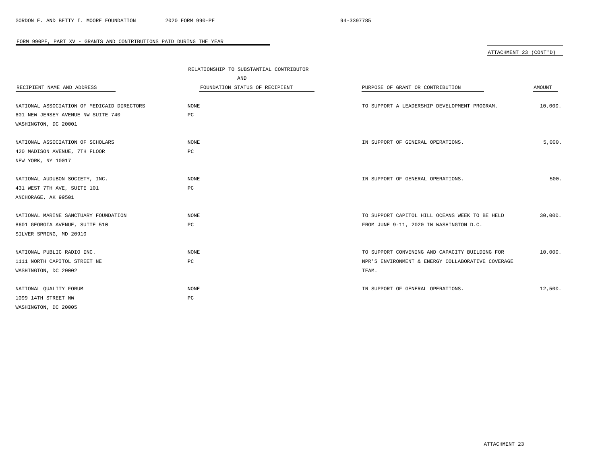# ATTACHMENT 23 (CONT'D)

|                                            | RELATIONSHIP TO SUBSTANTIAL CONTRIBUTOR |                                                   |         |  |
|--------------------------------------------|-----------------------------------------|---------------------------------------------------|---------|--|
|                                            | AND                                     |                                                   |         |  |
| RECIPIENT NAME AND ADDRESS                 | FOUNDATION STATUS OF RECIPIENT          | PURPOSE OF GRANT OR CONTRIBUTION                  | AMOUNT  |  |
| NATIONAL ASSOCIATION OF MEDICAID DIRECTORS | NONE                                    | TO SUPPORT A LEADERSHIP DEVELOPMENT PROGRAM.      | 10,000. |  |
| 601 NEW JERSEY AVENUE NW SUITE 740         | PC                                      |                                                   |         |  |
| WASHINGTON, DC 20001                       |                                         |                                                   |         |  |
| NATIONAL ASSOCIATION OF SCHOLARS           | NONE                                    | IN SUPPORT OF GENERAL OPERATIONS.                 | 5,000.  |  |
| 420 MADISON AVENUE, 7TH FLOOR              | РC                                      |                                                   |         |  |
| NEW YORK, NY 10017                         |                                         |                                                   |         |  |
| NATIONAL AUDUBON SOCIETY, INC.             | <b>NONE</b>                             | IN SUPPORT OF GENERAL OPERATIONS.                 | 500.    |  |
| 431 WEST 7TH AVE, SUITE 101                | PC                                      |                                                   |         |  |
| ANCHORAGE, AK 99501                        |                                         |                                                   |         |  |
| NATIONAL MARINE SANCTUARY FOUNDATION       | NONE                                    | TO SUPPORT CAPITOL HILL OCEANS WEEK TO BE HELD    | 30,000. |  |
| 8601 GEORGIA AVENUE, SUITE 510             | РC                                      | FROM JUNE 9-11, 2020 IN WASHINGTON D.C.           |         |  |
| SILVER SPRING, MD 20910                    |                                         |                                                   |         |  |
| NATIONAL PUBLIC RADIO INC.                 | <b>NONE</b>                             | TO SUPPORT CONVENING AND CAPACITY BUILDING FOR    | 10,000. |  |
| 1111 NORTH CAPITOL STREET NE               | РC                                      | NPR'S ENVIRONMENT & ENERGY COLLABORATIVE COVERAGE |         |  |
| WASHINGTON, DC 20002                       |                                         | TEAM.                                             |         |  |
| NATIONAL QUALITY FORUM                     | NONE                                    | IN SUPPORT OF GENERAL OPERATIONS.                 | 12,500. |  |
| 1099 14TH STREET NW                        | $_{\rm PC}$                             |                                                   |         |  |
| WASHINGTON, DC 20005                       |                                         |                                                   |         |  |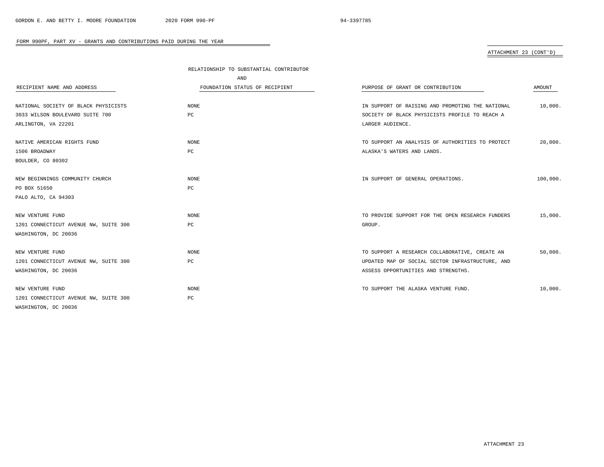# ATTACHMENT 23 (CONT'D)

|                                       | RELATIONSHIP TO SUBSTANTIAL CONTRIBUTOR |                                                  |          |
|---------------------------------------|-----------------------------------------|--------------------------------------------------|----------|
|                                       | AND                                     |                                                  |          |
| RECIPIENT NAME AND ADDRESS            | FOUNDATION STATUS OF RECIPIENT          | PURPOSE OF GRANT OR CONTRIBUTION                 | AMOUNT   |
|                                       |                                         |                                                  |          |
| NATIONAL SOCIETY OF BLACK PHYSICISTS  | <b>NONE</b>                             | IN SUPPORT OF RAISING AND PROMOTING THE NATIONAL | 10,000.  |
| 3033 WILSON BOULEVARD SUITE 700       | PC                                      | SOCIETY OF BLACK PHYSICISTS PROFILE TO REACH A   |          |
| ARLINGTON, VA 22201                   |                                         | LARGER AUDIENCE.                                 |          |
| NATIVE AMERICAN RIGHTS FUND           | NONE                                    | TO SUPPORT AN ANALYSIS OF AUTHORITIES TO PROTECT | 20,000.  |
| 1506 BROADWAY                         | PC                                      | ALASKA'S WATERS AND LANDS.                       |          |
| BOULDER, CO 80302                     |                                         |                                                  |          |
| NEW BEGINNINGS COMMUNITY CHURCH       | NONE                                    | IN SUPPORT OF GENERAL OPERATIONS.                | 100,000. |
| PO BOX 51650                          | PC                                      |                                                  |          |
| PALO ALTO, CA 94303                   |                                         |                                                  |          |
|                                       |                                         |                                                  |          |
| NEW VENTURE FUND                      | <b>NONE</b>                             | TO PROVIDE SUPPORT FOR THE OPEN RESEARCH FUNDERS | 15,000.  |
| 1201 CONNECTICUT AVENUE NW, SUITE 300 | PС                                      | GROUP.                                           |          |
| WASHINGTON, DC 20036                  |                                         |                                                  |          |
| NEW VENTURE FUND                      | <b>NONE</b>                             | TO SUPPORT A RESEARCH COLLABORATIVE, CREATE AN   | 50,000.  |
| 1201 CONNECTICUT AVENUE NW, SUITE 300 | РC                                      | UPDATED MAP OF SOCIAL SECTOR INFRASTRUCTURE, AND |          |
| WASHINGTON, DC 20036                  |                                         | ASSESS OPPORTUNITIES AND STRENGTHS.              |          |
| NEW VENTURE FUND                      | <b>NONE</b>                             | TO SUPPORT THE ALASKA VENTURE FUND.              | 10,000.  |
| 1201 CONNECTICUT AVENUE NW, SUITE 300 | $_{\rm PC}$                             |                                                  |          |
| WASHINGTON, DC 20036                  |                                         |                                                  |          |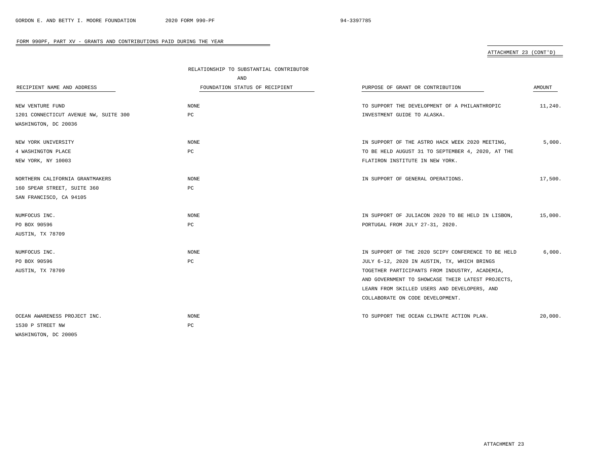### ATTACHMENT 23 (CONT'D)

|                                       | RELATIONSHIP TO SUBSTANTIAL CONTRIBUTOR |                                                    |         |
|---------------------------------------|-----------------------------------------|----------------------------------------------------|---------|
|                                       | AND                                     |                                                    |         |
| RECIPIENT NAME AND ADDRESS            | FOUNDATION STATUS OF RECIPIENT          | PURPOSE OF GRANT OR CONTRIBUTION                   | AMOUNT  |
| NEW VENTURE FUND                      | NONE                                    | TO SUPPORT THE DEVELOPMENT OF A PHILANTHROPIC      | 11,240. |
| 1201 CONNECTICUT AVENUE NW, SUITE 300 | PC                                      | INVESTMENT GUIDE TO ALASKA.                        |         |
| WASHINGTON, DC 20036                  |                                         |                                                    |         |
| NEW YORK UNIVERSITY                   | <b>NONE</b>                             | IN SUPPORT OF THE ASTRO HACK WEEK 2020 MEETING,    | 5,000.  |
| 4 WASHINGTON PLACE                    | PC                                      | TO BE HELD AUGUST 31 TO SEPTEMBER 4, 2020, AT THE  |         |
| NEW YORK, NY 10003                    |                                         | FLATIRON INSTITUTE IN NEW YORK.                    |         |
| NORTHERN CALIFORNIA GRANTMAKERS       | NONE                                    | IN SUPPORT OF GENERAL OPERATIONS.                  | 17,500. |
| 160 SPEAR STREET, SUITE 360           | РC                                      |                                                    |         |
| SAN FRANCISCO, CA 94105               |                                         |                                                    |         |
| NUMFOCUS INC.                         | NONE                                    | IN SUPPORT OF JULIACON 2020 TO BE HELD IN LISBON,  | 15,000. |
| PO BOX 90596                          | PC                                      | PORTUGAL FROM JULY 27-31, 2020.                    |         |
| AUSTIN, TX 78709                      |                                         |                                                    |         |
| NUMFOCUS INC.                         | <b>NONE</b>                             | IN SUPPORT OF THE 2020 SCIPY CONFERENCE TO BE HELD | 6,000.  |
| PO BOX 90596                          | PC                                      | JULY 6-12, 2020 IN AUSTIN, TX, WHICH BRINGS        |         |
| AUSTIN, TX 78709                      |                                         | TOGETHER PARTICIPANTS FROM INDUSTRY, ACADEMIA,     |         |
|                                       |                                         | AND GOVERNMENT TO SHOWCASE THEIR LATEST PROJECTS,  |         |
|                                       |                                         | LEARN FROM SKILLED USERS AND DEVELOPERS, AND       |         |
|                                       |                                         | COLLABORATE ON CODE DEVELOPMENT.                   |         |
| OCEAN AWARENESS PROJECT INC.          | NONE                                    | TO SUPPORT THE OCEAN CLIMATE ACTION PLAN.          | 20,000. |
| 1530 P STREET NW                      | РC                                      |                                                    |         |
| WASHINGTON, DC 20005                  |                                         |                                                    |         |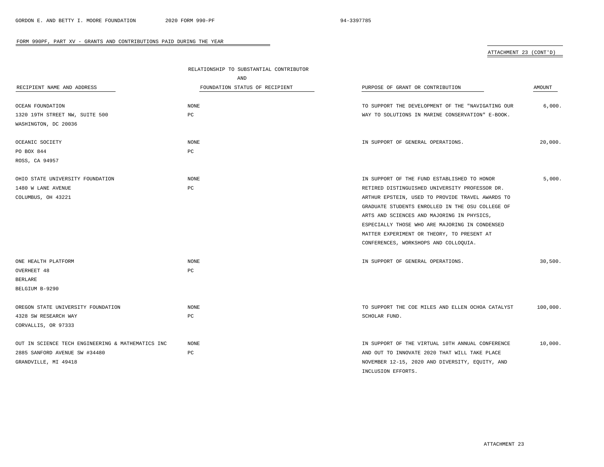# ATTACHMENT 23 (CONT'D)

|                                                   | RELATIONSHIP TO SUBSTANTIAL CONTRIBUTOR |                                                   |          |  |
|---------------------------------------------------|-----------------------------------------|---------------------------------------------------|----------|--|
|                                                   | AND                                     |                                                   |          |  |
| RECIPIENT NAME AND ADDRESS                        | FOUNDATION STATUS OF RECIPIENT          | PURPOSE OF GRANT OR CONTRIBUTION                  | AMOUNT   |  |
| OCEAN FOUNDATION                                  | NONE                                    | TO SUPPORT THE DEVELOPMENT OF THE "NAVIGATING OUR | 6,000.   |  |
| 1320 19TH STREET NW, SUITE 500                    | $_{\rm PC}$                             | WAY TO SOLUTIONS IN MARINE CONSERVATION" E-BOOK.  |          |  |
| WASHINGTON, DC 20036                              |                                         |                                                   |          |  |
| OCEANIC SOCIETY                                   | NONE                                    | IN SUPPORT OF GENERAL OPERATIONS.                 | 20,000.  |  |
| PO BOX 844                                        | PC                                      |                                                   |          |  |
| ROSS, CA 94957                                    |                                         |                                                   |          |  |
| OHIO STATE UNIVERSITY FOUNDATION                  | NONE                                    | IN SUPPORT OF THE FUND ESTABLISHED TO HONOR       | 5,000.   |  |
| 1480 W LANE AVENUE                                | PC                                      | RETIRED DISTINGUISHED UNIVERSITY PROFESSOR DR.    |          |  |
| COLUMBUS, OH 43221                                |                                         | ARTHUR EPSTEIN, USED TO PROVIDE TRAVEL AWARDS TO  |          |  |
|                                                   |                                         | GRADUATE STUDENTS ENROLLED IN THE OSU COLLEGE OF  |          |  |
|                                                   |                                         | ARTS AND SCIENCES AND MAJORING IN PHYSICS,        |          |  |
|                                                   |                                         | ESPECIALLY THOSE WHO ARE MAJORING IN CONDENSED    |          |  |
|                                                   |                                         | MATTER EXPERIMENT OR THEORY, TO PRESENT AT        |          |  |
|                                                   |                                         | CONFERENCES, WORKSHOPS AND COLLOQUIA.             |          |  |
| ONE HEALTH PLATFORM                               | NONE                                    | IN SUPPORT OF GENERAL OPERATIONS.                 | 30,500.  |  |
| OVERHEET 48                                       | PC                                      |                                                   |          |  |
| <b>BERLARE</b>                                    |                                         |                                                   |          |  |
| BELGIUM B-9290                                    |                                         |                                                   |          |  |
| OREGON STATE UNIVERSITY FOUNDATION                | NONE                                    | TO SUPPORT THE COE MILES AND ELLEN OCHOA CATALYST | 100,000. |  |
| 4328 SW RESEARCH WAY                              | PC                                      | SCHOLAR FUND.                                     |          |  |
| CORVALLIS, OR 97333                               |                                         |                                                   |          |  |
| OUT IN SCIENCE TECH ENGINEERING & MATHEMATICS INC | <b>NONE</b>                             | IN SUPPORT OF THE VIRTUAL 10TH ANNUAL CONFERENCE  | 10,000.  |  |
| 2885 SANFORD AVENUE SW #34480                     | PC                                      | AND OUT TO INNOVATE 2020 THAT WILL TAKE PLACE     |          |  |
| GRANDVILLE, MI 49418                              |                                         | NOVEMBER 12-15, 2020 AND DIVERSITY, EQUITY, AND   |          |  |
|                                                   |                                         | INCLUSION EFFORTS.                                |          |  |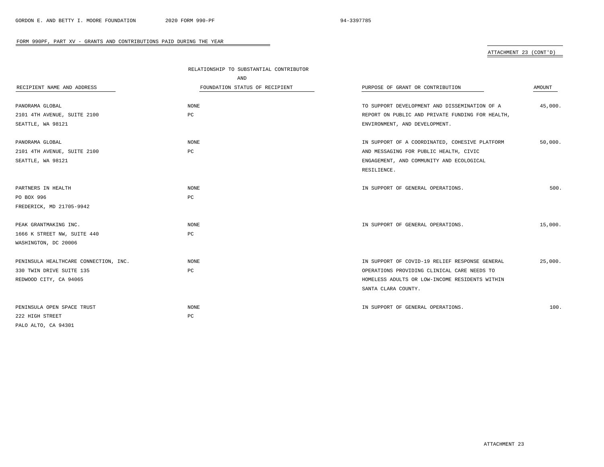### ATTACHMENT 23 (CONT'D)

|                                       | RELATIONSHIP TO SUBSTANTIAL CONTRIBUTOR |                                                  |         |
|---------------------------------------|-----------------------------------------|--------------------------------------------------|---------|
|                                       | AND                                     |                                                  |         |
| RECIPIENT NAME AND ADDRESS            | FOUNDATION STATUS OF RECIPIENT          | PURPOSE OF GRANT OR CONTRIBUTION                 | AMOUNT  |
| PANORAMA GLOBAL                       | NONE                                    | TO SUPPORT DEVELOPMENT AND DISSEMINATION OF A    | 45,000. |
| 2101 4TH AVENUE, SUITE 2100           | PC                                      | REPORT ON PUBLIC AND PRIVATE FUNDING FOR HEALTH, |         |
| SEATTLE, WA 98121                     |                                         | ENVIRONMENT, AND DEVELOPMENT.                    |         |
| PANORAMA GLOBAL                       | NONE                                    | IN SUPPORT OF A COORDINATED, COHESIVE PLATFORM   | 50,000. |
| 2101 4TH AVENUE, SUITE 2100           | PC                                      | AND MESSAGING FOR PUBLIC HEALTH, CIVIC           |         |
| SEATTLE, WA 98121                     |                                         | ENGAGEMENT, AND COMMUNITY AND ECOLOGICAL         |         |
|                                       |                                         | RESILIENCE.                                      |         |
| PARTNERS IN HEALTH                    | NONE                                    | IN SUPPORT OF GENERAL OPERATIONS.                | 500.    |
| PO BOX 996                            | PC                                      |                                                  |         |
| FREDERICK, MD 21705-9942              |                                         |                                                  |         |
| PEAK GRANTMAKING INC.                 | NONE                                    | IN SUPPORT OF GENERAL OPERATIONS.                | 15,000. |
| 1666 K STREET NW, SUITE 440           | PC                                      |                                                  |         |
| WASHINGTON, DC 20006                  |                                         |                                                  |         |
| PENINSULA HEALTHCARE CONNECTION, INC. | <b>NONE</b>                             | IN SUPPORT OF COVID-19 RELIEF RESPONSE GENERAL   | 25,000. |
| 330 TWIN DRIVE SUITE 135              | PC                                      | OPERATIONS PROVIDING CLINICAL CARE NEEDS TO      |         |
| REDWOOD CITY, CA 94065                |                                         | HOMELESS ADULTS OR LOW-INCOME RESIDENTS WITHIN   |         |
|                                       |                                         | SANTA CLARA COUNTY.                              |         |
| PENINSULA OPEN SPACE TRUST            | NONE                                    | IN SUPPORT OF GENERAL OPERATIONS.                | 100.    |
| 222 HIGH STREET                       | $_{\rm PC}$                             |                                                  |         |
| PALO ALTO, CA 94301                   |                                         |                                                  |         |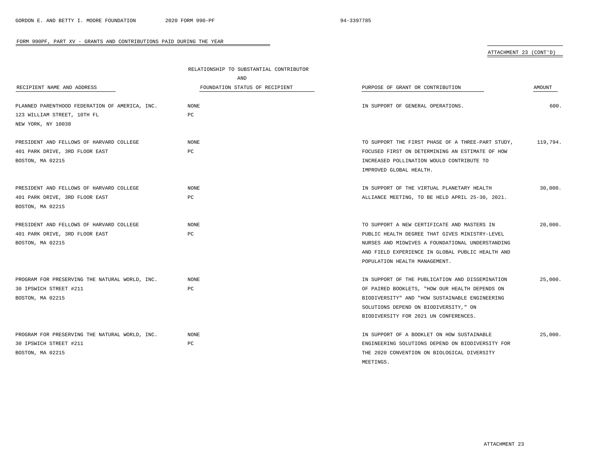MEETINGS.

|                                                | RELATIONSHIP TO SUBSTANTIAL CONTRIBUTOR |                                                   |          |
|------------------------------------------------|-----------------------------------------|---------------------------------------------------|----------|
|                                                | AND                                     |                                                   |          |
| RECIPIENT NAME AND ADDRESS                     | FOUNDATION STATUS OF RECIPIENT          | PURPOSE OF GRANT OR CONTRIBUTION                  | AMOUNT   |
|                                                |                                         |                                                   |          |
| PLANNED PARENTHOOD FEDERATION OF AMERICA, INC. | <b>NONE</b>                             | IN SUPPORT OF GENERAL OPERATIONS.                 | 600.     |
| 123 WILLIAM STREET, 10TH FL                    | PC                                      |                                                   |          |
| NEW YORK, NY 10038                             |                                         |                                                   |          |
|                                                |                                         |                                                   |          |
| PRESIDENT AND FELLOWS OF HARVARD COLLEGE       | NONE                                    | TO SUPPORT THE FIRST PHASE OF A THREE-PART STUDY, | 119,794. |
| 401 PARK DRIVE, 3RD FLOOR EAST                 | PC                                      | FOCUSED FIRST ON DETERMINING AN ESTIMATE OF HOW   |          |
| BOSTON, MA 02215                               |                                         | INCREASED POLLINATION WOULD CONTRIBUTE TO         |          |
|                                                |                                         | IMPROVED GLOBAL HEALTH.                           |          |
|                                                |                                         |                                                   |          |
| PRESIDENT AND FELLOWS OF HARVARD COLLEGE       | <b>NONE</b>                             | IN SUPPORT OF THE VIRTUAL PLANETARY HEALTH        | 30,000.  |
| 401 PARK DRIVE, 3RD FLOOR EAST                 | PC                                      | ALLIANCE MEETING, TO BE HELD APRIL 25-30, 2021.   |          |
| BOSTON, MA 02215                               |                                         |                                                   |          |
|                                                |                                         |                                                   |          |
| PRESIDENT AND FELLOWS OF HARVARD COLLEGE       | <b>NONE</b>                             | TO SUPPORT A NEW CERTIFICATE AND MASTERS IN       | 20,000.  |
| 401 PARK DRIVE, 3RD FLOOR EAST                 | PC                                      | PUBLIC HEALTH DEGREE THAT GIVES MINISTRY-LEVEL    |          |
| BOSTON, MA 02215                               |                                         | NURSES AND MIDWIVES A FOUNDATIONAL UNDERSTANDING  |          |
|                                                |                                         | AND FIELD EXPERIENCE IN GLOBAL PUBLIC HEALTH AND  |          |
|                                                |                                         | POPULATION HEALTH MANAGEMENT.                     |          |
|                                                |                                         |                                                   |          |
| PROGRAM FOR PRESERVING THE NATURAL WORLD, INC. | <b>NONE</b>                             | IN SUPPORT OF THE PUBLICATION AND DISSEMINATION   | 25,000.  |
| 30 IPSWICH STREET #211                         | PC                                      | OF PAIRED BOOKLETS, "HOW OUR HEALTH DEPENDS ON    |          |
| BOSTON, MA 02215                               |                                         | BIODIVERSITY" AND "HOW SUSTAINABLE ENGINEERING    |          |
|                                                |                                         | SOLUTIONS DEPEND ON BIODIVERSITY, " ON            |          |
|                                                |                                         | BIODIVERSITY FOR 2021 UN CONFERENCES.             |          |
|                                                |                                         |                                                   |          |
| PROGRAM FOR PRESERVING THE NATURAL WORLD, INC. | <b>NONE</b>                             | IN SUPPORT OF A BOOKLET ON HOW SUSTAINABLE        | 25,000.  |
| 30 IPSWICH STREET #211                         | PC                                      | ENGINEERING SOLUTIONS DEPEND ON BIODIVERSITY FOR  |          |
| BOSTON, MA 02215                               |                                         | THE 2020 CONVENTION ON BIOLOGICAL DIVERSITY       |          |

 $\overline{\phantom{a}}$ 

# ATTACHMENT 23 (CONT'D)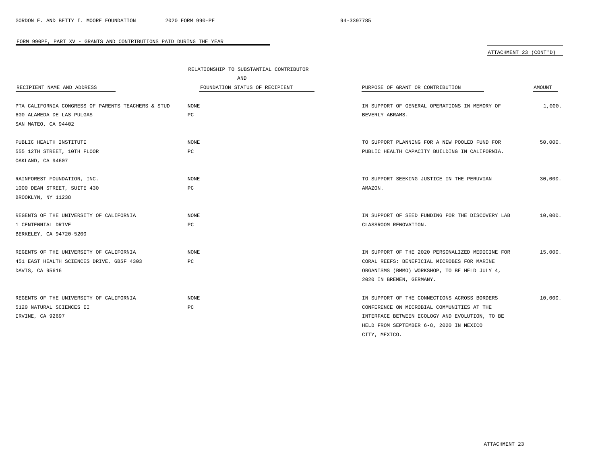|                                                    | RELATIONSHIP TO SUBSTANTIAL CONTRIBUTOR |                                                  |         |  |
|----------------------------------------------------|-----------------------------------------|--------------------------------------------------|---------|--|
|                                                    | AND                                     |                                                  |         |  |
| RECIPIENT NAME AND ADDRESS                         | FOUNDATION STATUS OF RECIPIENT          | PURPOSE OF GRANT OR CONTRIBUTION                 | AMOUNT  |  |
| PTA CALIFORNIA CONGRESS OF PARENTS TEACHERS & STUD | NONE                                    | IN SUPPORT OF GENERAL OPERATIONS IN MEMORY OF    | 1,000.  |  |
| 600 ALAMEDA DE LAS PULGAS                          | РC                                      | BEVERLY ABRAMS.                                  |         |  |
| SAN MATEO, CA 94402                                |                                         |                                                  |         |  |
| PUBLIC HEALTH INSTITUTE                            | <b>NONE</b>                             | TO SUPPORT PLANNING FOR A NEW POOLED FUND FOR    | 50,000. |  |
| 555 12TH STREET, 10TH FLOOR                        | PC                                      | PUBLIC HEALTH CAPACITY BUILDING IN CALIFORNIA.   |         |  |
| OAKLAND, CA 94607                                  |                                         |                                                  |         |  |
| RAINFOREST FOUNDATION, INC.                        | <b>NONE</b>                             | TO SUPPORT SEEKING JUSTICE IN THE PERUVIAN       | 30.000. |  |
| 1000 DEAN STREET, SUITE 430                        | PC                                      | AMAZON.                                          |         |  |
| BROOKLYN, NY 11238                                 |                                         |                                                  |         |  |
| REGENTS OF THE UNIVERSITY OF CALIFORNIA            | <b>NONE</b>                             | IN SUPPORT OF SEED FUNDING FOR THE DISCOVERY LAB | 10,000. |  |
| 1 CENTENNIAL DRIVE                                 | PC                                      | CLASSROOM RENOVATION.                            |         |  |
| BERKELEY, CA 94720-5200                            |                                         |                                                  |         |  |
| REGENTS OF THE UNIVERSITY OF CALIFORNIA            | <b>NONE</b>                             | IN SUPPORT OF THE 2020 PERSONALIZED MEDICINE FOR | 15,000. |  |
| 451 EAST HEALTH SCIENCES DRIVE, GBSF 4303          | РC                                      | CORAL REEFS: BENEFICIAL MICROBES FOR MARINE      |         |  |
| DAVIS, CA 95616                                    |                                         | ORGANISMS (BMMO) WORKSHOP, TO BE HELD JULY 4,    |         |  |
|                                                    |                                         | 2020 IN BREMEN, GERMANY.                         |         |  |
| REGENTS OF THE UNIVERSITY OF CALIFORNIA            | <b>NONE</b>                             | IN SUPPORT OF THE CONNECTIONS ACROSS BORDERS     | 10.000. |  |
| 5120 NATURAL SCIENCES II                           | РC                                      | CONFERENCE ON MICROBIAL COMMUNITIES AT THE       |         |  |
| IRVINE, CA 92697                                   |                                         | INTERFACE BETWEEN ECOLOGY AND EVOLUTION, TO BE   |         |  |
|                                                    |                                         | HELD FROM SEPTEMBER 6-8, 2020 IN MEXICO          |         |  |
|                                                    |                                         | CITY, MEXICO.                                    |         |  |

 $\overline{\phantom{a}}$ 

# ATTACHMENT 23 (CONT'D)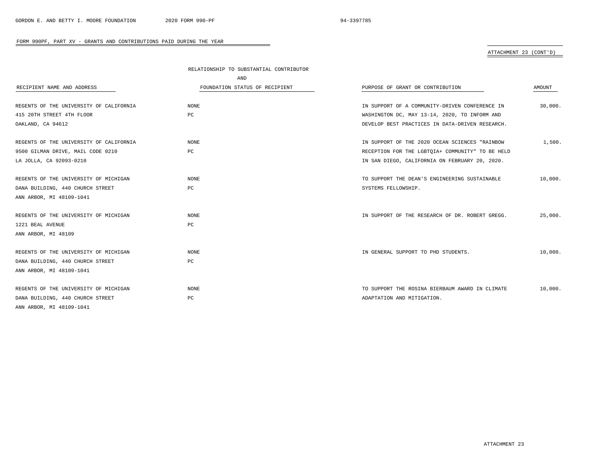# ATTACHMENT 23 (CONT'D)

|                                         | RELATIONSHIP TO SUBSTANTIAL CONTRIBUTOR |                                                  |         |
|-----------------------------------------|-----------------------------------------|--------------------------------------------------|---------|
|                                         | AND                                     |                                                  |         |
| RECIPIENT NAME AND ADDRESS              | FOUNDATION STATUS OF RECIPIENT          | PURPOSE OF GRANT OR CONTRIBUTION                 | AMOUNT  |
|                                         |                                         |                                                  |         |
| REGENTS OF THE UNIVERSITY OF CALIFORNIA | NONE                                    | IN SUPPORT OF A COMMUNITY-DRIVEN CONFERENCE IN   | 30,000. |
| 415 20TH STREET 4TH FLOOR               | $_{\rm PC}$                             | WASHINGTON DC, MAY 13-14, 2020, TO INFORM AND    |         |
| OAKLAND, CA 94612                       |                                         | DEVELOP BEST PRACTICES IN DATA-DRIVEN RESEARCH.  |         |
| REGENTS OF THE UNIVERSITY OF CALIFORNIA | NONE                                    | IN SUPPORT OF THE 2020 OCEAN SCIENCES "RAINBOW   | 1,500.  |
| 9500 GILMAN DRIVE, MAIL CODE 0210       | РC                                      | RECEPTION FOR THE LGBTQIA+ COMMUNITY" TO BE HELD |         |
| LA JOLLA, CA 92093-0210                 |                                         | IN SAN DIEGO, CALIFORNIA ON FEBRUARY 20, 2020.   |         |
| REGENTS OF THE UNIVERSITY OF MICHIGAN   | <b>NONE</b>                             | TO SUPPORT THE DEAN'S ENGINEERING SUSTAINABLE    | 10,000. |
| DANA BUILDING, 440 CHURCH STREET        | PC                                      | SYSTEMS FELLOWSHIP.                              |         |
| ANN ARBOR, MI 48109-1041                |                                         |                                                  |         |
| REGENTS OF THE UNIVERSITY OF MICHIGAN   | <b>NONE</b>                             | IN SUPPORT OF THE RESEARCH OF DR. ROBERT GREGG.  | 25,000. |
| 1221 BEAL AVENUE                        | PC                                      |                                                  |         |
| ANN ARBOR, MI 48109                     |                                         |                                                  |         |
| REGENTS OF THE UNIVERSITY OF MICHIGAN   | <b>NONE</b>                             | IN GENERAL SUPPORT TO PHD STUDENTS.              | 10,000. |
| DANA BUILDING, 440 CHURCH STREET        | PC                                      |                                                  |         |
| ANN ARBOR, MI 48109-1041                |                                         |                                                  |         |
| REGENTS OF THE UNIVERSITY OF MICHIGAN   | <b>NONE</b>                             | TO SUPPORT THE ROSINA BIERBAUM AWARD IN CLIMATE  | 10,000. |
| DANA BUILDING, 440 CHURCH STREET        | PC                                      | ADAPTATION AND MITIGATION.                       |         |
| ANN ARBOR, MI 48109-1041                |                                         |                                                  |         |

-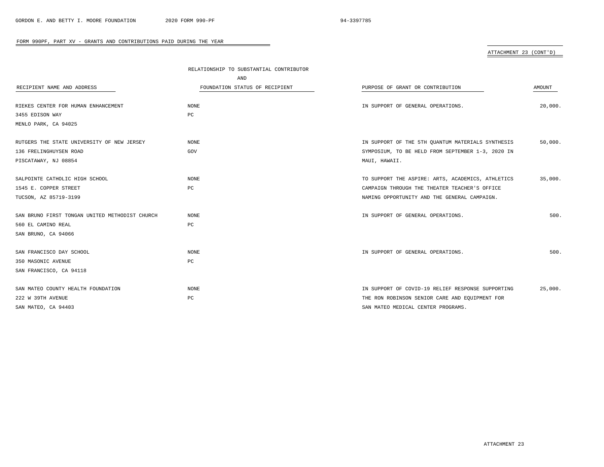# ATTACHMENT 23 (CONT'D)

|                                                | RELATIONSHIP TO SUBSTANTIAL CONTRIBUTOR |                                                   |               |
|------------------------------------------------|-----------------------------------------|---------------------------------------------------|---------------|
|                                                | AND                                     |                                                   |               |
| RECIPIENT NAME AND ADDRESS                     | FOUNDATION STATUS OF RECIPIENT          | PURPOSE OF GRANT OR CONTRIBUTION                  | <b>AMOUNT</b> |
|                                                |                                         |                                                   |               |
| RIEKES CENTER FOR HUMAN ENHANCEMENT            | <b>NONE</b>                             | IN SUPPORT OF GENERAL OPERATIONS.                 | 20,000.       |
| 3455 EDISON WAY                                | PC                                      |                                                   |               |
| MENLO PARK, CA 94025                           |                                         |                                                   |               |
| RUTGERS THE STATE UNIVERSITY OF NEW JERSEY     | <b>NONE</b>                             | IN SUPPORT OF THE 5TH OUANTUM MATERIALS SYNTHESIS | 50,000.       |
| 136 FRELINGHUYSEN ROAD                         | GOV                                     | SYMPOSIUM, TO BE HELD FROM SEPTEMBER 1-3, 2020 IN |               |
| PISCATAWAY, NJ 08854                           |                                         | MAUI, HAWAII.                                     |               |
| SALPOINTE CATHOLIC HIGH SCHOOL                 | <b>NONE</b>                             | TO SUPPORT THE ASPIRE: ARTS, ACADEMICS, ATHLETICS | 35,000.       |
| 1545 E. COPPER STREET                          | $_{\rm PC}$                             | CAMPAIGN THROUGH THE THEATER TEACHER'S OFFICE     |               |
| TUCSON, AZ 85719-3199                          |                                         | NAMING OPPORTUNITY AND THE GENERAL CAMPAIGN.      |               |
| SAN BRUNO FIRST TONGAN UNITED METHODIST CHURCH | <b>NONE</b>                             | IN SUPPORT OF GENERAL OPERATIONS.                 | 500.          |
| 560 EL CAMINO REAL                             | PC                                      |                                                   |               |
| SAN BRUNO, CA 94066                            |                                         |                                                   |               |
| SAN FRANCISCO DAY SCHOOL                       | <b>NONE</b>                             | IN SUPPORT OF GENERAL OPERATIONS.                 | 500.          |
| 350 MASONIC AVENUE                             | РC                                      |                                                   |               |
| SAN FRANCISCO, CA 94118                        |                                         |                                                   |               |
| SAN MATEO COUNTY HEALTH FOUNDATION             | <b>NONE</b>                             | IN SUPPORT OF COVID-19 RELIEF RESPONSE SUPPORTING | 25,000.       |
| 222 W 39TH AVENUE                              | PC                                      | THE RON ROBINSON SENIOR CARE AND EQUIPMENT FOR    |               |
| SAN MATEO, CA 94403                            |                                         | SAN MATEO MEDICAL CENTER PROGRAMS.                |               |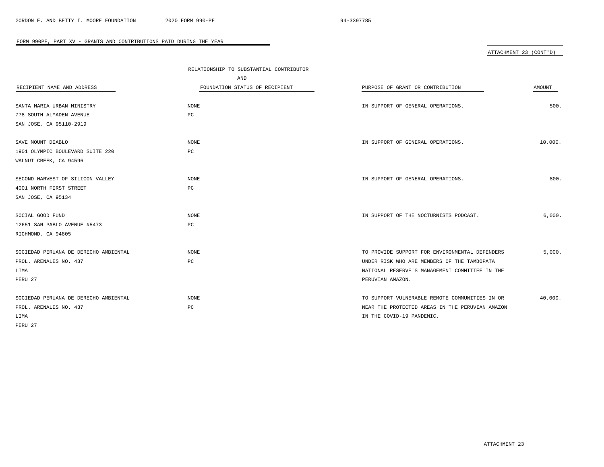ATTACHMENT 23 (CONT'D)

|                                       | RELATIONSHIP TO SUBSTANTIAL CONTRIBUTOR |                                                 |         |
|---------------------------------------|-----------------------------------------|-------------------------------------------------|---------|
|                                       | AND                                     |                                                 |         |
| RECIPIENT NAME AND ADDRESS            | FOUNDATION STATUS OF RECIPIENT          | PURPOSE OF GRANT OR CONTRIBUTION                | AMOUNT  |
|                                       |                                         |                                                 |         |
| SANTA MARIA URBAN MINISTRY            | <b>NONE</b>                             | IN SUPPORT OF GENERAL OPERATIONS.               | 500.    |
| 778 SOUTH ALMADEN AVENUE              | PC                                      |                                                 |         |
| SAN JOSE, CA 95110-2919               |                                         |                                                 |         |
|                                       |                                         |                                                 |         |
| SAVE MOUNT DIABLO                     | <b>NONE</b>                             | IN SUPPORT OF GENERAL OPERATIONS.               | 10,000. |
| 1901 OLYMPIC BOULEVARD SUITE 220      | PC                                      |                                                 |         |
| WALNUT CREEK, CA 94596                |                                         |                                                 |         |
|                                       |                                         |                                                 |         |
| SECOND HARVEST OF SILICON VALLEY      | <b>NONE</b>                             | IN SUPPORT OF GENERAL OPERATIONS.               | 800.    |
| 4001 NORTH FIRST STREET               | PC                                      |                                                 |         |
| SAN JOSE, CA 95134                    |                                         |                                                 |         |
|                                       |                                         |                                                 |         |
| SOCIAL GOOD FUND                      | <b>NONE</b>                             | IN SUPPORT OF THE NOCTURNISTS PODCAST.          | 6,000.  |
| 12651 SAN PABLO AVENUE #5473          | PC                                      |                                                 |         |
| RICHMOND, CA 94805                    |                                         |                                                 |         |
|                                       |                                         |                                                 |         |
| SOCIEDAD PERUANA DE DERECHO AMBIENTAL | <b>NONE</b>                             | TO PROVIDE SUPPORT FOR ENVIRONMENTAL DEFENDERS  | 5,000.  |
| PROL. ARENALES NO. 437                | PC                                      | UNDER RISK WHO ARE MEMBERS OF THE TAMBOPATA     |         |
| LIMA                                  |                                         | NATIONAL RESERVE'S MANAGEMENT COMMITTEE IN THE  |         |
| PERU 27                               |                                         | PERUVIAN AMAZON.                                |         |
|                                       |                                         |                                                 |         |
| SOCIEDAD PERUANA DE DERECHO AMBIENTAL | <b>NONE</b>                             | TO SUPPORT VULNERABLE REMOTE COMMUNITIES IN OR  | 40,000. |
| PROL. ARENALES NO. 437                | $_{\rm PC}$                             | NEAR THE PROTECTED AREAS IN THE PERUVIAN AMAZON |         |
| LIMA                                  |                                         | IN THE COVID-19 PANDEMIC.                       |         |
| PERU 27                               |                                         |                                                 |         |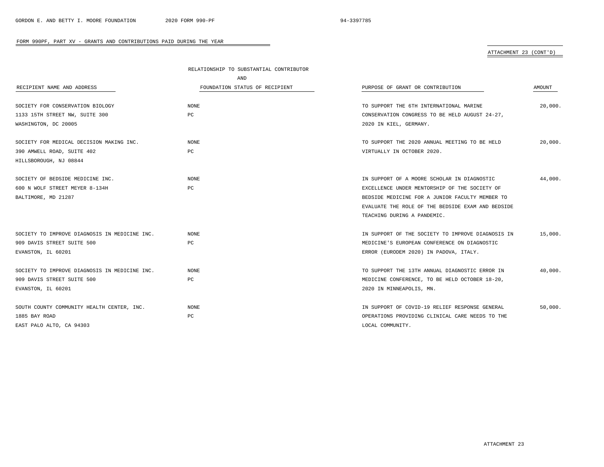# ATTACHMENT 23 (CONT'D)

|                                               | RELATIONSHIP TO SUBSTANTIAL CONTRIBUTOR |                                                   |         |
|-----------------------------------------------|-----------------------------------------|---------------------------------------------------|---------|
|                                               | AND                                     |                                                   |         |
| RECIPIENT NAME AND ADDRESS                    | FOUNDATION STATUS OF RECIPIENT          | PURPOSE OF GRANT OR CONTRIBUTION                  | AMOUNT  |
| SOCIETY FOR CONSERVATION BIOLOGY              | NONE                                    | TO SUPPORT THE 6TH INTERNATIONAL MARINE           | 20,000. |
| 1133 15TH STREET NW, SUITE 300                | PC                                      | CONSERVATION CONGRESS TO BE HELD AUGUST 24-27,    |         |
| WASHINGTON, DC 20005                          |                                         | 2020 IN KIEL, GERMANY.                            |         |
| SOCIETY FOR MEDICAL DECISION MAKING INC.      | <b>NONE</b>                             | TO SUPPORT THE 2020 ANNUAL MEETING TO BE HELD     | 20,000. |
| 390 AMWELL ROAD, SUITE 402                    | PC                                      | VIRTUALLY IN OCTOBER 2020.                        |         |
| HILLSBOROUGH, NJ 08844                        |                                         |                                                   |         |
| SOCIETY OF BEDSIDE MEDICINE INC.              | NONE                                    | IN SUPPORT OF A MOORE SCHOLAR IN DIAGNOSTIC       | 44,000. |
| 600 N WOLF STREET MEYER 8-134H                | PC                                      | EXCELLENCE UNDER MENTORSHIP OF THE SOCIETY OF     |         |
| BALTIMORE, MD 21287                           |                                         | BEDSIDE MEDICINE FOR A JUNIOR FACULTY MEMBER TO   |         |
|                                               |                                         | EVALUATE THE ROLE OF THE BEDSIDE EXAM AND BEDSIDE |         |
|                                               |                                         | TEACHING DURING A PANDEMIC.                       |         |
| SOCIETY TO IMPROVE DIAGNOSIS IN MEDICINE INC. | <b>NONE</b>                             | IN SUPPORT OF THE SOCIETY TO IMPROVE DIAGNOSIS IN | 15,000. |
| 909 DAVIS STREET SUITE 500                    | PC                                      | MEDICINE'S EUROPEAN CONFERENCE ON DIAGNOSTIC      |         |
| EVANSTON, IL 60201                            |                                         | ERROR (EURODEM 2020) IN PADOVA, ITALY.            |         |
| SOCIETY TO IMPROVE DIAGNOSIS IN MEDICINE INC. | <b>NONE</b>                             | TO SUPPORT THE 13TH ANNUAL DIAGNOSTIC ERROR IN    | 40,000. |
| 909 DAVIS STREET SUITE 500                    | РC                                      | MEDICINE CONFERENCE, TO BE HELD OCTOBER 18-20,    |         |
| EVANSTON, IL 60201                            |                                         | 2020 IN MINNEAPOLIS, MN.                          |         |
| SOUTH COUNTY COMMUNITY HEALTH CENTER, INC.    | <b>NONE</b>                             | IN SUPPORT OF COVID-19 RELIEF RESPONSE GENERAL    | 50.000. |
| 1885 BAY ROAD                                 | PC                                      | OPERATIONS PROVIDING CLINICAL CARE NEEDS TO THE   |         |
| EAST PALO ALTO, CA 94303                      |                                         | LOCAL COMMUNITY.                                  |         |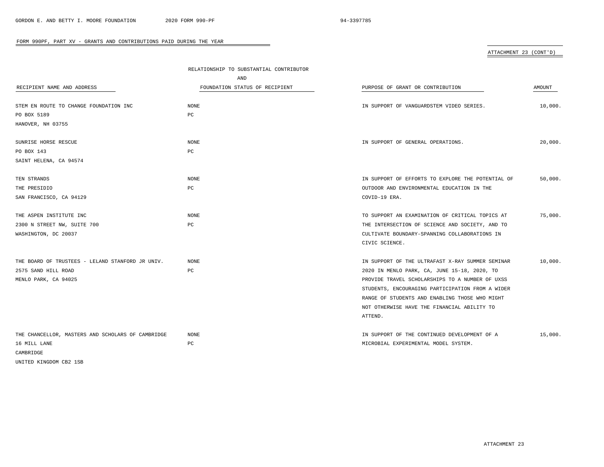# ATTACHMENT 23 (CONT'D)

|                                                   | RELATIONSHIP TO SUBSTANTIAL CONTRIBUTOR |                                                   |         |  |
|---------------------------------------------------|-----------------------------------------|---------------------------------------------------|---------|--|
|                                                   | AND                                     |                                                   |         |  |
| RECIPIENT NAME AND ADDRESS                        | FOUNDATION STATUS OF RECIPIENT          | PURPOSE OF GRANT OR CONTRIBUTION                  | AMOUNT  |  |
| STEM EN ROUTE TO CHANGE FOUNDATION INC            | $\rm{NONE}$                             | IN SUPPORT OF VANGUARDSTEM VIDEO SERIES.          | 10,000. |  |
| PO BOX 5189                                       | РC                                      |                                                   |         |  |
| HANOVER, NH 03755                                 |                                         |                                                   |         |  |
| SUNRISE HORSE RESCUE                              | NONE                                    | IN SUPPORT OF GENERAL OPERATIONS.                 | 20,000. |  |
| PO BOX 143                                        | PC                                      |                                                   |         |  |
| SAINT HELENA, CA 94574                            |                                         |                                                   |         |  |
| TEN STRANDS                                       | NONE                                    | IN SUPPORT OF EFFORTS TO EXPLORE THE POTENTIAL OF | 50.000. |  |
| THE PRESIDIO                                      | PC                                      | OUTDOOR AND ENVIRONMENTAL EDUCATION IN THE        |         |  |
| SAN FRANCISCO, CA 94129                           |                                         | COVID-19 ERA.                                     |         |  |
| THE ASPEN INSTITUTE INC                           | NONE                                    | TO SUPPORT AN EXAMINATION OF CRITICAL TOPICS AT   | 75,000. |  |
| 2300 N STREET NW, SUITE 700                       | PC                                      | THE INTERSECTION OF SCIENCE AND SOCIETY, AND TO   |         |  |
| WASHINGTON, DC 20037                              |                                         | CULTIVATE BOUNDARY-SPANNING COLLABORATIONS IN     |         |  |
|                                                   |                                         | CIVIC SCIENCE.                                    |         |  |
| THE BOARD OF TRUSTEES - LELAND STANFORD JR UNIV.  | NONE                                    | IN SUPPORT OF THE ULTRAFAST X-RAY SUMMER SEMINAR  | 10,000. |  |
| 2575 SAND HILL ROAD                               | PC                                      | 2020 IN MENLO PARK, CA, JUNE 15-18, 2020, TO      |         |  |
| MENLO PARK, CA 94025                              |                                         | PROVIDE TRAVEL SCHOLARSHIPS TO A NUMBER OF UXSS   |         |  |
|                                                   |                                         | STUDENTS, ENCOURAGING PARTICIPATION FROM A WIDER  |         |  |
|                                                   |                                         | RANGE OF STUDENTS AND ENABLING THOSE WHO MIGHT    |         |  |
|                                                   |                                         | NOT OTHERWISE HAVE THE FINANCIAL ABILITY TO       |         |  |
|                                                   |                                         | ATTEND.                                           |         |  |
| THE CHANCELLOR, MASTERS AND SCHOLARS OF CAMBRIDGE | <b>NONE</b>                             | IN SUPPORT OF THE CONTINUED DEVELOPMENT OF A      | 15,000. |  |
| 16 MILL LANE                                      | PC                                      | MICROBIAL EXPERIMENTAL MODEL SYSTEM.              |         |  |
| CAMBRIDGE                                         |                                         |                                                   |         |  |
| UNITED KINGDOM CB2 1SB                            |                                         |                                                   |         |  |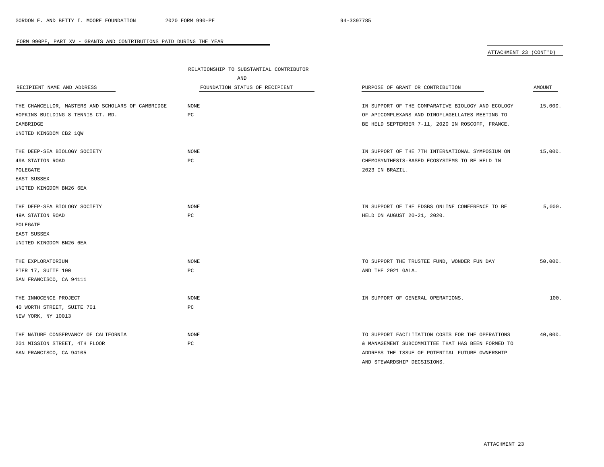### ATTACHMENT 23 (CONT'D)

|                                                   | RELATIONSHIP TO SUBSTANTIAL CONTRIBUTOR |                                                   |               |
|---------------------------------------------------|-----------------------------------------|---------------------------------------------------|---------------|
|                                                   | AND                                     |                                                   |               |
| RECIPIENT NAME AND ADDRESS                        | FOUNDATION STATUS OF RECIPIENT          | PURPOSE OF GRANT OR CONTRIBUTION                  | <b>AMOUNT</b> |
| THE CHANCELLOR, MASTERS AND SCHOLARS OF CAMBRIDGE | <b>NONE</b>                             | IN SUPPORT OF THE COMPARATIVE BIOLOGY AND ECOLOGY | 15,000.       |
| HOPKINS BUILDING 8 TENNIS CT. RD.                 | PC                                      | OF APICOMPLEXANS AND DINOFLAGELLATES MEETING TO   |               |
| CAMBRIDGE                                         |                                         | BE HELD SEPTEMBER 7-11, 2020 IN ROSCOFF, FRANCE.  |               |
| UNITED KINGDOM CB2 10W                            |                                         |                                                   |               |
| THE DEEP-SEA BIOLOGY SOCIETY                      | <b>NONE</b>                             | IN SUPPORT OF THE 7TH INTERNATIONAL SYMPOSIUM ON  | 15,000.       |
| 49A STATION ROAD                                  | PC                                      | CHEMOSYNTHESIS-BASED ECOSYSTEMS TO BE HELD IN     |               |
| POLEGATE                                          |                                         | 2023 IN BRAZIL.                                   |               |
| EAST SUSSEX                                       |                                         |                                                   |               |
| UNITED KINGDOM BN26 6EA                           |                                         |                                                   |               |
| THE DEEP-SEA BIOLOGY SOCIETY                      | NONE                                    | IN SUPPORT OF THE EDSBS ONLINE CONFERENCE TO BE   | 5,000.        |
| 49A STATION ROAD                                  | PC                                      | HELD ON AUGUST 20-21, 2020.                       |               |
| POLEGATE                                          |                                         |                                                   |               |
| EAST SUSSEX                                       |                                         |                                                   |               |
| UNITED KINGDOM BN26 6EA                           |                                         |                                                   |               |
| THE EXPLORATORIUM                                 | NONE                                    | TO SUPPORT THE TRUSTEE FUND, WONDER FUN DAY       | 50,000.       |
| PIER 17, SUITE 100                                | РC                                      | AND THE 2021 GALA.                                |               |
| SAN FRANCISCO, CA 94111                           |                                         |                                                   |               |
| THE INNOCENCE PROJECT                             | <b>NONE</b>                             | IN SUPPORT OF GENERAL OPERATIONS.                 | 100.          |
| 40 WORTH STREET, SUITE 701                        | РC                                      |                                                   |               |
| NEW YORK, NY 10013                                |                                         |                                                   |               |
| THE NATURE CONSERVANCY OF CALIFORNIA              | <b>NONE</b>                             | TO SUPPORT FACILITATION COSTS FOR THE OPERATIONS  | 40,000.       |
| 201 MISSION STREET, 4TH FLOOR                     | PC                                      | & MANAGEMENT SUBCOMMITTEE THAT HAS BEEN FORMED TO |               |
| SAN FRANCISCO, CA 94105                           |                                         | ADDRESS THE ISSUE OF POTENTIAL FUTURE OWNERSHIP   |               |
|                                                   |                                         | AND STEWARDSHIP DECSISIONS.                       |               |

÷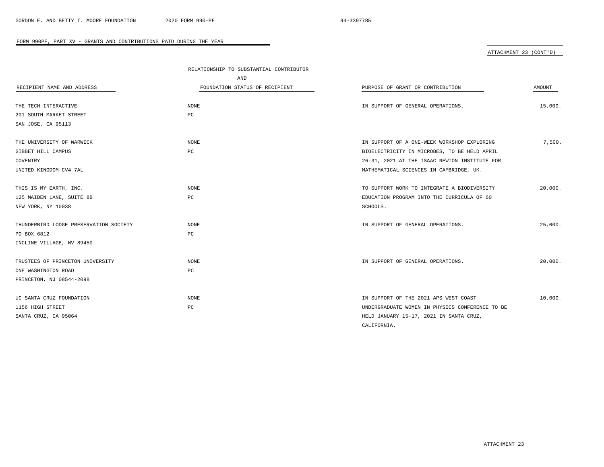# ATTACHMENT 23 (CONT'D)

|                                        | RELATIONSHIP TO SUBSTANTIAL CONTRIBUTOR |                                                 |         |
|----------------------------------------|-----------------------------------------|-------------------------------------------------|---------|
|                                        | AND                                     |                                                 |         |
| RECIPIENT NAME AND ADDRESS             | FOUNDATION STATUS OF RECIPIENT          | PURPOSE OF GRANT OR CONTRIBUTION                | AMOUNT  |
|                                        |                                         |                                                 |         |
| THE TECH INTERACTIVE                   | <b>NONE</b>                             | IN SUPPORT OF GENERAL OPERATIONS.               | 15,000. |
| 201 SOUTH MARKET STREET                | PC                                      |                                                 |         |
| SAN JOSE, CA 95113                     |                                         |                                                 |         |
| THE UNIVERSITY OF WARWICK              | NONE                                    | IN SUPPORT OF A ONE-WEEK WORKSHOP EXPLORING     | 7,500.  |
| GIBBET HILL CAMPUS                     | PC                                      | BIOELECTRICITY IN MICROBES, TO BE HELD APRIL    |         |
| COVENTRY                               |                                         | 26-31, 2021 AT THE ISAAC NEWTON INSTITUTE FOR   |         |
| UNITED KINGDOM CV4 7AL                 |                                         | MATHEMATICAL SCIENCES IN CAMBRIDGE, UK.         |         |
|                                        |                                         |                                                 |         |
| THIS IS MY EARTH, INC.                 | NONE                                    | TO SUPPORT WORK TO INTEGRATE A BIODIVERSITY     | 20,000. |
| 125 MAIDEN LANE, SUITE 8B              | PC                                      | EDUCATION PROGRAM INTO THE CURRICULA OF 60      |         |
| NEW YORK, NY 10038                     |                                         | SCHOOLS.                                        |         |
| THUNDERBIRD LODGE PRESERVATION SOCIETY | NONE                                    | IN SUPPORT OF GENERAL OPERATIONS.               | 25,000. |
| PO BOX 6812                            | PC                                      |                                                 |         |
| INCLINE VILLAGE, NV 89450              |                                         |                                                 |         |
| TRUSTEES OF PRINCETON UNIVERSITY       | NONE                                    | IN SUPPORT OF GENERAL OPERATIONS.               | 20,000. |
| ONE WASHINGTON ROAD                    | PC                                      |                                                 |         |
| PRINCETON, NJ 08544-2098               |                                         |                                                 |         |
|                                        |                                         |                                                 |         |
| UC SANTA CRUZ FOUNDATION               | NONE                                    | IN SUPPORT OF THE 2021 APS WEST COAST           | 10,000. |
| 1156 HIGH STREET                       | PC                                      | UNDERGRADUATE WOMEN IN PHYSICS CONFERENCE TO BE |         |
| SANTA CRUZ, CA 95064                   |                                         | HELD JANUARY 15-17, 2021 IN SANTA CRUZ,         |         |
|                                        |                                         | CALIFORNIA.                                     |         |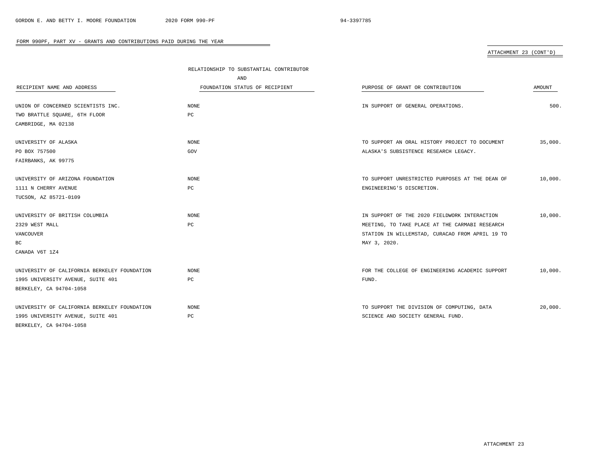### ATTACHMENT 23 (CONT'D)

|                                              | RELATIONSHIP TO SUBSTANTIAL CONTRIBUTOR |                                                 |         |
|----------------------------------------------|-----------------------------------------|-------------------------------------------------|---------|
|                                              | AND                                     |                                                 |         |
| RECIPIENT NAME AND ADDRESS                   | FOUNDATION STATUS OF RECIPIENT          | PURPOSE OF GRANT OR CONTRIBUTION                | AMOUNT  |
|                                              |                                         |                                                 |         |
| UNION OF CONCERNED SCIENTISTS INC.           | NONE                                    | IN SUPPORT OF GENERAL OPERATIONS.               | 500.    |
| TWO BRATTLE SQUARE, 6TH FLOOR                | PC                                      |                                                 |         |
| CAMBRIDGE, MA 02138                          |                                         |                                                 |         |
| UNIVERSITY OF ALASKA                         | <b>NONE</b>                             | TO SUPPORT AN ORAL HISTORY PROJECT TO DOCUMENT  | 35,000. |
| PO BOX 757500                                | GOV                                     | ALASKA'S SUBSISTENCE RESEARCH LEGACY.           |         |
| FAIRBANKS, AK 99775                          |                                         |                                                 |         |
|                                              |                                         |                                                 |         |
| UNIVERSITY OF ARIZONA FOUNDATION             | NONE                                    | TO SUPPORT UNRESTRICTED PURPOSES AT THE DEAN OF | 10,000. |
| 1111 N CHERRY AVENUE                         | PC                                      | ENGINEERING'S DISCRETION.                       |         |
| TUCSON, AZ 85721-0109                        |                                         |                                                 |         |
|                                              |                                         |                                                 |         |
| UNIVERSITY OF BRITISH COLUMBIA               | NONE                                    | IN SUPPORT OF THE 2020 FIELDWORK INTERACTION    | 10,000. |
| 2329 WEST MALL                               | PC                                      | MEETING, TO TAKE PLACE AT THE CARMABI RESEARCH  |         |
| VANCOUVER                                    |                                         | STATION IN WILLEMSTAD, CURACAO FROM APRIL 19 TO |         |
| ВC                                           |                                         | MAY 3, 2020.                                    |         |
| CANADA V6T 1Z4                               |                                         |                                                 |         |
|                                              |                                         |                                                 |         |
| UNIVERSITY OF CALIFORNIA BERKELEY FOUNDATION | NONE                                    | FOR THE COLLEGE OF ENGINEERING ACADEMIC SUPPORT | 10,000. |
| 1995 UNIVERSITY AVENUE, SUITE 401            | PC                                      | FUND.                                           |         |
| BERKELEY, CA 94704-1058                      |                                         |                                                 |         |
|                                              |                                         |                                                 |         |
| UNIVERSITY OF CALIFORNIA BERKELEY FOUNDATION | NONE                                    | TO SUPPORT THE DIVISION OF COMPUTING, DATA      | 20,000. |
| 1995 UNIVERSITY AVENUE, SUITE 401            | PC                                      | SCIENCE AND SOCIETY GENERAL FUND.               |         |
| BERKELEY, CA 94704-1058                      |                                         |                                                 |         |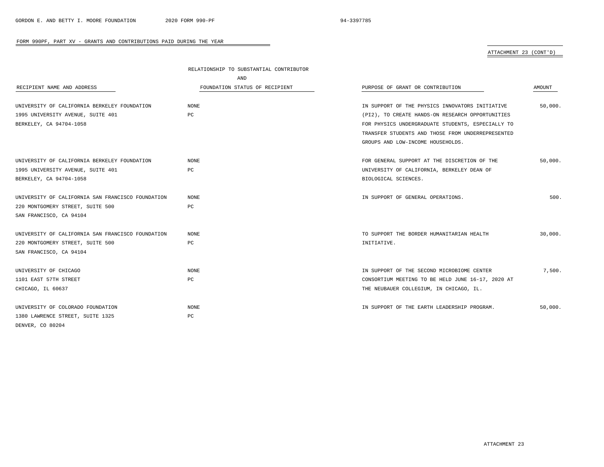$\overline{\phantom{a}}$ 

#### FORM 990PF, PART XV - GRANTS AND CONTRIBUTIONS PAID DURING THE YEAR

ATTACHMENT 23 (CONT'D)

|                                                   | RELATIONSHIP TO SUBSTANTIAL CONTRIBUTOR |                                                   |         |
|---------------------------------------------------|-----------------------------------------|---------------------------------------------------|---------|
|                                                   | AND                                     |                                                   |         |
| RECIPIENT NAME AND ADDRESS                        | FOUNDATION STATUS OF RECIPIENT          | PURPOSE OF GRANT OR CONTRIBUTION                  | AMOUNT  |
|                                                   |                                         |                                                   |         |
| UNIVERSITY OF CALIFORNIA BERKELEY FOUNDATION      | <b>NONE</b>                             | IN SUPPORT OF THE PHYSICS INNOVATORS INITIATIVE   | 50,000. |
| 1995 UNIVERSITY AVENUE, SUITE 401                 | PC                                      | (PI2), TO CREATE HANDS-ON RESEARCH OPPORTUNITIES  |         |
| BERKELEY, CA 94704-1058                           |                                         | FOR PHYSICS UNDERGRADUATE STUDENTS, ESPECIALLY TO |         |
|                                                   |                                         | TRANSFER STUDENTS AND THOSE FROM UNDERREPRESENTED |         |
|                                                   |                                         | GROUPS AND LOW-INCOME HOUSEHOLDS.                 |         |
| UNIVERSITY OF CALIFORNIA BERKELEY FOUNDATION      | <b>NONE</b>                             | FOR GENERAL SUPPORT AT THE DISCRETION OF THE      | 50,000. |
| 1995 UNIVERSITY AVENUE, SUITE 401                 | PC                                      |                                                   |         |
|                                                   |                                         | UNIVERSITY OF CALIFORNIA, BERKELEY DEAN OF        |         |
| BERKELEY, CA 94704-1058                           |                                         | BIOLOGICAL SCIENCES.                              |         |
| UNIVERSITY OF CALIFORNIA SAN FRANCISCO FOUNDATION | NONE                                    | IN SUPPORT OF GENERAL OPERATIONS.                 | 500.    |
| 220 MONTGOMERY STREET, SUITE 500                  | PC                                      |                                                   |         |
| SAN FRANCISCO, CA 94104                           |                                         |                                                   |         |
| UNIVERSITY OF CALIFORNIA SAN FRANCISCO FOUNDATION | <b>NONE</b>                             | TO SUPPORT THE BORDER HUMANITARIAN HEALTH         | 30.000. |
| 220 MONTGOMERY STREET, SUITE 500                  | PC                                      | INITIATIVE.                                       |         |
| SAN FRANCISCO, CA 94104                           |                                         |                                                   |         |
|                                                   |                                         |                                                   |         |
| UNIVERSITY OF CHICAGO                             | <b>NONE</b>                             | IN SUPPORT OF THE SECOND MICROBIOME CENTER        | 7,500.  |
| 1101 EAST 57TH STREET                             | PC                                      | CONSORTIUM MEETING TO BE HELD JUNE 16-17, 2020 AT |         |
| CHICAGO, IL 60637                                 |                                         | THE NEUBAUER COLLEGIUM, IN CHICAGO, IL.           |         |
| UNIVERSITY OF COLORADO FOUNDATION                 | <b>NONE</b>                             | IN SUPPORT OF THE EARTH LEADERSHIP PROGRAM.       | 50,000. |
| 1380 LAWRENCE STREET, SUITE 1325                  | PC                                      |                                                   |         |
| DENVER, CO 80204                                  |                                         |                                                   |         |
|                                                   |                                         |                                                   |         |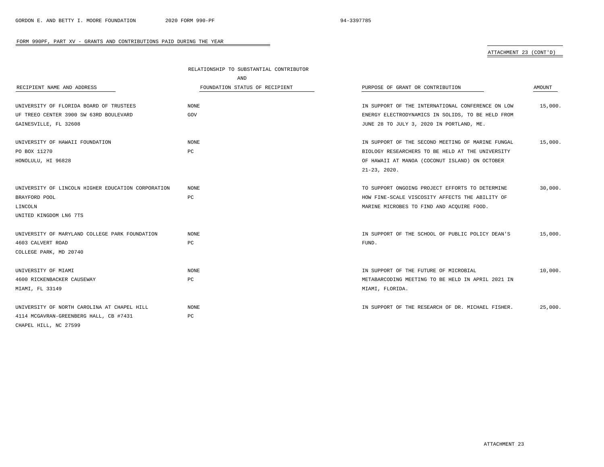### ATTACHMENT 23 (CONT'D)

|                                                    | RELATIONSHIP TO SUBSTANTIAL CONTRIBUTOR |                                                   |         |
|----------------------------------------------------|-----------------------------------------|---------------------------------------------------|---------|
|                                                    | AND                                     |                                                   |         |
| RECIPIENT NAME AND ADDRESS                         | FOUNDATION STATUS OF RECIPIENT          | PURPOSE OF GRANT OR CONTRIBUTION                  | AMOUNT  |
| UNIVERSITY OF FLORIDA BOARD OF TRUSTEES            | NONE                                    | IN SUPPORT OF THE INTERNATIONAL CONFERENCE ON LOW | 15,000. |
| UF TREEO CENTER 3900 SW 63RD BOULEVARD             | GOV                                     | ENERGY ELECTRODYNAMICS IN SOLIDS, TO BE HELD FROM |         |
| GAINESVILLE, FL 32608                              |                                         | JUNE 28 TO JULY 3, 2020 IN PORTLAND, ME.          |         |
| UNIVERSITY OF HAWAII FOUNDATION                    | NONE                                    | IN SUPPORT OF THE SECOND MEETING OF MARINE FUNGAL | 15,000. |
| PO BOX 11270                                       | РC                                      | BIOLOGY RESEARCHERS TO BE HELD AT THE UNIVERSITY  |         |
| HONOLULU, HI 96828                                 |                                         | OF HAWAII AT MANOA (COCONUT ISLAND) ON OCTOBER    |         |
|                                                    |                                         | $21 - 23$ , $2020$ .                              |         |
| UNIVERSITY OF LINCOLN HIGHER EDUCATION CORPORATION | NONE                                    | TO SUPPORT ONGOING PROJECT EFFORTS TO DETERMINE   | 30,000. |
| BRAYFORD POOL                                      | PC                                      | HOW FINE-SCALE VISCOSITY AFFECTS THE ABILITY OF   |         |
| LINCOLN                                            |                                         | MARINE MICROBES TO FIND AND ACQUIRE FOOD.         |         |
| UNITED KINGDOM LN6 7TS                             |                                         |                                                   |         |
| UNIVERSITY OF MARYLAND COLLEGE PARK FOUNDATION     | NONE                                    | IN SUPPORT OF THE SCHOOL OF PUBLIC POLICY DEAN'S  | 15,000. |
| 4603 CALVERT ROAD                                  | PC                                      | FUND.                                             |         |
| COLLEGE PARK, MD 20740                             |                                         |                                                   |         |
| UNIVERSITY OF MIAMI                                | NONE                                    | IN SUPPORT OF THE FUTURE OF MICROBIAL             | 10,000. |
| 4600 RICKENBACKER CAUSEWAY                         | PC                                      | METABARCODING MEETING TO BE HELD IN APRIL 2021 IN |         |
| MIAMI, FL 33149                                    |                                         | MIAMI, FLORIDA.                                   |         |
| UNIVERSITY OF NORTH CAROLINA AT CHAPEL HILL        | NONE                                    | IN SUPPORT OF THE RESEARCH OF DR. MICHAEL FISHER. | 25,000. |
| 4114 MCGAVRAN-GREENBERG HALL, CB #7431             | PC                                      |                                                   |         |
| CHAPEL HILL, NC 27599                              |                                         |                                                   |         |

÷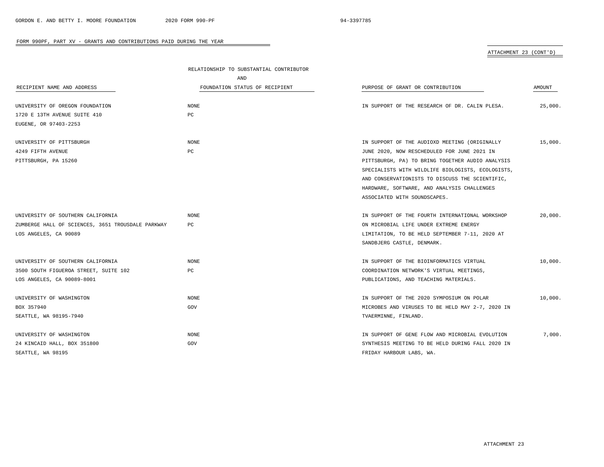ATTACHMENT 23 (CONT'D)

|                                                   | RELATIONSHIP TO SUBSTANTIAL CONTRIBUTOR |                                                   |         |  |
|---------------------------------------------------|-----------------------------------------|---------------------------------------------------|---------|--|
|                                                   | AND                                     |                                                   |         |  |
| RECIPIENT NAME AND ADDRESS                        | FOUNDATION STATUS OF RECIPIENT          | PURPOSE OF GRANT OR CONTRIBUTION                  | AMOUNT  |  |
|                                                   |                                         |                                                   |         |  |
| UNIVERSITY OF OREGON FOUNDATION                   | NONE                                    | IN SUPPORT OF THE RESEARCH OF DR. CALIN PLESA.    | 25,000. |  |
| 1720 E 13TH AVENUE SUITE 410                      | РC                                      |                                                   |         |  |
| EUGENE, OR 97403-2253                             |                                         |                                                   |         |  |
| UNIVERSITY OF PITTSBURGH                          | <b>NONE</b>                             | IN SUPPORT OF THE AUDIOXD MEETING (ORIGINALLY     | 15,000. |  |
| 4249 FIFTH AVENUE                                 | PC                                      | JUNE 2020, NOW RESCHEDULED FOR JUNE 2021 IN       |         |  |
| PITTSBURGH, PA 15260                              |                                         | PITTSBURGH, PA) TO BRING TOGETHER AUDIO ANALYSIS  |         |  |
|                                                   |                                         | SPECIALISTS WITH WILDLIFE BIOLOGISTS, ECOLOGISTS, |         |  |
|                                                   |                                         | AND CONSERVATIONISTS TO DISCUSS THE SCIENTIFIC,   |         |  |
|                                                   |                                         | HARDWARE, SOFTWARE, AND ANALYSIS CHALLENGES       |         |  |
|                                                   |                                         | ASSOCIATED WITH SOUNDSCAPES.                      |         |  |
| UNIVERSITY OF SOUTHERN CALIFORNIA                 | NONE                                    | IN SUPPORT OF THE FOURTH INTERNATIONAL WORKSHOP   | 20.000. |  |
| ZUMBERGE HALL OF SCIENCES, 3651 TROUSDALE PARKWAY | PC                                      | ON MICROBIAL LIFE UNDER EXTREME ENERGY            |         |  |
| LOS ANGELES, CA 90089                             |                                         | LIMITATION, TO BE HELD SEPTEMBER 7-11, 2020 AT    |         |  |
|                                                   |                                         | SANDBJERG CASTLE, DENMARK.                        |         |  |
|                                                   |                                         |                                                   |         |  |
| UNIVERSITY OF SOUTHERN CALIFORNIA                 | NONE                                    | IN SUPPORT OF THE BIOINFORMATICS VIRTUAL          | 10,000. |  |
| 3500 SOUTH FIGUEROA STREET, SUITE 102             | PC                                      | COORDINATION NETWORK'S VIRTUAL MEETINGS,          |         |  |
| LOS ANGELES, CA 90089-8001                        |                                         | PUBLICATIONS, AND TEACHING MATERIALS.             |         |  |
| UNIVERSITY OF WASHINGTON                          | NONE                                    | IN SUPPORT OF THE 2020 SYMPOSIUM ON POLAR         | 10,000. |  |
| BOX 357940                                        | GOV                                     | MICROBES AND VIRUSES TO BE HELD MAY 2-7, 2020 IN  |         |  |
| SEATTLE, WA 98195-7940                            |                                         | TVAERMINNE, FINLAND.                              |         |  |
|                                                   |                                         |                                                   |         |  |
| UNIVERSITY OF WASHINGTON                          | NONE                                    | IN SUPPORT OF GENE FLOW AND MICROBIAL EVOLUTION   | 7,000.  |  |
| 24 KINCAID HALL, BOX 351800                       | GOV                                     | SYNTHESIS MEETING TO BE HELD DURING FALL 2020 IN  |         |  |
| SEATTLE, WA 98195                                 |                                         | FRIDAY HARBOUR LABS, WA.                          |         |  |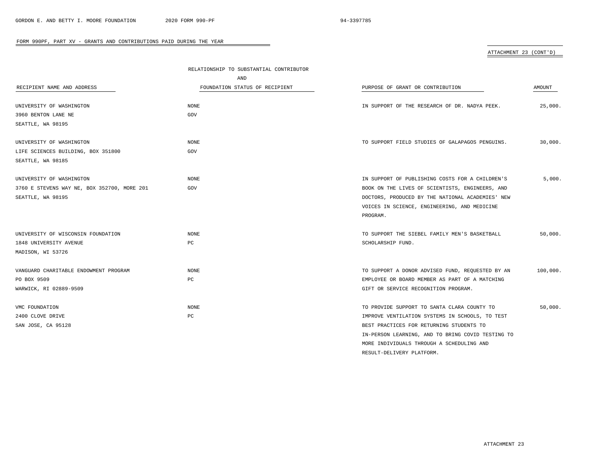# ATTACHMENT 23 (CONT'D)

|                                             | RELATIONSHIP TO SUBSTANTIAL CONTRIBUTOR |                                                   |          |
|---------------------------------------------|-----------------------------------------|---------------------------------------------------|----------|
|                                             | AND                                     |                                                   |          |
| RECIPIENT NAME AND ADDRESS                  | FOUNDATION STATUS OF RECIPIENT          | PURPOSE OF GRANT OR CONTRIBUTION                  | AMOUNT   |
|                                             |                                         |                                                   |          |
| UNIVERSITY OF WASHINGTON                    | NONE                                    | IN SUPPORT OF THE RESEARCH OF DR. NADYA PEEK.     | 25,000.  |
| 3960 BENTON LANE NE                         | GOV                                     |                                                   |          |
| SEATTLE, WA 98195                           |                                         |                                                   |          |
| UNIVERSITY OF WASHINGTON                    | <b>NONE</b>                             | TO SUPPORT FIELD STUDIES OF GALAPAGOS PENGUINS.   | 30,000.  |
| LIFE SCIENCES BUILDING, BOX 351800          | GOV                                     |                                                   |          |
| SEATTLE, WA 98185                           |                                         |                                                   |          |
|                                             |                                         |                                                   |          |
| UNIVERSITY OF WASHINGTON                    | NONE                                    | IN SUPPORT OF PUBLISHING COSTS FOR A CHILDREN'S   | 5,000.   |
| 3760 E STEVENS WAY NE, BOX 352700, MORE 201 | GOV                                     | BOOK ON THE LIVES OF SCIENTISTS, ENGINEERS, AND   |          |
| SEATTLE, WA 98195                           |                                         | DOCTORS, PRODUCED BY THE NATIONAL ACADEMIES' NEW  |          |
|                                             |                                         | VOICES IN SCIENCE, ENGINEERING, AND MEDICINE      |          |
|                                             |                                         | PROGRAM.                                          |          |
|                                             |                                         |                                                   |          |
| UNIVERSITY OF WISCONSIN FOUNDATION          | NONE                                    | TO SUPPORT THE SIEBEL FAMILY MEN'S BASKETBALL     | 50,000.  |
| 1848 UNIVERSITY AVENUE                      | PC                                      | SCHOLARSHIP FUND.                                 |          |
| MADISON, WI 53726                           |                                         |                                                   |          |
| VANGUARD CHARITABLE ENDOWMENT PROGRAM       | <b>NONE</b>                             | TO SUPPORT A DONOR ADVISED FUND, REQUESTED BY AN  | 100,000. |
| PO BOX 9509                                 | РC                                      | EMPLOYEE OR BOARD MEMBER AS PART OF A MATCHING    |          |
| WARWICK, RI 02889-9509                      |                                         | GIFT OR SERVICE RECOGNITION PROGRAM.              |          |
|                                             |                                         |                                                   |          |
| VMC FOUNDATION                              | <b>NONE</b>                             | TO PROVIDE SUPPORT TO SANTA CLARA COUNTY TO       | 50,000.  |
| 2400 CLOVE DRIVE                            | PC                                      | IMPROVE VENTILATION SYSTEMS IN SCHOOLS, TO TEST   |          |
| SAN JOSE, CA 95128                          |                                         | BEST PRACTICES FOR RETURNING STUDENTS TO          |          |
|                                             |                                         | IN-PERSON LEARNING, AND TO BRING COVID TESTING TO |          |
|                                             |                                         | MORE INDIVIDUALS THROUGH A SCHEDULING AND         |          |
|                                             |                                         | RESULT-DELIVERY PLATFORM.                         |          |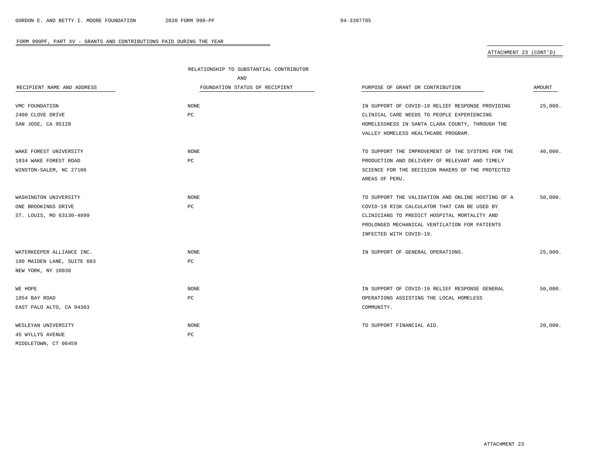# ATTACHMENT 23 (CONT'D)

|                            | RELATIONSHIP TO SUBSTANTIAL CONTRIBUTOR |                                                   |         |
|----------------------------|-----------------------------------------|---------------------------------------------------|---------|
|                            | AND                                     |                                                   |         |
| RECIPIENT NAME AND ADDRESS | FOUNDATION STATUS OF RECIPIENT          | PURPOSE OF GRANT OR CONTRIBUTION                  | AMOUNT  |
| VMC FOUNDATION             | NONE                                    | IN SUPPORT OF COVID-19 RELIEF RESPONSE PROVIDING  | 25,000. |
| 2400 CLOVE DRIVE           | PC                                      | CLINICAL CARE NEEDS TO PEOPLE EXPERIENCING        |         |
| SAN JOSE, CA 95128         |                                         | HOMELESSNESS IN SANTA CLARA COUNTY, THROUGH THE   |         |
|                            |                                         | VALLEY HOMELESS HEALTHCARE PROGRAM.               |         |
| WAKE FOREST UNIVERSITY     | NONE                                    | TO SUPPORT THE IMPROVEMENT OF THE SYSTEMS FOR THE | 40,000. |
| 1834 WAKE FOREST ROAD      | PC                                      | PRODUCTION AND DELIVERY OF RELEVANT AND TIMELY    |         |
| WINSTON-SALEM, NC 27106    |                                         | SCIENCE FOR THE DECISION MAKERS OF THE PROTECTED  |         |
|                            |                                         | AREAS OF PERU.                                    |         |
| WASHINGTON UNIVERSITY      | NONE                                    | TO SUPPORT THE VALIDATION AND ONLINE HOSTING OF A | 50,000. |
| ONE BROOKINGS DRIVE        | PC                                      | COVID-19 RISK CALCULATOR THAT CAN BE USED BY      |         |
| ST. LOUIS, MO 63130-4899   |                                         | CLINICIANS TO PREDICT HOSPITAL MORTALITY AND      |         |
|                            |                                         | PROLONGED MECHANICAL VENTILATION FOR PATIENTS     |         |
|                            |                                         | INFECTED WITH COVID-19.                           |         |
| WATERKEEPER ALLIANCE INC.  | NONE                                    | IN SUPPORT OF GENERAL OPERATIONS.                 | 25,000. |
| 180 MAIDEN LANE, SUITE 603 | PC                                      |                                                   |         |
| NEW YORK, NY 10038         |                                         |                                                   |         |
| WE HOPE                    | NONE                                    | IN SUPPORT OF COVID-19 RELIEF RESPONSE GENERAL    | 50,000. |
| 1854 BAY ROAD              | PC                                      | OPERATIONS ASSISTING THE LOCAL HOMELESS           |         |
| EAST PALO ALTO, CA 94303   |                                         | COMMUNITY.                                        |         |
| WESLEYAN UNIVERSITY        | NONE                                    | TO SUPPORT FINANCIAL AID.                         | 20,000. |
| <b>45 WYLLYS AVENUE</b>    | PC                                      |                                                   |         |
| MIDDLETOWN, CT 06459       |                                         |                                                   |         |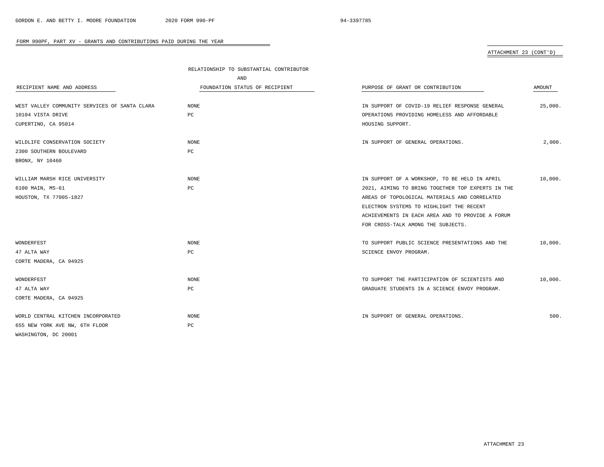# ATTACHMENT 23 (CONT'D)

|                                               | RELATIONSHIP TO SUBSTANTIAL CONTRIBUTOR |                                                   |         |
|-----------------------------------------------|-----------------------------------------|---------------------------------------------------|---------|
|                                               | AND                                     |                                                   |         |
| RECIPIENT NAME AND ADDRESS                    | FOUNDATION STATUS OF RECIPIENT          | PURPOSE OF GRANT OR CONTRIBUTION                  | AMOUNT  |
| WEST VALLEY COMMUNITY SERVICES OF SANTA CLARA | NONE                                    | IN SUPPORT OF COVID-19 RELIEF RESPONSE GENERAL    | 25,000. |
| 10104 VISTA DRIVE                             | PC                                      | OPERATIONS PROVIDING HOMELESS AND AFFORDABLE      |         |
| CUPERTINO, CA 95014                           |                                         | HOUSING SUPPORT.                                  |         |
| WILDLIFE CONSERVATION SOCIETY                 | NONE                                    | IN SUPPORT OF GENERAL OPERATIONS.                 | 2,000.  |
| 2300 SOUTHERN BOULEVARD                       | PC                                      |                                                   |         |
| BRONX, NY 10460                               |                                         |                                                   |         |
| WILLIAM MARSH RICE UNIVERSITY                 | NONE                                    | IN SUPPORT OF A WORKSHOP, TO BE HELD IN APRIL     | 10,000. |
| 6100 MAIN, MS-61                              | PC                                      | 2021, AIMING TO BRING TOGETHER TOP EXPERTS IN THE |         |
| HOUSTON, TX 77005-1827                        |                                         | AREAS OF TOPOLOGICAL MATERIALS AND CORRELATED     |         |
|                                               |                                         | ELECTRON SYSTEMS TO HIGHLIGHT THE RECENT          |         |
|                                               |                                         | ACHIEVEMENTS IN EACH AREA AND TO PROVIDE A FORUM  |         |
|                                               |                                         | FOR CROSS-TALK AMONG THE SUBJECTS.                |         |
| WONDERFEST                                    | <b>NONE</b>                             | TO SUPPORT PUBLIC SCIENCE PRESENTATIONS AND THE   | 10,000. |
| 47 ALTA WAY                                   | PC                                      | SCIENCE ENVOY PROGRAM.                            |         |
| CORTE MADERA, CA 94925                        |                                         |                                                   |         |
| WONDERFEST                                    | NONE                                    | TO SUPPORT THE PARTICIPATION OF SCIENTISTS AND    | 10,000. |
| 47 ALTA WAY                                   | РC                                      | GRADUATE STUDENTS IN A SCIENCE ENVOY PROGRAM.     |         |
| CORTE MADERA, CA 94925                        |                                         |                                                   |         |
| WORLD CENTRAL KITCHEN INCORPORATED            | <b>NONE</b>                             | IN SUPPORT OF GENERAL OPERATIONS.                 | 500.    |
| 655 NEW YORK AVE NW, 6TH FLOOR                | РC                                      |                                                   |         |
| WASHINGTON, DC 20001                          |                                         |                                                   |         |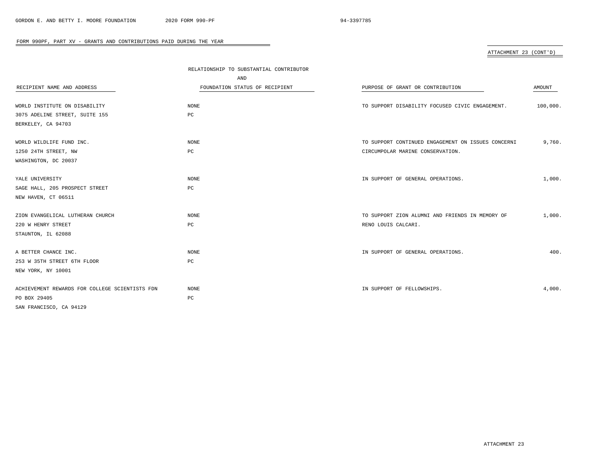# ATTACHMENT 23 (CONT'D)

|                                                | RELATIONSHIP TO SUBSTANTIAL CONTRIBUTOR |                                                    |          |  |
|------------------------------------------------|-----------------------------------------|----------------------------------------------------|----------|--|
|                                                | AND                                     |                                                    |          |  |
| RECIPIENT NAME AND ADDRESS                     | FOUNDATION STATUS OF RECIPIENT          | PURPOSE OF GRANT OR CONTRIBUTION                   | AMOUNT   |  |
|                                                |                                         |                                                    |          |  |
| WORLD INSTITUTE ON DISABILITY                  | NONE                                    | TO SUPPORT DISABILITY FOCUSED CIVIC ENGAGEMENT.    | 100,000. |  |
| 3075 ADELINE STREET, SUITE 155                 | PC                                      |                                                    |          |  |
| BERKELEY, CA 94703                             |                                         |                                                    |          |  |
|                                                |                                         |                                                    |          |  |
| WORLD WILDLIFE FUND INC.                       | NONE                                    | TO SUPPORT CONTINUED ENGAGEMENT ON ISSUES CONCERNI | 9,760.   |  |
| 1250 24TH STREET, NW                           | $_{\rm PC}$                             | CIRCUMPOLAR MARINE CONSERVATION.                   |          |  |
| WASHINGTON, DC 20037                           |                                         |                                                    |          |  |
|                                                |                                         |                                                    |          |  |
| YALE UNIVERSITY                                | NONE                                    | IN SUPPORT OF GENERAL OPERATIONS.                  | 1,000.   |  |
| SAGE HALL, 205 PROSPECT STREET                 | PC                                      |                                                    |          |  |
| NEW HAVEN, CT 06511                            |                                         |                                                    |          |  |
|                                                |                                         |                                                    |          |  |
| ZION EVANGELICAL LUTHERAN CHURCH               | NONE                                    | TO SUPPORT ZION ALUMNI AND FRIENDS IN MEMORY OF    | 1,000.   |  |
| 220 W HENRY STREET                             | PC                                      | RENO LOUIS CALCARI.                                |          |  |
| STAUNTON, IL 62088                             |                                         |                                                    |          |  |
|                                                |                                         |                                                    |          |  |
| A BETTER CHANCE INC.                           | NONE                                    | IN SUPPORT OF GENERAL OPERATIONS.                  | 400.     |  |
| 253 W 35TH STREET 6TH FLOOR                    | $_{\rm PC}$                             |                                                    |          |  |
| NEW YORK, NY 10001                             |                                         |                                                    |          |  |
|                                                |                                         |                                                    |          |  |
| ACHIEVEMENT REWARDS FOR COLLEGE SCIENTISTS FDN | $\rm{NONE}$                             | IN SUPPORT OF FELLOWSHIPS.                         | 4,000.   |  |
| PO BOX 29405                                   | PC                                      |                                                    |          |  |
| SAN FRANCISCO, CA 94129                        |                                         |                                                    |          |  |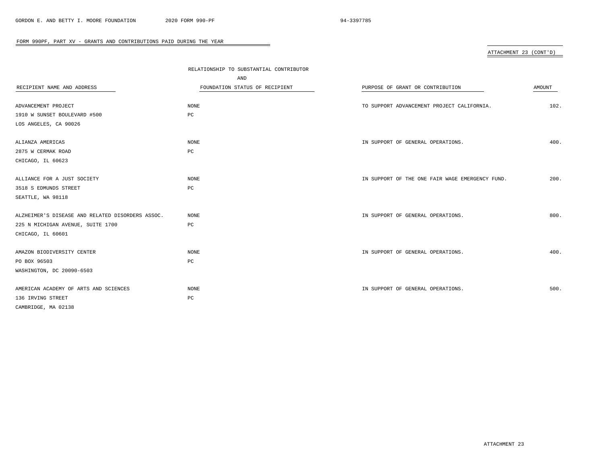# ATTACHMENT 23 (CONT'D)

| RECIPIENT NAME AND ADDRESS                       | RELATIONSHIP TO SUBSTANTIAL CONTRIBUTOR<br>AND<br>FOUNDATION STATUS OF RECIPIENT | PURPOSE OF GRANT OR CONTRIBUTION                | <b>AMOUNT</b> |
|--------------------------------------------------|----------------------------------------------------------------------------------|-------------------------------------------------|---------------|
| ADVANCEMENT PROJECT                              | NONE                                                                             | TO SUPPORT ADVANCEMENT PROJECT CALIFORNIA.      | 102.          |
| 1910 W SUNSET BOULEVARD #500                     | PC                                                                               |                                                 |               |
| LOS ANGELES, CA 90026                            |                                                                                  |                                                 |               |
| ALIANZA AMERICAS                                 | NONE                                                                             | IN SUPPORT OF GENERAL OPERATIONS.               | 400.          |
| 2875 W CERMAK ROAD                               | $_{\rm PC}$                                                                      |                                                 |               |
| CHICAGO, IL 60623                                |                                                                                  |                                                 |               |
| ALLIANCE FOR A JUST SOCIETY                      | NONE                                                                             | IN SUPPORT OF THE ONE FAIR WAGE EMERGENCY FUND. | 200.          |
| 3518 S EDMUNDS STREET                            | $_{\rm PC}$                                                                      |                                                 |               |
| SEATTLE, WA 98118                                |                                                                                  |                                                 |               |
| ALZHEIMER'S DISEASE AND RELATED DISORDERS ASSOC. | NONE                                                                             | IN SUPPORT OF GENERAL OPERATIONS.               | 800.          |
| 225 N MICHIGAN AVENUE, SUITE 1700                | PC                                                                               |                                                 |               |
| CHICAGO, IL 60601                                |                                                                                  |                                                 |               |
| AMAZON BIODIVERSITY CENTER                       | NONE                                                                             | IN SUPPORT OF GENERAL OPERATIONS.               | 400.          |
| PO BOX 96503                                     | PC                                                                               |                                                 |               |
| WASHINGTON, DC 20090-6503                        |                                                                                  |                                                 |               |
| AMERICAN ACADEMY OF ARTS AND SCIENCES            | <b>NONE</b>                                                                      | IN SUPPORT OF GENERAL OPERATIONS.               | 500.          |
| 136 IRVING STREET                                | $_{\rm PC}$                                                                      |                                                 |               |
| CAMBRIDGE, MA 02138                              |                                                                                  |                                                 |               |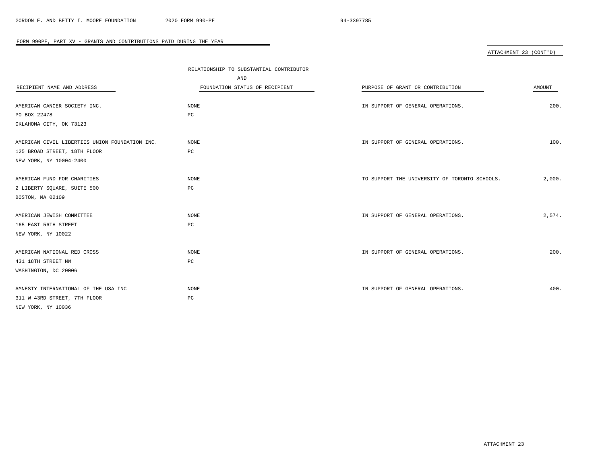# ATTACHMENT 23 (CONT'D)

|                                                | RELATIONSHIP TO SUBSTANTIAL CONTRIBUTOR<br>AND |                                               |               |
|------------------------------------------------|------------------------------------------------|-----------------------------------------------|---------------|
| RECIPIENT NAME AND ADDRESS                     | FOUNDATION STATUS OF RECIPIENT                 | PURPOSE OF GRANT OR CONTRIBUTION              | <b>AMOUNT</b> |
| AMERICAN CANCER SOCIETY INC.                   | NONE                                           | IN SUPPORT OF GENERAL OPERATIONS.             | 200.          |
| PO BOX 22478                                   | PC                                             |                                               |               |
| OKLAHOMA CITY, OK 73123                        |                                                |                                               |               |
|                                                |                                                |                                               |               |
| AMERICAN CIVIL LIBERTIES UNION FOUNDATION INC. | <b>NONE</b>                                    | IN SUPPORT OF GENERAL OPERATIONS.             | 100.          |
| 125 BROAD STREET, 18TH FLOOR                   | PC                                             |                                               |               |
| NEW YORK, NY 10004-2400                        |                                                |                                               |               |
|                                                | NONE                                           | TO SUPPORT THE UNIVERSITY OF TORONTO SCHOOLS. | 2,000.        |
| AMERICAN FUND FOR CHARITIES                    | PC                                             |                                               |               |
| 2 LIBERTY SQUARE, SUITE 500                    |                                                |                                               |               |
| BOSTON, MA 02109                               |                                                |                                               |               |
| AMERICAN JEWISH COMMITTEE                      | NONE                                           | IN SUPPORT OF GENERAL OPERATIONS.             | 2,574.        |
| 165 EAST 56TH STREET                           | PC                                             |                                               |               |
| NEW YORK, NY 10022                             |                                                |                                               |               |
|                                                |                                                |                                               |               |
| AMERICAN NATIONAL RED CROSS                    | <b>NONE</b>                                    | IN SUPPORT OF GENERAL OPERATIONS.             | 200.          |
| 431 18TH STREET NW                             | PC                                             |                                               |               |
| WASHINGTON, DC 20006                           |                                                |                                               |               |
| AMNESTY INTERNATIONAL OF THE USA INC           | NONE                                           | IN SUPPORT OF GENERAL OPERATIONS.             | 400.          |
| 311 W 43RD STREET, 7TH FLOOR                   | PC                                             |                                               |               |
| NEW YORK, NY 10036                             |                                                |                                               |               |
|                                                |                                                |                                               |               |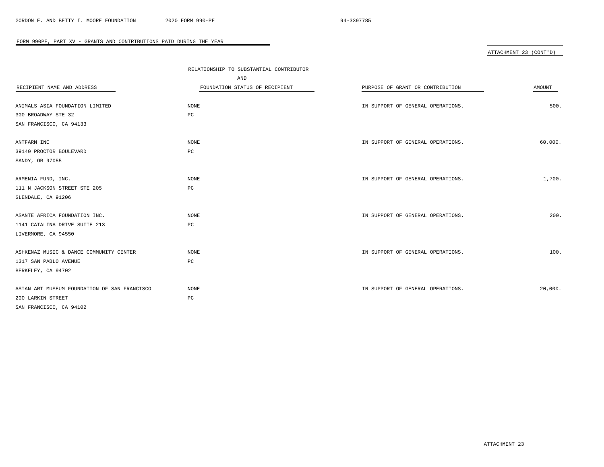# ATTACHMENT 23 (CONT'D)

|                                              | RELATIONSHIP TO SUBSTANTIAL CONTRIBUTOR |                                   |         |
|----------------------------------------------|-----------------------------------------|-----------------------------------|---------|
|                                              | AND                                     |                                   |         |
| RECIPIENT NAME AND ADDRESS                   | FOUNDATION STATUS OF RECIPIENT          | PURPOSE OF GRANT OR CONTRIBUTION  | AMOUNT  |
|                                              |                                         |                                   |         |
| ANIMALS ASIA FOUNDATION LIMITED              | NONE                                    | IN SUPPORT OF GENERAL OPERATIONS. | 500.    |
| 300 BROADWAY STE 32                          | $_{\rm PC}$                             |                                   |         |
| SAN FRANCISCO, CA 94133                      |                                         |                                   |         |
|                                              |                                         |                                   |         |
| ANTFARM INC                                  | NONE                                    | IN SUPPORT OF GENERAL OPERATIONS. | 60,000. |
| 39140 PROCTOR BOULEVARD                      | $_{\rm PC}$                             |                                   |         |
| SANDY, OR 97055                              |                                         |                                   |         |
| ARMENIA FUND, INC.                           | NONE                                    | IN SUPPORT OF GENERAL OPERATIONS. | 1,700.  |
| 111 N JACKSON STREET STE 205                 | $_{\rm PC}$                             |                                   |         |
| GLENDALE, CA 91206                           |                                         |                                   |         |
|                                              |                                         |                                   |         |
| ASANTE AFRICA FOUNDATION INC.                | NONE                                    | IN SUPPORT OF GENERAL OPERATIONS. | 200.    |
| 1141 CATALINA DRIVE SUITE 213                | PC                                      |                                   |         |
| LIVERMORE, CA 94550                          |                                         |                                   |         |
|                                              |                                         |                                   |         |
| ASHKENAZ MUSIC & DANCE COMMUNITY CENTER      | <b>NONE</b>                             | IN SUPPORT OF GENERAL OPERATIONS. | 100.    |
| 1317 SAN PABLO AVENUE                        | PC                                      |                                   |         |
| BERKELEY, CA 94702                           |                                         |                                   |         |
|                                              |                                         |                                   |         |
| ASIAN ART MUSEUM FOUNDATION OF SAN FRANCISCO | $\rm{NONE}$                             | IN SUPPORT OF GENERAL OPERATIONS. | 20,000. |
| 200 LARKIN STREET                            | $_{\rm PC}$                             |                                   |         |
| SAN FRANCISCO, CA 94102                      |                                         |                                   |         |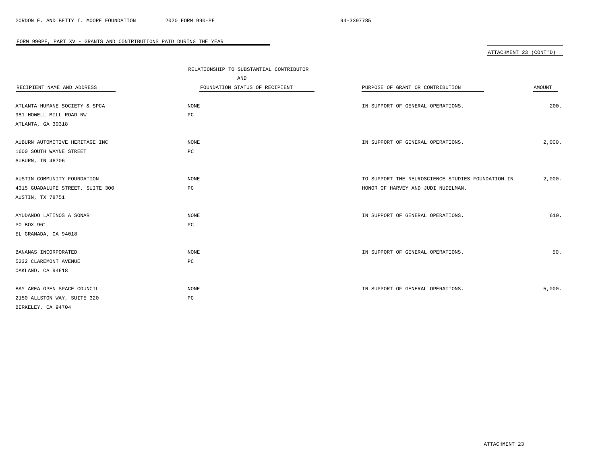# ATTACHMENT 23 (CONT'D)

|                                  | RELATIONSHIP TO SUBSTANTIAL CONTRIBUTOR |                                                   |               |
|----------------------------------|-----------------------------------------|---------------------------------------------------|---------------|
|                                  | AND                                     |                                                   |               |
| RECIPIENT NAME AND ADDRESS       | FOUNDATION STATUS OF RECIPIENT          | PURPOSE OF GRANT OR CONTRIBUTION                  | <b>AMOUNT</b> |
|                                  |                                         |                                                   |               |
| ATLANTA HUMANE SOCIETY & SPCA    | NONE                                    | IN SUPPORT OF GENERAL OPERATIONS.                 | 200.          |
| 981 HOWELL MILL ROAD NW          | $_{\rm PC}$                             |                                                   |               |
| ATLANTA, GA 30318                |                                         |                                                   |               |
| AUBURN AUTOMOTIVE HERITAGE INC   | NONE                                    | IN SUPPORT OF GENERAL OPERATIONS.                 | 2,000.        |
| 1600 SOUTH WAYNE STREET          | PC                                      |                                                   |               |
| AUBURN, IN 46706                 |                                         |                                                   |               |
| AUSTIN COMMUNITY FOUNDATION      | NONE                                    | TO SUPPORT THE NEUROSCIENCE STUDIES FOUNDATION IN | 2,000.        |
| 4315 GUADALUPE STREET, SUITE 300 | $_{\rm PC}$                             | HONOR OF HARVEY AND JUDI NUDELMAN.                |               |
| AUSTIN, TX 78751                 |                                         |                                                   |               |
| AYUDANDO LATINOS A SONAR         | <b>NONE</b>                             | IN SUPPORT OF GENERAL OPERATIONS.                 | 610.          |
| PO BOX 961                       | $_{\rm PC}$                             |                                                   |               |
| EL GRANADA, CA 94018             |                                         |                                                   |               |
| BANANAS INCORPORATED             | <b>NONE</b>                             | IN SUPPORT OF GENERAL OPERATIONS.                 | 50.           |
| 5232 CLAREMONT AVENUE            | PC                                      |                                                   |               |
| OAKLAND, CA 94618                |                                         |                                                   |               |
|                                  |                                         |                                                   |               |
| BAY AREA OPEN SPACE COUNCIL      | <b>NONE</b>                             | IN SUPPORT OF GENERAL OPERATIONS.                 | 5,000.        |
| 2150 ALLSTON WAY, SUITE 320      | $_{\rm PC}$                             |                                                   |               |
| BERKELEY, CA 94704               |                                         |                                                   |               |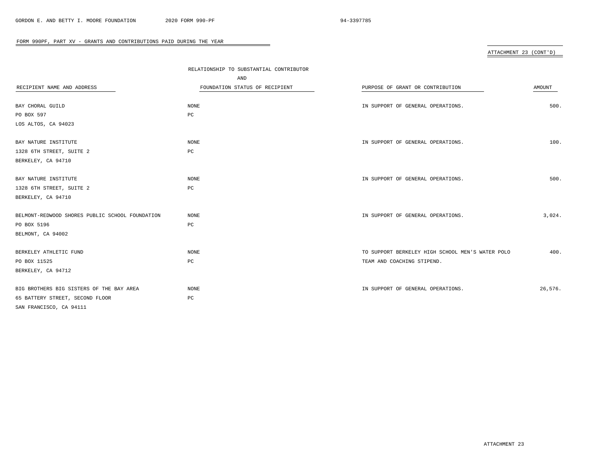# ATTACHMENT 23 (CONT'D)

|                                                 | RELATIONSHIP TO SUBSTANTIAL CONTRIBUTOR<br>AND |                                                  |         |
|-------------------------------------------------|------------------------------------------------|--------------------------------------------------|---------|
| RECIPIENT NAME AND ADDRESS                      | FOUNDATION STATUS OF RECIPIENT                 | PURPOSE OF GRANT OR CONTRIBUTION                 | AMOUNT  |
|                                                 |                                                |                                                  |         |
| BAY CHORAL GUILD                                | <b>NONE</b>                                    | IN SUPPORT OF GENERAL OPERATIONS.                | 500.    |
| PO BOX 597                                      | PC                                             |                                                  |         |
| LOS ALTOS, CA 94023                             |                                                |                                                  |         |
|                                                 |                                                |                                                  |         |
| BAY NATURE INSTITUTE                            | NONE                                           | IN SUPPORT OF GENERAL OPERATIONS.                | 100.    |
| 1328 6TH STREET, SUITE 2                        | PC                                             |                                                  |         |
| BERKELEY, CA 94710                              |                                                |                                                  |         |
|                                                 |                                                |                                                  |         |
| BAY NATURE INSTITUTE                            | NONE                                           | IN SUPPORT OF GENERAL OPERATIONS.                | 500.    |
| 1328 6TH STREET, SUITE 2                        | $_{\rm PC}$                                    |                                                  |         |
| BERKELEY, CA 94710                              |                                                |                                                  |         |
|                                                 |                                                |                                                  |         |
| BELMONT-REDWOOD SHORES PUBLIC SCHOOL FOUNDATION | NONE                                           | IN SUPPORT OF GENERAL OPERATIONS.                | 3,024.  |
| PO BOX 5196                                     | PC                                             |                                                  |         |
| BELMONT, CA 94002                               |                                                |                                                  |         |
|                                                 |                                                |                                                  |         |
| BERKELEY ATHLETIC FUND                          | NONE                                           | TO SUPPORT BERKELEY HIGH SCHOOL MEN'S WATER POLO | 400.    |
| PO BOX 11525                                    | $_{\rm PC}$                                    | TEAM AND COACHING STIPEND.                       |         |
| BERKELEY, CA 94712                              |                                                |                                                  |         |
|                                                 |                                                |                                                  |         |
| BIG BROTHERS BIG SISTERS OF THE BAY AREA        | <b>NONE</b>                                    | IN SUPPORT OF GENERAL OPERATIONS.                | 26,576. |
| 65 BATTERY STREET, SECOND FLOOR                 | PC                                             |                                                  |         |
| SAN FRANCISCO, CA 94111                         |                                                |                                                  |         |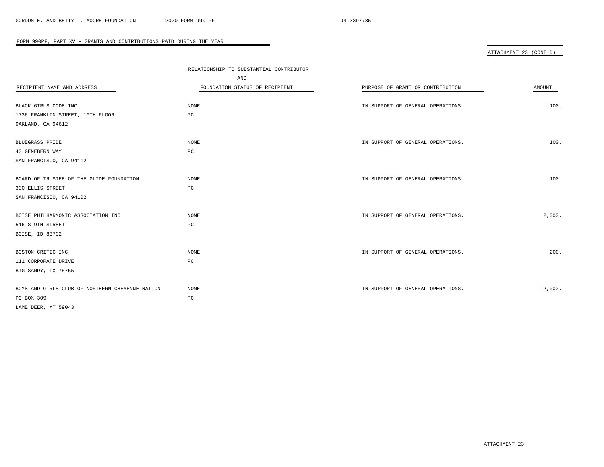# ATTACHMENT 23 (CONT'D)

|                                                 | RELATIONSHIP TO SUBSTANTIAL CONTRIBUTOR |                                   |        |
|-------------------------------------------------|-----------------------------------------|-----------------------------------|--------|
|                                                 | AND                                     |                                   |        |
| RECIPIENT NAME AND ADDRESS                      | FOUNDATION STATUS OF RECIPIENT          | PURPOSE OF GRANT OR CONTRIBUTION  | AMOUNT |
|                                                 |                                         |                                   |        |
| BLACK GIRLS CODE INC.                           | NONE                                    | IN SUPPORT OF GENERAL OPERATIONS. | 100.   |
| 1736 FRANKLIN STREET, 10TH FLOOR                | PC                                      |                                   |        |
| OAKLAND, CA 94612                               |                                         |                                   |        |
| <b>BLUEGRASS PRIDE</b>                          | NONE                                    | IN SUPPORT OF GENERAL OPERATIONS. | 100.   |
| 40 GENEBERN WAY                                 | PC                                      |                                   |        |
| SAN FRANCISCO, CA 94112                         |                                         |                                   |        |
| BOARD OF TRUSTEE OF THE GLIDE FOUNDATION        | <b>NONE</b>                             | IN SUPPORT OF GENERAL OPERATIONS. | 100.   |
| 330 ELLIS STREET                                | $_{\rm PC}$                             |                                   |        |
| SAN FRANCISCO, CA 94102                         |                                         |                                   |        |
| BOISE PHILHARMONIC ASSOCIATION INC              | NONE                                    | IN SUPPORT OF GENERAL OPERATIONS. | 2,000. |
| 516 S 9TH STREET                                | PC                                      |                                   |        |
| BOISE, ID 83702                                 |                                         |                                   |        |
| BOSTON CRITIC INC                               | NONE                                    | IN SUPPORT OF GENERAL OPERATIONS. | 200.   |
| 111 CORPORATE DRIVE                             | PC                                      |                                   |        |
| BIG SANDY, TX 75755                             |                                         |                                   |        |
| BOYS AND GIRLS CLUB OF NORTHERN CHEYENNE NATION | NONE                                    | IN SUPPORT OF GENERAL OPERATIONS. | 2,000. |
| PO BOX 309                                      | PC                                      |                                   |        |
| LAME DEER, MT 59043                             |                                         |                                   |        |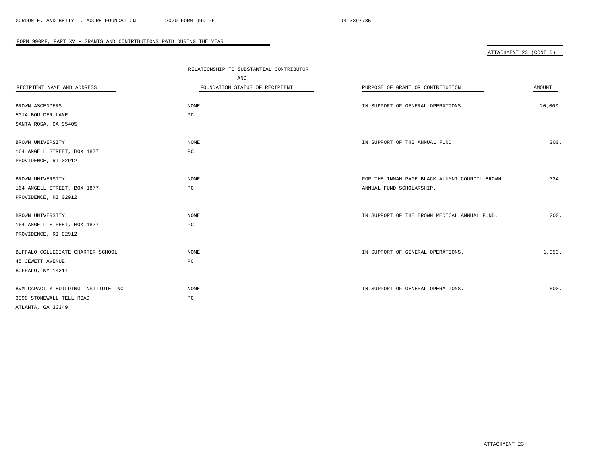# ATTACHMENT 23 (CONT'D)

|                                     | RELATIONSHIP TO SUBSTANTIAL CONTRIBUTOR |                                               |         |
|-------------------------------------|-----------------------------------------|-----------------------------------------------|---------|
|                                     | AND                                     |                                               |         |
| RECIPIENT NAME AND ADDRESS          | FOUNDATION STATUS OF RECIPIENT          | PURPOSE OF GRANT OR CONTRIBUTION              | AMOUNT  |
|                                     |                                         |                                               |         |
| BROWN ASCENDERS                     | NONE                                    | IN SUPPORT OF GENERAL OPERATIONS.             | 20,000. |
| 5014 BOULDER LANE                   | РC                                      |                                               |         |
| SANTA ROSA, CA 95405                |                                         |                                               |         |
| BROWN UNIVERSITY                    | NONE                                    | IN SUPPORT OF THE ANNUAL FUND.                | 200.    |
| 164 ANGELL STREET, BOX 1877         | $_{\rm PC}$                             |                                               |         |
| PROVIDENCE, RI 02912                |                                         |                                               |         |
|                                     |                                         |                                               |         |
| BROWN UNIVERSITY                    | <b>NONE</b>                             | FOR THE INMAN PAGE BLACK ALUMNI COUNCIL BROWN | 334.    |
| 164 ANGELL STREET, BOX 1877         | PC                                      | ANNUAL FUND SCHOLARSHIP.                      |         |
| PROVIDENCE, RI 02912                |                                         |                                               |         |
|                                     |                                         |                                               |         |
| BROWN UNIVERSITY                    | NONE                                    | IN SUPPORT OF THE BROWN MEDICAL ANNUAL FUND.  | 200.    |
| 164 ANGELL STREET, BOX 1877         | РC                                      |                                               |         |
| PROVIDENCE, RI 02912                |                                         |                                               |         |
|                                     |                                         |                                               |         |
| BUFFALO COLLEGIATE CHARTER SCHOOL   | NONE                                    | IN SUPPORT OF GENERAL OPERATIONS.             | 1,050.  |
| <b>45 JEWETT AVENUE</b>             | PC                                      |                                               |         |
| BUFFALO, NY 14214                   |                                         |                                               |         |
| BVM CAPACITY BUILDING INSTITUTE INC | NONE                                    | IN SUPPORT OF GENERAL OPERATIONS.             | 500.    |
| 3390 STONEWALL TELL ROAD            | PC                                      |                                               |         |
| ATLANTA, GA 30349                   |                                         |                                               |         |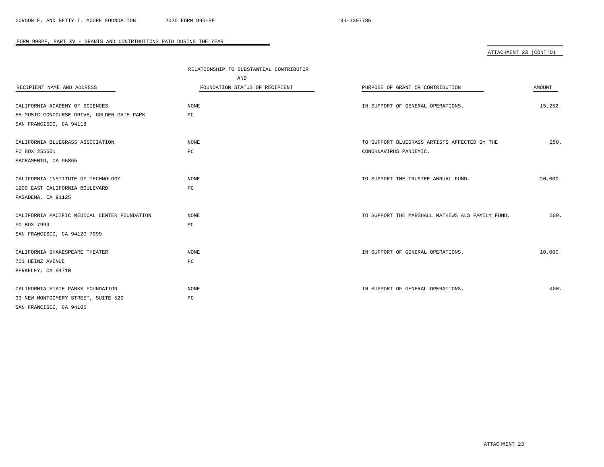# ATTACHMENT 23 (CONT'D)

|                                              | RELATIONSHIP TO SUBSTANTIAL CONTRIBUTOR |                                                  |         |
|----------------------------------------------|-----------------------------------------|--------------------------------------------------|---------|
|                                              | AND                                     |                                                  |         |
| RECIPIENT NAME AND ADDRESS                   | FOUNDATION STATUS OF RECIPIENT          | PURPOSE OF GRANT OR CONTRIBUTION                 | AMOUNT  |
|                                              |                                         |                                                  |         |
| CALIFORNIA ACADEMY OF SCIENCES               | NONE                                    | IN SUPPORT OF GENERAL OPERATIONS.                | 15,252. |
| 55 MUSIC CONCOURSE DRIVE, GOLDEN GATE PARK   | PC                                      |                                                  |         |
| SAN FRANCISCO, CA 94118                      |                                         |                                                  |         |
| CALIFORNIA BLUEGRASS ASSOCIATION             | NONE                                    | TO SUPPORT BLUEGRASS ARTISTS AFFECTED BY THE     | 250.    |
| PO BOX 255561                                | PC                                      | CONORNAVIRUS PANDEMIC.                           |         |
| SACRAMENTO, CA 95865                         |                                         |                                                  |         |
|                                              |                                         |                                                  |         |
| CALIFORNIA INSTITUTE OF TECHNOLOGY           | NONE                                    | TO SUPPORT THE TRUSTEE ANNUAL FUND.              | 20,000. |
| 1200 EAST CALIFORNIA BOULEVARD               | PC                                      |                                                  |         |
| PASADENA, CA 91125                           |                                         |                                                  |         |
|                                              |                                         |                                                  |         |
| CALIFORNIA PACIFIC MEDICAL CENTER FOUNDATION | <b>NONE</b>                             | TO SUPPORT THE MARSHALL MATHEWS ALS FAMILY FUND. | 500.    |
| PO BOX 7999                                  | PC                                      |                                                  |         |
| SAN FRANCISCO, CA 94120-7999                 |                                         |                                                  |         |
|                                              |                                         |                                                  |         |
| CALIFORNIA SHAKESPEARE THEATER               | <b>NONE</b>                             | IN SUPPORT OF GENERAL OPERATIONS.                | 10,000. |
| 701 HEINZ AVENUE                             | PC                                      |                                                  |         |
| BERKELEY, CA 94710                           |                                         |                                                  |         |
| CALIFORNIA STATE PARKS FOUNDATION            | NONE                                    | IN SUPPORT OF GENERAL OPERATIONS.                | 400.    |
| 33 NEW MONTGOMERY STREET, SUITE 520          | PC                                      |                                                  |         |
| SAN FRANCISCO, CA 94105                      |                                         |                                                  |         |
|                                              |                                         |                                                  |         |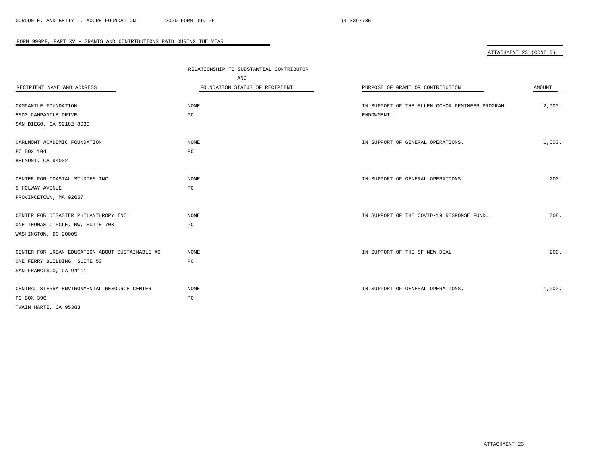# ATTACHMENT 23 (CONT'D)

|                                                 | RELATIONSHIP TO SUBSTANTIAL CONTRIBUTOR |                                                |        |
|-------------------------------------------------|-----------------------------------------|------------------------------------------------|--------|
|                                                 | AND                                     |                                                |        |
| RECIPIENT NAME AND ADDRESS                      | FOUNDATION STATUS OF RECIPIENT          | PURPOSE OF GRANT OR CONTRIBUTION               | AMOUNT |
|                                                 |                                         |                                                |        |
| CAMPANILE FOUNDATION                            | NONE                                    | IN SUPPORT OF THE ELLEN OCHOA FEMINEER PROGRAM | 2,000. |
| 5500 CAMPANILE DRIVE                            | РC                                      | ENDOWMENT.                                     |        |
| SAN DIEGO, CA 92182-8030                        |                                         |                                                |        |
| CARLMONT ACADEMIC FOUNDATION                    | NONE                                    | IN SUPPORT OF GENERAL OPERATIONS.              | 1,000. |
| PO BOX 104                                      | $_{\rm PC}$                             |                                                |        |
| BELMONT, CA 94002                               |                                         |                                                |        |
| CENTER FOR COASTAL STUDIES INC.                 | NONE                                    | IN SUPPORT OF GENERAL OPERATIONS.              | 200.   |
| 5 HOLWAY AVENUE                                 | PC                                      |                                                |        |
| PROVINCETOWN, MA 02657                          |                                         |                                                |        |
|                                                 |                                         |                                                |        |
| CENTER FOR DISASTER PHILANTHROPY INC.           | NONE                                    | IN SUPPORT OF THE COVID-19 RESPONSE FUND.      | 308.   |
| ONE THOMAS CIRCLE, NW, SUITE 700                | РC                                      |                                                |        |
| WASHINGTON, DC 20005                            |                                         |                                                |        |
| CENTER FOR URBAN EDUCATION ABOUT SUSTAINABLE AG | NONE                                    | IN SUPPORT OF THE SF NEW DEAL.                 | 200.   |
| ONE FERRY BUILDING, SUITE 50                    | PC                                      |                                                |        |
| SAN FRANCISCO, CA 94111                         |                                         |                                                |        |
| CENTRAL SIERRA ENVIRONMENTAL RESOURCE CENTER    | NONE                                    | IN SUPPORT OF GENERAL OPERATIONS.              | 1,000. |
| PO BOX 396                                      | PC                                      |                                                |        |
| TWAIN HARTE, CA 95383                           |                                         |                                                |        |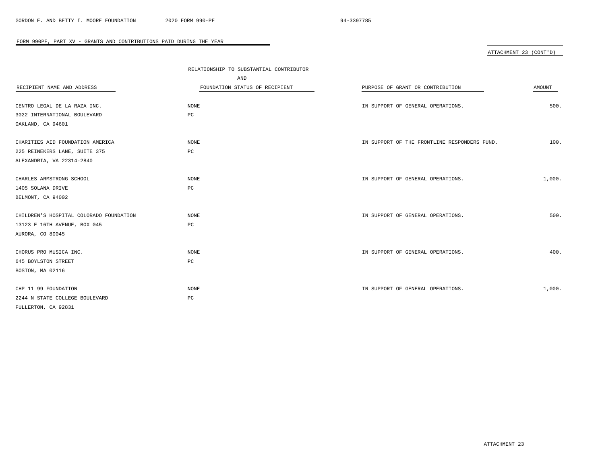# ATTACHMENT 23 (CONT'D)

|                                         | RELATIONSHIP TO SUBSTANTIAL CONTRIBUTOR |                                              |        |
|-----------------------------------------|-----------------------------------------|----------------------------------------------|--------|
|                                         | AND                                     |                                              |        |
| RECIPIENT NAME AND ADDRESS              | FOUNDATION STATUS OF RECIPIENT          | PURPOSE OF GRANT OR CONTRIBUTION             | AMOUNT |
|                                         |                                         |                                              |        |
| CENTRO LEGAL DE LA RAZA INC.            | NONE                                    | IN SUPPORT OF GENERAL OPERATIONS.            | 500.   |
| 3022 INTERNATIONAL BOULEVARD            | PC                                      |                                              |        |
| OAKLAND, CA 94601                       |                                         |                                              |        |
| CHARITIES AID FOUNDATION AMERICA        | NONE                                    | IN SUPPORT OF THE FRONTLINE RESPONDERS FUND. | 100.   |
| 225 REINEKERS LANE, SUITE 375           | РC                                      |                                              |        |
| ALEXANDRIA, VA 22314-2840               |                                         |                                              |        |
|                                         |                                         |                                              |        |
| CHARLES ARMSTRONG SCHOOL                | NONE                                    | IN SUPPORT OF GENERAL OPERATIONS.            | 1,000. |
| 1405 SOLANA DRIVE                       | PC                                      |                                              |        |
| BELMONT, CA 94002                       |                                         |                                              |        |
|                                         |                                         |                                              |        |
| CHILDREN'S HOSPITAL COLORADO FOUNDATION | NONE                                    | IN SUPPORT OF GENERAL OPERATIONS.            | 500.   |
| 13123 E 16TH AVENUE, BOX 045            | $_{\rm PC}$                             |                                              |        |
| AURORA, CO 80045                        |                                         |                                              |        |
|                                         |                                         |                                              |        |
| CHORUS PRO MUSICA INC.                  | NONE                                    | IN SUPPORT OF GENERAL OPERATIONS.            | 400.   |
| 645 BOYLSTON STREET                     | $_{\rm PC}$                             |                                              |        |
| BOSTON, MA 02116                        |                                         |                                              |        |
|                                         |                                         |                                              |        |
| CHP 11 99 FOUNDATION                    | $\rm{NONE}$                             | IN SUPPORT OF GENERAL OPERATIONS.            | 1,000. |
| 2244 N STATE COLLEGE BOULEVARD          | PC                                      |                                              |        |
| FULLERTON, CA 92831                     |                                         |                                              |        |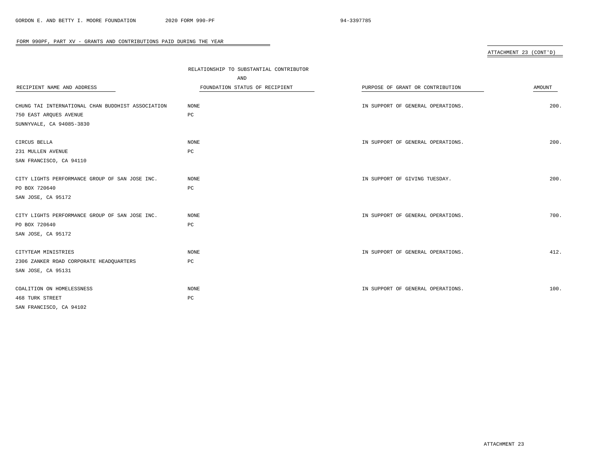# ATTACHMENT 23 (CONT'D)

|                                                   | RELATIONSHIP TO SUBSTANTIAL CONTRIBUTOR |                                   |               |  |
|---------------------------------------------------|-----------------------------------------|-----------------------------------|---------------|--|
|                                                   | AND                                     |                                   |               |  |
| RECIPIENT NAME AND ADDRESS                        | FOUNDATION STATUS OF RECIPIENT          | PURPOSE OF GRANT OR CONTRIBUTION  | <b>AMOUNT</b> |  |
|                                                   |                                         |                                   |               |  |
| CHUNG TAI INTERNATIONAL CHAN BUDDHIST ASSOCIATION | NONE                                    | IN SUPPORT OF GENERAL OPERATIONS. | 200.          |  |
| 750 EAST ARQUES AVENUE                            | PC                                      |                                   |               |  |
| SUNNYVALE, CA 94085-3830                          |                                         |                                   |               |  |
| CIRCUS BELLA                                      | NONE                                    | IN SUPPORT OF GENERAL OPERATIONS. | 200.          |  |
| 231 MULLEN AVENUE                                 | PC                                      |                                   |               |  |
| SAN FRANCISCO, CA 94110                           |                                         |                                   |               |  |
| CITY LIGHTS PERFORMANCE GROUP OF SAN JOSE INC.    | <b>NONE</b>                             | IN SUPPORT OF GIVING TUESDAY.     | 200.          |  |
| PO BOX 720640                                     | $_{\rm PC}$                             |                                   |               |  |
| SAN JOSE, CA 95172                                |                                         |                                   |               |  |
| CITY LIGHTS PERFORMANCE GROUP OF SAN JOSE INC.    | <b>NONE</b>                             | IN SUPPORT OF GENERAL OPERATIONS. | 700.          |  |
| PO BOX 720640                                     | $_{\rm PC}$                             |                                   |               |  |
| SAN JOSE, CA 95172                                |                                         |                                   |               |  |
| CITYTEAM MINISTRIES                               | <b>NONE</b>                             | IN SUPPORT OF GENERAL OPERATIONS. | 412.          |  |
| 2306 ZANKER ROAD CORPORATE HEADQUARTERS           | PC                                      |                                   |               |  |
| SAN JOSE, CA 95131                                |                                         |                                   |               |  |
| COALITION ON HOMELESSNESS                         | NONE                                    | IN SUPPORT OF GENERAL OPERATIONS. | 100.          |  |
| 468 TURK STREET                                   | PC                                      |                                   |               |  |
| SAN FRANCISCO, CA 94102                           |                                         |                                   |               |  |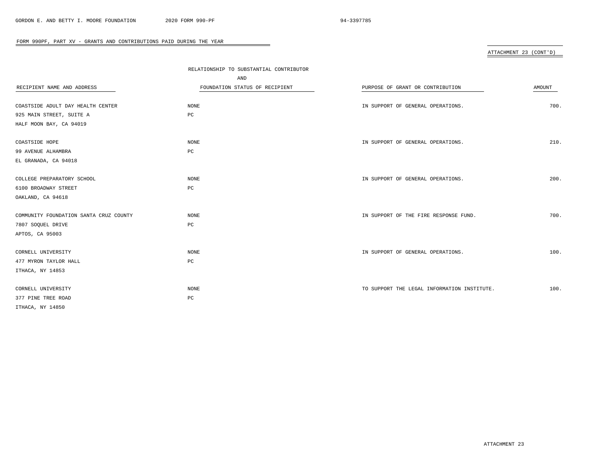# ATTACHMENT 23 (CONT'D)

|                                        | RELATIONSHIP TO SUBSTANTIAL CONTRIBUTOR |                                             |               |
|----------------------------------------|-----------------------------------------|---------------------------------------------|---------------|
|                                        | AND                                     |                                             |               |
| RECIPIENT NAME AND ADDRESS             | FOUNDATION STATUS OF RECIPIENT          | PURPOSE OF GRANT OR CONTRIBUTION            | <b>AMOUNT</b> |
|                                        |                                         |                                             |               |
| COASTSIDE ADULT DAY HEALTH CENTER      | <b>NONE</b>                             | IN SUPPORT OF GENERAL OPERATIONS.           | 700.          |
| 925 MAIN STREET, SUITE A               | $_{\rm PC}$                             |                                             |               |
| HALF MOON BAY, CA 94019                |                                         |                                             |               |
|                                        |                                         |                                             |               |
| COASTSIDE HOPE                         | NONE                                    | IN SUPPORT OF GENERAL OPERATIONS.           | 210.          |
| 99 AVENUE ALHAMBRA                     | $_{\rm PC}$                             |                                             |               |
| EL GRANADA, CA 94018                   |                                         |                                             |               |
| COLLEGE PREPARATORY SCHOOL             | NONE                                    | IN SUPPORT OF GENERAL OPERATIONS.           | 200.          |
|                                        |                                         |                                             |               |
| 6100 BROADWAY STREET                   | PC                                      |                                             |               |
| OAKLAND, CA 94618                      |                                         |                                             |               |
| COMMUNITY FOUNDATION SANTA CRUZ COUNTY | <b>NONE</b>                             | IN SUPPORT OF THE FIRE RESPONSE FUND.       | 700.          |
| 7807 SOQUEL DRIVE                      | PC                                      |                                             |               |
| APTOS, CA 95003                        |                                         |                                             |               |
|                                        |                                         |                                             |               |
| CORNELL UNIVERSITY                     | <b>NONE</b>                             | IN SUPPORT OF GENERAL OPERATIONS.           | 100.          |
| 477 MYRON TAYLOR HALL                  | $_{\rm PC}$                             |                                             |               |
| ITHACA, NY 14853                       |                                         |                                             |               |
|                                        |                                         |                                             |               |
| CORNELL UNIVERSITY                     | <b>NONE</b>                             | TO SUPPORT THE LEGAL INFORMATION INSTITUTE. | 100.          |
| 377 PINE TREE ROAD                     | $_{\rm PC}$                             |                                             |               |
| ITHACA, NY 14850                       |                                         |                                             |               |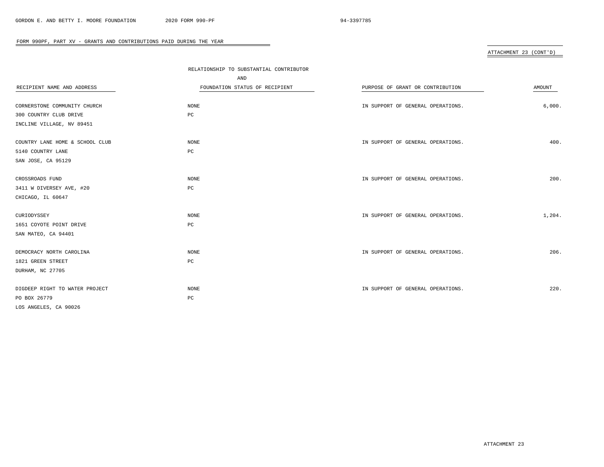# ATTACHMENT 23 (CONT'D)

|                                 | RELATIONSHIP TO SUBSTANTIAL CONTRIBUTOR |                                   |               |
|---------------------------------|-----------------------------------------|-----------------------------------|---------------|
|                                 | AND                                     |                                   |               |
| RECIPIENT NAME AND ADDRESS      | FOUNDATION STATUS OF RECIPIENT          | PURPOSE OF GRANT OR CONTRIBUTION  | <b>AMOUNT</b> |
|                                 |                                         |                                   |               |
| CORNERSTONE COMMUNITY CHURCH    | NONE                                    | IN SUPPORT OF GENERAL OPERATIONS. | 6,000.        |
| 300 COUNTRY CLUB DRIVE          | PC                                      |                                   |               |
| INCLINE VILLAGE, NV 89451       |                                         |                                   |               |
| COUNTRY LANE HOME & SCHOOL CLUB | NONE                                    | IN SUPPORT OF GENERAL OPERATIONS. | 400.          |
| 5140 COUNTRY LANE               | $_{\rm PC}$                             |                                   |               |
| SAN JOSE, CA 95129              |                                         |                                   |               |
| CROSSROADS FUND                 | NONE                                    | IN SUPPORT OF GENERAL OPERATIONS. | 200.          |
| 3411 W DIVERSEY AVE, #20        | $_{\rm PC}$                             |                                   |               |
| CHICAGO, IL 60647               |                                         |                                   |               |
| CURIODYSSEY                     | NONE                                    | IN SUPPORT OF GENERAL OPERATIONS. | 1,204.        |
| 1651 COYOTE POINT DRIVE         | $_{\rm PC}$                             |                                   |               |
| SAN MATEO, CA 94401             |                                         |                                   |               |
| DEMOCRACY NORTH CAROLINA        | NONE                                    | IN SUPPORT OF GENERAL OPERATIONS. | 206.          |
| 1821 GREEN STREET               | $_{\rm PC}$                             |                                   |               |
| DURHAM, NC 27705                |                                         |                                   |               |
|                                 |                                         |                                   |               |
| DIGDEEP RIGHT TO WATER PROJECT  | <b>NONE</b>                             | IN SUPPORT OF GENERAL OPERATIONS. | 220.          |
| PO BOX 26779                    | PC                                      |                                   |               |
| LOS ANGELES, CA 90026           |                                         |                                   |               |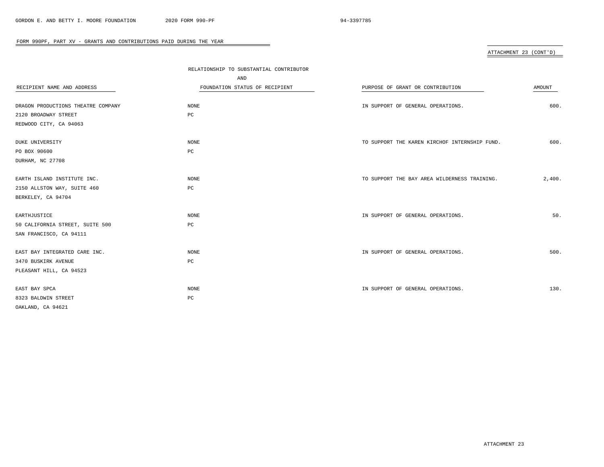# ATTACHMENT 23 (CONT'D)

|                                    | RELATIONSHIP TO SUBSTANTIAL CONTRIBUTOR |                                               |        |
|------------------------------------|-----------------------------------------|-----------------------------------------------|--------|
|                                    | AND                                     |                                               |        |
| RECIPIENT NAME AND ADDRESS         | FOUNDATION STATUS OF RECIPIENT          | PURPOSE OF GRANT OR CONTRIBUTION              | AMOUNT |
|                                    |                                         |                                               |        |
| DRAGON PRODUCTIONS THEATRE COMPANY | NONE                                    | IN SUPPORT OF GENERAL OPERATIONS.             | 600.   |
| 2120 BROADWAY STREET               | PC                                      |                                               |        |
| REDWOOD CITY, CA 94063             |                                         |                                               |        |
|                                    |                                         |                                               |        |
| DUKE UNIVERSITY                    | NONE                                    | TO SUPPORT THE KAREN KIRCHOF INTERNSHIP FUND. | 600.   |
| PO BOX 90600                       | $_{\rm PC}$                             |                                               |        |
| DURHAM, NC 27708                   |                                         |                                               |        |
|                                    |                                         |                                               |        |
| EARTH ISLAND INSTITUTE INC.        | NONE                                    | TO SUPPORT THE BAY AREA WILDERNESS TRAINING.  | 2,400. |
| 2150 ALLSTON WAY, SUITE 460        | PC                                      |                                               |        |
| BERKELEY, CA 94704                 |                                         |                                               |        |
|                                    |                                         |                                               |        |
| EARTHJUSTICE                       | NONE                                    | IN SUPPORT OF GENERAL OPERATIONS.             | 50.    |
| 50 CALIFORNIA STREET, SUITE 500    | $_{\rm PC}$                             |                                               |        |
| SAN FRANCISCO, CA 94111            |                                         |                                               |        |
|                                    |                                         |                                               |        |
| EAST BAY INTEGRATED CARE INC.      | $\rm{NONE}$                             | IN SUPPORT OF GENERAL OPERATIONS.             | 500.   |
| 3470 BUSKIRK AVENUE                | $_{\rm PC}$                             |                                               |        |
| PLEASANT HILL, CA 94523            |                                         |                                               |        |
|                                    |                                         |                                               |        |
| EAST BAY SPCA                      | <b>NONE</b>                             | IN SUPPORT OF GENERAL OPERATIONS.             | 130.   |
| 8323 BALDWIN STREET                | PC                                      |                                               |        |
| OAKLAND, CA 94621                  |                                         |                                               |        |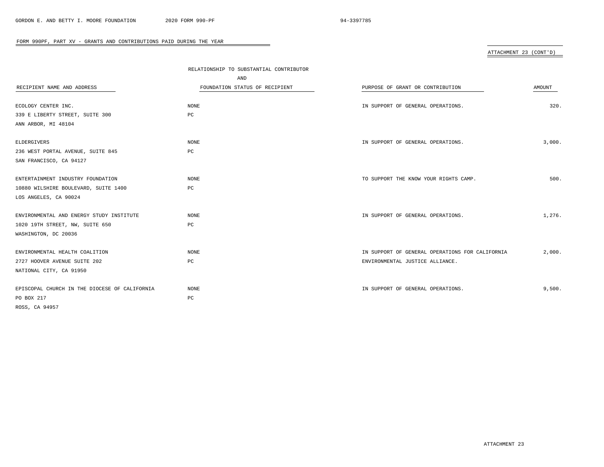# ATTACHMENT 23 (CONT'D)

|                                                  | RELATIONSHIP TO SUBSTANTIAL CONTRIBUTOR |                                                 |        |
|--------------------------------------------------|-----------------------------------------|-------------------------------------------------|--------|
|                                                  | AND                                     |                                                 |        |
| RECIPIENT NAME AND ADDRESS                       | FOUNDATION STATUS OF RECIPIENT          | PURPOSE OF GRANT OR CONTRIBUTION                | AMOUNT |
|                                                  |                                         |                                                 |        |
| ECOLOGY CENTER INC.                              | NONE                                    | IN SUPPORT OF GENERAL OPERATIONS.               | 320.   |
| 339 E LIBERTY STREET, SUITE 300                  | PC                                      |                                                 |        |
| ANN ARBOR, MI 48104                              |                                         |                                                 |        |
|                                                  | NONE                                    |                                                 | 3,000. |
| ELDERGIVERS<br>236 WEST PORTAL AVENUE, SUITE 845 | PC                                      | IN SUPPORT OF GENERAL OPERATIONS.               |        |
|                                                  |                                         |                                                 |        |
| SAN FRANCISCO, CA 94127                          |                                         |                                                 |        |
| ENTERTAINMENT INDUSTRY FOUNDATION                | NONE                                    | TO SUPPORT THE KNOW YOUR RIGHTS CAMP.           | 500.   |
| 10880 WILSHIRE BOULEVARD, SUITE 1400             | PC                                      |                                                 |        |
| LOS ANGELES, CA 90024                            |                                         |                                                 |        |
|                                                  |                                         |                                                 |        |
| ENVIRONMENTAL AND ENERGY STUDY INSTITUTE         | NONE                                    | IN SUPPORT OF GENERAL OPERATIONS.               | 1,276. |
| 1020 19TH STREET, NW, SUITE 650                  | РC                                      |                                                 |        |
| WASHINGTON, DC 20036                             |                                         |                                                 |        |
| ENVIRONMENTAL HEALTH COALITION                   | NONE                                    | IN SUPPORT OF GENERAL OPERATIONS FOR CALIFORNIA | 2,000. |
| 2727 HOOVER AVENUE SUITE 202                     | $_{\rm PC}$                             | ENVIRONMENTAL JUSTICE ALLIANCE.                 |        |
| NATIONAL CITY, CA 91950                          |                                         |                                                 |        |
|                                                  |                                         |                                                 |        |
| EPISCOPAL CHURCH IN THE DIOCESE OF CALIFORNIA    | NONE                                    | IN SUPPORT OF GENERAL OPERATIONS.               | 9,500. |
| PO BOX 217                                       | PC                                      |                                                 |        |
| ROSS, CA 94957                                   |                                         |                                                 |        |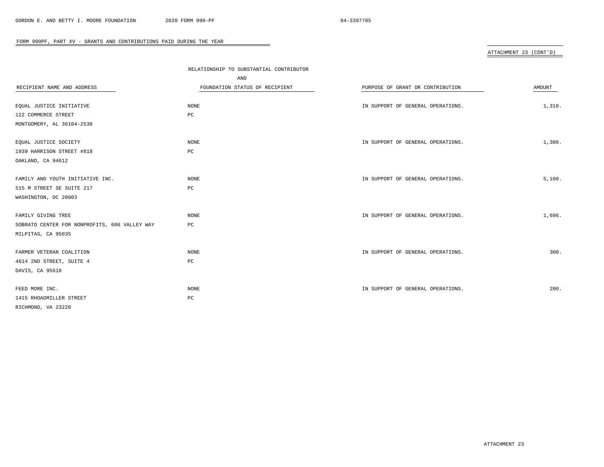# ATTACHMENT 23 (CONT'D)

|                                               | RELATIONSHIP TO SUBSTANTIAL CONTRIBUTOR |                                   |        |
|-----------------------------------------------|-----------------------------------------|-----------------------------------|--------|
|                                               | AND                                     |                                   |        |
| RECIPIENT NAME AND ADDRESS                    | FOUNDATION STATUS OF RECIPIENT          | PURPOSE OF GRANT OR CONTRIBUTION  | AMOUNT |
|                                               |                                         |                                   |        |
| EQUAL JUSTICE INITIATIVE                      | NONE                                    | IN SUPPORT OF GENERAL OPERATIONS. | 1,310. |
| 122 COMMERCE STREET                           | PC                                      |                                   |        |
| MONTGOMERY, AL 36104-2538                     |                                         |                                   |        |
| EQUAL JUSTICE SOCIETY                         | NONE                                    | IN SUPPORT OF GENERAL OPERATIONS. | 1,300. |
| 1939 HARRISON STREET #818                     | PC                                      |                                   |        |
| OAKLAND, CA 94612                             |                                         |                                   |        |
|                                               |                                         |                                   |        |
| FAMILY AND YOUTH INITIATIVE INC.              | NONE                                    | IN SUPPORT OF GENERAL OPERATIONS. | 5,100. |
| 515 M STREET SE SUITE 217                     | PC                                      |                                   |        |
| WASHINGTON, DC 20003                          |                                         |                                   |        |
|                                               |                                         |                                   |        |
| FAMILY GIVING TREE                            | NONE                                    | IN SUPPORT OF GENERAL OPERATIONS. | 1,696. |
| SOBRATO CENTER FOR NONPROFITS, 606 VALLEY WAY | РC                                      |                                   |        |
| MILPITAS, CA 95035                            |                                         |                                   |        |
| FARMER VETERAN COALITION                      | NONE                                    | IN SUPPORT OF GENERAL OPERATIONS. | 300.   |
| 4614 2ND STREET, SUITE 4                      | PC                                      |                                   |        |
| DAVIS, CA 95618                               |                                         |                                   |        |
|                                               |                                         |                                   |        |
| FEED MORE INC.                                | NONE                                    | IN SUPPORT OF GENERAL OPERATIONS. | 200.   |
| 1415 RHOADMILLER STREET                       | PC                                      |                                   |        |
| RICHMOND, VA 23220                            |                                         |                                   |        |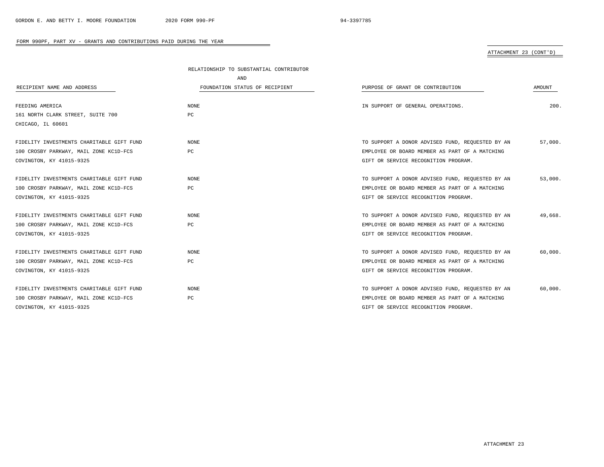# ATTACHMENT 23 (CONT'D)

|                                           | RELATIONSHIP TO SUBSTANTIAL CONTRIBUTOR |                                                  |         |
|-------------------------------------------|-----------------------------------------|--------------------------------------------------|---------|
|                                           | AND                                     |                                                  |         |
| RECIPIENT NAME AND ADDRESS                | FOUNDATION STATUS OF RECIPIENT          | PURPOSE OF GRANT OR CONTRIBUTION                 | AMOUNT  |
|                                           |                                         |                                                  |         |
| FEEDING AMERICA                           | <b>NONE</b>                             | IN SUPPORT OF GENERAL OPERATIONS.                | 200.    |
| 161 NORTH CLARK STREET, SUITE 700         | PC                                      |                                                  |         |
| CHICAGO, IL 60601                         |                                         |                                                  |         |
|                                           |                                         |                                                  |         |
| FIDELITY INVESTMENTS CHARITABLE GIFT FUND | <b>NONE</b>                             | TO SUPPORT A DONOR ADVISED FUND, REQUESTED BY AN | 57,000. |
| 100 CROSBY PARKWAY, MAIL ZONE KC1D-FCS    | PC                                      | EMPLOYEE OR BOARD MEMBER AS PART OF A MATCHING   |         |
| COVINGTON, KY 41015-9325                  |                                         | GIFT OR SERVICE RECOGNITION PROGRAM.             |         |
|                                           |                                         |                                                  |         |
| FIDELITY INVESTMENTS CHARITABLE GIFT FUND | <b>NONE</b>                             | TO SUPPORT A DONOR ADVISED FUND, REQUESTED BY AN | 53,000. |
| 100 CROSBY PARKWAY, MAIL ZONE KC1D-FCS    | PC                                      | EMPLOYEE OR BOARD MEMBER AS PART OF A MATCHING   |         |
| COVINGTON, KY 41015-9325                  |                                         | GIFT OR SERVICE RECOGNITION PROGRAM.             |         |
| FIDELITY INVESTMENTS CHARITABLE GIFT FUND | <b>NONE</b>                             | TO SUPPORT A DONOR ADVISED FUND, REQUESTED BY AN | 49,668. |
| 100 CROSBY PARKWAY, MAIL ZONE KC1D-FCS    | PC                                      | EMPLOYEE OR BOARD MEMBER AS PART OF A MATCHING   |         |
| COVINGTON, KY 41015-9325                  |                                         | GIFT OR SERVICE RECOGNITION PROGRAM.             |         |
|                                           |                                         |                                                  |         |
| FIDELITY INVESTMENTS CHARITABLE GIFT FUND | <b>NONE</b>                             | TO SUPPORT A DONOR ADVISED FUND, REQUESTED BY AN | 60.000. |
| 100 CROSBY PARKWAY, MAIL ZONE KC1D-FCS    | $_{\rm PC}$                             | EMPLOYEE OR BOARD MEMBER AS PART OF A MATCHING   |         |
| COVINGTON, KY 41015-9325                  |                                         | GIFT OR SERVICE RECOGNITION PROGRAM.             |         |
|                                           |                                         |                                                  |         |
| FIDELITY INVESTMENTS CHARITABLE GIFT FUND | <b>NONE</b>                             | TO SUPPORT A DONOR ADVISED FUND, REQUESTED BY AN | 60,000. |
| 100 CROSBY PARKWAY, MAIL ZONE KC1D-FCS    | PC                                      | EMPLOYEE OR BOARD MEMBER AS PART OF A MATCHING   |         |
| COVINGTON, KY 41015-9325                  |                                         | GIFT OR SERVICE RECOGNITION PROGRAM.             |         |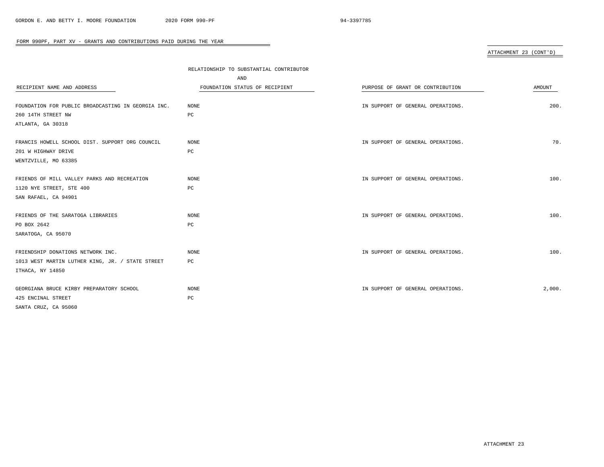# ATTACHMENT 23 (CONT'D)

|                                                    | RELATIONSHIP TO SUBSTANTIAL CONTRIBUTOR |                                   |               |  |
|----------------------------------------------------|-----------------------------------------|-----------------------------------|---------------|--|
|                                                    | AND                                     |                                   |               |  |
| RECIPIENT NAME AND ADDRESS                         | FOUNDATION STATUS OF RECIPIENT          | PURPOSE OF GRANT OR CONTRIBUTION  | <b>AMOUNT</b> |  |
|                                                    |                                         |                                   |               |  |
| FOUNDATION FOR PUBLIC BROADCASTING IN GEORGIA INC. | NONE                                    | IN SUPPORT OF GENERAL OPERATIONS. | 200.          |  |
| 260 14TH STREET NW                                 | PC                                      |                                   |               |  |
| ATLANTA, GA 30318                                  |                                         |                                   |               |  |
| FRANCIS HOWELL SCHOOL DIST. SUPPORT ORG COUNCIL    | <b>NONE</b>                             | IN SUPPORT OF GENERAL OPERATIONS. | 70.           |  |
| 201 W HIGHWAY DRIVE                                | PC                                      |                                   |               |  |
| WENTZVILLE, MO 63385                               |                                         |                                   |               |  |
| FRIENDS OF MILL VALLEY PARKS AND RECREATION        | <b>NONE</b>                             | IN SUPPORT OF GENERAL OPERATIONS. | 100.          |  |
| 1120 NYE STREET, STE 400                           | PC                                      |                                   |               |  |
| SAN RAFAEL, CA 94901                               |                                         |                                   |               |  |
| FRIENDS OF THE SARATOGA LIBRARIES                  | <b>NONE</b>                             | IN SUPPORT OF GENERAL OPERATIONS. | 100.          |  |
| PO BOX 2642                                        | PC                                      |                                   |               |  |
| SARATOGA, CA 95070                                 |                                         |                                   |               |  |
| FRIENDSHIP DONATIONS NETWORK INC.                  | <b>NONE</b>                             | IN SUPPORT OF GENERAL OPERATIONS. | 100.          |  |
| 1013 WEST MARTIN LUTHER KING, JR. / STATE STREET   | PC                                      |                                   |               |  |
| ITHACA, NY 14850                                   |                                         |                                   |               |  |
| GEORGIANA BRUCE KIRBY PREPARATORY SCHOOL           | NONE                                    | IN SUPPORT OF GENERAL OPERATIONS. | 2,000.        |  |
| 425 ENCINAL STREET                                 | PC                                      |                                   |               |  |
| SANTA CRUZ, CA 95060                               |                                         |                                   |               |  |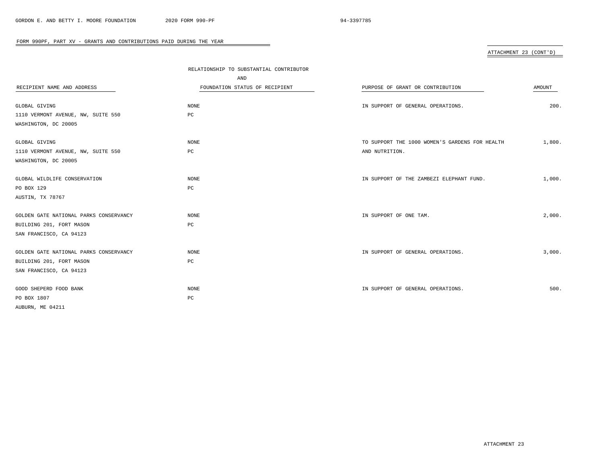# ATTACHMENT 23 (CONT'D)

|                                        | RELATIONSHIP TO SUBSTANTIAL CONTRIBUTOR |                                                |               |
|----------------------------------------|-----------------------------------------|------------------------------------------------|---------------|
|                                        | AND                                     |                                                |               |
| RECIPIENT NAME AND ADDRESS             | FOUNDATION STATUS OF RECIPIENT          | PURPOSE OF GRANT OR CONTRIBUTION               | <b>AMOUNT</b> |
|                                        |                                         |                                                |               |
| GLOBAL GIVING                          | NONE                                    | IN SUPPORT OF GENERAL OPERATIONS.              | 200.          |
| 1110 VERMONT AVENUE, NW, SUITE 550     | $_{\rm PC}$                             |                                                |               |
| WASHINGTON, DC 20005                   |                                         |                                                |               |
|                                        |                                         |                                                |               |
| GLOBAL GIVING                          | <b>NONE</b>                             | TO SUPPORT THE 1000 WOMEN'S GARDENS FOR HEALTH | 1,800.        |
| 1110 VERMONT AVENUE, NW, SUITE 550     | PC                                      | AND NUTRITION.                                 |               |
| WASHINGTON, DC 20005                   |                                         |                                                |               |
| GLOBAL WILDLIFE CONSERVATION           | NONE                                    | IN SUPPORT OF THE ZAMBEZI ELEPHANT FUND.       | 1,000.        |
| PO BOX 129                             | PC                                      |                                                |               |
| AUSTIN, TX 78767                       |                                         |                                                |               |
|                                        |                                         |                                                |               |
| GOLDEN GATE NATIONAL PARKS CONSERVANCY | NONE                                    | IN SUPPORT OF ONE TAM.                         | 2,000.        |
| BUILDING 201, FORT MASON               | PC                                      |                                                |               |
| SAN FRANCISCO, CA 94123                |                                         |                                                |               |
|                                        |                                         |                                                |               |
| GOLDEN GATE NATIONAL PARKS CONSERVANCY | <b>NONE</b>                             | IN SUPPORT OF GENERAL OPERATIONS.              | 3,000.        |
| BUILDING 201, FORT MASON               | PC                                      |                                                |               |
| SAN FRANCISCO, CA 94123                |                                         |                                                |               |
|                                        |                                         |                                                |               |
| GOOD SHEPERD FOOD BANK                 | <b>NONE</b>                             | IN SUPPORT OF GENERAL OPERATIONS.              | 500.          |
| PO BOX 1807                            | $_{\rm PC}$                             |                                                |               |
| AUBURN, ME 04211                       |                                         |                                                |               |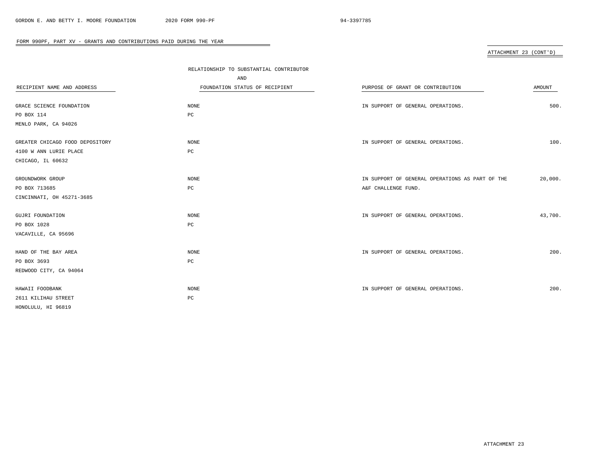# ATTACHMENT 23 (CONT'D)

|                                 | RELATIONSHIP TO SUBSTANTIAL CONTRIBUTOR |                                                 |         |
|---------------------------------|-----------------------------------------|-------------------------------------------------|---------|
|                                 | AND                                     |                                                 |         |
| RECIPIENT NAME AND ADDRESS      | FOUNDATION STATUS OF RECIPIENT          | PURPOSE OF GRANT OR CONTRIBUTION                | AMOUNT  |
|                                 |                                         |                                                 |         |
| GRACE SCIENCE FOUNDATION        | NONE                                    | IN SUPPORT OF GENERAL OPERATIONS.               | 500.    |
| PO BOX 114                      | PC                                      |                                                 |         |
| MENLO PARK, CA 94026            |                                         |                                                 |         |
| GREATER CHICAGO FOOD DEPOSITORY | NONE                                    | IN SUPPORT OF GENERAL OPERATIONS.               | 100.    |
| 4100 W ANN LURIE PLACE          | PC                                      |                                                 |         |
| CHICAGO, IL 60632               |                                         |                                                 |         |
| GROUNDWORK GROUP                | NONE                                    | IN SUPPORT OF GENERAL OPERATIONS AS PART OF THE | 20,000. |
| PO BOX 713685                   | $_{\rm PC}$                             | A&F CHALLENGE FUND.                             |         |
| CINCINNATI, OH 45271-3685       |                                         |                                                 |         |
| <b>GUJRI FOUNDATION</b>         | $\rm{NONE}$                             | IN SUPPORT OF GENERAL OPERATIONS.               | 43,700. |
| PO BOX 1028                     | $_{\rm PC}$                             |                                                 |         |
| VACAVILLE, CA 95696             |                                         |                                                 |         |
| HAND OF THE BAY AREA            | <b>NONE</b>                             | IN SUPPORT OF GENERAL OPERATIONS.               | 200.    |
| PO BOX 3693                     | $_{\rm PC}$                             |                                                 |         |
| REDWOOD CITY, CA 94064          |                                         |                                                 |         |
| HAWAII FOODBANK                 | NONE                                    | IN SUPPORT OF GENERAL OPERATIONS.               | 200.    |
| 2611 KILIHAU STREET             | $_{\rm PC}$                             |                                                 |         |
| HONOLULU, HI 96819              |                                         |                                                 |         |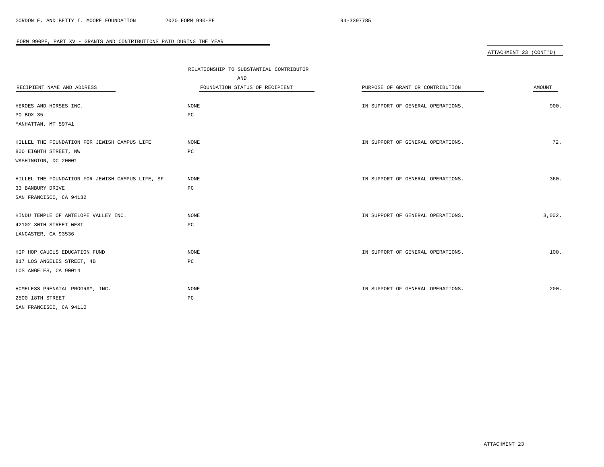# ATTACHMENT 23 (CONT'D)

|                                                  | RELATIONSHIP TO SUBSTANTIAL CONTRIBUTOR |                                   |        |
|--------------------------------------------------|-----------------------------------------|-----------------------------------|--------|
|                                                  | AND                                     |                                   |        |
| RECIPIENT NAME AND ADDRESS                       | FOUNDATION STATUS OF RECIPIENT          | PURPOSE OF GRANT OR CONTRIBUTION  | AMOUNT |
|                                                  |                                         |                                   |        |
| HEROES AND HORSES INC.                           | NONE                                    | IN SUPPORT OF GENERAL OPERATIONS. | 900.   |
| PO BOX 35                                        | PC                                      |                                   |        |
| MANHATTAN, MT 59741                              |                                         |                                   |        |
| HILLEL THE FOUNDATION FOR JEWISH CAMPUS LIFE     | <b>NONE</b>                             | IN SUPPORT OF GENERAL OPERATIONS. | 72.    |
| 800 EIGHTH STREET, NW                            | $_{\rm PC}$                             |                                   |        |
| WASHINGTON, DC 20001                             |                                         |                                   |        |
| HILLEL THE FOUNDATION FOR JEWISH CAMPUS LIFE, SF | <b>NONE</b>                             | IN SUPPORT OF GENERAL OPERATIONS. | 360.   |
| 33 BANBURY DRIVE                                 | PC                                      |                                   |        |
| SAN FRANCISCO, CA 94132                          |                                         |                                   |        |
| HINDU TEMPLE OF ANTELOPE VALLEY INC.             | <b>NONE</b>                             | IN SUPPORT OF GENERAL OPERATIONS. | 3,002. |
| 42102 30TH STREET WEST                           | $_{\rm PC}$                             |                                   |        |
| LANCASTER, CA 93536                              |                                         |                                   |        |
| HIP HOP CAUCUS EDUCATION FUND                    | <b>NONE</b>                             | IN SUPPORT OF GENERAL OPERATIONS. | 100.   |
| 817 LOS ANGELES STREET, 4B                       | $_{\rm PC}$                             |                                   |        |
| LOS ANGELES, CA 90014                            |                                         |                                   |        |
|                                                  |                                         |                                   |        |
| HOMELESS PRENATAL PROGRAM, INC.                  | NONE                                    | IN SUPPORT OF GENERAL OPERATIONS. | 200.   |
| 2500 18TH STREET                                 | PC                                      |                                   |        |
| SAN FRANCISCO, CA 94110                          |                                         |                                   |        |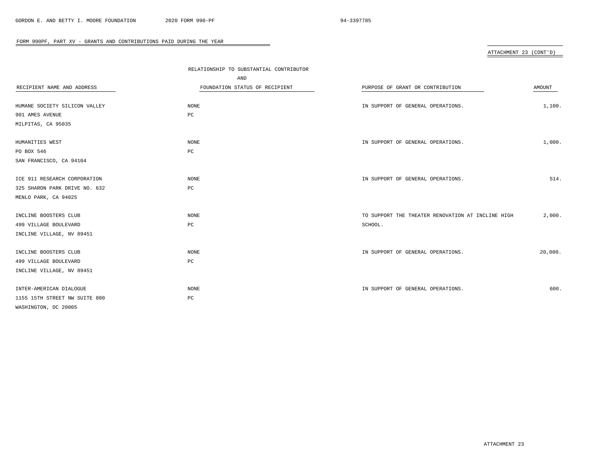# ATTACHMENT 23 (CONT'D)

|                               | RELATIONSHIP TO SUBSTANTIAL CONTRIBUTOR |                                                   |         |
|-------------------------------|-----------------------------------------|---------------------------------------------------|---------|
|                               | AND                                     |                                                   |         |
| RECIPIENT NAME AND ADDRESS    | FOUNDATION STATUS OF RECIPIENT          | PURPOSE OF GRANT OR CONTRIBUTION                  | AMOUNT  |
|                               |                                         |                                                   |         |
| HUMANE SOCIETY SILICON VALLEY | NONE                                    | IN SUPPORT OF GENERAL OPERATIONS.                 | 1,100.  |
| 901 AMES AVENUE               | PC                                      |                                                   |         |
| MILPITAS, CA 95035            |                                         |                                                   |         |
|                               |                                         |                                                   |         |
| HUMANITIES WEST               | <b>NONE</b>                             | IN SUPPORT OF GENERAL OPERATIONS.                 | 1,000.  |
| PO BOX 546                    | $_{\rm PC}$                             |                                                   |         |
| SAN FRANCISCO, CA 94104       |                                         |                                                   |         |
|                               |                                         |                                                   |         |
| ICE 911 RESEARCH CORPORATION  | <b>NONE</b>                             | IN SUPPORT OF GENERAL OPERATIONS.                 | 514.    |
| 325 SHARON PARK DRIVE NO. 632 | PC                                      |                                                   |         |
| MENLO PARK, CA 94025          |                                         |                                                   |         |
|                               |                                         |                                                   |         |
| INCLINE BOOSTERS CLUB         | NONE                                    | TO SUPPORT THE THEATER RENOVATION AT INCLINE HIGH | 2,000.  |
| 499 VILLAGE BOULEVARD         | $_{\rm PC}$                             | SCHOOL.                                           |         |
| INCLINE VILLAGE, NV 89451     |                                         |                                                   |         |
|                               |                                         |                                                   |         |
| INCLINE BOOSTERS CLUB         | <b>NONE</b>                             | IN SUPPORT OF GENERAL OPERATIONS.                 | 20,000. |
| 499 VILLAGE BOULEVARD         | $_{\rm PC}$                             |                                                   |         |
| INCLINE VILLAGE, NV 89451     |                                         |                                                   |         |
|                               |                                         |                                                   |         |
| INTER-AMERICAN DIALOGUE       | <b>NONE</b>                             | IN SUPPORT OF GENERAL OPERATIONS.                 | 600.    |
| 1155 15TH STREET NW SUITE 800 | PC                                      |                                                   |         |
| WASHINGTON, DC 20005          |                                         |                                                   |         |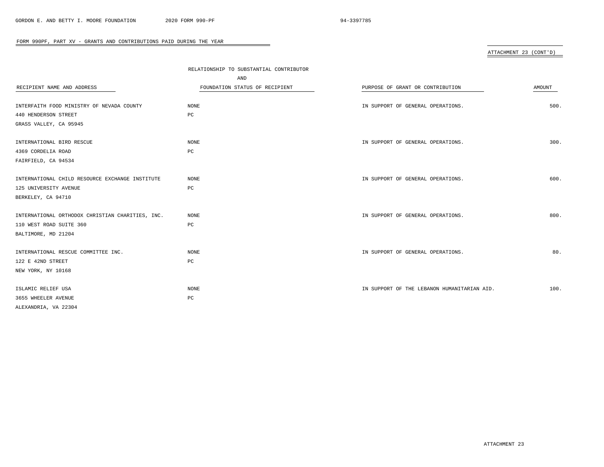# ATTACHMENT 23 (CONT'D)

|                                                  | RELATIONSHIP TO SUBSTANTIAL CONTRIBUTOR |                                             |        |
|--------------------------------------------------|-----------------------------------------|---------------------------------------------|--------|
|                                                  | AND                                     |                                             |        |
| RECIPIENT NAME AND ADDRESS                       | FOUNDATION STATUS OF RECIPIENT          | PURPOSE OF GRANT OR CONTRIBUTION            | AMOUNT |
|                                                  |                                         |                                             |        |
| INTERFAITH FOOD MINISTRY OF NEVADA COUNTY        | NONE                                    | IN SUPPORT OF GENERAL OPERATIONS.           | 500.   |
| 440 HENDERSON STREET                             | PC                                      |                                             |        |
| GRASS VALLEY, CA 95945                           |                                         |                                             |        |
| INTERNATIONAL BIRD RESCUE                        | <b>NONE</b>                             | IN SUPPORT OF GENERAL OPERATIONS.           | 300.   |
| 4369 CORDELIA ROAD                               | PC                                      |                                             |        |
| FAIRFIELD, CA 94534                              |                                         |                                             |        |
|                                                  |                                         |                                             |        |
| INTERNATIONAL CHILD RESOURCE EXCHANGE INSTITUTE  | <b>NONE</b>                             | IN SUPPORT OF GENERAL OPERATIONS.           | 600.   |
| 125 UNIVERSITY AVENUE                            | $_{\rm PC}$                             |                                             |        |
| BERKELEY, CA 94710                               |                                         |                                             |        |
|                                                  |                                         |                                             |        |
| INTERNATIONAL ORTHODOX CHRISTIAN CHARITIES, INC. | <b>NONE</b>                             | IN SUPPORT OF GENERAL OPERATIONS.           | 800.   |
| 110 WEST ROAD SUITE 360                          | $_{\rm PC}$                             |                                             |        |
| BALTIMORE, MD 21204                              |                                         |                                             |        |
| INTERNATIONAL RESCUE COMMITTEE INC.              | <b>NONE</b>                             | IN SUPPORT OF GENERAL OPERATIONS.           | 80.    |
| 122 E 42ND STREET                                | $_{\rm PC}$                             |                                             |        |
| NEW YORK, NY 10168                               |                                         |                                             |        |
|                                                  |                                         |                                             |        |
| ISLAMIC RELIEF USA                               | NONE                                    | IN SUPPORT OF THE LEBANON HUMANITARIAN AID. | 100.   |
| 3655 WHEELER AVENUE                              | PC                                      |                                             |        |
| ALEXANDRIA, VA 22304                             |                                         |                                             |        |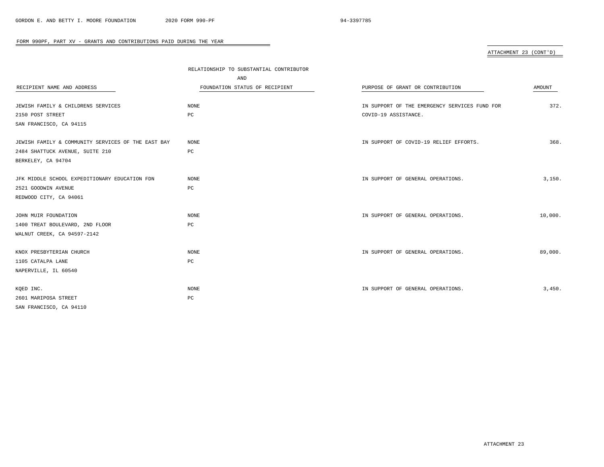# ATTACHMENT 23 (CONT'D)

|                                                    | RELATIONSHIP TO SUBSTANTIAL CONTRIBUTOR |                                               |         |
|----------------------------------------------------|-----------------------------------------|-----------------------------------------------|---------|
|                                                    | AND                                     |                                               |         |
| RECIPIENT NAME AND ADDRESS                         | FOUNDATION STATUS OF RECIPIENT          | PURPOSE OF GRANT OR CONTRIBUTION              | AMOUNT  |
|                                                    |                                         |                                               |         |
| JEWISH FAMILY & CHILDRENS SERVICES                 | NONE                                    | IN SUPPORT OF THE EMERGENCY SERVICES FUND FOR | 372.    |
| 2150 POST STREET                                   | PC                                      | COVID-19 ASSISTANCE.                          |         |
| SAN FRANCISCO, CA 94115                            |                                         |                                               |         |
|                                                    |                                         |                                               |         |
| JEWISH FAMILY & COMMUNITY SERVICES OF THE EAST BAY | NONE                                    | IN SUPPORT OF COVID-19 RELIEF EFFORTS.        | 368.    |
| 2484 SHATTUCK AVENUE, SUITE 210                    | PC                                      |                                               |         |
| BERKELEY, CA 94704                                 |                                         |                                               |         |
|                                                    |                                         |                                               |         |
| JFK MIDDLE SCHOOL EXPEDITIONARY EDUCATION FDN      | NONE                                    | IN SUPPORT OF GENERAL OPERATIONS.             | 3,150.  |
| 2521 GOODWIN AVENUE                                | PC                                      |                                               |         |
| REDWOOD CITY, CA 94061                             |                                         |                                               |         |
|                                                    |                                         |                                               |         |
| JOHN MUIR FOUNDATION                               | NONE                                    | IN SUPPORT OF GENERAL OPERATIONS.             | 10,000. |
| 1400 TREAT BOULEVARD, 2ND FLOOR                    | PC                                      |                                               |         |
| WALNUT CREEK, CA 94597-2142                        |                                         |                                               |         |
|                                                    |                                         |                                               |         |
| KNOX PRESBYTERIAN CHURCH                           | NONE                                    | IN SUPPORT OF GENERAL OPERATIONS.             | 89,000. |
| 1105 CATALPA LANE                                  | $_{\rm PC}$                             |                                               |         |
| NAPERVILLE, IL 60540                               |                                         |                                               |         |
|                                                    |                                         |                                               |         |
| KQED INC.                                          | <b>NONE</b>                             | IN SUPPORT OF GENERAL OPERATIONS.             | 3,450.  |
| 2601 MARIPOSA STREET                               | PC                                      |                                               |         |
| SAN FRANCISCO, CA 94110                            |                                         |                                               |         |
|                                                    |                                         |                                               |         |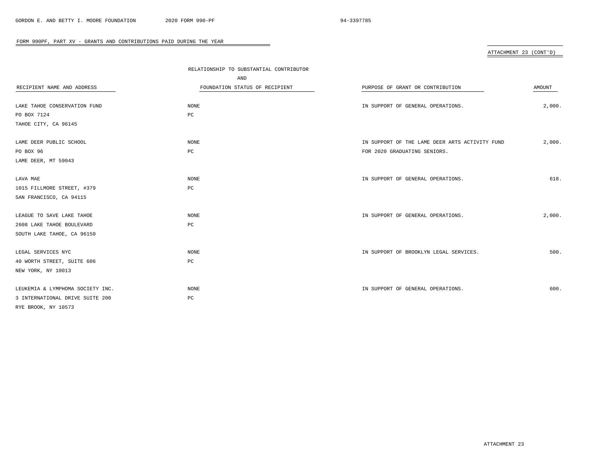# ATTACHMENT 23 (CONT'D)

|                                  | RELATIONSHIP TO SUBSTANTIAL CONTRIBUTOR |                                                |               |
|----------------------------------|-----------------------------------------|------------------------------------------------|---------------|
|                                  | AND                                     |                                                |               |
| RECIPIENT NAME AND ADDRESS       | FOUNDATION STATUS OF RECIPIENT          | PURPOSE OF GRANT OR CONTRIBUTION               | <b>AMOUNT</b> |
|                                  |                                         |                                                |               |
| LAKE TAHOE CONSERVATION FUND     | NONE                                    | IN SUPPORT OF GENERAL OPERATIONS.              | 2,000.        |
| PO BOX 7124                      | PC                                      |                                                |               |
| TAHOE CITY, CA 96145             |                                         |                                                |               |
| LAME DEER PUBLIC SCHOOL          | NONE                                    | IN SUPPORT OF THE LAME DEER ARTS ACTIVITY FUND | 2,000.        |
| PO BOX 96                        | $_{\rm PC}$                             | FOR 2020 GRADUATING SENIORS.                   |               |
| LAME DEER, MT 59043              |                                         |                                                |               |
| LAVA MAE                         | NONE                                    | IN SUPPORT OF GENERAL OPERATIONS.              | 618.          |
| 1015 FILLMORE STREET, #379       | PC                                      |                                                |               |
| SAN FRANCISCO, CA 94115          |                                         |                                                |               |
|                                  |                                         |                                                |               |
| LEAGUE TO SAVE LAKE TAHOE        | NONE                                    | IN SUPPORT OF GENERAL OPERATIONS.              | 2,000.        |
| 2608 LAKE TAHOE BOULEVARD        | PC                                      |                                                |               |
| SOUTH LAKE TAHOE, CA 96150       |                                         |                                                |               |
| LEGAL SERVICES NYC               | NONE                                    | IN SUPPORT OF BROOKLYN LEGAL SERVICES.         | 500.          |
| 40 WORTH STREET, SUITE 606       | $_{\rm PC}$                             |                                                |               |
| NEW YORK, NY 10013               |                                         |                                                |               |
| LEUKEMIA & LYMPHOMA SOCIETY INC. | <b>NONE</b>                             | IN SUPPORT OF GENERAL OPERATIONS.              | 600.          |
| 3 INTERNATIONAL DRIVE SUITE 200  | PC                                      |                                                |               |
| RYE BROOK, NY 10573              |                                         |                                                |               |
|                                  |                                         |                                                |               |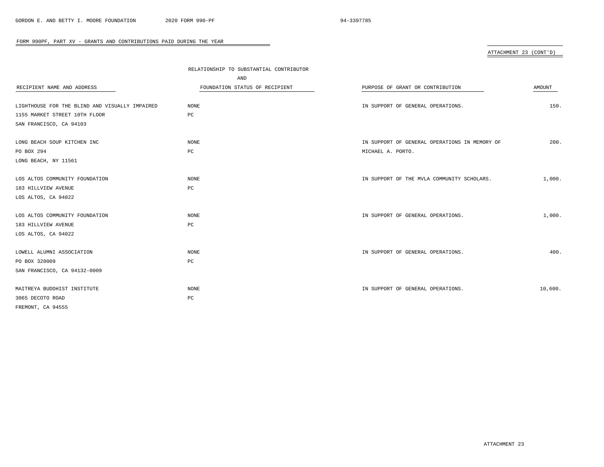# ATTACHMENT 23 (CONT'D)

|                                                | RELATIONSHIP TO SUBSTANTIAL CONTRIBUTOR |                                               |         |
|------------------------------------------------|-----------------------------------------|-----------------------------------------------|---------|
|                                                | AND                                     |                                               |         |
| RECIPIENT NAME AND ADDRESS                     | FOUNDATION STATUS OF RECIPIENT          | PURPOSE OF GRANT OR CONTRIBUTION              | AMOUNT  |
|                                                |                                         |                                               |         |
| LIGHTHOUSE FOR THE BLIND AND VISUALLY IMPAIRED | NONE                                    | IN SUPPORT OF GENERAL OPERATIONS.             | 150.    |
| 1155 MARKET STREET 10TH FLOOR                  | PC                                      |                                               |         |
| SAN FRANCISCO, CA 94103                        |                                         |                                               |         |
|                                                |                                         |                                               |         |
| LONG BEACH SOUP KITCHEN INC                    | NONE                                    | IN SUPPORT OF GENERAL OPERATIONS IN MEMORY OF | 200.    |
| PO BOX 294                                     | PC                                      | MICHAEL A. PORTO.                             |         |
| LONG BEACH, NY 11561                           |                                         |                                               |         |
|                                                |                                         |                                               |         |
| LOS ALTOS COMMUNITY FOUNDATION                 | NONE                                    | IN SUPPORT OF THE MVLA COMMUNITY SCHOLARS.    | 1,000.  |
| 183 HILLVIEW AVENUE                            | $_{\rm PC}$                             |                                               |         |
| LOS ALTOS, CA 94022                            |                                         |                                               |         |
|                                                |                                         |                                               |         |
| LOS ALTOS COMMUNITY FOUNDATION                 | NONE                                    | IN SUPPORT OF GENERAL OPERATIONS.             | 1,000.  |
| 183 HILLVIEW AVENUE                            | PC                                      |                                               |         |
| LOS ALTOS, CA 94022                            |                                         |                                               |         |
|                                                |                                         |                                               |         |
| LOWELL ALUMNI ASSOCIATION                      | NONE                                    | IN SUPPORT OF GENERAL OPERATIONS.             | 400.    |
| PO BOX 320009                                  | PC                                      |                                               |         |
| SAN FRANCISCO, CA 94132-0009                   |                                         |                                               |         |
|                                                |                                         |                                               |         |
| MAITREYA BUDDHIST INSTITUTE                    | NONE                                    | IN SUPPORT OF GENERAL OPERATIONS.             | 10,600. |
| 3065 DECOTO ROAD                               | PC                                      |                                               |         |
| FREMONT, CA 94555                              |                                         |                                               |         |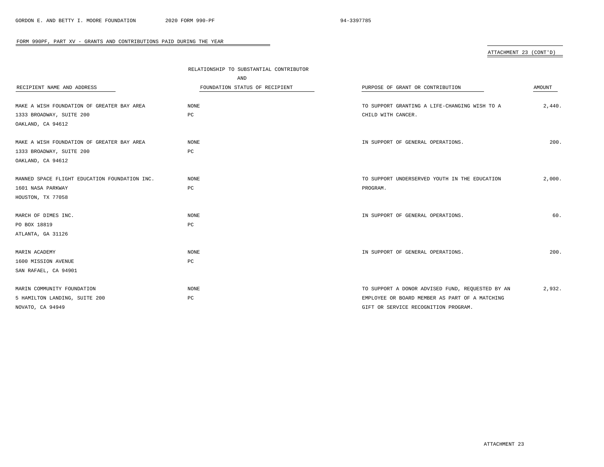# ATTACHMENT 23 (CONT'D)

|                                               | RELATIONSHIP TO SUBSTANTIAL CONTRIBUTOR |                                                  |        |
|-----------------------------------------------|-----------------------------------------|--------------------------------------------------|--------|
|                                               | AND                                     |                                                  |        |
| RECIPIENT NAME AND ADDRESS                    | FOUNDATION STATUS OF RECIPIENT          | PURPOSE OF GRANT OR CONTRIBUTION                 | AMOUNT |
|                                               |                                         |                                                  |        |
| MAKE A WISH FOUNDATION OF GREATER BAY AREA    | NONE                                    | TO SUPPORT GRANTING A LIFE-CHANGING WISH TO A    | 2,440. |
| 1333 BROADWAY, SUITE 200                      | $_{\rm PC}$                             | CHILD WITH CANCER.                               |        |
| OAKLAND, CA 94612                             |                                         |                                                  |        |
| MAKE A WISH FOUNDATION OF GREATER BAY AREA    | NONE                                    | IN SUPPORT OF GENERAL OPERATIONS.                | 200.   |
| 1333 BROADWAY, SUITE 200                      | РC                                      |                                                  |        |
| OAKLAND, CA 94612                             |                                         |                                                  |        |
| MANNED SPACE FLIGHT EDUCATION FOUNDATION INC. | <b>NONE</b>                             | TO SUPPORT UNDERSERVED YOUTH IN THE EDUCATION    | 2,000. |
| 1601 NASA PARKWAY                             | PC                                      | PROGRAM.                                         |        |
| HOUSTON, TX 77058                             |                                         |                                                  |        |
|                                               |                                         |                                                  |        |
| MARCH OF DIMES INC.                           | NONE                                    | IN SUPPORT OF GENERAL OPERATIONS.                | 60.    |
| PO BOX 18819                                  | РC                                      |                                                  |        |
| ATLANTA, GA 31126                             |                                         |                                                  |        |
| MARIN ACADEMY                                 | <b>NONE</b>                             | IN SUPPORT OF GENERAL OPERATIONS.                | 200.   |
| 1600 MISSION AVENUE                           | PC                                      |                                                  |        |
| SAN RAFAEL, CA 94901                          |                                         |                                                  |        |
| MARIN COMMUNITY FOUNDATION                    | <b>NONE</b>                             | TO SUPPORT A DONOR ADVISED FUND, REQUESTED BY AN | 2,932. |
| 5 HAMILTON LANDING, SUITE 200                 | РC                                      | EMPLOYEE OR BOARD MEMBER AS PART OF A MATCHING   |        |
| NOVATO, CA 94949                              |                                         | GIFT OR SERVICE RECOGNITION PROGRAM.             |        |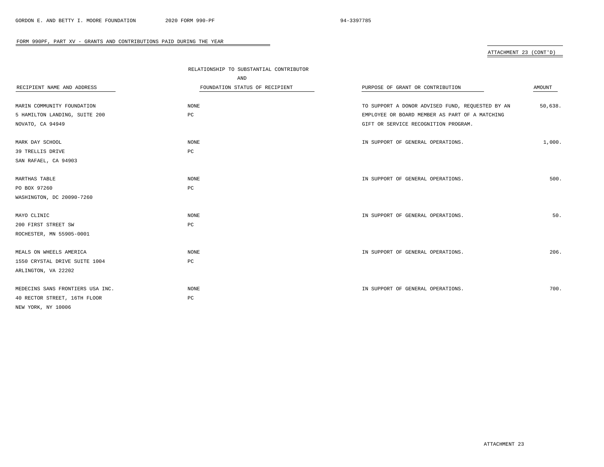ATTACHMENT 23 (CONT'D)

|                                  | RELATIONSHIP TO SUBSTANTIAL CONTRIBUTOR |                                                  |         |
|----------------------------------|-----------------------------------------|--------------------------------------------------|---------|
|                                  | AND                                     |                                                  |         |
| RECIPIENT NAME AND ADDRESS       | FOUNDATION STATUS OF RECIPIENT          | PURPOSE OF GRANT OR CONTRIBUTION                 | AMOUNT  |
|                                  |                                         |                                                  |         |
| MARIN COMMUNITY FOUNDATION       | NONE                                    | TO SUPPORT A DONOR ADVISED FUND, REQUESTED BY AN | 50,638. |
| 5 HAMILTON LANDING, SUITE 200    | PC                                      | EMPLOYEE OR BOARD MEMBER AS PART OF A MATCHING   |         |
| NOVATO, CA 94949                 |                                         | GIFT OR SERVICE RECOGNITION PROGRAM.             |         |
|                                  |                                         |                                                  |         |
| MARK DAY SCHOOL                  | NONE                                    | IN SUPPORT OF GENERAL OPERATIONS.                | 1,000.  |
| 39 TRELLIS DRIVE                 | PC                                      |                                                  |         |
| SAN RAFAEL, CA 94903             |                                         |                                                  |         |
|                                  |                                         |                                                  |         |
| MARTHAS TABLE                    | NONE                                    | IN SUPPORT OF GENERAL OPERATIONS.                | 500.    |
| PO BOX 97260                     | PC                                      |                                                  |         |
| WASHINGTON, DC 20090-7260        |                                         |                                                  |         |
|                                  |                                         |                                                  |         |
| MAYO CLINIC                      | NONE                                    | IN SUPPORT OF GENERAL OPERATIONS.                | 50.     |
| 200 FIRST STREET SW              | PC                                      |                                                  |         |
| ROCHESTER, MN 55905-0001         |                                         |                                                  |         |
|                                  |                                         |                                                  |         |
| MEALS ON WHEELS AMERICA          | NONE                                    | IN SUPPORT OF GENERAL OPERATIONS.                | 206.    |
| 1550 CRYSTAL DRIVE SUITE 1004    | PC                                      |                                                  |         |
| ARLINGTON, VA 22202              |                                         |                                                  |         |
|                                  |                                         |                                                  |         |
| MEDECINS SANS FRONTIERS USA INC. | NONE                                    | IN SUPPORT OF GENERAL OPERATIONS.                | 700.    |
| 40 RECTOR STREET, 16TH FLOOR     | PC                                      |                                                  |         |
| NEW YORK, NY 10006               |                                         |                                                  |         |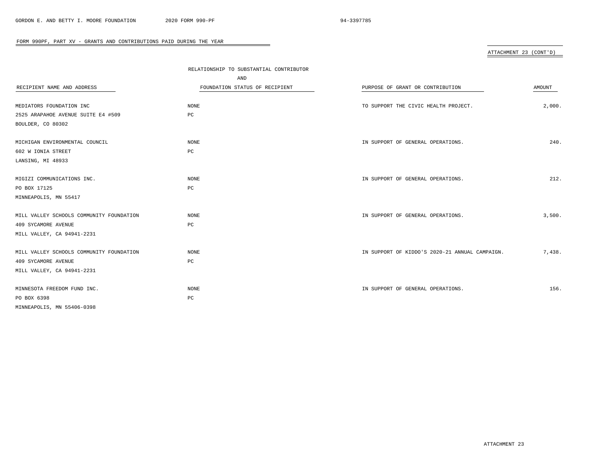# ATTACHMENT 23 (CONT'D)

|                                          | RELATIONSHIP TO SUBSTANTIAL CONTRIBUTOR |                                                |        |
|------------------------------------------|-----------------------------------------|------------------------------------------------|--------|
|                                          | AND                                     |                                                |        |
| RECIPIENT NAME AND ADDRESS               | FOUNDATION STATUS OF RECIPIENT          | PURPOSE OF GRANT OR CONTRIBUTION               | AMOUNT |
|                                          |                                         |                                                |        |
| MEDIATORS FOUNDATION INC                 | NONE                                    | TO SUPPORT THE CIVIC HEALTH PROJECT.           | 2,000. |
| 2525 ARAPAHOE AVENUE SUITE E4 #509       | PC                                      |                                                |        |
| BOULDER, CO 80302                        |                                         |                                                |        |
|                                          |                                         |                                                |        |
| MICHIGAN ENVIRONMENTAL COUNCIL           | NONE                                    | IN SUPPORT OF GENERAL OPERATIONS.              | 240.   |
| 602 W IONIA STREET                       | PC                                      |                                                |        |
| LANSING, MI 48933                        |                                         |                                                |        |
|                                          |                                         |                                                |        |
| MIGIZI COMMUNICATIONS INC.               | NONE                                    | IN SUPPORT OF GENERAL OPERATIONS.              | 212.   |
| PO BOX 17125                             | $_{\rm PC}$                             |                                                |        |
| MINNEAPOLIS, MN 55417                    |                                         |                                                |        |
|                                          |                                         |                                                |        |
| MILL VALLEY SCHOOLS COMMUNITY FOUNDATION | <b>NONE</b>                             | IN SUPPORT OF GENERAL OPERATIONS.              | 3,500. |
| 409 SYCAMORE AVENUE                      | PC                                      |                                                |        |
| MILL VALLEY, CA 94941-2231               |                                         |                                                |        |
|                                          |                                         |                                                |        |
| MILL VALLEY SCHOOLS COMMUNITY FOUNDATION | NONE                                    | IN SUPPORT OF KIDDO'S 2020-21 ANNUAL CAMPAIGN. | 7,438. |
| 409 SYCAMORE AVENUE                      | $_{\rm PC}$                             |                                                |        |
| MILL VALLEY, CA 94941-2231               |                                         |                                                |        |
|                                          |                                         |                                                |        |
| MINNESOTA FREEDOM FUND INC.              | NONE                                    | IN SUPPORT OF GENERAL OPERATIONS.              | 156.   |
| PO BOX 6398                              | PC                                      |                                                |        |
| MINNEAPOLIS, MN 55406-0398               |                                         |                                                |        |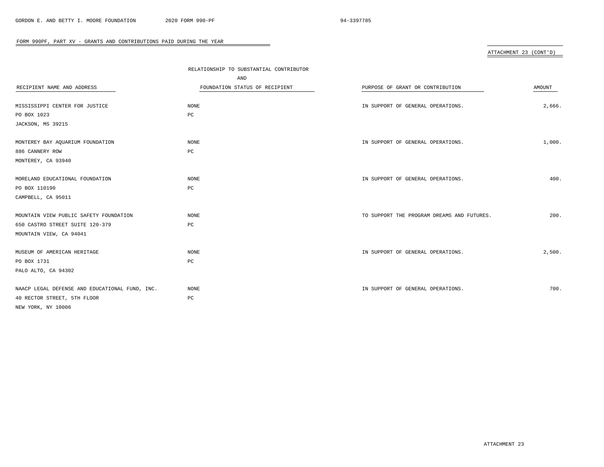# ATTACHMENT 23 (CONT'D)

|                                                | RELATIONSHIP TO SUBSTANTIAL CONTRIBUTOR |                                            |        |
|------------------------------------------------|-----------------------------------------|--------------------------------------------|--------|
|                                                | AND                                     |                                            |        |
| RECIPIENT NAME AND ADDRESS                     | FOUNDATION STATUS OF RECIPIENT          | PURPOSE OF GRANT OR CONTRIBUTION           | AMOUNT |
|                                                |                                         |                                            |        |
| MISSISSIPPI CENTER FOR JUSTICE                 | <b>NONE</b>                             | IN SUPPORT OF GENERAL OPERATIONS.          | 2,666. |
| PO BOX 1023                                    | $_{\rm PC}$                             |                                            |        |
| JACKSON, MS 39215                              |                                         |                                            |        |
|                                                |                                         |                                            |        |
| MONTEREY BAY AQUARIUM FOUNDATION               | <b>NONE</b>                             | IN SUPPORT OF GENERAL OPERATIONS.          | 1,000. |
| 886 CANNERY ROW                                | $_{\rm PC}$                             |                                            |        |
| MONTEREY, CA 93940                             |                                         |                                            |        |
|                                                |                                         |                                            |        |
| MORELAND EDUCATIONAL FOUNDATION                | <b>NONE</b>                             | IN SUPPORT OF GENERAL OPERATIONS.          | 400.   |
| PO BOX 110190                                  | $_{\rm PC}$                             |                                            |        |
| CAMPBELL, CA 95011                             |                                         |                                            |        |
|                                                |                                         |                                            |        |
| MOUNTAIN VIEW PUBLIC SAFETY FOUNDATION         | <b>NONE</b>                             | TO SUPPORT THE PROGRAM DREAMS AND FUTURES. | 200.   |
| 650 CASTRO STREET SUITE 120-379                | $_{\rm PC}$                             |                                            |        |
| MOUNTAIN VIEW, CA 94041                        |                                         |                                            |        |
|                                                |                                         |                                            |        |
| MUSEUM OF AMERICAN HERITAGE                    | NONE                                    | IN SUPPORT OF GENERAL OPERATIONS.          | 2,500. |
| PO BOX 1731                                    | $_{\rm PC}$                             |                                            |        |
| PALO ALTO, CA 94302                            |                                         |                                            |        |
|                                                |                                         |                                            |        |
| NAACP LEGAL DEFENSE AND EDUCATIONAL FUND, INC. | <b>NONE</b>                             | IN SUPPORT OF GENERAL OPERATIONS.          | 700.   |
| 40 RECTOR STREET, 5TH FLOOR                    | PC                                      |                                            |        |
| NEW YORK, NY 10006                             |                                         |                                            |        |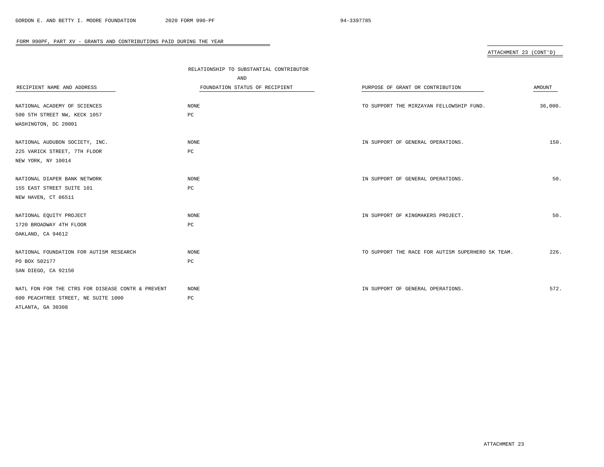# ATTACHMENT 23 (CONT'D)

|                                                   | RELATIONSHIP TO SUBSTANTIAL CONTRIBUTOR |                                                   |         |
|---------------------------------------------------|-----------------------------------------|---------------------------------------------------|---------|
|                                                   | AND                                     |                                                   |         |
| RECIPIENT NAME AND ADDRESS                        | FOUNDATION STATUS OF RECIPIENT          | PURPOSE OF GRANT OR CONTRIBUTION                  | AMOUNT  |
|                                                   |                                         |                                                   |         |
| NATIONAL ACADEMY OF SCIENCES                      | NONE                                    | TO SUPPORT THE MIRZAYAN FELLOWSHIP FUND.          | 36,000. |
| 500 5TH STREET NW, KECK 1057                      | $_{\rm PC}$                             |                                                   |         |
| WASHINGTON, DC 20001                              |                                         |                                                   |         |
| NATIONAL AUDUBON SOCIETY, INC.                    | <b>NONE</b>                             | IN SUPPORT OF GENERAL OPERATIONS.                 | 150.    |
| 225 VARICK STREET, 7TH FLOOR                      | PC                                      |                                                   |         |
| NEW YORK, NY 10014                                |                                         |                                                   |         |
|                                                   |                                         |                                                   |         |
| NATIONAL DIAPER BANK NETWORK                      | NONE                                    | IN SUPPORT OF GENERAL OPERATIONS.                 | 50.     |
| 155 EAST STREET SUITE 101                         | PC                                      |                                                   |         |
| NEW HAVEN, CT 06511                               |                                         |                                                   |         |
|                                                   |                                         |                                                   |         |
| NATIONAL EQUITY PROJECT                           | NONE                                    | IN SUPPORT OF KINGMAKERS PROJECT.                 | 50.     |
| 1720 BROADWAY 4TH FLOOR                           | PC                                      |                                                   |         |
| OAKLAND, CA 94612                                 |                                         |                                                   |         |
| NATIONAL FOUNDATION FOR AUTISM RESEARCH           | <b>NONE</b>                             | TO SUPPORT THE RACE FOR AUTISM SUPERHERO 5K TEAM. | 226.    |
| PO BOX 502177                                     | PC                                      |                                                   |         |
| SAN DIEGO, CA 92150                               |                                         |                                                   |         |
|                                                   |                                         |                                                   |         |
| NATL FDN FOR THE CTRS FOR DISEASE CONTR & PREVENT | <b>NONE</b>                             | IN SUPPORT OF GENERAL OPERATIONS.                 | 572.    |
| 600 PEACHTREE STREET, NE SUITE 1000               | $_{\rm PC}$                             |                                                   |         |
| ATLANTA, GA 30308                                 |                                         |                                                   |         |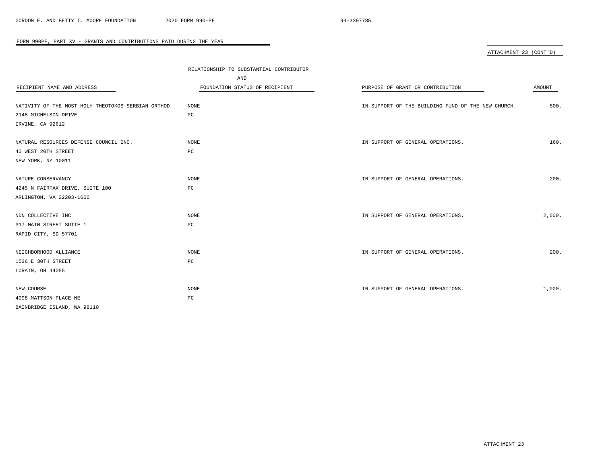# ATTACHMENT 23 (CONT'D)

|                                                    | RELATIONSHIP TO SUBSTANTIAL CONTRIBUTOR |                                                    |        |  |
|----------------------------------------------------|-----------------------------------------|----------------------------------------------------|--------|--|
|                                                    | AND                                     |                                                    |        |  |
| RECIPIENT NAME AND ADDRESS                         | FOUNDATION STATUS OF RECIPIENT          | PURPOSE OF GRANT OR CONTRIBUTION                   | AMOUNT |  |
|                                                    |                                         |                                                    |        |  |
| NATIVITY OF THE MOST HOLY THEOTOKOS SERBIAN ORTHOD | <b>NONE</b>                             | IN SUPPORT OF THE BUILDING FUND OF THE NEW CHURCH. | 500.   |  |
| 2148 MICHELSON DRIVE                               | PC                                      |                                                    |        |  |
| IRVINE, CA 92612                                   |                                         |                                                    |        |  |
| NATURAL RESOURCES DEFENSE COUNCIL INC.             | NONE                                    | IN SUPPORT OF GENERAL OPERATIONS.                  | 160.   |  |
| 40 WEST 20TH STREET                                | PC                                      |                                                    |        |  |
| NEW YORK, NY 10011                                 |                                         |                                                    |        |  |
|                                                    |                                         |                                                    |        |  |
| NATURE CONSERVANCY                                 | <b>NONE</b>                             | IN SUPPORT OF GENERAL OPERATIONS.                  | 200.   |  |
| 4245 N FAIRFAX DRIVE, SUITE 100                    | PC                                      |                                                    |        |  |
| ARLINGTON, VA 22203-1606                           |                                         |                                                    |        |  |
| NDN COLLECTIVE INC                                 | <b>NONE</b>                             | IN SUPPORT OF GENERAL OPERATIONS.                  | 2,000. |  |
| 317 MAIN STREET SUITE 1                            | PC                                      |                                                    |        |  |
| RAPID CITY, SD 57701                               |                                         |                                                    |        |  |
| NEIGHBORHOOD ALLIANCE                              | NONE                                    | IN SUPPORT OF GENERAL OPERATIONS.                  | 200.   |  |
| 1536 E 30TH STREET                                 | PC                                      |                                                    |        |  |
| LORAIN, OH 44055                                   |                                         |                                                    |        |  |
|                                                    |                                         |                                                    |        |  |
| NEW COURSE                                         | <b>NONE</b>                             | IN SUPPORT OF GENERAL OPERATIONS.                  | 1,000. |  |
| 4098 MATTSON PLACE NE                              | PC                                      |                                                    |        |  |
| BAINBRIDGE ISLAND, WA 98110                        |                                         |                                                    |        |  |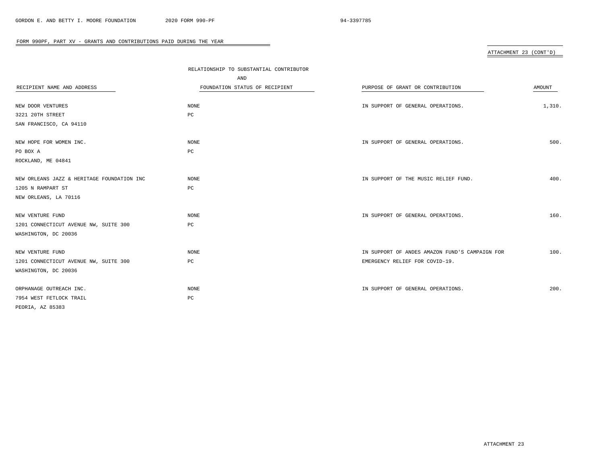# ATTACHMENT 23 (CONT'D)

|                                            | RELATIONSHIP TO SUBSTANTIAL CONTRIBUTOR |                                                |        |
|--------------------------------------------|-----------------------------------------|------------------------------------------------|--------|
|                                            | AND                                     |                                                |        |
| RECIPIENT NAME AND ADDRESS                 | FOUNDATION STATUS OF RECIPIENT          | PURPOSE OF GRANT OR CONTRIBUTION               | AMOUNT |
|                                            |                                         |                                                |        |
| NEW DOOR VENTURES                          | <b>NONE</b>                             | IN SUPPORT OF GENERAL OPERATIONS.              | 1,310. |
| 3221 20TH STREET                           | $_{\rm PC}$                             |                                                |        |
| SAN FRANCISCO, CA 94110                    |                                         |                                                |        |
|                                            |                                         |                                                |        |
| NEW HOPE FOR WOMEN INC.                    | <b>NONE</b>                             | IN SUPPORT OF GENERAL OPERATIONS.              | 500.   |
| PO BOX A                                   | PC                                      |                                                |        |
| ROCKLAND, ME 04841                         |                                         |                                                |        |
|                                            |                                         |                                                |        |
| NEW ORLEANS JAZZ & HERITAGE FOUNDATION INC | NONE                                    | IN SUPPORT OF THE MUSIC RELIEF FUND.           | 400.   |
| 1205 N RAMPART ST                          | $_{\rm PC}$                             |                                                |        |
| NEW ORLEANS, LA 70116                      |                                         |                                                |        |
|                                            |                                         |                                                |        |
| NEW VENTURE FUND                           | <b>NONE</b>                             | IN SUPPORT OF GENERAL OPERATIONS.              | 160.   |
| 1201 CONNECTICUT AVENUE NW, SUITE 300      | PC                                      |                                                |        |
| WASHINGTON, DC 20036                       |                                         |                                                |        |
|                                            |                                         |                                                |        |
| NEW VENTURE FUND                           | <b>NONE</b>                             | IN SUPPORT OF ANDES AMAZON FUND'S CAMPAIGN FOR | 100.   |
| 1201 CONNECTICUT AVENUE NW, SUITE 300      | $_{\rm PC}$                             | EMERGENCY RELIEF FOR COVID-19.                 |        |
| WASHINGTON, DC 20036                       |                                         |                                                |        |
|                                            |                                         |                                                |        |
| ORPHANAGE OUTREACH INC.                    | <b>NONE</b>                             | IN SUPPORT OF GENERAL OPERATIONS.              | 200.   |
| 7954 WEST FETLOCK TRAIL                    | PC                                      |                                                |        |
| PEORIA, AZ 85383                           |                                         |                                                |        |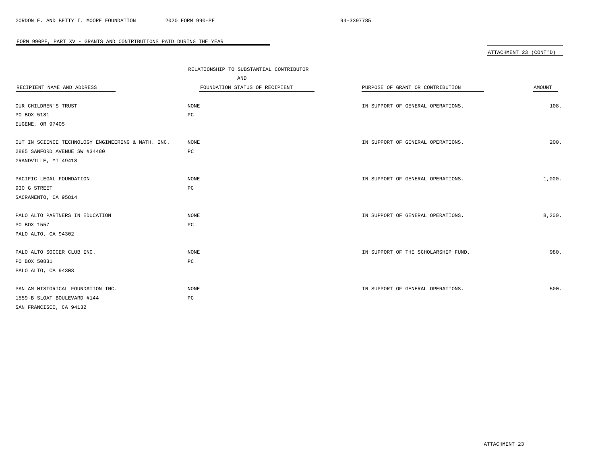# ATTACHMENT 23 (CONT'D)

|                                                    | RELATIONSHIP TO SUBSTANTIAL CONTRIBUTOR<br>AND |                                     |        |
|----------------------------------------------------|------------------------------------------------|-------------------------------------|--------|
| RECIPIENT NAME AND ADDRESS                         | FOUNDATION STATUS OF RECIPIENT                 | PURPOSE OF GRANT OR CONTRIBUTION    | AMOUNT |
| OUR CHILDREN'S TRUST                               | NONE                                           | IN SUPPORT OF GENERAL OPERATIONS.   | 108.   |
| PO BOX 5181                                        | PC                                             |                                     |        |
| EUGENE, OR 97405                                   |                                                |                                     |        |
| OUT IN SCIENCE TECHNOLOGY ENGINEERING & MATH. INC. | <b>NONE</b>                                    | IN SUPPORT OF GENERAL OPERATIONS.   | 200.   |
| 2885 SANFORD AVENUE SW #34480                      | PC                                             |                                     |        |
| GRANDVILLE, MI 49418                               |                                                |                                     |        |
| PACIFIC LEGAL FOUNDATION                           | NONE                                           | IN SUPPORT OF GENERAL OPERATIONS.   | 1,000. |
| 930 G STREET                                       | PC                                             |                                     |        |
| SACRAMENTO, CA 95814                               |                                                |                                     |        |
| PALO ALTO PARTNERS IN EDUCATION                    | NONE                                           | IN SUPPORT OF GENERAL OPERATIONS.   | 8,200. |
| PO BOX 1557                                        | $_{\rm PC}$                                    |                                     |        |
| PALO ALTO, CA 94302                                |                                                |                                     |        |
| PALO ALTO SOCCER CLUB INC.                         | <b>NONE</b>                                    | IN SUPPORT OF THE SCHOLARSHIP FUND. | 980.   |
| PO BOX 50831                                       | $_{\rm PC}$                                    |                                     |        |
| PALO ALTO, CA 94303                                |                                                |                                     |        |
| PAN AM HISTORICAL FOUNDATION INC.                  | NONE                                           | IN SUPPORT OF GENERAL OPERATIONS.   | 500.   |
| 1559-B SLOAT BOULEVARD #144                        | $_{\rm PC}$                                    |                                     |        |
| SAN FRANCISCO, CA 94132                            |                                                |                                     |        |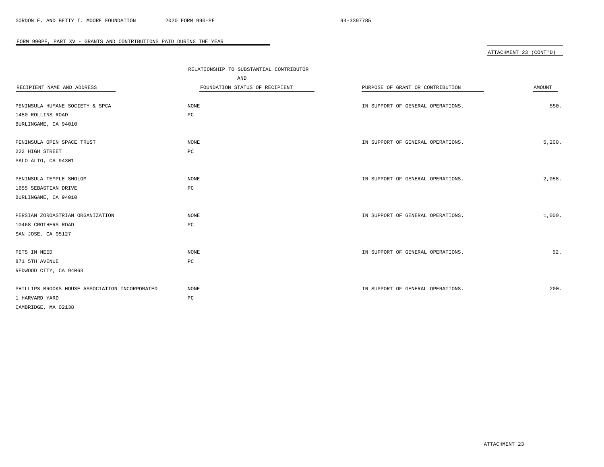# ATTACHMENT 23 (CONT'D)

|                                                | RELATIONSHIP TO SUBSTANTIAL CONTRIBUTOR |                                   |        |
|------------------------------------------------|-----------------------------------------|-----------------------------------|--------|
|                                                | AND                                     |                                   |        |
| RECIPIENT NAME AND ADDRESS                     | FOUNDATION STATUS OF RECIPIENT          | PURPOSE OF GRANT OR CONTRIBUTION  | AMOUNT |
|                                                |                                         |                                   |        |
| PENINSULA HUMANE SOCIETY & SPCA                | NONE                                    | IN SUPPORT OF GENERAL OPERATIONS. | 550.   |
| 1450 ROLLINS ROAD                              | PC                                      |                                   |        |
| BURLINGAME, CA 94010                           |                                         |                                   |        |
|                                                |                                         |                                   |        |
| PENINSULA OPEN SPACE TRUST                     | NONE                                    | IN SUPPORT OF GENERAL OPERATIONS. | 5,200. |
| 222 HIGH STREET                                | $_{\rm PC}$                             |                                   |        |
| PALO ALTO, CA 94301                            |                                         |                                   |        |
|                                                |                                         |                                   |        |
| PENINSULA TEMPLE SHOLOM                        | NONE                                    | IN SUPPORT OF GENERAL OPERATIONS. | 2,058. |
| 1655 SEBASTIAN DRIVE                           | PC                                      |                                   |        |
| BURLINGAME, CA 94010                           |                                         |                                   |        |
|                                                |                                         |                                   |        |
| PERSIAN ZOROASTRIAN ORGANIZATION               | NONE                                    | IN SUPPORT OF GENERAL OPERATIONS. | 1,000. |
| 10468 CROTHERS ROAD                            | РC                                      |                                   |        |
| SAN JOSE, CA 95127                             |                                         |                                   |        |
|                                                |                                         |                                   |        |
| PETS IN NEED                                   | <b>NONE</b>                             | IN SUPPORT OF GENERAL OPERATIONS. | 52.    |
| 871 5TH AVENUE                                 | $_{\rm PC}$                             |                                   |        |
| REDWOOD CITY, CA 94063                         |                                         |                                   |        |
|                                                |                                         |                                   |        |
| PHILLIPS BROOKS HOUSE ASSOCIATION INCORPORATED | NONE                                    | IN SUPPORT OF GENERAL OPERATIONS. | 200.   |
| 1 HARVARD YARD                                 | $_{\rm PC}$                             |                                   |        |
| CAMBRIDGE, MA 02138                            |                                         |                                   |        |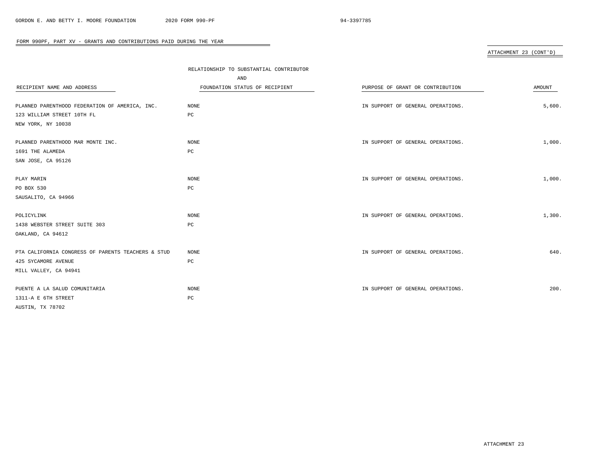# ATTACHMENT 23 (CONT'D)

|                                                    | RELATIONSHIP TO SUBSTANTIAL CONTRIBUTOR |                                   |        |
|----------------------------------------------------|-----------------------------------------|-----------------------------------|--------|
|                                                    | AND                                     |                                   |        |
| RECIPIENT NAME AND ADDRESS                         | FOUNDATION STATUS OF RECIPIENT          | PURPOSE OF GRANT OR CONTRIBUTION  | AMOUNT |
|                                                    |                                         |                                   |        |
| PLANNED PARENTHOOD FEDERATION OF AMERICA, INC.     | NONE                                    | IN SUPPORT OF GENERAL OPERATIONS. | 5,600. |
| 123 WILLIAM STREET 10TH FL                         | PC                                      |                                   |        |
| NEW YORK, NY 10038                                 |                                         |                                   |        |
| PLANNED PARENTHOOD MAR MONTE INC.                  | NONE                                    | IN SUPPORT OF GENERAL OPERATIONS. | 1,000. |
| 1691 THE ALAMEDA                                   | $_{\rm PC}$                             |                                   |        |
| SAN JOSE, CA 95126                                 |                                         |                                   |        |
| PLAY MARIN                                         | NONE                                    | IN SUPPORT OF GENERAL OPERATIONS. | 1,000. |
| PO BOX 530                                         | PC                                      |                                   |        |
| SAUSALITO, CA 94966                                |                                         |                                   |        |
|                                                    |                                         |                                   |        |
| POLICYLINK                                         | NONE                                    | IN SUPPORT OF GENERAL OPERATIONS. | 1,300. |
| 1438 WEBSTER STREET SUITE 303                      | РC                                      |                                   |        |
| OAKLAND, CA 94612                                  |                                         |                                   |        |
| PTA CALIFORNIA CONGRESS OF PARENTS TEACHERS & STUD | NONE                                    | IN SUPPORT OF GENERAL OPERATIONS. | 640.   |
| 425 SYCAMORE AVENUE                                | PC                                      |                                   |        |
| MILL VALLEY, CA 94941                              |                                         |                                   |        |
|                                                    |                                         |                                   |        |
| PUENTE A LA SALUD COMUNITARIA                      | NONE                                    | IN SUPPORT OF GENERAL OPERATIONS. | 200.   |
| 1311-A E 6TH STREET                                | PC                                      |                                   |        |
| AUSTIN, TX 78702                                   |                                         |                                   |        |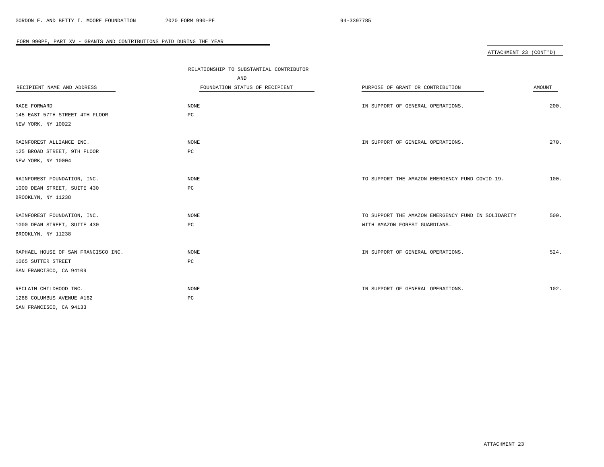# ATTACHMENT 23 (CONT'D)

|                                     | RELATIONSHIP TO SUBSTANTIAL CONTRIBUTOR |                                                    |        |
|-------------------------------------|-----------------------------------------|----------------------------------------------------|--------|
|                                     | AND                                     |                                                    |        |
| RECIPIENT NAME AND ADDRESS          | FOUNDATION STATUS OF RECIPIENT          | PURPOSE OF GRANT OR CONTRIBUTION                   | AMOUNT |
|                                     |                                         |                                                    |        |
| RACE FORWARD                        | NONE                                    | IN SUPPORT OF GENERAL OPERATIONS.                  | 200.   |
| 145 EAST 57TH STREET 4TH FLOOR      | PC                                      |                                                    |        |
| NEW YORK, NY 10022                  |                                         |                                                    |        |
| RAINFOREST ALLIANCE INC.            | NONE                                    | IN SUPPORT OF GENERAL OPERATIONS.                  | 270.   |
| 125 BROAD STREET, 9TH FLOOR         | $_{\rm PC}$                             |                                                    |        |
| NEW YORK, NY 10004                  |                                         |                                                    |        |
| RAINFOREST FOUNDATION, INC.         | NONE                                    | TO SUPPORT THE AMAZON EMERGENCY FUND COVID-19.     | 100.   |
| 1000 DEAN STREET, SUITE 430         | PC                                      |                                                    |        |
| BROOKLYN, NY 11238                  |                                         |                                                    |        |
| RAINFOREST FOUNDATION, INC.         | NONE                                    | TO SUPPORT THE AMAZON EMERGENCY FUND IN SOLIDARITY | 500.   |
| 1000 DEAN STREET, SUITE 430         | $_{\rm PC}$                             | WITH AMAZON FOREST GUARDIANS.                      |        |
| BROOKLYN, NY 11238                  |                                         |                                                    |        |
| RAPHAEL HOUSE OF SAN FRANCISCO INC. | NONE                                    | IN SUPPORT OF GENERAL OPERATIONS.                  | 524.   |
| 1065 SUTTER STREET                  | $_{\rm PC}$                             |                                                    |        |
| SAN FRANCISCO, CA 94109             |                                         |                                                    |        |
| RECLAIM CHILDHOOD INC.              | NONE                                    | IN SUPPORT OF GENERAL OPERATIONS.                  | 102.   |
| 1288 COLUMBUS AVENUE #162           | PC                                      |                                                    |        |
| SAN FRANCISCO, CA 94133             |                                         |                                                    |        |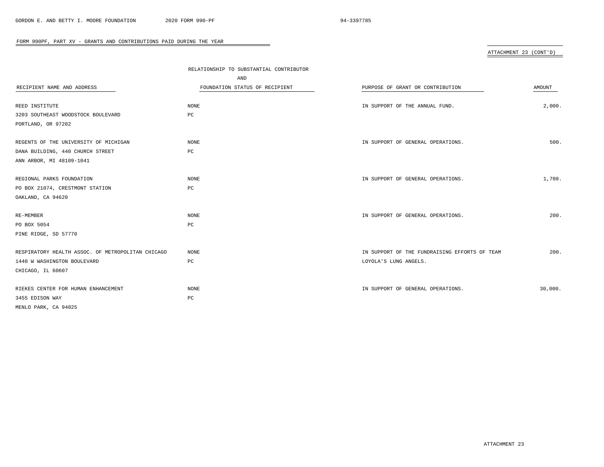# ATTACHMENT 23 (CONT'D)

|                                                   | RELATIONSHIP TO SUBSTANTIAL CONTRIBUTOR |                                               |         |
|---------------------------------------------------|-----------------------------------------|-----------------------------------------------|---------|
|                                                   | AND                                     |                                               |         |
| RECIPIENT NAME AND ADDRESS                        | FOUNDATION STATUS OF RECIPIENT          | PURPOSE OF GRANT OR CONTRIBUTION              | AMOUNT  |
|                                                   |                                         |                                               |         |
| REED INSTITUTE                                    | NONE                                    | IN SUPPORT OF THE ANNUAL FUND.                | 2,000.  |
| 3203 SOUTHEAST WOODSTOCK BOULEVARD                | $_{\rm PC}$                             |                                               |         |
| PORTLAND, OR 97202                                |                                         |                                               |         |
| REGENTS OF THE UNIVERSITY OF MICHIGAN             | NONE                                    | IN SUPPORT OF GENERAL OPERATIONS.             | 500.    |
| DANA BUILDING, 440 CHURCH STREET                  | $_{\rm PC}$                             |                                               |         |
| ANN ARBOR, MI 48109-1041                          |                                         |                                               |         |
| REGIONAL PARKS FOUNDATION                         | NONE                                    | IN SUPPORT OF GENERAL OPERATIONS.             | 1,700.  |
| PO BOX 21074, CRESTMONT STATION                   | PC                                      |                                               |         |
| OAKLAND, CA 94620                                 |                                         |                                               |         |
| RE-MEMBER                                         | NONE                                    | IN SUPPORT OF GENERAL OPERATIONS.             | 200.    |
| PO BOX 5054                                       | PC                                      |                                               |         |
| PINE RIDGE, SD 57770                              |                                         |                                               |         |
| RESPIRATORY HEALTH ASSOC. OF METROPOLITAN CHICAGO | <b>NONE</b>                             | IN SUPPORT OF THE FUNDRAISING EFFORTS OF TEAM | 200.    |
| 1440 W WASHINGTON BOULEVARD                       | $_{\rm PC}$                             | LOYOLA'S LUNG ANGELS.                         |         |
| CHICAGO, IL 60607                                 |                                         |                                               |         |
| RIEKES CENTER FOR HUMAN ENHANCEMENT               | NONE                                    | IN SUPPORT OF GENERAL OPERATIONS.             | 30,000. |
| 3455 EDISON WAY                                   | PC                                      |                                               |         |
| MENLO PARK, CA 94025                              |                                         |                                               |         |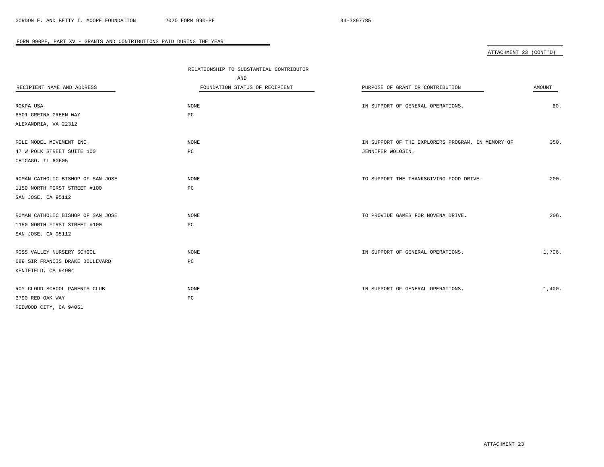# ATTACHMENT 23 (CONT'D)

|                                   | RELATIONSHIP TO SUBSTANTIAL CONTRIBUTOR |                                                   |        |
|-----------------------------------|-----------------------------------------|---------------------------------------------------|--------|
|                                   | AND                                     |                                                   |        |
| RECIPIENT NAME AND ADDRESS        | FOUNDATION STATUS OF RECIPIENT          | PURPOSE OF GRANT OR CONTRIBUTION                  | AMOUNT |
|                                   |                                         |                                                   |        |
| ROKPA USA                         | NONE                                    | IN SUPPORT OF GENERAL OPERATIONS.                 | 60.    |
| 6501 GRETNA GREEN WAY             | РC                                      |                                                   |        |
| ALEXANDRIA, VA 22312              |                                         |                                                   |        |
| ROLE MODEL MOVEMENT INC.          | NONE                                    | IN SUPPORT OF THE EXPLORERS PROGRAM, IN MEMORY OF | 350.   |
| 47 W POLK STREET SUITE 100        | $_{\rm PC}$                             | JENNIFER WOLOSIN.                                 |        |
| CHICAGO, IL 60605                 |                                         |                                                   |        |
| ROMAN CATHOLIC BISHOP OF SAN JOSE | <b>NONE</b>                             | TO SUPPORT THE THANKSGIVING FOOD DRIVE.           | 200.   |
| 1150 NORTH FIRST STREET #100      | PC                                      |                                                   |        |
| SAN JOSE, CA 95112                |                                         |                                                   |        |
| ROMAN CATHOLIC BISHOP OF SAN JOSE | <b>NONE</b>                             | TO PROVIDE GAMES FOR NOVENA DRIVE.                | 206.   |
| 1150 NORTH FIRST STREET #100      | РC                                      |                                                   |        |
| SAN JOSE, CA 95112                |                                         |                                                   |        |
| ROSS VALLEY NURSERY SCHOOL        | NONE                                    | IN SUPPORT OF GENERAL OPERATIONS.                 | 1,706. |
| 689 SIR FRANCIS DRAKE BOULEVARD   | $_{\rm PC}$                             |                                                   |        |
| KENTFIELD, CA 94904               |                                         |                                                   |        |
| ROY CLOUD SCHOOL PARENTS CLUB     | NONE                                    | IN SUPPORT OF GENERAL OPERATIONS.                 | 1,400. |
| 3790 RED OAK WAY                  | PC                                      |                                                   |        |
| REDWOOD CITY, CA 94061            |                                         |                                                   |        |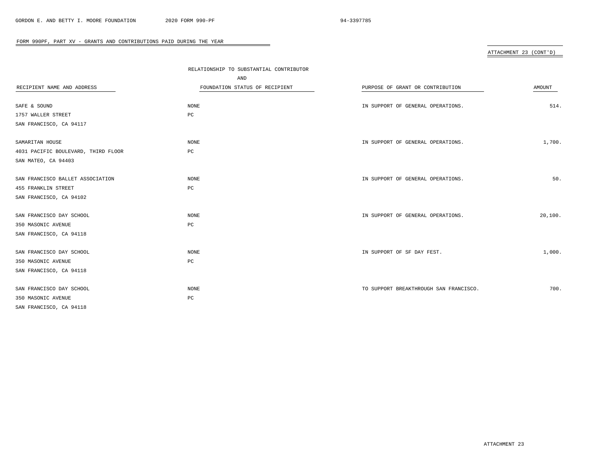# ATTACHMENT 23 (CONT'D)

|                                     | RELATIONSHIP TO SUBSTANTIAL CONTRIBUTOR<br>AND |                                        |         |
|-------------------------------------|------------------------------------------------|----------------------------------------|---------|
| RECIPIENT NAME AND ADDRESS          | FOUNDATION STATUS OF RECIPIENT                 | PURPOSE OF GRANT OR CONTRIBUTION       | AMOUNT  |
|                                     |                                                |                                        |         |
| SAFE & SOUND                        | NONE                                           | IN SUPPORT OF GENERAL OPERATIONS.      | 514.    |
| 1757 WALLER STREET                  | PC                                             |                                        |         |
| SAN FRANCISCO, CA 94117             |                                                |                                        |         |
|                                     |                                                |                                        |         |
| SAMARITAN HOUSE                     | NONE                                           | IN SUPPORT OF GENERAL OPERATIONS.      | 1,700.  |
| 4031 PACIFIC BOULEVARD, THIRD FLOOR | РC                                             |                                        |         |
| SAN MATEO, CA 94403                 |                                                |                                        |         |
|                                     |                                                |                                        |         |
| SAN FRANCISCO BALLET ASSOCIATION    | NONE                                           | IN SUPPORT OF GENERAL OPERATIONS.      | 50.     |
| 455 FRANKLIN STREET                 | PC                                             |                                        |         |
| SAN FRANCISCO, CA 94102             |                                                |                                        |         |
|                                     |                                                |                                        |         |
| SAN FRANCISCO DAY SCHOOL            | NONE                                           | IN SUPPORT OF GENERAL OPERATIONS.      | 20,100. |
| 350 MASONIC AVENUE                  | $_{\rm PC}$                                    |                                        |         |
| SAN FRANCISCO, CA 94118             |                                                |                                        |         |
|                                     |                                                |                                        |         |
| SAN FRANCISCO DAY SCHOOL            | NONE                                           | IN SUPPORT OF SF DAY FEST.             | 1,000.  |
| 350 MASONIC AVENUE                  | $_{\rm PC}$                                    |                                        |         |
| SAN FRANCISCO, CA 94118             |                                                |                                        |         |
|                                     |                                                |                                        |         |
| SAN FRANCISCO DAY SCHOOL            | <b>NONE</b>                                    | TO SUPPORT BREAKTHROUGH SAN FRANCISCO. | 700.    |
| 350 MASONIC AVENUE                  | $_{\rm PC}$                                    |                                        |         |
| SAN FRANCISCO, CA 94118             |                                                |                                        |         |
|                                     |                                                |                                        |         |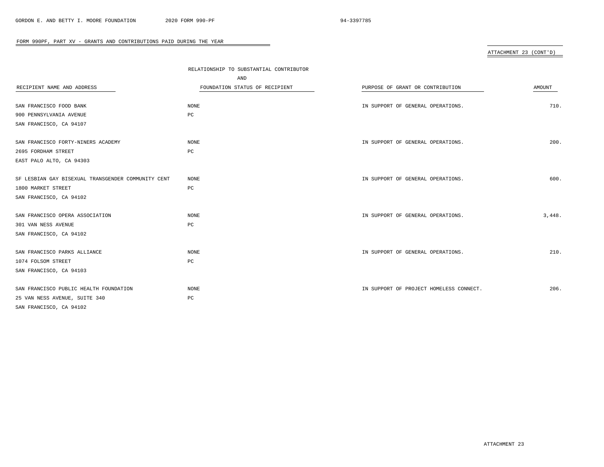# ATTACHMENT 23 (CONT'D)

| RELATIONSHIP TO SUBSTANTIAL CONTRIBUTOR |                                         |        |
|-----------------------------------------|-----------------------------------------|--------|
| AND                                     |                                         |        |
| FOUNDATION STATUS OF RECIPIENT          | PURPOSE OF GRANT OR CONTRIBUTION        | AMOUNT |
|                                         |                                         |        |
| NONE                                    | IN SUPPORT OF GENERAL OPERATIONS.       | 710.   |
| PC                                      |                                         |        |
|                                         |                                         |        |
|                                         |                                         |        |
| NONE                                    | IN SUPPORT OF GENERAL OPERATIONS.       | 200.   |
| PC                                      |                                         |        |
|                                         |                                         |        |
|                                         |                                         |        |
| <b>NONE</b>                             | IN SUPPORT OF GENERAL OPERATIONS.       | 600.   |
| $_{\rm PC}$                             |                                         |        |
|                                         |                                         |        |
|                                         |                                         |        |
| NONE                                    | IN SUPPORT OF GENERAL OPERATIONS.       | 3,448. |
| PC                                      |                                         |        |
|                                         |                                         |        |
|                                         |                                         |        |
| NONE                                    | IN SUPPORT OF GENERAL OPERATIONS.       | 210.   |
| $_{\rm PC}$                             |                                         |        |
|                                         |                                         |        |
|                                         |                                         |        |
| <b>NONE</b>                             | IN SUPPORT OF PROJECT HOMELESS CONNECT. | 206.   |
| PC                                      |                                         |        |
|                                         |                                         |        |
|                                         |                                         |        |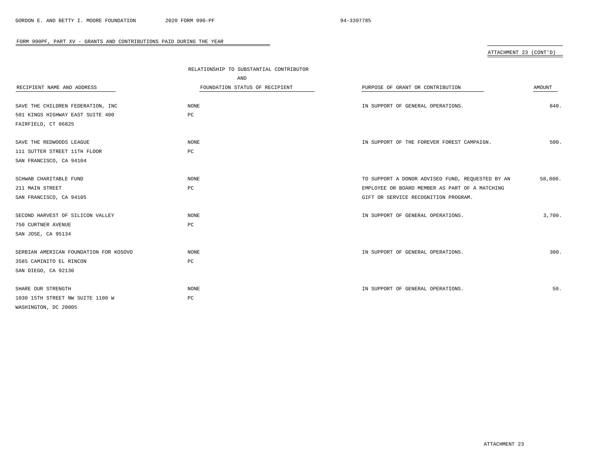# ATTACHMENT 23 (CONT'D)

|                                        | RELATIONSHIP TO SUBSTANTIAL CONTRIBUTOR |                                                  |               |
|----------------------------------------|-----------------------------------------|--------------------------------------------------|---------------|
|                                        | AND                                     |                                                  |               |
| RECIPIENT NAME AND ADDRESS             | FOUNDATION STATUS OF RECIPIENT          | PURPOSE OF GRANT OR CONTRIBUTION                 | <b>AMOUNT</b> |
| SAVE THE CHILDREN FEDERATION, INC      | NONE                                    | IN SUPPORT OF GENERAL OPERATIONS.                | 840.          |
| 501 KINGS HIGHWAY EAST SUITE 400       | PC                                      |                                                  |               |
| FAIRFIELD, CT 06825                    |                                         |                                                  |               |
| SAVE THE REDWOODS LEAGUE               | NONE                                    | IN SUPPORT OF THE FOREVER FOREST CAMPAIGN.       | 500.          |
| 111 SUTTER STREET 11TH FLOOR           | PC                                      |                                                  |               |
| SAN FRANCISCO, CA 94104                |                                         |                                                  |               |
| SCHWAB CHARITABLE FUND                 | NONE                                    | TO SUPPORT A DONOR ADVISED FUND, REQUESTED BY AN | 58,800.       |
| 211 MAIN STREET                        | PC                                      | EMPLOYEE OR BOARD MEMBER AS PART OF A MATCHING   |               |
| SAN FRANCISCO, CA 94105                |                                         | GIFT OR SERVICE RECOGNITION PROGRAM.             |               |
| SECOND HARVEST OF SILICON VALLEY       | NONE                                    | IN SUPPORT OF GENERAL OPERATIONS.                | 3,700.        |
| 750 CURTNER AVENUE                     | PC                                      |                                                  |               |
| SAN JOSE, CA 95134                     |                                         |                                                  |               |
| SERBIAN AMERICAN FOUNDATION FOR KOSOVO | NONE                                    | IN SUPPORT OF GENERAL OPERATIONS.                | 300.          |
| 3585 CAMINITO EL RINCON                | РC                                      |                                                  |               |
| SAN DIEGO, CA 92130                    |                                         |                                                  |               |
| SHARE OUR STRENGTH                     | NONE                                    | IN SUPPORT OF GENERAL OPERATIONS.                | 50.           |
| 1030 15TH STREET NW SUITE 1100 W       | PC                                      |                                                  |               |
| WASHINGTON, DC 20005                   |                                         |                                                  |               |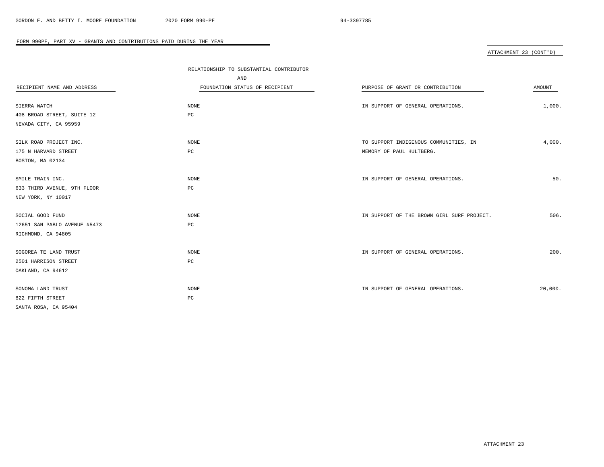# ATTACHMENT 23 (CONT'D)

|                              | RELATIONSHIP TO SUBSTANTIAL CONTRIBUTOR |                                            |               |
|------------------------------|-----------------------------------------|--------------------------------------------|---------------|
|                              | AND                                     |                                            |               |
| RECIPIENT NAME AND ADDRESS   | FOUNDATION STATUS OF RECIPIENT          | PURPOSE OF GRANT OR CONTRIBUTION           | <b>AMOUNT</b> |
|                              |                                         |                                            |               |
| SIERRA WATCH                 | <b>NONE</b>                             | IN SUPPORT OF GENERAL OPERATIONS.          | 1,000.        |
| 408 BROAD STREET, SUITE 12   | PC                                      |                                            |               |
| NEVADA CITY, CA 95959        |                                         |                                            |               |
| SILK ROAD PROJECT INC.       | NONE                                    | TO SUPPORT INDIGENOUS COMMUNITIES, IN      | 4,000.        |
| 175 N HARVARD STREET         | PC                                      | MEMORY OF PAUL HULTBERG.                   |               |
| BOSTON, MA 02134             |                                         |                                            |               |
|                              |                                         |                                            |               |
| SMILE TRAIN INC.             | NONE                                    | IN SUPPORT OF GENERAL OPERATIONS.          | 50.           |
| 633 THIRD AVENUE, 9TH FLOOR  | PC                                      |                                            |               |
| NEW YORK, NY 10017           |                                         |                                            |               |
| SOCIAL GOOD FUND             | NONE                                    | IN SUPPORT OF THE BROWN GIRL SURF PROJECT. | 506.          |
| 12651 SAN PABLO AVENUE #5473 | $_{\rm PC}$                             |                                            |               |
| RICHMOND, CA 94805           |                                         |                                            |               |
|                              |                                         |                                            |               |
| SOGOREA TE LAND TRUST        | <b>NONE</b>                             | IN SUPPORT OF GENERAL OPERATIONS.          | 200.          |
| 2501 HARRISON STREET         | $_{\rm PC}$                             |                                            |               |
| OAKLAND, CA 94612            |                                         |                                            |               |
|                              |                                         |                                            |               |
| SONOMA LAND TRUST            | NONE                                    | IN SUPPORT OF GENERAL OPERATIONS.          | 20,000.       |
| 822 FIFTH STREET             | $_{\rm PC}$                             |                                            |               |
| SANTA ROSA, CA 95404         |                                         |                                            |               |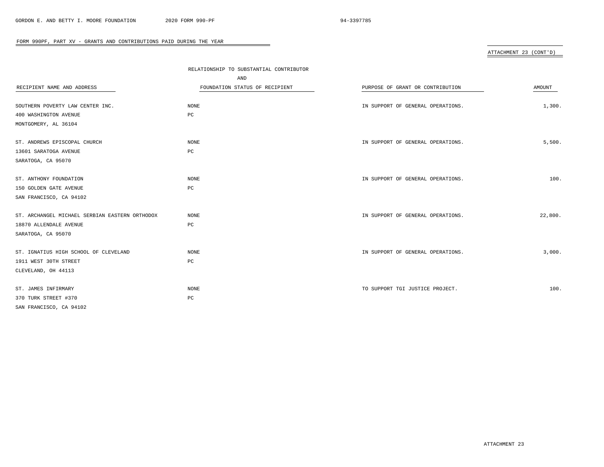# ATTACHMENT 23 (CONT'D)

|                                                | RELATIONSHIP TO SUBSTANTIAL CONTRIBUTOR |                                   |         |
|------------------------------------------------|-----------------------------------------|-----------------------------------|---------|
|                                                | AND                                     |                                   |         |
| RECIPIENT NAME AND ADDRESS                     | FOUNDATION STATUS OF RECIPIENT          | PURPOSE OF GRANT OR CONTRIBUTION  | AMOUNT  |
|                                                |                                         |                                   |         |
| SOUTHERN POVERTY LAW CENTER INC.               | NONE                                    | IN SUPPORT OF GENERAL OPERATIONS. | 1,300.  |
| 400 WASHINGTON AVENUE                          | $_{\rm PC}$                             |                                   |         |
| MONTGOMERY, AL 36104                           |                                         |                                   |         |
| ST. ANDREWS EPISCOPAL CHURCH                   | NONE                                    | IN SUPPORT OF GENERAL OPERATIONS. | 5,500.  |
| 13601 SARATOGA AVENUE                          | $_{\rm PC}$                             |                                   |         |
| SARATOGA, CA 95070                             |                                         |                                   |         |
| ST. ANTHONY FOUNDATION                         | <b>NONE</b>                             | IN SUPPORT OF GENERAL OPERATIONS. | 100.    |
| 150 GOLDEN GATE AVENUE                         | $_{\rm PC}$                             |                                   |         |
| SAN FRANCISCO, CA 94102                        |                                         |                                   |         |
| ST. ARCHANGEL MICHAEL SERBIAN EASTERN ORTHODOX | <b>NONE</b>                             | IN SUPPORT OF GENERAL OPERATIONS. | 22,800. |
| 18870 ALLENDALE AVENUE                         | PC                                      |                                   |         |
| SARATOGA, CA 95070                             |                                         |                                   |         |
| ST. IGNATIUS HIGH SCHOOL OF CLEVELAND          | <b>NONE</b>                             | IN SUPPORT OF GENERAL OPERATIONS. | 3,000.  |
| 1911 WEST 30TH STREET                          | $_{\rm PC}$                             |                                   |         |
| CLEVELAND, OH 44113                            |                                         |                                   |         |
| ST. JAMES INFIRMARY                            | <b>NONE</b>                             | TO SUPPORT TGI JUSTICE PROJECT.   | 100.    |
| 370 TURK STREET #370                           | $_{\rm PC}$                             |                                   |         |
| SAN FRANCISCO, CA 94102                        |                                         |                                   |         |
|                                                |                                         |                                   |         |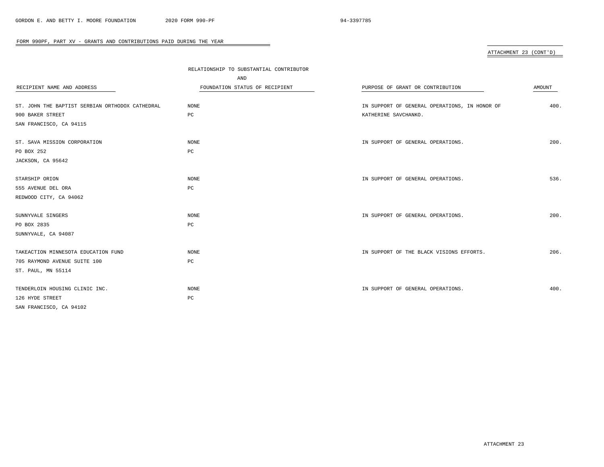# ATTACHMENT 23 (CONT'D)

|                                                 | RELATIONSHIP TO SUBSTANTIAL CONTRIBUTOR |                                               |               |
|-------------------------------------------------|-----------------------------------------|-----------------------------------------------|---------------|
|                                                 | AND                                     |                                               |               |
| RECIPIENT NAME AND ADDRESS                      | FOUNDATION STATUS OF RECIPIENT          | PURPOSE OF GRANT OR CONTRIBUTION              | <b>AMOUNT</b> |
|                                                 |                                         |                                               |               |
| ST. JOHN THE BAPTIST SERBIAN ORTHODOX CATHEDRAL | NONE                                    | IN SUPPORT OF GENERAL OPERATIONS, IN HONOR OF | 400.          |
| 900 BAKER STREET                                | PC                                      | KATHERINE SAVCHANKO.                          |               |
| SAN FRANCISCO, CA 94115                         |                                         |                                               |               |
|                                                 |                                         |                                               |               |
| ST. SAVA MISSION CORPORATION                    | NONE                                    | IN SUPPORT OF GENERAL OPERATIONS.             | 200.          |
| PO BOX 252                                      | PC                                      |                                               |               |
| JACKSON, CA 95642                               |                                         |                                               |               |
|                                                 |                                         |                                               |               |
| STARSHIP ORION                                  | NONE                                    | IN SUPPORT OF GENERAL OPERATIONS.             | 536.          |
| 555 AVENUE DEL ORA                              | PC                                      |                                               |               |
| REDWOOD CITY, CA 94062                          |                                         |                                               |               |
| SUNNYVALE SINGERS                               | NONE                                    | IN SUPPORT OF GENERAL OPERATIONS.             | 200.          |
| PO BOX 2835                                     | PC                                      |                                               |               |
| SUNNYVALE, CA 94087                             |                                         |                                               |               |
|                                                 |                                         |                                               |               |
| TAKEACTION MINNESOTA EDUCATION FUND             | NONE                                    | IN SUPPORT OF THE BLACK VISIONS EFFORTS.      | 206.          |
| 705 RAYMOND AVENUE SUITE 100                    | $_{\rm PC}$                             |                                               |               |
| ST. PAUL, MN 55114                              |                                         |                                               |               |
|                                                 |                                         |                                               |               |
| TENDERLOIN HOUSING CLINIC INC.                  | NONE                                    | IN SUPPORT OF GENERAL OPERATIONS.             | 400.          |
| 126 HYDE STREET                                 | PC                                      |                                               |               |
| SAN FRANCISCO, CA 94102                         |                                         |                                               |               |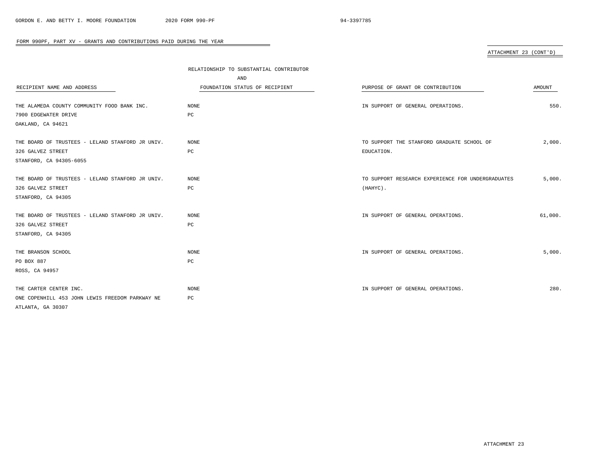# ATTACHMENT 23 (CONT'D)

|                                                  | RELATIONSHIP TO SUBSTANTIAL CONTRIBUTOR |                                                   |         |
|--------------------------------------------------|-----------------------------------------|---------------------------------------------------|---------|
|                                                  | AND                                     |                                                   |         |
| RECIPIENT NAME AND ADDRESS                       | FOUNDATION STATUS OF RECIPIENT          | PURPOSE OF GRANT OR CONTRIBUTION                  | AMOUNT  |
|                                                  |                                         |                                                   |         |
| THE ALAMEDA COUNTY COMMUNITY FOOD BANK INC.      | <b>NONE</b>                             | IN SUPPORT OF GENERAL OPERATIONS.                 | 550.    |
| 7900 EDGEWATER DRIVE                             | PC                                      |                                                   |         |
| OAKLAND, CA 94621                                |                                         |                                                   |         |
| THE BOARD OF TRUSTEES - LELAND STANFORD JR UNIV. | NONE                                    | TO SUPPORT THE STANFORD GRADUATE SCHOOL OF        | 2,000.  |
| 326 GALVEZ STREET                                | $_{\rm PC}$                             | EDUCATION.                                        |         |
| STANFORD, CA 94305-6055                          |                                         |                                                   |         |
| THE BOARD OF TRUSTEES - LELAND STANFORD JR UNIV. | <b>NONE</b>                             | TO SUPPORT RESEARCH EXPERIENCE FOR UNDERGRADUATES | 5,000.  |
| 326 GALVEZ STREET                                | PC                                      | (HAHYC).                                          |         |
| STANFORD, CA 94305                               |                                         |                                                   |         |
| THE BOARD OF TRUSTEES - LELAND STANFORD JR UNIV. | <b>NONE</b>                             | IN SUPPORT OF GENERAL OPERATIONS.                 | 61,000. |
| 326 GALVEZ STREET                                | PC                                      |                                                   |         |
| STANFORD, CA 94305                               |                                         |                                                   |         |
| THE BRANSON SCHOOL                               | NONE                                    | IN SUPPORT OF GENERAL OPERATIONS.                 | 5,000.  |
| PO BOX 887                                       | PC                                      |                                                   |         |
| ROSS, CA 94957                                   |                                         |                                                   |         |
| THE CARTER CENTER INC.                           | NONE                                    | IN SUPPORT OF GENERAL OPERATIONS.                 | 280.    |
| ONE COPENHILL 453 JOHN LEWIS FREEDOM PARKWAY NE  | PC                                      |                                                   |         |
| ATLANTA, GA 30307                                |                                         |                                                   |         |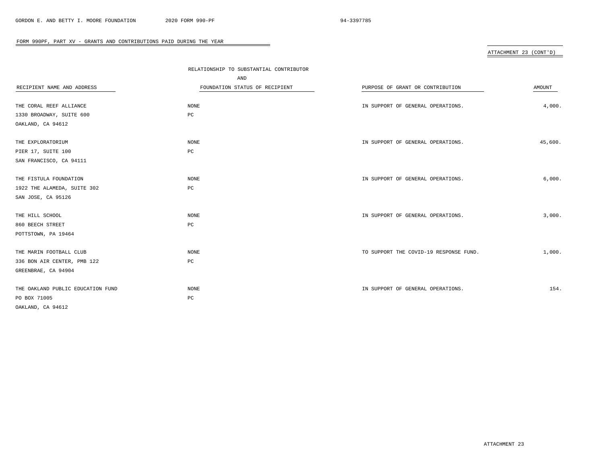# ATTACHMENT 23 (CONT'D)

|                                   | RELATIONSHIP TO SUBSTANTIAL CONTRIBUTOR |                                        |         |
|-----------------------------------|-----------------------------------------|----------------------------------------|---------|
|                                   | AND                                     |                                        |         |
| RECIPIENT NAME AND ADDRESS        | FOUNDATION STATUS OF RECIPIENT          | PURPOSE OF GRANT OR CONTRIBUTION       | AMOUNT  |
|                                   |                                         |                                        |         |
| THE CORAL REEF ALLIANCE           | NONE                                    | IN SUPPORT OF GENERAL OPERATIONS.      | 4,000.  |
| 1330 BROADWAY, SUITE 600          | $_{\rm PC}$                             |                                        |         |
| OAKLAND, CA 94612                 |                                         |                                        |         |
| THE EXPLORATORIUM                 | NONE                                    | IN SUPPORT OF GENERAL OPERATIONS.      | 45,600. |
| PIER 17, SUITE 100                | $_{\rm PC}$                             |                                        |         |
| SAN FRANCISCO, CA 94111           |                                         |                                        |         |
| THE FISTULA FOUNDATION            | NONE                                    | IN SUPPORT OF GENERAL OPERATIONS.      | 6,000.  |
| 1922 THE ALAMEDA, SUITE 302       | PC                                      |                                        |         |
| SAN JOSE, CA 95126                |                                         |                                        |         |
| THE HILL SCHOOL                   | NONE                                    | IN SUPPORT OF GENERAL OPERATIONS.      | 3,000.  |
| 860 BEECH STREET                  | PC                                      |                                        |         |
| POTTSTOWN, PA 19464               |                                         |                                        |         |
|                                   |                                         |                                        |         |
| THE MARIN FOOTBALL CLUB           | NONE                                    | TO SUPPORT THE COVID-19 RESPONSE FUND. | 1,000.  |
| 336 BON AIR CENTER, PMB 122       | $_{\rm PC}$                             |                                        |         |
| GREENBRAE, CA 94904               |                                         |                                        |         |
| THE OAKLAND PUBLIC EDUCATION FUND | <b>NONE</b>                             | IN SUPPORT OF GENERAL OPERATIONS.      | 154.    |
| PO BOX 71005                      | PC                                      |                                        |         |
| OAKLAND, CA 94612                 |                                         |                                        |         |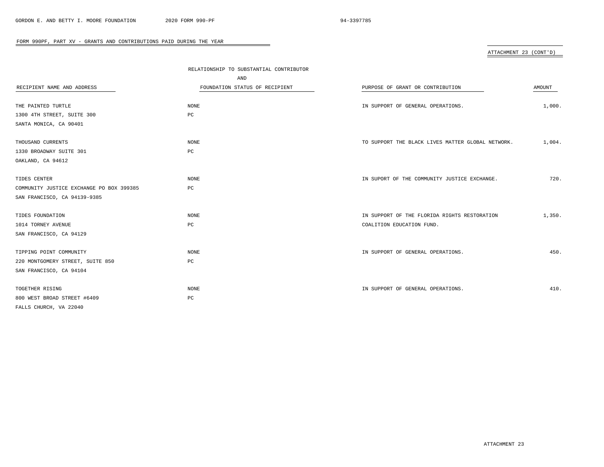# ATTACHMENT 23 (CONT'D)

|                                          | RELATIONSHIP TO SUBSTANTIAL CONTRIBUTOR |                                                   |        |
|------------------------------------------|-----------------------------------------|---------------------------------------------------|--------|
|                                          | AND                                     |                                                   |        |
| RECIPIENT NAME AND ADDRESS               | FOUNDATION STATUS OF RECIPIENT          | PURPOSE OF GRANT OR CONTRIBUTION                  | AMOUNT |
|                                          |                                         |                                                   |        |
| THE PAINTED TURTLE                       | NONE                                    | IN SUPPORT OF GENERAL OPERATIONS.                 | 1,000. |
| 1300 4TH STREET, SUITE 300               | PC                                      |                                                   |        |
| SANTA MONICA, CA 90401                   |                                         |                                                   |        |
|                                          |                                         |                                                   |        |
| THOUSAND CURRENTS                        | <b>NONE</b>                             | TO SUPPORT THE BLACK LIVES MATTER GLOBAL NETWORK. | 1,004. |
| 1330 BROADWAY SUITE 301                  | PC                                      |                                                   |        |
| OAKLAND, CA 94612                        |                                         |                                                   |        |
|                                          |                                         |                                                   |        |
| TIDES CENTER                             | NONE                                    | IN SUPORT OF THE COMMUNITY JUSTICE EXCHANGE.      | 720.   |
| COMMUNITY JUSTICE EXCHANGE PO BOX 399385 | PC                                      |                                                   |        |
| SAN FRANCISCO, CA 94139-9385             |                                         |                                                   |        |
|                                          |                                         |                                                   |        |
| TIDES FOUNDATION                         | NONE                                    | IN SUPPORT OF THE FLORIDA RIGHTS RESTORATION      | 1,350. |
| 1014 TORNEY AVENUE                       | $_{\rm PC}$                             | COALITION EDUCATION FUND.                         |        |
| SAN FRANCISCO, CA 94129                  |                                         |                                                   |        |
|                                          |                                         |                                                   |        |
| TIPPING POINT COMMUNITY                  | <b>NONE</b>                             | IN SUPPORT OF GENERAL OPERATIONS.                 | 450.   |
| 220 MONTGOMERY STREET, SUITE 850         | PC                                      |                                                   |        |
| SAN FRANCISCO, CA 94104                  |                                         |                                                   |        |
|                                          |                                         |                                                   |        |
| TOGETHER RISING                          | NONE                                    | IN SUPPORT OF GENERAL OPERATIONS.                 | 410.   |
| 800 WEST BROAD STREET #6409              | PC                                      |                                                   |        |
| FALLS CHURCH, VA 22040                   |                                         |                                                   |        |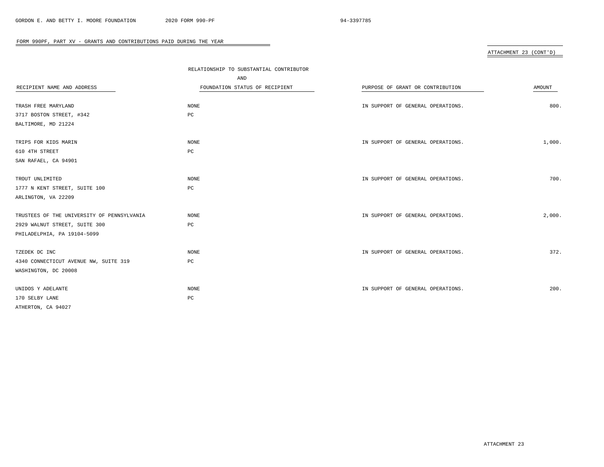# ATTACHMENT 23 (CONT'D)

|                                            | RELATIONSHIP TO SUBSTANTIAL CONTRIBUTOR |                                   |        |
|--------------------------------------------|-----------------------------------------|-----------------------------------|--------|
|                                            | AND                                     |                                   |        |
| RECIPIENT NAME AND ADDRESS                 | FOUNDATION STATUS OF RECIPIENT          | PURPOSE OF GRANT OR CONTRIBUTION  | AMOUNT |
|                                            |                                         |                                   |        |
| TRASH FREE MARYLAND                        | NONE                                    | IN SUPPORT OF GENERAL OPERATIONS. | 800.   |
| 3717 BOSTON STREET, #342                   | PC                                      |                                   |        |
| BALTIMORE, MD 21224                        |                                         |                                   |        |
|                                            |                                         |                                   |        |
| TRIPS FOR KIDS MARIN                       | NONE                                    | IN SUPPORT OF GENERAL OPERATIONS. | 1,000. |
| 610 4TH STREET                             | PC                                      |                                   |        |
| SAN RAFAEL, CA 94901                       |                                         |                                   |        |
| TROUT UNLIMITED                            | NONE                                    | IN SUPPORT OF GENERAL OPERATIONS. | 700.   |
| 1777 N KENT STREET, SUITE 100              | $_{\rm PC}$                             |                                   |        |
| ARLINGTON, VA 22209                        |                                         |                                   |        |
|                                            |                                         |                                   |        |
| TRUSTEES OF THE UNIVERSITY OF PENNSYLVANIA | NONE                                    | IN SUPPORT OF GENERAL OPERATIONS. | 2,000. |
| 2929 WALNUT STREET, SUITE 300              | PC                                      |                                   |        |
| PHILADELPHIA, PA 19104-5099                |                                         |                                   |        |
|                                            |                                         |                                   |        |
| TZEDEK DC INC                              | NONE                                    | IN SUPPORT OF GENERAL OPERATIONS. | 372.   |
| 4340 CONNECTICUT AVENUE NW, SUITE 319      | PC                                      |                                   |        |
| WASHINGTON, DC 20008                       |                                         |                                   |        |
| UNIDOS Y ADELANTE                          | <b>NONE</b>                             | IN SUPPORT OF GENERAL OPERATIONS. | 200.   |
| 170 SELBY LANE                             | PC                                      |                                   |        |
| ATHERTON, CA 94027                         |                                         |                                   |        |
|                                            |                                         |                                   |        |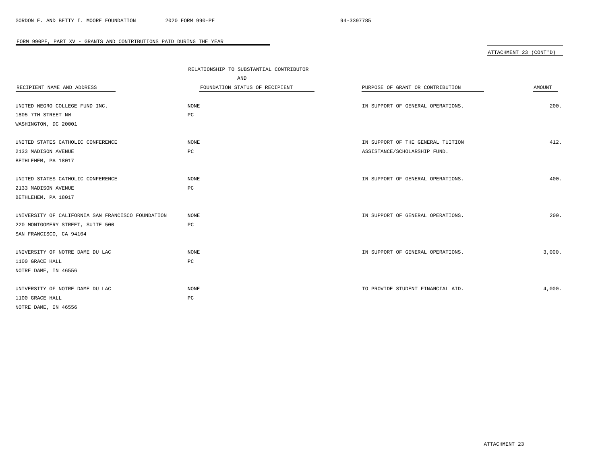# ATTACHMENT 23 (CONT'D)

|                                                   | RELATIONSHIP TO SUBSTANTIAL CONTRIBUTOR |                                   |        |
|---------------------------------------------------|-----------------------------------------|-----------------------------------|--------|
|                                                   | AND                                     |                                   |        |
| RECIPIENT NAME AND ADDRESS                        | FOUNDATION STATUS OF RECIPIENT          | PURPOSE OF GRANT OR CONTRIBUTION  | AMOUNT |
|                                                   |                                         |                                   |        |
| UNITED NEGRO COLLEGE FUND INC.                    | NONE                                    | IN SUPPORT OF GENERAL OPERATIONS. | 200.   |
| 1805 7TH STREET NW                                | $_{\rm PC}$                             |                                   |        |
| WASHINGTON, DC 20001                              |                                         |                                   |        |
| UNITED STATES CATHOLIC CONFERENCE                 | <b>NONE</b>                             | IN SUPPORT OF THE GENERAL TUITION | 412.   |
| 2133 MADISON AVENUE                               | $_{\rm PC}$                             | ASSISTANCE/SCHOLARSHIP FUND.      |        |
| BETHLEHEM, PA 18017                               |                                         |                                   |        |
| UNITED STATES CATHOLIC CONFERENCE                 | <b>NONE</b>                             | IN SUPPORT OF GENERAL OPERATIONS. | 400.   |
| 2133 MADISON AVENUE                               | $_{\rm PC}$                             |                                   |        |
| BETHLEHEM, PA 18017                               |                                         |                                   |        |
| UNIVERSITY OF CALIFORNIA SAN FRANCISCO FOUNDATION | NONE                                    | IN SUPPORT OF GENERAL OPERATIONS. | 200.   |
| 220 MONTGOMERY STREET, SUITE 500                  | $_{\rm PC}$                             |                                   |        |
| SAN FRANCISCO, CA 94104                           |                                         |                                   |        |
| UNIVERSITY OF NOTRE DAME DU LAC                   | NONE                                    | IN SUPPORT OF GENERAL OPERATIONS. | 3,000. |
| 1100 GRACE HALL                                   | $_{\rm PC}$                             |                                   |        |
| NOTRE DAME, IN 46556                              |                                         |                                   |        |
| UNIVERSITY OF NOTRE DAME DU LAC                   | <b>NONE</b>                             | TO PROVIDE STUDENT FINANCIAL AID. | 4,000. |
| 1100 GRACE HALL                                   | PC                                      |                                   |        |
| NOTRE DAME, IN 46556                              |                                         |                                   |        |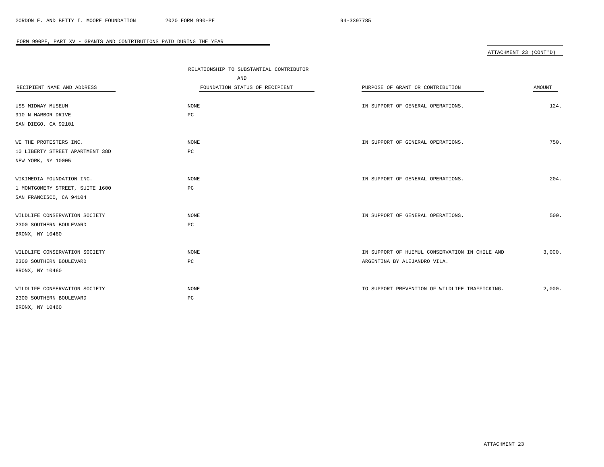# ATTACHMENT 23 (CONT'D)

|                                 | RELATIONSHIP TO SUBSTANTIAL CONTRIBUTOR |                                                |        |
|---------------------------------|-----------------------------------------|------------------------------------------------|--------|
|                                 | AND                                     |                                                |        |
| RECIPIENT NAME AND ADDRESS      | FOUNDATION STATUS OF RECIPIENT          | PURPOSE OF GRANT OR CONTRIBUTION               | AMOUNT |
|                                 |                                         |                                                |        |
| USS MIDWAY MUSEUM               | NONE                                    | IN SUPPORT OF GENERAL OPERATIONS.              | 124.   |
| 910 N HARBOR DRIVE              | $_{\rm PC}$                             |                                                |        |
| SAN DIEGO, CA 92101             |                                         |                                                |        |
|                                 |                                         |                                                |        |
| WE THE PROTESTERS INC.          | NONE                                    | IN SUPPORT OF GENERAL OPERATIONS.              | 750.   |
| 10 LIBERTY STREET APARTMENT 38D | $_{\rm PC}$                             |                                                |        |
| NEW YORK, NY 10005              |                                         |                                                |        |
|                                 |                                         |                                                |        |
| WIKIMEDIA FOUNDATION INC.       | NONE                                    | IN SUPPORT OF GENERAL OPERATIONS.              | 204.   |
| 1 MONTGOMERY STREET, SUITE 1600 | PC                                      |                                                |        |
| SAN FRANCISCO, CA 94104         |                                         |                                                |        |
|                                 |                                         |                                                |        |
| WILDLIFE CONSERVATION SOCIETY   | NONE                                    | IN SUPPORT OF GENERAL OPERATIONS.              | 500.   |
| 2300 SOUTHERN BOULEVARD         | PC                                      |                                                |        |
| BRONX, NY 10460                 |                                         |                                                |        |
|                                 |                                         |                                                |        |
| WILDLIFE CONSERVATION SOCIETY   | NONE                                    | IN SUPPORT OF HUEMUL CONSERVATION IN CHILE AND | 3,000. |
| 2300 SOUTHERN BOULEVARD         | $_{\rm PC}$                             | ARGENTINA BY ALEJANDRO VILA.                   |        |
| BRONX, NY 10460                 |                                         |                                                |        |
|                                 |                                         |                                                |        |
| WILDLIFE CONSERVATION SOCIETY   | <b>NONE</b>                             | TO SUPPORT PREVENTION OF WILDLIFE TRAFFICKING. | 2,000. |
| 2300 SOUTHERN BOULEVARD         | PC                                      |                                                |        |
| BRONX, NY 10460                 |                                         |                                                |        |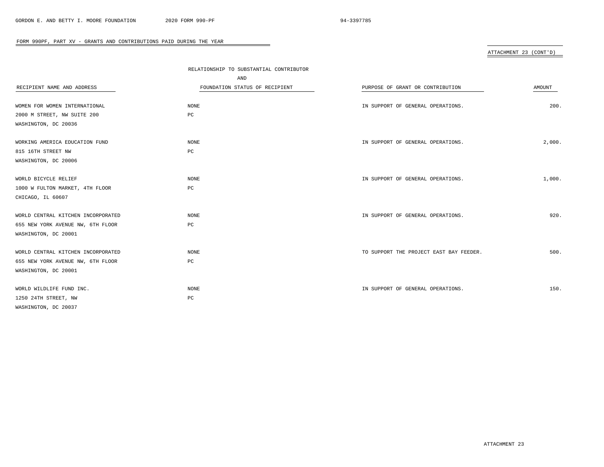# ATTACHMENT 23 (CONT'D)

|                                    | RELATIONSHIP TO SUBSTANTIAL CONTRIBUTOR |                                         |        |
|------------------------------------|-----------------------------------------|-----------------------------------------|--------|
|                                    | AND                                     |                                         |        |
| RECIPIENT NAME AND ADDRESS         | FOUNDATION STATUS OF RECIPIENT          | PURPOSE OF GRANT OR CONTRIBUTION        | AMOUNT |
|                                    |                                         |                                         |        |
| WOMEN FOR WOMEN INTERNATIONAL      | NONE                                    | IN SUPPORT OF GENERAL OPERATIONS.       | 200.   |
| 2000 M STREET, NW SUITE 200        | PC                                      |                                         |        |
| WASHINGTON, DC 20036               |                                         |                                         |        |
| WORKING AMERICA EDUCATION FUND     | NONE                                    | IN SUPPORT OF GENERAL OPERATIONS.       | 2,000. |
| 815 16TH STREET NW                 | PC                                      |                                         |        |
| WASHINGTON, DC 20006               |                                         |                                         |        |
| WORLD BICYCLE RELIEF               | NONE                                    | IN SUPPORT OF GENERAL OPERATIONS.       | 1,000. |
| 1000 W FULTON MARKET, 4TH FLOOR    | $_{\rm PC}$                             |                                         |        |
| CHICAGO, IL 60607                  |                                         |                                         |        |
| WORLD CENTRAL KITCHEN INCORPORATED | NONE                                    | IN SUPPORT OF GENERAL OPERATIONS.       | 920.   |
| 655 NEW YORK AVENUE NW, 6TH FLOOR  | РC                                      |                                         |        |
| WASHINGTON, DC 20001               |                                         |                                         |        |
|                                    |                                         |                                         |        |
| WORLD CENTRAL KITCHEN INCORPORATED | NONE                                    | TO SUPPORT THE PROJECT EAST BAY FEEDER. | 500.   |
| 655 NEW YORK AVENUE NW, 6TH FLOOR  | $_{\rm PC}$                             |                                         |        |
| WASHINGTON, DC 20001               |                                         |                                         |        |
| WORLD WILDLIFE FUND INC.           | NONE                                    | IN SUPPORT OF GENERAL OPERATIONS.       | 150.   |
| 1250 24TH STREET, NW               | $_{\rm PC}$                             |                                         |        |
| WASHINGTON, DC 20037               |                                         |                                         |        |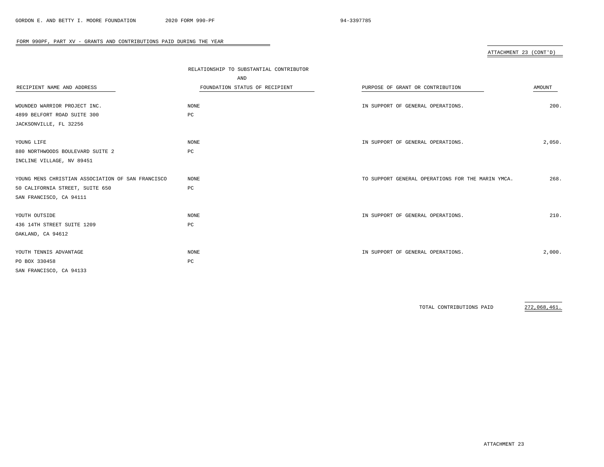# ATTACHMENT 23 (CONT'D)

| RECIPIENT NAME AND ADDRESS                                                                                      | RELATIONSHIP TO SUBSTANTIAL CONTRIBUTOR<br>AND<br>FOUNDATION STATUS OF RECIPIENT | PURPOSE OF GRANT OR CONTRIBUTION                  | <b>AMOUNT</b> |
|-----------------------------------------------------------------------------------------------------------------|----------------------------------------------------------------------------------|---------------------------------------------------|---------------|
| WOUNDED WARRIOR PROJECT INC.<br>4899 BELFORT ROAD SUITE 300<br>JACKSONVILLE, FL 32256                           | NONE<br>PC                                                                       | IN SUPPORT OF GENERAL OPERATIONS.                 | 200.          |
| YOUNG LIFE<br>880 NORTHWOODS BOULEVARD SUITE 2<br>INCLINE VILLAGE, NV 89451                                     | NONE<br>PC                                                                       | IN SUPPORT OF GENERAL OPERATIONS.                 | 2,050.        |
| YOUNG MENS CHRISTIAN ASSOCIATION OF SAN FRANCISCO<br>50 CALIFORNIA STREET, SUITE 650<br>SAN FRANCISCO, CA 94111 | NONE<br>PC                                                                       | TO SUPPORT GENERAL OPERATIONS FOR THE MARIN YMCA. | 268.          |
| YOUTH OUTSIDE<br>436 14TH STREET SUITE 1209<br>OAKLAND, CA 94612                                                | NONE<br>PC                                                                       | IN SUPPORT OF GENERAL OPERATIONS.                 | 210.          |
| YOUTH TENNIS ADVANTAGE<br>PO BOX 330458<br>SAN FRANCISCO, CA 94133                                              | NONE<br>PC                                                                       | IN SUPPORT OF GENERAL OPERATIONS.                 | 2,000.        |

 $\overline{\phantom{a}}$ 

TOTAL CONTRIBUTIONS PAID 272,068,461.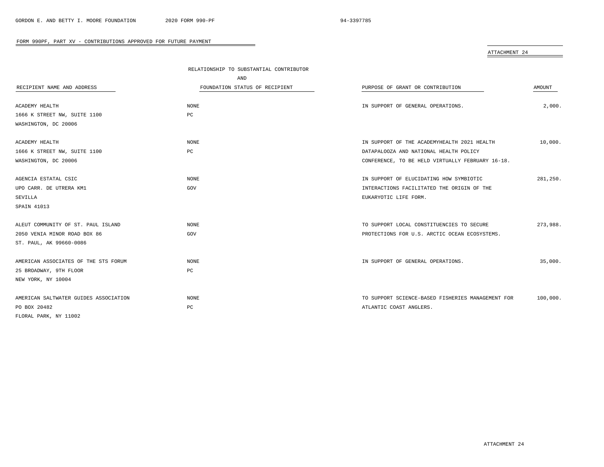| "ה א<br>TACF<br>.'I''<br>٦ |  |
|----------------------------|--|
|                            |  |

| RECIPIENT NAME AND ADDRESS            | RELATIONSHIP TO SUBSTANTIAL CONTRIBUTOR<br>AND<br>FOUNDATION STATUS OF RECIPIENT | PURPOSE OF GRANT OR CONTRIBUTION                  | AMOUNT   |
|---------------------------------------|----------------------------------------------------------------------------------|---------------------------------------------------|----------|
| ACADEMY HEALTH                        | <b>NONE</b>                                                                      | IN SUPPORT OF GENERAL OPERATIONS.                 | 2,000.   |
| 1666 K STREET NW, SUITE 1100          | PC                                                                               |                                                   |          |
| WASHINGTON, DC 20006                  |                                                                                  |                                                   |          |
|                                       |                                                                                  |                                                   |          |
| ACADEMY HEALTH                        | <b>NONE</b>                                                                      | IN SUPPORT OF THE ACADEMYHEALTH 2021 HEALTH       | 10,000.  |
| 1666 K STREET NW, SUITE 1100          | PC                                                                               | DATAPALOOZA AND NATIONAL HEALTH POLICY            |          |
| WASHINGTON, DC 20006                  |                                                                                  | CONFERENCE, TO BE HELD VIRTUALLY FEBRUARY 16-18.  |          |
|                                       |                                                                                  |                                                   |          |
| AGENCIA ESTATAL CSIC                  | <b>NONE</b>                                                                      | IN SUPPORT OF ELUCIDATING HOW SYMBIOTIC           | 281,250. |
| UPO CARR. DE UTRERA KM1               | GOV                                                                              | INTERACTIONS FACILITATED THE ORIGIN OF THE        |          |
| SEVILLA                               |                                                                                  | EUKARYOTIC LIFE FORM.                             |          |
| SPAIN 41013                           |                                                                                  |                                                   |          |
|                                       |                                                                                  |                                                   |          |
| ALEUT COMMUNITY OF ST. PAUL ISLAND    | <b>NONE</b>                                                                      | TO SUPPORT LOCAL CONSTITUENCIES TO SECURE         | 273,988. |
| 2050 VENIA MINOR ROAD BOX 86          | GOV                                                                              | PROTECTIONS FOR U.S. ARCTIC OCEAN ECOSYSTEMS.     |          |
| ST. PAUL, AK 99660-0086               |                                                                                  |                                                   |          |
|                                       |                                                                                  |                                                   |          |
| AMERICAN ASSOCIATES OF THE STS FORUM  | <b>NONE</b>                                                                      | IN SUPPORT OF GENERAL OPERATIONS.                 | 35,000.  |
| 25 BROADWAY, 9TH FLOOR                | PC                                                                               |                                                   |          |
| NEW YORK, NY 10004                    |                                                                                  |                                                   |          |
|                                       |                                                                                  |                                                   |          |
| AMERICAN SALTWATER GUIDES ASSOCIATION | NONE                                                                             | TO SUPPORT SCIENCE-BASED FISHERIES MANAGEMENT FOR | 100,000. |
| PO BOX 20482                          | PC                                                                               | ATLANTIC COAST ANGLERS.                           |          |
| FLORAL PARK, NY 11002                 |                                                                                  |                                                   |          |

 $\equiv$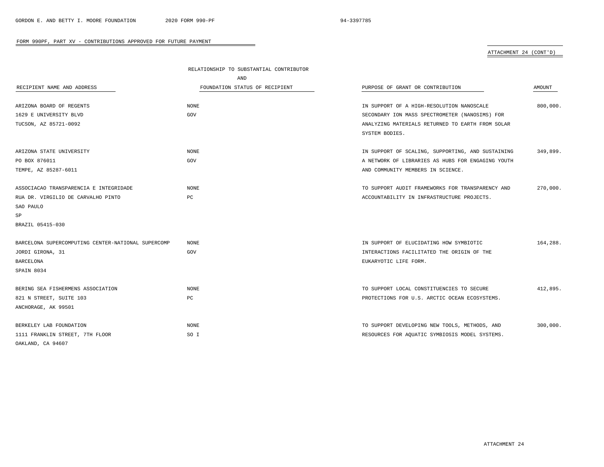|                                                    | RELATIONSHIP TO SUBSTANTIAL CONTRIBUTOR |                                                   |          |  |
|----------------------------------------------------|-----------------------------------------|---------------------------------------------------|----------|--|
|                                                    | AND                                     |                                                   |          |  |
| RECIPIENT NAME AND ADDRESS                         | FOUNDATION STATUS OF RECIPIENT          | PURPOSE OF GRANT OR CONTRIBUTION                  | AMOUNT   |  |
|                                                    |                                         |                                                   |          |  |
| ARIZONA BOARD OF REGENTS                           | NONE                                    | IN SUPPORT OF A HIGH-RESOLUTION NANOSCALE         | 800,000. |  |
| 1629 E UNIVERSITY BLVD                             | GOV                                     | SECONDARY ION MASS SPECTROMETER (NANOSIMS) FOR    |          |  |
| TUCSON, AZ 85721-0092                              |                                         | ANALYZING MATERIALS RETURNED TO EARTH FROM SOLAR  |          |  |
|                                                    |                                         | SYSTEM BODIES.                                    |          |  |
| ARIZONA STATE UNIVERSITY                           | <b>NONE</b>                             | IN SUPPORT OF SCALING, SUPPORTING, AND SUSTAINING | 349,899. |  |
| PO BOX 876011                                      | GOV                                     | A NETWORK OF LIBRARIES AS HUBS FOR ENGAGING YOUTH |          |  |
| TEMPE, AZ 85287-6011                               |                                         | AND COMMUNITY MEMBERS IN SCIENCE.                 |          |  |
| ASSOCIACAO TRANSPARENCIA E INTEGRIDADE             | <b>NONE</b>                             | TO SUPPORT AUDIT FRAMEWORKS FOR TRANSPARENCY AND  | 270,000. |  |
| RUA DR. VIRGILIO DE CARVALHO PINTO                 | PC                                      | ACCOUNTABILITY IN INFRASTRUCTURE PROJECTS.        |          |  |
| SAO PAULO                                          |                                         |                                                   |          |  |
| SP                                                 |                                         |                                                   |          |  |
| BRAZIL 05415-030                                   |                                         |                                                   |          |  |
| BARCELONA SUPERCOMPUTING CENTER-NATIONAL SUPERCOMP | <b>NONE</b>                             | IN SUPPORT OF ELUCIDATING HOW SYMBIOTIC           | 164,288. |  |
| JORDI GIRONA, 31                                   | GOV                                     | INTERACTIONS FACILITATED THE ORIGIN OF THE        |          |  |
| BARCELONA                                          |                                         | EUKARYOTIC LIFE FORM.                             |          |  |
| SPAIN 8034                                         |                                         |                                                   |          |  |
| BERING SEA FISHERMENS ASSOCIATION                  | NONE                                    | TO SUPPORT LOCAL CONSTITUENCIES TO SECURE         | 412,895. |  |
| 821 N STREET, SUITE 103                            | PC                                      | PROTECTIONS FOR U.S. ARCTIC OCEAN ECOSYSTEMS.     |          |  |
| ANCHORAGE, AK 99501                                |                                         |                                                   |          |  |
| BERKELEY LAB FOUNDATION                            | <b>NONE</b>                             | TO SUPPORT DEVELOPING NEW TOOLS, METHODS, AND     | 300,000. |  |
| 1111 FRANKLIN STREET, 7TH FLOOR                    | SO I                                    | RESOURCES FOR AQUATIC SYMBIOSIS MODEL SYSTEMS.    |          |  |
| OAKLAND, CA 94607                                  |                                         |                                                   |          |  |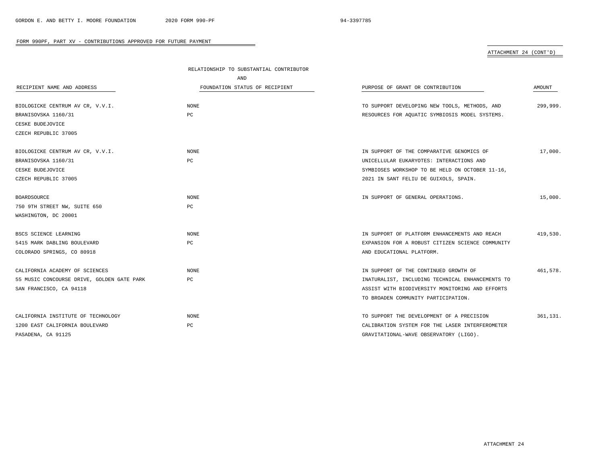|                                            | RELATIONSHIP TO SUBSTANTIAL CONTRIBUTOR |                                                  |          |
|--------------------------------------------|-----------------------------------------|--------------------------------------------------|----------|
|                                            | AND                                     |                                                  |          |
| RECIPIENT NAME AND ADDRESS                 | FOUNDATION STATUS OF RECIPIENT          | PURPOSE OF GRANT OR CONTRIBUTION                 | AMOUNT   |
| BIOLOGICKE CENTRUM AV CR, V.V.I.           | <b>NONE</b>                             | TO SUPPORT DEVELOPING NEW TOOLS, METHODS, AND    | 299,999. |
| BRANISOVSKA 1160/31                        | PC                                      | RESOURCES FOR AQUATIC SYMBIOSIS MODEL SYSTEMS.   |          |
| CESKE BUDEJOVICE                           |                                         |                                                  |          |
| CZECH REPUBLIC 37005                       |                                         |                                                  |          |
| BIOLOGICKE CENTRUM AV CR, V.V.I.           | <b>NONE</b>                             | IN SUPPORT OF THE COMPARATIVE GENOMICS OF        | 17,000.  |
| BRANISOVSKA 1160/31                        | PC                                      | UNICELLULAR EUKARYOTES: INTERACTIONS AND         |          |
| CESKE BUDEJOVICE                           |                                         | SYMBIOSES WORKSHOP TO BE HELD ON OCTOBER 11-16,  |          |
| CZECH REPUBLIC 37005                       |                                         | 2021 IN SANT FELIU DE GUIXOLS, SPAIN.            |          |
| BOARDSOURCE                                | <b>NONE</b>                             | IN SUPPORT OF GENERAL OPERATIONS.                | 15,000.  |
| 750 9TH STREET NW, SUITE 650               | PC                                      |                                                  |          |
| WASHINGTON, DC 20001                       |                                         |                                                  |          |
| BSCS SCIENCE LEARNING                      | <b>NONE</b>                             | IN SUPPORT OF PLATFORM ENHANCEMENTS AND REACH    | 419,530. |
| 5415 MARK DABLING BOULEVARD                | PC                                      | EXPANSION FOR A ROBUST CITIZEN SCIENCE COMMUNITY |          |
| COLORADO SPRINGS, CO 80918                 |                                         | AND EDUCATIONAL PLATFORM.                        |          |
| CALIFORNIA ACADEMY OF SCIENCES             | <b>NONE</b>                             | IN SUPPORT OF THE CONTINUED GROWTH OF            | 461,578. |
| 55 MUSIC CONCOURSE DRIVE, GOLDEN GATE PARK | PC                                      | INATURALIST, INCLUDING TECHNICAL ENHANCEMENTS TO |          |
| SAN FRANCISCO, CA 94118                    |                                         | ASSIST WITH BIODIVERSITY MONITORING AND EFFORTS  |          |
|                                            |                                         | TO BROADEN COMMUNITY PARTICIPATION.              |          |
| CALIFORNIA INSTITUTE OF TECHNOLOGY         | <b>NONE</b>                             | TO SUPPORT THE DEVELOPMENT OF A PRECISION        | 361.131. |
| 1200 EAST CALIFORNIA BOULEVARD             | PC                                      | CALIBRATION SYSTEM FOR THE LASER INTERFEROMETER  |          |
| PASADENA, CA 91125                         |                                         | GRAVITATIONAL-WAVE OBSERVATORY (LIGO).           |          |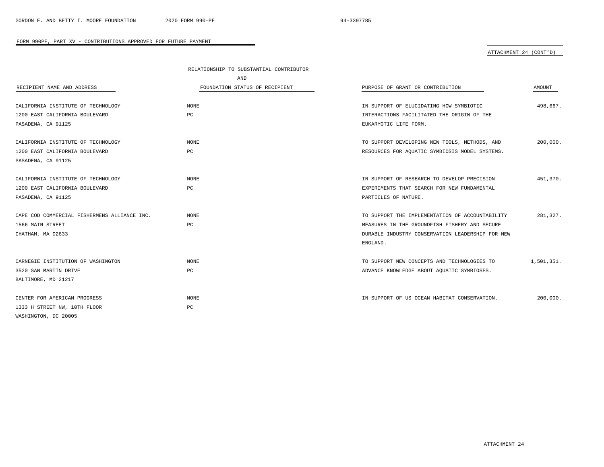|                                              | RELATIONSHIP TO SUBSTANTIAL CONTRIBUTOR |                                                  |            |
|----------------------------------------------|-----------------------------------------|--------------------------------------------------|------------|
|                                              | <b>AND</b>                              |                                                  |            |
| RECIPIENT NAME AND ADDRESS                   | FOUNDATION STATUS OF RECIPIENT          | PURPOSE OF GRANT OR CONTRIBUTION                 | AMOUNT     |
|                                              |                                         |                                                  |            |
| CALIFORNIA INSTITUTE OF TECHNOLOGY           | <b>NONE</b>                             | IN SUPPORT OF ELUCIDATING HOW SYMBIOTIC          | 498,667.   |
| 1200 EAST CALIFORNIA BOULEVARD               | $_{\rm PC}$                             | INTERACTIONS FACILITATED THE ORIGIN OF THE       |            |
| PASADENA, CA 91125                           |                                         | EUKARYOTIC LIFE FORM.                            |            |
|                                              |                                         |                                                  |            |
| CALIFORNIA INSTITUTE OF TECHNOLOGY           | NONE                                    | TO SUPPORT DEVELOPING NEW TOOLS, METHODS, AND    | 200,000.   |
| 1200 EAST CALIFORNIA BOULEVARD               | PC                                      | RESOURCES FOR AQUATIC SYMBIOSIS MODEL SYSTEMS.   |            |
| PASADENA, CA 91125                           |                                         |                                                  |            |
|                                              |                                         |                                                  |            |
| CALIFORNIA INSTITUTE OF TECHNOLOGY           | NONE                                    | IN SUPPORT OF RESEARCH TO DEVELOP PRECISION      | 451,370.   |
| 1200 EAST CALIFORNIA BOULEVARD               | PC                                      | EXPERIMENTS THAT SEARCH FOR NEW FUNDAMENTAL      |            |
| PASADENA, CA 91125                           |                                         | PARTICLES OF NATURE.                             |            |
| CAPE COD COMMERCIAL FISHERMENS ALLIANCE INC. | <b>NONE</b>                             | TO SUPPORT THE IMPLEMENTATION OF ACCOUNTABILITY  | 281,327.   |
| 1566 MAIN STREET                             | PC                                      | MEASURES IN THE GROUNDFISH FISHERY AND SECURE    |            |
| CHATHAM, MA 02633                            |                                         | DURABLE INDUSTRY CONSERVATION LEADERSHIP FOR NEW |            |
|                                              |                                         | ENGLAND.                                         |            |
|                                              |                                         |                                                  |            |
| CARNEGIE INSTITUTION OF WASHINGTON           | NONE                                    | TO SUPPORT NEW CONCEPTS AND TECHNOLOGIES TO      | 1,501,351. |
| 3520 SAN MARTIN DRIVE                        | PC                                      | ADVANCE KNOWLEDGE ABOUT AQUATIC SYMBIOSES.       |            |
| BALTIMORE, MD 21217                          |                                         |                                                  |            |
|                                              |                                         |                                                  |            |
| CENTER FOR AMERICAN PROGRESS                 | <b>NONE</b>                             | IN SUPPORT OF US OCEAN HABITAT CONSERVATION.     | 200,000.   |
| 1333 H STREET NW, 10TH FLOOR                 | $_{\rm PC}$                             |                                                  |            |
| WASHINGTON, DC 20005                         |                                         |                                                  |            |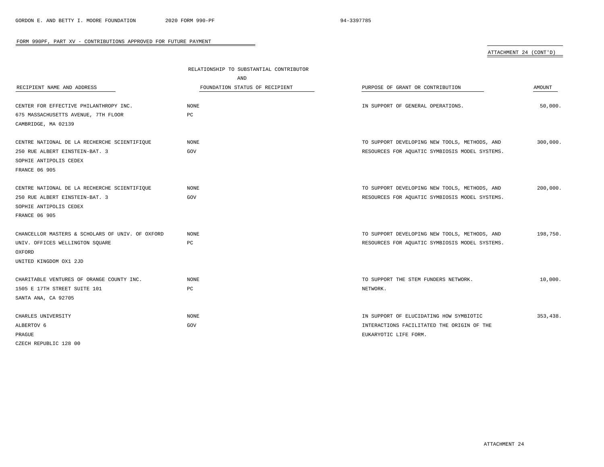|                                                  | RELATIONSHIP TO SUBSTANTIAL CONTRIBUTOR |                                                |               |
|--------------------------------------------------|-----------------------------------------|------------------------------------------------|---------------|
|                                                  | AND                                     |                                                |               |
| RECIPIENT NAME AND ADDRESS                       | FOUNDATION STATUS OF RECIPIENT          | PURPOSE OF GRANT OR CONTRIBUTION               | <b>AMOUNT</b> |
| CENTER FOR EFFECTIVE PHILANTHROPY INC.           | <b>NONE</b>                             | IN SUPPORT OF GENERAL OPERATIONS.              | 50,000.       |
| 675 MASSACHUSETTS AVENUE, 7TH FLOOR              | PC                                      |                                                |               |
| CAMBRIDGE, MA 02139                              |                                         |                                                |               |
| CENTRE NATIONAL DE LA RECHERCHE SCIENTIFIQUE     | <b>NONE</b>                             | TO SUPPORT DEVELOPING NEW TOOLS, METHODS, AND  | 300,000.      |
| 250 RUE ALBERT EINSTEIN-BAT. 3                   | GOV                                     | RESOURCES FOR AQUATIC SYMBIOSIS MODEL SYSTEMS. |               |
| SOPHIE ANTIPOLIS CEDEX                           |                                         |                                                |               |
| <b>FRANCE 06 905</b>                             |                                         |                                                |               |
| CENTRE NATIONAL DE LA RECHERCHE SCIENTIFIQUE     | <b>NONE</b>                             | TO SUPPORT DEVELOPING NEW TOOLS, METHODS, AND  | 200,000.      |
| 250 RUE ALBERT EINSTEIN-BAT. 3                   | GOV                                     | RESOURCES FOR AQUATIC SYMBIOSIS MODEL SYSTEMS. |               |
| SOPHIE ANTIPOLIS CEDEX                           |                                         |                                                |               |
| <b>FRANCE 06 905</b>                             |                                         |                                                |               |
|                                                  |                                         |                                                |               |
| CHANCELLOR MASTERS & SCHOLARS OF UNIV. OF OXFORD | <b>NONE</b>                             | TO SUPPORT DEVELOPING NEW TOOLS, METHODS, AND  | 198,750.      |
| UNIV. OFFICES WELLINGTON SQUARE                  | PC                                      | RESOURCES FOR AQUATIC SYMBIOSIS MODEL SYSTEMS. |               |
| OXFORD                                           |                                         |                                                |               |
| UNITED KINGDOM OX1 2JD                           |                                         |                                                |               |
|                                                  |                                         |                                                |               |
| CHARITABLE VENTURES OF ORANGE COUNTY INC.        | <b>NONE</b>                             | TO SUPPORT THE STEM FUNDERS NETWORK.           | 10,000.       |
| 1505 E 17TH STREET SUITE 101                     | PC                                      | NETWORK.                                       |               |
| SANTA ANA, CA 92705                              |                                         |                                                |               |
| CHARLES UNIVERSITY                               | NONE                                    | IN SUPPORT OF ELUCIDATING HOW SYMBIOTIC        | 353,438.      |
| ALBERTOV 6                                       | GOV                                     | INTERACTIONS FACILITATED THE ORIGIN OF THE     |               |
| PRAGUE                                           |                                         | EUKARYOTIC LIFE FORM.                          |               |
| CZECH REPUBLIC 128 00                            |                                         |                                                |               |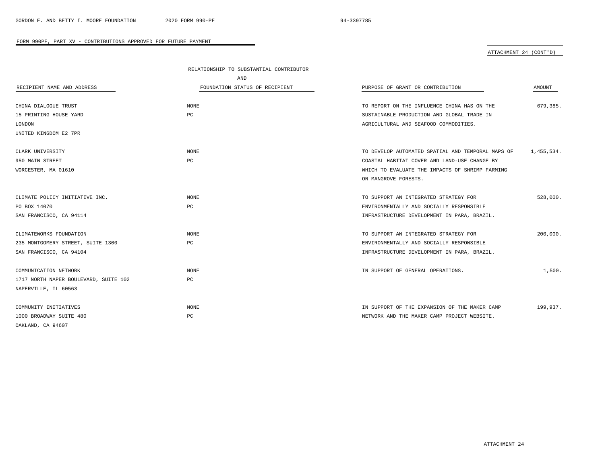|                                       | RELATIONSHIP TO SUBSTANTIAL CONTRIBUTOR |                                                   |            |
|---------------------------------------|-----------------------------------------|---------------------------------------------------|------------|
|                                       | AND                                     |                                                   |            |
| RECIPIENT NAME AND ADDRESS            | FOUNDATION STATUS OF RECIPIENT          | PURPOSE OF GRANT OR CONTRIBUTION                  | AMOUNT     |
| CHINA DIALOGUE TRUST                  | <b>NONE</b>                             | TO REPORT ON THE INFLUENCE CHINA HAS ON THE       | 679,385.   |
| 15 PRINTING HOUSE YARD                | PC                                      | SUSTAINABLE PRODUCTION AND GLOBAL TRADE IN        |            |
| LONDON                                |                                         | AGRICULTURAL AND SEAFOOD COMMODITIES.             |            |
| UNITED KINGDOM E2 7PR                 |                                         |                                                   |            |
| CLARK UNIVERSITY                      | <b>NONE</b>                             | TO DEVELOP AUTOMATED SPATIAL AND TEMPORAL MAPS OF | 1,455,534. |
| 950 MAIN STREET                       | PC                                      | COASTAL HABITAT COVER AND LAND-USE CHANGE BY      |            |
| WORCESTER, MA 01610                   |                                         | WHICH TO EVALUATE THE IMPACTS OF SHRIMP FARMING   |            |
|                                       |                                         | ON MANGROVE FORESTS.                              |            |
|                                       |                                         |                                                   |            |
| CLIMATE POLICY INITIATIVE INC.        | <b>NONE</b>                             | TO SUPPORT AN INTEGRATED STRATEGY FOR             | 528,000.   |
| PO BOX 14070                          | PC                                      | ENVIRONMENTALLY AND SOCIALLY RESPONSIBLE          |            |
| SAN FRANCISCO, CA 94114               |                                         | INFRASTRUCTURE DEVELOPMENT IN PARA, BRAZIL.       |            |
| CLIMATEWORKS FOUNDATION               | <b>NONE</b>                             | TO SUPPORT AN INTEGRATED STRATEGY FOR             | 200,000.   |
| 235 MONTGOMERY STREET, SUITE 1300     | PC                                      | ENVIRONMENTALLY AND SOCIALLY RESPONSIBLE          |            |
| SAN FRANCISCO, CA 94104               |                                         | INFRASTRUCTURE DEVELOPMENT IN PARA, BRAZIL.       |            |
|                                       |                                         |                                                   |            |
| COMMUNICATION NETWORK                 | <b>NONE</b>                             | IN SUPPORT OF GENERAL OPERATIONS.                 | 1,500.     |
| 1717 NORTH NAPER BOULEVARD, SUITE 102 | РC                                      |                                                   |            |
| NAPERVILLE, IL 60563                  |                                         |                                                   |            |
| COMMUNITY INITIATIVES                 | <b>NONE</b>                             | IN SUPPORT OF THE EXPANSION OF THE MAKER CAMP     | 199,937.   |
| 1000 BROADWAY SUITE 480               | PC                                      | NETWORK AND THE MAKER CAMP PROJECT WEBSITE.       |            |
| OAKLAND, CA 94607                     |                                         |                                                   |            |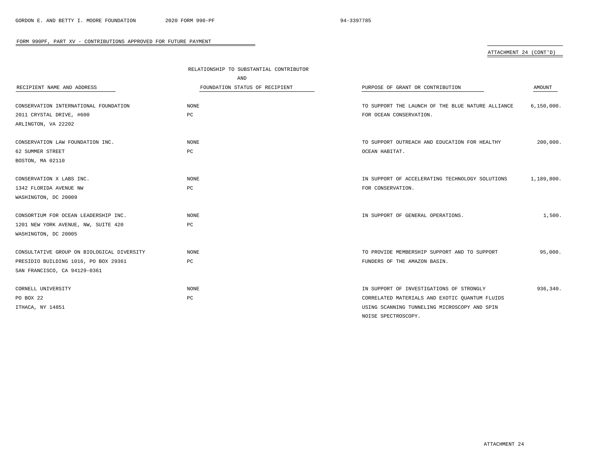|                                            | RELATIONSHIP TO SUBSTANTIAL CONTRIBUTOR |                                                   |              |
|--------------------------------------------|-----------------------------------------|---------------------------------------------------|--------------|
|                                            | AND                                     |                                                   |              |
| RECIPIENT NAME AND ADDRESS                 | FOUNDATION STATUS OF RECIPIENT          | PURPOSE OF GRANT OR CONTRIBUTION                  | AMOUNT       |
|                                            |                                         |                                                   |              |
| CONSERVATION INTERNATIONAL FOUNDATION      | <b>NONE</b>                             | TO SUPPORT THE LAUNCH OF THE BLUE NATURE ALLIANCE | 6, 150, 000. |
| 2011 CRYSTAL DRIVE, #600                   | PC                                      | FOR OCEAN CONSERVATION.                           |              |
| ARLINGTON, VA 22202                        |                                         |                                                   |              |
|                                            |                                         |                                                   |              |
| CONSERVATION LAW FOUNDATION INC.           | NONE                                    | TO SUPPORT OUTREACH AND EDUCATION FOR HEALTHY     | 200,000.     |
| 62 SUMMER STREET                           | PC                                      | OCEAN HABITAT.                                    |              |
| BOSTON, MA 02110                           |                                         |                                                   |              |
|                                            |                                         |                                                   |              |
| CONSERVATION X LABS INC.                   | NONE                                    | IN SUPPORT OF ACCELERATING TECHNOLOGY SOLUTIONS   | 1,189,800.   |
| 1342 FLORIDA AVENUE NW                     | PC                                      | FOR CONSERVATION.                                 |              |
| WASHINGTON, DC 20009                       |                                         |                                                   |              |
|                                            |                                         |                                                   |              |
| CONSORTIUM FOR OCEAN LEADERSHIP INC.       | <b>NONE</b>                             | IN SUPPORT OF GENERAL OPERATIONS.                 | 1,500.       |
| 1201 NEW YORK AVENUE, NW, SUITE 420        | PC                                      |                                                   |              |
| WASHINGTON, DC 20005                       |                                         |                                                   |              |
|                                            |                                         |                                                   |              |
| CONSULTATIVE GROUP ON BIOLOGICAL DIVERSITY | NONE                                    | TO PROVIDE MEMBERSHIP SUPPORT AND TO SUPPORT      | 95,000.      |
| PRESIDIO BUILDING 1016, PO BOX 29361       | PC                                      | FUNDERS OF THE AMAZON BASIN.                      |              |
| SAN FRANCISCO, CA 94129-0361               |                                         |                                                   |              |
|                                            |                                         |                                                   |              |
| CORNELL UNIVERSITY                         | <b>NONE</b>                             | IN SUPPORT OF INVESTIGATIONS OF STRONGLY          | 936,340.     |
| PO BOX 22                                  | PC                                      | CORRELATED MATERIALS AND EXOTIC QUANTUM FLUIDS    |              |
| ITHACA, NY 14851                           |                                         | USING SCANNING TUNNELING MICROSCOPY AND SPIN      |              |
|                                            |                                         | NOISE SPECTROSCOPY.                               |              |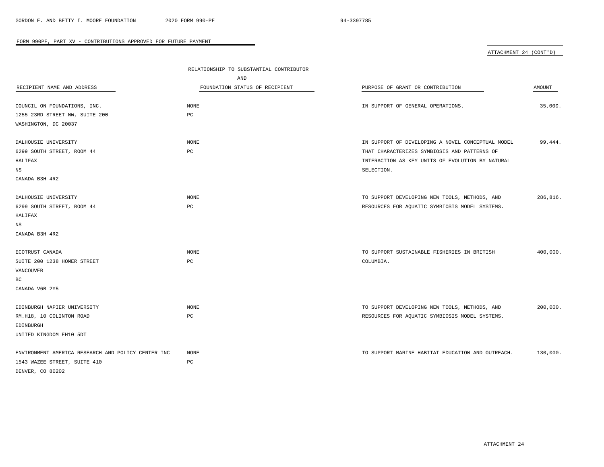|                                                    | RELATIONSHIP TO SUBSTANTIAL CONTRIBUTOR |                                                   |          |
|----------------------------------------------------|-----------------------------------------|---------------------------------------------------|----------|
|                                                    | AND                                     |                                                   |          |
| RECIPIENT NAME AND ADDRESS                         | FOUNDATION STATUS OF RECIPIENT          | PURPOSE OF GRANT OR CONTRIBUTION                  | AMOUNT   |
|                                                    |                                         |                                                   |          |
| COUNCIL ON FOUNDATIONS, INC.                       | <b>NONE</b>                             | IN SUPPORT OF GENERAL OPERATIONS.                 | 35,000.  |
| 1255 23RD STREET NW, SUITE 200                     | $_{\rm PC}$                             |                                                   |          |
| WASHINGTON, DC 20037                               |                                         |                                                   |          |
| DALHOUSIE UNIVERSITY                               | NONE                                    | IN SUPPORT OF DEVELOPING A NOVEL CONCEPTUAL MODEL | 99,444.  |
| 6299 SOUTH STREET, ROOM 44                         | PC                                      | THAT CHARACTERIZES SYMBIOSIS AND PATTERNS OF      |          |
| HALIFAX                                            |                                         | INTERACTION AS KEY UNITS OF EVOLUTION BY NATURAL  |          |
| $_{\rm NS}$                                        |                                         | SELECTION.                                        |          |
| CANADA B3H 4R2                                     |                                         |                                                   |          |
|                                                    |                                         |                                                   |          |
| DALHOUSIE UNIVERSITY                               | <b>NONE</b>                             | TO SUPPORT DEVELOPING NEW TOOLS, METHODS, AND     | 286,816. |
| 6299 SOUTH STREET, ROOM 44                         | PC                                      | RESOURCES FOR AQUATIC SYMBIOSIS MODEL SYSTEMS.    |          |
| HALIFAX                                            |                                         |                                                   |          |
| $_{\rm NS}$                                        |                                         |                                                   |          |
| CANADA B3H 4R2                                     |                                         |                                                   |          |
|                                                    |                                         |                                                   |          |
| ECOTRUST CANADA                                    | $\rm{NONE}$                             | TO SUPPORT SUSTAINABLE FISHERIES IN BRITISH       | 400,000. |
| SUITE 200 1238 HOMER STREET                        | PC                                      | COLUMBIA.                                         |          |
| VANCOUVER                                          |                                         |                                                   |          |
| BC                                                 |                                         |                                                   |          |
| CANADA V6B 2Y5                                     |                                         |                                                   |          |
| EDINBURGH NAPIER UNIVERSITY                        | <b>NONE</b>                             | TO SUPPORT DEVELOPING NEW TOOLS, METHODS, AND     | 200,000. |
|                                                    |                                         |                                                   |          |
| RM.H18, 10 COLINTON ROAD                           | PC                                      | RESOURCES FOR AQUATIC SYMBIOSIS MODEL SYSTEMS.    |          |
| EDINBURGH                                          |                                         |                                                   |          |
| UNITED KINGDOM EH10 5DT                            |                                         |                                                   |          |
| ENVIRONMENT AMERICA RESEARCH AND POLICY CENTER INC | <b>NONE</b>                             | TO SUPPORT MARINE HABITAT EDUCATION AND OUTREACH. | 130,000. |
| 1543 WAZEE STREET, SUITE 410                       | PC                                      |                                                   |          |
| DENVER, CO 80202                                   |                                         |                                                   |          |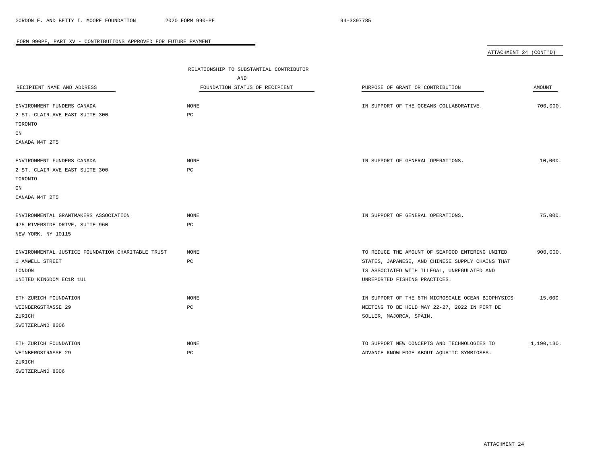|                                                   |                                         |                                                   | ATTACHMENT 24 (CONT'D) |
|---------------------------------------------------|-----------------------------------------|---------------------------------------------------|------------------------|
|                                                   |                                         |                                                   |                        |
|                                                   | RELATIONSHIP TO SUBSTANTIAL CONTRIBUTOR |                                                   |                        |
|                                                   | AND                                     |                                                   |                        |
| RECIPIENT NAME AND ADDRESS                        | FOUNDATION STATUS OF RECIPIENT          | PURPOSE OF GRANT OR CONTRIBUTION                  | <b>AMOUNT</b>          |
| ENVIRONMENT FUNDERS CANADA                        | NONE                                    | IN SUPPORT OF THE OCEANS COLLABORATIVE.           | 700,000.               |
| 2 ST. CLAIR AVE EAST SUITE 300                    | PC                                      |                                                   |                        |
| TORONTO                                           |                                         |                                                   |                        |
| ON                                                |                                         |                                                   |                        |
| CANADA M4T 2T5                                    |                                         |                                                   |                        |
|                                                   |                                         |                                                   |                        |
| ENVIRONMENT FUNDERS CANADA                        | NONE                                    | IN SUPPORT OF GENERAL OPERATIONS.                 | 10,000.                |
| 2 ST. CLAIR AVE EAST SUITE 300                    | PC                                      |                                                   |                        |
| TORONTO                                           |                                         |                                                   |                        |
| ON                                                |                                         |                                                   |                        |
| CANADA M4T 2T5                                    |                                         |                                                   |                        |
|                                                   |                                         |                                                   |                        |
| ENVIRONMENTAL GRANTMAKERS ASSOCIATION             | NONE                                    | IN SUPPORT OF GENERAL OPERATIONS.                 | 75,000.                |
| 475 RIVERSIDE DRIVE, SUITE 960                    | PC                                      |                                                   |                        |
| NEW YORK, NY 10115                                |                                         |                                                   |                        |
|                                                   |                                         |                                                   |                        |
| ENVIRONMENTAL JUSTICE FOUNDATION CHARITABLE TRUST | NONE                                    | TO REDUCE THE AMOUNT OF SEAFOOD ENTERING UNITED   | 900,000.               |
| 1 AMWELL STREET                                   | $_{\rm PC}$                             | STATES, JAPANESE, AND CHINESE SUPPLY CHAINS THAT  |                        |
| LONDON                                            |                                         | IS ASSOCIATED WITH ILLEGAL, UNREGULATED AND       |                        |
| UNITED KINGDOM EC1R 1UL                           |                                         | UNREPORTED FISHING PRACTICES.                     |                        |
| ETH ZURICH FOUNDATION                             | NONE                                    | IN SUPPORT OF THE 6TH MICROSCALE OCEAN BIOPHYSICS | 15,000.                |
| WEINBERGSTRASSE 29                                | PC                                      | MEETING TO BE HELD MAY 22-27, 2022 IN PORT DE     |                        |
| ZURICH                                            |                                         | SOLLER, MAJORCA, SPAIN.                           |                        |
| SWITZERLAND 8006                                  |                                         |                                                   |                        |
|                                                   |                                         |                                                   |                        |
| ETH ZURICH FOUNDATION                             | NONE                                    | TO SUPPORT NEW CONCEPTS AND TECHNOLOGIES TO       | 1,190,130.             |
| WEINBERGSTRASSE 29                                | $_{\rm PC}$                             | ADVANCE KNOWLEDGE ABOUT AQUATIC SYMBIOSES.        |                        |
| ZURICH                                            |                                         |                                                   |                        |
| SWITZERLAND 8006                                  |                                         |                                                   |                        |

 $\equiv$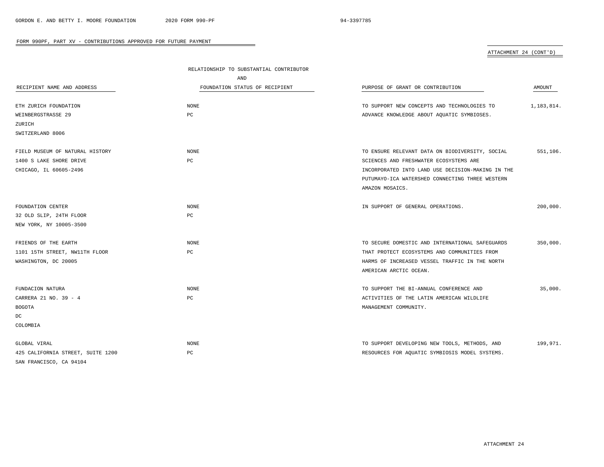|                                   | RELATIONSHIP TO SUBSTANTIAL CONTRIBUTOR |                                                   |            |
|-----------------------------------|-----------------------------------------|---------------------------------------------------|------------|
|                                   | AND                                     |                                                   |            |
| RECIPIENT NAME AND ADDRESS        | FOUNDATION STATUS OF RECIPIENT          | PURPOSE OF GRANT OR CONTRIBUTION                  | AMOUNT     |
|                                   |                                         |                                                   |            |
| ETH ZURICH FOUNDATION             | <b>NONE</b>                             | TO SUPPORT NEW CONCEPTS AND TECHNOLOGIES TO       | 1,183,814. |
| WEINBERGSTRASSE 29                | PC                                      | ADVANCE KNOWLEDGE ABOUT AQUATIC SYMBIOSES.        |            |
| ZURICH                            |                                         |                                                   |            |
| SWITZERLAND 8006                  |                                         |                                                   |            |
| FIELD MUSEUM OF NATURAL HISTORY   | NONE                                    | TO ENSURE RELEVANT DATA ON BIODIVERSITY, SOCIAL   | 551,106.   |
| 1400 S LAKE SHORE DRIVE           | PC                                      | SCIENCES AND FRESHWATER ECOSYSTEMS ARE            |            |
| CHICAGO, IL 60605-2496            |                                         | INCORPORATED INTO LAND USE DECISION-MAKING IN THE |            |
|                                   |                                         | PUTUMAYO-ICA WATERSHED CONNECTING THREE WESTERN   |            |
|                                   |                                         | AMAZON MOSAICS.                                   |            |
|                                   |                                         |                                                   |            |
| FOUNDATION CENTER                 | <b>NONE</b>                             | IN SUPPORT OF GENERAL OPERATIONS.                 | 200,000.   |
| 32 OLD SLIP, 24TH FLOOR           | PC                                      |                                                   |            |
| NEW YORK, NY 10005-3500           |                                         |                                                   |            |
|                                   |                                         |                                                   |            |
| FRIENDS OF THE EARTH              | NONE                                    | TO SECURE DOMESTIC AND INTERNATIONAL SAFEGUARDS   | 350,000.   |
| 1101 15TH STREET, NW11TH FLOOR    | PC                                      | THAT PROTECT ECOSYSTEMS AND COMMUNITIES FROM      |            |
| WASHINGTON, DC 20005              |                                         | HARMS OF INCREASED VESSEL TRAFFIC IN THE NORTH    |            |
|                                   |                                         | AMERICAN ARCTIC OCEAN.                            |            |
| FUNDACION NATURA                  | NONE                                    | TO SUPPORT THE BI-ANNUAL CONFERENCE AND           | 35,000.    |
| CARRERA 21 NO. 39 - 4             | $_{\rm PC}$                             | ACTIVITIES OF THE LATIN AMERICAN WILDLIFE         |            |
|                                   |                                         |                                                   |            |
| <b>BOGOTA</b>                     |                                         | MANAGEMENT COMMUNITY.                             |            |
| DC                                |                                         |                                                   |            |
| COLOMBIA                          |                                         |                                                   |            |
| GLOBAL VIRAL                      | NONE                                    | TO SUPPORT DEVELOPING NEW TOOLS, METHODS, AND     | 199,971.   |
| 425 CALIFORNIA STREET, SUITE 1200 | $_{\rm PC}$                             | RESOURCES FOR AQUATIC SYMBIOSIS MODEL SYSTEMS.    |            |
| SAN FRANCISCO, CA 94104           |                                         |                                                   |            |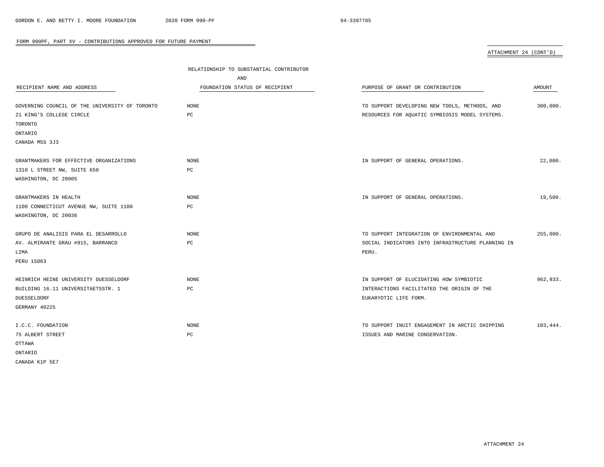| ATTACHMENT 24 (CONT'D) |  |
|------------------------|--|
|                        |  |

|                                                | RELATIONSHIP TO SUBSTANTIAL CONTRIBUTOR |                                                   |          |
|------------------------------------------------|-----------------------------------------|---------------------------------------------------|----------|
|                                                | AND                                     |                                                   |          |
| RECIPIENT NAME AND ADDRESS                     | FOUNDATION STATUS OF RECIPIENT          | PURPOSE OF GRANT OR CONTRIBUTION                  | AMOUNT   |
|                                                |                                         |                                                   |          |
| GOVERNING COUNCIL OF THE UNIVERSITY OF TORONTO | NONE                                    | TO SUPPORT DEVELOPING NEW TOOLS, METHODS, AND     | 300,000. |
| 21 KING'S COLLEGE CIRCLE                       | $_{\rm PC}$                             | RESOURCES FOR AQUATIC SYMBIOSIS MODEL SYSTEMS.    |          |
| TORONTO                                        |                                         |                                                   |          |
| ONTARIO                                        |                                         |                                                   |          |
| CANADA M5S 3J3                                 |                                         |                                                   |          |
| GRANTMAKERS FOR EFFECTIVE ORGANIZATIONS        | NONE                                    | IN SUPPORT OF GENERAL OPERATIONS.                 | 22,000.  |
| 1310 L STREET NW, SUITE 650                    | $_{\rm PC}$                             |                                                   |          |
| WASHINGTON, DC 20005                           |                                         |                                                   |          |
|                                                |                                         |                                                   |          |
| GRANTMAKERS IN HEALTH                          | $\rm{NONE}$                             | IN SUPPORT OF GENERAL OPERATIONS.                 | 19,500.  |
| 1100 CONNECTICUT AVENUE NW, SUITE 1100         | PC                                      |                                                   |          |
| WASHINGTON, DC 20036                           |                                         |                                                   |          |
| GRUPO DE ANALISIS PARA EL DESARROLLO           | NONE                                    | TO SUPPORT INTEGRATION OF ENVIRONMENTAL AND       | 255,000. |
| AV. ALMIRANTE GRAU #915, BARRANCO              | $_{\rm PC}$                             | SOCIAL INDICATORS INTO INFRASTRUCTURE PLANNING IN |          |
| LIMA                                           |                                         | PERU.                                             |          |
| PERU 15063                                     |                                         |                                                   |          |
| HEINRICH HEINE UNIVERSITY DUESSELDORF          | NONE                                    | IN SUPPORT OF ELUCIDATING HOW SYMBIOTIC           | 962,933. |
| BUILDING 16.11 UNIVERSITAETSSTR. 1             | PC                                      | INTERACTIONS FACILITATED THE ORIGIN OF THE        |          |
| DUESSELDORF                                    |                                         | EUKARYOTIC LIFE FORM.                             |          |
| GERMANY 40225                                  |                                         |                                                   |          |
|                                                |                                         |                                                   |          |
| I.C.C. FOUNDATION                              | NONE                                    | TO SUPPORT INUIT ENGAGEMENT IN ARCTIC SHIPPING    | 103,444. |
| 75 ALBERT STREET                               | $_{\rm PC}$                             | ISSUES AND MARINE CONSERVATION.                   |          |
| OTTAWA                                         |                                         |                                                   |          |
| ONTARIO                                        |                                         |                                                   |          |
| CANADA K1P 5E7                                 |                                         |                                                   |          |

 $\equiv$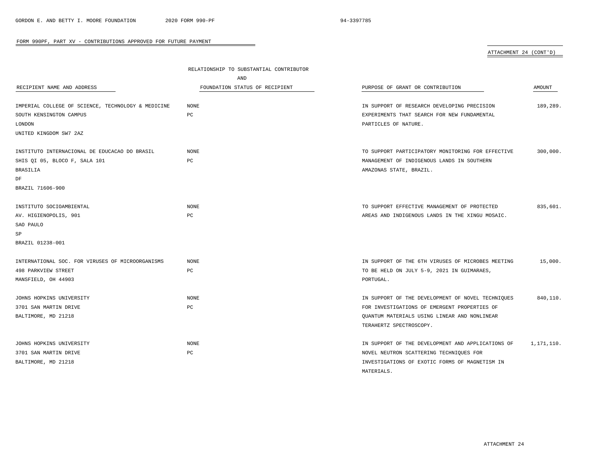|                                                    | RELATIONSHIP TO SUBSTANTIAL CONTRIBUTOR |                                                   |               |
|----------------------------------------------------|-----------------------------------------|---------------------------------------------------|---------------|
|                                                    | AND                                     |                                                   |               |
| RECIPIENT NAME AND ADDRESS                         | FOUNDATION STATUS OF RECIPIENT          | PURPOSE OF GRANT OR CONTRIBUTION                  | <b>AMOUNT</b> |
| IMPERIAL COLLEGE OF SCIENCE, TECHNOLOGY & MEDICINE | <b>NONE</b>                             | IN SUPPORT OF RESEARCH DEVELOPING PRECISION       | 189,289.      |
| SOUTH KENSINGTON CAMPUS                            | PC                                      | EXPERIMENTS THAT SEARCH FOR NEW FUNDAMENTAL       |               |
| LONDON                                             |                                         | PARTICLES OF NATURE.                              |               |
| UNITED KINGDOM SW7 2AZ                             |                                         |                                                   |               |
| INSTITUTO INTERNACIONAL DE EDUCACAO DO BRASIL      | <b>NONE</b>                             | TO SUPPORT PARTICIPATORY MONITORING FOR EFFECTIVE | 300,000.      |
| SHIS QI 05, BLOCO F, SALA 101                      | PC                                      | MANAGEMENT OF INDIGENOUS LANDS IN SOUTHERN        |               |
| BRASILIA                                           |                                         | AMAZONAS STATE, BRAZIL.                           |               |
| DF                                                 |                                         |                                                   |               |
| BRAZIL 71606-900                                   |                                         |                                                   |               |
| INSTITUTO SOCIOAMBIENTAL                           | <b>NONE</b>                             | TO SUPPORT EFFECTIVE MANAGEMENT OF PROTECTED      | 835,601.      |
| AV. HIGIENOPOLIS, 901                              | PC                                      | AREAS AND INDIGENOUS LANDS IN THE XINGU MOSAIC.   |               |
| SAO PAULO                                          |                                         |                                                   |               |
| SP                                                 |                                         |                                                   |               |
| BRAZIL 01238-001                                   |                                         |                                                   |               |
| INTERNATIONAL SOC. FOR VIRUSES OF MICROORGANISMS   | <b>NONE</b>                             | IN SUPPORT OF THE 6TH VIRUSES OF MICROBES MEETING | 15,000.       |
| 498 PARKVIEW STREET                                | $_{\rm PC}$                             | TO BE HELD ON JULY 5-9, 2021 IN GUIMARAES,        |               |
| MANSFIELD, OH 44903                                |                                         | PORTUGAL.                                         |               |
| JOHNS HOPKINS UNIVERSITY                           | <b>NONE</b>                             | IN SUPPORT OF THE DEVELOPMENT OF NOVEL TECHNIQUES | 840,110.      |
| 3701 SAN MARTIN DRIVE                              | PC                                      | FOR INVESTIGATIONS OF EMERGENT PROPERTIES OF      |               |
| BALTIMORE, MD 21218                                |                                         | QUANTUM MATERIALS USING LINEAR AND NONLINEAR      |               |
|                                                    |                                         | TERAHERTZ SPECTROSCOPY.                           |               |
| JOHNS HOPKINS UNIVERSITY                           | <b>NONE</b>                             | IN SUPPORT OF THE DEVELOPMENT AND APPLICATIONS OF | 1,171,110.    |
| 3701 SAN MARTIN DRIVE                              | $_{\rm PC}$                             | NOVEL NEUTRON SCATTERING TECHNIQUES FOR           |               |
| BALTIMORE, MD 21218                                |                                         | INVESTIGATIONS OF EXOTIC FORMS OF MAGNETISM IN    |               |
|                                                    |                                         | MATERIALS.                                        |               |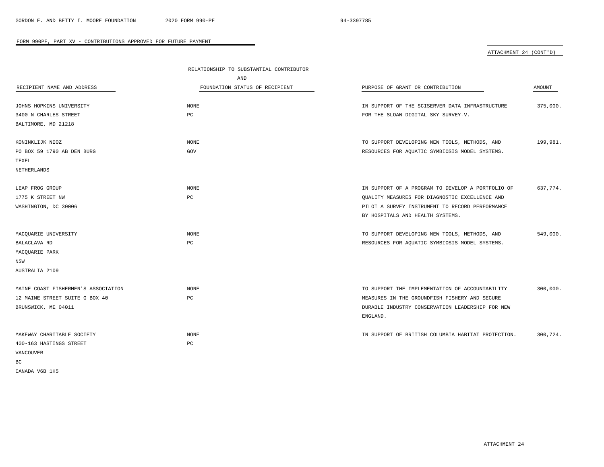|                                     | RELATIONSHIP TO SUBSTANTIAL CONTRIBUTOR |                                                    |          |
|-------------------------------------|-----------------------------------------|----------------------------------------------------|----------|
|                                     | AND                                     |                                                    |          |
| RECIPIENT NAME AND ADDRESS          | FOUNDATION STATUS OF RECIPIENT          | PURPOSE OF GRANT OR CONTRIBUTION                   | AMOUNT   |
|                                     |                                         |                                                    |          |
| JOHNS HOPKINS UNIVERSITY            | <b>NONE</b>                             | IN SUPPORT OF THE SCISERVER DATA INFRASTRUCTURE    | 375,000. |
| 3400 N CHARLES STREET               | PC                                      | FOR THE SLOAN DIGITAL SKY SURVEY-V.                |          |
| BALTIMORE, MD 21218                 |                                         |                                                    |          |
| KONINKLIJK NIOZ                     | <b>NONE</b>                             | TO SUPPORT DEVELOPING NEW TOOLS, METHODS, AND      | 199,981. |
| PO BOX 59 1790 AB DEN BURG          | GOV                                     | RESOURCES FOR AQUATIC SYMBIOSIS MODEL SYSTEMS.     |          |
| TEXEL                               |                                         |                                                    |          |
| NETHERLANDS                         |                                         |                                                    |          |
|                                     |                                         |                                                    |          |
| LEAP FROG GROUP                     | <b>NONE</b>                             | IN SUPPORT OF A PROGRAM TO DEVELOP A PORTFOLIO OF  | 637,774. |
| 1775 K STREET NW                    | $_{\rm PC}$                             | QUALITY MEASURES FOR DIAGNOSTIC EXCELLENCE AND     |          |
| WASHINGTON, DC 30006                |                                         | PILOT A SURVEY INSTRUMENT TO RECORD PERFORMANCE    |          |
|                                     |                                         | BY HOSPITALS AND HEALTH SYSTEMS.                   |          |
|                                     |                                         |                                                    |          |
| MACQUARIE UNIVERSITY                | <b>NONE</b>                             | TO SUPPORT DEVELOPING NEW TOOLS, METHODS, AND      | 549,000. |
| BALACLAVA RD                        | $_{\rm PC}$                             | RESOURCES FOR AQUATIC SYMBIOSIS MODEL SYSTEMS.     |          |
| MACQUARIE PARK                      |                                         |                                                    |          |
| NSW                                 |                                         |                                                    |          |
| AUSTRALIA 2109                      |                                         |                                                    |          |
|                                     |                                         |                                                    |          |
| MAINE COAST FISHERMEN'S ASSOCIATION | <b>NONE</b>                             | TO SUPPORT THE IMPLEMENTATION OF ACCOUNTABILITY    | 300,000. |
| 12 MAINE STREET SUITE G BOX 40      | PC                                      | MEASURES IN THE GROUNDFISH FISHERY AND SECURE      |          |
| BRUNSWICK, ME 04011                 |                                         | DURABLE INDUSTRY CONSERVATION LEADERSHIP FOR NEW   |          |
|                                     |                                         | ENGLAND.                                           |          |
| MAKEWAY CHARITABLE SOCIETY          | <b>NONE</b>                             | IN SUPPORT OF BRITISH COLUMBIA HABITAT PROTECTION. | 300.724. |
| 400-163 HASTINGS STREET             | $_{\rm PC}$                             |                                                    |          |
| <b>VANCOUVER</b>                    |                                         |                                                    |          |
| BC                                  |                                         |                                                    |          |
| CANADA V6B 1H5                      |                                         |                                                    |          |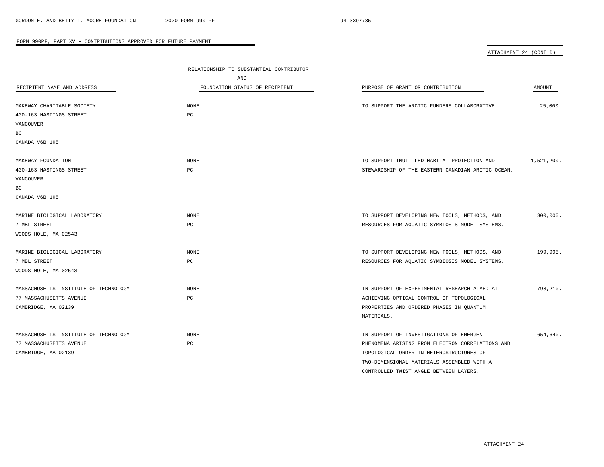| RECIPIENT NAME AND ADDRESS            | RELATIONSHIP TO SUBSTANTIAL CONTRIBUTOR<br>AND<br>FOUNDATION STATUS OF RECIPIENT | PURPOSE OF GRANT OR CONTRIBUTION                  | AMOUNT     |
|---------------------------------------|----------------------------------------------------------------------------------|---------------------------------------------------|------------|
| MAKEWAY CHARITABLE SOCIETY            | <b>NONE</b>                                                                      | TO SUPPORT THE ARCTIC FUNDERS COLLABORATIVE.      | 25,000.    |
| 400-163 HASTINGS STREET               | $_{\rm PC}$                                                                      |                                                   |            |
| VANCOUVER                             |                                                                                  |                                                   |            |
| BC                                    |                                                                                  |                                                   |            |
| CANADA V6B 1H5                        |                                                                                  |                                                   |            |
| MAKEWAY FOUNDATION                    | <b>NONE</b>                                                                      | TO SUPPORT INUIT-LED HABITAT PROTECTION AND       | 1,521,200. |
| 400-163 HASTINGS STREET               | PC                                                                               | STEWARDSHIP OF THE EASTERN CANADIAN ARCTIC OCEAN. |            |
| VANCOUVER                             |                                                                                  |                                                   |            |
| ВC                                    |                                                                                  |                                                   |            |
| CANADA V6B 1H5                        |                                                                                  |                                                   |            |
| MARINE BIOLOGICAL LABORATORY          | <b>NONE</b>                                                                      | TO SUPPORT DEVELOPING NEW TOOLS, METHODS, AND     | 300,000.   |
| 7 MBL STREET                          | PC                                                                               | RESOURCES FOR AQUATIC SYMBIOSIS MODEL SYSTEMS.    |            |
| WOODS HOLE, MA 02543                  |                                                                                  |                                                   |            |
| MARINE BIOLOGICAL LABORATORY          | <b>NONE</b>                                                                      | TO SUPPORT DEVELOPING NEW TOOLS, METHODS, AND     | 199,995.   |
| 7 MBL STREET                          | PC                                                                               | RESOURCES FOR AQUATIC SYMBIOSIS MODEL SYSTEMS.    |            |
| WOODS HOLE, MA 02543                  |                                                                                  |                                                   |            |
| MASSACHUSETTS INSTITUTE OF TECHNOLOGY | <b>NONE</b>                                                                      | IN SUPPORT OF EXPERIMENTAL RESEARCH AIMED AT      | 798,210.   |
| 77 MASSACHUSETTS AVENUE               | PC                                                                               | ACHIEVING OPTICAL CONTROL OF TOPOLOGICAL          |            |
| CAMBRIDGE, MA 02139                   |                                                                                  | PROPERTIES AND ORDERED PHASES IN QUANTUM          |            |
|                                       |                                                                                  | MATERIALS.                                        |            |
| MASSACHUSETTS INSTITUTE OF TECHNOLOGY | <b>NONE</b>                                                                      | IN SUPPORT OF INVESTIGATIONS OF EMERGENT          | 654,640.   |
| 77 MASSACHUSETTS AVENUE               | PC                                                                               | PHENOMENA ARISING FROM ELECTRON CORRELATIONS AND  |            |
| CAMBRIDGE, MA 02139                   |                                                                                  | TOPOLOGICAL ORDER IN HETEROSTRUCTURES OF          |            |
|                                       |                                                                                  | TWO-DIMENSIONAL MATERIALS ASSEMBLED WITH A        |            |
|                                       |                                                                                  | CONTROLLED TWIST ANGLE BETWEEN LAYERS.            |            |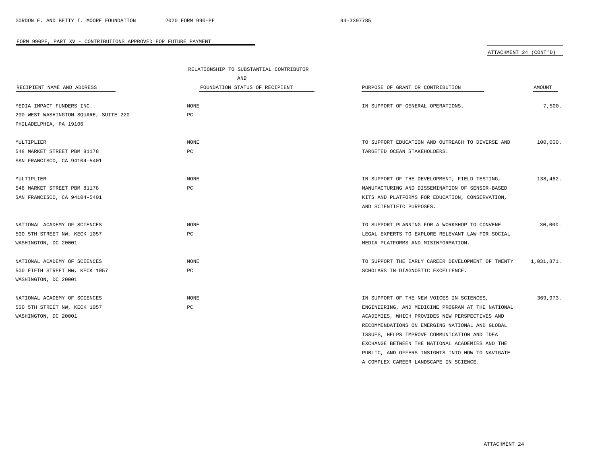## ATTACHMENT 24 (CONT'D)

|                                       | RELATIONSHIP TO SUBSTANTIAL CONTRIBUTOR |                                                   |            |
|---------------------------------------|-----------------------------------------|---------------------------------------------------|------------|
|                                       | AND                                     |                                                   |            |
| RECIPIENT NAME AND ADDRESS            | FOUNDATION STATUS OF RECIPIENT          | PURPOSE OF GRANT OR CONTRIBUTION                  | AMOUNT     |
| MEDIA IMPACT FUNDERS INC.             | NONE                                    | IN SUPPORT OF GENERAL OPERATIONS.                 | 7,500.     |
| 200 WEST WASHINGTON SQUARE, SUITE 220 | PC                                      |                                                   |            |
| PHILADELPHIA, PA 19106                |                                         |                                                   |            |
|                                       |                                         |                                                   |            |
| MULTIPLIER                            | NONE                                    | TO SUPPORT EDUCATION AND OUTREACH TO DIVERSE AND  | 100,000.   |
| 548 MARKET STREET PBM 81178           | PC                                      | TARGETED OCEAN STAKEHOLDERS.                      |            |
| SAN FRANCISCO, CA 94104-5401          |                                         |                                                   |            |
| MULTIPLIER                            | <b>NONE</b>                             | IN SUPPORT OF THE DEVELOPMENT, FIELD TESTING,     | 138,462.   |
| 548 MARKET STREET PBM 81178           | PC                                      | MANUFACTURING AND DISSEMINATION OF SENSOR-BASED   |            |
| SAN FRANCISCO, CA 94104-5401          |                                         | KITS AND PLATFORMS FOR EDUCATION, CONSERVATION,   |            |
|                                       |                                         | AND SCIENTIFIC PURPOSES.                          |            |
| NATIONAL ACADEMY OF SCIENCES          | <b>NONE</b>                             | TO SUPPORT PLANNING FOR A WORKSHOP TO CONVENE     | 30,000.    |
| 500 5TH STREET NW, KECK 1057          | PC                                      | LEGAL EXPERTS TO EXPLORE RELEVANT LAW FOR SOCIAL  |            |
| WASHINGTON, DC 20001                  |                                         | MEDIA PLATFORMS AND MISINFORMATION.               |            |
|                                       |                                         |                                                   |            |
| NATIONAL ACADEMY OF SCIENCES          | <b>NONE</b>                             | TO SUPPORT THE EARLY CAREER DEVELOPMENT OF TWENTY | 1,031,871. |
| 500 FIFTH STREET NW, KECK 1057        | PC                                      | SCHOLARS IN DIAGNOSTIC EXCELLENCE.                |            |
| WASHINGTON, DC 20001                  |                                         |                                                   |            |
| NATIONAL ACADEMY OF SCIENCES          | NONE                                    | IN SUPPORT OF THE NEW VOICES IN SCIENCES,         | 369,973.   |
| 500 5TH STREET NW, KECK 1057          | PC                                      | ENGINEERING, AND MEDICINE PROGRAM AT THE NATIONAL |            |
| WASHINGTON, DC 20001                  |                                         | ACADEMIES, WHICH PROVIDES NEW PERSPECTIVES AND    |            |
|                                       |                                         | RECOMMENDATIONS ON EMERGING NATIONAL AND GLOBAL   |            |
|                                       |                                         | ISSUES, HELPS IMPROVE COMMUNICATION AND IDEA      |            |
|                                       |                                         | EXCHANGE BETWEEN THE NATIONAL ACADEMIES AND THE   |            |
|                                       |                                         | PUBLIC, AND OFFERS INSIGHTS INTO HOW TO NAVIGATE  |            |

A COMPLEX CAREER LANDSCAPE IN SCIENCE.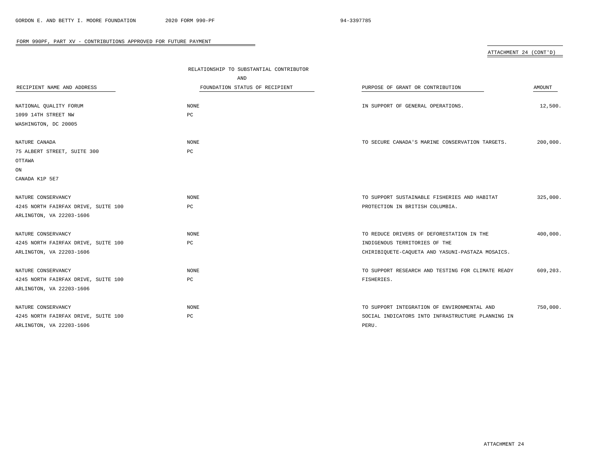| ATTACHMENT 24 (CONT'D) |  |
|------------------------|--|
|                        |  |

| RECIPIENT NAME AND ADDRESS          | RELATIONSHIP TO SUBSTANTIAL CONTRIBUTOR<br>AND<br>FOUNDATION STATUS OF RECIPIENT | PURPOSE OF GRANT OR CONTRIBUTION                  | AMOUNT   |
|-------------------------------------|----------------------------------------------------------------------------------|---------------------------------------------------|----------|
| NATIONAL QUALITY FORUM              | <b>NONE</b>                                                                      | IN SUPPORT OF GENERAL OPERATIONS.                 | 12,500.  |
| 1099 14TH STREET NW                 | PC                                                                               |                                                   |          |
| WASHINGTON, DC 20005                |                                                                                  |                                                   |          |
| NATURE CANADA                       | NONE                                                                             | TO SECURE CANADA'S MARINE CONSERVATION TARGETS.   | 200,000. |
| 75 ALBERT STREET, SUITE 300         | PC                                                                               |                                                   |          |
| OTTAWA                              |                                                                                  |                                                   |          |
| ON                                  |                                                                                  |                                                   |          |
| CANADA K1P 5E7                      |                                                                                  |                                                   |          |
| NATURE CONSERVANCY                  | <b>NONE</b>                                                                      | TO SUPPORT SUSTAINABLE FISHERIES AND HABITAT      | 325,000. |
| 4245 NORTH FAIRFAX DRIVE, SUITE 100 | PC                                                                               | PROTECTION IN BRITISH COLUMBIA.                   |          |
| ARLINGTON, VA 22203-1606            |                                                                                  |                                                   |          |
| NATURE CONSERVANCY                  | NONE                                                                             | TO REDUCE DRIVERS OF DEFORESTATION IN THE         | 400,000. |
| 4245 NORTH FAIRFAX DRIVE, SUITE 100 | $_{\rm PC}$                                                                      | INDIGENOUS TERRITORIES OF THE                     |          |
| ARLINGTON, VA 22203-1606            |                                                                                  | CHIRIBIQUETE-CAQUETA AND YASUNI-PASTAZA MOSAICS.  |          |
| NATURE CONSERVANCY                  | <b>NONE</b>                                                                      | TO SUPPORT RESEARCH AND TESTING FOR CLIMATE READY | 609,203. |
| 4245 NORTH FAIRFAX DRIVE, SUITE 100 | PC                                                                               | FISHERIES.                                        |          |
| ARLINGTON, VA 22203-1606            |                                                                                  |                                                   |          |
| NATURE CONSERVANCY                  | NONE                                                                             | TO SUPPORT INTEGRATION OF ENVIRONMENTAL AND       | 750,000. |
| 4245 NORTH FAIRFAX DRIVE, SUITE 100 | PC                                                                               | SOCIAL INDICATORS INTO INFRASTRUCTURE PLANNING IN |          |
| ARLINGTON, VA 22203-1606            |                                                                                  | PERU.                                             |          |

 $\equiv$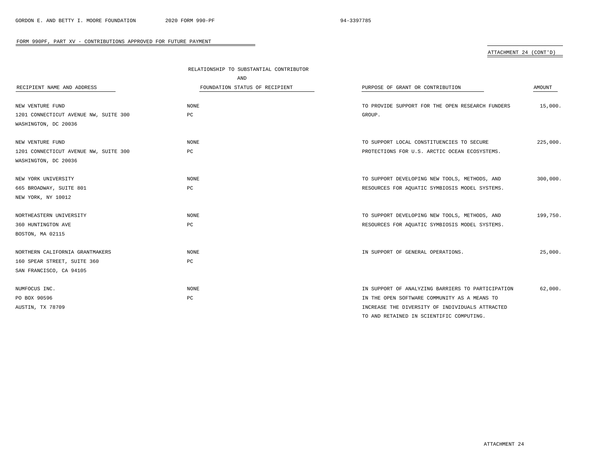## ATTACHMENT 24 (CONT'D)

|                                       | RELATIONSHIP TO SUBSTANTIAL CONTRIBUTOR |                                                   |          |
|---------------------------------------|-----------------------------------------|---------------------------------------------------|----------|
|                                       | AND                                     |                                                   |          |
| RECIPIENT NAME AND ADDRESS            | FOUNDATION STATUS OF RECIPIENT          | PURPOSE OF GRANT OR CONTRIBUTION                  | AMOUNT   |
|                                       |                                         |                                                   |          |
| NEW VENTURE FUND                      | <b>NONE</b>                             | TO PROVIDE SUPPORT FOR THE OPEN RESEARCH FUNDERS  | 15,000.  |
| 1201 CONNECTICUT AVENUE NW, SUITE 300 | PC                                      | GROUP.                                            |          |
| WASHINGTON, DC 20036                  |                                         |                                                   |          |
| NEW VENTURE FUND                      | <b>NONE</b>                             | TO SUPPORT LOCAL CONSTITUENCIES TO SECURE         | 225,000. |
| 1201 CONNECTICUT AVENUE NW, SUITE 300 | PC                                      | PROTECTIONS FOR U.S. ARCTIC OCEAN ECOSYSTEMS.     |          |
| WASHINGTON, DC 20036                  |                                         |                                                   |          |
|                                       |                                         |                                                   |          |
| NEW YORK UNIVERSITY                   | <b>NONE</b>                             | TO SUPPORT DEVELOPING NEW TOOLS, METHODS, AND     | 300,000. |
| 665 BROADWAY, SUITE 801               | PC                                      | RESOURCES FOR AQUATIC SYMBIOSIS MODEL SYSTEMS.    |          |
| NEW YORK, NY 10012                    |                                         |                                                   |          |
| NORTHEASTERN UNIVERSITY               | <b>NONE</b>                             | TO SUPPORT DEVELOPING NEW TOOLS, METHODS, AND     | 199,750. |
| 360 HUNTINGTON AVE                    | PC                                      | RESOURCES FOR AQUATIC SYMBIOSIS MODEL SYSTEMS.    |          |
| BOSTON, MA 02115                      |                                         |                                                   |          |
|                                       |                                         |                                                   |          |
| NORTHERN CALIFORNIA GRANTMAKERS       | <b>NONE</b>                             | IN SUPPORT OF GENERAL OPERATIONS.                 | 25,000.  |
| 160 SPEAR STREET, SUITE 360           | PC                                      |                                                   |          |
| SAN FRANCISCO, CA 94105               |                                         |                                                   |          |
| NUMFOCUS INC.                         | NONE                                    | IN SUPPORT OF ANALYZING BARRIERS TO PARTICIPATION | 62,000.  |
| PO BOX 90596                          | PC                                      | IN THE OPEN SOFTWARE COMMUNITY AS A MEANS TO      |          |
| AUSTIN, TX 78709                      |                                         | INCREASE THE DIVERSITY OF INDIVIDUALS ATTRACTED   |          |
|                                       |                                         | TO AND RETAINED IN SCIENTIFIC COMPUTING.          |          |

ATTACHMENT 24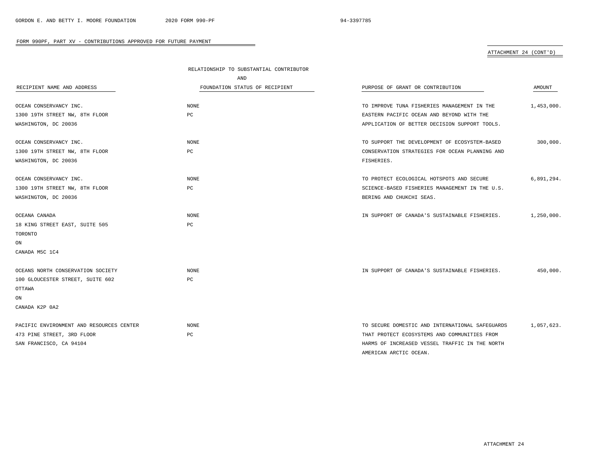|                                          | RELATIONSHIP TO SUBSTANTIAL CONTRIBUTOR |                                                 |            |
|------------------------------------------|-----------------------------------------|-------------------------------------------------|------------|
|                                          | AND                                     |                                                 |            |
| RECIPIENT NAME AND ADDRESS               | FOUNDATION STATUS OF RECIPIENT          | PURPOSE OF GRANT OR CONTRIBUTION                | AMOUNT     |
|                                          |                                         |                                                 |            |
| OCEAN CONSERVANCY INC.                   | <b>NONE</b>                             | TO IMPROVE TUNA FISHERIES MANAGEMENT IN THE     | 1,453,000. |
| 1300 19TH STREET NW, 8TH FLOOR           | PC                                      | EASTERN PACIFIC OCEAN AND BEYOND WITH THE       |            |
| WASHINGTON, DC 20036                     |                                         | APPLICATION OF BETTER DECISION SUPPORT TOOLS.   |            |
| OCEAN CONSERVANCY INC.                   | NONE                                    | TO SUPPORT THE DEVELOPMENT OF ECOSYSTEM-BASED   | 300,000.   |
| 1300 19TH STREET NW, 8TH FLOOR           | PC                                      | CONSERVATION STRATEGIES FOR OCEAN PLANNING AND  |            |
| WASHINGTON, DC 20036                     |                                         | FISHERIES.                                      |            |
| OCEAN CONSERVANCY INC.                   | NONE                                    | TO PROTECT ECOLOGICAL HOTSPOTS AND SECURE       | 6,891,294. |
| 1300 19TH STREET NW, 8TH FLOOR           | PC                                      | SCIENCE-BASED FISHERIES MANAGEMENT IN THE U.S.  |            |
| WASHINGTON, DC 20036                     |                                         | BERING AND CHUKCHI SEAS.                        |            |
| OCEANA CANADA                            | <b>NONE</b>                             | IN SUPPORT OF CANADA'S SUSTAINABLE FISHERIES.   | 1,250,000. |
| 18 KING STREET EAST, SUITE 505           | PC                                      |                                                 |            |
| TORONTO                                  |                                         |                                                 |            |
| ON                                       |                                         |                                                 |            |
| CANADA M5C 1C4                           |                                         |                                                 |            |
| OCEANS NORTH CONSERVATION SOCIETY        | NONE                                    | IN SUPPORT OF CANADA'S SUSTAINABLE FISHERIES.   | 450,000.   |
| 100 GLOUCESTER STREET, SUITE 602         | PC                                      |                                                 |            |
| OTTAWA                                   |                                         |                                                 |            |
| ON                                       |                                         |                                                 |            |
| CANADA K2P 0A2                           |                                         |                                                 |            |
| PACIFIC ENVIRONMENT AND RESOURCES CENTER | <b>NONE</b>                             | TO SECURE DOMESTIC AND INTERNATIONAL SAFEGUARDS | 1,057,623. |
| 473 PINE STREET, 3RD FLOOR               | PC                                      | THAT PROTECT ECOSYSTEMS AND COMMUNITIES FROM    |            |
| SAN FRANCISCO, CA 94104                  |                                         | HARMS OF INCREASED VESSEL TRAFFIC IN THE NORTH  |            |
|                                          |                                         | AMERICAN ARCTIC OCEAN.                          |            |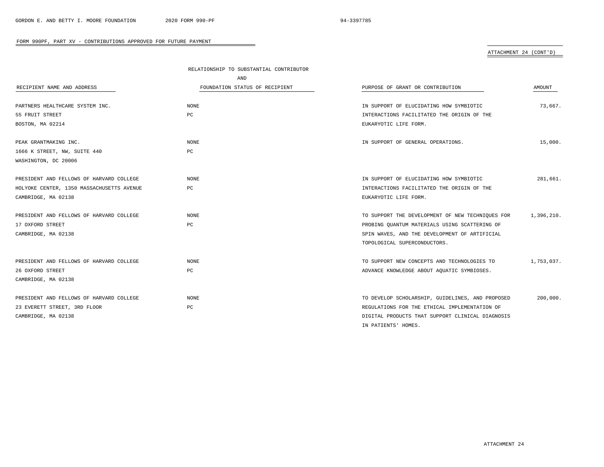|                                           | RELATIONSHIP TO SUBSTANTIAL CONTRIBUTOR |                                                  |            |
|-------------------------------------------|-----------------------------------------|--------------------------------------------------|------------|
|                                           | AND                                     |                                                  |            |
| RECIPIENT NAME AND ADDRESS                | FOUNDATION STATUS OF RECIPIENT          | PURPOSE OF GRANT OR CONTRIBUTION                 | AMOUNT     |
|                                           |                                         |                                                  |            |
| PARTNERS HEALTHCARE SYSTEM INC.           | <b>NONE</b>                             | IN SUPPORT OF ELUCIDATING HOW SYMBIOTIC          | 73,667.    |
| 55 FRUIT STREET                           | PC.                                     | INTERACTIONS FACILITATED THE ORIGIN OF THE       |            |
| BOSTON, MA 02214                          |                                         | EUKARYOTIC LIFE FORM.                            |            |
|                                           |                                         |                                                  |            |
| PEAK GRANTMAKING INC.                     | NONE                                    | IN SUPPORT OF GENERAL OPERATIONS.                | 15,000.    |
| 1666 K STREET, NW, SUITE 440              | PC                                      |                                                  |            |
| WASHINGTON, DC 20006                      |                                         |                                                  |            |
|                                           |                                         |                                                  |            |
| PRESIDENT AND FELLOWS OF HARVARD COLLEGE  | NONE                                    | IN SUPPORT OF ELUCIDATING HOW SYMBIOTIC          | 281,661.   |
| HOLYOKE CENTER, 1350 MASSACHUSETTS AVENUE | PC                                      | INTERACTIONS FACILITATED THE ORIGIN OF THE       |            |
| CAMBRIDGE, MA 02138                       |                                         | EUKARYOTIC LIFE FORM.                            |            |
|                                           |                                         |                                                  |            |
| PRESIDENT AND FELLOWS OF HARVARD COLLEGE  | NONE                                    | TO SUPPORT THE DEVELOPMENT OF NEW TECHNIOUES FOR | 1,396,210. |
| 17 OXFORD STREET                          | PC                                      | PROBING QUANTUM MATERIALS USING SCATTERING OF    |            |
| CAMBRIDGE, MA 02138                       |                                         | SPIN WAVES, AND THE DEVELOPMENT OF ARTIFICIAL    |            |
|                                           |                                         | TOPOLOGICAL SUPERCONDUCTORS.                     |            |
| PRESIDENT AND FELLOWS OF HARVARD COLLEGE  | NONE                                    | TO SUPPORT NEW CONCEPTS AND TECHNOLOGIES TO      | 1,753,037. |
| 26 OXFORD STREET                          | PC                                      | ADVANCE KNOWLEDGE ABOUT AQUATIC SYMBIOSES.       |            |
|                                           |                                         |                                                  |            |
| CAMBRIDGE, MA 02138                       |                                         |                                                  |            |
| PRESIDENT AND FELLOWS OF HARVARD COLLEGE  | NONE                                    | TO DEVELOP SCHOLARSHIP, GUIDELINES, AND PROPOSED | 200,000.   |
| 23 EVERETT STREET, 3RD FLOOR              | PC                                      | REGULATIONS FOR THE ETHICAL IMPLEMENTATION OF    |            |
| CAMBRIDGE, MA 02138                       |                                         | DIGITAL PRODUCTS THAT SUPPORT CLINICAL DIAGNOSIS |            |
|                                           |                                         | IN PATIENTS' HOMES.                              |            |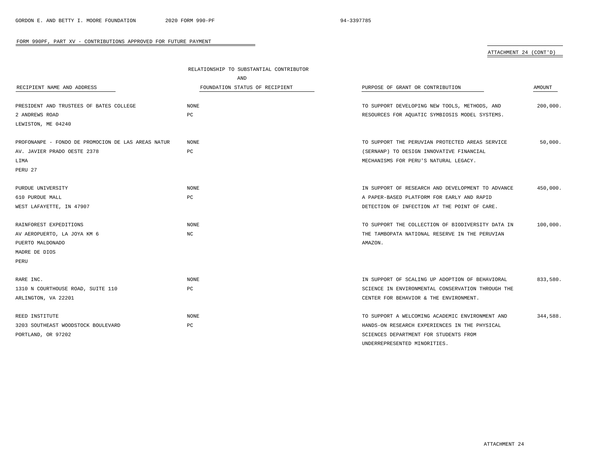|                                                    | RELATIONSHIP TO SUBSTANTIAL CONTRIBUTOR |                                                   |          |
|----------------------------------------------------|-----------------------------------------|---------------------------------------------------|----------|
|                                                    | AND                                     |                                                   |          |
| RECIPIENT NAME AND ADDRESS                         | FOUNDATION STATUS OF RECIPIENT          | PURPOSE OF GRANT OR CONTRIBUTION                  | AMOUNT   |
| PRESIDENT AND TRUSTEES OF BATES COLLEGE            | <b>NONE</b>                             | TO SUPPORT DEVELOPING NEW TOOLS, METHODS, AND     | 200,000. |
| 2 ANDREWS ROAD                                     | PC                                      | RESOURCES FOR AQUATIC SYMBIOSIS MODEL SYSTEMS.    |          |
| LEWISTON, ME 04240                                 |                                         |                                                   |          |
| PROFONANPE - FONDO DE PROMOCION DE LAS AREAS NATUR | <b>NONE</b>                             | TO SUPPORT THE PERUVIAN PROTECTED AREAS SERVICE   | 50,000.  |
| AV. JAVIER PRADO OESTE 2378                        | РC                                      | (SERNANP) TO DESIGN INNOVATIVE FINANCIAL          |          |
| LIMA                                               |                                         | MECHANISMS FOR PERU'S NATURAL LEGACY.             |          |
| PERU 27                                            |                                         |                                                   |          |
| PURDUE UNIVERSITY                                  | NONE                                    | IN SUPPORT OF RESEARCH AND DEVELOPMENT TO ADVANCE | 450,000. |
| 610 PURDUE MALL                                    | РC                                      | A PAPER-BASED PLATFORM FOR EARLY AND RAPID        |          |
| WEST LAFAYETTE, IN 47907                           |                                         | DETECTION OF INFECTION AT THE POINT OF CARE.      |          |
| RAINFOREST EXPEDITIONS                             | <b>NONE</b>                             | TO SUPPORT THE COLLECTION OF BIODIVERSITY DATA IN | 100,000. |
| AV AEROPUERTO, LA JOYA KM 6                        | NC                                      | THE TAMBOPATA NATIONAL RESERVE IN THE PERUVIAN    |          |
| PUERTO MALDONADO                                   |                                         | AMAZON.                                           |          |
| MADRE DE DIOS                                      |                                         |                                                   |          |
| PERU                                               |                                         |                                                   |          |
| RARE INC.                                          | NONE                                    | IN SUPPORT OF SCALING UP ADOPTION OF BEHAVIORAL   | 833,580. |
| 1310 N COURTHOUSE ROAD, SUITE 110                  | РC                                      | SCIENCE IN ENVIRONMENTAL CONSERVATION THROUGH THE |          |
| ARLINGTON, VA 22201                                |                                         | CENTER FOR BEHAVIOR & THE ENVIRONMENT.            |          |
| REED INSTITUTE                                     | <b>NONE</b>                             | TO SUPPORT A WELCOMING ACADEMIC ENVIRONMENT AND   | 344,588. |
| 3203 SOUTHEAST WOODSTOCK BOULEVARD                 | РC                                      | HANDS-ON RESEARCH EXPERIENCES IN THE PHYSICAL     |          |
| PORTLAND, OR 97202                                 |                                         | SCIENCES DEPARTMENT FOR STUDENTS FROM             |          |
|                                                    |                                         | UNDERREPRESENTED MINORITIES.                      |          |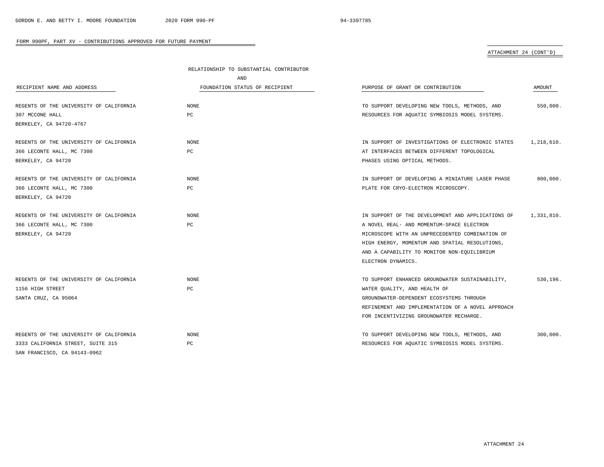|                                         | RELATIONSHIP TO SUBSTANTIAL CONTRIBUTOR<br><b>AND</b> |                                                   |            |
|-----------------------------------------|-------------------------------------------------------|---------------------------------------------------|------------|
|                                         |                                                       |                                                   |            |
| RECIPIENT NAME AND ADDRESS              | FOUNDATION STATUS OF RECIPIENT                        | PURPOSE OF GRANT OR CONTRIBUTION                  | AMOUNT     |
| REGENTS OF THE UNIVERSITY OF CALIFORNIA | <b>NONE</b>                                           | TO SUPPORT DEVELOPING NEW TOOLS, METHODS, AND     | 550,000.   |
| 307 MCCONE HALL                         | PC                                                    | RESOURCES FOR AQUATIC SYMBIOSIS MODEL SYSTEMS.    |            |
| BERKELEY, CA 94720-4767                 |                                                       |                                                   |            |
| REGENTS OF THE UNIVERSITY OF CALIFORNIA | <b>NONE</b>                                           | IN SUPPORT OF INVESTIGATIONS OF ELECTRONIC STATES | 1,218,610. |
| 366 LECONTE HALL, MC 7300               | PC                                                    | AT INTERFACES BETWEEN DIFFERENT TOPOLOGICAL       |            |
| BERKELEY, CA 94720                      |                                                       | PHASES USING OPTICAL METHODS.                     |            |
| REGENTS OF THE UNIVERSITY OF CALIFORNIA | NONE                                                  | IN SUPPORT OF DEVELOPING A MINIATURE LASER PHASE  | 800,000.   |
| 366 LECONTE HALL, MC 7300               | PC                                                    | PLATE FOR CRYO-ELECTRON MICROSCOPY.               |            |
| BERKELEY, CA 94720                      |                                                       |                                                   |            |
| REGENTS OF THE UNIVERSITY OF CALIFORNIA | <b>NONE</b>                                           | IN SUPPORT OF THE DEVELOPMENT AND APPLICATIONS OF | 1,331,810. |
| 366 LECONTE HALL, MC 7300               | PC                                                    | A NOVEL REAL- AND MOMENTUM-SPACE ELECTRON         |            |
| BERKELEY, CA 94720                      |                                                       | MICROSCOPE WITH AN UNPRECEDENTED COMBINATION OF   |            |
|                                         |                                                       | HIGH ENERGY, MOMENTUM AND SPATIAL RESOLUTIONS,    |            |
|                                         |                                                       | AND A CAPABILITY TO MONITOR NON-EQUILIBRIUM       |            |
|                                         |                                                       | ELECTRON DYNAMICS.                                |            |
| REGENTS OF THE UNIVERSITY OF CALIFORNIA | NONE                                                  | TO SUPPORT ENHANCED GROUNDWATER SUSTAINABILITY,   | 530,196.   |
| 1156 HIGH STREET                        | PC                                                    | WATER QUALITY, AND HEALTH OF                      |            |
| SANTA CRUZ, CA 95064                    |                                                       | GROUNDWATER-DEPENDENT ECOSYSTEMS THROUGH          |            |
|                                         |                                                       | REFINEMENT AND IMPLEMENTATION OF A NOVEL APPROACH |            |
|                                         |                                                       | FOR INCENTIVIZING GROUNDWATER RECHARGE.           |            |
| REGENTS OF THE UNIVERSITY OF CALIFORNIA | <b>NONE</b>                                           | TO SUPPORT DEVELOPING NEW TOOLS, METHODS, AND     | 300,000.   |
| 3333 CALIFORNIA STREET, SUITE 315       | $_{\rm PC}$                                           | RESOURCES FOR AQUATIC SYMBIOSIS MODEL SYSTEMS.    |            |
| SAN FRANCISCO, CA 94143-0962            |                                                       |                                                   |            |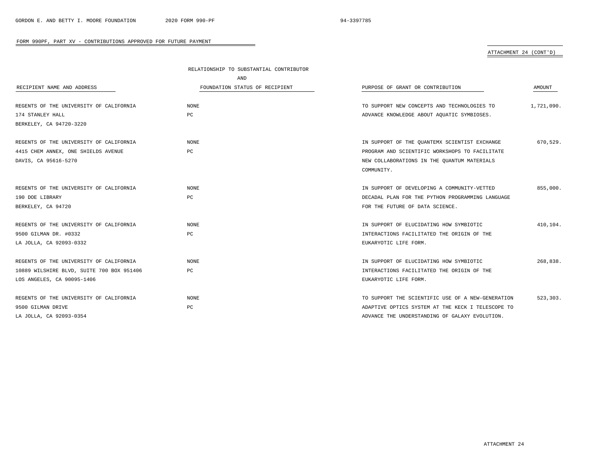|                                           | RELATIONSHIP TO SUBSTANTIAL CONTRIBUTOR |                                                   |            |
|-------------------------------------------|-----------------------------------------|---------------------------------------------------|------------|
|                                           | AND                                     |                                                   |            |
| RECIPIENT NAME AND ADDRESS                | FOUNDATION STATUS OF RECIPIENT          | PURPOSE OF GRANT OR CONTRIBUTION                  | AMOUNT     |
|                                           |                                         |                                                   |            |
| REGENTS OF THE UNIVERSITY OF CALIFORNIA   | <b>NONE</b>                             | TO SUPPORT NEW CONCEPTS AND TECHNOLOGIES TO       | 1,721,090. |
| 174 STANLEY HALL                          | PC                                      | ADVANCE KNOWLEDGE ABOUT AQUATIC SYMBIOSES.        |            |
| BERKELEY, CA 94720-3220                   |                                         |                                                   |            |
| REGENTS OF THE UNIVERSITY OF CALIFORNIA   | NONE                                    | IN SUPPORT OF THE OUANTEMX SCIENTIST EXCHANGE     | 670,529.   |
| 4415 CHEM ANNEX, ONE SHIELDS AVENUE       | PC                                      | PROGRAM AND SCIENTIFIC WORKSHOPS TO FACILITATE    |            |
| DAVIS, CA 95616-5270                      |                                         | NEW COLLABORATIONS IN THE QUANTUM MATERIALS       |            |
|                                           |                                         | COMMUNITY.                                        |            |
| REGENTS OF THE UNIVERSITY OF CALIFORNIA   | <b>NONE</b>                             | IN SUPPORT OF DEVELOPING A COMMUNITY-VETTED       | 855,000.   |
| 190 DOE LIBRARY                           | PC                                      | DECADAL PLAN FOR THE PYTHON PROGRAMMING LANGUAGE  |            |
| BERKELEY, CA 94720                        |                                         | FOR THE FUTURE OF DATA SCIENCE.                   |            |
|                                           |                                         |                                                   |            |
| REGENTS OF THE UNIVERSITY OF CALIFORNIA   | <b>NONE</b>                             | IN SUPPORT OF ELUCIDATING HOW SYMBIOTIC           | 410,104.   |
| 9500 GILMAN DR. #0332                     | PC                                      | INTERACTIONS FACILITATED THE ORIGIN OF THE        |            |
| LA JOLLA, CA 92093-0332                   |                                         | EUKARYOTIC LIFE FORM.                             |            |
| REGENTS OF THE UNIVERSITY OF CALIFORNIA   | <b>NONE</b>                             | IN SUPPORT OF ELUCIDATING HOW SYMBIOTIC           | 268,838.   |
| 10889 WILSHIRE BLVD, SUITE 700 BOX 951406 | PC                                      | INTERACTIONS FACILITATED THE ORIGIN OF THE        |            |
| LOS ANGELES, CA 90095-1406                |                                         | EUKARYOTIC LIFE FORM.                             |            |
|                                           |                                         |                                                   |            |
| REGENTS OF THE UNIVERSITY OF CALIFORNIA   | <b>NONE</b>                             | TO SUPPORT THE SCIENTIFIC USE OF A NEW-GENERATION | 523,303.   |
| 9500 GILMAN DRIVE                         | $_{\rm PC}$                             | ADAPTIVE OPTICS SYSTEM AT THE KECK I TELESCOPE TO |            |
| LA JOLLA, CA 92093-0354                   |                                         | ADVANCE THE UNDERSTANDING OF GALAXY EVOLUTION.    |            |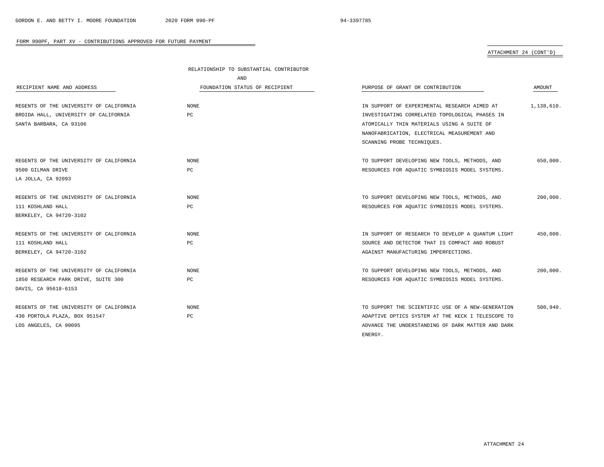# ATTACHMENT 24 (CONT'D)

|                                         | RELATIONSHIP TO SUBSTANTIAL CONTRIBUTOR |                                                   |            |
|-----------------------------------------|-----------------------------------------|---------------------------------------------------|------------|
|                                         | AND                                     |                                                   |            |
| RECIPIENT NAME AND ADDRESS              | FOUNDATION STATUS OF RECIPIENT          | PURPOSE OF GRANT OR CONTRIBUTION                  | AMOUNT     |
| REGENTS OF THE UNIVERSITY OF CALIFORNIA | <b>NONE</b>                             | IN SUPPORT OF EXPERIMENTAL RESEARCH AIMED AT      | 1,138,610. |
| BROIDA HALL, UNIVERSITY OF CALIFORNIA   | PC                                      | INVESTIGATING CORRELATED TOPOLOGICAL PHASES IN    |            |
| SANTA BARBARA, CA 93106                 |                                         | ATOMICALLY THIN MATERIALS USING A SUITE OF        |            |
|                                         |                                         | NANOFABRICATION, ELECTRICAL MEASUREMENT AND       |            |
|                                         |                                         | SCANNING PROBE TECHNIQUES.                        |            |
| REGENTS OF THE UNIVERSITY OF CALIFORNIA | <b>NONE</b>                             | TO SUPPORT DEVELOPING NEW TOOLS, METHODS, AND     | 650,000.   |
| 9500 GILMAN DRIVE                       | РC                                      | RESOURCES FOR AQUATIC SYMBIOSIS MODEL SYSTEMS.    |            |
| LA JOLLA, CA 92093                      |                                         |                                                   |            |
| REGENTS OF THE UNIVERSITY OF CALIFORNIA | <b>NONE</b>                             | TO SUPPORT DEVELOPING NEW TOOLS, METHODS, AND     | 200,000.   |
| 111 KOSHLAND HALL                       | PC                                      | RESOURCES FOR AQUATIC SYMBIOSIS MODEL SYSTEMS.    |            |
| BERKELEY, CA 94720-3102                 |                                         |                                                   |            |
| REGENTS OF THE UNIVERSITY OF CALIFORNIA | <b>NONE</b>                             | IN SUPPORT OF RESEARCH TO DEVELOP A OUANTUM LIGHT | 450,000.   |
| 111 KOSHLAND HALL                       | PC                                      | SOURCE AND DETECTOR THAT IS COMPACT AND ROBUST    |            |
| BERKELEY, CA 94720-3102                 |                                         | AGAINST MANUFACTURING IMPERFECTIONS.              |            |
| REGENTS OF THE UNIVERSITY OF CALIFORNIA | <b>NONE</b>                             | TO SUPPORT DEVELOPING NEW TOOLS, METHODS, AND     | 200,000.   |
| 1850 RESEARCH PARK DRIVE, SUITE 300     | РC                                      | RESOURCES FOR AQUATIC SYMBIOSIS MODEL SYSTEMS.    |            |
| DAVIS, CA 95618-6153                    |                                         |                                                   |            |
| REGENTS OF THE UNIVERSITY OF CALIFORNIA | <b>NONE</b>                             | TO SUPPORT THE SCIENTIFIC USE OF A NEW-GENERATION | 500,940.   |
| 430 PORTOLA PLAZA, BOX 951547           | PC                                      | ADAPTIVE OPTICS SYSTEM AT THE KECK I TELESCOPE TO |            |
| LOS ANGELES, CA 90095                   |                                         | ADVANCE THE UNDERSTANDING OF DARK MATTER AND DARK |            |
|                                         |                                         | ENERGY.                                           |            |

 $\overline{\phantom{0}}$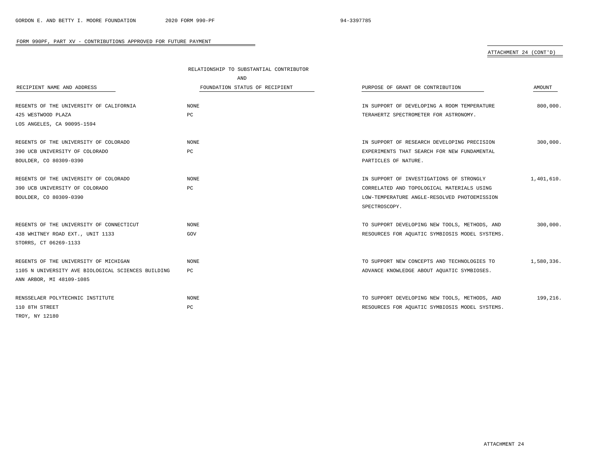|                                                    | RELATIONSHIP TO SUBSTANTIAL CONTRIBUTOR |                                                |            |
|----------------------------------------------------|-----------------------------------------|------------------------------------------------|------------|
|                                                    | AND                                     |                                                |            |
| RECIPIENT NAME AND ADDRESS                         | FOUNDATION STATUS OF RECIPIENT          | PURPOSE OF GRANT OR CONTRIBUTION               | AMOUNT     |
|                                                    |                                         |                                                |            |
| REGENTS OF THE UNIVERSITY OF CALIFORNIA            | <b>NONE</b>                             | IN SUPPORT OF DEVELOPING A ROOM TEMPERATURE    | 800,000.   |
| 425 WESTWOOD PLAZA                                 | PC                                      | TERAHERTZ SPECTROMETER FOR ASTRONOMY.          |            |
| LOS ANGELES, CA 90095-1594                         |                                         |                                                |            |
| REGENTS OF THE UNIVERSITY OF COLORADO              | <b>NONE</b>                             | IN SUPPORT OF RESEARCH DEVELOPING PRECISION    | 300,000.   |
| 390 UCB UNIVERSITY OF COLORADO                     | PC                                      | EXPERIMENTS THAT SEARCH FOR NEW FUNDAMENTAL    |            |
| BOULDER, CO 80309-0390                             |                                         | PARTICLES OF NATURE.                           |            |
|                                                    |                                         |                                                |            |
| REGENTS OF THE UNIVERSITY OF COLORADO              | <b>NONE</b>                             | IN SUPPORT OF INVESTIGATIONS OF STRONGLY       | 1,401,610. |
| 390 UCB UNIVERSITY OF COLORADO                     | PC                                      | CORRELATED AND TOPOLOGICAL MATERIALS USING     |            |
| BOULDER, CO 80309-0390                             |                                         | LOW-TEMPERATURE ANGLE-RESOLVED PHOTOEMISSION   |            |
|                                                    |                                         | SPECTROSCOPY.                                  |            |
| REGENTS OF THE UNIVERSITY OF CONNECTICUT           | <b>NONE</b>                             | TO SUPPORT DEVELOPING NEW TOOLS, METHODS, AND  | 300,000.   |
| 438 WHITNEY ROAD EXT., UNIT 1133                   | GOV                                     | RESOURCES FOR AQUATIC SYMBIOSIS MODEL SYSTEMS. |            |
| STORRS, CT 06269-1133                              |                                         |                                                |            |
|                                                    |                                         |                                                |            |
| REGENTS OF THE UNIVERSITY OF MICHIGAN              | <b>NONE</b>                             | TO SUPPORT NEW CONCEPTS AND TECHNOLOGIES TO    | 1,580,336. |
| 1105 N UNIVERSITY AVE BIOLOGICAL SCIENCES BUILDING | PC                                      | ADVANCE KNOWLEDGE ABOUT AQUATIC SYMBIOSES.     |            |
| ANN ARBOR, MI 48109-1085                           |                                         |                                                |            |
| RENSSELAER POLYTECHNIC INSTITUTE                   | <b>NONE</b>                             | TO SUPPORT DEVELOPING NEW TOOLS, METHODS, AND  | 199,216.   |
| 110 8TH STREET                                     | PC                                      | RESOURCES FOR AQUATIC SYMBIOSIS MODEL SYSTEMS. |            |
| TROY, NY 12180                                     |                                         |                                                |            |
|                                                    |                                         |                                                |            |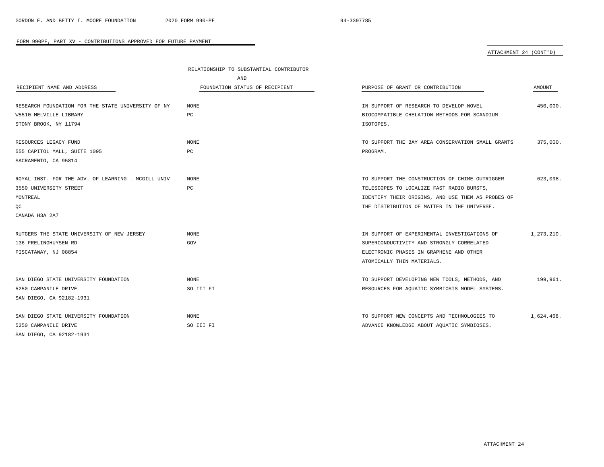|                                                    | RELATIONSHIP TO SUBSTANTIAL CONTRIBUTOR |                                                   |            |
|----------------------------------------------------|-----------------------------------------|---------------------------------------------------|------------|
|                                                    | AND                                     |                                                   |            |
| RECIPIENT NAME AND ADDRESS                         | FOUNDATION STATUS OF RECIPIENT          | PURPOSE OF GRANT OR CONTRIBUTION                  | AMOUNT     |
| RESEARCH FOUNDATION FOR THE STATE UNIVERSITY OF NY | NONE                                    | IN SUPPORT OF RESEARCH TO DEVELOP NOVEL           | 450,000.   |
| W5510 MELVILLE LIBRARY                             | PC                                      | BIOCOMPATIBLE CHELATION METHODS FOR SCANDIUM      |            |
| STONY BROOK, NY 11794                              |                                         | ISOTOPES.                                         |            |
| RESOURCES LEGACY FUND                              | <b>NONE</b>                             | TO SUPPORT THE BAY AREA CONSERVATION SMALL GRANTS | 375.000.   |
| 555 CAPITOL MALL, SUITE 1095                       | PC                                      | PROGRAM.                                          |            |
| SACRAMENTO, CA 95814                               |                                         |                                                   |            |
| ROYAL INST. FOR THE ADV. OF LEARNING - MCGILL UNIV | <b>NONE</b>                             | TO SUPPORT THE CONSTRUCTION OF CHIME OUTRIGGER    | 623,098.   |
| 3550 UNIVERSITY STREET                             | PC                                      | TELESCOPES TO LOCALIZE FAST RADIO BURSTS,         |            |
| MONTREAL                                           |                                         | IDENTIFY THEIR ORIGINS, AND USE THEM AS PROBES OF |            |
| QC                                                 |                                         | THE DISTRIBUTION OF MATTER IN THE UNIVERSE.       |            |
| CANADA H3A 2A7                                     |                                         |                                                   |            |
| RUTGERS THE STATE UNIVERSITY OF NEW JERSEY         | <b>NONE</b>                             | IN SUPPORT OF EXPERIMENTAL INVESTIGATIONS OF      | 1,273,210. |
| 136 FRELINGHUYSEN RD                               | GOV                                     | SUPERCONDUCTIVITY AND STRONGLY CORRELATED         |            |
| PISCATAWAY, NJ 08854                               |                                         | ELECTRONIC PHASES IN GRAPHENE AND OTHER           |            |
|                                                    |                                         | ATOMICALLY THIN MATERIALS.                        |            |
| SAN DIEGO STATE UNIVERSITY FOUNDATION              | NONE                                    | TO SUPPORT DEVELOPING NEW TOOLS, METHODS, AND     | 199,961.   |
| 5250 CAMPANILE DRIVE                               | SO III FI                               | RESOURCES FOR AQUATIC SYMBIOSIS MODEL SYSTEMS.    |            |
| SAN DIEGO, CA 92182-1931                           |                                         |                                                   |            |
| SAN DIEGO STATE UNIVERSITY FOUNDATION              | NONE                                    | TO SUPPORT NEW CONCEPTS AND TECHNOLOGIES TO       | 1,624,468. |
| 5250 CAMPANILE DRIVE                               | SO III FI                               | ADVANCE KNOWLEDGE ABOUT AQUATIC SYMBIOSES.        |            |
| SAN DIEGO, CA 92182-1931                           |                                         |                                                   |            |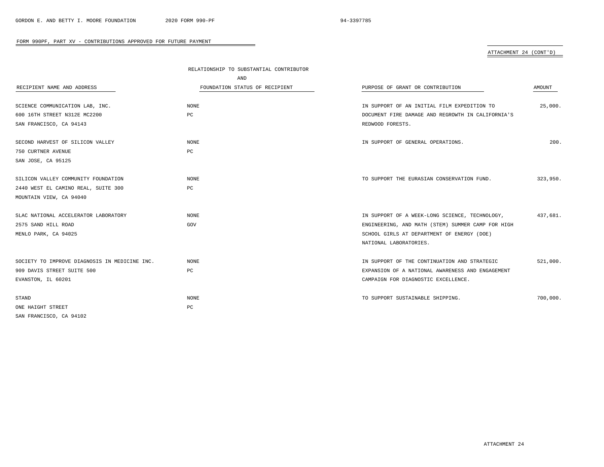|                                               | RELATIONSHIP TO SUBSTANTIAL CONTRIBUTOR |                                                   |          |
|-----------------------------------------------|-----------------------------------------|---------------------------------------------------|----------|
|                                               | AND                                     |                                                   |          |
| RECIPIENT NAME AND ADDRESS                    | FOUNDATION STATUS OF RECIPIENT          | PURPOSE OF GRANT OR CONTRIBUTION                  | AMOUNT   |
|                                               |                                         |                                                   |          |
| SCIENCE COMMUNICATION LAB, INC.               | NONE                                    | IN SUPPORT OF AN INITIAL FILM EXPEDITION TO       | 25,000.  |
| 600 16TH STREET N312E MC2200                  | PC                                      | DOCUMENT FIRE DAMAGE AND REGROWTH IN CALIFORNIA'S |          |
| SAN FRANCISCO, CA 94143                       |                                         | REDWOOD FORESTS.                                  |          |
| SECOND HARVEST OF SILICON VALLEY              | <b>NONE</b>                             | IN SUPPORT OF GENERAL OPERATIONS.                 | 200.     |
| 750 CURTNER AVENUE                            | PC                                      |                                                   |          |
| SAN JOSE, CA 95125                            |                                         |                                                   |          |
|                                               |                                         |                                                   |          |
| SILICON VALLEY COMMUNITY FOUNDATION           | <b>NONE</b>                             | TO SUPPORT THE EURASIAN CONSERVATION FUND.        | 323,950. |
| 2440 WEST EL CAMINO REAL, SUITE 300           | PC                                      |                                                   |          |
| MOUNTAIN VIEW, CA 94040                       |                                         |                                                   |          |
| SLAC NATIONAL ACCELERATOR LABORATORY          | NONE                                    | IN SUPPORT OF A WEEK-LONG SCIENCE, TECHNOLOGY,    | 437,681. |
| 2575 SAND HILL ROAD                           | GOV                                     | ENGINEERING, AND MATH (STEM) SUMMER CAMP FOR HIGH |          |
| MENLO PARK, CA 94025                          |                                         | SCHOOL GIRLS AT DEPARTMENT OF ENERGY (DOE)        |          |
|                                               |                                         | NATIONAL LABORATORIES.                            |          |
|                                               |                                         |                                                   |          |
| SOCIETY TO IMPROVE DIAGNOSIS IN MEDICINE INC. | <b>NONE</b>                             | IN SUPPORT OF THE CONTINUATION AND STRATEGIC      | 521,000. |
| 909 DAVIS STREET SUITE 500                    | PC                                      | EXPANSION OF A NATIONAL AWARENESS AND ENGAGEMENT  |          |
| EVANSTON, IL 60201                            |                                         | CAMPAIGN FOR DIAGNOSTIC EXCELLENCE.               |          |
|                                               |                                         |                                                   | 700,000. |
| STAND                                         | <b>NONE</b>                             | TO SUPPORT SUSTAINABLE SHIPPING.                  |          |
| ONE HAIGHT STREET                             | PC                                      |                                                   |          |
| SAN FRANCISCO, CA 94102                       |                                         |                                                   |          |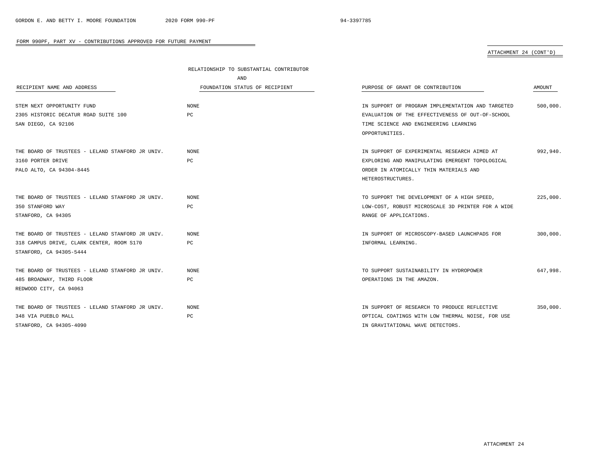|                                                  | RELATIONSHIP TO SUBSTANTIAL CONTRIBUTOR |                                                   |          |
|--------------------------------------------------|-----------------------------------------|---------------------------------------------------|----------|
|                                                  | AND                                     |                                                   |          |
| RECIPIENT NAME AND ADDRESS                       | FOUNDATION STATUS OF RECIPIENT          | PURPOSE OF GRANT OR CONTRIBUTION                  | AMOUNT   |
| STEM NEXT OPPORTUNITY FUND                       | <b>NONE</b>                             | IN SUPPORT OF PROGRAM IMPLEMENTATION AND TARGETED | 500,000. |
| 2305 HISTORIC DECATUR ROAD SUITE 100             | PC                                      | EVALUATION OF THE EFFECTIVENESS OF OUT-OF-SCHOOL  |          |
| SAN DIEGO, CA 92106                              |                                         | TIME SCIENCE AND ENGINEERING LEARNING             |          |
|                                                  |                                         | OPPORTUNITIES.                                    |          |
| THE BOARD OF TRUSTEES - LELAND STANFORD JR UNIV. | NONE                                    | IN SUPPORT OF EXPERIMENTAL RESEARCH AIMED AT      | 992,940. |
| 3160 PORTER DRIVE                                | PC                                      | EXPLORING AND MANIPULATING EMERGENT TOPOLOGICAL   |          |
| PALO ALTO, CA 94304-8445                         |                                         | ORDER IN ATOMICALLY THIN MATERIALS AND            |          |
|                                                  |                                         | HETEROSTRUCTURES.                                 |          |
| THE BOARD OF TRUSTEES - LELAND STANFORD JR UNIV. | <b>NONE</b>                             | TO SUPPORT THE DEVELOPMENT OF A HIGH SPEED,       | 225,000. |
| 350 STANFORD WAY                                 | PC                                      | LOW-COST, ROBUST MICROSCALE 3D PRINTER FOR A WIDE |          |
| STANFORD, CA 94305                               |                                         | RANGE OF APPLICATIONS.                            |          |
|                                                  |                                         |                                                   |          |
| THE BOARD OF TRUSTEES - LELAND STANFORD JR UNIV. | NONE                                    | IN SUPPORT OF MICROSCOPY-BASED LAUNCHPADS FOR     | 300,000. |
| 318 CAMPUS DRIVE, CLARK CENTER, ROOM S170        | PC                                      | INFORMAL LEARNING.                                |          |
| STANFORD, CA 94305-5444                          |                                         |                                                   |          |
| THE BOARD OF TRUSTEES - LELAND STANFORD JR UNIV. | NONE                                    | TO SUPPORT SUSTAINABILITY IN HYDROPOWER           | 647,998. |
| 485 BROADWAY, THIRD FLOOR                        | PC                                      | OPERATIONS IN THE AMAZON.                         |          |
| REDWOOD CITY, CA 94063                           |                                         |                                                   |          |
| THE BOARD OF TRUSTEES - LELAND STANFORD JR UNIV. | <b>NONE</b>                             | IN SUPPORT OF RESEARCH TO PRODUCE REFLECTIVE      | 350,000. |
| 348 VIA PUEBLO MALL                              | PC                                      | OPTICAL COATINGS WITH LOW THERMAL NOISE, FOR USE  |          |
| STANFORD, CA 94305-4090                          |                                         | IN GRAVITATIONAL WAVE DETECTORS.                  |          |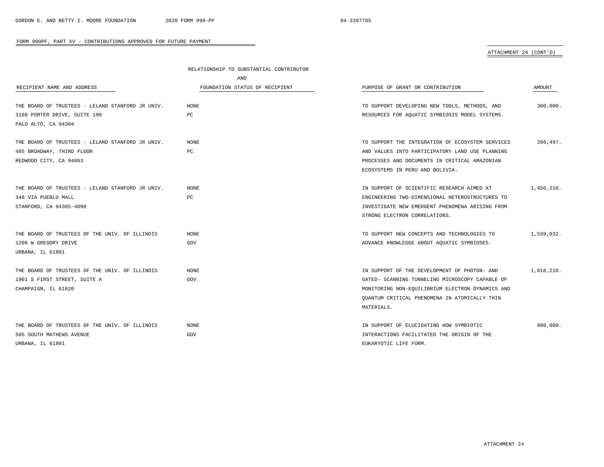|                                                  | RELATIONSHIP TO SUBSTANTIAL CONTRIBUTOR |                                                  |            |
|--------------------------------------------------|-----------------------------------------|--------------------------------------------------|------------|
|                                                  | AND                                     |                                                  |            |
| RECIPIENT NAME AND ADDRESS                       | FOUNDATION STATUS OF RECIPIENT          | PURPOSE OF GRANT OR CONTRIBUTION                 | AMOUNT     |
| THE BOARD OF TRUSTEES - LELAND STANFORD JR UNIV. | <b>NONE</b>                             | TO SUPPORT DEVELOPING NEW TOOLS, METHODS, AND    | 300,000.   |
| 3160 PORTER DRIVE, SUITE 100                     | PC                                      | RESOURCES FOR AQUATIC SYMBIOSIS MODEL SYSTEMS.   |            |
| PALO ALTO, CA 94304                              |                                         |                                                  |            |
| THE BOARD OF TRUSTEES - LELAND STANFORD JR UNIV. | <b>NONE</b>                             | TO SUPPORT THE INTEGRATION OF ECOSYSTEM SERVICES | 286,497.   |
| 485 BROADWAY, THIRD FLOOR                        | PC                                      | AND VALUES INTO PARTICIPATORY LAND USE PLANNING  |            |
| REDWOOD CITY, CA 94063                           |                                         | PROCESSES AND DOCUMENTS IN CRITICAL AMAZONIAN    |            |
|                                                  |                                         | ECOSYSTEMS IN PERU AND BOLIVIA.                  |            |
| THE BOARD OF TRUSTEES - LELAND STANFORD JR UNIV. | NONE                                    | IN SUPPORT OF SCIENTIFIC RESEARCH AIMED AT       | 1,456,210. |
| 348 VIA PUEBLO MALL                              | PC                                      | ENGINEERING TWO-DIMENSIONAL HETEROSTRUCTURES TO  |            |
| STANFORD, CA 94305-4090                          |                                         | INVESTIGATE NEW EMERGENT PHENOMENA ARISING FROM  |            |
|                                                  |                                         | STRONG ELECTRON CORRELATIONS.                    |            |
| THE BOARD OF TRUSTEES OF THE UNIV. OF ILLINOIS   | <b>NONE</b>                             | TO SUPPORT NEW CONCEPTS AND TECHNOLOGIES TO      | 1,539,032. |
| 1206 W GREGORY DRIVE                             | GOV                                     | ADVANCE KNOWLEDGE ABOUT AQUATIC SYMBIOSES.       |            |
| URBANA, IL 61801                                 |                                         |                                                  |            |
| THE BOARD OF TRUSTEES OF THE UNIV. OF ILLINOIS   | NONE                                    | IN SUPPORT OF THE DEVELOPMENT OF PHOTON- AND     | 1,018,210. |
| 1901 S FIRST STREET, SUITE A                     | GOV                                     | GATED- SCANNING TUNNELING MICROSCOPY CAPABLE OF  |            |
| CHAMPAIGN, IL 61820                              |                                         | MONITORING NON-EQUILIBRIUM ELECTRON DYNAMICS AND |            |
|                                                  |                                         | QUANTUM CRITICAL PHENOMENA IN ATOMICALLY THIN    |            |
|                                                  |                                         | MATERIALS.                                       |            |
| THE BOARD OF TRUSTEES OF THE UNIV. OF ILLINOIS   | NONE                                    | IN SUPPORT OF ELUCIDATING HOW SYMBIOTIC          | 800,000.   |
| 505 SOUTH MATHEWS AVENUE                         | GOV                                     | INTERACTIONS FACILITATED THE ORIGIN OF THE       |            |
| URBANA, IL 61801                                 |                                         | EUKARYOTIC LIFE FORM.                            |            |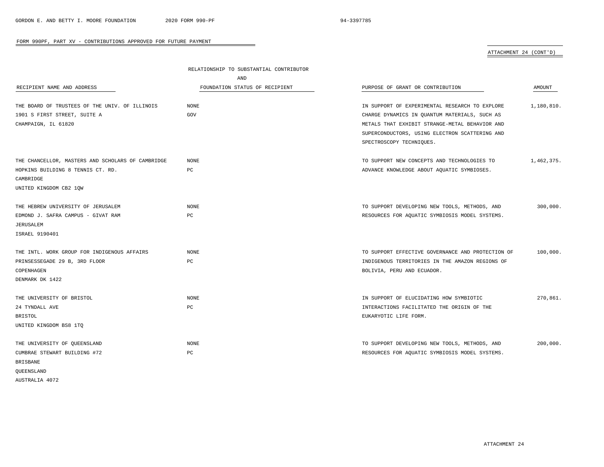ATTACHMENT 24 (CONT'D)

|                                                   | RELATIONSHIP TO SUBSTANTIAL CONTRIBUTOR |                                                   |            |
|---------------------------------------------------|-----------------------------------------|---------------------------------------------------|------------|
|                                                   | AND                                     |                                                   |            |
| RECIPIENT NAME AND ADDRESS                        | FOUNDATION STATUS OF RECIPIENT          | PURPOSE OF GRANT OR CONTRIBUTION                  | AMOUNT     |
| THE BOARD OF TRUSTEES OF THE UNIV. OF ILLINOIS    | <b>NONE</b>                             | IN SUPPORT OF EXPERIMENTAL RESEARCH TO EXPLORE    | 1,180,810. |
| 1901 S FIRST STREET, SUITE A                      | GOV                                     | CHARGE DYNAMICS IN QUANTUM MATERIALS, SUCH AS     |            |
|                                                   |                                         |                                                   |            |
| CHAMPAIGN, IL 61820                               |                                         | METALS THAT EXHIBIT STRANGE-METAL BEHAVIOR AND    |            |
|                                                   |                                         | SUPERCONDUCTORS, USING ELECTRON SCATTERING AND    |            |
|                                                   |                                         | SPECTROSCOPY TECHNIQUES.                          |            |
| THE CHANCELLOR, MASTERS AND SCHOLARS OF CAMBRIDGE | <b>NONE</b>                             | TO SUPPORT NEW CONCEPTS AND TECHNOLOGIES TO       | 1,462,375. |
| HOPKINS BUILDING 8 TENNIS CT. RD.                 | PC                                      | ADVANCE KNOWLEDGE ABOUT AQUATIC SYMBIOSES.        |            |
| CAMBRIDGE                                         |                                         |                                                   |            |
| UNITED KINGDOM CB2 1QW                            |                                         |                                                   |            |
| THE HEBREW UNIVERSITY OF JERUSALEM                | <b>NONE</b>                             | TO SUPPORT DEVELOPING NEW TOOLS, METHODS, AND     | 300,000.   |
| EDMOND J. SAFRA CAMPUS - GIVAT RAM                | $_{\rm PC}$                             | RESOURCES FOR AQUATIC SYMBIOSIS MODEL SYSTEMS.    |            |
| JERUSALEM                                         |                                         |                                                   |            |
| ISRAEL 9190401                                    |                                         |                                                   |            |
|                                                   |                                         |                                                   |            |
| THE INTL. WORK GROUP FOR INDIGENOUS AFFAIRS       | <b>NONE</b>                             | TO SUPPORT EFFECTIVE GOVERNANCE AND PROTECTION OF | 100,000.   |
| PRINSESSEGADE 29 B, 3RD FLOOR                     | PC                                      | INDIGENOUS TERRITORIES IN THE AMAZON REGIONS OF   |            |
| COPENHAGEN                                        |                                         | BOLIVIA, PERU AND ECUADOR.                        |            |
| DENMARK DK 1422                                   |                                         |                                                   |            |
| THE UNIVERSITY OF BRISTOL                         | <b>NONE</b>                             | IN SUPPORT OF ELUCIDATING HOW SYMBIOTIC           | 270,861.   |
| 24 TYNDALL AVE                                    | PC                                      | INTERACTIONS FACILITATED THE ORIGIN OF THE        |            |
| <b>BRISTOL</b>                                    |                                         | EUKARYOTIC LIFE FORM.                             |            |
| UNITED KINGDOM BS8 1TQ                            |                                         |                                                   |            |
|                                                   |                                         |                                                   |            |
| THE UNIVERSITY OF QUEENSLAND                      | <b>NONE</b>                             | TO SUPPORT DEVELOPING NEW TOOLS, METHODS, AND     | 200,000.   |
| CUMBRAE STEWART BUILDING #72                      | $_{\rm PC}$                             | RESOURCES FOR AQUATIC SYMBIOSIS MODEL SYSTEMS.    |            |
| BRISBANE                                          |                                         |                                                   |            |
| OUEENSLAND                                        |                                         |                                                   |            |
| AUSTRALIA 4072                                    |                                         |                                                   |            |

 $\overline{\phantom{0}}$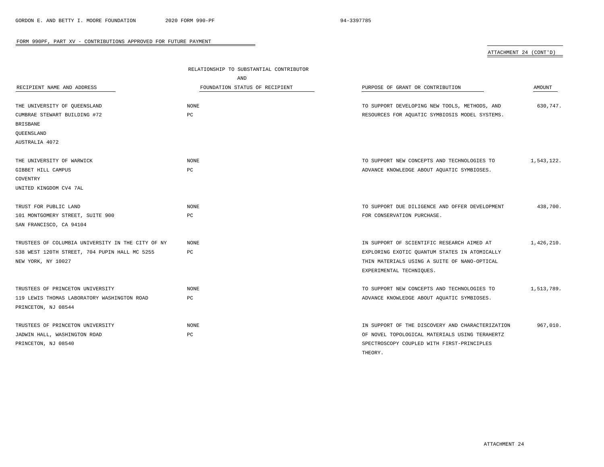|                                                   | RELATIONSHIP TO SUBSTANTIAL CONTRIBUTOR |                                                  |            |
|---------------------------------------------------|-----------------------------------------|--------------------------------------------------|------------|
|                                                   | AND                                     |                                                  |            |
| RECIPIENT NAME AND ADDRESS                        | FOUNDATION STATUS OF RECIPIENT          | PURPOSE OF GRANT OR CONTRIBUTION                 | AMOUNT     |
|                                                   |                                         |                                                  |            |
| THE UNIVERSITY OF QUEENSLAND                      | <b>NONE</b>                             | TO SUPPORT DEVELOPING NEW TOOLS, METHODS, AND    | 630,747.   |
| CUMBRAE STEWART BUILDING #72                      | $_{\rm PC}$                             | RESOURCES FOR AQUATIC SYMBIOSIS MODEL SYSTEMS.   |            |
| <b>BRISBANE</b>                                   |                                         |                                                  |            |
| QUEENSLAND                                        |                                         |                                                  |            |
| AUSTRALIA 4072                                    |                                         |                                                  |            |
|                                                   |                                         |                                                  |            |
| THE UNIVERSITY OF WARWICK                         | <b>NONE</b>                             | TO SUPPORT NEW CONCEPTS AND TECHNOLOGIES TO      | 1,543,122. |
| GIBBET HILL CAMPUS                                | PC                                      | ADVANCE KNOWLEDGE ABOUT AQUATIC SYMBIOSES.       |            |
| COVENTRY                                          |                                         |                                                  |            |
| UNITED KINGDOM CV4 7AL                            |                                         |                                                  |            |
|                                                   |                                         |                                                  |            |
| TRUST FOR PUBLIC LAND                             | <b>NONE</b>                             | TO SUPPORT DUE DILIGENCE AND OFFER DEVELOPMENT   | 438,700.   |
| 101 MONTGOMERY STREET, SUITE 900                  | PC                                      | FOR CONSERVATION PURCHASE.                       |            |
| SAN FRANCISCO, CA 94104                           |                                         |                                                  |            |
|                                                   |                                         |                                                  |            |
| TRUSTEES OF COLUMBIA UNIVERSITY IN THE CITY OF NY | <b>NONE</b>                             | IN SUPPORT OF SCIENTIFIC RESEARCH AIMED AT       | 1,426,210. |
| 538 WEST 120TH STREET, 704 PUPIN HALL MC 5255     | PC                                      | EXPLORING EXOTIC QUANTUM STATES IN ATOMICALLY    |            |
| NEW YORK, NY 10027                                |                                         | THIN MATERIALS USING A SUITE OF NANO-OPTICAL     |            |
|                                                   |                                         | EXPERIMENTAL TECHNIQUES.                         |            |
|                                                   |                                         |                                                  |            |
| TRUSTEES OF PRINCETON UNIVERSITY                  | <b>NONE</b>                             | TO SUPPORT NEW CONCEPTS AND TECHNOLOGIES TO      | 1,513,789. |
| 119 LEWIS THOMAS LABORATORY WASHINGTON ROAD       | PC                                      | ADVANCE KNOWLEDGE ABOUT AQUATIC SYMBIOSES.       |            |
| PRINCETON, NJ 08544                               |                                         |                                                  |            |
|                                                   |                                         |                                                  |            |
| TRUSTEES OF PRINCETON UNIVERSITY                  | <b>NONE</b>                             | IN SUPPORT OF THE DISCOVERY AND CHARACTERIZATION | 967,010.   |
| JADWIN HALL, WASHINGTON ROAD                      | $_{\rm PC}$                             | OF NOVEL TOPOLOGICAL MATERIALS USING TERAHERTZ   |            |
| PRINCETON, NJ 08540                               |                                         | SPECTROSCOPY COUPLED WITH FIRST-PRINCIPLES       |            |
|                                                   |                                         | THEORY.                                          |            |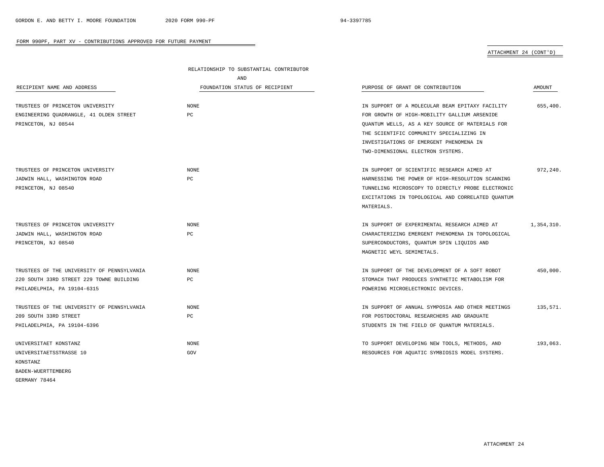|                                            | RELATIONSHIP TO SUBSTANTIAL CONTRIBUTOR |                                                   |               |
|--------------------------------------------|-----------------------------------------|---------------------------------------------------|---------------|
|                                            | AND                                     |                                                   |               |
| RECIPIENT NAME AND ADDRESS                 | FOUNDATION STATUS OF RECIPIENT          | PURPOSE OF GRANT OR CONTRIBUTION                  | <b>AMOUNT</b> |
| TRUSTEES OF PRINCETON UNIVERSITY           | NONE                                    | IN SUPPORT OF A MOLECULAR BEAM EPITAXY FACILITY   | 655,400.      |
| ENGINEERING OUADRANGLE, 41 OLDEN STREET    | PC                                      | FOR GROWTH OF HIGH-MOBILITY GALLIUM ARSENIDE      |               |
| PRINCETON, NJ 08544                        |                                         | QUANTUM WELLS, AS A KEY SOURCE OF MATERIALS FOR   |               |
|                                            |                                         | THE SCIENTIFIC COMMUNITY SPECIALIZING IN          |               |
|                                            |                                         | INVESTIGATIONS OF EMERGENT PHENOMENA IN           |               |
|                                            |                                         | TWO-DIMENSIONAL ELECTRON SYSTEMS.                 |               |
| TRUSTEES OF PRINCETON UNIVERSITY           | NONE                                    | IN SUPPORT OF SCIENTIFIC RESEARCH AIMED AT        | 972,240.      |
| JADWIN HALL, WASHINGTON ROAD               | РC                                      | HARNESSING THE POWER OF HIGH-RESOLUTION SCANNING  |               |
| PRINCETON, NJ 08540                        |                                         | TUNNELING MICROSCOPY TO DIRECTLY PROBE ELECTRONIC |               |
|                                            |                                         | EXCITATIONS IN TOPOLOGICAL AND CORRELATED QUANTUM |               |
|                                            |                                         | MATERIALS.                                        |               |
| TRUSTEES OF PRINCETON UNIVERSITY           | NONE                                    | IN SUPPORT OF EXPERIMENTAL RESEARCH AIMED AT      | 1,354,310.    |
| JADWIN HALL, WASHINGTON ROAD               | PC                                      | CHARACTERIZING EMERGENT PHENOMENA IN TOPOLOGICAL  |               |
| PRINCETON, NJ 08540                        |                                         | SUPERCONDUCTORS, QUANTUM SPIN LIQUIDS AND         |               |
|                                            |                                         | MAGNETIC WEYL SEMIMETALS.                         |               |
| TRUSTEES OF THE UNIVERSITY OF PENNSYLVANIA | <b>NONE</b>                             | IN SUPPORT OF THE DEVELOPMENT OF A SOFT ROBOT     | 450,000.      |
| 220 SOUTH 33RD STREET 229 TOWNE BUILDING   | PC                                      | STOMACH THAT PRODUCES SYNTHETIC METABOLISM FOR    |               |
| PHILADELPHIA, PA 19104-6315                |                                         | POWERING MICROELECTRONIC DEVICES.                 |               |
| TRUSTEES OF THE UNIVERSITY OF PENNSYLVANIA | <b>NONE</b>                             | IN SUPPORT OF ANNUAL SYMPOSIA AND OTHER MEETINGS  | 135,571.      |
| 209 SOUTH 33RD STREET                      | PC                                      | FOR POSTDOCTORAL RESEARCHERS AND GRADUATE         |               |
| PHILADELPHIA, PA 19104-6396                |                                         | STUDENTS IN THE FIELD OF QUANTUM MATERIALS.       |               |
| UNIVERSITAET KONSTANZ                      | NONE                                    | TO SUPPORT DEVELOPING NEW TOOLS, METHODS, AND     | 193,063.      |
| UNIVERSITAETSSTRASSE 10                    | GOV                                     | RESOURCES FOR AQUATIC SYMBIOSIS MODEL SYSTEMS.    |               |
| KONSTANZ                                   |                                         |                                                   |               |
| BADEN-WUERTTEMBERG                         |                                         |                                                   |               |
| GERMANY 78464                              |                                         |                                                   |               |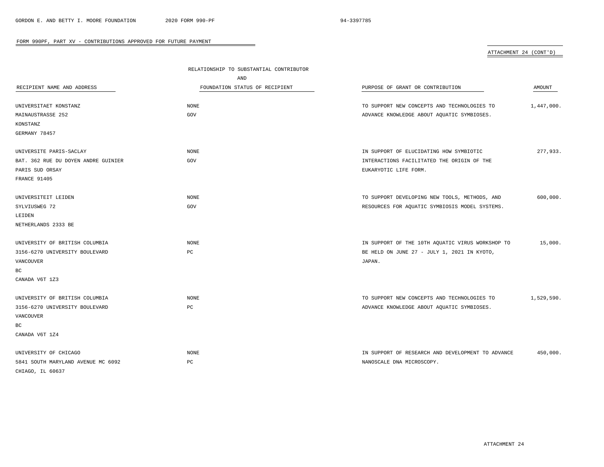|                                     | RELATIONSHIP TO SUBSTANTIAL CONTRIBUTOR |                                                   |               |
|-------------------------------------|-----------------------------------------|---------------------------------------------------|---------------|
|                                     | AND                                     |                                                   |               |
| RECIPIENT NAME AND ADDRESS          | FOUNDATION STATUS OF RECIPIENT          | PURPOSE OF GRANT OR CONTRIBUTION                  | <b>AMOUNT</b> |
| UNIVERSITAET KONSTANZ               | <b>NONE</b>                             | TO SUPPORT NEW CONCEPTS AND TECHNOLOGIES TO       | 1,447,000.    |
| MAINAUSTRASSE 252                   | GOV                                     | ADVANCE KNOWLEDGE ABOUT AQUATIC SYMBIOSES.        |               |
| KONSTANZ                            |                                         |                                                   |               |
| GERMANY 78457                       |                                         |                                                   |               |
| UNIVERSITE PARIS-SACLAY             | NONE                                    | IN SUPPORT OF ELUCIDATING HOW SYMBIOTIC           | 277,933.      |
| BAT. 362 RUE DU DOYEN ANDRE GUINIER | GOV                                     | INTERACTIONS FACILITATED THE ORIGIN OF THE        |               |
|                                     |                                         |                                                   |               |
| PARIS SUD ORSAY                     |                                         | EUKARYOTIC LIFE FORM.                             |               |
| FRANCE 91405                        |                                         |                                                   |               |
| UNIVERSITEIT LEIDEN                 | <b>NONE</b>                             | TO SUPPORT DEVELOPING NEW TOOLS, METHODS, AND     | 600,000.      |
| SYLVIUSWEG 72                       | GOV                                     | RESOURCES FOR AQUATIC SYMBIOSIS MODEL SYSTEMS.    |               |
| LEIDEN                              |                                         |                                                   |               |
| NETHERLANDS 2333 BE                 |                                         |                                                   |               |
| UNIVERSITY OF BRITISH COLUMBIA      | <b>NONE</b>                             | IN SUPPORT OF THE 10TH AQUATIC VIRUS WORKSHOP TO  | 15,000.       |
| 3156-6270 UNIVERSITY BOULEVARD      | $_{\rm PC}$                             | BE HELD ON JUNE 27 - JULY 1, 2021 IN KYOTO,       |               |
| VANCOUVER                           |                                         | JAPAN.                                            |               |
| ВC                                  |                                         |                                                   |               |
| CANADA V6T 1Z3                      |                                         |                                                   |               |
| UNIVERSITY OF BRITISH COLUMBIA      | <b>NONE</b>                             | TO SUPPORT NEW CONCEPTS AND TECHNOLOGIES TO       | 1,529,590.    |
| 3156-6270 UNIVERSITY BOULEVARD      | $_{\rm PC}$                             | ADVANCE KNOWLEDGE ABOUT AQUATIC SYMBIOSES.        |               |
| VANCOUVER                           |                                         |                                                   |               |
|                                     |                                         |                                                   |               |
| BC                                  |                                         |                                                   |               |
| CANADA V6T 1Z4                      |                                         |                                                   |               |
| UNIVERSITY OF CHICAGO               | <b>NONE</b>                             | IN SUPPORT OF RESEARCH AND DEVELOPMENT TO ADVANCE | 450,000.      |
| 5841 SOUTH MARYLAND AVENUE MC 6092  | $_{\rm PC}$                             | NANOSCALE DNA MICROSCOPY.                         |               |
| CHIAGO, IL 60637                    |                                         |                                                   |               |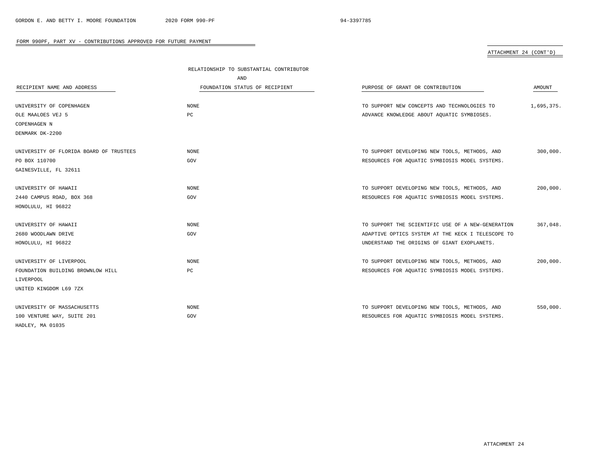|                                         | RELATIONSHIP TO SUBSTANTIAL CONTRIBUTOR |                                                   |            |
|-----------------------------------------|-----------------------------------------|---------------------------------------------------|------------|
|                                         | AND                                     |                                                   |            |
| RECIPIENT NAME AND ADDRESS              | FOUNDATION STATUS OF RECIPIENT          | PURPOSE OF GRANT OR CONTRIBUTION                  | AMOUNT     |
|                                         |                                         |                                                   |            |
| UNIVERSITY OF COPENHAGEN                | <b>NONE</b>                             | TO SUPPORT NEW CONCEPTS AND TECHNOLOGIES TO       | 1,695,375. |
| OLE MAALOES VEJ 5                       | PC                                      | ADVANCE KNOWLEDGE ABOUT AQUATIC SYMBIOSES.        |            |
| COPENHAGEN N                            |                                         |                                                   |            |
| DENMARK DK-2200                         |                                         |                                                   |            |
|                                         |                                         |                                                   |            |
| UNIVERSITY OF FLORIDA BOARD OF TRUSTEES | <b>NONE</b>                             | TO SUPPORT DEVELOPING NEW TOOLS, METHODS, AND     | 300,000.   |
| PO BOX 110700                           | GOV                                     | RESOURCES FOR AQUATIC SYMBIOSIS MODEL SYSTEMS.    |            |
| GAINESVILLE, FL 32611                   |                                         |                                                   |            |
|                                         |                                         |                                                   |            |
| UNIVERSITY OF HAWAII                    | <b>NONE</b>                             | TO SUPPORT DEVELOPING NEW TOOLS, METHODS, AND     | 200,000.   |
| 2440 CAMPUS ROAD, BOX 368               | GOV                                     | RESOURCES FOR AQUATIC SYMBIOSIS MODEL SYSTEMS.    |            |
| HONOLULU, HI 96822                      |                                         |                                                   |            |
|                                         |                                         |                                                   |            |
| UNIVERSITY OF HAWAII                    | <b>NONE</b>                             | TO SUPPORT THE SCIENTIFIC USE OF A NEW-GENERATION | 367,048.   |
| 2680 WOODLAWN DRIVE                     | GOV                                     | ADAPTIVE OPTICS SYSTEM AT THE KECK I TELESCOPE TO |            |
| HONOLULU, HI 96822                      |                                         | UNDERSTAND THE ORIGINS OF GIANT EXOPLANETS.       |            |
|                                         |                                         |                                                   |            |
| UNIVERSITY OF LIVERPOOL                 | <b>NONE</b>                             | TO SUPPORT DEVELOPING NEW TOOLS, METHODS, AND     | 200,000.   |
| FOUNDATION BUILDING BROWNLOW HILL       | PC                                      | RESOURCES FOR AQUATIC SYMBIOSIS MODEL SYSTEMS.    |            |
| LIVERPOOL                               |                                         |                                                   |            |
| UNITED KINGDOM L69 7ZX                  |                                         |                                                   |            |
|                                         |                                         |                                                   |            |
| UNIVERSITY OF MASSACHUSETTS             | <b>NONE</b>                             | TO SUPPORT DEVELOPING NEW TOOLS, METHODS, AND     | 550,000.   |
| 100 VENTURE WAY, SUITE 201              | GOV                                     | RESOURCES FOR AQUATIC SYMBIOSIS MODEL SYSTEMS.    |            |
| HADLEY, MA 01035                        |                                         |                                                   |            |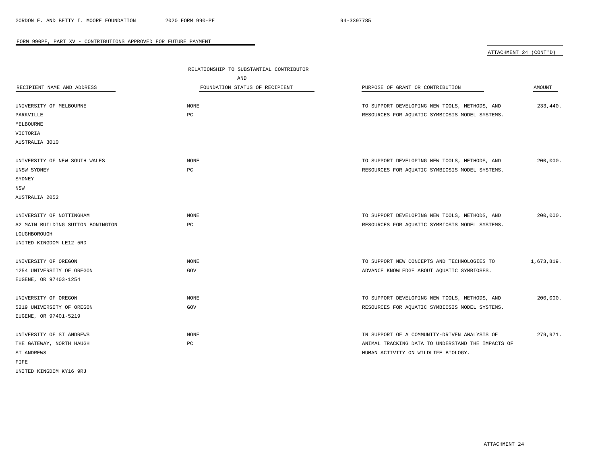|                                   | RELATIONSHIP TO SUBSTANTIAL CONTRIBUTOR |                                                   |            |
|-----------------------------------|-----------------------------------------|---------------------------------------------------|------------|
|                                   | AND                                     |                                                   |            |
| RECIPIENT NAME AND ADDRESS        | FOUNDATION STATUS OF RECIPIENT          | PURPOSE OF GRANT OR CONTRIBUTION                  | AMOUNT     |
| UNIVERSITY OF MELBOURNE           | NONE                                    | TO SUPPORT DEVELOPING NEW TOOLS, METHODS, AND     | 233,440.   |
| PARKVILLE                         | PC                                      | RESOURCES FOR AQUATIC SYMBIOSIS MODEL SYSTEMS.    |            |
| MELBOURNE                         |                                         |                                                   |            |
| VICTORIA                          |                                         |                                                   |            |
| AUSTRALIA 3010                    |                                         |                                                   |            |
| UNIVERSITY OF NEW SOUTH WALES     | NONE                                    | TO SUPPORT DEVELOPING NEW TOOLS, METHODS, AND     | 200,000.   |
| UNSW SYDNEY                       | $_{\rm PC}$                             | RESOURCES FOR AQUATIC SYMBIOSIS MODEL SYSTEMS.    |            |
| SYDNEY                            |                                         |                                                   |            |
| NSW                               |                                         |                                                   |            |
| AUSTRALIA 2052                    |                                         |                                                   |            |
| UNIVERSITY OF NOTTINGHAM          | NONE                                    | TO SUPPORT DEVELOPING NEW TOOLS, METHODS, AND     | 200,000.   |
| A2 MAIN BUILDING SUTTON BONINGTON | $_{\rm PC}$                             | RESOURCES FOR AQUATIC SYMBIOSIS MODEL SYSTEMS.    |            |
| LOUGHBOROUGH                      |                                         |                                                   |            |
| UNITED KINGDOM LE12 5RD           |                                         |                                                   |            |
| UNIVERSITY OF OREGON              | NONE                                    | TO SUPPORT NEW CONCEPTS AND TECHNOLOGIES TO       | 1,673,819. |
| 1254 UNIVERSITY OF OREGON         | GOV                                     | ADVANCE KNOWLEDGE ABOUT AQUATIC SYMBIOSES.        |            |
| EUGENE, OR 97403-1254             |                                         |                                                   |            |
| UNIVERSITY OF OREGON              | <b>NONE</b>                             | TO SUPPORT DEVELOPING NEW TOOLS, METHODS, AND     | 200,000.   |
| 5219 UNIVERSITY OF OREGON         | GOV                                     | RESOURCES FOR AQUATIC SYMBIOSIS MODEL SYSTEMS.    |            |
| EUGENE, OR 97401-5219             |                                         |                                                   |            |
| UNIVERSITY OF ST ANDREWS          | $\rm{NONE}$                             | IN SUPPORT OF A COMMUNITY-DRIVEN ANALYSIS OF      | 279,971.   |
| THE GATEWAY, NORTH HAUGH          | $_{\rm PC}$                             | ANIMAL TRACKING DATA TO UNDERSTAND THE IMPACTS OF |            |
| ST ANDREWS                        |                                         | HUMAN ACTIVITY ON WILDLIFE BIOLOGY.               |            |
| FIFE                              |                                         |                                                   |            |
| UNITED KINGDOM KY16 9RJ           |                                         |                                                   |            |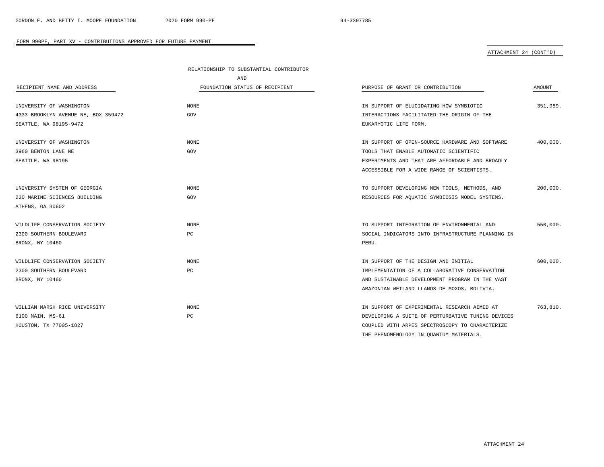|                                     | RELATIONSHIP TO SUBSTANTIAL CONTRIBUTOR |                                                   |          |
|-------------------------------------|-----------------------------------------|---------------------------------------------------|----------|
|                                     | AND                                     |                                                   |          |
| RECIPIENT NAME AND ADDRESS          | FOUNDATION STATUS OF RECIPIENT          | PURPOSE OF GRANT OR CONTRIBUTION                  | AMOUNT   |
| UNIVERSITY OF WASHINGTON            | <b>NONE</b>                             | IN SUPPORT OF ELUCIDATING HOW SYMBIOTIC           | 351,989. |
| 4333 BROOKLYN AVENUE NE, BOX 359472 | GOV                                     | INTERACTIONS FACILITATED THE ORIGIN OF THE        |          |
| SEATTLE, WA 98195-9472              |                                         | EUKARYOTIC LIFE FORM.                             |          |
|                                     |                                         |                                                   |          |
| UNIVERSITY OF WASHINGTON            | <b>NONE</b>                             | IN SUPPORT OF OPEN-SOURCE HARDWARE AND SOFTWARE   | 400,000. |
| 3960 BENTON LANE NE                 | GOV                                     | TOOLS THAT ENABLE AUTOMATIC SCIENTIFIC            |          |
| SEATTLE, WA 98195                   |                                         | EXPERIMENTS AND THAT ARE AFFORDABLE AND BROADLY   |          |
|                                     |                                         | ACCESSIBLE FOR A WIDE RANGE OF SCIENTISTS.        |          |
| UNIVERSITY SYSTEM OF GEORGIA        | <b>NONE</b>                             |                                                   | 200,000. |
|                                     |                                         | TO SUPPORT DEVELOPING NEW TOOLS, METHODS, AND     |          |
| 220 MARINE SCIENCES BUILDING        | GOV                                     | RESOURCES FOR AQUATIC SYMBIOSIS MODEL SYSTEMS.    |          |
| ATHENS, GA 30602                    |                                         |                                                   |          |
| WILDLIFE CONSERVATION SOCIETY       | <b>NONE</b>                             | TO SUPPORT INTEGRATION OF ENVIRONMENTAL AND       | 550,000. |
| 2300 SOUTHERN BOULEVARD             | PC                                      | SOCIAL INDICATORS INTO INFRASTRUCTURE PLANNING IN |          |
| BRONX, NY 10460                     |                                         | PERU.                                             |          |
| WILDLIFE CONSERVATION SOCIETY       | $\rm{NONE}$                             | IN SUPPORT OF THE DESIGN AND INITIAL              | 600,000. |
| 2300 SOUTHERN BOULEVARD             | PC                                      | IMPLEMENTATION OF A COLLABORATIVE CONSERVATION    |          |
| BRONX, NY 10460                     |                                         | AND SUSTAINABLE DEVELOPMENT PROGRAM IN THE VAST   |          |
|                                     |                                         |                                                   |          |
|                                     |                                         | AMAZONIAN WETLAND LLANOS DE MOXOS, BOLIVIA.       |          |
| WILLIAM MARSH RICE UNIVERSITY       | <b>NONE</b>                             | IN SUPPORT OF EXPERIMENTAL RESEARCH AIMED AT      | 763,810. |
| 6100 MAIN, MS-61                    | PC                                      | DEVELOPING A SUITE OF PERTURBATIVE TUNING DEVICES |          |
| HOUSTON, TX 77005-1827              |                                         | COUPLED WITH ARPES SPECTROSCOPY TO CHARACTERIZE   |          |
|                                     |                                         | THE PHENOMENOLOGY IN QUANTUM MATERIALS.           |          |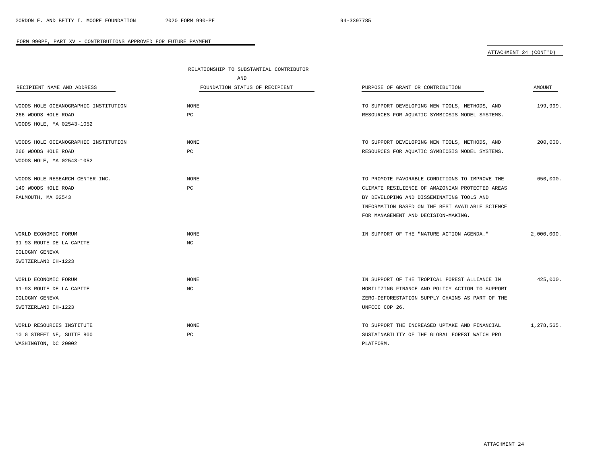|                                      | RELATIONSHIP TO SUBSTANTIAL CONTRIBUTOR |                                                 |               |
|--------------------------------------|-----------------------------------------|-------------------------------------------------|---------------|
|                                      | AND                                     |                                                 |               |
| RECIPIENT NAME AND ADDRESS           | FOUNDATION STATUS OF RECIPIENT          | PURPOSE OF GRANT OR CONTRIBUTION                | <b>AMOUNT</b> |
| WOODS HOLE OCEANOGRAPHIC INSTITUTION | NONE                                    | TO SUPPORT DEVELOPING NEW TOOLS, METHODS, AND   | 199,999.      |
| 266 WOODS HOLE ROAD                  | PC                                      | RESOURCES FOR AQUATIC SYMBIOSIS MODEL SYSTEMS.  |               |
| WOODS HOLE, MA 02543-1052            |                                         |                                                 |               |
| WOODS HOLE OCEANOGRAPHIC INSTITUTION | <b>NONE</b>                             | TO SUPPORT DEVELOPING NEW TOOLS, METHODS, AND   | 200,000.      |
| 266 WOODS HOLE ROAD                  | PC                                      | RESOURCES FOR AQUATIC SYMBIOSIS MODEL SYSTEMS.  |               |
| WOODS HOLE, MA 02543-1052            |                                         |                                                 |               |
| WOODS HOLE RESEARCH CENTER INC.      | <b>NONE</b>                             | TO PROMOTE FAVORABLE CONDITIONS TO IMPROVE THE  | 650,000.      |
| 149 WOODS HOLE ROAD                  | PC                                      | CLIMATE RESILIENCE OF AMAZONIAN PROTECTED AREAS |               |
| FALMOUTH, MA 02543                   |                                         | BY DEVELOPING AND DISSEMINATING TOOLS AND       |               |
|                                      |                                         | INFORMATION BASED ON THE BEST AVAILABLE SCIENCE |               |
|                                      |                                         | FOR MANAGEMENT AND DECISION-MAKING.             |               |
| WORLD ECONOMIC FORUM                 | <b>NONE</b>                             | IN SUPPORT OF THE "NATURE ACTION AGENDA."       | 2,000,000.    |
| 91-93 ROUTE DE LA CAPITE             | NC                                      |                                                 |               |
| COLOGNY GENEVA                       |                                         |                                                 |               |
| SWITZERLAND CH-1223                  |                                         |                                                 |               |
| WORLD ECONOMIC FORUM                 | <b>NONE</b>                             | IN SUPPORT OF THE TROPICAL FOREST ALLIANCE IN   | 425.000.      |
| 91-93 ROUTE DE LA CAPITE             | NC                                      | MOBILIZING FINANCE AND POLICY ACTION TO SUPPORT |               |
| COLOGNY GENEVA                       |                                         | ZERO-DEFORESTATION SUPPLY CHAINS AS PART OF THE |               |
| SWITZERLAND CH-1223                  |                                         | UNFCCC COP 26.                                  |               |
| WORLD RESOURCES INSTITUTE            | NONE                                    | TO SUPPORT THE INCREASED UPTAKE AND FINANCIAL   | 1,278,565.    |
| 10 G STREET NE, SUITE 800            | PC                                      | SUSTAINABILITY OF THE GLOBAL FOREST WATCH PRO   |               |
| WASHINGTON, DC 20002                 |                                         | PLATFORM.                                       |               |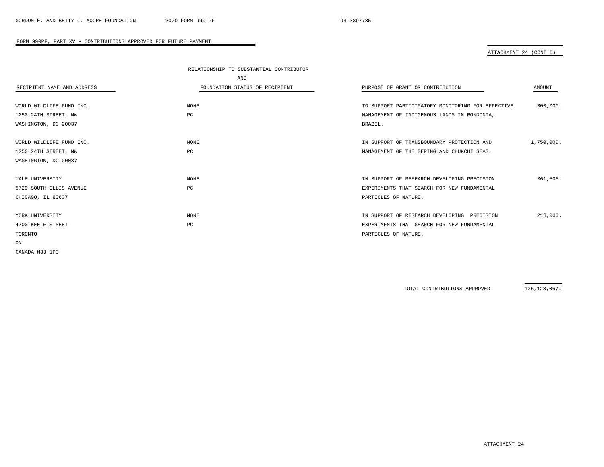## ATTACHMENT 24 (CONT'D)

|                            | RELATIONSHIP TO SUBSTANTIAL CONTRIBUTOR |                                                   |            |
|----------------------------|-----------------------------------------|---------------------------------------------------|------------|
|                            | AND                                     |                                                   |            |
| RECIPIENT NAME AND ADDRESS | FOUNDATION STATUS OF RECIPIENT          | PURPOSE OF GRANT OR CONTRIBUTION                  | AMOUNT     |
|                            |                                         |                                                   |            |
| WORLD WILDLIFE FUND INC.   | <b>NONE</b>                             | TO SUPPORT PARTICIPATORY MONITORING FOR EFFECTIVE | 300,000.   |
| 1250 24TH STREET, NW       | PC                                      | MANAGEMENT OF INDIGENOUS LANDS IN RONDONIA,       |            |
| WASHINGTON, DC 20037       |                                         | BRAZIL.                                           |            |
|                            |                                         |                                                   |            |
| WORLD WILDLIFE FUND INC.   | NONE                                    | IN SUPPORT OF TRANSBOUNDARY PROTECTION AND        | 1,750,000. |
| 1250 24TH STREET, NW       | PC                                      | MANAGEMENT OF THE BERING AND CHUKCHI SEAS.        |            |
| WASHINGTON, DC 20037       |                                         |                                                   |            |
|                            |                                         |                                                   |            |
| YALE UNIVERSITY            | <b>NONE</b>                             | IN SUPPORT OF RESEARCH DEVELOPING PRECISION       | 361,505.   |
| 5720 SOUTH ELLIS AVENUE    | PC                                      | EXPERIMENTS THAT SEARCH FOR NEW FUNDAMENTAL       |            |
| CHICAGO, IL 60637          |                                         | PARTICLES OF NATURE.                              |            |
|                            |                                         |                                                   |            |
| YORK UNIVERSITY            | <b>NONE</b>                             | IN SUPPORT OF RESEARCH DEVELOPING PRECISION       | 216,000.   |
| 4700 KEELE STREET          | PC                                      | EXPERIMENTS THAT SEARCH FOR NEW FUNDAMENTAL       |            |
| TORONTO                    |                                         | PARTICLES OF NATURE.                              |            |
| ON                         |                                         |                                                   |            |
| CANADA M3J 1P3             |                                         |                                                   |            |
|                            |                                         |                                                   |            |

TOTAL CONTRIBUTIONS APPROVED 126,123,067.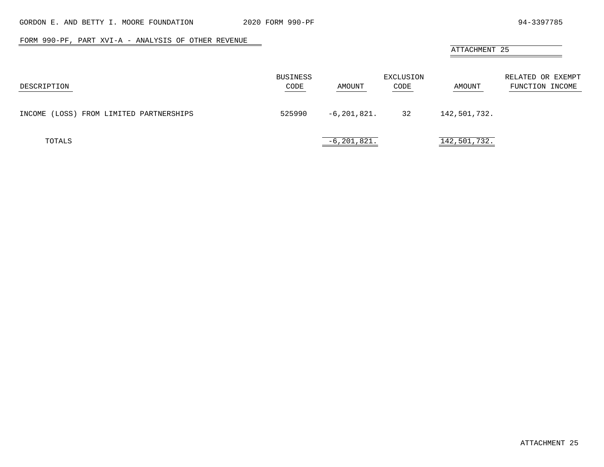$\overline{\phantom{a}}$ 

## FORM 990-PF, PART XVI-A - ANALYSIS OF OTHER REVENUE

# ATTACHMENT 25

| DESCRIPTION                                | BUSINESS<br>CODE | AMOUNT          | EXCLUSION<br>CODE | AMOUNT       | RELATED OR EXEMPT<br>FUNCTION INCOME |
|--------------------------------------------|------------------|-----------------|-------------------|--------------|--------------------------------------|
| (LOSS) FROM LIMITED PARTNERSHIPS<br>INCOME | 525990           | $-6,201,821.$   | 32                | 142,501,732. |                                      |
| TOTALS                                     |                  | $-6, 201, 821.$ |                   | 142,501,732. |                                      |